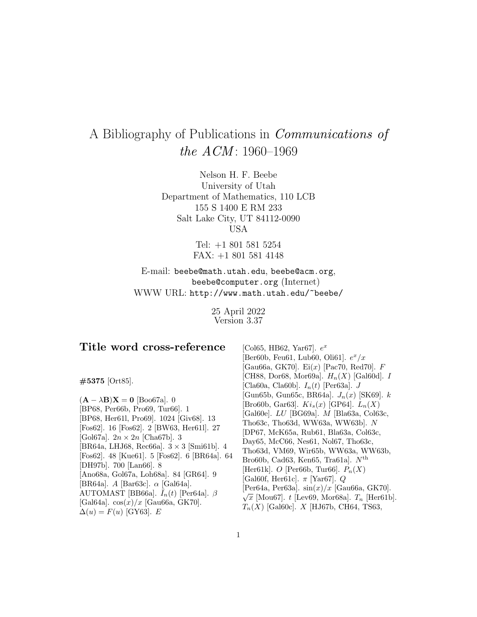## A Bibliography of Publications in Communications of the  $ACM$ : 1960–1969

Nelson H. F. Beebe University of Utah Department of Mathematics, 110 LCB 155 S 1400 E RM 233 Salt Lake City, UT 84112-0090 USA

> Tel: +1 801 581 5254 FAX: +1 801 581 4148

E-mail: beebe@math.utah.edu, beebe@acm.org, beebe@computer.org (Internet) WWW URL: http://www.math.utah.edu/~beebe/

> 25 April 2022 Version 3.37

| Title word cross-reference                                                                                                                                                                                                                                           | [Col65, HB62, Yar67]. $e^x$                                                                                                                                                                                                                                                          |
|----------------------------------------------------------------------------------------------------------------------------------------------------------------------------------------------------------------------------------------------------------------------|--------------------------------------------------------------------------------------------------------------------------------------------------------------------------------------------------------------------------------------------------------------------------------------|
|                                                                                                                                                                                                                                                                      | Ber60b, Feu61, Lub60, Oli61. $e^x/x$                                                                                                                                                                                                                                                 |
|                                                                                                                                                                                                                                                                      | Gau66a, GK70. Ei $(x)$ [Pac70, Red70.] F                                                                                                                                                                                                                                             |
| $#5375$ [Ort85].                                                                                                                                                                                                                                                     | [CH88, Dor68, Mor69a]. $H_n(X)$ [Gal60d]. I                                                                                                                                                                                                                                          |
|                                                                                                                                                                                                                                                                      | [Cla60a, Cla60b]. $I_n(t)$ [Per63a]. J                                                                                                                                                                                                                                               |
| $(\mathbf{A} - \lambda \mathbf{B})\mathbf{X} = \mathbf{0}$ [Boo67a]. 0                                                                                                                                                                                               | [Gun65b, Gun65c, BR64a]. $J_n(x)$ [SK69]. $k$                                                                                                                                                                                                                                        |
| [BP68, Per66b, Pro69, Tur66]. 1<br>[BP68, Her611, Pro69]. 1024 [Giv68]. 13<br>[Fos62]. 16 [Fos62]. 2 [BW63, Her611]. 27<br>[Gol67a]. $2n \times 2n$ [Cha67b]. 3<br>[BR64a, LHJ68, Rec66a]. $3 \times 3$ [Smi61b]. 4<br>[Fos62]. 48 [Kue61]. 5 [Fos62]. 6 [BR64a]. 64 | $[Br660b, Gar63]$ . $Ki_s(x) [GP64]$ . $L_n(X)$<br>[Gal $60e$ ]. $LU$ [BG $69a$ ]. $M$ [Bla $63a$ , Col $63c$ ,<br>Tho63c, Tho63d, WW63a, WW63b]. $N$<br>[DP67, McK65a, Rub61, Bla63a, Col63c,<br>Day65, McC66, Nes61, Nol67, Tho63c,<br>Tho63d, VM69, Wir65b, WW63a, WW63b,         |
| [DH97b]. 700 [Lan66]. 8<br>[Ano68a, Gol67a, Loh68a]. 84 [GR64]. 9<br>[BR64a]. $A$ [Bar63c]. $\alpha$ [Gal64a].<br>AUTOMAST [BB66a]. $\bar{I}_n(t)$ [Per64a]. $\beta$<br>[Gal64a]. $\cos(x)/x$ [Gau66a, GK70].<br>$\Delta(u) = F(u)$ [GY63]. E                        | Bro60b, Cad63, Ken65, Tra61a]. $N^{\text{th}}$<br>[Her61k]. O [Per66b, Tur66]. $P_n(X)$<br>[Gal60f, Her61c]. $\pi$ [Yar67]. Q<br>[Per64a, Per63a]. $\sin(x)/x$ [Gau66a, GK70].<br>$\sqrt{x}$ [Mou67]. t [Lev69, Mor68a]. $T_n$ [Her61b].<br>$T_n(X)$ [Gal60c]. X [HJ67b, CH64, TS63, |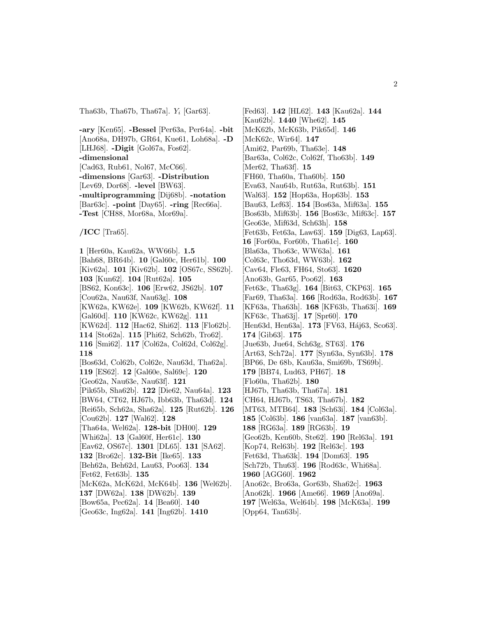Tha63b, Tha67b, Tha67a].  $Y_i$  [Gar63].

**-ary** [Ken65]. **-Bessel** [Per63a, Per64a]. **-bit** [Ano68a, DH97b, GR64, Kue61, Loh68a]. **-D** [LHJ68]. **-Digit** [Gol67a, Fos62]. **-dimensional** [Cad63, Rub61, Nol67, McC66]. **-dimensions** [Gar63]. **-Distribution** [Lev69, Dor68]. **-level** [BW63]. **-multiprogramming** [Dij68b]. **-notation** [Bar63c]. **-point** [Day65]. **-ring** [Rec66a]. **-Test** [CH88, Mor68a, Mor69a].

**/ICC** [Tra65].

**1** [Her60a, Kau62a, WW66b]. **1.5** [Bah68, BR64b]. **10** [Gal60c, Her61b]. **100** [Kiv62a]. **101** [Kiv62b]. **102** [OS67c, SS62b]. **103** [Kun62]. **104** [Rut62a]. **105** [BS62, Kon63c]. **106** [Erw62, JS62b]. **107** [Cou62a, Nau63f, Nau63g]. **108** [KW62a, KW62e]. **109** [KW62b, KW62f]. **11** [Gal60d]. **110** [KW62c, KW62g]. **111** [KW62d]. **112** [Hac62, Shi62]. **113** [Flo62b]. **114** [Sto62a]. **115** [Phi62, Sch62b, Tro62]. **116** [Smi62]. **117** [Col62a, Col62d, Col62g]. **118** [Bos63d, Col62b, Col62e, Nau63d, Tha62a]. **119** [ES62]. **12** [Gal60e, Sal69c]. **120** [Geo62a, Nau63e, Nau63f]. **121** [Pik65b, Sha62b]. **122** [Die62, Nau64a]. **123** [BW64, CT62, HJ67b, Ibb63b, Tha63d]. **124** [Rei65b, Sch62a, Sha62a]. **125** [Rut62b]. **126** [Cou62b]. **127** [Wal62]. **128** [Tha64a, Wel62a]. **128-bit** [DH00]. **129** [Whi62a]. **13** [Gal60f, Her61c]. **130** [Eav62, OS67c]. **1301** [DL65]. **131** [SA62]. **132** [Bro62c]. **132-Bit** [Ike65]. **133** [Beh62a, Beh62d, Lau63, Poo63]. **134** [Fet62, Fet63b]. **135** [McK62a, McK62d, McK64b]. **136** [Wel62b]. **137** [DW62a]. **138** [DW62b]. **139** [Bow65a, Pec62a]. **14** [Bea60]. **140**

[Geo63c, Ing62a]. **141** [Ing62b]. **1410**

[Fed63]. **142** [HL62]. **143** [Kau62a]. **144** [Kau62b]. **1440** [Whe62]. **145** [McK62b, McK63b, Pik65d]. **146** [McK62c, Wir64]. **147** [Ami62, Par69b, Tha63e]. **148** [Bar63a, Col62c, Col62f, Tho63b]. **149** [Mer62, Tha63f]. **15** [FH60, Tha60a, Tha60b]. **150** [Eva63, Nau64b, Rut63a, Rut63b]. **151** [Wal63]. **152** [Hop63a, Hop63b]. **153** [Bau63, Lef63]. **154** [Bos63a, Mif63a]. **155** [Bos63b, Mif63b]. **156** [Bos63c, Mif63c]. **157** [Geo63e, Mif63d, Sch63h]. **158** [Fet63b, Fet63a, Law63]. **159** [Dig63, Lap63]. **16** [For60a, For60b, Tha61c]. **160** [Bla63a, Tho63c, WW63a]. **161** [Col63c, Tho63d, WW63b]. **162** [Cav64, Fle63, FH64, Sto63]. **1620** [Ano63b, Gar65, Poo62]. **163** [Fet63c, Tha63g]. **164** [Bit63, CKP63]. **165** [Far69, Tha63a]. **166** [Rod63a, Rod63b]. **167** [KF63a, Tha63h]. **168** [KF63b, Tha63i]. **169** [KF63c, Tha63j]. **17** [Spr60]. **170** [Hen63d, Hen63a]. **173** [FV63, Háj63, Sco63]. **174** [Gib63]. **175** [Jue63b, Jue64, Sch63g, ST63]. **176** [Art63, Sch72a]. **177** [Syn63a, Syn63b]. **178** [BP66, De 68b, Kau63a, Smi69b, TS69b]. **179** [BB74, Lud63, PH67]. **18** [Flo60a, Tha62b]. **180** [HJ67b, Tha63b, Tha67a]. **181** [CH64, HJ67b, TS63, Tha67b]. **182** [MT63, MTB64]. **183** [Sch63i]. **184** [Col63a]. **185** [Col63b]. **186** [van63a]. **187** [van63b]. **188** [RG63a]. **189** [RG63b]. **19** [Geo62b, Ken60b, Ste62]. **190** [Rel63a]. **191** [Kop74, Rel63b]. **192** [Rel63c]. **193** [Fet63d, Tha63k]. **194** [Dom63]. **195** [Sch72b, Thu63]. **196** [Rod63c, Whi68a]. **1960** [AGG60]. **1962** [Ano62c, Bro63a, Gor63b, Sha62c]. **1963** [Ano62k]. **1966** [Ame66]. **1969** [Ano69a]. **197** [Wel63a, Wel64b]. **198** [McK63a]. **199** [Opp64, Tan63b].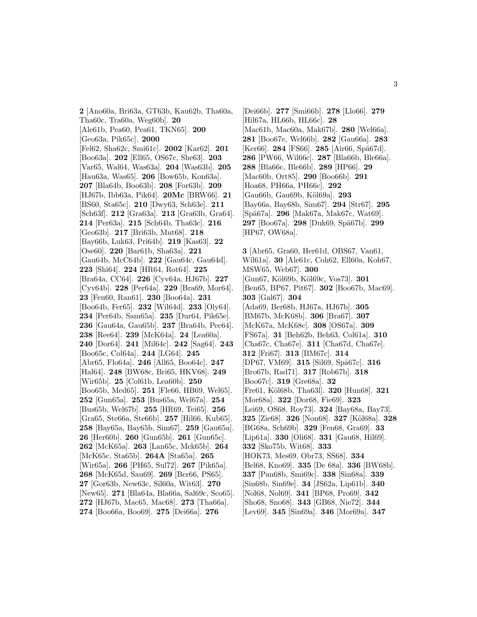**2** [Ano60a, Bri63a, GT63b, Kau62b, Tha60a, Tha60c, Tra60a, Weg60b]. **20** [Ale61b, Pea60, Pea61, TKN65]. **200** [Geo63a, Pik65c]. **2000** [Fel62, Sha62c, Smi61c]. **2002** [Kar62]. **201** [Boo63a]. **202** [Ell65, OS67c, She63]. **203** [Var65, Wal64, Was63a]. **204** [Was63b]. **205** [Hau63a, Was65]. **206** [Bow65b, Kon63a]. **207** [Bla64b, Boo63b]. **208** [For63b]. **209** [HJ67b, Ibb63a, Pik64]. **20Mc** [BRW66]. **21** [BS60, Sta65c]. **210** [Dwy63, Sch63e]. **211** [Sch63f]. **212** [Gra63a]. **213** [Gra63b, Gra64]. **214** [Per63a]. **215** [Sch64b, Tha63c]. **216** [Geo63b]. **217** [Bri63b, Mut68]. **218** [Bay66b, Luk63, Pri64b]. **219** [Kas63]. **22** [Ose60]. **220** [Bar61b, Sha63a]. **221** [Gau64b, McC64b]. **222** [Gau64c, Gau64d]. **223** [Shi64]. **224** [HR64, Rot64]. **225** [Bra64a, CC64]. **226** [Cyv64a, HJ67b]. **227** [Cyv64b]. **228** [Per64a]. **229** [Bra69, Mor64]. **23** [Feu60, Ran61]. **230** [Boo64a]. **231** [Boo64b, Fer65]. **232** [Wil64d]. **233** [Oly64]. **234** [Per64b, Sam65a]. **235** [Dur64, Pik65e]. **236** [Gau64a, Gau65b]. **237** [Bra64b, Pec64]. **238** [Ree64]. **239** [McK64a]. **24** [Lea60a]. **240** [Dor64]. **241** [Mil64c]. **242** [Sag64]. **243** [Boo65c, Col64a]. **244** [LG64]. **245** [Abr65, Flo64a]. **246** [All65, Boo64c]. **247** [Hal64]. **248** [BW68c, Bri65, HKV68]. **249** [Wir65b]. **25** [Col61b, Lea60b]. **250** [Boo65b, Med65]. **251** [Fle66, HB69, Wel65]. **252** [Gun65a]. **253** [Bus65a, Wel67a]. **254** [Bus65b, Wel67b]. **255** [HR69, Tei65]. **256** [Gra65, Ste66a, Ste66b]. **257** [Hil66, Kub65]. **258** [Bay65a, Bay65b, Sim67]. **259** [Gau65a]. **26** [Her60b]. **260** [Gun65b]. **261** [Gun65c]. **262** [McK65a]. **263** [Lan65c, Mck65b]. **264** [McK65c, Sta65b]. **264A** [Sta65a]. **265** [Wir65a]. **266** [PH65, Sul72]. **267** [Pik65a]. **268** [McK65d, Sau69]. **269** [Ber66, PS65]. **27** [Gor63b, New63c, Sil60a, Wit63]. **270** [New65]. **271** [Bla64a, Bla66a, Sal69c, Sco65]. **272** [HJ67b, Mac65, Mac68]. **273** [Tha66a]. **274** [Boo66a, Boo69]. **275** [Dei66a]. **276**

[Dei66b]. **277** [Smi66b]. **278** [Llo66]. **279** [Hil67a, HL66b, HL66c]. **28** [Mac61b, Mac60a, Mak67b]. **280** [Wel66a]. **281** [Boo67e, Wel66b]. **282** [Gau66a]. **283** [Ker66]. **284** [FS66]. **285** [Air66, Spä67d]. **286** [PW66, Wil66c]. **287** [Bla66b, Ble66a]. **288** [Bla66c, Ble66b]. **289** [HP66]. **29** [Mac60b, Ort85]. **290** [Boo66b]. **291** [Hoa68, PH66a, PH66c]. **292** [Gau66b, Gau69b, K¨ol69a]. **293** [Bay66a, Bay68b, Sim67]. **294** [Str67]. **295** [Sp¨a67a]. **296** [Mak67a, Mak67c, Wat69]. **297** [Boo67a]. **298** [Duk69, Sp¨a67b]. **299** [HP67, OW68a].

**3** [Abr65, Gra60, Her61d, OBS67, Van61, Wil61a]. **30** [Ale61c, Coh62, Ell60a, Koh67, MSW65, Web67]. **300** [Gun67, K¨ol69b, K¨ol69c, Vos73]. **301** [Ben65, BP67, Pit67]. **302** [Boo67b, Mac69]. **303** [Gal67]. **304** [Ada69, Ber68b, HJ67a, HJ67b]. **305** [BM67b, McK68b]. **306** [Bra67]. **307** [McK67a, McK68c]. **308** [OS67a]. **309** [FS67a]. **31** [Beh62b, Beh63, Col61a]. **310** [Cha67c, Cha67e]. **311** [Cha67d, Cha67e]. **312** [Fri67]. **313** [BM67c]. **314** [DP67, VM69]. **315** [Sil69, Spä67c]. **316** [Bro67b, Rad71]. **317** [Rob67b]. **318** [Boo67c]. **319** [Gre68a]. **32** [Fre61, K¨ol68b, Tha63l]. **320** [Hun68]. **321** [Mor68a]. **322** [Dor68, Fie69]. **323** [Lei69, OS68, Roy73]. **324** [Bay68a, Bay73]. **325** [Zie68]. **326** [Non68]. **327** [K¨ol68a]. **328** [BG68a, Sch69b]. **329** [Fen68, Gra69]. **33** [Lip61a]. **330** [Oli68]. **331** [Gau68, Hil69]. **332** [Sko75b, Wit68]. **333** [HOK73, Mes69, Obr73, SS68]. **334** [Bel68, Kno69]. **335** [De 68a]. **336** [BW68b]. **337** [Pan68b, Smi69c]. **338** [Sin68a]. **339** [Sin68b, Sin69e]. **34** [JS62a, Lip61b]. **340** [Nol68, Nol69]. **341** [BP68, Pro69]. **342** [Sho68, Sno68]. **343** [GB68, Nie72]. **344** [Lev69]. **345** [Sin69a]. **346** [Mor69a]. **347**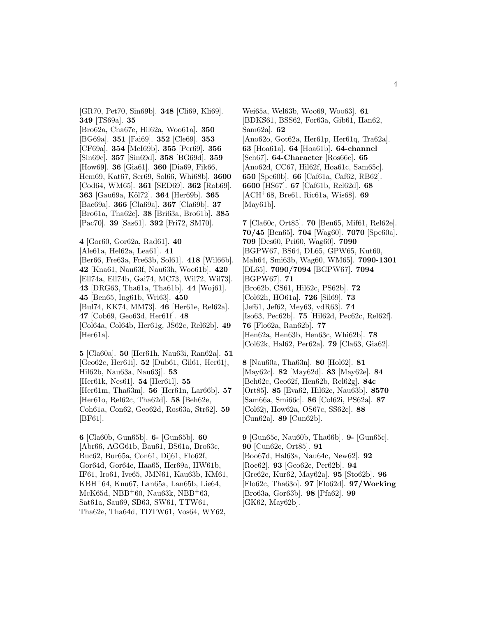[GR70, Pet70, Sin69b]. **348** [Cli69, Kli69]. **349** [TS69a]. **35**

[Bro62a, Cha67e, Hil62a, Woo61a]. **350** [BG69a]. **351** [Fai69]. **352** [Cle69]. **353** [CF69a]. **354** [McI69b]. **355** [Per69]. **356** [Sin69c]. **357** [Sin69d]. **358** [BG69d]. **359** [How69]. **36** [Gia61]. **360** [Dia69, Fik66, Hem69, Kat67, Ser69, Sol66, Whi68b]. **3600** [Cod64, WM65]. **361** [SED69]. **362** [Rob69]. **363** [Gau69a, K¨ol72]. **364** [Her69b]. **365** [Bac69a]. **366** [Cla69a]. **367** [Cla69b]. **37** [Bro61a, Tha62c]. **38** [Bri63a, Bro61b]. **385** [Pac70]. **39** [Sas61]. **392** [Fri72, SM70].

**4** [Gor60, Gor62a, Rad61]. **40** [Ale61a, Hel62a, Lea61]. **41** [Ber66, Fre63a, Fre63b, Sol61]. **418** [Wil66b]. **42** [Kna61, Nau63f, Nau63h, Woo61b]. **420** [Ell74a, Ell74b, Gai74, MC73, Wil72, Wil73]. **43** [DRG63, Tha61a, Tha61b]. **44** [Woj61]. **45** [Ben65, Ing61b, Wri63]. **450** [Bul74, KK74, MM73]. **46** [Her61e, Rel62a]. **47** [Cob69, Geo63d, Her61f]. **48** [Col64a, Col64b, Her61g, JS62c, Rel62b]. **49** [Her<sub>61a]</sub>.

**5** [Cla60a]. **50** [Her61h, Nau63i, Ran62a]. **51** [Geo62c, Her61i]. **52** [Dub61, Gil61, Her61j, Hil62b, Nau63a, Nau63j]. **53** [Her61k, Nes61]. **54** [Her61l]. **55** [Her61m, Tha63m]. **56** [Her61n, Lar66b]. **57** [Her61o, Rel62c, Tha62d]. **58** [Beh62e, Coh61a, Con62, Geo62d, Ros63a, Str62]. **59** [BF61].

**6** [Cla60b, Gun65b]. **6-** [Gun65b]. **60** [Abr66, AGG61b, Bau61, BS61a, Bro63c, Buc62, Bur65a, Con61, Dij61, Flo62f, Gor64d, Gor64e, Haa65, Her69a, HW61b, IF61, Iro61, Ive65, JMN61, Kau63b, KM61, KBH<sup>+</sup>64, Knu67, Lan65a, Lan65b, Lie64, McK65d, NBB<sup>+</sup>60, Nau63k, NBB<sup>+</sup>63, Sat61a, Sau69, SB63, SW61, TTW61, Tha62e, Tha64d, TDTW61, Vos64, WY62,

Wei65a, Wel63b, Woo69, Woo63]. **61** [BDKS61, BSS62, For63a, Gib61, Han62, Sam62a]. **62** [Ano62o, Got62a, Her61p, Her61q, Tra62a]. **63** [Hoa61a]. **64** [Hoa61b]. **64-channel** [Sch67]. **64-Character** [Ros66c]. **65** [Ano62d, CC67, Hil62f, Hoa61c, Sam65c]. **650** [Spe60b]. **66** [Caf61a, Caf62, RB62]. **6600** [HS67]. **67** [Caf61b, Rel62d]. **68** [ACH<sup>+</sup>68, Bre61, Ric61a, Wis68]. **69** [May61b].

**7** [Cla60c, Ort85]. **70** [Ben65, Mif61, Rel62e]. **70/45** [Ben65]. **704** [Wag60]. **7070** [Spe60a]. **709** [Des60, Pri60, Wag60]. **7090** [BGPW67, BS64, DL65, GPW65, Kut60, Mah64, Smi63b, Wag60, WM65]. **7090-1301** [DL65]. **7090/7094** [BGPW67]. **7094** [BGPW67]. **71** [Bro62b, CS61, Hil62c, PS62b]. **72** [Col62h, HO61a]. **726** [Sil69]. **73** [Jef61, Jef62, Mey63, vdR63]. **74** [Iso63, Pec62b]. **75** [Hil62d, Pec62c, Rel62f]. **76** [Flo62a, Ran62b]. **77** [Hen62a, Hen63b, Hen63c, Whi62b]. **78** [Col62k, Hal62, Per62a]. **79** [Cla63, Gia62].

**8** [Nau60a, Tha63n]. **80** [Hol62]. **81** [May62c]. **82** [May62d]. **83** [May62e]. **84** [Beh62c, Geo62f, Hen62b, Rel62g]. **84c** [Ort85]. **85** [Eva62, Hil62e, Nau63b]. **8570** [Sam66a, Smi66c]. **86** [Col62i, PS62a]. **87** [Col62j, How62a, OS67c, SS62c]. **88** [Cun62a]. **89** [Cun62b].

**9** [Gun65c, Nau60b, Tha66b]. **9-** [Gun65c]. **90** [Cun62c, Ort85]. **91** [Boo67d, Hal63a, Nau64c, New62]. **92** [Roe62]. **93** [Geo62e, Per62b]. **94** [Gre62c, Kur62, May62a]. **95** [Sto62b]. **96** [Flo62c, Tha63o]. **97** [Flo62d]. **97/Working** [Bro63a, Gor63b]. **98** [Pfa62]. **99** [GK62, May62b].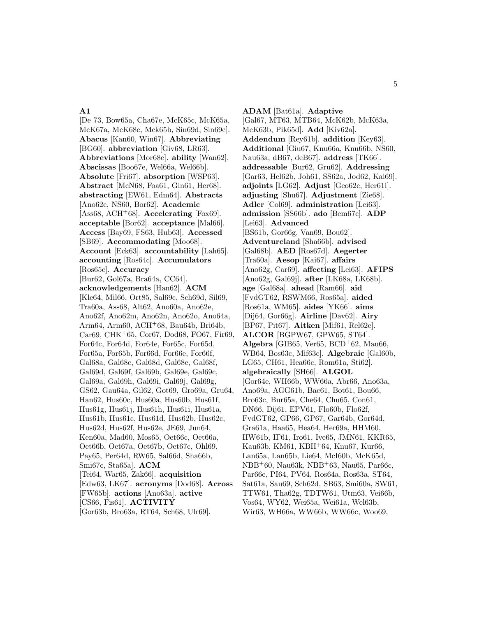## **A1**

[De 73, Bow65a, Cha67e, McK65c, McK65a, McK67a, McK68c, Mck65b, Sin69d, Sin69c]. **Abacus** [Kan60, Win67]. **Abbreviating** [BG60]. **abbreviation** [Giv68, LR63]. **Abbreviations** [Mor68c]. **ability** [Wan62]. **Abscissas** [Boo67e, Wel66a, Wel66b]. **Absolute** [Fri67]. **absorption** [WSP63]. **Abstract** [McN68, Foa61, Gin61, Her68]. **abstracting** [EW61, Edm64]. **Abstracts** [Ano62c, NS60, Bor62]. **Academic** [Ass68, ACH<sup>+</sup>68]. **Accelerating** [Fox69]. **acceptable** [Bor62]. **acceptance** [Mal66]. **Access** [Bay69, FS63, Hub63]. **Accessed** [SB69]. **Accommodating** [Moo68]. **Account** [Eck63]. **accountability** [Lah65]. **accounting** [Ros64c]. **Accumulators** [Ros65c]. **Accuracy** [Bur62, Gol67a, Bra64a, CC64]. **acknowledgements** [Han62]. **ACM** [Kle64, Mil66, Ort85, Sal69c, Sch69d, Sil69, Tra60a, Ass68, Alt62, Ano60a, Ano62e, Ano62f, Ano62m, Ano62n, Ano62o, Ano64a, Arm64, Arm60, ACH<sup>+</sup>68, Bau64b, Bri64b, Car69, CHK<sup>+</sup>65, Cor67, Dod68, FO67, Fir69, For64c, For64d, For64e, For65c, For65d, For65a, For65b, For66d, For66e, For66f, Gal68a, Gal68c, Gal68d, Gal68e, Gal68f, Gal69d, Gal69f, Gal69b, Gal69e, Gal69c, Gal69a, Gal69h, Gal69i, Gal69j, Gal69g, GS62, Gau64a, Gil62, Got69, Gro69a, Gru64, Han62, Hus60c, Hus60a, Hus60b, Hus61f, Hus61g, Hus61j, Hus61h, Hus61i, Hus61a, Hus61b, Hus61c, Hus61d, Hus62b, Hus62c, Hus62d, Hus62f, Hus62e, JE69, Jun64, Ken60a, Mad60, Mos65, Oet66c, Oet66a, Oet66b, Oet67a, Oet67b, Oet67c, Ohl69, Pay65, Per64d, RW65, Sal66d, Sha66b, Smi67c, Sta65a]. **ACM** [Tei64, War65, Zak66]. **acquisition** [Edw63, LK67]. **acronyms** [Dod68]. **Across** [FW65b]. **actions** [Ano63a]. **active** [CS66, Fis61]. **ACTIVITY** [Gor63b, Bro63a, RT64, Sch68, Ulr69].

**ADAM** [Bat61a]. **Adaptive** [Gal67, MT63, MTB64, McK62b, McK63a, McK63b, Pik65d]. **Add** [Kiv62a]. **Addendum** [Rey61b]. **addition** [Key63]. **Additional** [Giu67, Knu66a, Knu66b, NS60, Nau63a, dB67, deB67]. **address** [TK66]. **addressable** [Bur62, Gru62]. **Addressing** [Gar63, Hel62b, Joh61, SS62a, Jod62, Kai69]. **adjoints** [LG62]. **Adjust** [Geo62c, Her61i]. **adjusting** [Shu67]. **Adjustment** [Zie68]. **Adler** [Col69]. **administration** [Lei63]. **admission** [SS66b]. **ado** [Bem67c]. **ADP** [Lei63]. **Advanced** [BS61b, Gor66g, Van69, Bou62]. **Adventureland** [Sha66b]. **advised** [Gal68b]. **AED** [Ros67d]. **Aegerter** [Tra60a]. **Aesop** [Kai67]. **affairs** [Ano62g, Car69]. **affecting** [Lei63]. **AFIPS** [Ano62g, Gal69j]. **after** [LK68a, LK68b]. **age** [Gal68a]. **ahead** [Ram66]. **aid** [FvdGT62, RSWM66, Ros65a]. **aided** [Ros61a, WM65]. **aides** [YK66]. **aims** [Dij64, Gor66g]. **Airline** [Dav62]. **Airy** [BP67, Pit67]. **Aitken** [Mif61, Rel62e]. **ALCOR** [BGPW67, GPW65, ST64]. Algebra [GIB65, Ver65,  $BCD+62$ , Mau66, WB64, Bos63c, Mif63c]. **Algebraic** [Gal60b, LG65, CH61, Hea66c, Rom61a, Sti62]. **algebraically** [SH66]. **ALGOL** [Gor64e, WH66b, WW66a, Abr66, Ano63a, Ano69a, AGG61b, Bac61, Bot61, Bou66, Bro63c, Bur65a, Che64, Chu65, Con61, DN66, Dij61, EPV61, Flo60b, Flo62f, FvdGT62, GP66, GP67, Gar64b, Gor64d, Gra61a, Haa65, Hea64, Her69a, HHM60, HW61b, IF61, Iro61, Ive65, JMN61, KKR65, Kau63b, KM61, KBH<sup>+</sup>64, Knu67, Kur66, Lan65a, Lan65b, Lie64, McI60b, McK65d, NBB<sup>+</sup>60, Nau63k, NBB<sup>+</sup>63, Nau65, Par66c, Par66e, PI64, PV64, Ros64a, Ros63a, ST64, Sat61a, Sau69, Sch62d, SB63, Smi60a, SW61, TTW61, Tha62g, TDTW61, Utm63, Vei66b, Vos64, WY62, Wei65a, Wei61a, Wel63b, Wir63, WH66a, WW66b, WW66c, Woo69,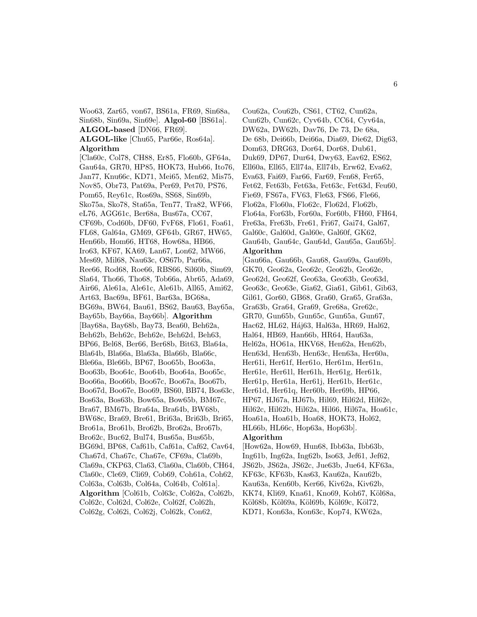Woo63, Zar65, von67, BS61a, FR69, Sin68a, Sin68b, Sin69a, Sin69e]. **Algol-60** [BS61a]. **ALGOL-based** [DN66, FR69]. **ALGOL-like** [Chu65, Par66e, Ros64a]. **Algorithm**

[Cla60c, Col78, CH88, Er85, Flo60b, GF64a, Gau64a, GR70, HP85, HOK73, Hub66, Ito76, Jan77, Knu66c, KD71, Mei65, Men62, Mis75, Nov85, Obr73, Pat69a, Per69, Pet70, PS76, Pom65, Rey61c, Ros69a, SS68, Sin69b, Sko75a, Sko78, Sta65a, Ten77, Tra82, WF66, eL76, AGG61c, Ber68a, Bus67a, CC67, CF69b, Cod60b, DF60, FvF68, Flo61, Foa61, FL68, Gal64a, GM69, GF64b, GR67, HW65, Hen66b, Hom66, HT68, How68a, HB66, Iro63, KF67, KA69, Lan67, Lon62, MW66, Mes69, Mil68, Nau63c, OS67b, Par66a, Ree66, Rod68, Roe66, RBS66, Sil60b, Sim69, Sla64, Tho66, Tho68, Tob66a, Abr65, Ada69, Air66, Ale61a, Ale61c, Ale61b, All65, Ami62, Art63, Bac69a, BF61, Bar63a, BG68a, BG69a, BW64, Bau61, BS62, Bau63, Bay65a, Bay65b, Bay66a, Bay66b]. **Algorithm** [Bay68a, Bay68b, Bay73, Bea60, Beh62a, Beh62b, Beh62c, Beh62e, Beh62d, Beh63, BP66, Bel68, Ber66, Ber68b, Bit63, Bla64a, Bla64b, Bla66a, Bla63a, Bla66b, Bla66c, Ble66a, Ble66b, BP67, Boo65b, Boo63a, Boo63b, Boo64c, Boo64b, Boo64a, Boo65c, Boo66a, Boo66b, Boo67c, Boo67a, Boo67b, Boo67d, Boo67e, Boo69, BS60, BB74, Bos63c, Bos63a, Bos63b, Bow65a, Bow65b, BM67c, Bra67, BM67b, Bra64a, Bra64b, BW68b, BW68c, Bra69, Bre61, Bri63a, Bri63b, Bri65, Bro61a, Bro61b, Bro62b, Bro62a, Bro67b, Bro62c, Buc62, Bul74, Bus65a, Bus65b, BG69d, BP68, Caf61b, Caf61a, Caf62, Cav64, Cha67d, Cha67c, Cha67e, CF69a, Cla69b, Cla69a, CKP63, Cla63, Cla60a, Cla60b, CH64, Cla60c, Cle69, Cli69, Cob69, Coh61a, Coh62, Col63a, Col63b, Col64a, Col64b, Col61a]. **Algorithm** [Col61b, Col63c, Col62a, Col62b, Col62c, Col62d, Col62e, Col62f, Col62h, Col62g, Col62i, Col62j, Col62k, Con62,

Cou62a, Cou62b, CS61, CT62, Cun62a, Cun62b, Cun62c, Cyv64b, CC64, Cyv64a, DW62a, DW62b, Dav76, De 73, De 68a, De 68b, Dei66b, Dei66a, Dia69, Die62, Dig63, Dom63, DRG63, Dor64, Dor68, Dub61, Duk69, DP67, Dur64, Dwy63, Eav62, ES62, Ell60a, Ell65, Ell74a, Ell74b, Erw62, Eva62, Eva63, Fai69, Far66, Far69, Fen68, Fer65, Fet62, Fet63b, Fet63a, Fet63c, Fet63d, Feu60, Fie69, FS67a, FV63, Fle63, FS66, Fle66, Flo62a, Flo60a, Flo62c, Flo62d, Flo62b, Flo64a, For63b, For60a, For60b, FH60, FH64, Fre63a, Fre63b, Fre61, Fri67, Gai74, Gal67, Gal60c, Gal60d, Gal60e, Gal60f, GK62, Gau64b, Gau64c, Gau64d, Gau65a, Gau65b]. **Algorithm**

[Gau66a, Gau66b, Gau68, Gau69a, Gau69b, GK70, Geo62a, Geo62c, Geo62b, Geo62e, Geo62d, Geo62f, Geo63a, Geo63b, Geo63d, Geo63c, Geo63e, Gia62, Gia61, Gib61, Gib63, Gil61, Gor60, GB68, Gra60, Gra65, Gra63a, Gra63b, Gra64, Gra69, Gre68a, Gre62c, GR70, Gun65b, Gun65c, Gun65a, Gun67, Hac62, HL62, Háj63, Hal63a, HR69, Hal62, Hal64, HB69, Han66b, HR64, Hau63a, Hel62a, HO61a, HKV68, Hen62a, Hen62b, Hen63d, Hen63b, Hen63c, Hen63a, Her60a, Her61i, Her61f, Her61o, Her61m, Her61n, Her61e, Her61l, Her61h, Her61g, Her61k, Her61p, Her61a, Her61j, Her61b, Her61c, Her61d, Her61q, Her60b, Her69b, HP66, HP67, HJ67a, HJ67b, Hil69, Hil62d, Hil62e, Hil62c, Hil62b, Hil62a, Hil66, Hil67a, Hoa61c, Hoa61a, Hoa61b, Hoa68, HOK73, Hol62, HL66b, HL66c, Hop63a, Hop63b].

## **Algorithm**

[How62a, How69, Hun68, Ibb63a, Ibb63b, Ing61b, Ing62a, Ing62b, Iso63, Jef61, Jef62, JS62b, JS62a, JS62c, Jue63b, Jue64, KF63a, KF63c, KF63b, Kas63, Kau62a, Kau62b, Kau63a, Ken60b, Ker66, Kiv62a, Kiv62b, KK74, Kli69, Kna61, Kno69, Koh67, Köl68a, Köl68b, Köl69a, Köl69b, Köl69c, Köl72, KD71, Kon63a, Kon63c, Kop74, KW62a,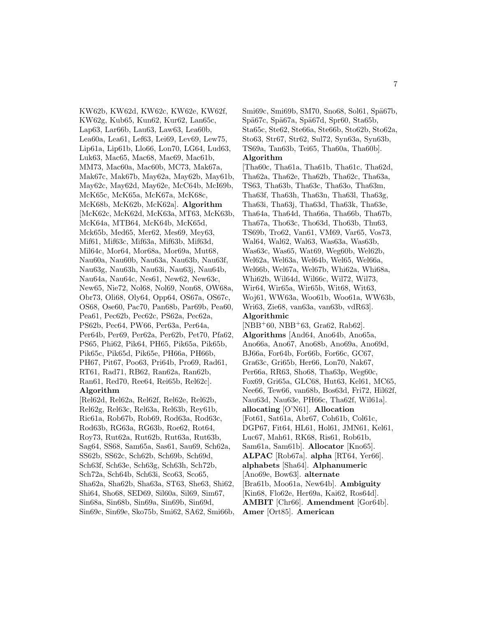KW62b, KW62d, KW62c, KW62e, KW62f, KW62g, Kub65, Kun62, Kur62, Lan65c, Lap63, Lar66b, Lau63, Law63, Lea60b, Lea60a, Lea61, Lef63, Lei69, Lev69, Lew75, Lip61a, Lip61b, Llo66, Lon70, LG64, Lud63, Luk63, Mac65, Mac68, Mac69, Mac61b, MM73, Mac60a, Mac60b, MC73, Mak67a, Mak67c, Mak67b, May62a, May62b, May61b, May62c, May62d, May62e, McC64b, McI69b, McK65c, McK65a, McK67a, McK68c, McK68b, McK62b, McK62a]. **Algorithm** [McK62c, McK62d, McK63a, MT63, McK63b, McK64a, MTB64, McK64b, McK65d, Mck65b, Med65, Mer62, Mes69, Mey63, Mif61, Mif63c, Mif63a, Mif63b, Mif63d, Mil64c, Mor64, Mor68a, Mor69a, Mut68, Nau60a, Nau60b, Nau63a, Nau63b, Nau63f, Nau63g, Nau63h, Nau63i, Nau63j, Nau64b, Nau64a, Nau64c, Nes61, New62, New63c, New65, Nie72, Nol68, Nol69, Non68, OW68a, Obr73, Oli68, Oly64, Opp64, OS67a, OS67c, OS68, Ose60, Pac70, Pan68b, Par69b, Pea60, Pea61, Pec62b, Pec62c, PS62a, Pec62a, PS62b, Pec64, PW66, Per63a, Per64a, Per64b, Per69, Per62a, Per62b, Pet70, Pfa62, PS65, Phi62, Pik64, PH65, Pik65a, Pik65b, Pik65c, Pik65d, Pik65e, PH66a, PH66b, PH67, Pit67, Poo63, Pri64b, Pro69, Rad61, RT61, Rad71, RB62, Ran62a, Ran62b, Ran61, Red70, Ree64, Rei65b, Rel62c]. **Algorithm** [Rel62d, Rel62a, Rel62f, Rel62e, Rel62b,

Rel62g, Rel63c, Rel63a, Rel63b, Rey61b, Ric61a, Rob67b, Rob69, Rod63a, Rod63c, Rod63b, RG63a, RG63b, Roe62, Rot64, Roy73, Rut62a, Rut62b, Rut63a, Rut63b, Sag64, SS68, Sam65a, Sas61, Sau69, Sch62a, SS62b, SS62c, Sch62b, Sch69b, Sch69d, Sch63f, Sch63e, Sch63g, Sch63h, Sch72b, Sch72a, Sch64b, Sch63i, Sco63, Sco65, Sha62a, Sha62b, Sha63a, ST63, She63, Shi62, Shi64, Sho68, SED69, Sil60a, Sil69, Sim67, Sin68a, Sin68b, Sin69a, Sin69b, Sin69d, Sin69c, Sin69e, Sko75b, Smi62, SA62, Smi66b, Smi69c, Smi69b, SM70, Sno68, Sol61, Spä67b, Spä67c, Spä67a, Spä67d, Spr60, Sta65b, Sta65c, Ste62, Ste66a, Ste66b, Sto62b, Sto62a, Sto63, Str67, Str62, Sul72, Syn63a, Syn63b, TS69a, Tan63b, Tei65, Tha60a, Tha60b]. **Algorithm**

[Tha60c, Tha61a, Tha61b, Tha61c, Tha62d, Tha62a, Tha62e, Tha62b, Tha62c, Tha63a, TS63, Tha63b, Tha63c, Tha63o, Tha63m, Tha63f, Tha63h, Tha63n, Tha63l, Tha63g, Tha63i, Tha63j, Tha63d, Tha63k, Tha63e, Tha64a, Tha64d, Tha66a, Tha66b, Tha67b, Tha67a, Tho63c, Tho63d, Tho63b, Thu63, TS69b, Tro62, Van61, VM69, Var65, Vos73, Wal64, Wal62, Wal63, Was63a, Was63b, Was63c, Was65, Wat69, Weg60b, Wel62b, Wel62a, Wel63a, Wel64b, Wel65, Wel66a, Wel66b, Wel67a, Wel67b, Whi62a, Whi68a, Whi62b, Wil64d, Wil66c, Wil72, Wil73, Wir64, Wir65a, Wir65b, Wit68, Wit63, Woj61, WW63a, Woo61b, Woo61a, WW63b, Wri63, Zie68, van63a, van63b, vdR63]. **Algorithmic**  $[NBB<sup>+</sup>60, NBB<sup>+</sup>63, Gra62, Rab62].$ **Algorithms** [And64, Ano64b, Ano65a, Ano66a, Ano67, Ano68b, Ano69a, Ano69d, BJ66a, For64b, For66b, For66c, GC67, Gra63c, Gri65b, Her66, Lon70, Nak67, Per66a, RR63, Sho68, Tha63p, Weg60c, Fox69, Gri65a, GLC68, Hut63, Kel61, MC65, Nee66, Tew66, van68b, Bos63d, Fri72, Hil62f, Nau63d, Nau63e, PH66c, Tha62f, Wil61a]. **allocating** [O'N61]. **Allocation** [Fot61, Sat61a, Abr67, Coh61b, Col61c, DGP67, Fit64, HL61, Hol61, JMN61, Kel61, Luc67, Mah61, RK68, Ris61, Rob61b, Sam61a, Sam61b]. **Allocator** [Kno65]. **ALPAC** [Rob67a]. **alpha** [RT64, Yer66]. **alphabets** [Sha64]. **Alphanumeric** [Ano69e, Bow63]. **alternate** [Bra61b, Moo61a, New64b]. **Ambiguity** [Kin68, Flo62e, Her69a, Kai62, Ros64d]. **AMBIT** [Chr66]. **Amendment** [Gor64b]. **Amer** [Ort85]. **American**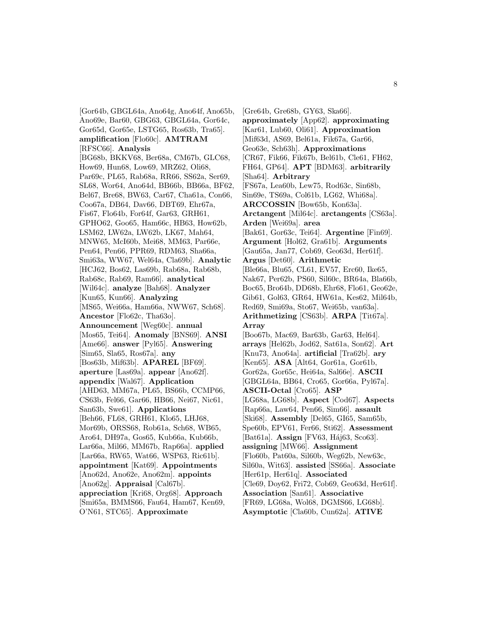[Gor64b, GBGL64a, Ano64g, Ano64f, Ano65b, Ano69e, Bar60, GBG63, GBGL64a, Gor64c, Gor65d, Gor65e, LSTG65, Ros63b, Tra65]. **amplification** [Flo60c]. **AMTRAM** [RFSC66]. **Analysis** [BG68b, BKKV68, Ber68a, CM67b, GLC68, How69, Hun68, Low69, MRZ62, Oli68, Par69c, PL65, Rab68a, RR66, SS62a, Ser69, SL68, Wor64, Ano64d, BB66b, BB66a, BF62, Bel67, Bre68, BW63, Car67, Cha61a, Con66, Coo67a, DB64, Dav66, DBT69, Ehr67a, Fis67, Flo64b, For64f, Gar63, GRH61, GPHO62, Goo65, Ham66c, HB63, How62b, LSM62, LW62a, LW62b, LK67, Mah64, MNW65, McI60b, Mei68, MM63, Par66e, Pen64, Pen66, PPR69, RDM63, Sha66a, Smi63a, WW67, Wel64a, Cla69b]. **Analytic** [HCJ62, Bos62, Las69b, Rab68a, Rab68b, Rab68c, Rab69, Ram66]. **analytical** [Wil64c]. **analyze** [Bah68]. **Analyzer** [Kun65, Kun66]. **Analyzing** [MS65, Wei66a, Ham66a, NWW67, Sch68]. **Ancestor** [Flo62c, Tha63o]. **Announcement** [Weg60c]. **annual** [Mos65, Tei64]. **Anomaly** [BNS69]. **ANSI** [Ame66]. **answer** [Pyl65]. **Answering** [Sim65, Sla65, Ros67a]. **any** [Bos63b, Mif63b]. **APAREL** [BF69]. **aperture** [Las69a]. **appear** [Ano62f]. **appendix** [Wal67]. **Application** [AHD63, MM67a, PL65, BS66b, CCMP66, CS63b, Fel66, Gar66, HB66, Nei67, Nic61, San63b, Swe61]. **Applications** [Beh66, FL68, GRH61, Klo65, LHJ68, Mor69b, ORSS68, Rob61a, Sch68, WB65, Aro64, DH97a, Gos65, Kub66a, Kub66b, Lar66a, Mil66, MM67b, Rap66a]. **applied** [Lar66a, RW65, Wat66, WSP63, Ric61b]. **appointment** [Kat69]. **Appointments** [Ano62d, Ano62e, Ano62m]. **appoints** [Ano62g]. **Appraisal** [Cal67b]. **appreciation** [Kri68, Org68]. **Approach** [Smi65a, BMMS66, Fau64, Ham67, Ken69, O'N61, STC65]. **Approximate**

[Gre64b, Gre68b, GY63, Ska66]. **approximately** [App62]. **approximating** [Kar61, Lub60, Oli61]. **Approximation** [Mif63d, AS69, Bel61a, Fik67a, Gar66, Geo63e, Sch63h]. **Approximations** [CR67, Fik66, Fik67b, Bel61b, Cle61, FH62, FH64, GP64]. **APT** [BDM63]. **arbitrarily** [Sha64]. **Arbitrary** [FS67a, Lea60b, Lew75, Rod63c, Sin68b, Sin69e, TS69a, Col61b, LG62, Whi68a]. **ARCCOSSIN** [Bow65b, Kon63a]. **Arctangent** [Mil64c]. **arctangents** [CS63a]. **Arden** [Wei69a]. **area** [Bak61, Gor63c, Tei64]. **Argentine** [Fin69]. **Argument** [Hol62, Gra61b]. **Arguments** [Gau65a, Jan77, Cob69, Geo63d, Her61f]. **Argus** [Det60]. **Arithmetic** [Ble66a, Blu65, CL61, EV57, Erc60, Ike65, Nak67, Per62b, PS60, Sil60c, BR64a, Bla66b, Boc65, Bro64b, DD68b, Ehr68, Flo61, Geo62e, Gib61, Gol63, GR64, HW61a, Kes62, Mil64b, Red69, Smi69a, Sto67, Wei65b, van63a]. **Arithmetizing** [CS63b]. **ARPA** [Tit67a]. **Array** [Boo67b, Mac69, Bar63b, Gar63, Hel64]. **arrays** [Hel62b, Jod62, Sat61a, Son62]. **Art** [Knu73, Ano64a]. **artificial** [Tra62b]. **ary** [Ken65]. **ASA** [Alt64, Gor61a, Gor61b, Gor62a, Gor65c, Hei64a, Sal66e]. **ASCII** [GBGL64a, BB64, Cro65, Gor66a, Pyl67a]. **ASCII-Octal** [Cro65]. **ASP** [LG68a, LG68b]. **Aspect** [Cod67]. **Aspects** [Rap66a, Law64, Pen66, Sim66]. **assault** [Ski68]. **Assembly** [Del65, GI65, Sam65b, Spe60b, EPV61, Fer66, Sti62]. **Assessment** [Bat61a]. **Assign** [FV63, Háj63, Sco63]. **assigning** [MW66]. **Assignment** [Flo60b, Pat60a, Sil60b, Weg62b, New63c, Sil60a, Wit63]. **assisted** [SS66a]. **Associate** [Her61p, Her61q]. **Associated** [Cle69, Doy62, Fri72, Cob69, Geo63d, Her61f]. **Association** [San61]. **Associative** [FR69, LG68a, Wol68, DGMS66, LG68b]. **Asymptotic** [Cla60b, Cun62a]. **ATIVE**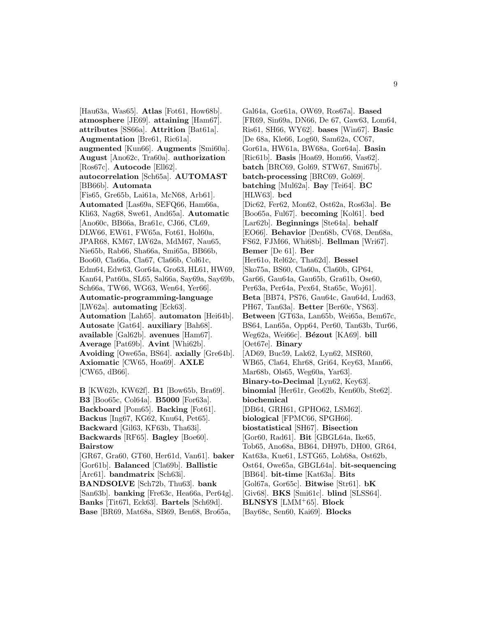[Hau63a, Was65]. **Atlas** [Fot61, How68b]. **atmosphere** [JE69]. **attaining** [Ham67]. **attributes** [SS66a]. **Attrition** [Bat61a]. **Augmentation** [Bre61, Ric61a]. **augmented** [Kun66]. **Augments** [Smi60a]. **August** [Ano62c, Tra60a]. **authorization** [Ros67c]. **Autocode** [Ell62]. **autocorrelation** [Sch65a]. **AUTOMAST** [BB66b]. **Automata** [Fis65, Gre65b, Lai61a, McN68, Arb61]. **Automated** [Las69a, SEFQ66, Ham66a, Kli63, Nag68, Swe61, And65a]. **Automatic** [Ano60c, BB66a, Bra61c, CJ66, CL69, DLW66, EW61, FW65a, Fot61, Hol60a, JPAR68, KM67, LW62a, MdM67, Nau65, Nie65b, Rab66, Sha66a, Smi65a, BB66b, Boo60, Cla66a, Cla67, Cla66b, Col61c, Edm64, Edw63, Gor64a, Gro63, HL61, HW69, Kan64, Pat60a, SL65, Sal66a, Say69a, Say69b, Sch66a, TW66, WG63, Wen64, Yer66]. **Automatic-programming-language** [LW62a]. **automating** [Eck63]. **Automation** [Lah65]. **automaton** [Hei64b]. **Autosate** [Gat64]. **auxiliary** [Bah68]. **available** [Gal62b]. **avenues** [Ham67]. **Average** [Pat69b]. **Avint** [Whi62b]. **Avoiding** [Owe65a, BS64]. **axially** [Gre64b]. **Axiomatic** [CW65, Hoa69]. **AXLE** [CW65, dB66].

**B** [KW62b, KW62f]. **B1** [Bow65b, Bra69]. **B3** [Boo65c, Col64a]. **B5000** [For63a]. **Backboard** [Pom65]. **Backing** [Fot61]. **Backus** [Ing67, KG62, Knu64, Pet65]. **Backward** [Gil63, KF63b, Tha63i]. **Backwards** [RF65]. **Bagley** [Boe60]. **Bairstow** [GR67, Gra60, GT60, Her61d, Van61]. **baker**

[Gor61b]. **Balanced** [Cla69b]. **Ballistic** [Arc61]. **bandmatrix** [Sch63i]. **BANDSOLVE** [Sch72b, Thu63]. **bank** [San63b]. **banking** [Fre63c, Hea66a, Per64g]. **Banks** [Tit67l, Eck63]. **Bartels** [Sch69d]. **Base** [BR69, Mat68a, SB69, Ben68, Bro65a,

Gal64a, Gor61a, OW69, Ros67a]. **Based** [FR69, Sin69a, DN66, De 67, Gaw63, Lom64, Ris61, SH66, WY62]. **bases** [Win67]. **Basic** [De 68a, Kle66, Log60, Sam62a, CC67, Gor61a, HW61a, BW68a, Gor64a]. **Basin** [Ric61b]. **Basis** [Hoa69, Hom66, Vas62]. **batch** [BRC69, Gol69, STW67, Smi67b]. **batch-processing** [BRC69, Gol69]. **batching** [Mul62a]. **Bay** [Tei64]. **BC** [HLW63]. **bcd** [Dic62, Fer62, Mon62, Ost62a, Ros63a]. **Be** [Boo65a, Ful67]. **becoming** [Kol61]. **bed** [Lar62b]. **Beginnings** [Ste64a]. **behalf** [EO66]. **Behavior** [Den68b, CV68, Den68a, FS62, FJM66, Whi68b]. **Bellman** [Wri67]. **Bemer** [De 61]. **Ber** [Her61o, Rel62c, Tha62d]. **Bessel** [Sko75a, BS60, Cla60a, Cla60b, GP64, Gar66, Gau64a, Gau65b, Gra61b, Ose60, Per63a, Per64a, Pex64, Sta65c, Woj61]. **Beta** [BB74, PS76, Gau64c, Gau64d, Lud63, PH67, Tan63a]. **Better** [Ber60c, YS63]. **Between** [GT63a, Lan65b, Wei65a, Bem67c, BS64, Lan65a, Opp64, Per60, Tan63b, Tur66, Weg62a, Wei66c]. **Bézout** [KA69]. **bill** [Oet67e]. **Binary** [AD69, Buc59, Lak62, Lyn62, MSR60, WB65, Cla64, Ehr68, Gri64, Key63, Man66, Mar68b, Ols65, Weg60a, Yar63]. **Binary-to-Decimal** [Lyn62, Key63]. **binomial** [Her61r, Geo62b, Ken60b, Ste62]. **biochemical** [DB64, GRH61, GPHO62, LSM62]. **biological** [FPMC66, SPGH66]. **biostatistical** [SH67]. **Bisection** [Gor60, Rad61]. **Bit** [GBGL64a, Ike65, Tob65, Ano68a, BB64, DH97b, DH00, GR64, Kat63a, Kue61, LSTG65, Loh68a, Ost62b, Ost64, Owe65a, GBGL64a]. **bit-sequencing** [BB64]. **bit-time** [Kat63a]. **Bits** [Gol67a, Gor65c]. **Bitwise** [Str61]. **bK** [Giv68]. **BKS** [Smi61c]. **blind** [SLSS64]. **BLNSYS** [LMM<sup>+</sup>65]. **Block** [Bay68c, Sen60, Kai69]. **Blocks**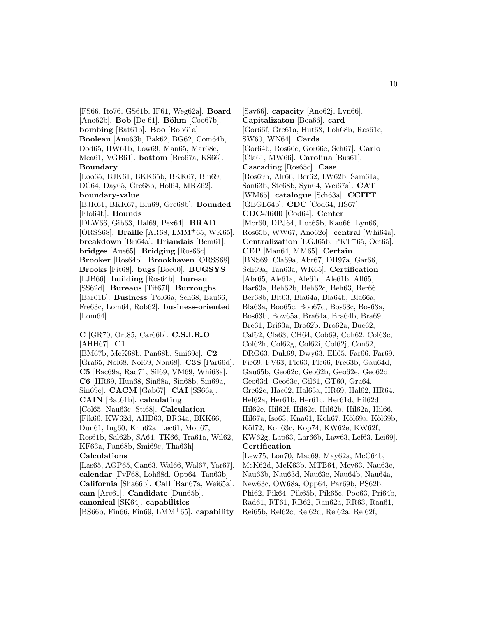[FS66, Ito76, GS61b, IF61, Weg62a]. **Board** [Ano62b]. **Bob** [De 61]. **Böhm** [Coo67b]. **bombing** [Bat61b]. **Boo** [Rob61a]. **Boolean** [Ano63b, Bak62, BG62, Com64b, Dod65, HW61b, Low69, Man65, Mar68c, Mea61, VGB61]. **bottom** [Bro67a, KS66]. **Boundary** [Loo65, BJK61, BKK65b, BKK67, Blu69, DC64, Day65, Gre68b, Hol64, MRZ62]. **boundary-value** [BJK61, BKK67, Blu69, Gre68b]. **Bounded** [Flo64b]. **Bounds** [DLW66, Gib63, Hal69, Pex64]. **BRAD** [ORSS68]. **Braille** [AR68, LMM<sup>+</sup>65, WK65]. **breakdown** [Bri64a]. **Briandais** [Bem61]. **bridges** [Aue65]. **Bridging** [Ros66c]. **Brooker** [Ros64b]. **Brookhaven** [ORSS68]. **Brooks** [Fit68]. **bugs** [Boe60]. **BUGSYS** [LJB66]. **building** [Ros64b]. **bureau** [SS62d]. **Bureaus** [Tit67l]. **Burroughs** [Bar61b]. **Business** [Pol66a, Sch68, Bau66, Fre63c, Lom64, Rob62]. **business-oriented** [Lom64].

**C** [GR70, Ort85, Car66b]. **C.S.I.R.O** [AHH67]. **C1** [BM67b, McK68b, Pan68b, Smi69c]. **C2** [Gra65, Nol68, Nol69, Non68]. **C3S** [Par66d]. **C5** [Bac69a, Rad71, Sil69, VM69, Whi68a]. **C6** [HR69, Hun68, Sin68a, Sin68b, Sin69a, Sin69e]. **CACM** [Gab67]. **CAI** [SS66a]. **CAIN** [Bat61b]. **calculating** [Col65, Nau63c, Sti68]. **Calculation** [Fik66, KW62d, AHD63, BR64a, BKK66, Dun61, Ing60, Knu62a, Lec61, Mou67, Ros61b, Sal62b, SA64, TK66, Tra61a, Wil62, KF63a, Pan68b, Smi69c, Tha63h]. **Calculations** [Las65, AGP65, Can63, Wal66, Wal67, Yar67]. **calendar** [FvF68, Loh68d, Opp64, Tan63b]. **California** [Sha66b]. **Call** [Ban67a, Wei65a]. **cam** [Arc61]. **Candidate** [Dun65b]. **canonical** [SK64]. **capabilities**

[BS66b, Fin66, Fin69, LMM<sup>+</sup>65]. **capability**

[Sav66]. **capacity** [Ano62j, Lyn66]. **Capitalizaton** [Boa66]. **card** [Gor66f, Gre61a, Hut68, Loh68b, Ros61c, SW60, WN64]. **Cards** [Gor64b, Ros66c, Gor66e, Sch67]. **Carlo** [Cla61, MW66]. **Carolina** [Bus61]. **Cascading** [Ros65c]. **Case** [Ros69b, Alr66, Ber62, LW62b, Sam61a, San63b, Ste68b, Syn64, Wei67a]. **CAT** [WM65]. **catalogue** [Sch63a]. **CCITT** [GBGL64b]. **CDC** [Cod64, HS67]. **CDC-3600** [Cod64]. **Center** [Mor60, DPJ64, Hut65b, Kau66, Lyn66, Ros65b, WW67, Ano62o]. **central** [Whi64a]. **Centralization** [EGJ65b, PKT<sup>+</sup>65, Oet65]. **CEP** [Man64, MM65]. **Certain** [BNS69, Cla69a, Abr67, DH97a, Gar66, Sch69a, Tan63a, WK65]. **Certification** [Abr65, Ale61a, Ale61c, Ale61b, All65, Bar63a, Beh62b, Beh62c, Beh63, Ber66, Ber68b, Bit63, Bla64a, Bla64b, Bla66a, Bla63a, Boo65c, Boo67d, Bos63c, Bos63a, Bos63b, Bow65a, Bra64a, Bra64b, Bra69, Bre61, Bri63a, Bro62b, Bro62a, Buc62, Caf62, Cla63, CH64, Cob69, Coh62, Col63c, Col62h, Col62g, Col62i, Col62j, Con62, DRG63, Duk69, Dwy63, Ell65, Far66, Far69, Fie69, FV63, Fle63, Fle66, Fre63b, Gau64d, Gau65b, Geo62c, Geo62b, Geo62e, Geo62d, Geo63d, Geo63c, Gil61, GT60, Gra64, Gre62c, Hac62, Hal63a, HR69, Hal62, HR64, Hel62a, Her61b, Her61c, Her61d, Hil62d, Hil62e, Hil62f, Hil62c, Hil62b, Hil62a, Hil66, Hil67a, Iso63, Kna61, Koh67, Köl69a, Köl69b, Köl72, Kon63c, Kop74, KW62e, KW62f, KW62g, Lap63, Lar66b, Law63, Lef63, Lei69]. **Certification** [Lew75, Lon70, Mac69, May62a, McC64b, McK62d, McK63b, MTB64, Mey63, Nau63c,

Nau63b, Nau63d, Nau63e, Nau64b, Nau64a, New63c, OW68a, Opp64, Par69b, PS62b, Phi62, Pik64, Pik65b, Pik65c, Poo63, Pri64b, Rad61, RT61, RB62, Ran62a, RR63, Ran61, Rei65b, Rel62c, Rel62d, Rel62a, Rel62f,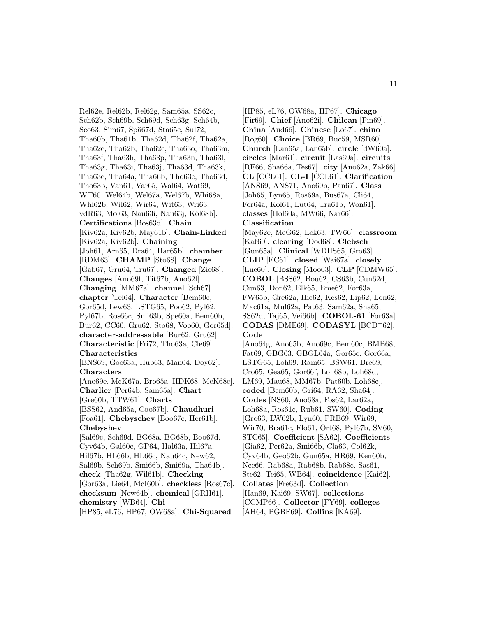Rel62e, Rel62b, Rel62g, Sam65a, SS62c, Sch62b, Sch69b, Sch69d, Sch63g, Sch64b, Sco63, Sim67, Spä67d, Sta65c, Sul72, Tha60b, Tha61b, Tha62d, Tha62f, Tha62a, Tha62e, Tha62b, Tha62c, Tha63o, Tha63m, Tha63f, Tha63h, Tha63p, Tha63n, Tha63l, Tha63g, Tha63i, Tha63j, Tha63d, Tha63k, Tha63e, Tha64a, Tha66b, Tho63c, Tho63d, Tho63b, Van61, Var65, Wal64, Wat69, WT60, Wel64b, Wel67a, Wel67b, Whi68a, Whi62b, Wil62, Wir64, Wit63, Wri63, vdR63, Mol63, Nau63i, Nau63j, Köl68b]. **Certifications** [Bos63d]. **Chain** [Kiv62a, Kiv62b, May61b]. **Chain-Linked** [Kiv62a, Kiv62b]. **Chaining** [Joh61, Arn65, Dra64, Har65b]. **chamber** [RDM63]. **CHAMP** [Sto68]. **Change** [Gab67, Gru64, Tru67]. **Changed** [Zie68]. **Changes** [Ano69f, Tit67b, Ano62l]. **Changing** [MM67a]. **channel** [Sch67]. **chapter** [Tei64]. **Character** [Bem60c, Gor65d, Lew63, LSTG65, Poo62, Pyl62, Pyl67b, Ros66c, Smi63b, Spe60a, Bem60b, Bur62, CC66, Gru62, Sto68, Voo60, Gor65d]. **character-addressable** [Bur62, Gru62]. **Characteristic** [Fri72, Tho63a, Cle69]. **Characteristics** [BNS69, Goe63a, Hub63, Man64, Doy62]. **Characters** [Ano69e, McK67a, Bro65a, HDK68, McK68c]. **Charlier** [Per64b, Sam65a]. **Chart** [Gre60b, TTW61]. **Charts** [BSS62, And65a, Coo67b]. **Chaudhuri** [Foa61]. **Chebyschev** [Boo67c, Her61b]. **Chebyshev** [Sal69c, Sch69d, BG68a, BG68b, Boo67d, Cyv64b, Gal60c, GP64, Hal63a, Hil67a, Hil67b, HL66b, HL66c, Nau64c, New62, Sal69b, Sch69b, Smi66b, Smi69a, Tha64b]. **check** [Tha62g, Wil61b]. **Checking** [Gor63a, Lie64, McI60b]. **checkless** [Ros67c]. **checksum** [New64b]. **chemical** [GRH61]. **chemistry** [WB64]. **Chi** [HP85, eL76, HP67, OW68a]. **Chi-Squared**

[HP85, eL76, OW68a, HP67]. **Chicago** [Fir69]. **Chief** [Ano62i]. **Chilean** [Fin69]. **China** [Aud66]. **Chinese** [Lo67]. **chino** [Rog60]. **Choice** [BR69, Buc59, MSR60]. **Church** [Lan65a, Lan65b]. **circle** [dW60a]. **circles** [Mar61]. **circuit** [Las69a]. **circuits** [RF66, Sha66a, Tes67]. **city** [Ano62a, Zak66]. **CL** [CCL61]. **CL-I** [CCL61]. **Clarification** [ANS69, ANS71, Ano69b, Pan67]. **Class** [Joh65, Lyn65, Ros69a, Bus67a, Cli64, For64a, Kol61, Lut64, Tra61b, Won61]. **classes** [Hol60a, MW66, Nar66]. **Classification** [May62e, McG62, Eck63, TW66]. **classroom** [Kat60]. **clearing** [Dod68]. **Clebsch** [Gun65a]. **Clinical** [WDHS65, Gro63]. **CLIP** [EC61]. **closed** [Wai67a]. **closely** [Lue60]. **Closing** [Moo63]. **CLP** [CDMW65]. **COBOL** [BSS62, Bou62, CS63b, Cun62d, Cun63, Don62, Elk65, Eme62, For63a, FW65b, Gre62a, Hic62, Kes62, Lip62, Lon62, Mac61a, Mul62a, Pat63, Sam62a, Sha65, SS62d, Taj65, Vei66b]. **COBOL-61** [For63a]. **CODAS** [DME69]. **CODASYL** [BCD<sup>+</sup>62]. **Code** [Ano64g, Ano65b, Ano69c, Bem60c, BMB68, Fat69, GBG63, GBGL64a, Gor65e, Gor66a, LSTG65, Loh69, Ram65, BSW61, Bre69, Cro65, Gea65, Gor66f, Loh68b, Loh68d, LM69, Mau68, MM67b, Pat60b, Loh68e]. **coded** [Bem60b, Gri64, RA62, Sha64]. **Codes** [NS60, Ano68a, Fos62, Lar62a, Loh68a, Ros61c, Rub61, SW60]. **Coding** [Gro63, LW62b, Lyn60, PRB69, Wir69,

- Wir70, Bra61c, Flo61, Ort68, Pyl67b, SV60,
- STC65]. **Coefficient** [SA62]. **Coefficients**
- [Gia62, Per62a, Smi66b, Cla63, Col62k,
- Cyv64b, Geo62b, Gun65a, HR69, Ken60b,
- Nee66, Rab68a, Rab68b, Rab68c, Sas61,
- Ste62, Tei65, WB64]. **coincidence** [Kai62].
- **Collates** [Fre63d]. **Collection**
- [Han69, Kai69, SW67]. **collections**
- [CCMP66]. **Collector** [FY69]. **colleges**
- [AH64, PGBF69]. **Collins** [KA69].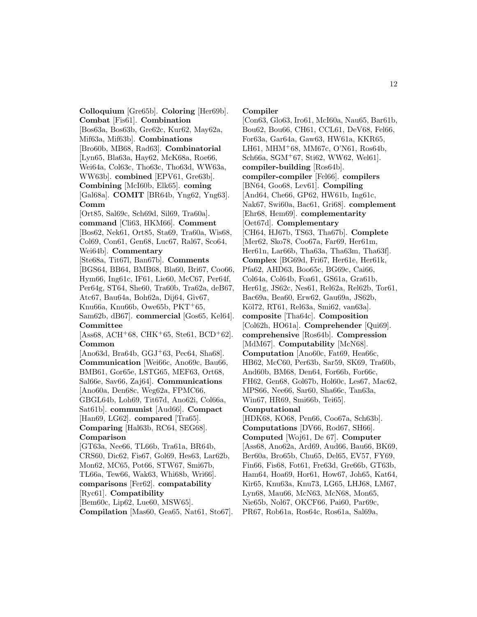**Colloquium** [Gre65b]. **Coloring** [Her69b]. **Combat** [Fis61]. **Combination** [Bos63a, Bos63b, Gre62c, Kur62, May62a, Mif63a, Mif63b]. **Combinations** [Bro60b, MB68, Rad63]. **Combinatorial** [Lyn65, Bla63a, Hay62, McK68a, Roe66, Wei64a, Col63c, Tho63c, Tho63d, WW63a, WW63b]. **combined** [EPV61, Gre63b]. **Combining** [McI60b, Elk65]. **coming** [Gal68a]. **COMIT** [BR64b, Yng62, Yng63]. **Comm** [Ort85, Sal69c, Sch69d, Sil69, Tra60a]. **command** [Cli63, HKM66]. **Comment** [Bos62, Nek61, Ort85, Sta69, Tra60a, Wis68, Col69, Con61, Gen68, Luc67, Ral67, Sco64, Wei64b]. **Commentary** [Ste68a, Tit67l, Ban67b]. **Comments** [BGS64, BB64, BMB68, Bla60, Bri67, Coo66, Hym66, Ing61c, IF61, Lie60, McC67, Per64f, Per64g, ST64, She60, Tra60b, Tra62a, deB67, Atc67, Bau64a, Boh62a, Dij64, Giv67, Knu66a, Knu66b, Owe65b,  $PKT+65$ , Sam62b, dB67]. **commercial** [Gos65, Kel64]. **Committee**  $[Ass68, ACH<sup>+</sup>68, CHK<sup>+</sup>65, Ste61, BCD<sup>+</sup>62].$ **Common** [Ano63d, Bra64b,  $GGJ+63$ , Pec64, Sha68]. **Communication** [Wei66c, Ano69c, Bau66, BMB61, Gor65e, LSTG65, MEF63, Ort68, Sal66e, Sav66, Zaj64]. **Communications** [Ano60a, Den68c, Weg62a, FPMC66, GBGL64b, Loh69, Tit67d, Ano62i, Col66a, Sat61b]. **communist** [Aud66]. **Compact** [Han69, LG62]. **compared** [Tra65]. **Comparing** [Hal63b, RC64, SEG68]. **Comparison** [GT63a, Nee66, TL66b, Tra61a, BR64b, CRS60, Dic62, Fis67, Gol69, Hes63, Lar62b, Mon62, MC65, Pot66, STW67, Smi67b, TL66a, Tew66, Wak63, Whi68b, Wri66]. **comparisons** [Fer62]. **compatability** [Ryc61]. **Compatibility** [Bem60c, Lip62, Lue60, MSW65].

**Compilation** [Mas60, Gea65, Nat61, Sto67].

## **Compiler**

[Con63, Glo63, Iro61, McI60a, Nau65, Bar61b, Bou62, Bou66, CH61, CCL61, DeV68, Fel66, For63a, Gar64a, Gaw63, HW61a, KKR65, LH61, MHM<sup>+</sup>68, MM67c, O'N61, Ros64b, Sch66a, SGM<sup>+</sup>67, Sti62, WW62, Wel61]. **compiler-building** [Ros64b]. **compiler-compiler** [Fel66]. **compilers** [BN64, Goo68, Lev61]. **Compiling** [And64, Che66, GP62, HW61b, Ing61c, Nak67, Swi60a, Bac61, Gri68]. **complement** [Ehr68, Hem69]. **complementarity** [Oet67d]. **Complementary** [CH64, HJ67b, TS63, Tha67b]. **Complete** [Mer62, Sko78, Coo67a, Far69, Her61m, Her61n, Lar66b, Tha63a, Tha63m, Tha63f]. **Complex** [BG69d, Fri67, Her61e, Her61k, Pfa62, AHD63, Boo65c, BG69c, Cai66, Col64a, Col64b, Foa61, GS61a, Gra61b, Her61g, JS62c, Nes61, Rel62a, Rel62b, Tor61, Bac69a, Bea60, Erw62, Gau69a, JS62b, Köl72, RT61, Rel63a, Smi62, van63a]. **composite** [Tha64c]. **Composition** [Col62h, HO61a]. **Comprehender** [Qui69]. **comprehensive** [Ros64b]. **Compression** [MdM67]. **Computability** [McN68]. **Computation** [Ano60c, Fat69, Hea66c, HB62, McC60, Per63b, Sar59, SK69, Tra60b, And60b, BM68, Den64, For66b, For66c, FH62, Gen68, Gol67b, Hol60c, Les67, Mac62, MPS66, Nee66, Sar60, Sha66c, Tan63a, Win67, HR69, Smi66b, Tei65]. **Computational** [HDK68, KO68, Pen66, Coo67a, Sch63b]. **Computations** [DV66, Rod67, SH66]. **Computed** [Woj61, De 67]. **Computer** [Ass68, Ano62a, Ard69, Aud66, Bau66, BK69, Ber60a, Bro65b, Chu65, Del65, EV57, FY69, Fin66, Fis68, Fot61, Fre63d, Gre66b, GT63b, Ham64, Hoa69, Hor61, How67, Joh65, Kat64, Kir65, Knu63a, Knu73, LG65, LHJ68, LM67, Lyn68, Mau66, McN63, McN68, Mon65, Nie65b, Nol67, OKCF66, Pai60, Par69c, PR67, Rob61a, Ros64c, Ros61a, Sal69a,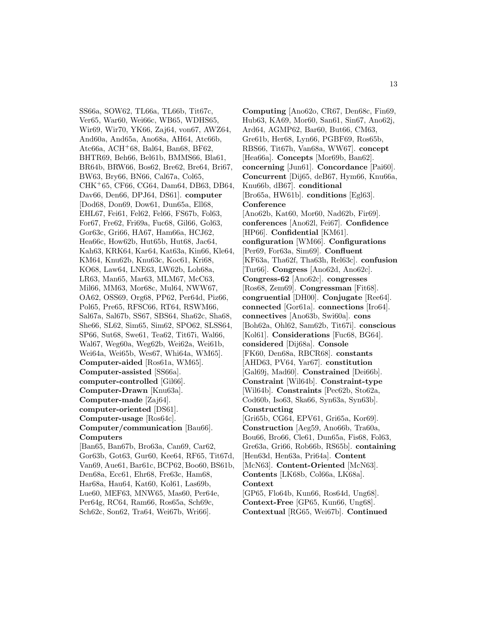SS66a, SOW62, TL66a, TL66b, Tit67c, Ver65, War60, Wei66c, WB65, WDHS65, Wir69, Wir70, YK66, Zaj64, von67, AWZ64, And60a, And65a, Ano68a, AH64, Atc66b, Atc $66a$ , ACH<sup>+</sup> $68$ , Bal $64$ , Ban $68$ , BF $62$ , BHTR69, Beh66, Bel61b, BMMS66, Bla61, BR64b, BRW66, Bos62, Bre62, Bre64, Bri67, BW63, Bry66, BN66, Cal67a, Col65, CHK<sup>+</sup>65, CF66, CG64, Dam64, DB63, DB64, Dav66, Den66, DPJ64, DS61]. **computer** [Dod68, Don69, Dow61, Dun65a, Ell68, EHL67, Fei61, Fel62, Fel66, FS67b, Fol63, For67, Fre62, Fri69a, Fuc68, Gil66, Gol63, Gor63c, Gri66, HA67, Ham66a, HCJ62, Hea66c, How62b, Hut65b, Hut68, Jac64, Kah63, KRK64, Kar64, Kat63a, Kin66, Kle64, KM64, Knu62b, Knu63c, Koc61, Kri68, KO68, Law64, LNE63, LW62b, Loh68a, LR63, Man65, Mar63, MLM67, McC63, Mil66, MM63, Mor68c, Mul64, NWW67, OA62, OSS69, Org68, PP62, Per64d, Piz66, Pol65, Pre65, RFSC66, RT64, RSWM66, Sal67a, Sal67b, SS67, SBS64, Sha62c, Sha68, She66, SL62, Sim65, Sim62, SPO62, SLSS64, SP66, Sut68, Swe61, Tea62, Tit67i, Wal66, Wal67, Weg60a, Weg62b, Wei62a, Wei61b, Wei64a, Wei65b, Wes67, Whi64a, WM65]. **Computer-aided** [Ros61a, WM65]. **Computer-assisted** [SS66a]. **computer-controlled** [Gil66]. **Computer-Drawn** [Knu63a]. **Computer-made** [Zaj64]. **computer-oriented** [DS61]. **Computer-usage** [Ros64c]. **Computer/communication** [Bau66]. **Computers** [Ban65, Ban67b, Bro63a, Can69, Car62, Gor63b, Got63, Gur60, Kee64, RF65, Tit67d, Van69, Aue61, Bar61c, BCP62, Boo60, BS61b, Den68a, Ecc61, Ehr68, Fre63c, Ham68, Har68a, Hau64, Kat60, Kol61, Las69b, Lue60, MEF63, MNW65, Mas60, Per64e, Per64g, RC64, Ram66, Ros65a, Sch69c, Sch62c, Son62, Tra64, Wei67b, Wri66].

**Computing** [Ano62o, CR67, Den68c, Fin69, Hub63, KA69, Mor60, San61, Sin67, Ano62j, Ard64, AGMP62, Bar60, But66, CM63, Gre61b, Her68, Lyn66, PGBF69, Ros65b, RBS66, Tit67h, Van68a, WW67]. **concept** [Hea66a]. **Concepts** [Mor69b, Ban62]. **concerning** [Jun61]. **Concordance** [Pai60]. **Concurrent** [Dij65, deB67, Hym66, Knu66a, Knu66b, dB67]. **conditional** [Bro65a, HW61b]. **conditions** [Egl63]. **Conference** [Ano62b, Kat60, Mor60, Nad62b, Fir69]. **conferences** [Ano62l, Fei67]. **Confidence** [HP66]. **Confidential** [KM61]. **configuration** [WM66]. **Configurations** [Per69, For63a, Sim69]. **Confluent** [KF63a, Tha62f, Tha63h, Rel63c]. **confusion** [Tur66]. **Congress** [Ano62d, Ano62c]. **Congress-62** [Ano62c]. **congresses** [Ros68, Zem69]. **Congressman** [Fit68]. **congruential** [DH00]. **Conjugate** [Ree64]. **connected** [Gor61a]. **connections** [Iro64]. **connectives** [Ano63b, Swi60a]. **cons** [Boh62a, Ohl62, Sam62b, Tit67i]. **conscious** [Kol61]. **Considerations** [Fuc68, BG64]. **considered** [Dij68a]. **Console** [FK60, Den68a, RBCR68]. **constants** [AHD63, PV64, Yar67]. **constitution** [Gal69j, Mad60]. **Constrained** [Dei66b]. **Constraint** [Wil64b]. **Constraint-type** [Wil64b]. **Constraints** [Pec62b, Sto62a, Cod60b, Iso63, Ska66, Syn63a, Syn63b]. **Constructing** [Gri65b, CG64, EPV61, Gri65a, Kor69]. **Construction** [Aeg59, Ano66b, Tra60a, Bou66, Bro66, Cle61, Dun65a, Fis68, Fol63, Gre63a, Gri66, Rob66b, RS65b]. **containing** [Hen63d, Hen63a, Pri64a]. **Content** [McN63]. **Content-Oriented** [McN63]. **Contents** [LK68b, Col66a, LK68a]. **Context** [GP65, Flo64b, Kun66, Ros64d, Ung68]. **Context-Free** [GP65, Kun66, Ung68]. **Contextual** [RG65, Wei67b]. **Continued**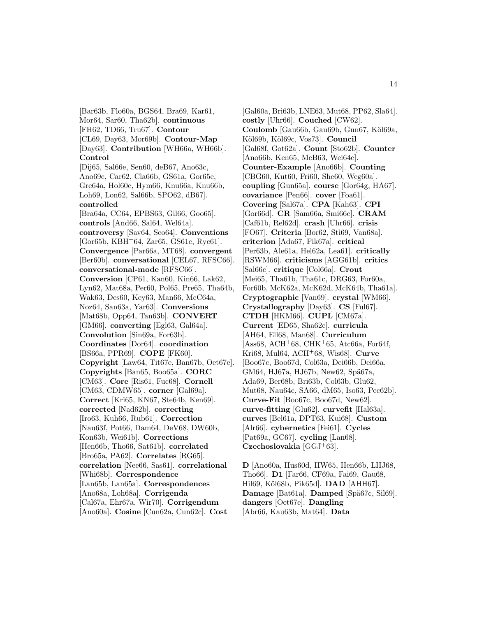[Bar63b, Flo60a, BGS64, Bra69, Kar61, Mor64, Sar60, Tha62b]. **continuous** [FH62, TD66, Tru67]. **Contour** [CL69, Day63, Mor69b]. **Contour-Map** [Day63]. **Contribution** [WH66a, WH66b]. **Control** [Dij65, Sal66e, Sen60, deB67, Ano63c, Ano69c, Car62, Cla66b, GS61a, Gor65e, Gre64a, Hol60c, Hym66, Knu66a, Knu66b, Loh69, Lon62, Sal66b, SPO62, dB67]. **controlled** [Bra64a, CC64, EPBS63, Gil66, Goo65]. **controls** [And66, Sal64, Wel64a]. **controversy** [Sav64, Sco64]. **Conventions**  $[Gor65b, KBH<sup>+</sup>64, Zar65, GS61c, Ryc61].$ **Convergence** [Par66a, MT68]. **convergent** [Ber60b]. **conversational** [CEL67, RFSC66]. **conversational-mode** [RFSC66]. **Conversion** [CP61, Kan60, Kin66, Lak62, Lyn62, Mat68a, Per60, Pol65, Pre65, Tha64b, Wak63, Des60, Key63, Man66, McC64a, Noz64, San63a, Yar63]. **Conversions** [Mat68b, Opp64, Tan63b]. **CONVERT** [GM66]. **converting** [Egl63, Gal64a]. **Convolution** [Sin69a, For63b]. **Coordinates** [Dor64]. **coordination** [BS66a, PPR69]. **COPE** [FK60]. **Copyright** [Law64, Tit67e, Ban67b, Oet67e]. **Copyrights** [Ban65, Boo65a]. **CORC** [CM63]. **Core** [Ris61, Fuc68]. **Cornell** [CM63, CDMW65]. **corner** [Gal69a]. **Correct** [Kri65, KN67, Ste64b, Ken69]. **corrected** [Nad62b]. **correcting** [Iro63, Kuh66, Rub61]. **Correction** [Nau63f, Pot66, Dam64, DeV68, DW60b, Kon63b, Wei61b]. **Corrections** [Hen66b, Tho66, Sat61b]. **correlated** [Bro65a, PA62]. **Correlates** [RG65]. **correlation** [Nee66, Sas61]. **correlational** [Whi68b]. **Correspondence** [Lan65b, Lan65a]. **Correspondences** [Ano68a, Loh68a]. **Corrigenda** [Cal67a, Ehr67a, Wir70]. **Corrigendum** [Ano60a]. **Cosine** [Cun62a, Cun62c]. **Cost**

[Gal60a, Bri63b, LNE63, Mut68, PP62, Sla64]. **costly** [Uhr66]. **Couched** [CW62]. Coulomb [Gau66b, Gau69b, Gun67, Köl69a, Köl69b, Köl69c, Vos73]. **Council** [Gal68f, Got62a]. **Count** [Sto62b]. **Counter** [Ano66b, Ken65, McB63, Wei64c]. **Counter-Example** [Ano66b]. **Counting** [CBG60, Kut60, Fri60, She60, Weg60a]. **coupling** [Gun65a]. **course** [Gor64g, HA67]. **covariance** [Pen66]. **cover** [Foa61]. **Covering** [Sal67a]. **CPA** [Kah63]. **CPI** [Gor66d]. **CR** [Sam66a, Smi66c]. **CRAM** [Caf61b, Rel62d]. **crash** [Uhr66]. **crisis** [FO67]. **Criteria** [Bor62, Sti69, Van68a]. **criterion** [Ada67, Fik67a]. **critical** [Per63b, Ale61a, Hel62a, Lea61]. **critically** [RSWM66]. **criticisms** [AGG61b]. **critics** [Sal66c]. **critique** [Col66a]. **Crout** [Mei65, Tha61b, Tha61c, DRG63, For60a, For60b, McK62a, McK62d, McK64b, Tha61a]. **Cryptographic** [Van69]. **crystal** [WM66]. **Crystallography** [Day63]. **CS** [Ful67]. **CTDH** [HKM66]. **CUPL** [CM67a]. **Current** [ED65, Sha62c]. **curricula** [AH64, Ell68, Man68]. **Curriculum**  $[Ass68, ACH<sup>+</sup>68, CHK<sup>+</sup>65, Atc66a, For64f,$ Kri68, Mul64, ACH<sup>+</sup>68, Wis68]. **Curve** [Boo67c, Boo67d, Col63a, Dei66b, Dei66a, GM64, HJ67a, HJ67b, New62, Spä67a, Ada69, Ber68b, Bri63b, Col63b, Glu62, Mut68, Nau64c, SA66, dM65, Iso63, Pec62b]. **Curve-Fit** [Boo67c, Boo67d, New62]. **curve-fitting** [Glu62]. **curvefit** [Hal63a]. **curves** [Bel61a, DPT63, Kui68]. **Custom** [Alr66]. **cybernetics** [Fei61]. **Cycles** [Pat69a, GC67]. **cycling** [Lan68]. **Czechoslovakia** [GGJ<sup>+</sup>63].

**D** [Ano60a, Hus60d, HW65, Hen66b, LHJ68, Tho66]. **D1** [Far66, CF69a, Fai69, Gau68, Hil69, Köl68b, Pik65d]. **DAD** [AHH67]. **Damage** [Bat61a]. **Damped** [Spä67c, Sil69]. **dangers** [Oet67e]. **Dangling** [Abr66, Kau63b, Mat64]. **Data**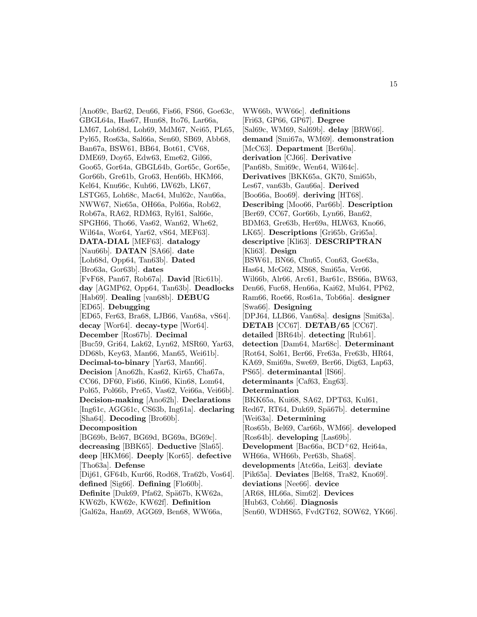[Ano69c, Bar62, Deu66, Fis66, FS66, Goe63c, GBGL64a, Has67, Hun68, Ito76, Lar66a, LM67, Loh68d, Loh69, MdM67, Nei65, PL65, Pyl65, Ros63a, Sal66a, Sen60, SB69, Abb68, Ban67a, BSW61, BB64, Bot61, CV68, DME69, Doy65, Edw63, Eme62, Gil66, Goo65, Gor64a, GBGL64b, Gor65c, Gor65e, Gor66b, Gre61b, Gro63, Hen66b, HKM66, Kel64, Knu66c, Kuh66, LW62b, LK67, LSTG65, Loh68c, Mac64, Mul62c, Nau66a, NWW67, Nie65a, OH66a, Pol66a, Rob62, Rob67a, RA62, RDM63, Ryl61, Sal66e, SPGH66, Tho66, Vas62, Wan62, Whe62, Wil64a, Wor64, Yar62, vS64, MEF63]. **DATA-DIAL** [MEF63]. **datalogy** [Nau66b]. **DATAN** [SA66]. **date** [Loh68d, Opp64, Tan63b]. **Dated** [Bro63a, Gor63b]. **dates** [FvF68, Pan67, Rob67a]. **David** [Ric61b]. **day** [AGMP62, Opp64, Tan63b]. **Deadlocks** [Hab69]. **Dealing** [van68b]. **DEBUG** [ED65]. **Debugging** [ED65, Fer63, Bra68, LJB66, Van68a, vS64]. **decay** [Wor64]. **decay-type** [Wor64]. **December** [Ros67b]. **Decimal** [Buc59, Gri64, Lak62, Lyn62, MSR60, Yar63, DD68b, Key63, Man66, Man65, Wei61b]. **Decimal-to-binary** [Yar63, Man66]. **Decision** [Ano62h, Kas62, Kir65, Cha67a, CC66, DF60, Fis66, Kin66, Kin68, Lom64, Pol65, Pol66b, Pre65, Vas62, Vei66a, Vei66b]. **Decision-making** [Ano62h]. **Declarations** [Ing61c, AGG61c, CS63b, Ing61a]. **declaring** [Sha64]. **Decoding** [Bro60b]. **Decomposition** [BG69b, Bel67, BG69d, BG69a, BG69c]. **decreasing** [BBK65]. **Deductive** [Sla65]. **deep** [HKM66]. **Deeply** [Kor65]. **defective** [Tho63a]. **Defense** [Dij61, GF64b, Kur66, Rod68, Tra62b, Vos64]. **defined** [Sig66]. **Defining** [Flo60b]. Definite<sup>[Duk69</sup>, Pfa62, Spä67b, KW62a, KW62b, KW62e, KW62f]. **Definition** [Gal62a, Han69, AGG69, Ben68, WW66a,

WW66b, WW66c]. **definitions** [Fri63, GP66, GP67]. **Degree** [Sal69c, WM69, Sal69b]. **delay** [BRW66]. **demand** [Smi67a, WM69]. **demonstration** [McC63]. **Department** [Ber60a]. **derivation** [CJ66]. **Derivative** [Pan68b, Smi69c, Wen64, Wil64c]. **Derivatives** [BKK65a, GK70, Smi65b, Les67, van63b, Gau66a]. **Derived** [Boo66a, Boo69]. **deriving** [HT68]. **Describing** [Moo66, Par66b]. **Description** [Ber69, CC67, Gor66b, Lyn66, Ban62, BDM63, Gre63b, Her69a, HLW63, Kno66, LK65]. **Descriptions** [Gri65b, Gri65a]. **descriptive** [Kli63]. **DESCRIPTRAN** [Kli63]. **Design** [BSW61, BN66, Chu65, Con63, Goe63a, Has64, McG62, MS68, Smi65a, Ver66, Wil66b, Alr66, Arc61, Bar61c, BS66a, BW63, Den66, Fuc68, Hen66a, Kai62, Mul64, PP62, Ram66, Roe66, Ros61a, Tob66a]. **designer** [Swa66]. **Designing** [DPJ64, LLB66, Van68a]. **designs** [Smi63a]. **DETAB** [CC67]. **DETAB/65** [CC67]. **detailed** [BR64b]. **detecting** [Rub61]. **detection** [Dam64, Mar68c]. **Determinant** [Rot64, Sol61, Ber66, Fre63a, Fre63b, HR64, KA69, Smi69a, Swe69, Ber66, Dig63, Lap63, PS65]. **determinantal** [IS66]. **determinants** [Caf63, Eng63]. **Determination** [BKK65a, Kui68, SA62, DPT63, Kul61, Red67, RT64, Duk69, Spä67b]. determine [Wei63a]. **Determining** [Ros65b, Bel69, Car66b, WM66]. **developed** [Ros64b]. **developing** [Las69b]. **Development** [Bac66a, BCD<sup>+</sup>62, Hei64a, WH66a, WH66b, Per63b, Sha68]. **developments** [Atc66a, Lei63]. **deviate** [Pik65a]. **Deviates** [Bel68, Tra82, Kno69]. **deviations** [Nee66]. **device** [AR68, HL66a, Sim62]. **Devices** [Hub63, Coh66]. **Diagnosis** [Sen60, WDHS65, FvdGT62, SOW62, YK66].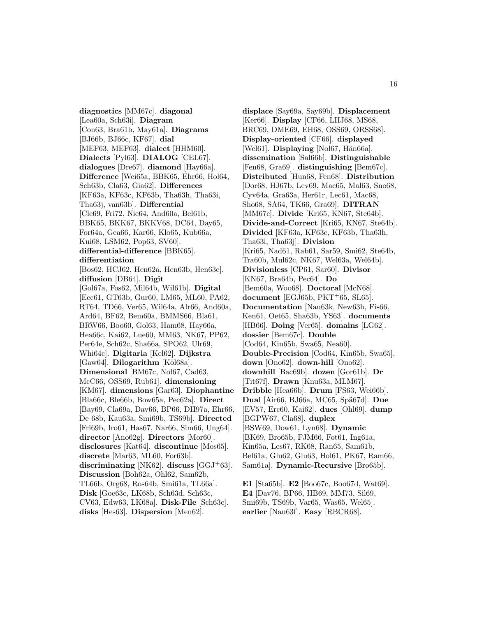**diagnostics** [MM67c]. **diagonal** [Lea60a, Sch63i]. **Diagram** [Con63, Bra61b, May61a]. **Diagrams** [BJ66b, BJ66c, KF67]. **dial** [MEF63, MEF63]. **dialect** [HHM60]. **Dialects** [Pyl63]. **DIALOG** [CEL67]. **dialogues** [Dre67]. **diamond** [Hay66a]. **Difference** [Wei65a, BBK65, Ehr66, Hol64, Sch63b, Cla63, Gia62]. **Differences** [KF63a, KF63c, KF63b, Tha63h, Tha63i, Tha63j, van63b]. **Differential** [Cle69, Fri72, Nie64, And60a, Bel61b, BBK65, BKK67, BKKV68, DC64, Day65, For64a, Gea66, Kar66, Klo65, Kub66a, Kui68, LSM62, Pop63, SV60]. **differential-difference** [BBK65]. **differentiation** [Bos62, HCJ62, Hen62a, Hen63b, Hen63c]. **diffusion** [DB64]. **Digit** [Gol67a, Fos62, Mil64b, Wil61b]. **Digital** [Ecc61, GT63b, Gur60, LM65, ML60, PA62, RT64, TD66, Ver65, Wil64a, Alr66, And60a, Ard64, BF62, Bem60a, BMMS66, Bla61, BRW66, Boo60, Gol63, Ham68, Hay66a, Hea66c, Kai62, Lue60, MM63, NK67, PP62, Per64e, Sch62c, Sha66a, SPO62, Ulr69, Whi64c]. **Digitaria** [Kel62]. **Dijkstra** [Gaw64]. **Dilogarithm** [Köl68a]. **Dimensional** [BM67c, Nol67, Cad63, McC66, OSS69, Rub61]. **dimensioning** [KM67]. **dimensions** [Gar63]. **Diophantine** [Bla66c, Ble66b, Bow65a, Pec62a]. **Direct** [Bay69, Cla69a, Dav66, BP66, DH97a, Ehr66, De 68b, Kau63a, Smi69b, TS69b]. **Directed** [Fri69b, Iro61, Has67, Nar66, Sim66, Ung64]. **director** [Ano62g]. **Directors** [Mor60]. **disclosures** [Kat64]. **discontinue** [Mos65]. **discrete** [Mar63, ML60, For63b]. **discriminating** [NK62]. **discuss** [GGJ<sup>+</sup>63]. **Discussion** [Boh62a, Ohl62, Sam62b, TL66b, Org68, Ros64b, Smi61a, TL66a]. **Disk** [Goe63c, LK68b, Sch63d, Sch63c, CV63, Edw63, LK68a]. **Disk-File** [Sch63c]. **disks** [Hes63]. **Dispersion** [Men62].

**displace** [Say69a, Say69b]. **Displacement** [Ker66]. **Display** [CF66, LHJ68, MS68, BRC69, DME69, EH68, OSS69, ORSS68]. **Display-oriented** [CF66]. **displayed** [Wel61]. **Displaying** [Nol67, Hän66a]. **dissemination** [Sal66b]. **Distinguishable** [Fen68, Gra69]. **distinguishing** [Bem67c]. **Distributed** [Hun68, Fen68]. **Distribution** [Dor68, HJ67b, Lev69, Mac65, Mal63, Sno68, Cyv64a, Gra63a, Her61r, Lec61, Mac68, Sho68, SA64, TK66, Gra69]. **DITRAN** [MM67c]. **Divide** [Kri65, KN67, Ste64b]. **Divide-and-Correct** [Kri65, KN67, Ste64b]. **Divided** [KF63a, KF63c, KF63b, Tha63h, Tha63i, Tha63j]. **Division** [Kri65, Nad61, Rab61, Sar59, Smi62, Ste64b, Tra60b, Mul62c, NK67, Wel63a, Wel64b]. **Divisionless** [CP61, Sar60]. **Divisor** [KN67, Bra64b, Pec64]. **Do** [Bem60a, Woo68]. **Doctoral** [McN68]. **document** [EGJ65b, PKT<sup>+</sup>65, SL65]. **Documentation** [Nau63k, New63b, Fis66, Ken61, Oet65, Sha63b, YS63]. **documents** [HB66]. **Doing** [Ver65]. **domains** [LG62]. **dossier** [Bem67c]. **Double** [Cod64, Kin65b, Swa65, Nea60]. **Double-Precision** [Cod64, Kin65b, Swa65]. **down** [Ono62]. **down-hill** [Ono62]. **downhill** [Bac69b]. **dozen** [Gor61b]. **Dr** [Tit67f]. **Drawn** [Knu63a, MLM67]. **Dribble** [Hea66b]. **Drum** [FS63, Wei66b]. **Dual** [Air66, BJ66a, MC65, Spä67d]. **Due** [EV57, Erc60, Kai62]. **dues** [Ohl69]. **dump** [BGPW67, Cla68]. **duplex** [BSW69, Dow61, Lyn68]. **Dynamic** [BK69, Bro65b, FJM66, Fot61, Ing61a, Kin65a, Les67, RK68, Ran65, Sam61b, Bel61a, Glu62, Glu63, Hol61, PK67, Ram66, Sam61a]. **Dynamic-Recursive** [Bro65b]. **E1** [Sta65b]. **E2** [Boo67c, Boo67d, Wat69].

**E4** [Dav76, BP66, HB69, MM73, Sil69, Smi69b, TS69b, Var65, Was65, Wel65]. **earlier** [Nau63f]. **Easy** [RBCR68].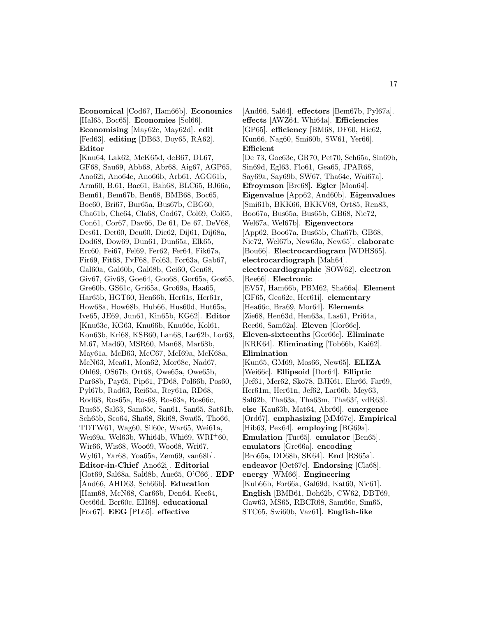**Economical** [Cod67, Ham66b]. **Economics** [Hal65, Boc65]. **Economies** [Sol66]. **Economising** [May62c, May62d]. **edit** [Fed63]. **editing** [DB63, Doy65, RA62]. **Editor**

[Knu64, Lak62, McK65d, deB67, DL67, GF68, Sau69, Abb68, Abr68, Aig67, AGP65, Ano62i, Ano64c, Ano66b, Arb61, AGG61b, Arm60, B.61, Bac61, Bah68, BLC65, BJ66a, Bem61, Bem67b, Ben68, BMB68, Boc65, Boe60, Bri67, Bur65a, Bus67b, CBG60, Cha61b, Che64, Cla68, Cod67, Col69, Col65, Con61, Cor67, Dav66, De 61, De 67, DeV68, Des61, Det60, Deu60, Dic62, Dij61, Dij68a, Dod68, Dow69, Dun61, Dun65a, Elk65, Erc60, Fei67, Fel69, Fer62, Fer64, Fik67a, Fir69, Fit68, FvF68, Fol63, For63a, Gab67, Gal60a, Gal60b, Gal68b, Gei60, Gen68, Giv67, Giv68, Goe64, Goo68, Gor65a, Gos65, Gre60b, GS61c, Gri65a, Gro69a, Haa65, Har65b, HGT60, Hen66b, Her61s, Her61r, How68a, How68b, Hub66, Hus60d, Hut65a, Ive65, JE69, Jun61, Kin65b, KG62]. **Editor** [Knu63c, KG63, Knu66b, Knu66c, Kol61, Kon63b, Kri68, KSB60, Lan68, Lar62b, Lor63, M.67, Mad60, MSR60, Man68, Mar68b, May61a, McB63, McC67, McI69a, McK68a, McN63, Mea61, Mon62, Mor68c, Nad67, Ohl69, OS67b, Ort68, Owe65a, Owe65b, Par68b, Pay65, Pip61, PD68, Pol66b, Pos60, Pyl67b, Rad63, Rei65a, Rey61a, RD68, Rod68, Ros65a, Ros68, Ros63a, Ros66c, Rus65, Sal63, Sam65c, San61, San65, Sat61b, Sch65b, Sco64, Sha68, Ski68, Swa65, Tho66, TDTW61, Wag60, Sil60c, War65, Wei61a, Wei69a, Wel63b, Whi64b, Whi69, WRI<sup>+</sup>60, Wir66, Wis68, Woo69, Woo68, Wri67, Wyl61, Yar68, Yoa65a, Zem69, van68b]. **Editor-in-Chief** [Ano62i]. **Editorial** [Got69, Sal68a, Sal68b, Aue65, O'C66]. **EDP** [And66, AHD63, Sch66b]. **Education** [Ham68, McN68, Car66b, Den64, Kee64, Oet66d, Ber60c, EH68]. **educational** [For67]. **EEG** [PL65]. **effective**

[And66, Sal64]. **effectors** [Bem67b, Pyl67a]. **effects** [AWZ64, Whi64a]. **Efficiencies** [GP65]. **efficiency** [BM68, DF60, Hic62, Kun66, Nag60, Smi60b, SW61, Yer66]. **Efficient** [De 73, Goe63c, GR70, Pet70, Sch65a, Sin69b, Sin69d, Egl63, Flo61, Gea65, JPAR68, Say69a, Say69b, SW67, Tha64c, Wai67a]. **Efroymson** [Bre68]. **Egler** [Mon64]. **Eigenvalue** [App62, And60b]. **Eigenvalues** [Smi61b, BKK66, BKKV68, Ort85, Ren83, Boo67a, Bus65a, Bus65b, GB68, Nie72, Wel67a, Wel67b]. **Eigenvectors** [App62, Boo67a, Bus65b, Cha67b, GB68, Nie72, Wel67b, New63a, New65]. **elaborate** [Bou66]. **Electrocardiogram** [WDHS65]. **electrocardiograph** [Mah64]. **electrocardiographic** [SOW62]. **electron** [Ree66]. **Electronic** [EV57, Ham66b, PBM62, Sha66a]. **Element** [GF65, Geo62c, Her61i]. **elementary** [Hea66c, Bra69, Mor64]. **Elements** [Zie68, Hen63d, Hen63a, Las61, Pri64a, Ree66, Sam62a]. **Eleven** [Gor66c]. **Eleven-sixteenths** [Gor66c]. **Eliminate** [KRK64]. **Eliminating** [Tob66b, Kai62]. **Elimination** [Kun65, GM69, Mos66, New65]. **ELIZA** [Wei66c]. **Ellipsoid** [Dor64]. **Elliptic** [Jef61, Mer62, Sko78, BJK61, Ehr66, Far69, Her61m, Her61n, Jef62, Lar66b, Mey63, Sal62b, Tha63a, Tha63m, Tha63f, vdR63]. **else** [Kau63b, Mat64, Abr66]. **emergence** [Ord67]. **emphasizing** [MM67c]. **Empirical** [Hib63, Pex64]. **employing** [BG69a]. **Emulation** [Tuc65]. **emulator** [Ben65]. **emulators** [Gre66a]. **encoding** [Bro65a, DD68b, SK64]. **End** [RS65a]. **endeavor** [Oet67e]. **Endorsing** [Cla68]. **energy** [WM66]. **Engineering** [Kub66b, For66a, Gal69d, Kat60, Nic61]. **English** [BMB61, Boh62b, CW62, DBT69, Gaw63, MS65, RBCR68, Sam66c, Sim65, STC65, Swi60b, Vaz61]. **English-like**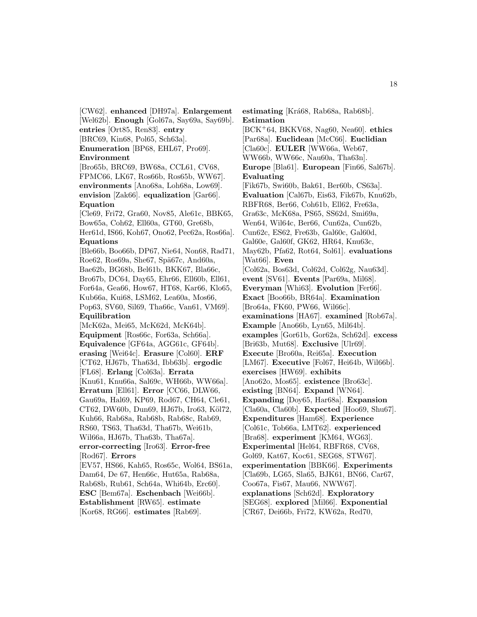[CW62]. **enhanced** [DH97a]. **Enlargement** [Wel62b]. **Enough** [Gol67a, Say69a, Say69b]. **entries** [Ort85, Ren83]. **entry** [BRC69, Kin68, Pol65, Sch63a]. **Enumeration** [BP68, EHL67, Pro69]. **Environment** [Bro65b, BRC69, BW68a, CCL61, CV68, FPMC66, LK67, Ros66b, Ros65b, WW67]. **environments** [Ano68a, Loh68a, Low69]. **envision** [Zak66]. **equalization** [Gar66]. **Equation** [Cle69, Fri72, Gra60, Nov85, Ale61c, BBK65, Bow65a, Coh62, Ell60a, GT60, Gre68b, Her61d, IS66, Koh67, Ono62, Pec62a, Ros66a]. **Equations** [Ble66b, Boo66b, DP67, Nie64, Non68, Rad71, Roe62, Ros69a, She67, Spä67c, And60a, Bae62b, BG68b, Bel61b, BKK67, Bla66c, Bro67b, DC64, Day65, Ehr66, Ell60b, Ell61, For64a, Gea66, How67, HT68, Kar66, Klo65, Kub66a, Kui68, LSM62, Lea60a, Mos66, Pop63, SV60, Sil69, Tha66c, Van61, VM69]. **Equilibration** [McK62a, Mei65, McK62d, McK64b]. **Equipment** [Ros66c, For63a, Sch66a]. **Equivalence** [GF64a, AGG61c, GF64b]. **erasing** [Wei64c]. **Erasure** [Col60]. **ERF** [CT62, HJ67b, Tha63d, Ibb63b]. **ergodic** [FL68]. **Erlang** [Col63a]. **Errata** [Knu61, Knu66a, Sal69c, WH66b, WW66a]. **Erratum** [Ell61]. **Error** [CC66, DLW66, Gau69a, Hal69, KP69, Rod67, CH64, Cle61, CT62, DW60b, Dun69, HJ67b, Iro63, Köl72, Kuh66, Rab68a, Rab68b, Rab68c, Rab69, RS60, TS63, Tha63d, Tha67b, Wei61b, Wil66a, HJ67b, Tha63b, Tha67a]. **error-correcting** [Iro63]. **Error-free** [Rod67]. **Errors** [EV57, HS66, Kah65, Ros65c, Wol64, BS61a, Dam64, De 67, Hen66c, Hut65a, Rab68a, Rab68b, Rub61, Sch64a, Whi64b, Erc60]. **ESC** [Bem67a]. **Eschenbach** [Wei66b]. **Establishment** [RW65]. **estimate** [Kor68, RG66]. **estimates** [Rab69].

**estimating** [Krá68, Rab68a, Rab68b]. **Estimation** [BCK<sup>+</sup>64, BKKV68, Nag60, Nea60]. **ethics** [Par68a]. **Euclidean** [McC66]. **Euclidian** [Cla60c]. **EULER** [WW66a, Web67, WW66b, WW66c, Nau60a, Tha63n]. **Europe** [Bla61]. **European** [Fin66, Sal67b]. **Evaluating** [Fik67b, Swi60b, Bak61, Ber60b, CS63a]. **Evaluation** [Cal67b, Eis63, Fik67b, Knu62b, RBFR68, Ber66, Coh61b, Ell62, Fre63a, Gra63c, McK68a, PS65, SS62d, Smi69a, Wen64, Wil64c, Ber66, Cun62a, Cun62b, Cun62c, ES62, Fre63b, Gal60c, Gal60d, Gal60e, Gal60f, GK62, HR64, Knu63c, May62b, Pfa62, Rot64, Sol61]. **evaluations** [Wat66]. **Even** [Col62a, Bos63d, Col62d, Col62g, Nau63d]. **event** [SV61]. **Events** [Par69a, Mil68]. **Everyman** [Whi63]. **Evolution** [Fer66]. **Exact** [Boo66b, BR64a]. **Examination** [Bro64a, FK60, PW66, Wil66c]. **examinations** [HA67]. **examined** [Rob67a]. **Example** [Ano66b, Lyn65, Mil64b]. **examples** [Gor61b, Gor62a, Sch62d]. **excess** [Bri63b, Mut68]. **Exclusive** [Ulr69]. **Execute** [Bro60a, Rei65a]. **Execution** [LM67]. **Executive** [Fol67, Hei64b, Wil66b]. **exercises** [HW69]. **exhibits** [Ano62o, Mos65]. **existence** [Bro63c]. **existing** [BN64]. **Expand** [WN64]. **Expanding** [Doy65, Har68a]. **Expansion** [Cla60a, Cla60b]. **Expected** [Hoo69, Shu67]. **Expenditures** [Ham68]. **Experience** [Col61c, Tob66a, LMT62]. **experienced** [Bra68]. **experiment** [KM64, WG63]. **Experimental** [Hel64, RBFR68, CV68, Gol69, Kat67, Koc61, SEG68, STW67]. **experimentation** [BBK66]. **Experiments** [Cla69b, LG65, Sla65, BJK61, BN66, Car67, Coo67a, Fis67, Mau66, NWW67]. **explanations** [Sch62d]. **Exploratory** [SEG68]. **explored** [Mil66]. **Exponential** [CR67, Dei66b, Fri72, KW62a, Red70,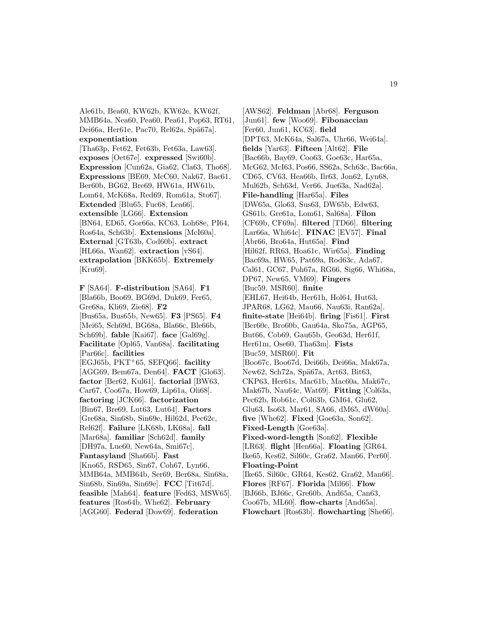Ale61b, Bea60, KW62b, KW62e, KW62f, MMB64a, Nea60, Pea60, Pea61, Pop63, RT61, Dei66a, Her61e, Pac70, Rel62a, Spä67a]. **exponentiation**

[Tha63p, Fet62, Fet63b, Fet63a, Law63]. **exposes** [Oet67e]. **expressed** [Swi60b]. **Expression** [Cun62a, Gia62, Cla63, Tho68]. **Expressions** [BE69, McC60, Nak67, Bac61, Ber60b, BG62, Bre69, HW61a, HW61b, Lom64, McK68a, Red69, Rom61a, Sto67]. **Extended** [Blu65, Fuc68, Lea66]. **extensible** [LG66]. **Extension** [BN64, ED65, Gor66a, KC63, Loh68e, PI64, Ros64a, Sch63b]. **Extensions** [McI60a]. **External** [GT63b, Cod60b]. **extract** [HL66a, Wan62]. **extraction** [vS64]. **extrapolation** [BKK65b]. **Extremely** [Kru69].

**F** [SA64]. **F-distribution** [SA64]. **F1** [Bla66b, Boo69, BG69d, Duk69, Fer65, Gre68a, Kli69, Zie68]. **F2** [Bus65a, Bus65b, New65]. **F3** [PS65]. **F4** [Mei65, Sch69d, BG68a, Bla66c, Ble66b, Sch69b]. **fable** [Kai67]. **face** [Gal69g]. **Facilitate** [Opl65, Van68a]. **facilitating** [Par66c]. **facilities** [EGJ65b, PKT<sup>+</sup>65, SEFQ66]. **facility** [AGG69, Bem67a, Den64]. **FACT** [Glo63]. **factor** [Ber62, Kul61]. **factorial** [BW63, Car67, Coo67a, How69, Lip61a, Oli68]. **factoring** [JCK66]. **factorization** [Bin67, Bre69, Lut63, Lut64]. **Factors** [Gre68a, Sin68b, Sin69e, Hil62d, Pec62c, Rel62f]. **Failure** [LK68b, LK68a]. **fall** [Mar68a]. **familiar** [Sch62d]. **family** [DH97a, Lue60, New64a, Smi67c]. **Fantasyland** [Sha66b]. **Fast** [Kno65, RSD65, Sin67, Coh67, Lyn66, MMB64a, MMB64b, Ser69, Ber68a, Sin68a, Sin68b, Sin69a, Sin69e]. **FCC** [Tit67d]. **feasible** [Mah64]. **feature** [Fed63, MSW65]. **features** [Ros64b, Whe62]. **February** [AGG60]. **Federal** [Dow69]. **federation**

[AWS62]. **Feldman** [Abr68]. **Ferguson** [Jun61]. **few** [Woo69]. **Fibonaccian** [Fer60, Jun61, KC63]. **field** [DPT63, McK64a, Sal67a, Uhr66, Wei64a]. **fields** [Yar63]. **Fifteen** [Alt62]. **File** [Bac66b, Bay69, Coo63, Goe63c, Har65a, McG62, McI63, Pos66, SS62a, Sch63c, Bac66a, CD65, CV63, Hea66b, Ilr63, Jon62, Lyn68, Mul62b, Sch63d, Ver66, Jue63a, Nad62a]. **File-handling** [Har65a]. **Files** [DW65a, Glo63, Sus63, DW65b, Edw63, GS61b, Gre61a, Lom61, Sal68a]. **Filon** [CF69b, CF69a]. **filtered** [TD66]. **filtering** [Lar66a, Whi64c]. **FINAC** [EV57]. **Final** [Abr66, Bro64a, Hut65a]. **Find** [Hil62f, RR63, Hoa61c, Wir65a]. **Finding** [Bac69a, HW65, Pat69a, Rod63c, Ada67, Cal61, GC67, Poh67a, RG66, Sig66, Whi68a, DP67, New65, VM69]. **Fingers** [Buc59, MSR60]. **finite** [EHL67, Hei64b, Her61h, Hol64, Hut63, JPAR68, LG62, Mau66, Nau63i, Ran62a]. **finite-state** [Hei64b]. **firing** [Fis61]. **First** [Ber60c, Bro60b, Gau64a, Sko75a, AGP65, But66, Cob69, Gau65b, Geo63d, Her61f, Her61m, Ose60, Tha63m]. **Fists** [Buc59, MSR60]. **Fit** [Boo67c, Boo67d, Dei66b, Dei66a, Mak67a, New62, Sch72a, Spä67a, Art63, Bit63, CKP63, Her61s, Mac61b, Mac60a, Mak67c, Mak67b, Nau64c, Wat69]. **Fitting** [Col63a, Pec62b, Rob61c, Col63b, GM64, Glu62, Glu63, Iso63, Mar61, SA66, dM65, dW60a]. **five** [Whe62]. **Fixed** [Goe63a, Son62]. **Fixed-Length** [Goe63a]. **Fixed-word-length** [Son62]. **Flexible** [LR63]. **flight** [Hen66a]. **Floating** [GR64, Ike65, Kes62, Sil60c, Gra62, Man66, Per60]. **Floating-Point** [Ike65, Sil60c, GR64, Kes62, Gra62, Man66]. **Flores** [RF67]. **Florida** [Mil66]. **Flow** [BJ66b, BJ66c, Gre60b, And65a, Can63, Coo67b, ML60]. **flow-charts** [And65a]. **Flowchart** [Ros63b]. **flowcharting** [She66].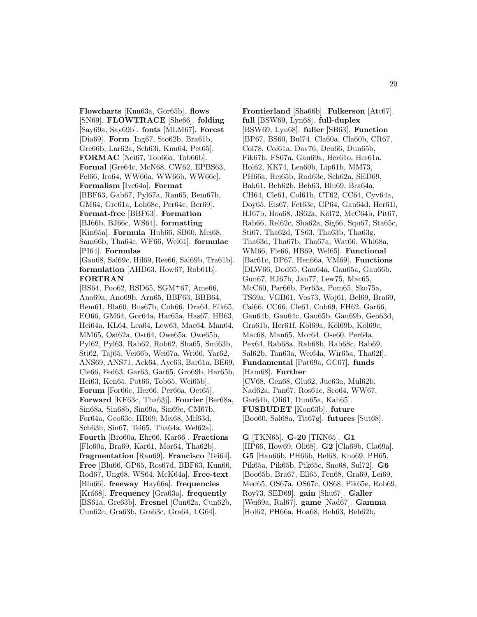**Flowcharts** [Knu63a, Gor65b]. **flows** [SN69]. **FLOWTRACE** [She66]. **folding** [Say69a, Say69b]. **fonts** [MLM67]. **Forest** [Dia69]. **Form** [Ing67, Sto62b, Bra61b, Gre66b, Lar62a, Sch63i, Knu64, Pet65]. **FORMAC** [Nei67, Tob66a, Tob66b]. **Formal** [Gre64c, McN68, CW62, EPBS63, Fel66, Iro64, WW66a, WW66b, WW66c]. **Formalism** [Ive64a]. **Format** [BBF63, Gab67, Pyl67a, Ran65, Bem67b, GM64, Gre61a, Loh68c, Per64c, Ber69]. **Format-free** [BBF63]. **Formation** [BJ66b, BJ66c, WS64]. **formatting** [Kin65a]. **Formula** [Hub66, SB60, Mei68, Sam66b, Tha64c, WF66, Wel61]. **formulae** [PI64]. **Formulas**

[Gau68, Sal69c, Hil69, Ree66, Sal69b, Tra61b]. **formulation** [AHD63, How67, Rob61b]. **FORTRAN**

[BS64, Poo62, RSD65, SGM<sup>+</sup>67, Ame66, Ano69a, Ano69b, Arn65, BBF63, BBB64, Bem61, Bla60, Bus67b, Coh66, Dra64, Elk65, EO66, GM64, Gor64a, Har65a, Has67, HB63, Hei64a, KL64, Lea64, Lew63, Mac64, Man64, MM65, Ost62a, Ost64, Owe65a, Owe65b, Pyl62, Pyl63, Rab62, Rob62, Sha65, Smi63b, Sti62, Taj65, Vei66b, Wei67a, Wri66, Yar62, ANS69, ANS71, Ack64, Aye63, Bar61a, BE69, Cle66, Fed63, Gar63, Gar65, Gro69b, Har65b, Hei63, Ken65, Pot66, Tob65, Wei65b]. **Forum** [For66c, Her66, Per66a, Oet65]. **Forward** [KF63c, Tha63j]. **Fourier** [Ber68a, Sin68a, Sin68b, Sin69a, Sin69e, CM67b, For64a, Geo63e, HR69, Mei68, Mif63d, Sch63h, Sin67, Tei65, Tha64a, Wel62a]. **Fourth** [Bro60a, Ehr66, Kar66]. **Fractions** [Flo60a, Bra69, Kar61, Mor64, Tha62b]. **fragmentation** [Ran69]. **Francisco** [Tei64]. **Free** [Blu66, GP65, Ros67d, BBF63, Kun66, Rod67, Ung68, WS64, McK64a]. **Free-text** [Blu66]. **freeway** [Hay66a]. **frequencies** [Kr´a68]. **Frequency** [Gra63a]. **frequently** [BS61a, Gre63b]. **Fresnel** [Cun62a, Cun62b, Cun62c, Gra63b, Gra63c, Gra64, LG64].

**Frontierland** [Sha66b]. **Fulkerson** [Atc67]. **full** [BSW69, Lyn68]. **full-duplex** [BSW69, Lyn68]. **fuller** [SB63]. **Function** [BP67, BS60, Bul74, Cla60a, Cla60b, CR67, Col78, Col61a, Dav76, Deu66, Dun65b, Fik67b, FS67a, Gau69a, Her61o, Her61a, Hol62, KK74, Lea60b, Lip61b, MM73, PH66a, Rei65b, Rod63c, Sch62a, SED69, Bak61, Beh62b, Beh63, Blu69, Bra64a, CH64, Cle61, Col61b, CT62, CC64, Cyv64a, Doy65, Eis67, Fet63c, GP64, Gau64d, Her61l, HJ67b, Hoa68, JS62a, Köl72, McC64b, Pit67, Rab66, Rel62c, Sha62a, Sig66, Squ67, Sta65c, Sti67, Tha62d, TS63, Tha63b, Tha63g, Tha63d, Tha67b, Tha67a, Wat66, Whi68a, WM66, Fle66, HB69, Wel65]. **Functional** [Bar61c, DP67, Hen66a, VM69]. **Functions** [DLW66, Dod65, Gau64a, Gau65a, Gau66b, Gun67, HJ67b, Jan77, Lew75, Mac65, McC60, Par66b, Per63a, Pom65, Sko75a, TS69a, VGB61, Vos73, Woj61, Bel69, Bra69, Cai66, CC66, Cle61, Cob69, FH62, Gar66, Gau64b, Gau64c, Gau65b, Gau69b, Geo63d, Gra61b, Her61f, Köl69a, Köl69b, Köl69c, Mac68, Man65, Mor64, Ose60, Per64a, Pex64, Rab68a, Rab68b, Rab68c, Rab69, Sal62b, Tan63a, Wei64a, Wir65a, Tha62f]. **Fundamental** [Pat69a, GC67]. **funds** [Ham68]. **Further** [CV68, Gen68, Glu62, Jue63a, Mul62b, Nad62a, Pan67, Ros61c, Sco64, WW67, Gar64b, Oli61, Dun65a, Kah65]. **FUSBUDET** [Kon63b]. **future** [Boo60, Sal68a, Tit67g]. **futures** [Sut68].

**G** [TKN65]. **G-20** [TKN65]. **G1** [HP66, How69, Oli68]. **G2** [Cla69b, Cla69a]. **G5** [Han66b, PH66b, Bel68, Kno69, PH65, Pik65a, Pik65b, Pik65c, Sno68, Sul72]. **G6** [Boo65b, Bra67, Ell65, Fen68, Gra69, Lei69, Med65, OS67a, OS67c, OS68, Pik65e, Rob69, Roy73, SED69]. **gain** [Shu67]. **Galler** [Wei69a, Ral67]. **game** [Nad67]. **Gamma** [Hol62, PH66a, Hoa68, Beh63, Beh62b,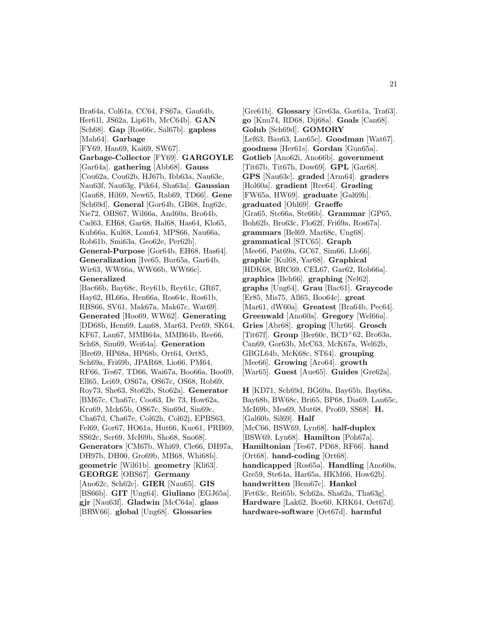Bra64a, Col61a, CC64, FS67a, Gau64b, Her61l, JS62a, Lip61b, McC64b]. **GAN** [Sch68]. **Gap** [Ros66c, Sal67b]. **gapless** [Mah64]. **Garbage** [FY69, Han69, Kai69, SW67]. **Garbage-Collector** [FY69]. **GARGOYLE** [Gar64a]. **gathering** [Abb68]. **Gauss** [Cou62a, Cou62b, HJ67b, Ibb63a, Nau63e, Nau63f, Nau63g, Pik64, Sha63a]. **Gaussian** [Gau68, Hil69, New65, Rab69, TD66]. **Gene** [Sch69d]. **General** [Gor64b, GB68, Ing62c, Nie72, OBS67, Wil66a, And60a, Bro64b, Cad63, EH68, Gar68, Hal68, Has64, Klo65, Kub66a, Kul68, Lom64, MPS66, Nau66a, Rob61b, Smi63a, Geo62e, Per62b]. **General-Purpose** [Gor64b, EH68, Has64]. **Generalization** [Ive65, Bur65a, Gar64b, Wir63, WW66a, WW66b, WW66c]. **Generalized** [Bac66b, Bay68c, Rey61b, Rey61c, GR67, Hay62, HL66a, Hen66a, Ros64c, Ros61b, RBS66, SV61, Mak67a, Mak67c, Wat69]. **Generated** [Hoo69, WW62]. **Generating** KF67, Lan67, MMB64a, MMB64b, Ree66, Sch68, Sim69, Wei64a]. **Generation** [Bre69, HP68a, HP68b, Ort64, Ort85, Sch69a, Fri69b, JPAR68, Lio66, PM64,

[DD68b, Hem69, Lan68, Mar63, Per69, SK64, RF66, Tes67, TD66, Wai67a, Boo66a, Boo69, Ell65, Lei69, OS67a, OS67c, OS68, Rob69, Roy73, She63, Sto62b, Sto62a]. **Generator** [BM67c, Cha67c, Coo63, De 73, How62a, Kru69, Mck65b, OS67c, Sin69d, Sin69c, Cha67d, Cha67e, Col62h, Col62j, EPBS63, Fel69, Gor67, HO61a, Hut66, Kue61, PRB69, SS62c, Ser69, McI69b, Sho68, Sno68]. **Generators** [CM67b, Whi69, Cle66, DH97a, DH97b, DH00, Gro69b, MB68, Whi68b]. **geometric** [Wil61b]. **geometry** [Kli63]. **GEORGE** [OBS67]. **Germany** [Ano62c, Sch62c]. **GIER** [Nau65]. **GIS** [BS66b]. **GIT** [Ung64]. **Giuliano** [EGJ65a]. **gjr** [Nau63f]. **Gladwin** [McC64a]. **glass** [BRW66]. **global** [Ung68]. **Glossaries**

[Gre61b]. **Glossary** [Gre63a, Gor61a, Tra63]. **go** [Knu74, RD68, Dij68a]. **Goals** [Can68]. **Golub** [Sch69d]. **GOMORY** [Lef63, Bau63, Lan65c]. **Goodman** [Wat67]. **goodness** [Her61s]. **Gordan** [Gun65a]. **Gotlieb** [Ano62i, Ano66b]. **government** [Tit67b, Tit67h, Dow69]. **GPL** [Gar68]. **GPS** [Nau63c]. **graded** [Arm64]. **graders** [Hol60a]. **gradient** [Ree64]. **Grading** [FW65a, HW69]. **graduate** [Gal69h]. **graduated** [Ohl69]. **Graeffe** [Gra65, Ste66a, Ste66b]. **Grammar** [GP65, Boh62b, Bro63c, Flo62f, Fri69a, Ros67a]. **grammars** [Bel69, Mar68c, Ung68]. **grammatical** [STC65]. **Graph** [Mee66, Pat69a, GC67, Sim66, Llo66]. **graphic** [Kul68, Yar68]. **Graphical** [HDK68, BRC69, CEL67, Gar62, Rob66a]. **graphics** [Beh66]. **graphing** [Nel62]. **graphs** [Ung64]. **Grau** [Bac61]. **Graycode** [Er85, Mis75, All65, Boo64c]. **great** [Mar61, dW60a]. **Greatest** [Bra64b, Pec64]. **Greenwald** [Ano60a]. **Gregory** [Wel66a]. **Gries** [Abr68]. **groping** [Uhr66]. **Grosch** [Tit67f]. **Group** [Ber60c, BCD<sup>+</sup>62, Bro63a, Can69, Gor63b, McC63, McK67a, Wel62b, GBGL64b, McK68c, ST64]. **grouping** [Mee66]. **Growing** [Aro64]. **growth** [War65]. **Guest** [Aue65]. **Guides** [Gre62a].

**H** [KD71, Sch69d, BG69a, Bay65b, Bay68a, Bay68b, BW68c, Bri65, BP68, Dia69, Lan65c, McI69b, Mes69, Mut68, Pro69, SS68]. **H.** [Gal60b, Sil69]. **Half** [McC66, BSW69, Lyn68]. **half-duplex** [BSW69, Lyn68]. **Hamilton** [Poh67a]. **Hamiltonian** [Tes67, PD68, RF66]. **hand** [Ort68]. **hand-coding** [Ort68]. **handicapped** [Ros65a]. **Handling** [Ano60a, Gre59, Ste64a, Har65a, HKM66, How62b]. **handwritten** [Bem67c]. **Hankel** [Fet63c, Rei65b, Sch62a, Sha62a, Tha63g]. **Hardware** [Lak62, Boe60, KRK64, Oet67d]. **hardware-software** [Oet67d]. **harmful**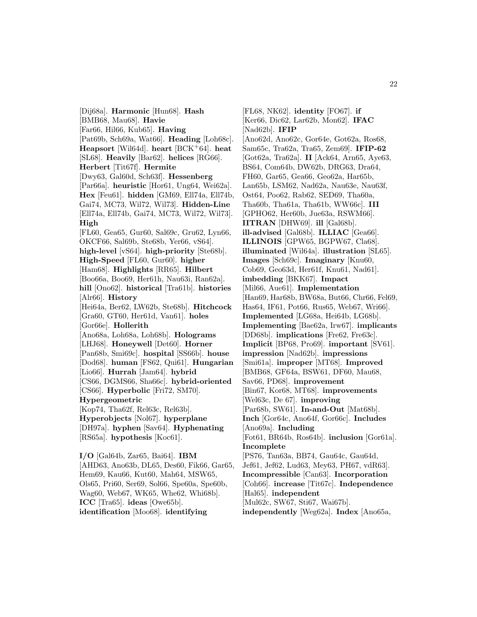[Dij68a]. **Harmonic** [Hun68]. **Hash** [BMB68, Mau68]. **Havie** [Far66, Hil66, Kub65]. **Having** [Pat69b, Sch69a, Wat66]. **Heading** [Loh68c]. **Heapsort** [Wil64d]. **heart** [BCK<sup>+</sup>64]. **heat** [SL68]. **Heavily** [Bar62]. **helices** [RG66]. **Herbert** [Tit67f]. **Hermite** [Dwy63, Gal60d, Sch63f]. **Hessenberg** [Par66a]. **heuristic** [Hor61, Ung64, Wei62a]. **Hex** [Feu61]. **hidden** [GM69, Ell74a, Ell74b, Gai74, MC73, Wil72, Wil73]. **Hidden-Line** [Ell74a, Ell74b, Gai74, MC73, Wil72, Wil73]. **High** [FL60, Gea65, Gur60, Sal69c, Gru62, Lyn66, OKCF66, Sal69b, Ste68b, Yer66, vS64]. **high-level** [vS64]. **high-priority** [Ste68b]. **High-Speed** [FL60, Gur60]. **higher** [Ham68]. **Highlights** [RR65]. **Hilbert** [Boo66a, Boo69, Her61h, Nau63i, Ran62a]. **hill** [Ono62]. **historical** [Tra61b]. **histories** [Alr66]. **History** [Hei64a, Ber62, LW62b, Ste68b]. **Hitchcock** [Gra60, GT60, Her61d, Van61]. **holes** [Gor66e]. **Hollerith** [Ano68a, Loh68a, Loh68b]. **Holograms** [LHJ68]. **Honeywell** [Det60]. **Horner** [Pan68b, Smi69c]. **hospital** [SS66b]. **house** [Dod68]. **human** [FS62, Qui61]. **Hungarian** [Lio66]. **Hurrah** [Jam64]. **hybrid** [CS66, DGMS66, Sha66c]. **hybrid-oriented** [CS66]. **Hyperbolic** [Fri72, SM70]. **Hypergeometric** [Kop74, Tha62f, Rel63c, Rel63b]. **Hyperobjects** [Nol67]. **hyperplane** [DH97a]. **hyphen** [Sav64]. **Hyphenating** [RS65a]. **hypothesis** [Koc61]. **I/O** [Gal64b, Zar65, Bai64]. **IBM** [AHD63, Ano63b, DL65, Des60, Fik66, Gar65, Hem69, Kau66, Kut60, Mah64, MSW65, Ols65, Pri60, Ser69, Sol66, Spe60a, Spe60b,

Wag60, Web67, WK65, Whe62, Whi68b].

**ICC** [Tra65]. **ideas** [Owe65b]. **identification** [Moo68]. **identifying**

[FL68, NK62]. **identity** [FO67]. **if** [Ker66, Dic62, Lar62b, Mon62]. **IFAC** [Nad62b]. **IFIP** [Ano62d, Ano62c, Gor64e, Got62a, Ros68, Sam65c, Tra62a, Tra65, Zem69]. **IFIP-62** [Got62a, Tra62a]. **II** [Ack64, Arn65, Aye63, BS64, Com64b, DW62b, DRG63, Dra64, FH60, Gar65, Gea66, Geo62a, Har65b, Lan65b, LSM62, Nad62a, Nau63e, Nau63f, Ost64, Poo62, Rab62, SED69, Tha60a, Tha60b, Tha61a, Tha61b, WW66c]. **III** [GPHO62, Her60b, Jue63a, RSWM66]. **IITRAN** [DHW69]. **ill** [Gal68b]. **ill-advised** [Gal68b]. **ILLIAC** [Gea66]. **ILLINOIS** [GPW65, BGPW67, Cla68]. **illuminated** [Wil64a]. **illustration** [SL65]. **Images** [Sch69c]. **Imaginary** [Knu60, Cob69, Geo63d, Her61f, Knu61, Nad61]. **imbedding** [BKK67]. **Impact** [Mil66, Aue61]. **Implementation** [Han69, Har68b, BW68a, But66, Chr66, Fel69, Has64, IF61, Pot66, Rus65, Web67, Wri66]. **Implemented** [LG68a, Hei64b, LG68b]. **Implementing** [Bae62a, Irw67]. **implicants** [DD68b]. **implications** [Fre62, Fre63c]. **Implicit** [BP68, Pro69]. **important** [SV61]. **impression** [Nad62b]. **impressions** [Smi61a]. **improper** [MT68]. **Improved** [BMB68, GF64a, BSW61, DF60, Mau68, Sav66, PD68]. **improvement** [Bin67, Kor68, MT68]. **improvements** [Wel63c, De 67]. **improving** [Par68b, SW61]. **In-and-Out** [Mat68b]. **Inch** [Gor64c, Ano64f, Gor66c]. **Includes** [Ano69a]. **Including** [Fot61, BR64b, Ros64b]. **inclusion** [Gor61a]. **Incomplete** [PS76, Tan63a, BB74, Gau64c, Gau64d, Jef61, Jef62, Lud63, Mey63, PH67, vdR63]. **Incompressible** [Can63]. **Incorporation** [Coh66]. **increase** [Tit67c]. **Independence** [Hal65]. **independent** [Mul62c, SW67, Sti67, Wai67b]. **independently** [Weg62a]. **Index** [Ano65a,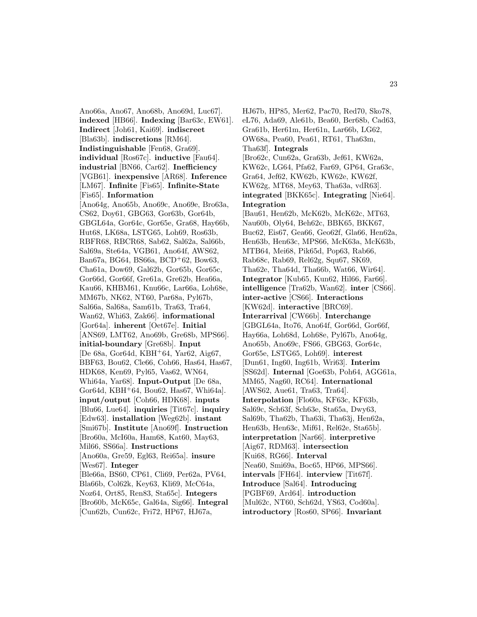Ano66a, Ano67, Ano68b, Ano69d, Luc67]. **indexed** [HB66]. **Indexing** [Bar63c, EW61]. **Indirect** [Joh61, Kai69]. **indiscreet** [Bla63b]. **indiscretions** [RM64]. **Indistinguishable** [Fen68, Gra69]. **individual** [Ros67c]. **inductive** [Fau64]. **industrial** [BN66, Car62]. **Inefficiency** [VGB61]. **inexpensive** [AR68]. **Inference** [LM67]. **Infinite** [Fis65]. **Infinite-State** [Fis65]. **Information** [Ano64g, Ano65b, Ano69c, Ano69e, Bro63a, CS62, Doy61, GBG63, Gor63b, Gor64b, GBGL64a, Gor64c, Gor65e, Gra68, Hay66b, Hut68, LK68a, LSTG65, Loh69, Ros63b, RBFR68, RBCR68, Sab62, Sal62a, Sal66b, Sal69a, Ste64a, VGB61, Ano64f, AWS62, Ban67a, BG64, BS66a, BCD<sup>+</sup>62, Bow63, Cha61a, Dow69, Gal62b, Gor65b, Gor65c, Gor66d, Gor66f, Gre61a, Gre62b, Hea66a, Kau66, KHBM61, Knu66c, Lar66a, Loh68e, MM67b, NK62, NT60, Par68a, Pyl67b, Sal66a, Sal68a, Sam61b, Tra63, Tra64, Wan62, Whi63, Zak66]. **informational** [Gor64a]. **inherent** [Oet67e]. **Initial** [ANS69, LMT62, Ano69b, Gre68b, MPS66]. **initial-boundary** [Gre68b]. **Input** [De 68a, Gor64d, KBH<sup>+</sup>64, Yar62, Aig67, BBF63, Bou62, Cle66, Coh66, Has64, Has67, HDK68, Ken69, Pyl65, Vas62, WN64, Whi64a, Yar68]. **Input-Output** [De 68a, Gor64d, KBH<sup>+</sup>64, Bou62, Has67, Whi64a]. **input/output** [Coh66, HDK68]. **inputs** [Blu66, Lue64]. **inquiries** [Tit67c]. **inquiry** [Edw63]. **installation** [Weg62b]. **instant** [Smi67b]. **Institute** [Ano69f]. **Instruction** [Bro60a, McI60a, Ham68, Kat60, May63, Mil66, SS66a]. **Instructions** [Ano60a, Gre59, Egl63, Rei65a]. **insure** [Wes67]. **Integer** [Ble66a, BS60, CP61, Cli69, Per62a, PV64, Bla66b, Col62k, Key63, Kli69, McC64a, Noz64, Ort85, Ren83, Sta65c]. **Integers** [Bro60b, McK65c, Gal64a, Sig66]. **Integral** [Cun62b, Cun62c, Fri72, HP67, HJ67a,

HJ67b, HP85, Mer62, Pac70, Red70, Sko78, eL76, Ada69, Ale61b, Bea60, Ber68b, Cad63, Gra61b, Her61m, Her61n, Lar66b, LG62, OW68a, Pea60, Pea61, RT61, Tha63m, Tha63f]. **Integrals** [Bro62c, Cun62a, Gra63b, Jef61, KW62a, KW62c, LG64, Pfa62, Far69, GP64, Gra63c, Gra64, Jef62, KW62b, KW62e, KW62f, KW62g, MT68, Mey63, Tha63a, vdR63]. **integrated** [BKK65c]. **Integrating** [Nie64]. **Integration** [Bau61, Hen62b, McK62b, McK62c, MT63, Nau60b, Oly64, Beh62c, BBK65, BKK67, Buc62, Eis67, Gea66, Geo62f, Gla66, Hen62a, Hen63b, Hen63c, MPS66, McK63a, McK63b, MTB64, Mei68, Pik65d, Pop63, Rab66, Rab68c, Rab69, Rel62g, Squ67, SK69, Tha62e, Tha64d, Tha66b, Wat66, Wir64]. **Integrator** [Kub65, Kun62, Hil66, Far66]. **intelligence** [Tra62b, Wan62]. **inter** [CS66]. **inter-active** [CS66]. **Interactions** [KW62d]. **interactive** [BRC69]. **Interarrival** [CW66b]. **Interchange** [GBGL64a, Ito76, Ano64f, Gor66d, Gor66f, Hay66a, Loh68d, Loh68e, Pyl67b, Ano64g, Ano65b, Ano69c, FS66, GBG63, Gor64c, Gor65e, LSTG65, Loh69]. **interest** [Dun61, Ing60, Ing61b, Wri63]. **Interim** [SS62d]. **Internal** [Goe63b, Poh64, AGG61a, MM65, Nag60, RC64]. **International** [AWS62, Aue61, Tra63, Tra64]. **Interpolation** [Flo60a, KF63c, KF63b, Sal69c, Sch63f, Sch63e, Sta65a, Dwy63, Sal69b, Tha62b, Tha63i, Tha63j, Hen62a, Hen63b, Hen63c, Mif61, Rel62e, Sta65b]. **interpretation** [Nar66]. **interpretive** [Aig67, RDM63]. **intersection** [Kui68, RG66]. **Interval** [Nea60, Smi69a, Boc65, HP66, MPS66]. **intervals** [FH64]. **interview** [Tit67f]. **Introduce** [Sal64]. **Introducing** [PGBF69, Ard64]. **introduction** [Mul62c, NT60, Sch62d, YS63, Cod60a]. **introductory** [Ros60, SP66]. **Invariant**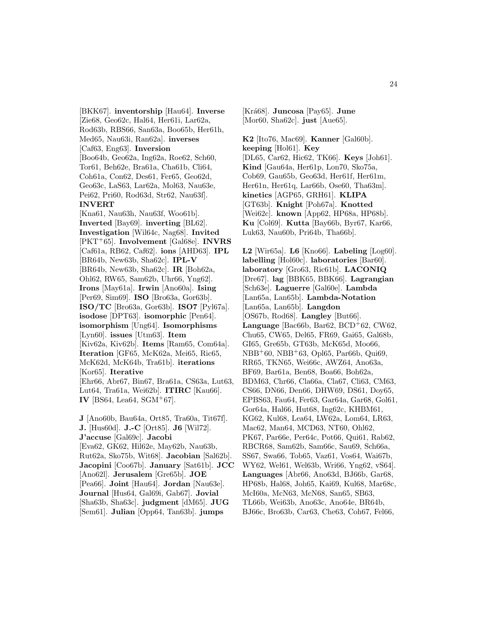[BKK67]. **inventorship** [Hau64]. **Inverse** [Zie68, Geo62c, Hal64, Her61i, Lar62a, Rod63b, RBS66, San63a, Boo65b, Her61h, Med65, Nau63i, Ran62a]. **inverses** [Caf63, Eng63]. **Inversion** [Boo64b, Geo62a, Ing62a, Roe62, Sch60, Tor61, Beh62e, Bra61a, Cha61b, Cli64, Coh61a, Con62, Des61, Fer65, Geo62d, Geo63c, LaS63, Lar62a, Mol63, Nau63e, Pei62, Pri60, Rod63d, Str62, Nau63f]. **INVERT** [Kna61, Nau63h, Nau63f, Woo61b]. **Inverted** [Bay69]. **inverting** [BL62]. **Investigation** [Wil64c, Nag68]. **Invited** [PKT<sup>+</sup>65]. **Involvement** [Gal68e]. **INVRS** [Caf61a, RB62, Caf62]. **ions** [AHD63]. **IPL** [BR64b, New63b, Sha62c]. **IPL-V** [BR64b, New63b, Sha62c]. **IR** [Boh62a, Ohl62, RW65, Sam62b, Uhr66, Yng62]. **Irons** [May61a]. **Irwin** [Ano60a]. **Ising** [Per69, Sim69]. **ISO** [Bro63a, Gor63b]. **ISO/TC** [Bro63a, Gor63b]. **ISO7** [Pyl67a]. **isodose** [DPT63]. **isomorphic** [Pen64]. **isomorphism** [Ung64]. **Isomorphisms** [Lyn60]. **issues** [Utm63]. **Item** [Kiv62a, Kiv62b]. **Items** [Ram65, Com64a]. **Iteration** [GF65, McK62a, Mei65, Ric65, McK62d, McK64b, Tra61b]. **iterations** [Kor65]. **Iterative** [Ehr66, Abr67, Bin67, Bra61a, CS63a, Lut63, Lut64, Tra61a, Wei62b]. **ITIRC** [Kau66]. **IV** [BS64, Lea64, SGM<sup>+</sup>67].

**J** [Ano60b, Bau64a, Ort85, Tra60a, Tit67f]. **J.** [Hus60d]. **J.-C** [Ort85]. **J6** [Wil72]. **J'accuse** [Gal69c]. **Jacobi** [Eva62, GK62, Hil62e, May62b, Nau63b, Rut62a, Sko75b, Wit68]. **Jacobian** [Sal62b]. **Jacopini** [Coo67b]. **January** [Sat61b]. **JCC** [Ano62l]. **Jerusalem** [Gre65b]. **JOE** [Pea66]. **Joint** [Hau64]. **Jordan** [Nau63e]. **Journal** [Hus64, Gal69i, Gab67]. **Jovial** [Sha63b, Sha63c]. **judgment** [dM65]. **JUG** [Sem61]. **Julian** [Opp64, Tan63b]. **jumps**

[Kr´a68]. **Juncosa** [Pay65]. **June** [Mor60, Sha62c]. **just** [Aue65].

**K2** [Ito76, Mac69]. **Kanner** [Gal60b]. **keeping** [Hol61]. **Key** [DL65, Car62, Hic62, TK66]. **Keys** [Joh61]. **Kind** [Gau64a, Her61p, Lon70, Sko75a, Cob69, Gau65b, Geo63d, Her61f, Her61m, Her61n, Her61q, Lar66b, Ose60, Tha63m]. **kinetics** [AGP65, GRH61]. **KLIPA** [GT63b]. **Knight** [Poh67a]. **Knotted** [Wei62c]. **known** [App62, HP68a, HP68b]. **Ku** [Col69]. **Kutta** [Bay66b, Byr67, Kar66, Luk63, Nau60b, Pri64b, Tha66b].

**L2** [Wir65a]. **L6** [Kno66]. **Labeling** [Log60]. **labelling** [Hol60c]. **laboratories** [Bar60]. **laboratory** [Gro63, Ric61b]. **LACONIQ** [Dre67]. **lag** [BBK65, BBK66]. **Lagrangian** [Sch63e]. **Laguerre** [Gal60e]. **Lambda** [Lan65a, Lan65b]. **Lambda-Notation** [Lan65a, Lan65b]. **Langdon** [OS67b, Rod68]. **Langley** [But66]. **Language** [Bac66b, Bar62, BCD<sup>+</sup>62, CW62, Chu65, CW65, Del65, FR69, Gai65, Gal68b, GI65, Gre65b, GT63b, McK65d, Moo66, NBB<sup>+</sup>60, NBB<sup>+</sup>63, Opl65, Par66b, Qui69, RR65, TKN65, Wei66c, AWZ64, Ano63a, BF69, Bar61a, Ben68, Boa66, Boh62a, BDM63, Chr66, Cla66a, Cla67, Cli63, CM63, CS66, DN66, Den66, DHW69, DS61, Doy65, EPBS63, Fau64, Fer63, Gar64a, Gar68, Gol61, Gor64a, Hal66, Hut68, Ing62c, KHBM61, KG62, Kul68, Lea64, LW62a, Lom64, LR63, Mac62, Man64, MCD63, NT60, Ohl62, PK67, Par66e, Per64c, Pot66, Qui61, Rab62, RBCR68, Sam62b, Sam66c, Sau69, Sch66a, SS67, Swa66, Tob65, Vaz61, Vos64, Wai67b, WY62, Wel61, Wel63b, Wri66, Yng62, vS64]. **Languages** [Abr66, Ano63d, BJ66b, Gar68, HP68b, Hal68, Joh65, Kai69, Kul68, Mar68c, McI60a, McN63, McN68, San65, SB63, TL66b, Wei63b, Ano63c, Ano64e, BR64b, BJ66c, Bro63b, Car63, Che63, Coh67, Fel66,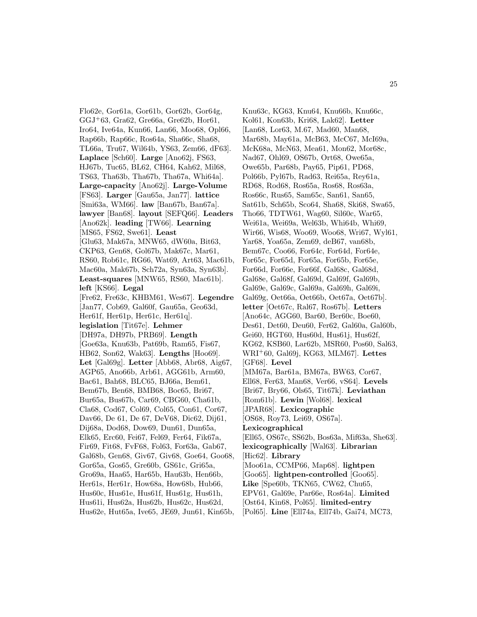Flo62e, Gor61a, Gor61b, Gor62b, Gor64g, GGJ<sup>+</sup>63, Gra62, Gre66a, Gre62b, Hor61, Iro64, Ive64a, Kun66, Lan66, Moo68, Opl66, Rap66b, Rap66c, Ros64a, Sha66c, Sha68, TL66a, Tru67, Wil64b, YS63, Zem66, dF63]. **Laplace** [Sch60]. **Large** [Ano62j, FS63, HJ67b, Tuc65, BL62, CH64, Kah62, Mil68, TS63, Tha63b, Tha67b, Tha67a, Whi64a]. **Large-capacity** [Ano62j]. **Large-Volume** [FS63]. **Larger** [Gau65a, Jan77]. **lattice** [Smi63a, WM66]. **law** [Ban67b, Ban67a]. **lawyer** [Ban68]. **layout** [SEFQ66]. **Leaders** [Ano62k]. **leading** [TW66]. **Learning** [MS65, FS62, Swe61]. **Least** [Glu63, Mak67a, MNW65, dW60a, Bit63, CKP63, Gen68, Gol67b, Mak67c, Mar61, RS60, Rob61c, RG66, Wat69, Art63, Mac61b, Mac60a, Mak67b, Sch72a, Syn63a, Syn63b]. **Least-squares** [MNW65, RS60, Mac61b]. **left** [KS66]. **Legal** [Fre62, Fre63c, KHBM61, Wes67]. **Legendre** [Jan77, Cob69, Gal60f, Gau65a, Geo63d, Her61f, Her61p, Her61c, Her61q]. **legislation** [Tit67e]. **Lehmer** [DH97a, DH97b, PRB69]. **Length** [Goe63a, Knu63b, Pat69b, Ram65, Fis67, HB62, Son62, Wak63]. **Lengths** [Hoo69]. **Let** [Gal69g]. **Letter** [Abb68, Abr68, Aig67, AGP65, Ano66b, Arb61, AGG61b, Arm60, Bac61, Bah68, BLC65, BJ66a, Bem61, Bem67b, Ben68, BMB68, Boc65, Bri67, Bur65a, Bus67b, Car69, CBG60, Cha61b, Cla68, Cod67, Col69, Col65, Con61, Cor67, Dav66, De 61, De 67, DeV68, Dic62, Dij61, Dij68a, Dod68, Dow69, Dun61, Dun65a, Elk65, Erc60, Fei67, Fel69, Fer64, Fik67a, Fir69, Fit68, FvF68, Fol63, For63a, Gab67, Gal68b, Gen68, Giv67, Giv68, Goe64, Goo68, Gor65a, Gos65, Gre60b, GS61c, Gri65a, Gro69a, Haa65, Har65b, Hau63b, Hen66b, Her61s, Her61r, How68a, How68b, Hub66, Hus60c, Hus61e, Hus61f, Hus61g, Hus61h, Hus61i, Hus62a, Hus62b, Hus62c, Hus62d, Hus62e, Hut65a, Ive65, JE69, Jun61, Kin65b,

Knu63c, KG63, Knu64, Knu66b, Knu66c, Kol61, Kon63b, Kri68, Lak62]. **Letter** [Lan68, Lor63, M.67, Mad60, Man68, Mar68b, May61a, McB63, McC67, McI69a, McK68a, McN63, Mea61, Mon62, Mor68c, Nad67, Ohl69, OS67b, Ort68, Owe65a, Owe65b, Par68b, Pay65, Pip61, PD68, Pol66b, Pyl67b, Rad63, Rei65a, Rey61a, RD68, Rod68, Ros65a, Ros68, Ros63a, Ros66c, Rus65, Sam65c, San61, San65, Sat61b, Sch65b, Sco64, Sha68, Ski68, Swa65, Tho66, TDTW61, Wag60, Sil60c, War65, Wei61a, Wei69a, Wel63b, Whi64b, Whi69, Wir66, Wis68, Woo69, Woo68, Wri67, Wyl61, Yar68, Yoa65a, Zem69, deB67, van68b, Bem67c, Coo66, For64c, For64d, For64e, For65c, For65d, For65a, For65b, For65e, For66d, For66e, For66f, Gal68c, Gal68d, Gal68e, Gal68f, Gal69d, Gal69f, Gal69b, Gal69e, Gal69c, Gal69a, Gal69h, Gal69i, Gal69g, Oet66a, Oet66b, Oet67a, Oet67b]. **letter** [Oet67c, Ral67, Ros67b]. **Letters** [Ano64c, AGG60, Bar60, Ber60c, Boe60, Des61, Det60, Deu60, Fer62, Gal60a, Gal60b, Gei60, HGT60, Hus60d, Hus61j, Hus62f, KG62, KSB60, Lar62b, MSR60, Pos60, Sal63, WRI<sup>+</sup>60, Gal69j, KG63, MLM67]. **Lettes** [GF68]. **Level** [MM67a, Bar61a, BM67a, BW63, Cor67, Ell68, Fer63, Man68, Ver66, vS64]. **Levels** [Bri67, Bry66, Ols65, Tit67k]. **Leviathan** [Rom61b]. **Lewin** [Wol68]. **lexical** [JPAR68]. **Lexicographic** [OS68, Roy73, Lei69, OS67a]. **Lexicographical** [Ell65, OS67c, SS62b, Bos63a, Mif63a, She63]. **lexicographically** [Wal63]. **Librarian** [Hic62]. **Library** [Moo61a, CCMP66, Map68]. **lightpen** [Goo65]. **lightpen-controlled** [Goo65]. **Like** [Spe60b, TKN65, CW62, Chu65, EPV61, Gal69e, Par66e, Ros64a]. **Limited** [Ost64, Kin68, Pol65]. **limited-entry** [Pol65]. **Line** [Ell74a, Ell74b, Gai74, MC73,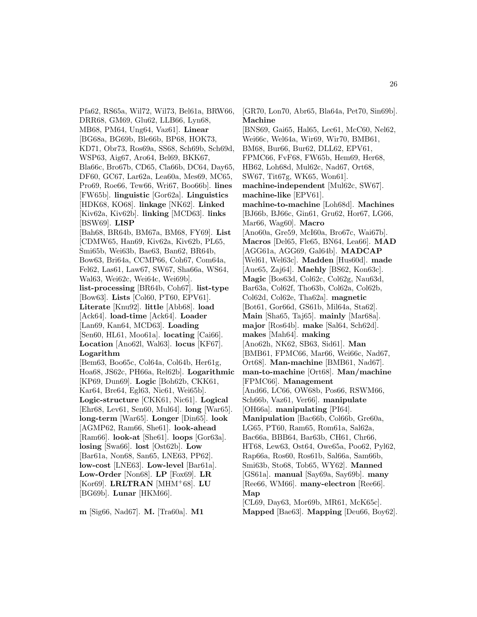Pfa62, RS65a, Wil72, Wil73, Bel61a, BRW66, DRR68, GM69, Glu62, LLB66, Lyn68, MB68, PM64, Ung64, Vaz61]. **Linear** [BG68a, BG69b, Ble66b, BP68, HOK73, KD71, Obr73, Ros69a, SS68, Sch69b, Sch69d, WSP63, Aig67, Aro64, Bel69, BKK67, Bla66c, Bro67b, CD65, Cla66b, DC64, Day65, DF60, GC67, Lar62a, Lea60a, Mes69, MC65, Pro69, Roe66, Tew66, Wri67, Boo66b]. **lines** [FW65b]. **linguistic** [Gor62a]. **Linguistics** [HDK68, KO68]. **linkage** [NK62]. **Linked** [Kiv62a, Kiv62b]. **linking** [MCD63]. **links** [BSW69]. **LISP** [Bah68, BR64b, BM67a, BM68, FY69]. **List** [CDMW65, Han69, Kiv62a, Kiv62b, PL65, Smi65b, Wei63b, Bae63, Ban62, BR64b, Bow63, Bri64a, CCMP66, Coh67, Com64a, Fel62, Las61, Law67, SW67, Sha66a, WS64, Wal63, Wei62c, Wei64c, Wei69b]. **list-processing** [BR64b, Coh67]. **list-type** [Bow63]. **Lists** [Col60, PT60, EPV61]. **Literate** [Knu92]. **little** [Abb68]. **load** [Ack64]. **load-time** [Ack64]. **Loader** [Lan69, Kan64, MCD63]. **Loading** [Sen60, HL61, Moo61a]. **locating** [Cai66]. **Location** [Ano62l, Wal63]. **locus** [KF67]. **Logarithm** [Bem63, Boo65c, Col64a, Col64b, Her61g, Hoa68, JS62c, PH66a, Rel62b]. **Logarithmic** [KP69, Dun69]. **Logic** [Boh62b, CKK61, Kar64, Bre64, Egl63, Nic61, Wei65b]. **Logic-structure** [CKK61, Nic61]. **Logical** [Ehr68, Lev61, Sen60, Mul64]. **long** [War65].

**long-term** [War65]. **Longer** [Din65]. **look** [AGMP62, Ram66, She61]. **look-ahead** [Ram66]. **look-at** [She61]. **loops** [Gor63a]. **losing** [Swa66]. **lost** [Ost62b]. **Low** [Bar61a, Non68, San65, LNE63, PP62]. **low-cost** [LNE63]. **Low-level** [Bar61a]. **Low-Order** [Non68]. **LP** [Fox69]. **LR** [Kor69]. **LRLTRAN** [MHM<sup>+</sup>68]. **LU** [BG69b]. **Lunar** [HKM66].

**m** [Sig66, Nad67]. **M.** [Tra60a]. **M1**

[GR70, Lon70, Abr65, Bla64a, Pet70, Sin69b]. **Machine** [BNS69, Gai65, Hal65, Lec61, McC60, Nel62, Wei66c, Wel64a, Wir69, Wir70, BMB61, BM68, Bur66, Bur62, DLL62, EPV61, FPMC66, FvF68, FW65b, Hem69, Her68, HB62, Loh68d, Mul62c, Nad67, Ort68, SW67, Tit67g, WK65, Won61]. **machine-independent** [Mul62c, SW67]. **machine-like** [EPV61]. **machine-to-machine** [Loh68d]. **Machines** [BJ66b, BJ66c, Gin61, Gru62, Hor67, LG66, Mar66, Wag60]. **Macro** [Ano60a, Gre59, McI60a, Bro67c, Wai67b]. **Macros** [Del65, Fle65, BN64, Lea66]. **MAD** [AGG61a, AGG69, Gal64b]. **MADCAP** [Wel61, Wel63c]. **Madden** [Hus60d]. **made** [Aue65, Zaj64]. **Maehly** [BS62, Kon63c]. **Magic** [Bos63d, Col62c, Col62g, Nau63d, Bar63a, Col62f, Tho63b, Col62a, Col62b, Col62d, Col62e, Tha62a]. **magnetic** [Bot61, Gor66d, GS61b, Mil64a, Sta62]. **Main** [Sha65, Taj65]. **mainly** [Mar68a]. **major** [Ros64b]. **make** [Sal64, Sch62d]. **makes** [Mah64]. **making** [Ano62h, NK62, SB63, Sid61]. **Man** [BMB61, FPMC66, Mar66, Wei66c, Nad67, Ort68]. **Man-machine** [BMB61, Nad67]. **man-to-machine** [Ort68]. **Man/machine** [FPMC66]. **Management** [And66, LC66, OW68b, Pos66, RSWM66, Sch66b, Vaz61, Ver66]. **manipulate** [OH66a]. **manipulating** [PI64]. **Manipulation** [Bac66b, Col66b, Gre60a, LG65, PT60, Ram65, Rom61a, Sal62a, Bac66a, BBB64, Bar63b, CH61, Chr66, HT68, Lew63, Ost64, Owe65a, Poo62, Pyl62, Rap66a, Ros60, Ros61b, Sal66a, Sam66b, Smi63b, Sto68, Tob65, WY62]. **Manned** [GS61a]. **manual** [Say69a, Say69b]. **many** [Ree66, WM66]. **many-electron** [Ree66]. **Map** [CL69, Day63, Mor69b, MR61, McK65c].

**Mapped** [Bae63]. **Mapping** [Deu66, Boy62].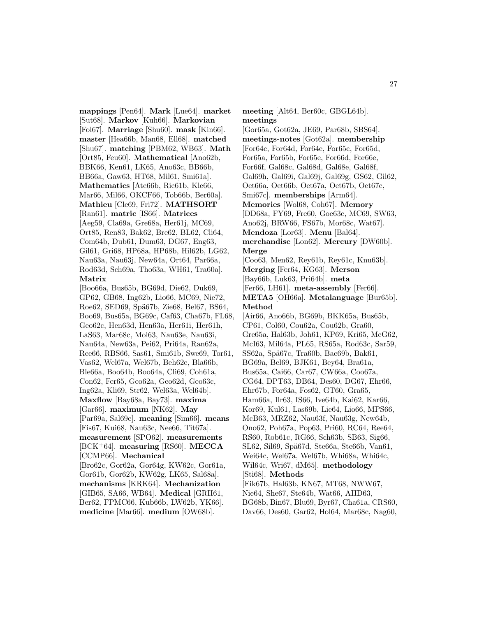**mappings** [Pen64]. **Mark** [Lue64]. **market** [Sut68]. **Markov** [Kuh66]. **Markovian** [Fol67]. **Marriage** [Shu60]. **mask** [Kin66]. **master** [Hea66b, Man68, Ell68]. **matched** [Shu67]. **matching** [PBM62, WB63]. **Math** [Ort85, Feu60]. **Mathematical** [Ano62b, BBK66, Ken61, LK65, Ano63c, BB66b, BB66a, Gaw63, HT68, Mil61, Smi61a]. **Mathematics** [Atc66b, Ric61b, Kle66, Mar66, Mil66, OKCF66, Tob66b, Ber60a]. **Mathieu** [Cle69, Fri72]. **MATHSORT** [Ran61]. **matric** [IS66]. **Matrices** [Aeg59, Cla69a, Gre68a, Her61j, MC69, Ort85, Ren83, Bak62, Bre62, BL62, Cli64, Com64b, Dub61, Dum63, DG67, Eng63, Gil61, Gri68, HP68a, HP68b, Hil62b, LG62, Nau63a, Nau63j, New64a, Ort64, Par66a, Rod63d, Sch69a, Tho63a, WH61, Tra60a]. **Matrix**

[Boo66a, Bus65b, BG69d, Die62, Duk69, GP62, GB68, Ing62b, Lio66, MC69, Nie72, Roe62, SED69, Spä67b, Zie68, Bel67, BS64, Boo69, Bus65a, BG69c, Caf63, Cha67b, FL68, Geo62c, Hen63d, Hen63a, Her61i, Her61h, LaS63, Mar68c, Mol63, Nau63e, Nau63i, Nau64a, New63a, Pei62, Pri64a, Ran62a, Ree66, RBS66, Sas61, Smi61b, Swe69, Tor61, Vas62, Wel67a, Wel67b, Beh62e, Bla66b, Ble66a, Boo64b, Boo64a, Cli69, Coh61a, Con62, Fer65, Geo62a, Geo62d, Geo63c, Ing62a, Kli69, Str62, Wel63a, Wel64b]. **Maxflow** [Bay68a, Bay73]. **maxima** [Gar66]. **maximum** [NK62]. **May** [Par69a, Sal69c]. **meaning** [Sim66]. **means** [Fis67, Kui68, Nau63c, Nee66, Tit67a]. **measurement** [SPO62]. **measurements** [BCK<sup>+</sup>64]. **measuring** [RS60]. **MECCA** [CCMP66]. **Mechanical** [Bro62c, Gor62a, Gor64g, KW62c, Gor61a, Gor61b, Gor62b, KW62g, LK65, Sal68a]. **mechanisms** [KRK64]. **Mechanization** [GIB65, SA66, WB64]. **Medical** [GRH61, Ber62, FPMC66, Kub66b, LW62b, YK66]. **medicine** [Mar66]. **medium** [OW68b].

**meeting** [Alt64, Ber60c, GBGL64b]. **meetings** [Gor65a, Got62a, JE69, Par68b, SBS64]. **meetings-notes** [Got62a]. **membership** [For64c, For64d, For64e, For65c, For65d, For65a, For65b, For65e, For66d, For66e, For66f, Gal68c, Gal68d, Gal68e, Gal68f, Gal69h, Gal69i, Gal69j, Gal69g, GS62, Gil62, Oet66a, Oet66b, Oet67a, Oet67b, Oet67c, Smi67c]. **memberships** [Arm64]. **Memories** [Wol68, Coh67]. **Memory** [DD68a, FY69, Fre60, Goe63c, MC69, SW63, Ano62j, BRW66, FS67b, Mor68c, Wat67]. **Mendoza** [Lor63]. **Menu** [Bal64]. **merchandise** [Lon62]. **Mercury** [DW60b]. **Merge** [Coo63, Men62, Rey61b, Rey61c, Knu63b]. **Merging** [Fer64, KG63]. **Merson** [Bay66b, Luk63, Pri64b]. **meta** [Fer66, LH61]. **meta-assembly** [Fer66]. **META5** [OH66a]. **Metalanguage** [Bur65b]. **Method** [Air66, Ano66b, BG69b, BKK65a, Bus65b, CP61, Col60, Cou62a, Cou62b, Gra60, Gre65a, Hal63b, Joh61, KP69, Kri65, McG62, McI63, Mil64a, PL65, RS65a, Rod63c, Sar59, SS62a, Spä67c, Tra60b, Bac69b, Bak61, BG69a, Bel69, BJK61, Bey64, Bra61a, Bus65a, Cai66, Car67, CW66a, Coo67a, CG64, DPT63, DB64, Des60, DG67, Ehr66, Ehr67b, For64a, Fos62, GT60, Gra65, Ham66a, Ilr63, IS66, Ive64b, Kai62, Kar66, Kor69, Kul61, Las69b, Lie64, Lio66, MPS66, McB63, MRZ62, Nau63f, Nau63g, New64b, Ono62, Poh67a, Pop63, Pri60, RC64, Ree64, RS60, Rob61c, RG66, Sch63b, SB63, Sig66, SL62, Sil69, Spä67d, Ste66a, Ste66b, Van61, Wei64c, Wel67a, Wel67b, Whi68a, Whi64c, Wil64c, Wri67, dM65]. **methodology** [Sti68]. **Methods** [Fik67b, Hal63b, KN67, MT68, NWW67, Nie64, She67, Ste64b, Wat66, AHD63, BG68b, Bin67, Blu69, Byr67, Cha61a, CRS60,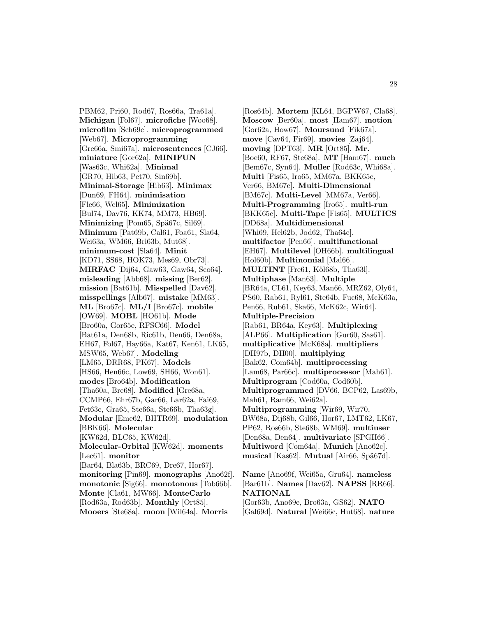PBM62, Pri60, Rod67, Ros66a, Tra61a]. **Michigan** [Fol67]. **microfiche** [Woo68]. **microfilm** [Sch69c]. **microprogrammed** [Web67]. **Microprogramming** [Gre66a, Smi67a]. **microsentences** [CJ66]. **miniature** [Gor62a]. **MINIFUN** [Was63c, Whi62a]. **Minimal** [GR70, Hib63, Pet70, Sin69b]. **Minimal-Storage** [Hib63]. **Minimax** [Dun69, FH64]. **minimisation** [Fle66, Wel65]. **Minimization** [Bul74, Dav76, KK74, MM73, HB69]. **Minimizing** [Pom65, Spä67c, Sil69]. **Minimum** [Pat69b, Cal61, Foa61, Sla64, Wei63a, WM66, Bri63b, Mut68]. **minimum-cost** [Sla64]. **Minit** [KD71, SS68, HOK73, Mes69, Obr73]. **MIRFAC** [Dij64, Gaw63, Gaw64, Sco64]. **misleading** [Abb68]. **missing** [Ber62]. **mission** [Bat61b]. **Misspelled** [Dav62]. **misspellings** [Alb67]. **mistake** [MM63]. **ML** [Bro67c]. **ML/I** [Bro67c]. **mobile** [OW69]. **MOBL** [HO61b]. **Mode** [Bro60a, Gor65e, RFSC66]. **Model** [Bat61a, Den68b, Ric61b, Den66, Den68a, EH67, Fol67, Hay66a, Kat67, Ken61, LK65, MSW65, Web67]. **Modeling** [LM65, DRR68, PK67]. **Models** [HS66, Hen66c, Low69, SH66, Won61]. **modes** [Bro64b]. **Modification** [Tha60a, Bre68]. **Modified** [Gre68a, CCMP66, Ehr67b, Gar66, Lar62a, Fai69, Fet63c, Gra65, Ste66a, Ste66b, Tha63g]. **Modular** [Eme62, BHTR69]. **modulation** [BBK66]. **Molecular** [KW62d, BLC65, KW62d]. **Molecular-Orbital** [KW62d]. **moments** [Lec61]. **monitor** [Bar64, Bla63b, BRC69, Dre67, Hor67]. **monitoring** [Pin69]. **monographs** [Ano62f]. **monotonic** [Sig66]. **monotonous** [Tob66b]. **Monte** [Cla61, MW66]. **MonteCarlo** [Rod63a, Rod63b]. **Monthly** [Ort85]. **Mooers** [Ste68a]. **moon** [Wil64a]. **Morris**

[Ros64b]. **Mortem** [KL64, BGPW67, Cla68]. **Moscow** [Ber60a]. **most** [Ham67]. **motion** [Gor62a, How67]. **Moursund** [Fik67a]. **move** [Cav64, Fir69]. **movies** [Zaj64]. **moving** [DPT63]. **MR** [Ort85]. **Mr.** [Boe60, RF67, Ste68a]. **MT** [Ham67]. **much** [Bem67c, Syn64]. **Muller** [Rod63c, Whi68a]. **Multi** [Fis65, Iro65, MM67a, BKK65c, Ver66, BM67c]. **Multi-Dimensional** [BM67c]. **Multi-Level** [MM67a, Ver66]. **Multi-Programming** [Iro65]. **multi-run** [BKK65c]. **Multi-Tape** [Fis65]. **MULTICS** [DD68a]. **Multidimensional** [Whi69, Hel62b, Jod62, Tha64c]. **multifactor** [Pen66]. **multifunctional** [EH67]. **Multilevel** [OH66b]. **multilingual** [Hol60b]. **Multinomial** [Mal66]. **MULTINT** [Fre61, Köl68b, Tha63l]. **Multiphase** [Man63]. **Multiple** [BR64a, CL61, Key63, Man66, MRZ62, Oly64, PS60, Rab61, Ryl61, Ste64b, Fuc68, McK63a, Pen66, Rub61, Ska66, McK62c, Wir64]. **Multiple-Precision** [Rab61, BR64a, Key63]. **Multiplexing** [ALP66]. **Multiplication** [Gur60, Sas61]. **multiplicative** [McK68a]. **multipliers** [DH97b, DH00]. **multiplying** [Bak62, Com64b]. **multiprocessing** [Lam68, Par66c]. **multiprocessor** [Mah61]. **Multiprogram** [Cod60a, Cod60b]. **Multiprogrammed** [DV66, BCP62, Las69b, Mah61, Ram66, Wei62a]. **Multiprogramming** [Wir69, Wir70, BW68a, Dij68b, Gil66, Hor67, LMT62, LK67, PP62, Ros66b, Ste68b, WM69]. **multiuser** [Den68a, Den64]. **multivariate** [SPGH66]. **Multiword** [Com64a]. **Munich** [Ano62c]. **musical** [Kas62]. **Mutual** [Air66, Spä67d].

28

**Name** [Ano69f, Wei65a, Gru64]. **nameless** [Bar61b]. **Names** [Dav62]. **NAPSS** [RR66]. **NATIONAL** [Gor63b, Ano69e, Bro63a, GS62]. **NATO**

[Gal69d]. **Natural** [Wei66c, Hut68]. **nature**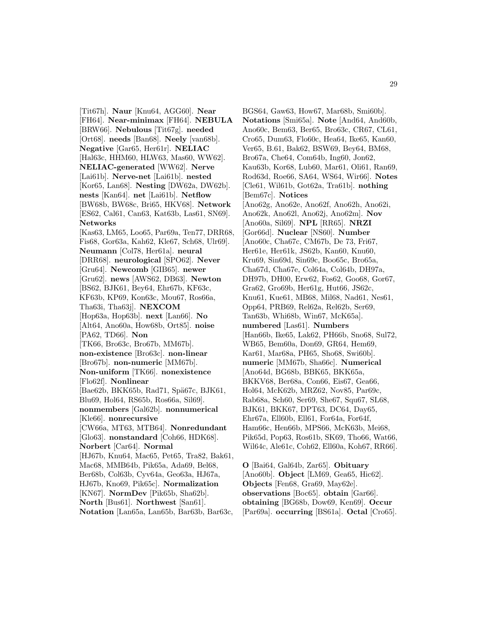[Tit67h]. **Naur** [Knu64, AGG60]. **Near** [FH64]. **Near-minimax** [FH64]. **NEBULA** [BRW66]. **Nebulous** [Tit67g]. **needed** [Ort68]. **needs** [Ban68]. **Neely** [van68b]. **Negative** [Gar65, Her61r]. **NELIAC** [Hal63c, HHM60, HLW63, Mas60, WW62]. **NELIAC-generated** [WW62]. **Nerve** [Lai61b]. **Nerve-net** [Lai61b]. **nested** [Kor65, Lan68]. **Nesting** [DW62a, DW62b]. **nests** [Kan64]. **net** [Lai61b]. **Netflow** [BW68b, BW68c, Bri65, HKV68]. **Network** [ES62, Cal61, Can63, Kat63b, Las61, SN69]. **Networks** [Kas63, LM65, Loo65, Par69a, Ten77, DRR68, Fis68, Gor63a, Kah62, Kle67, Sch68, Ulr69]. **Neumann** [Col78, Her61a]. **neural** [DRR68]. **neurological** [SPO62]. **Never** [Gru64]. **Newcomb** [GIB65]. **newer** [Gru62]. **news** [AWS62, DB63]. **Newton** [BS62, BJK61, Bey64, Ehr67b, KF63c, KF63b, KP69, Kon63c, Mou67, Ros66a, Tha63i, Tha63j]. **NEXCOM** [Hop63a, Hop63b]. **next** [Lan66]. **No** [Alt64, Ano60a, How68b, Ort85]. **noise** [PA62, TD66]. **Non** [TK66, Bro63c, Bro67b, MM67b]. **non-existence** [Bro63c]. **non-linear** [Bro67b]. **non-numeric** [MM67b]. **Non-uniform** [TK66]. **nonexistence** [Flo62f]. **Nonlinear** [Bae62b, BKK65b, Rad71, Spä67c, BJK61, Blu69, Hol64, RS65b, Ros66a, Sil69]. **nonmembers** [Gal62b]. **nonnumerical** [Kle66]. **nonrecursive** [CW66a, MT63, MTB64]. **Nonredundant** [Glo63]. **nonstandard** [Coh66, HDK68]. **Norbert** [Car64]. **Normal** [HJ67b, Knu64, Mac65, Pet65, Tra82, Bak61, Mac68, MMB64b, Pik65a, Ada69, Bel68, Ber68b, Col63b, Cyv64a, Geo63a, HJ67a, HJ67b, Kno69, Pik65c]. **Normalization** [KN67]. **NormDev** [Pik65b, Sha62b]. **North** [Bus61]. **Northwest** [San61]. **Notation** [Lan65a, Lan65b, Bar63b, Bar63c,

BGS64, Gaw63, How67, Mar68b, Smi60b]. **Notations** [Smi65a]. **Note** [And64, And60b, Ano60c, Bem63, Ber65, Bro63c, CR67, CL61, Cro65, Dum63, Flo60c, Hea64, Ike65, Kan60, Ver65, B.61, Bak62, BSW69, Bey64, BM68, Bro67a, Che64, Com64b, Ing60, Jon62, Kau63b, Kor68, Lub60, Mar61, Oli61, Ran69, Rod63d, Roe66, SA64, WS64, Wir66]. **Notes** [Cle61, Wil61b, Got62a, Tra61b]. **nothing** [Bem67c]. **Notices** [Ano62g, Ano62e, Ano62f, Ano62h, Ano62i, Ano62k, Ano62l, Ano62j, Ano62m]. **Nov** [Ano60a, Sil69]. **NPL** [RR65]. **NRZI** [Gor66d]. **Nuclear** [NS60]. **Number** [Ano60c, Cha67c, CM67b, De 73, Fri67, Her61e, Her61k, JS62b, Kan60, Knu60, Kru69, Sin69d, Sin69c, Boo65c, Bro65a, Cha67d, Cha67e, Col64a, Col64b, DH97a, DH97b, DH00, Erw62, Fos62, Goo68, Gor67, Gra62, Gro69b, Her61g, Hut66, JS62c, Knu61, Kue61, MB68, Mil68, Nad61, Nes61, Opp64, PRB69, Rel62a, Rel62b, Ser69, Tan63b, Whi68b, Win67, McK65a]. **numbered** [Las61]. **Numbers** [Han66b, Ike65, Lak62, PH66b, Sno68, Sul72, WB65, Bem60a, Don69, GR64, Hem69, Kar61, Mar68a, PH65, Sho68, Swi60b]. **numeric** [MM67b, Sha66c]. **Numerical** [Ano64d, BG68b, BBK65, BKK65a, BKKV68, Ber68a, Con66, Eis67, Gea66, Hol64, McK62b, MRZ62, Nov85, Par69c, Rab68a, Sch60, Ser69, She67, Squ67, SL68, BJK61, BKK67, DPT63, DC64, Day65, Ehr67a, Ell60b, Ell61, For64a, For64f, Ham66c, Hen66b, MPS66, McK63b, Mei68, Pik65d, Pop63, Ros61b, SK69, Tho66, Wat66, Wil64c, Ale61c, Coh62, Ell60a, Koh67, RR66].

**O** [Bai64, Gal64b, Zar65]. **Obituary** [Ano60b]. **Object** [LM69, Gea65, Hic62]. **Objects** [Fen68, Gra69, May62e]. **observations** [Boc65]. **obtain** [Gar66]. **obtaining** [BG68b, Dow69, Ken69]. **Occur** [Par69a]. **occurring** [BS61a]. **Octal** [Cro65].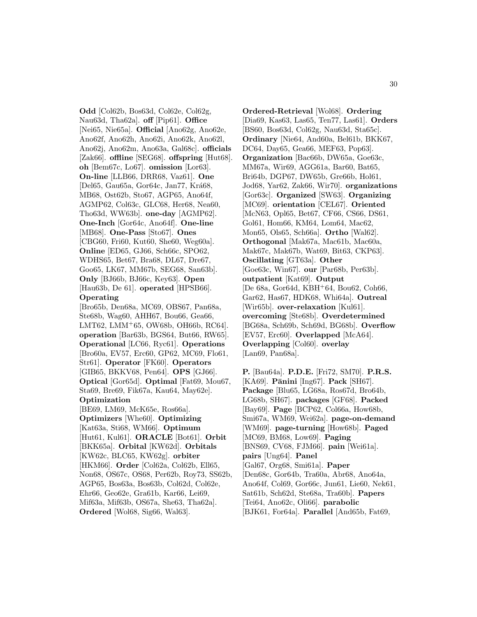**Odd** [Col62b, Bos63d, Col62e, Col62g, Nau63d, Tha62a]. **off** [Pip61]. **Office** [Nei65, Nie65a]. **Official** [Ano62g, Ano62e, Ano62f, Ano62h, Ano62i, Ano62k, Ano62l, Ano62j, Ano62m, Ano63a, Gal68c]. **officials** [Zak66]. **offline** [SEG68]. **offspring** [Hut68]. **oh** [Bem67c, Lo67]. **omission** [Lor63]. **On-line** [LLB66, DRR68, Vaz61]. **One** [Del65, Gau65a, Gor64c, Jan77, Krá68, MB68, Ost62b, Sto67, AGP65, Ano64f, AGMP62, Col63c, GLC68, Her68, Nea60, Tho63d, WW63b]. **one-day** [AGMP62]. **One-Inch** [Gor64c, Ano64f]. **One-line** [MB68]. **One-Pass** [Sto67]. **Ones** [CBG60, Fri60, Kut60, She60, Weg60a]. **Online** [ED65, GJ66, Sch66c, SPO62, WDHS65, Bet67, Bra68, DL67, Dre67, Goo65, LK67, MM67b, SEG68, San63b]. **Only** [BJ66b, BJ66c, Key63]. **Open** [Hau63b, De 61]. **operated** [HPSB66]. **Operating** [Bro65b, Den68a, MC69, OBS67, Pan68a,

Ste68b, Wag60, AHH67, Bou66, Gea66, LMT62, LMM<sup>+</sup>65, OW68b, OH66b, RC64]. **operation** [Bar63b, BGS64, But66, RW65]. **Operational** [LC66, Ryc61]. **Operations** [Bro60a, EV57, Erc60, GP62, MC69, Flo61, Str61]. **Operator** [FK60]. **Operators** [GIB65, BKKV68, Pen64]. **OPS** [GJ66]. **Optical** [Gor65d]. **Optimal** [Fat69, Mou67, Sta69, Bre69, Fik67a, Kau64, May62e]. **Optimization**

[BE69, LM69, McK65e, Ros66a]. **Optimizers** [Whe60]. **Optimizing** [Kat63a, Sti68, WM66]. **Optimum** [Hut61, Kul61]. **ORACLE** [Bot61]. **Orbit** [BKK65a]. **Orbital** [KW62d]. **Orbitals** [KW62c, BLC65, KW62g]. **orbiter** [HKM66]. **Order** [Col62a, Col62b, Ell65, Non68, OS67c, OS68, Per62b, Roy73, SS62b, AGP65, Bos63a, Bos63b, Col62d, Col62e, Ehr66, Geo62e, Gra61b, Kar66, Lei69, Mif63a, Mif63b, OS67a, She63, Tha62a]. **Ordered** [Wol68, Sig66, Wal63].

**Ordered-Retrieval** [Wol68]. **Ordering** [Dia69, Kas63, Las65, Ten77, Las61]. **Orders** [BS60, Bos63d, Col62g, Nau63d, Sta65c]. **Ordinary** [Nie64, And60a, Bel61b, BKK67, DC64, Day65, Gea66, MEF63, Pop63]. **Organization** [Bac66b, DW65a, Goe63c, MM67a, Wir69, AGG61a, Bar60, Bat65, Bri64b, DGP67, DW65b, Gre66b, Hol61, Jod68, Yar62, Zak66, Wir70]. **organizations** [Gor63c]. **Organized** [SW63]. **Organizing** [MC69]. **orientation** [CEL67]. **Oriented** [McN63, Opl65, Bet67, CF66, CS66, DS61, Gol61, Hom66, KM64, Lom64, Mac62, Mon65, Ols65, Sch66a]. **Ortho** [Wal62]. **Orthogonal** [Mak67a, Mac61b, Mac60a, Mak67c, Mak67b, Wat69, Bit63, CKP63]. **Oscillating** [GT63a]. **Other** [Goe63c, Win67]. **our** [Par68b, Per63b]. **outpatient** [Kat69]. **Output** [De 68a, Gor64d, KBH<sup>+</sup>64, Bou62, Coh66, Gar62, Has67, HDK68, Whi64a]. **Outreal** [Wir65b]. **over-relaxation** [Kul61]. **overcoming** [Ste68b]. **Overdetermined** [BG68a, Sch69b, Sch69d, BG68b]. **Overflow** [EV57, Erc60]. **Overlapped** [McA64]. **Overlapping** [Col60]. **overlay** [Lan69, Pan68a].

**P.** [Bau64a]. **P.D.E.** [Fri72, SM70]. **P.R.S.** [KA69]. **P¯anini** [Ing67]. **Pack** [SH67]. **Package** [Blu65, LG68a, Ros67d, Bro64b, LG68b, SH67]. **packages** [GF68]. **Packed** [Bay69]. **Page** [BCP62, Col66a, How68b, Smi67a, WM69, Wei62a]. **page-on-demand** [WM69]. **page-turning** [How68b]. **Paged** [MC69, BM68, Low69]. **Paging** [BNS69, CV68, FJM66]. **pain** [Wei61a]. **pairs** [Ung64]. **Panel** [Gal67, Org68, Smi61a]. **Paper** [Den68c, Gor64b, Tra60a, Abr68, Ano64a, Ano64f, Col69, Gor66c, Jun61, Lie60, Nek61, Sat61b, Sch62d, Ste68a, Tra60b]. **Papers** [Tei64, Ano62c, Oli66]. **parabolic** [BJK61, For64a]. **Parallel** [And65b, Fat69,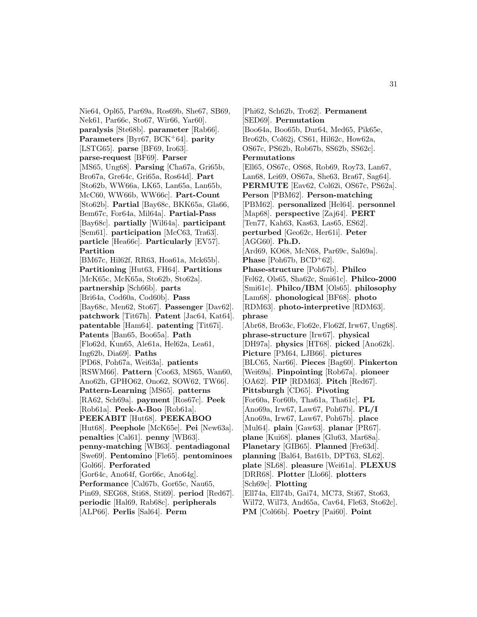Nie64, Opl65, Par69a, Ros69b, She67, SB69, Nek61, Par66c, Sto67, Wir66, Yar60]. **paralysis** [Ste68b]. **parameter** [Rab66]. **Parameters** [Byr67, BCK<sup>+</sup>64]. **parity** [LSTG65]. **parse** [BF69, Iro63]. **parse-request** [BF69]. **Parser** [MS65, Ung68]. **Parsing** [Cha67a, Gri65b, Bro67a, Gre64c, Gri65a, Ros64d]. **Part** [Sto62b, WW66a, LK65, Lan65a, Lan65b, McC60, WW66b, WW66c]. **Part-Count** [Sto62b]. **Partial** [Bay68c, BKK65a, Gla66, Bem67c, For64a, Mil64a]. **Partial-Pass** [Bay68c]. **partially** [Wil64a]. **participant** [Sem61]. **participation** [McC63, Tra63]. **particle** [Hea66c]. **Particularly** [EV57]. **Partition** [BM67c, Hil62f, RR63, Hoa61a, Mck65b]. **Partitioning** [Hut63, FH64]. **Partitions** [McK65c, McK65a, Sto62b, Sto62a]. **partnership** [Sch66b]. **parts** [Bri64a, Cod60a, Cod60b]. **Pass** [Bay68c, Men62, Sto67]. **Passenger** [Dav62]. **patchwork** [Tit67h]. **Patent** [Jac64, Kat64]. **patentable** [Ham64]. **patenting** [Tit67i]. **Patents** [Ban65, Boo65a]. **Path** [Flo62d, Kun65, Ale61a, Hel62a, Lea61, Ing62b, Dia69]. **Paths** [PD68, Poh67a, Wei63a]. **patients** [RSWM66]. **Pattern** [Coo63, MS65, Wan60, Ano62h, GPHO62, Ono62, SOW62, TW66]. **Pattern-Learning** [MS65]. **patterns** [RA62, Sch69a]. **payment** [Ros67c]. **Peek** [Rob61a]. **Peek-A-Boo** [Rob61a]. **PEEKABIT** [Hut68]. **PEEKABOO** [Hut68]. **Peephole** [McK65e]. **Pei** [New63a]. **penalties** [Cal61]. **penny** [WB63]. **penny-matching** [WB63]. **pentadiagonal** [Swe69]. **Pentomino** [Fle65]. **pentominoes** [Gol66]. **Perforated** [Gor64c, Ano64f, Gor66c, Ano64g]. **Performance** [Cal67b, Gor65c, Nau65, Pin69, SEG68, Sti68, Sti69]. **period** [Red67]. **periodic** [Hal69, Rab68c]. **peripherals** [ALP66]. **Perlis** [Sal64]. **Perm**

[Phi62, Sch62b, Tro62]. **Permanent** [SED69]. **Permutation** [Boo64a, Boo65b, Dur64, Med65, Pik65e, Bro62b, Col62j, CS61, Hil62c, How62a, OS67c, PS62b, Rob67b, SS62b, SS62c]. **Permutations** [Ell65, OS67c, OS68, Rob69, Roy73, Lan67, Lan68, Lei69, OS67a, She63, Bra67, Sag64]. **PERMUTE** [Eav62, Col62i, OS67c, PS62a]. **Person** [PBM62]. **Person-matching** [PBM62]. **personalized** [Hel64]. **personnel** [Map68]. **perspective** [Zaj64]. **PERT** [Ten77, Kah63, Kas63, Las65, ES62]. **perturbed** [Geo62c, Her61i]. **Peter** [AGG60]. **Ph.D.** [Ard69, KO68, McN68, Par69c, Sal69a]. **Phase** [Poh67b,  $BCD^{+}62$ ]. **Phase-structure** [Poh67b]. **Philco** [Fel62, Ols65, Sha62c, Smi61c]. **Philco-2000** [Smi61c]. **Philco/IBM** [Ols65]. **philosophy** [Lam68]. **phonological** [BF68]. **photo** [RDM63]. **photo-interpretive** [RDM63]. **phrase** [Abr68, Bro63c, Flo62e, Flo62f, Irw67, Ung68]. **phrase-structure** [Irw67]. **physical** [DH97a]. **physics** [HT68]. **picked** [Ano62k]. **Picture** [PM64, LJB66]. **pictures** [BLC65, Nar66]. **Pieces** [Bag60]. **Pinkerton** [Wei69a]. **Pinpointing** [Rob67a]. **pioneer** [OA62]. **PIP** [RDM63]. **Pitch** [Red67]. **Pittsburgh** [CD65]. **Pivoting** [For60a, For60b, Tha61a, Tha61c]. **PL** [Ano69a, Irw67, Law67, Poh67b]. **PL/I** [Ano69a, Irw67, Law67, Poh67b]. **place** [Mul64]. **plain** [Gaw63]. **planar** [PR67]. **plane** [Kui68]. **planes** [Glu63, Mar68a]. **Planetary** [GIB65]. **Planned** [Fre63d]. **planning** [Bal64, Bat61b, DPT63, SL62]. **plate** [SL68]. **pleasure** [Wei61a]. **PLEXUS** [DRR68]. **Plotter** [Llo66]. **plotters** [Sch69c]. **Plotting** [Ell74a, Ell74b, Gai74, MC73, Sti67, Sto63, Wil72, Wil73, And65a, Cav64, Fle63, Sto62c]. **PM** [Col66b]. **Poetry** [Pai60]. **Point**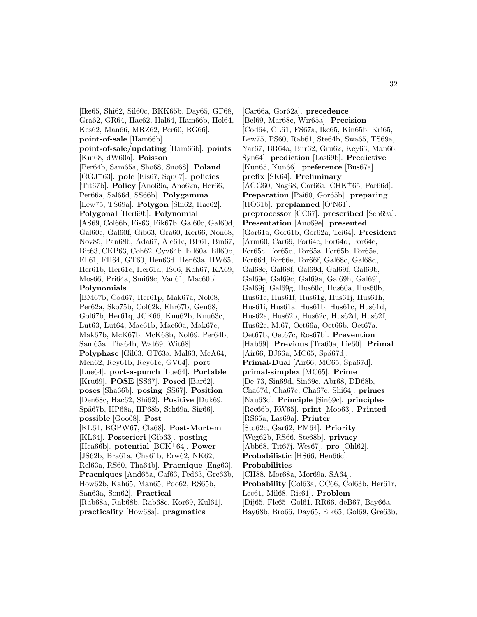[Ike65, Shi62, Sil60c, BKK65b, Day65, GF68, Gra62, GR64, Hac62, Hal64, Ham66b, Hol64, Kes62, Man66, MRZ62, Per60, RG66]. **point-of-sale** [Ham66b]. **point-of-sale/updating** [Ham66b]. **points** [Kui68, dW60a]. **Poisson** [Per64b, Sam65a, Sho68, Sno68]. **Poland** [GGJ<sup>+</sup>63]. **pole** [Eis67, Squ67]. **policies** [Tit67b]. **Policy** [Ano69a, Ano62n, Her66, Per66a, Sal66d, SS66b]. **Polygamma** [Lew75, TS69a]. **Polygon** [Shi62, Hac62]. **Polygonal** [Her69b]. **Polynomial** [AS69, Col66b, Eis63, Fik67b, Gal60c, Gal60d, Gal60e, Gal60f, Gib63, Gra60, Ker66, Non68, Nov85, Pan68b, Ada67, Ale61c, BF61, Bin67, Bit63, CKP63, Coh62, Cyv64b, Ell60a, Ell60b, Ell61, FH64, GT60, Hen63d, Hen63a, HW65, Her61b, Her61c, Her61d, IS66, Koh67, KA69, Mos66, Pri64a, Smi69c, Van61, Mac60b]. **Polynomials** [BM67b, Cod67, Her61p, Mak67a, Nol68, Per62a, Sko75b, Col62k, Ehr67b, Gen68, Gol67b, Her61q, JCK66, Knu62b, Knu63c, Lut63, Lut64, Mac61b, Mac60a, Mak67c, Mak67b, McK67b, McK68b, Nol69, Per64b, Sam65a, Tha64b, Wat69, Wit68]. **Polyphase** [Gil63, GT63a, Mal63, McA64, Men62, Rey61b, Rey61c, GV64]. **port** [Lue64]. **port-a-punch** [Lue64]. **Portable** [Kru69]. **POSE** [SS67]. **Posed** [Bar62]. **poses** [Sha66b]. **posing** [SS67]. **Position** [Den68c, Hac62, Shi62]. **Positive** [Duk69, Sp¨a67b, HP68a, HP68b, Sch69a, Sig66]. **possible** [Goo68]. **Post** [KL64, BGPW67, Cla68]. **Post-Mortem** [KL64]. **Posteriori** [Gib63]. **posting** [Hea66b]. **potential** [BCK<sup>+</sup>64]. **Power** [JS62b, Bra61a, Cha61b, Erw62, NK62, Rel63a, RS60, Tha64b]. **Pracnique** [Eng63]. **Pracniques** [And65a, Caf63, Fed63, Gre63b, How62b, Kah65, Man65, Poo62, RS65b, San63a, Son62]. **Practical** [Rab68a, Rab68b, Rab68c, Kor69, Kul61]. **practicality** [How68a]. **pragmatics**

[Car66a, Gor62a]. **precedence** [Bel69, Mar68c, Wir65a]. **Precision** [Cod64, CL61, FS67a, Ike65, Kin65b, Kri65, Lew75, PS60, Rab61, Ste64b, Swa65, TS69a, Yar67, BR64a, Bur62, Gru62, Key63, Man66, Syn64]. **prediction** [Las69b]. **Predictive** [Kun65, Kun66]. **preference** [Bus67a]. **prefix** [SK64]. **Preliminary** [AGG60, Nag68, Car66a, CHK<sup>+</sup>65, Par66d]. **Preparation** [Pai60, Gor65b]. **preparing** [HO61b]. **preplanned** [O'N61]. **preprocessor** [CC67]. **prescribed** [Sch69a]. **Presentation** [Ano69e]. **presented** [Gor61a, Gor61b, Gor62a, Tei64]. **President** [Arm60, Car69, For64c, For64d, For64e, For65c, For65d, For65a, For65b, For65e, For66d, For66e, For66f, Gal68c, Gal68d, Gal68e, Gal68f, Gal69d, Gal69f, Gal69b, Gal69e, Gal69c, Gal69a, Gal69h, Gal69i, Gal69j, Gal69g, Hus60c, Hus60a, Hus60b, Hus61e, Hus61f, Hus61g, Hus61j, Hus61h, Hus61i, Hus61a, Hus61b, Hus61c, Hus61d, Hus62a, Hus62b, Hus62c, Hus62d, Hus62f, Hus62e, M.67, Oet66a, Oet66b, Oet67a, Oet67b, Oet67c, Ros67b]. **Prevention** [Hab69]. **Previous** [Tra60a, Lie60]. **Primal**  $[Air66, BJ66a, MCG5, Spä67d].$ **Primal-Dual** [Air66, MC65, Spä67d]. **primal-simplex** [MC65]. **Prime** [De 73, Sin69d, Sin69c, Abr68, DD68b, Cha67d, Cha67c, Cha67e, Shi64]. **primes** [Nau63c]. **Principle** [Sin69c]. **principles** [Rec66b, RW65]. **print** [Moo63]. **Printed** [RS65a, Las69a]. **Printer** [Sto62c, Gar62, PM64]. **Priority** [Weg62b, RS66, Ste68b]. **privacy** [Abb68, Tit67j, Wes67]. **pro** [Ohl62]. **Probabilistic** [HS66, Hen66c]. **Probabilities** [CH88, Mor68a, Mor69a, SA64]. **Probability** [Col63a, CC66, Col63b, Her61r, Lec61, Mil68, Ris61]. **Problem** [Dij65, Fle65, Gol61, RR66, deB67, Bay66a, Bay68b, Bro66, Day65, Elk65, Gol69, Gre63b,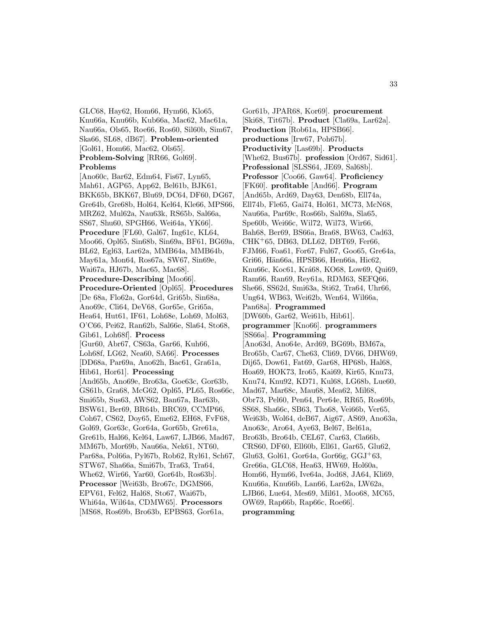GLC68, Hay62, Hom66, Hym66, Klo65, Knu66a, Knu66b, Kub66a, Mac62, Mac61a, Nau66a, Ols65, Roe66, Ros60, Sil60b, Sim67, Ska66, SL68, dB67]. **Problem-oriented** [Gol61, Hom66, Mac62, Ols65]. **Problem-Solving** [RR66, Gol69]. **Problems**

[Ano60c, Bar62, Edm64, Fis67, Lyn65, Mah61, AGP65, App62, Bel61b, BJK61, BKK65b, BKK67, Blu69, DC64, DF60, DG67, Gre64b, Gre68b, Hol64, Kel64, Kle66, MPS66, MRZ62, Mul62a, Nau63k, RS65b, Sal66a, SS67, Shu60, SPGH66, Wei64a, YK66]. **Procedure** [FL60, Gal67, Ing61c, KL64, Moo66, Opl65, Sin68b, Sin69a, BF61, BG69a, BL62, Egl63, Lar62a, MMB64a, MMB64b, May61a, Mon64, Ros67a, SW67, Sin69e, Wai67a, HJ67b, Mac65, Mac68]. **Procedure-Describing** [Moo66]. **Procedure-Oriented** [Opl65]. **Procedures** [De 68a, Flo62a, Gor64d, Gri65b, Sin68a, Ano69c, Cli64, DeV68, Gor65e, Gri65a, Hea64, Hut61, IF61, Loh68e, Loh69, Mol63, O'C66, Pei62, Ran62b, Sal66e, Sla64, Sto68, Gib61, Loh68f]. **Process** [Gur60, Abr67, CS63a, Gar66, Kuh66, Loh68f, LG62, Nea60, SA66]. **Processes** [DD68a, Par69a, Ano62h, Bac61, Gra61a, Hib61, Hor61]. **Processing** [And65b, Ano69e, Bro63a, Goe63c, Gor63b, GS61b, Gra68, McG62, Opl65, PL65, Ros66c, Smi65b, Sus63, AWS62, Ban67a, Bar63b, BSW61, Ber69, BR64b, BRC69, CCMP66, Coh67, CS62, Doy65, Eme62, EH68, FvF68, Gol69, Gor63c, Gor64a, Gor65b, Gre61a, Gre61b, Hal66, Kel64, Law67, LJB66, Mad67, MM67b, Mor69b, Nau66a, Nek61, NT60, Par68a, Pol66a, Pyl67b, Rob62, Ryl61, Sch67, STW67, Sha66a, Smi67b, Tra63, Tra64, Whe62, Wir66, Yar60, Gor64b, Ros63b]. **Processor** [Wei63b, Bro67c, DGMS66, EPV61, Fel62, Hal68, Sto67, Wai67b, Whi64a, Wil64a, CDMW65]. **Processors**

[MS68, Ros69b, Bro63b, EPBS63, Gor61a,

**Productivity** [Las69b]. **Products** [Whe62, Bus67b]. **profession** [Ord67, Sid61]. **Professional** [SLSS64, JE69, Sal68b]. **Professor** [Coo66, Gaw64]. **Proficiency** [FK60]. **profitable** [And66]. **Program** [And65b, Ard69, Day63, Den68b, Ell74a, Ell74b, Fle65, Gai74, Hol61, MC73, McN68, Nau66a, Par69c, Ros66b, Sal69a, Sla65, Spe60b, Wei66c, Wil72, Wil73, Wir66, Bah68, Ber69, BS66a, Bra68, BW63, Cad63, CHK<sup>+</sup>65, DB63, DLL62, DBT69, Fer66, FJM66, Foa61, For67, Ful67, Goo65, Gre64a, Gri66, Hän66a, HPSB66, Hen66a, Hic62, Knu66c, Koc61, Krá68, KO68, Low69, Qui69, Ram66, Ran69, Rey61a, RDM63, SEFQ66, She66, SS62d, Smi63a, Sti62, Tra64, Uhr66, Ung64, WB63, Wei62b, Wen64, Wil66a, Pan68a]. **Programmed** [DW60b, Gar62, Wei61b, Hib61]. **programmer** [Kno66]. **programmers** [SS66a]. **Programming** [Ano63d, Ano64e, Ard69, BG69b, BM67a, Bro65b, Car67, Che63, Cli69, DV66, DHW69, Dij65, Dow61, Fat69, Gar68, HP68b, Hal68, Hoa69, HOK73, Iro65, Kai69, Kir65, Knu73, Knu74, Knu92, KD71, Kul68, LG68b, Lue60, Mad67, Mar68c, Mau68, Mea62, Mil68, Obr73, Pel60, Pen64, Per64e, RR65, Ros69b, SS68, Sha66c, SB63, Tho68, Vei66b, Ver65, Wei63b, Wol64, deB67, Aig67, AS69, Ano63a, Ano63c, Aro64, Aye63, Bel67, Bel61a, Bro63b, Bro64b, CEL67, Car63, Cla66b, CRS60, DF60, Ell60b, Ell61, Gar65, Glu62, Glu63, Gol61, Gor64a, Gor66g, GGJ<sup>+</sup>63, Gre66a, GLC68, Hea63, HW69, Hol60a, Hom66, Hym66, Ive64a, Jod68, JA64, Kli69, Knu66a, Knu66b, Lan66, Lar62a, LW62a, LJB66, Lue64, Mes69, Mil61, Moo68, MC65, OW69, Rap66b, Rap66c, Roe66].

Gor61b, JPAR68, Kor69]. **procurement** [Ski68, Tit67b]. **Product** [Cla69a, Lar62a].

**Production** [Rob61a, HPSB66]. **productions** [Irw67, Poh67b].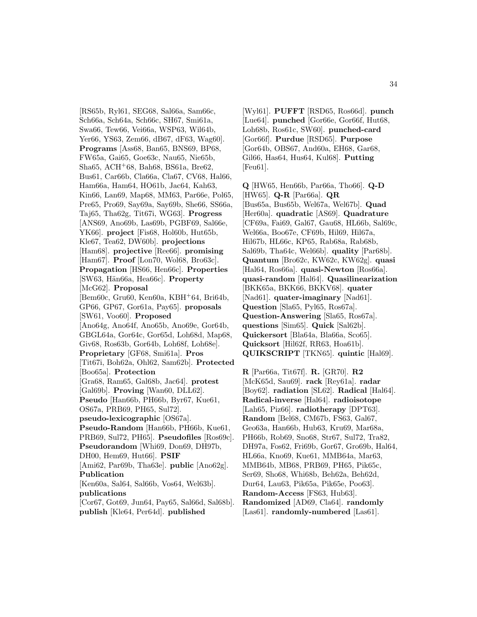[RS65b, Ryl61, SEG68, Sal66a, Sam66c, Sch66a, Sch64a, Sch66c, SH67, Smi61a, Swa66, Tew66, Vei66a, WSP63, Wil64b, Yer66, YS63, Zem66, dB67, dF63, Wag60]. **Programs** [Ass68, Ban65, BNS69, BP68, FW65a, Gai65, Goe63c, Nau65, Nie65b, Sha65, ACH<sup>+</sup>68, Bah68, BS61a, Bre62, Bus61, Car66b, Cla66a, Cla67, CV68, Hal66, Ham66a, Ham64, HO61b, Jac64, Kah63, Kin66, Lan69, Map68, MM63, Par66e, Pol65, Pre65, Pro69, Say69a, Say69b, She66, SS66a, Taj65, Tha62g, Tit67i, WG63]. **Progress** [ANS69, Ano69b, Las69b, PGBF69, Sal66e, YK66]. **project** [Fis68, Hol60b, Hut65b, Kle67, Tea62, DW60b]. **projections** [Ham68]. **projective** [Ree66]. **promising** [Ham67]. **Proof** [Lon70, Wol68, Bro63c]. **Propagation** [HS66, Hen66c]. **Properties** [SW63, H¨an66a, Hea66c]. **Property** [McG62]. **Proposal** [Bem60c, Gru60, Ken60a, KBH<sup>+</sup>64, Bri64b, GP66, GP67, Gor61a, Pay65]. **proposals** [SW61, Voo60]. **Proposed** [Ano64g, Ano64f, Ano65b, Ano69e, Gor64b, GBGL64a, Gor64c, Gor65d, Loh68d, Map68, Giv68, Ros63b, Gor64b, Loh68f, Loh68e]. **Proprietary** [GF68, Smi61a]. **Pros** [Tit67i, Boh62a, Ohl62, Sam62b]. **Protected** [Boo65a]. **Protection** [Gra68, Ram65, Gal68b, Jac64]. **protest** [Gal69b]. **Proving** [Wan60, DLL62]. **Pseudo** [Han66b, PH66b, Byr67, Kue61, OS67a, PRB69, PH65, Sul72]. **pseudo-lexicographic** [OS67a]. **Pseudo-Random** [Han66b, PH66b, Kue61, PRB69, Sul72, PH65]. **Pseudofiles** [Ros69c]. **Pseudorandom** [Whi69, Don69, DH97b, DH00, Hem69, Hut66]. **PSIF** [Ami62, Par69b, Tha63e]. **public** [Ano62g]. **Publication** [Ken60a, Sal64, Sal66b, Vos64, Wel63b]. **publications** [Cor67, Got69, Jun64, Pay65, Sal66d, Sal68b].

**publish** [Kle64, Per64d]. **published**

[Wyl61]. **PUFFT** [RSD65, Ros66d]. **punch** [Lue64]. **punched** [Gor66e, Gor66f, Hut68, Loh68b, Ros61c, SW60]. **punched-card** [Gor66f]. **Purdue** [RSD65]. **Purpose** [Gor64b, OBS67, And60a, EH68, Gar68, Gil66, Has64, Hus64, Kul68]. **Putting** [Feu61].

**Q** [HW65, Hen66b, Par66a, Tho66]. **Q-D** [HW65]. **Q-R** [Par66a]. **QR** [Bus65a, Bus65b, Wel67a, Wel67b]. **Quad** [Her60a]. **quadratic** [AS69]. **Quadrature** [CF69a, Fai69, Gal67, Gau68, HL66b, Sal69c, Wel66a, Boo67e, CF69b, Hil69, Hil67a, Hil67b, HL66c, KP65, Rab68a, Rab68b, Sal69b, Tha64c, Wel66b]. **quality** [Par68b]. **Quantum** [Bro62c, KW62c, KW62g]. **quasi** [Hal64, Ros66a]. **quasi-Newton** [Ros66a]. **quasi-random** [Hal64]. **Quasilinearization** [BKK65a, BKK66, BKKV68]. **quater** [Nad61]. **quater-imaginary** [Nad61]. **Question** [Sla65, Pyl65, Ros67a]. **Question-Answering** [Sla65, Ros67a]. **questions** [Sim65]. **Quick** [Sal62b]. **Quickersort** [Bla64a, Bla66a, Sco65]. **Quicksort** [Hil62f, RR63, Hoa61b]. **QUIKSCRIPT** [TKN65]. **quintic** [Hal69].

**R** [Par66a, Tit67f]. **R.** [GR70]. **R2** [McK65d, Sau69]. **rack** [Rey61a]. **radar** [Boy62]. **radiation** [SL62]. **Radical** [Hal64]. **Radical-inverse** [Hal64]. **radioisotope** [Lah65, Piz66]. **radiotherapy** [DPT63]. **Random** [Bel68, CM67b, FS63, Gal67, Geo63a, Han66b, Hub63, Kru69, Mar68a, PH66b, Rob69, Sno68, Str67, Sul72, Tra82, DH97a, Fos62, Fri69b, Gor67, Gro69b, Hal64, HL66a, Kno69, Kue61, MMB64a, Mar63, MMB64b, MB68, PRB69, PH65, Pik65c, Ser69, Sho68, Whi68b, Beh62a, Beh62d, Dur64, Lau63, Pik65a, Pik65e, Poo63]. **Random-Access** [FS63, Hub63]. **Randomized** [AD69, Cla64]. **randomly** [Las61]. **randomly-numbered** [Las61].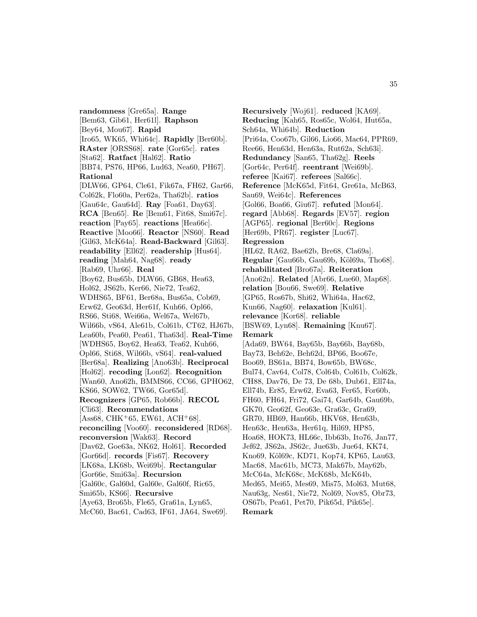**randomness** [Gre65a]. **Range** [Bem63, Gib61, Her61l]. **Raphson** [Bey64, Mou67]. **Rapid** [Iro65, WK65, Whi64c]. **Rapidly** [Ber60b]. **RAster** [ORSS68]. **rate** [Gor65c]. **rates** [Sta62]. **Ratfact** [Hal62]. **Ratio** [BB74, PS76, HP66, Lud63, Nea60, PH67]. **Rational** [DLW66, GP64, Cle61, Fik67a, FH62, Gar66, Col62k, Flo60a, Per62a, Tha62b]. **ratios** [Gau64c, Gau64d]. **Ray** [Foa61, Day63]. **RCA** [Ben65]. **Re** [Bem61, Fit68, Smi67c]. **reaction** [Pay65]. **reactions** [Hea66c]. **Reactive** [Moo66]. **Reactor** [NS60]. **Read** [Gil63, McK64a]. **Read-Backward** [Gil63]. **readability** [Ell62]. **readership** [Hus64]. **reading** [Mah64, Nag68]. **ready** [Rab69, Uhr66]. **Real** [Boy62, Bus65b, DLW66, GB68, Hea63, Hol62, JS62b, Ker66, Nie72, Tea62, WDHS65, BF61, Ber68a, Bus65a, Cob69, Erw62, Geo63d, Her61f, Kuh66, Opl66, RS66, Sti68, Wei66a, Wel67a, Wel67b, Wil66b, vS64, Ale61b, Col61b, CT62, HJ67b, Lea60b, Pea60, Pea61, Tha63d]. **Real-Time** [WDHS65, Boy62, Hea63, Tea62, Kuh66, Opl66, Sti68, Wil66b, vS64]. **real-valued** [Ber68a]. **Realizing** [Ano63b]. **Reciprocal** [Hol62]. **recoding** [Lon62]. **Recognition** [Wan60, Ano62h, BMMS66, CC66, GPHO62, KS66, SOW62, TW66, Gor65d]. **Recognizers** [GP65, Rob66b]. **RECOL** [Cli63]. **Recommendations**  $[Ass68, \text{CHK}^+ 65, \text{EW} 61, \text{ACH}^+ 68].$ **reconciling** [Voo60]. **reconsidered** [RD68]. **reconversion** [Wak63]. **Record** [Dav62, Goe63a, NK62, Hol61]. **Recorded** [Gor66d]. **records** [Fis67]. **Recovery** [LK68a, LK68b, Wei69b]. **Rectangular** [Gor66e, Smi63a]. **Recursion** [Gal60c, Gal60d, Gal60e, Gal60f, Ric65, Smi65b, KS66]. **Recursive** [Aye63, Bro65b, Fle65, Gra61a, Lyn65, McC60, Bac61, Cad63, IF61, JA64, Swe69].

**Recursively** [Woj61]. **reduced** [KA69]. **Reducing** [Kah65, Ros65c, Wol64, Hut65a, Sch64a, Whi64b]. **Reduction** [Pri64a, Coo67b, Gil66, Lio66, Mac64, PPR69, Ree66, Hen63d, Hen63a, Rut62a, Sch63i]. **Redundancy** [San65, Tha62g]. **Reels** [Gor64c, Per64f]. **reentrant** [Wei69b]. **referee** [Kai67]. **referees** [Sal66c]. **Reference** [McK65d, Fit64, Gre61a, McB63, Sau69, Wei64c]. **References** [Gol66, Boa66, Giu67]. **refuted** [Mon64]. **regard** [Abb68]. **Regards** [EV57]. **region** [AGP65]. **regional** [Ber60c]. **Regions** [Her69b, PR67]. **register** [Luc67]. **Regression** [HL62, RA62, Bae62b, Bre68, Cla69a]. **Regular** [Gau66b, Gau69b, Köl69a, Tho68]. **rehabilitated** [Bro67a]. **Reiteration** [Ano62n]. **Related** [Abr66, Lue60, Map68]. **relation** [Bou66, Swe69]. **Relative** [GP65, Ros67b, Shi62, Whi64a, Hac62, Kun66, Nag60]. **relaxation** [Kul61]. **relevance** [Kor68]. **reliable** [BSW69, Lyn68]. **Remaining** [Knu67]. **Remark** [Ada69, BW64, Bay65b, Bay66b, Bay68b, Bay73, Beh62e, Beh62d, BP66, Boo67e, Boo69, BS61a, BB74, Bow65b, BW68c, Bul74, Cav64, Col78, Col64b, Col61b, Col62k, CH88, Dav76, De 73, De 68b, Dub61, Ell74a, Ell74b, Er85, Erw62, Eva63, Fer65, For60b, FH60, FH64, Fri72, Gai74, Gar64b, Gau69b, GK70, Geo62f, Geo63e, Gra63c, Gra69, GR70, HB69, Han66b, HKV68, Hen63b, Hen63c, Hen63a, Her61q, Hil69, HP85, Hoa68, HOK73, HL66c, Ibb63b, Ito76, Jan77, Jef62, JS62a, JS62c, Jue63b, Jue64, KK74, Kno69, Köl69c, KD71, Kop74, KP65, Lau63, Mac68, Mac61b, MC73, Mak67b, May62b, McC64a, McK68c, McK68b, McK64b, Med65, Mei65, Mes69, Mis75, Mol63, Mut68, Nau63g, Nes61, Nie72, Nol69, Nov85, Obr73, OS67b, Pea61, Pet70, Pik65d, Pik65e]. **Remark**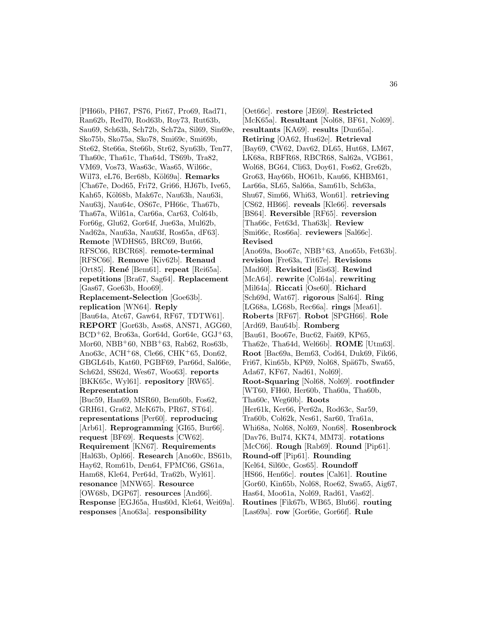[PH66b, PH67, PS76, Pit67, Pro69, Rad71, Ran62b, Red70, Rod63b, Roy73, Rut63b, Sau69, Sch63h, Sch72b, Sch72a, Sil69, Sin69e, Sko75b, Sko75a, Sko78, Smi69c, Smi69b, Ste62, Ste66a, Ste66b, Str62, Syn63b, Ten77, Tha60c, Tha61c, Tha64d, TS69b, Tra82, VM69, Vos73, Was63c, Was65, Wil66c, Wil73, eL76, Ber68b, Köl69a]. **Remarks** [Cha67e, Dod65, Fri72, Gri66, HJ67b, Ive65, Kah65, Köl68b, Mak67c, Nau63h, Nau63i. Nau63j, Nau64c, OS67c, PH66c, Tha67b, Tha67a, Wil61a, Car66a, Car63, Col64b, For66g, Glu62, Gor64f, Jue63a, Mul62b, Nad62a, Nau63a, Nau63f, Ros65a, dF63]. **Remote** [WDHS65, BRC69, But66, RFSC66, RBCR68]. **remote-terminal** [RFSC66]. **Remove** [Kiv62b]. **Renaud** [Ort85]. **René** [Bem61]. **repeat** [Rei65a]. **repetitions** [Bra67, Sag64]. **Replacement** [Gas67, Goe63b, Hoo69]. **Replacement-Selection** [Goe63b]. **replication** [WN64]. **Reply** [Bau64a, Atc67, Gaw64, RF67, TDTW61]. **REPORT** [Gor63b, Ass68, ANS71, AGG60,  $BCD+62$ , Bro $63a$ , Gor $64d$ , Gor $64e$ , GGJ $+63$ , Mor60, NBB<sup>+</sup>60, NBB<sup>+</sup>63, Rab62, Ros63b, Ano63c, ACH<sup>+</sup>68, Cle66, CHK<sup>+</sup>65, Don62, GBGL64b, Kat60, PGBF69, Par66d, Sal66e, Sch62d, SS62d, Wes67, Woo63]. **reports** [BKK65c, Wyl61]. **repository** [RW65]. **Representation** [Buc59, Han69, MSR60, Bem60b, Fos62, GRH61, Gra62, McK67b, PR67, ST64]. **representations** [Per60]. **reproducing** [Arb61]. **Reprogramming** [GI65, Bur66]. **request** [BF69]. **Requests** [CW62]. **Requirement** [KN67]. **Requirements** [Hal63b, Opl66]. **Research** [Ano60c, BS61b, Hay62, Rom61b, Den64, FPMC66, GS61a, Ham68, Kle64, Per64d, Tra62b, Wyl61]. **resonance** [MNW65]. **Resource** [OW68b, DGP67]. **resources** [And66]. **Response** [EGJ65a, Hus60d, Kle64, Wei69a]. **responses** [Ano63a]. **responsibility**

[Oet66c]. **restore** [JE69]. **Restricted** [McK65a]. **Resultant** [Nol68, BF61, Nol69]. **resultants** [KA69]. **results** [Dun65a]. **Retiring** [OA62, Hus62e]. **Retrieval** [Bay69, CW62, Dav62, DL65, Hut68, LM67, LK68a, RBFR68, RBCR68, Sal62a, VGB61, Wol68, BG64, Cli63, Doy61, Fos62, Gre62b, Gro63, Hay66b, HO61b, Kau66, KHBM61, Lar66a, SL65, Sal66a, Sam61b, Sch63a, Shu67, Sim66, Whi63, Won61]. **retrieving** [CS62, HB66]. **reveals** [Kle66]. **reversals** [BS64]. **Reversible** [RF65]. **reversion** [Tha66c, Fet63d, Tha63k]. **Review** [Smi66c, Ros66a]. **reviewers** [Sal66c]. **Revised**  $[Ano69a, Boo67c, NBB<sup>+</sup>63, Ano65b, Fet63b].$ **revision** [Fre63a, Tit67e]. **Revisions** [Mad60]. **Revisited** [Eis63]. **Rewind** [McA64]. **rewrite** [Col64a]. **rewriting** [Mil64a]. **Riccati** [Ose60]. **Richard** [Sch69d, Wat67]. **rigorous** [Sal64]. **Ring** [LG68a, LG68b, Rec66a]. **rings** [Mea61]. **Roberts** [RF67]. **Robot** [SPGH66]. **Role** [Ard69, Bau64b]. **Romberg** [Bau61, Boo67e, Buc62, Fai69, KP65, Tha62e, Tha64d, Wel66b]. **ROME** [Utm63]. **Root** [Bac69a, Bem63, Cod64, Duk69, Fik66, Fri67, Kin65b, KP69, Nol68, Spä67b, Swa65, Ada67, KF67, Nad61, Nol69]. **Root-Squaring** [Nol68, Nol69]. **rootfinder** [WT60, FH60, Her60b, Tha60a, Tha60b, Tha60c, Weg60b]. **Roots** [Her61k, Ker66, Per62a, Rod63c, Sar59, Tra60b, Col62k, Nes61, Sar60, Tra61a, Whi68a, Nol68, Nol69, Non68]. **Rosenbrock** [Dav76, Bul74, KK74, MM73]. **rotations** [McC66]. **Rough** [Rab69]. **Round** [Pip61]. **Round-off** [Pip61]. **Rounding** [Kel64, Sil60c, Gos65]. **Roundoff** [HS66, Hen66c]. **routes** [Cal61]. **Routine** [Gor60, Kin65b, Nol68, Roe62, Swa65, Aig67, Has64, Moo61a, Nol69, Rad61, Vas62]. **Routines** [Fik67b, WB65, Blu66]. **routing** [Las69a]. **row** [Gor66e, Gor66f]. **Rule**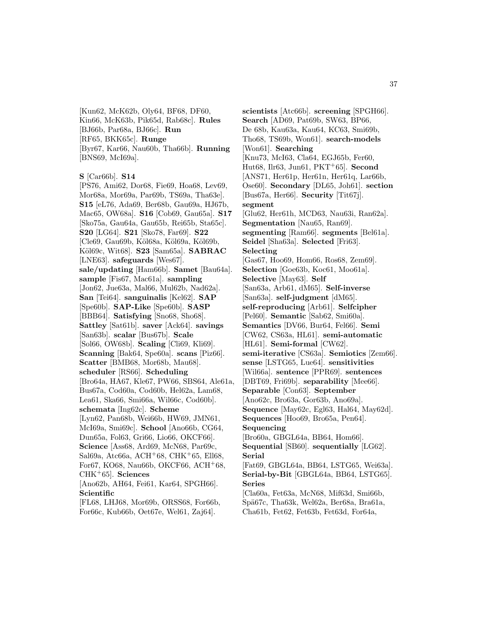[Kun62, McK62b, Oly64, BF68, DF60, Kin66, McK63b, Pik65d, Rab68c]. **Rules** [BJ66b, Par68a, BJ66c]. **Run** [RF65, BKK65c]. **Runge** [Byr67, Kar66, Nau60b, Tha66b]. **Running** [BNS69, McI69a].

```
S [Car66b]. S14
```
[PS76, Ami62, Dor68, Fie69, Hoa68, Lev69, Mor68a, Mor69a, Par69b, TS69a, Tha63e]. **S15** [eL76, Ada69, Ber68b, Gau69a, HJ67b, Mac65, OW68a]. **S16** [Cob69, Gau65a]. **S17** [Sko75a, Gau64a, Gau65b, Rei65b, Sta65c]. **S20** [LG64]. **S21** [Sko78, Far69]. **S22** [Cle69, Gau69b, Köl68a, Köl69a, Köl69b, K¨ol69c, Wit68]. **S23** [Sam65a]. **SABRAC** [LNE63]. **safeguards** [Wes67]. **sale/updating** [Ham66b]. **Samet** [Bau64a]. **sample** [Fis67, Mac61a]. **sampling** [Jon62, Jue63a, Mal66, Mul62b, Nad62a]. **San** [Tei64]. **sanguinalis** [Kel62]. **SAP** [Spe60b]. **SAP-Like** [Spe60b]. **SASP** [BBB64]. **Satisfying** [Sno68, Sho68]. **Sattley** [Sat61b]. **saver** [Ack64]. **savings** [San63b]. **scalar** [Bus67b]. **Scale** [Sol66, OW68b]. **Scaling** [Cli69, Kli69]. **Scanning** [Bak64, Spe60a]. **scans** [Piz66]. **Scatter** [BMB68, Mor68b, Mau68]. **scheduler** [RS66]. **Scheduling** [Bro64a, HA67, Kle67, PW66, SBS64, Ale61a, Bus67a, Cod60a, Cod60b, Hel62a, Lam68, Lea61, Ska66, Smi66a, Wil66c, Cod60b]. **schemata** [Ing62c]. **Scheme** [Lyn62, Pan68b, Wei66b, HW69, JMN61, McI69a, Smi69c]. **School** [Ano66b, CG64, Dun65a, Fol63, Gri66, Lio66, OKCF66]. **Science** [Ass68, Ard69, McN68, Par69c, Sal69a, Atc66a, ACH<sup>+</sup>68, CHK<sup>+</sup>65, Ell68, For67, KO68, Nau66b, OKCF66, ACH<sup>+</sup>68, CHK<sup>+</sup>65]. **Sciences** [Ano62b, AH64, Fei61, Kar64, SPGH66]. **Scientific** [FL68, LHJ68, Mor69b, ORSS68, For66b,

For66c, Kub66b, Oet67e, Wel61, Zaj64].

**scientists** [Atc66b]. **screening** [SPGH66]. **Search** [AD69, Pat69b, SW63, BP66, De 68b, Kau63a, Kau64, KC63, Smi69b, Tho68, TS69b, Won61]. **search-models** [Won61]. **Searching** [Knu73, McI63, Cla64, EGJ65b, Fer60, Hut68, Ilr63, Jun61, PKT<sup>+</sup>65]. **Second** [ANS71, Her61p, Her61n, Her61q, Lar66b, Ose60]. **Secondary** [DL65, Joh61]. **section** [Bus67a, Her66]. **Security** [Tit67j]. **segment** [Glu62, Her61h, MCD63, Nau63i, Ran62a]. **Segmentation** [Nau65, Ran69]. **segmenting** [Ram66]. **segments** [Bel61a]. **Seidel** [Sha63a]. **Selected** [Fri63]. **Selecting** [Gas67, Hoo69, Hom66, Ros68, Zem69]. **Selection** [Goe63b, Koc61, Moo61a]. **Selective** [May63]. **Self** [San63a, Arb61, dM65]. **Self-inverse** [San63a]. **self-judgment** [dM65]. **self-reproducing** [Arb61]. **Selfcipher** [Pel60]. **Semantic** [Sab62, Smi60a]. **Semantics** [DV66, Bur64, Fel66]. **Semi** [CW62, CS63a, HL61]. **semi-automatic** [HL61]. **Semi-formal** [CW62]. **semi-iterative** [CS63a]. **Semiotics** [Zem66]. **sense** [LSTG65, Lue64]. **sensitivities** [Wil66a]. **sentence** [PPR69]. **sentences** [DBT69, Fri69b]. **separability** [Mee66]. **Separable** [Con63]. **September** [Ano62c, Bro63a, Gor63b, Ano69a]. **Sequence** [May62c, Egl63, Hal64, May62d]. **Sequences** [Hoo69, Bro65a, Pen64]. **Sequencing** [Bro60a, GBGL64a, BB64, Hom66]. **Sequential** [SB60]. **sequentially** [LG62]. **Serial** [Fat69, GBGL64a, BB64, LSTG65, Wei63a]. **Serial-by-Bit** [GBGL64a, BB64, LSTG65]. **Series** [Cla60a, Fet63a, McN68, Mif63d, Smi66b, Spä67c, Tha63k, Wel62a, Ber68a, Bra61a, Cha61b, Fet62, Fet63b, Fet63d, For64a,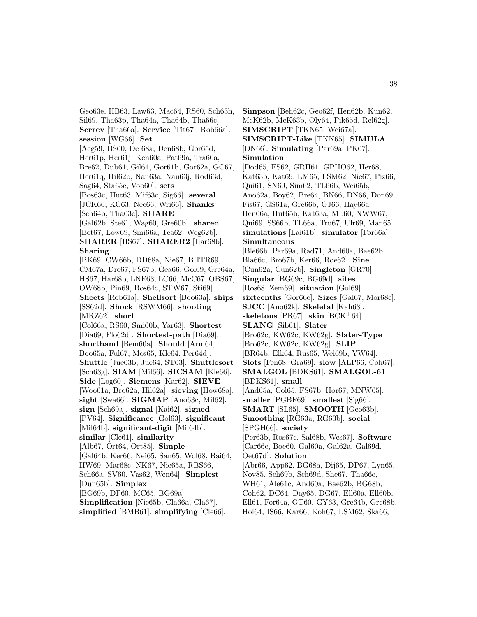Geo63e, HB63, Law63, Mac64, RS60, Sch63h, Sil69, Tha63p, Tha64a, Tha64b, Tha66c]. **Serrev** [Tha66a]. **Service** [Tit67l, Rob66a]. **session** [WG66]. **Set** [Aeg59, BS60, De 68a, Den68b, Gor65d, Her61p, Her61j, Ken60a, Pat69a, Tra60a, Bre62, Dub61, Gil61, Gor61b, Gor62a, GC67, Her61q, Hil62b, Nau63a, Nau63j, Rod63d, Sag64, Sta65c, Voo60]. **sets** [Bos63c, Hut63, Mif63c, Sig66]. **several** [JCK66, KC63, Nee66, Wri66]. **Shanks** [Sch64b, Tha63c]. **SHARE** [Gal62b, Ste61, Wag60, Gre60b]. **shared** [Bet67, Low69, Smi66a, Tea62, Weg62b]. **SHARER** [HS67]. **SHARER2** [Har68b]. **Sharing** [BK69, CW66b, DD68a, Nie67, BHTR69, CM67a, Dre67, FS67b, Gea66, Gol69, Gre64a, HS67, Har68b, LNE63, LC66, McC67, OBS67, OW68b, Pin69, Ros64c, STW67, Sti69]. **Sheets** [Rob61a]. **Shellsort** [Boo63a]. **ships** [SS62d]. **Shock** [RSWM66]. **shooting** [MRZ62]. **short** [Col66a, RS60, Smi60b, Yar63]. **Shortest** [Dia69, Flo62d]. **Shortest-path** [Dia69]. **shorthand** [Bem60a]. **Should** [Arm64, Boo65a, Ful67, Mos65, Kle64, Per64d]. **Shuttle** [Jue63b, Jue64, ST63]. **Shuttlesort** [Sch63g]. **SIAM** [Mil66]. **SICSAM** [Kle66]. **Side** [Log60]. **Siemens** [Kar62]. **SIEVE** [Woo61a, Bro62a, Hil62a]. **sieving** [How68a]. **sight** [Swa66]. **SIGMAP** [Ano63c, Mil62]. **sign** [Sch69a]. **signal** [Kai62]. **signed** [PV64]. **Significance** [Gol63]. **significant** [Mil64b]. **significant-digit** [Mil64b]. **similar** [Cle61]. **similarity** [Alb67, Ort64, Ort85]. **Simple** [Gal64b, Ker66, Nei65, San65, Wol68, Bai64, HW69, Mar68c, NK67, Nie65a, RBS66, Sch66a, SV60, Vas62, Wen64]. **Simplest** [Dun65b]. **Simplex** [BG69b, DF60, MC65, BG69a]. **Simplification** [Nie65b, Cla66a, Cla67]. **simplified** [BMB61]. **simplifying** [Cle66].

**Simpson** [Beh62c, Geo62f, Hen62b, Kun62, McK62b, McK63b, Oly64, Pik65d, Rel62g]. **SIMSCRIPT** [TKN65, Wei67a]. **SIMSCRIPT-Like** [TKN65]. **SIMULA** [DN66]. **Simulating** [Par69a, PK67]. **Simulation** [Dod65, FS62, GRH61, GPHO62, Her68, Kat63b, Kat69, LM65, LSM62, Nie67, Piz66, Qui61, SN69, Sim62, TL66b, Wei65b, Ano62a, Boy62, Bre64, BN66, DN66, Don69, Fis67, GS61a, Gre66b, GJ66, Hay66a, Hen66a, Hut65b, Kat63a, ML60, NWW67, Qui69, SS66b, TL66a, Tru67, Ulr69, Man65]. **simulations** [Lai61b]. **simulator** [For66a]. **Simultaneous** [Ble66b, Par69a, Rad71, And60a, Bae62b, Bla66c, Bro67b, Ker66, Roe62]. **Sine** [Cun62a, Cun62b]. **Singleton** [GR70]. **Singular** [BG69c, BG69d]. **sites** [Ros68, Zem69]. **situation** [Gol69]. **sixteenths** [Gor66c]. **Sizes** [Gal67, Mor68c]. **SJCC** [Ano62k]. **Skeletal** [Kah63]. **skeletons** [PR67]. **skin** [BCK+64]. **SLANG** [Sib61]. **Slater** [Bro62c, KW62c, KW62g]. **Slater-Type** [Bro62c, KW62c, KW62g]. **SLIP** [BR64b, Elk64, Rus65, Wei69b, YW64]. **Slots** [Fen68, Gra69]. **slow** [ALP66, Coh67]. **SMALGOL** [BDKS61]. **SMALGOL-61** [BDKS61]. **small** [And65a, Col65, FS67b, Hor67, MNW65]. **smaller** [PGBF69]. **smallest** [Sig66]. **SMART** [SL65]. **SMOOTH** [Geo63b]. **Smoothing** [RG63a, RG63b]. **social** [SPGH66]. **society** [Per63b, Ros67c, Sal68b, Wes67]. **Software** [Car66c, Boe60, Gal60a, Gal62a, Gal69d, Oet67d]. **Solution** [Abr66, App62, BG68a, Dij65, DP67, Lyn65, Nov85, Sch69b, Sch69d, She67, Tha66c, WH61, Ale61c, And60a, Bae62b, BG68b, Coh62, DC64, Day65, DG67, Ell60a, Ell60b, Ell61, For64a, GT60, GY63, Gre64b, Gre68b, Hol64, IS66, Kar66, Koh67, LSM62, Ska66,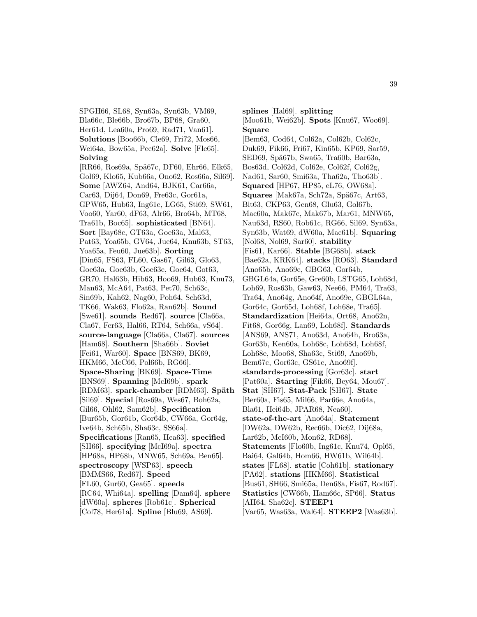SPGH66, SL68, Syn63a, Syn63b, VM69, Bla66c, Ble66b, Bro67b, BP68, Gra60, Her61d, Lea60a, Pro69, Rad71, Van61]. **Solutions** [Boo66b, Cle69, Fri72, Mos66, Wei64a, Bow65a, Pec62a]. **Solve** [Fle65]. **Solving** [RR66, Ros69a, Spä67c, DF60, Ehr66, Elk65, Gol69, Klo65, Kub66a, Ono62, Ros66a, Sil69]. **Some** [AWZ64, And64, BJK61, Car66a, Car63, Dij64, Don69, Fre63c, Gor61a, GPW65, Hub63, Ing61c, LG65, Sti69, SW61, Voo60, Yar60, dF63, Alr66, Bro64b, MT68, Tra61b, Boc65]. **sophisticated** [BN64]. **Sort** [Bay68c, GT63a, Goe63a, Mal63, Pat63, Yoa65b, GV64, Jue64, Knu63b, ST63, Yoa65a, Feu60, Jue63b]. **Sorting** [Din65, FS63, FL60, Gas67, Gil63, Glo63, Goe63a, Goe63b, Goe63c, Goe64, Got63, GR70, Hal63b, Hib63, Hoo69, Hub63, Knu73, Man63, McA64, Pat63, Pet70, Sch63c, Sin69b, Kah62, Nag60, Poh64, Sch63d, TK66, Wak63, Flo62a, Ran62b]. **Sound** [Swe61]. **sounds** [Red67]. **source** [Cla66a, Cla67, Fer63, Hal66, RT64, Sch66a, vS64]. **source-language** [Cla66a, Cla67]. **sources** [Ham68]. **Southern** [Sha66b]. **Soviet** [Fei61, War60]. **Space** [BNS69, BK69, HKM66, McC66, Pol66b, RG66]. **Space-Sharing** [BK69]. **Space-Time** [BNS69]. **Spanning** [McI69b]. **spark** [RDM63]. **spark-chamber** [RDM63]. **Späth** [Sil69]. **Special** [Ros69a, Wes67, Boh62a, Gil66, Ohl62, Sam62b]. **Specification** [Bur65b, Gor61b, Gor64b, CW66a, Gor64g, Ive64b, Sch65b, Sha63c, SS66a]. **Specifications** [Ran65, Hea63]. **specified** [SH66]. **specifying** [McI69a]. **spectra** [HP68a, HP68b, MNW65, Sch69a, Ben65]. **spectroscopy** [WSP63]. **speech** [BMMS66, Red67]. **Speed** [FL60, Gur60, Gea65]. **speeds** [RC64, Whi64a]. **spelling** [Dam64]. **sphere** [dW60a]. **spheres** [Rob61c]. **Spherical** [Col78, Her61a]. **Spline** [Blu69, AS69].

**splines** [Hal69]. **splitting** [Moo61b, Wei62b]. **Spots** [Knu67, Woo69]. **Square** [Bem63, Cod64, Col62a, Col62b, Col62c, Duk69, Fik66, Fri67, Kin65b, KP69, Sar59, SED69, Spä67b, Swa65, Tra60b, Bar63a, Bos63d, Col62d, Col62e, Col62f, Col62g, Nad61, Sar60, Smi63a, Tha62a, Tho63b]. **Squared** [HP67, HP85, eL76, OW68a]. **Squares** [Mak67a, Sch72a, Spä67c, Art63, Bit63, CKP63, Gen68, Glu63, Gol67b, Mac60a, Mak67c, Mak67b, Mar61, MNW65, Nau63d, RS60, Rob61c, RG66, Sil69, Syn63a, Syn63b, Wat69, dW60a, Mac61b]. **Squaring** [Nol68, Nol69, Sar60]. **stability** [Fis61, Kar66]. **Stable** [BG68b]. **stack** [Bae62a, KRK64]. **stacks** [RO63]. **Standard** [Ano65b, Ano69c, GBG63, Gor64b, GBGL64a, Gor65e, Gre60b, LSTG65, Loh68d, Loh69, Ros63b, Gaw63, Nee66, PM64, Tra63, Tra64, Ano64g, Ano64f, Ano69e, GBGL64a, Gor64c, Gor65d, Loh68f, Loh68e, Tra65]. **Standardization** [Hei64a, Ort68, Ano62n, Fit68, Gor66g, Lan69, Loh68f]. **Standards** [ANS69, ANS71, Ano63d, Ano64h, Bro63a, Gor63b, Ken60a, Loh68c, Loh68d, Loh68f, Loh68e, Moo68, Sha63c, Sti69, Ano69b, Bem67c, Gor63c, GS61c, Ano69f]. **standards-processing** [Gor63c]. **start** [Pat60a]. **Starting** [Fik66, Bey64, Mou67]. **Stat** [SH67]. **Stat-Pack** [SH67]. **State** [Ber60a, Fis65, Mil66, Par66e, Ano64a, Bla61, Hei64b, JPAR68, Nea60]. **state-of-the-art** [Ano64a]. **Statement** [DW62a, DW62b, Rec66b, Dic62, Dij68a, Lar62b, McI60b, Mon62, RD68]. **Statements** [Flo60b, Ing61c, Knu74, Opl65, Bai64, Gal64b, Hom66, HW61b, Wil64b]. **states** [FL68]. **static** [Coh61b]. **stationary** [PA62]. **stations** [HKM66]. **Statistical** [Bus61, SH66, Smi65a, Den68a, Fis67, Rod67]. **Statistics** [CW66b, Ham66c, SP66]. **Status** [AH64, Sha62c]. **STEEP1** [Var65, Was63a, Wal64]. **STEEP2** [Was63b].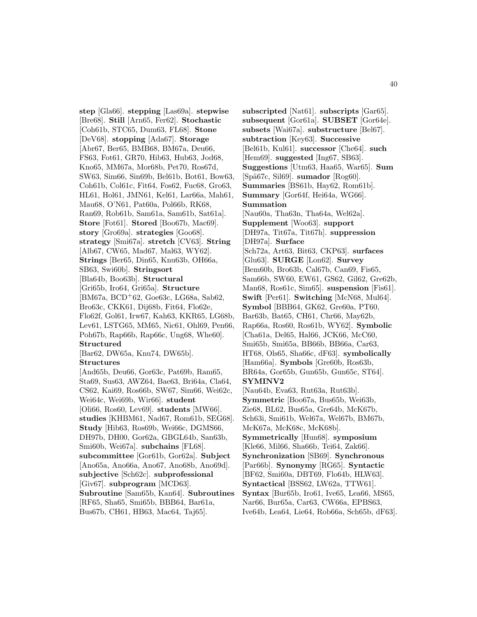**step** [Gla66]. **stepping** [Las69a]. **stepwise** [Bre68]. **Still** [Arn65, Fer62]. **Stochastic** [Coh61b, STC65, Dum63, FL68]. **Stone** [DeV68]. **stopping** [Ada67]. **Storage** [Abr67, Ber65, BMB68, BM67a, Deu66, FS63, Fot61, GR70, Hib63, Hub63, Jod68, Kno65, MM67a, Mor68b, Pet70, Ros67d, SW63, Sim66, Sin69b, Bel61b, Bot61, Bow63, Coh61b, Col61c, Fit64, Fos62, Fuc68, Gro63, HL61, Hol61, JMN61, Kel61, Lar66a, Mah61, Mau68, O'N61, Pat60a, Pol66b, RK68, Ran69, Rob61b, Sam61a, Sam61b, Sat61a]. **Store** [Fot61]. **Stored** [Boo67b, Mac69]. **story** [Gro69a]. **strategies** [Goo68]. **strategy** [Smi67a]. **stretch** [CV63]. **String** [Alb67, CW65, Mad67, Mal63, WY62]. **Strings** [Ber65, Din65, Knu63b, OH66a, SB63, Swi60b]. **Stringsort** [Bla64b, Boo63b]. **Structural** [Gri65b, Iro64, Gri65a]. **Structure** [BM67a, BCD<sup>+</sup>62, Goe63c, LG68a, Sab62, Bro63c, CKK61, Dij68b, Fit64, Flo62e, Flo62f, Gol61, Irw67, Kah63, KKR65, LG68b, Lev61, LSTG65, MM65, Nic61, Ohl69, Pen66, Poh67b, Rap66b, Rap66c, Ung68, Whe60]. **Structured** [Bar62, DW65a, Knu74, DW65b]. **Structures** [And65b, Deu66, Gor63c, Pat69b, Ram65, Sta69, Sus63, AWZ64, Bae63, Bri64a, Cla64, CS62, Kai69, Ros66b, SW67, Sim66, Wei62c, Wei64c, Wei69b, Wir66]. **student** [Oli66, Ros60, Lev69]. **students** [MW66]. **studies** [KHBM61, Nad67, Rom61b, SEG68]. **Study** [Hib63, Ros69b, Wei66c, DGMS66, DH97b, DH00, Gor62a, GBGL64b, San63b, Smi60b, Wei67a]. **subchains** [FL68]. **subcommittee** [Gor61b, Gor62a]. **Subject** [Ano65a, Ano66a, Ano67, Ano68b, Ano69d]. **subjective** [Sch62c]. **subprofessional** [Giv67]. **subprogram** [MCD63]. **Subroutine** [Sam65b, Kan64]. **Subroutines** [RF65, Sha65, Smi65b, BBB64, Bar61a, Bus67b, CH61, HB63, Mac64, Taj65].

**subscripted** [Nat61]. **subscripts** [Gar65]. **subsequent** [Gor61a]. **SUBSET** [Gor64e]. **subsets** [Wai67a]. **substructure** [Bel67]. **subtraction** [Key63]. **Successive** [Bel61b, Kul61]. **successor** [Che64]. **such** [Hem69]. **suggested** [Ing67, SB63]. **Suggestions** [Utm63, Haa65, War65]. **Sum** [Sp¨a67c, Sil69]. **sumador** [Rog60]. **Summaries** [BS61b, Hay62, Rom61b]. **Summary** [Gor64f, Hei64a, WG66]. **Summation** [Nau60a, Tha63n, Tha64a, Wel62a]. **Supplement** [Woo63]. **support** [DH97a, Tit67a, Tit67h]. **suppression** [DH97a]. **Surface** [Sch72a, Art63, Bit63, CKP63]. **surfaces** [Glu63]. **SURGE** [Lon62]. **Survey** [Bem60b, Bro63b, Cal67b, Can69, Fis65, Sam66b, SW60, EW61, GS62, Gil62, Gre62b, Man68, Ros61c, Sim65]. **suspension** [Fis61]. **Swift** [Per61]. **Switching** [McN68, Mul64]. **Symbol** [BBB64, GK62, Gre60a, PT60, Bar63b, Bat65, CH61, Chr66, May62b, Rap66a, Ros60, Ros61b, WY62]. **Symbolic** [Cha61a, Del65, Hal66, JCK66, McC60, Smi65b, Smi65a, BB66b, BB66a, Car63, HT68, Ols65, Sha66c, dF63]. **symbolically** [Ham66a]. **Symbols** [Gre60b, Ros63b, BR64a, Gor65b, Gun65b, Gun65c, ST64]. **SYMINV2** [Nau64b, Eva63, Rut63a, Rut63b]. **Symmetric** [Boo67a, Bus65b, Wei63b, Zie68, BL62, Bus65a, Gre64b, McK67b, Sch63i, Smi61b, Wel67a, Wel67b, BM67b, McK67a, McK68c, McK68b]. **Symmetrically** [Hun68]. **symposium** [Kle66, Mil66, Sha66b, Tei64, Zak66]. **Synchronization** [SB69]. **Synchronous** [Par66b]. **Synonymy** [RG65]. **Syntactic** [BF62, Smi60a, DBT69, Flo64b, HLW63]. **Syntactical** [BSS62, LW62a, TTW61].

**Syntax** [Bur65b, Iro61, Ive65, Lea66, MS65, Nar66, Bur65a, Car63, CW66a, EPBS63, Ive64b, Lea64, Lie64, Rob66a, Sch65b, dF63].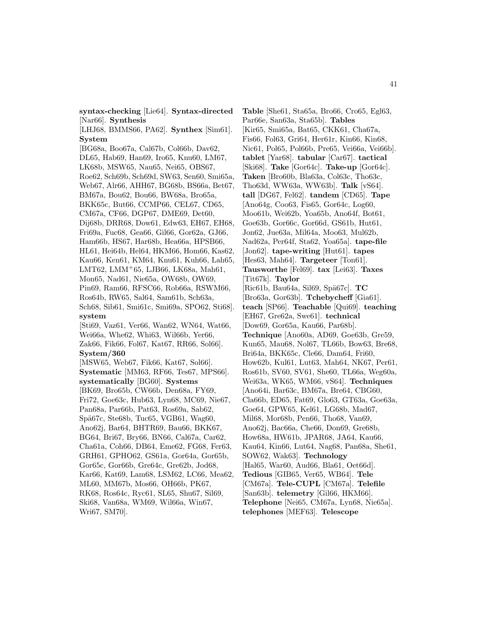**syntax-checking** [Lie64]. **Syntax-directed** [Nar66]. **Synthesis**

[LHJ68, BMMS66, PA62]. **Synthex** [Sim61]. **System**

[BG68a, Boo67a, Cal67b, Col66b, Dav62, DL65, Hab69, Han69, Iro65, Knu60, LM67, LK68b, MSW65, Nau65, Nei65, OBS67, Roe62, Sch69b, Sch69d, SW63, Sen60, Smi65a, Web67, Alr66, AHH67, BG68b, BS66a, Bet67, BM67a, Bou62, Bou66, BW68a, Bro65a, BKK65c, But66, CCMP66, CEL67, CD65, CM67a, CF66, DGP67, DME69, Det60, Dij68b, DRR68, Dow61, Edw63, EH67, EH68, Fri69a, Fuc68, Gea66, Gil66, Gor62a, GJ66, Ham66b, HS67, Har68b, Hea66a, HPSB66, HL61, Hei64b, Hel64, HKM66, Hom66, Kas62, Kau66, Ken61, KM64, Knu61, Kuh66, Lah65, LMT62, LMM<sup>+</sup>65, LJB66, LK68a, Mah61, Mon65, Nad61, Nie65a, OW68b, OW69, Pin69, Ram66, RFSC66, Rob66a, RSWM66, Ros64b, RW65, Sal64, Sam61b, Sch63a, Sch68, Sib61, Smi61c, Smi69a, SPO62, Sti68]. **system** [Sti69, Vaz61, Ver66, Wan62, WN64, Wat66, Wei66a, Whe62, Whi63, Wil66b, Yer66, Zak66, Fik66, Fol67, Kat67, RR66, Sol66]. **System/360** [MSW65, Web67, Fik66, Kat67, Sol66].

**Systematic** [MM63, RF66, Tes67, MPS66]. **systematically** [BG60]. **Systems** [BK69, Bro65b, CW66b, Den68a, FY69, Fri72, Goe63c, Hub63, Lyn68, MC69, Nie67, Pan68a, Par66b, Pat63, Ros69a, Sab62, Spä67c, Ste68b, Tuc65, VGB61, Wag60, Ano62j, Bar64, BHTR69, Bau66, BKK67, BG64, Bri67, Bry66, BN66, Cal67a, Car62, Cha61a, Coh66, DB64, Eme62, FG68, Fer63, GRH61, GPHO62, GS61a, Gor64a, Gor65b, Gor65c, Gor66b, Gre64c, Gre62b, Jod68, Kar66, Kat69, Lam68, LSM62, LC66, Mea62, ML60, MM67b, Mos66, OH66b, PK67, RK68, Ros64c, Ryc61, SL65, Shu67, Sil69, Ski68, Van68a, WM69, Wil66a, Win67, Wri67, SM70].

**Table** [She61, Sta65a, Bro66, Cro65, Egl63, Par66e, San63a, Sta65b]. **Tables** [Kir65, Smi65a, Bat65, CKK61, Cha67a, Fis66, Fol63, Gri64, Her61r, Kin66, Kin68, Nic61, Pol65, Pol66b, Pre65, Vei66a, Vei66b]. **tablet** [Yar68]. **tabular** [Car67]. **tactical** [Ski68]. **Take** [Gor64c]. **Take-up** [Gor64c]. **Taken** [Bro60b, Bla63a, Col63c, Tho63c, Tho63d, WW63a, WW63b]. **Talk** [vS64]. **tall** [DG67, Fel62]. **tandem** [CD65]. **Tape** [Ano64g, Coo63, Fis65, Gor64c, Log60, Moo61b, Wei62b, Yoa65b, Ano64f, Bot61, Goe63b, Gor66c, Gor66d, GS61b, Hut61, Jon62, Jue63a, Mil64a, Moo63, Mul62b, Nad62a, Per64f, Sta62, Yoa65a]. **tape-file** [Jon62]. **tape-writing** [Hut61]. **tapes** [Hes63, Mah64]. **Targeteer** [Ton61]. **Tausworthe** [Fel69]. **tax** [Lei63]. **Taxes** [Tit67k]. **Taylor** [Ric61b, Bau64a, Sil69, Sp¨a67c]. **TC** [Bro63a, Gor63b]. **Tchebycheff** [Gia61]. **teach** [SP66]. **Teachable** [Qui69]. **teaching** [EH67, Gre62a, Swe61]. **technical** [Dow69, Gor65a, Kau66, Par68b]. **Technique** [Ano60a, AD69, Goe63b, Gre59, Kun65, Mau68, Nol67, TL66b, Bow63, Bre68, Bri64a, BKK65c, Cle66, Dam64, Fri60, How62b, Kul61, Lut63, Mah64, NK67, Per61, Ros61b, SV60, SV61, She60, TL66a, Weg60a, Wei63a, WK65, WM66, vS64]. **Techniques** [Ano64i, Bar63c, BM67a, Bre64, CBG60, Cla66b, ED65, Fat69, Glo63, GT63a, Goe63a, Goe64, GPW65, Kel61, LG68b, Mad67, Mil68, Mor68b, Pen66, Tho68, Van69, Ano62j, Bac66a, Che66, Don69, Gre68b, How68a, HW61b, JPAR68, JA64, Kau66, Kau64, Kin66, Lut64, Nag68, Pan68a, She61, SOW62, Wak63]. **Technology** [Hal65, War60, Aud66, Bla61, Oet66d]. **Tedious** [GIB65, Ver65, WB64]. **Tele** [CM67a]. **Tele-CUPL** [CM67a]. **Telefile** [San63b]. **telemetry** [Gil66, HKM66]. **Telephone** [Nei65, CM67a, Lyn68, Nie65a]. **telephones** [MEF63]. **Telescope**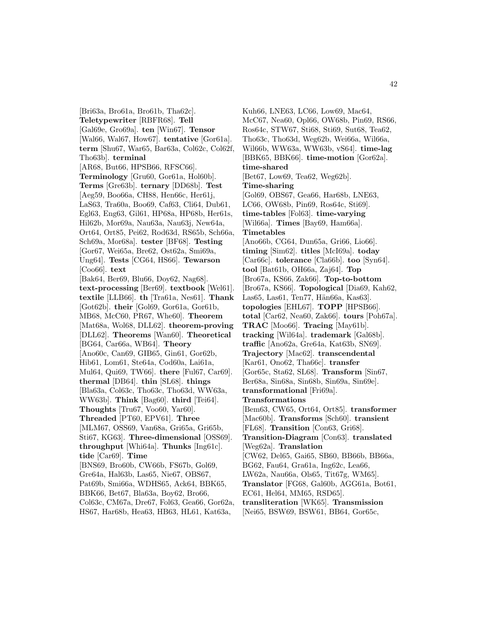[Bri63a, Bro61a, Bro61b, Tha62c]. **Teletypewriter** [RBFR68]. **Tell** [Gal69e, Gro69a]. **ten** [Win67]. **Tensor** [Wal66, Wal67, How67]. **tentative** [Gor61a]. **term** [Shu67, War65, Bar63a, Col62c, Col62f, Tho63b]. **terminal** [AR68, But66, HPSB66, RFSC66]. **Terminology** [Gru60, Gor61a, Hol60b]. **Terms** [Gre63b]. **ternary** [DD68b]. **Test** [Aeg59, Boo66a, CH88, Hen66c, Her61j, LaS63, Tra60a, Boo69, Caf63, Cli64, Dub61, Egl63, Eng63, Gil61, HP68a, HP68b, Her61s, Hil62b, Mor69a, Nau63a, Nau63j, New64a, Ort64, Ort85, Pei62, Rod63d, RS65b, Sch66a, Sch69a, Mor68a]. **tester** [BF68]. **Testing** [Gor67, Wei65a, Bre62, Ost62a, Smi69a, Ung64]. **Tests** [CG64, HS66]. **Tewarson** [Coo66]. **text** [Bak64, Ber69, Blu66, Doy62, Nag68]. **text-processing** [Ber69]. **textbook** [Wel61]. **textile** [LLB66]. **th** [Tra61a, Nes61]. **Thank** [Got62b]. **their** [Gol69, Gor61a, Gor61b, MB68, McC60, PR67, Whe60]. **Theorem** [Mat68a, Wol68, DLL62]. **theorem-proving** [DLL62]. **Theorems** [Wan60]. **Theoretical** [BG64, Car66a, WB64]. **Theory** [Ano60c, Can69, GIB65, Gin61, Gor62b, Hib61, Lom61, Ste64a, Cod60a, Lai61a, Mul64, Qui69, TW66]. **there** [Ful67, Car69]. **thermal** [DB64]. **thin** [SL68]. **things** [Bla63a, Col63c, Tho63c, Tho63d, WW63a, WW63b]. **Think** [Bag60]. **third** [Tei64]. **Thoughts** [Tru67, Voo60, Yar60]. **Threaded** [PT60, EPV61]. **Three** [MLM67, OSS69, Van68a, Gri65a, Gri65b, Sti67, KG63]. **Three-dimensional** [OSS69]. **throughput** [Whi64a]. **Thunks** [Ing61c]. **tide** [Car69]. **Time** [BNS69, Bro60b, CW66b, FS67b, Gol69, Gre64a, Hal63b, Las65, Nie67, OBS67, Pat69b, Smi66a, WDHS65, Ack64, BBK65, BBK66, Bet67, Bla63a, Boy62, Bro66, Col63c, CM67a, Dre67, Fol63, Gea66, Gor62a, HS67, Har68b, Hea63, HB63, HL61, Kat63a,

Kuh66, LNE63, LC66, Low69, Mac64, McC67, Nea60, Opl66, OW68b, Pin69, RS66, Ros64c, STW67, Sti68, Sti69, Sut68, Tea62, Tho63c, Tho63d, Weg62b, Wei66a, Wil66a, Wil66b, WW63a, WW63b, vS64]. **time-lag** [BBK65, BBK66]. **time-motion** [Gor62a]. **time-shared** [Bet67, Low69, Tea62, Weg62b]. **Time-sharing** [Gol69, OBS67, Gea66, Har68b, LNE63, LC66, OW68b, Pin69, Ros64c, Sti69]. **time-tables** [Fol63]. **time-varying** [Wil66a]. **Times** [Bay69, Ham66a]. **Timetables** [Ano66b, CG64, Dun65a, Gri66, Lio66]. **timing** [Sim62]. **titles** [McI69a]. **today** [Car66c]. **tolerance** [Cla66b]. **too** [Syn64]. **tool** [Bat61b, OH66a, Zaj64]. **Top** [Bro67a, KS66, Zak66]. **Top-to-bottom** [Bro67a, KS66]. **Topological** [Dia69, Kah62, Las65, Las61, Ten77, Hän66a, Kas63. **topologies** [EHL67]. **TOPP** [HPSB66]. **total** [Car62, Nea60, Zak66]. **tours** [Poh67a]. **TRAC** [Moo66]. **Tracing** [May61b]. **tracking** [Wil64a]. **trademark** [Gal68b]. **traffic** [Ano62a, Gre64a, Kat63b, SN69]. **Trajectory** [Mac62]. **transcendental** [Kar61, Ono62, Tha66c]. **transfer** [Gor65c, Sta62, SL68]. **Transform** [Sin67, Ber68a, Sin68a, Sin68b, Sin69a, Sin69e]. **transformational** [Fri69a]. **Transformations** [Bem63, CW65, Ort64, Ort85]. **transformer** [Mac60b]. **Transforms** [Sch60]. **transient** [FL68]. **Transition** [Con63, Gri68]. **Transition-Diagram** [Con63]. **translated** [Weg62a]. **Translation** [CW62, Del65, Gai65, SB60, BB66b, BB66a, BG62, Fau64, Gra61a, Ing62c, Lea66, LW62a, Nau66a, Ols65, Tit67g, WM65]. **Translator** [FG68, Gal60b, AGG61a, Bot61, EC61, Hel64, MM65, RSD65]. **transliteration** [WK65]. **Transmission** [Nei65, BSW69, BSW61, BB64, Gor65c,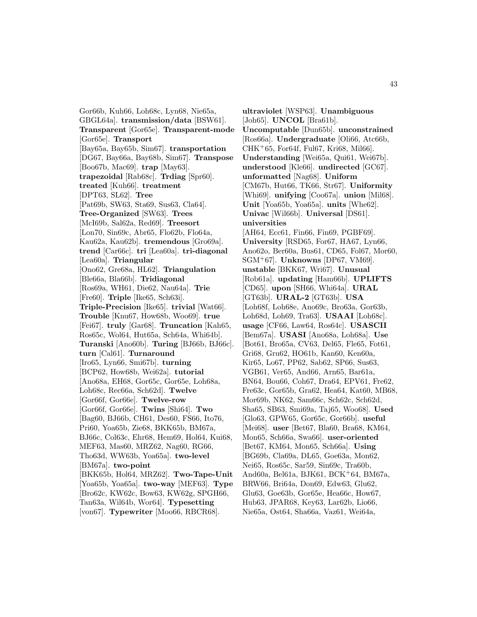Gor66b, Kuh66, Loh68c, Lyn68, Nie65a, GBGL64a]. **transmission/data** [BSW61]. **Transparent** [Gor65e]. **Transparent-mode** [Gor65e]. **Transport** [Bay65a, Bay65b, Sim67]. **transportation** [DG67, Bay66a, Bay68b, Sim67]. **Transpose** [Boo67b, Mac69]. **trap** [May63]. **trapezoidal** [Rab68c]. **Trdiag** [Spr60]. **treated** [Kuh66]. **treatment** [DPT63, SL62]. **Tree** [Pat69b, SW63, Sta69, Sus63, Cla64]. **Tree-Organized** [SW63]. **Trees** [McI69b, Sal62a, Red69]. **Treesort** [Lon70, Sin69c, Abr65, Flo62b, Flo64a, Kau62a, Kau62b]. **tremendous** [Gro69a]. **trend** [Car66c]. **tri** [Lea60a]. **tri-diagonal** [Lea60a]. **Triangular** [Ono62, Gre68a, HL62]. **Triangulation** [Ble66a, Bla66b]. **Tridiagonal** [Ros69a, WH61, Die62, Nau64a]. **Trie** [Fre60]. **Triple** [Ike65, Sch63i]. **Triple-Precision** [Ike65]. **trivial** [Wat66]. **Trouble** [Knu67, How68b, Woo69]. **true** [Fei67]. **truly** [Gar68]. **Truncation** [Kah65, Ros65c, Wol64, Hut65a, Sch64a, Whi64b]. **Turanski** [Ano60b]. **Turing** [BJ66b, BJ66c]. **turn** [Cal61]. **Turnaround** [Iro65, Lyn66, Smi67b]. **turning** [BCP62, How68b, Wei62a]. **tutorial** [Ano68a, EH68, Gor65c, Gor65e, Loh68a, Loh68c, Rec66a, Sch62d]. **Twelve** [Gor66f, Gor66e]. **Twelve-row** [Gor66f, Gor66e]. **Twins** [Shi64]. **Two** [Bag60, BJ66b, CH61, Des60, FS66, Ito76, Pri60, Yoa65b, Zie68, BKK65b, BM67a, BJ66c, Col63c, Ehr68, Hem69, Hol64, Kui68, MEF63, Mas60, MRZ62, Nag60, RG66, Tho63d, WW63b, Yoa65a]. **two-level** [BM67a]. **two-point** [BKK65b, Hol64, MRZ62]. **Two-Tape-Unit** [Yoa65b, Yoa65a]. **two-way** [MEF63]. **Type** [Bro62c, KW62c, Bow63, KW62g, SPGH66, Tan63a, Wil64b, Wor64]. **Typesetting** [von67]. **Typewriter** [Moo66, RBCR68].

**ultraviolet** [WSP63]. **Unambiguous** [Joh65]. **UNCOL** [Bra61b]. **Uncomputable** [Dun65b]. **unconstrained** [Ros66a]. **Undergraduate** [Oli66, Atc66b,  $CHK+65$ , For64f, Ful67, Kri68, Mil66. **Understanding** [Wei65a, Qui61, Wei67b]. **understood** [Kle66]. **undirected** [GC67]. **unformatted** [Nag68]. **Uniform** [CM67b, Hut66, TK66, Str67]. **Uniformity** [Whi69]. **unifying** [Coo67a]. **union** [Mil68]. **Unit** [Yoa65b, Yoa65a]. **units** [Whe62]. **Univac** [Wil66b]. **Universal** [DS61]. **universities** [AH64, Ecc61, Fin66, Fin69, PGBF69]. **University** [RSD65, For67, HA67, Lyn66, Ano62o, Ber60a, Bus61, CD65, Fol67, Mor60, SGM<sup>+</sup>67]. **Unknowns** [DP67, VM69]. **unstable** [BKK67, Wri67]. **Unusual** [Rob61a]. **updating** [Ham66b]. **UPLIFTS** [CD65]. **upon** [SH66, Whi64a]. **URAL** [GT63b]. **URAL-2** [GT63b]. **USA** [Loh68f, Loh68e, Ano69c, Bro63a, Gor63b, Loh68d, Loh69, Tra63]. **USAAI** [Loh68c]. **usage** [CF66, Law64, Ros64c]. **USASCII** [Bem67a]. **USASI** [Ano68a, Loh68a]. **Use** [Bot61, Bro65a, CV63, Del65, Fle65, Fot61, Gri68, Gru62, HO61b, Kan60, Ken60a, Kir65, Lo67, PP62, Sab62, SP66, Sus63, VGB61, Ver65, And66, Arn65, Bar61a, BN64, Bou66, Coh67, Dra64, EPV61, Fre62, Fre63c, Gor65b, Gra62, Hea64, Kat60, MB68, Mor69b, NK62, Sam66c, Sch62c, Sch62d, Sha65, SB63, Smi69a, Taj65, Woo68]. **Used** [Glo63, GPW65, Gor65c, Gor66b]. **useful** [Mei68]. **user** [Bet67, Bla60, Bra68, KM64, Mon65, Sch66a, Swa66]. **user-oriented** [Bet67, KM64, Mon65, Sch66a]. **Using** [BG69b, Cla69a, DL65, Goe63a, Mon62, Nei65, Ros65c, Sar59, Sin69c, Tra60b, And60a, Bel61a, BJK61, BCK<sup>+</sup>64, BM67a, BRW66, Bri64a, Don69, Edw63, Glu62, Glu63, Goe63b, Gor65e, Hea66c, How67, Hub63, JPAR68, Key63, Lar62b, Lio66, Nie65a, Ost64, Sha66a, Vaz61, Wei64a,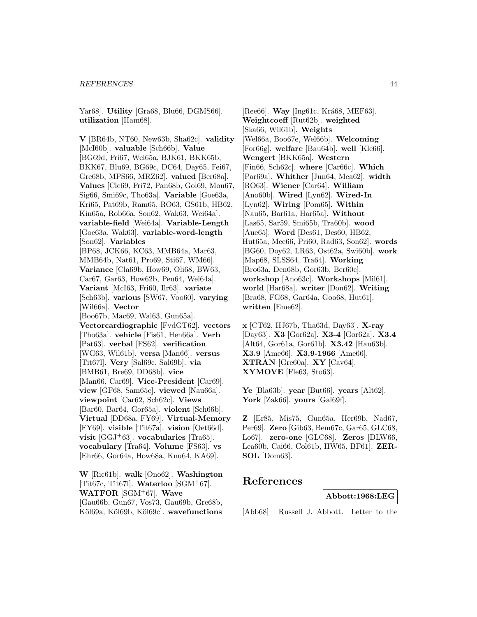Yar68]. **Utility** [Gra68, Blu66, DGMS66]. **utilization** [Ham68].

**V** [BR64b, NT60, New63b, Sha62c]. **validity** [McI60b]. **valuable** [Sch66b]. **Value** [BG69d, Fri67, Wei65a, BJK61, BKK65b, BKK67, Blu69, BG69c, DC64, Day65, Fei67, Gre68b, MPS66, MRZ62]. **valued** [Ber68a]. **Values** [Cle69, Fri72, Pan68b, Gol69, Mou67, Sig66, Smi69c, Tho63a]. **Variable** [Goe63a, Kri65, Pat69b, Ram65, RO63, GS61b, HB62, Kin65a, Rob66a, Son62, Wak63, Wei64a]. **variable-field** [Wei64a]. **Variable-Length** [Goe63a, Wak63]. **variable-word-length** [Son62]. **Variables** [BP68, JCK66, KC63, MMB64a, Mar63, MMB64b, Nat61, Pro69, Sti67, WM66]. **Variance** [Cla69b, How69, Oli68, BW63, Car67, Gar63, How62b, Pen64, Wel64a]. **Variant** [McI63, Fri60, Ilr63]. **variate** [Sch63b]. **various** [SW67, Voo60]. **varying** [Wil66a]. **Vector** [Boo67b, Mac69, Wal63, Gun65a]. **Vectorcardiographic** [FvdGT62]. **vectors** [Tho63a]. **vehicle** [Fis61, Hen66a]. **Verb** [Pat63]. **verbal** [FS62]. **verification** [WG63, Wil61b]. **versa** [Man66]. **versus** [Tit67l]. **Very** [Sal69c, Sal69b]. **via** [BMB61, Bre69, DD68b]. **vice** [Man66, Car69]. **Vice-President** [Car69]. **view** [GF68, Sam65c]. **viewed** [Nau66a]. **viewpoint** [Car62, Sch62c]. **Views** [Bar60, Bar64, Gor65a]. **violent** [Sch66b]. **Virtual** [DD68a, FY69]. **Virtual-Memory** [FY69]. **visible** [Tit67a]. **vision** [Oet66d]. **visit** [GGJ<sup>+</sup>63]. **vocabularies** [Tra65]. **vocabulary** [Tra64]. **Volume** [FS63]. **vs** [Ehr66, Gor64a, How68a, Knu64, KA69].

**W** [Ric61b]. **walk** [Ono62]. **Washington** [Tit67c, Tit67l]. **Waterloo** [SGM<sup>+</sup>67]. **WATFOR** [SGM<sup>+</sup>67]. **Wave** [Gau66b, Gun67, Vos73, Gau69b, Gre68b, Köl69a, Köl69b, Köl69c]. wavefunctions

[Ree66]. **Way** [Ing61c, Krá68, MEF63]. **Weightcoeff** [Rut62b]. **weighted** [Ska66, Wil61b]. **Weights** [Wel66a, Boo67e, Wel66b]. **Welcoming** [For66g]. **welfare** [Bau64b]. **well** [Kle66]. **Wengert** [BKK65a]. **Western** [Fin66, Sch62c]. **where** [Car66c]. **Which** [Par69a]. **Whither** [Jun64, Mea62]. **width** [RO63]. **Wiener** [Car64]. **William** [Ano60b]. **Wired** [Lyn62]. **Wired-In** [Lyn62]. **Wiring** [Pom65]. **Within** [Nau65, Bar61a, Har65a]. **Without** [Las65, Sar59, Smi65b, Tra60b]. **wood** [Aue65]. **Word** [Des61, Des60, HB62, Hut65a, Mee66, Pri60, Rad63, Son62]. **words** [BG60, Doy62, LR63, Ost62a, Swi60b]. **work** [Map68, SLSS64, Tra64]. **Working** [Bro63a, Den68b, Gor63b, Ber60c]. **workshop** [Ano63c]. **Workshops** [Mil61]. **world** [Har68a]. **writer** [Don62]. **Writing** [Bra68, FG68, Gar64a, Goo68, Hut61]. **written** [Eme62].

**x** [CT62, HJ67b, Tha63d, Day63]. **X-ray** [Day63]. **X3** [Gor62a]. **X3-4** [Gor62a]. **X3.4** [Alt64, Gor61a, Gor61b]. **X3.42** [Hau63b]. **X3.9** [Ame66]. **X3.9-1966** [Ame66]. **XTRAN** [Gre60a]. **XY** [Cav64]. **XYMOVE** [Fle63, Sto63].

**Ye** [Bla63b]. **year** [But66]. **years** [Alt62]. **York** [Zak66]. **yours** [Gal69f].

**Z** [Er85, Mis75, Gun65a, Her69b, Nad67, Per69]. **Zero** [Gib63, Bem67c, Gar65, GLC68, Lo67]. **zero-one** [GLC68]. **Zeros** [DLW66, Lea60b, Cai66, Col61b, HW65, BF61]. **ZER-SOL** [Dom63].

# **References**

**Abbott:1968:LEG**

[Abb68] Russell J. Abbott. Letter to the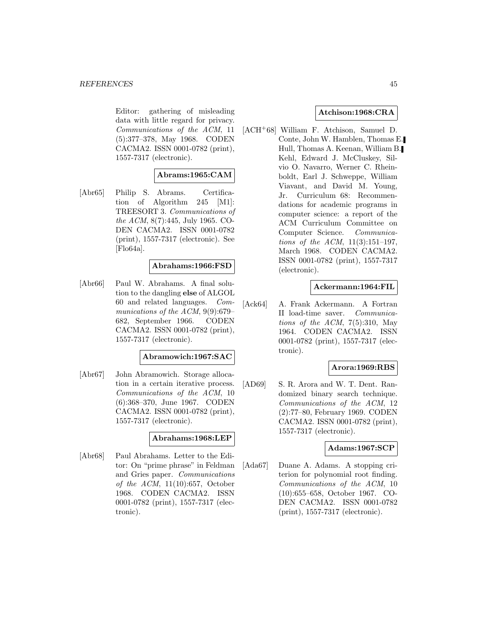Editor: gathering of misleading data with little regard for privacy. Communications of the ACM, 11 (5):377–378, May 1968. CODEN CACMA2. ISSN 0001-0782 (print), 1557-7317 (electronic).

# **Abrams:1965:CAM**

[Abr65] Philip S. Abrams. Certification of Algorithm 245 [M1]: TREESORT 3. Communications of the ACM, 8(7):445, July 1965. CO-DEN CACMA2. ISSN 0001-0782 (print), 1557-7317 (electronic). See [Flo64a].

# **Abrahams:1966:FSD**

[Abr66] Paul W. Abrahams. A final solution to the dangling **else** of ALGOL 60 and related languages. Communications of the ACM, 9(9):679– 682, September 1966. CODEN CACMA2. ISSN 0001-0782 (print), 1557-7317 (electronic).

#### **Abramowich:1967:SAC**

[Abr67] John Abramowich. Storage allocation in a certain iterative process. Communications of the ACM, 10 (6):368–370, June 1967. CODEN CACMA2. ISSN 0001-0782 (print), 1557-7317 (electronic).

### **Abrahams:1968:LEP**

[Abr68] Paul Abrahams. Letter to the Editor: On "prime phrase" in Feldman and Gries paper. Communications of the ACM, 11(10):657, October 1968. CODEN CACMA2. ISSN 0001-0782 (print), 1557-7317 (electronic).

### **Atchison:1968:CRA**

[ACH<sup>+</sup>68] William F. Atchison, Samuel D. Conte, John W. Hamblen, Thomas E. Hull, Thomas A. Keenan, William B. Kehl, Edward J. McCluskey, Silvio O. Navarro, Werner C. Rheinboldt, Earl J. Schweppe, William Viavant, and David M. Young, Jr. Curriculum 68: Recommendations for academic programs in computer science: a report of the ACM Curriculum Committee on Computer Science. Communications of the ACM, 11(3):151–197, March 1968. CODEN CACMA2. ISSN 0001-0782 (print), 1557-7317 (electronic).

## **Ackermann:1964:FIL**

[Ack64] A. Frank Ackermann. A Fortran II load-time saver. Communications of the ACM,  $7(5):310$ , May 1964. CODEN CACMA2. ISSN 0001-0782 (print), 1557-7317 (electronic).

# **Arora:1969:RBS**

[AD69] S. R. Arora and W. T. Dent. Randomized binary search technique. Communications of the ACM, 12 (2):77–80, February 1969. CODEN CACMA2. ISSN 0001-0782 (print), 1557-7317 (electronic).

### **Adams:1967:SCP**

[Ada67] Duane A. Adams. A stopping criterion for polynomial root finding. Communications of the ACM, 10 (10):655–658, October 1967. CO-DEN CACMA2. ISSN 0001-0782 (print), 1557-7317 (electronic).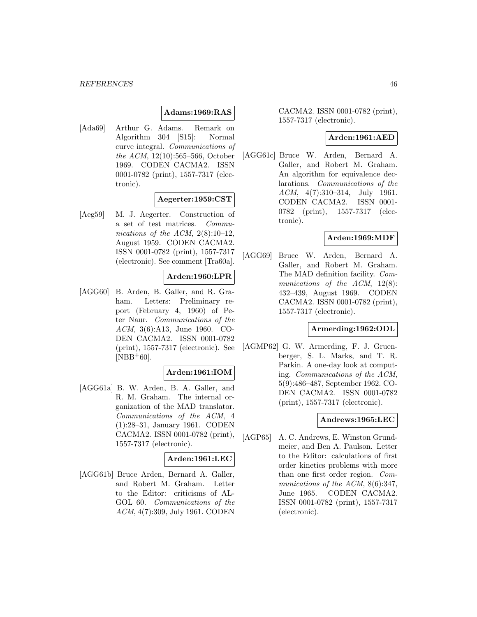## **Adams:1969:RAS**

[Ada69] Arthur G. Adams. Remark on Algorithm 304 [S15]: Normal curve integral. Communications of the ACM, 12(10):565–566, October 1969. CODEN CACMA2. ISSN 0001-0782 (print), 1557-7317 (electronic).

### **Aegerter:1959:CST**

[Aeg59] M. J. Aegerter. Construction of a set of test matrices. Communications of the ACM,  $2(8):10-12$ , August 1959. CODEN CACMA2. ISSN 0001-0782 (print), 1557-7317 (electronic). See comment [Tra60a].

### **Arden:1960:LPR**

[AGG60] B. Arden, B. Galler, and R. Graham. Letters: Preliminary report (February 4, 1960) of Peter Naur. Communications of the ACM, 3(6):A13, June 1960. CO-DEN CACMA2. ISSN 0001-0782 (print), 1557-7317 (electronic). See  $[NBB+60]$ .

### **Arden:1961:IOM**

[AGG61a] B. W. Arden, B. A. Galler, and R. M. Graham. The internal organization of the MAD translator. Communications of the ACM, 4 (1):28–31, January 1961. CODEN CACMA2. ISSN 0001-0782 (print), 1557-7317 (electronic).

### **Arden:1961:LEC**

[AGG61b] Bruce Arden, Bernard A. Galler, and Robert M. Graham. Letter to the Editor: criticisms of AL-GOL 60. *Communications of the* ACM, 4(7):309, July 1961. CODEN

# CACMA2. ISSN 0001-0782 (print), 1557-7317 (electronic).

## **Arden:1961:AED**

[AGG61c] Bruce W. Arden, Bernard A. Galler, and Robert M. Graham. An algorithm for equivalence declarations. Communications of the ACM, 4(7):310–314, July 1961. CODEN CACMA2. ISSN 0001- 0782 (print), 1557-7317 (electronic).

### **Arden:1969:MDF**

[AGG69] Bruce W. Arden, Bernard A. Galler, and Robert M. Graham. The MAD definition facility. Communications of the  $ACM$ , 12(8): 432–439, August 1969. CODEN CACMA2. ISSN 0001-0782 (print), 1557-7317 (electronic).

## **Armerding:1962:ODL**

[AGMP62] G. W. Armerding, F. J. Gruenberger, S. L. Marks, and T. R. Parkin. A one-day look at computing. Communications of the ACM, 5(9):486–487, September 1962. CO-DEN CACMA2. ISSN 0001-0782 (print), 1557-7317 (electronic).

#### **Andrews:1965:LEC**

[AGP65] A. C. Andrews, E. Winston Grundmeier, and Ben A. Paulson. Letter to the Editor: calculations of first order kinetics problems with more than one first order region. Communications of the ACM, 8(6):347, June 1965. CODEN CACMA2. ISSN 0001-0782 (print), 1557-7317 (electronic).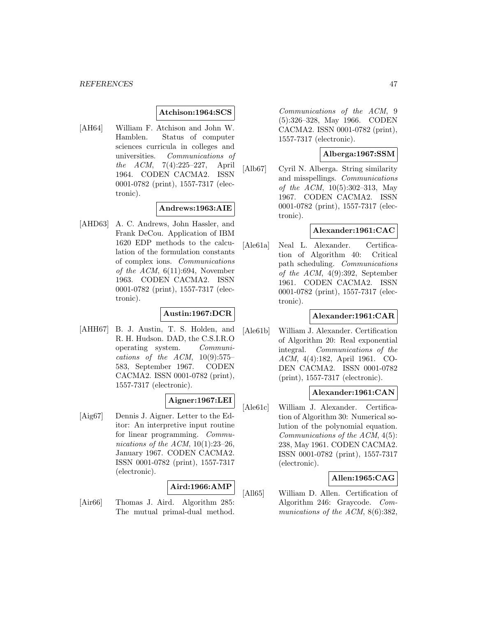#### **Atchison:1964:SCS**

[AH64] William F. Atchison and John W. Hamblen. Status of computer sciences curricula in colleges and universities. Communications of the ACM, 7(4):225–227, April 1964. CODEN CACMA2. ISSN 0001-0782 (print), 1557-7317 (electronic).

# **Andrews:1963:AIE**

[AHD63] A. C. Andrews, John Hassler, and Frank DeCou. Application of IBM 1620 EDP methods to the calculation of the formulation constants of complex ions. Communications of the ACM,  $6(11):694$ , November 1963. CODEN CACMA2. ISSN 0001-0782 (print), 1557-7317 (electronic).

### **Austin:1967:DCR**

[AHH67] B. J. Austin, T. S. Holden, and R. H. Hudson. DAD, the C.S.I.R.O operating system. Communications of the  $ACM$ ,  $10(9):575-$ 583, September 1967. CODEN CACMA2. ISSN 0001-0782 (print), 1557-7317 (electronic).

# **Aigner:1967:LEI**

[Aig67] Dennis J. Aigner. Letter to the Editor: An interpretive input routine for linear programming. Communications of the ACM,  $10(1):23-26$ , January 1967. CODEN CACMA2. ISSN 0001-0782 (print), 1557-7317 (electronic).

### **Aird:1966:AMP**

[Air66] Thomas J. Aird. Algorithm 285: The mutual primal-dual method.

Communications of the ACM, 9 (5):326–328, May 1966. CODEN CACMA2. ISSN 0001-0782 (print), 1557-7317 (electronic).

# **Alberga:1967:SSM**

[Alb67] Cyril N. Alberga. String similarity and misspellings. Communications of the ACM, 10(5):302–313, May 1967. CODEN CACMA2. ISSN 0001-0782 (print), 1557-7317 (electronic).

#### **Alexander:1961:CAC**

[Ale61a] Neal L. Alexander. Certification of Algorithm 40: Critical path scheduling. Communications of the ACM, 4(9):392, September 1961. CODEN CACMA2. ISSN 0001-0782 (print), 1557-7317 (electronic).

#### **Alexander:1961:CAR**

[Ale61b] William J. Alexander. Certification of Algorithm 20: Real exponential integral. Communications of the ACM, 4(4):182, April 1961. CO-DEN CACMA2. ISSN 0001-0782 (print), 1557-7317 (electronic).

#### **Alexander:1961:CAN**

[Ale61c] William J. Alexander. Certification of Algorithm 30: Numerical solution of the polynomial equation. Communications of the ACM, 4(5): 238, May 1961. CODEN CACMA2. ISSN 0001-0782 (print), 1557-7317 (electronic).

### **Allen:1965:CAG**

[All65] William D. Allen. Certification of Algorithm 246: Graycode. Communications of the ACM, 8(6):382,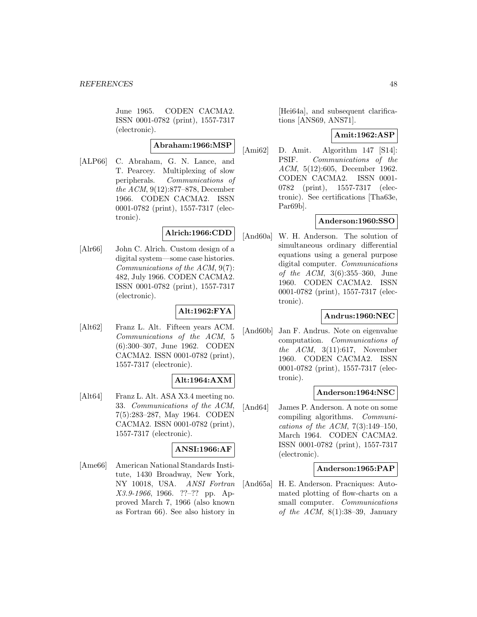June 1965. CODEN CACMA2. ISSN 0001-0782 (print), 1557-7317 (electronic).

# **Abraham:1966:MSP**

[ALP66] C. Abraham, G. N. Lance, and T. Pearcey. Multiplexing of slow peripherals. Communications of the ACM, 9(12):877–878, December 1966. CODEN CACMA2. ISSN 0001-0782 (print), 1557-7317 (electronic).

# **Alrich:1966:CDD**

[Alr66] John C. Alrich. Custom design of a digital system—some case histories. Communications of the ACM, 9(7): 482, July 1966. CODEN CACMA2. ISSN 0001-0782 (print), 1557-7317 (electronic).

# **Alt:1962:FYA**

[Alt62] Franz L. Alt. Fifteen years ACM. Communications of the ACM, 5 (6):300–307, June 1962. CODEN CACMA2. ISSN 0001-0782 (print), 1557-7317 (electronic).

# **Alt:1964:AXM**

[Alt64] Franz L. Alt. ASA X3.4 meeting no. 33. Communications of the ACM, 7(5):283–287, May 1964. CODEN CACMA2. ISSN 0001-0782 (print), 1557-7317 (electronic).

# **ANSI:1966:AF**

[Ame66] American National Standards Institute, 1430 Broadway, New York, NY 10018, USA. ANSI Fortran X3.9-1966, 1966. ??–?? pp. Approved March 7, 1966 (also known as Fortran 66). See also history in

[Hei64a], and subsequent clarifications [ANS69, ANS71].

### **Amit:1962:ASP**

[Ami62] D. Amit. Algorithm 147 [S14]: PSIF. Communications of the ACM, 5(12):605, December 1962. CODEN CACMA2. ISSN 0001- 0782 (print), 1557-7317 (electronic). See certifications [Tha63e, Par69b].

# **Anderson:1960:SSO**

[And60a] W. H. Anderson. The solution of simultaneous ordinary differential equations using a general purpose digital computer. Communications of the ACM, 3(6):355–360, June 1960. CODEN CACMA2. ISSN 0001-0782 (print), 1557-7317 (electronic).

### **Andrus:1960:NEC**

[And60b] Jan F. Andrus. Note on eigenvalue computation. Communications of the  $ACM$ ,  $3(11):617$ , November 1960. CODEN CACMA2. ISSN 0001-0782 (print), 1557-7317 (electronic).

### **Anderson:1964:NSC**

[And64] James P. Anderson. A note on some compiling algorithms. Communications of the ACM,  $7(3):149-150$ , March 1964. CODEN CACMA2. ISSN 0001-0782 (print), 1557-7317 (electronic).

#### **Anderson:1965:PAP**

[And65a] H. E. Anderson. Pracniques: Automated plotting of flow-charts on a small computer. *Communications* of the ACM,  $8(1):38-39$ , January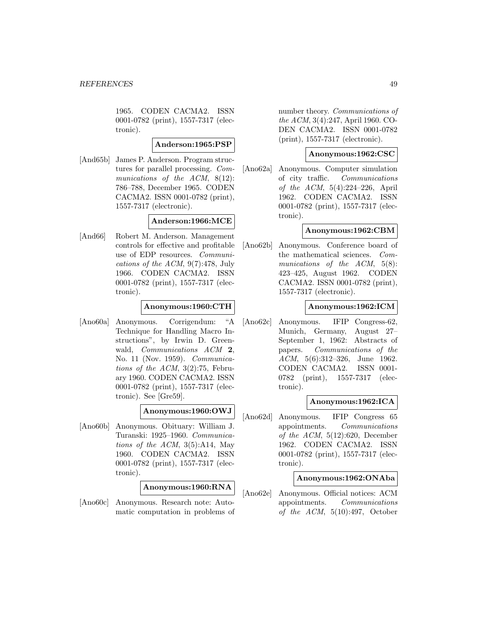1965. CODEN CACMA2. ISSN 0001-0782 (print), 1557-7317 (electronic).

## **Anderson:1965:PSP**

[And65b] James P. Anderson. Program structures for parallel processing. Communications of the ACM, 8(12): 786–788, December 1965. CODEN CACMA2. ISSN 0001-0782 (print), 1557-7317 (electronic).

### **Anderson:1966:MCE**

[And66] Robert M. Anderson. Management controls for effective and profitable use of EDP resources. Communications of the ACM, 9(7):478, July 1966. CODEN CACMA2. ISSN 0001-0782 (print), 1557-7317 (electronic).

# **Anonymous:1960:CTH**

[Ano60a] Anonymous. Corrigendum: "A Technique for Handling Macro Instructions", by Irwin D. Greenwald, Communications ACM **2**, No. 11 (Nov. 1959). Communications of the ACM,  $3(2)$ :75, February 1960. CODEN CACMA2. ISSN 0001-0782 (print), 1557-7317 (electronic). See [Gre59].

### **Anonymous:1960:OWJ**

[Ano60b] Anonymous. Obituary: William J. Turanski: 1925–1960. Communications of the  $ACM$ ,  $3(5)$ :A14, May 1960. CODEN CACMA2. ISSN 0001-0782 (print), 1557-7317 (electronic).

### **Anonymous:1960:RNA**

[Ano60c] Anonymous. Research note: Automatic computation in problems of number theory. Communications of the ACM, 3(4):247, April 1960. CO-DEN CACMA2. ISSN 0001-0782 (print), 1557-7317 (electronic).

# **Anonymous:1962:CSC**

[Ano62a] Anonymous. Computer simulation of city traffic. Communications of the ACM, 5(4):224–226, April 1962. CODEN CACMA2. ISSN 0001-0782 (print), 1557-7317 (electronic).

# **Anonymous:1962:CBM**

[Ano62b] Anonymous. Conference board of the mathematical sciences. Communications of the ACM, 5(8): 423–425, August 1962. CODEN CACMA2. ISSN 0001-0782 (print), 1557-7317 (electronic).

## **Anonymous:1962:ICM**

[Ano62c] Anonymous. IFIP Congress-62, Munich, Germany, August 27– September 1, 1962: Abstracts of papers. Communications of the ACM, 5(6):312–326, June 1962. CODEN CACMA2. ISSN 0001- 0782 (print), 1557-7317 (electronic).

### **Anonymous:1962:ICA**

[Ano62d] Anonymous. IFIP Congress 65 appointments. Communications of the  $ACM$ ,  $5(12):620$ , December 1962. CODEN CACMA2. ISSN 0001-0782 (print), 1557-7317 (electronic).

### **Anonymous:1962:ONAba**

[Ano62e] Anonymous. Official notices: ACM appointments. Communications of the  $ACM$ ,  $5(10):497$ , October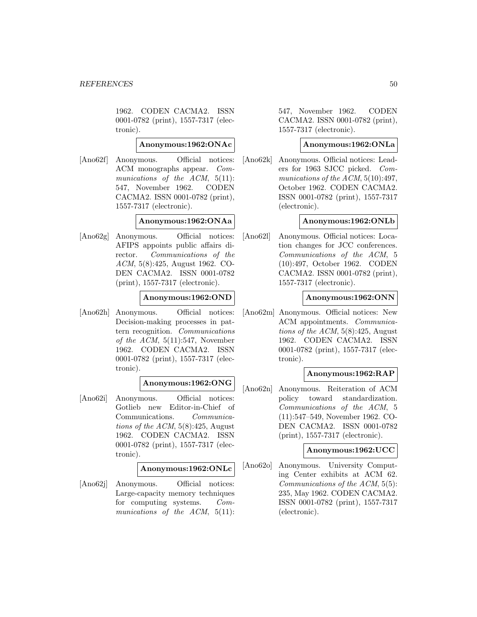1962. CODEN CACMA2. ISSN 0001-0782 (print), 1557-7317 (electronic).

## **Anonymous:1962:ONAc**

[Ano62f] Anonymous. Official notices: ACM monographs appear. Communications of the ACM, 5(11): 547, November 1962. CODEN CACMA2. ISSN 0001-0782 (print), 1557-7317 (electronic).

# **Anonymous:1962:ONAa**

[Ano62g] Anonymous. Official notices: AFIPS appoints public affairs director. Communications of the ACM, 5(8):425, August 1962. CO-DEN CACMA2. ISSN 0001-0782 (print), 1557-7317 (electronic).

## **Anonymous:1962:OND**

[Ano62h] Anonymous. Official notices: Decision-making processes in pattern recognition. Communications of the ACM,  $5(11):547$ , November 1962. CODEN CACMA2. ISSN 0001-0782 (print), 1557-7317 (electronic).

### **Anonymous:1962:ONG**

[Ano62i] Anonymous. Official notices: Gotlieb new Editor-in-Chief of Communications. Communications of the ACM,  $5(8):425$ , August 1962. CODEN CACMA2. ISSN 0001-0782 (print), 1557-7317 (electronic).

### **Anonymous:1962:ONLc**

[Ano62j] Anonymous. Official notices: Large-capacity memory techniques for computing systems. Communications of the ACM, 5(11):

547, November 1962. CODEN CACMA2. ISSN 0001-0782 (print), 1557-7317 (electronic).

# **Anonymous:1962:ONLa**

[Ano62k] Anonymous. Official notices: Leaders for 1963 SJCC picked. Communications of the ACM,  $5(10):497$ , October 1962. CODEN CACMA2. ISSN 0001-0782 (print), 1557-7317 (electronic).

### **Anonymous:1962:ONLb**

[Ano62l] Anonymous. Official notices: Location changes for JCC conferences. Communications of the ACM, 5 (10):497, October 1962. CODEN CACMA2. ISSN 0001-0782 (print), 1557-7317 (electronic).

#### **Anonymous:1962:ONN**

[Ano62m] Anonymous. Official notices: New ACM appointments. Communications of the ACM,  $5(8):425$ , August 1962. CODEN CACMA2. ISSN 0001-0782 (print), 1557-7317 (electronic).

### **Anonymous:1962:RAP**

[Ano62n] Anonymous. Reiteration of ACM policy toward standardization. Communications of the ACM, 5 (11):547–549, November 1962. CO-DEN CACMA2. ISSN 0001-0782 (print), 1557-7317 (electronic).

# **Anonymous:1962:UCC**

[Ano62o] Anonymous. University Computing Center exhibits at ACM 62. Communications of the ACM, 5(5): 235, May 1962. CODEN CACMA2. ISSN 0001-0782 (print), 1557-7317 (electronic).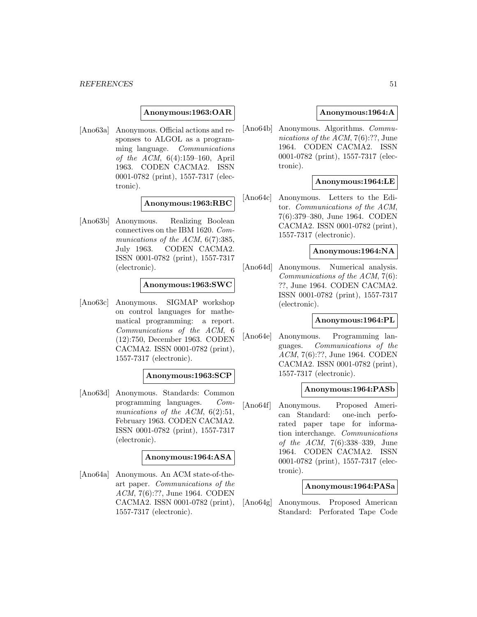#### **Anonymous:1963:OAR**

[Ano63a] Anonymous. Official actions and responses to ALGOL as a programming language. Communications of the ACM, 6(4):159–160, April 1963. CODEN CACMA2. ISSN 0001-0782 (print), 1557-7317 (electronic).

#### **Anonymous:1963:RBC**

[Ano63b] Anonymous. Realizing Boolean connectives on the IBM 1620. Communications of the ACM,  $6(7)$ :385, July 1963. CODEN CACMA2. ISSN 0001-0782 (print), 1557-7317 (electronic).

#### **Anonymous:1963:SWC**

[Ano63c] Anonymous. SIGMAP workshop on control languages for mathematical programming: a report. Communications of the ACM, 6 (12):750, December 1963. CODEN CACMA2. ISSN 0001-0782 (print), 1557-7317 (electronic).

#### **Anonymous:1963:SCP**

[Ano63d] Anonymous. Standards: Common programming languages. Communications of the ACM,  $6(2):51$ , February 1963. CODEN CACMA2. ISSN 0001-0782 (print), 1557-7317 (electronic).

#### **Anonymous:1964:ASA**

[Ano64a] Anonymous. An ACM state-of-theart paper. Communications of the ACM, 7(6):??, June 1964. CODEN CACMA2. ISSN 0001-0782 (print), 1557-7317 (electronic).

## **Anonymous:1964:A**

[Ano64b] Anonymous. Algorithms. Communications of the ACM, 7(6):??, June 1964. CODEN CACMA2. ISSN 0001-0782 (print), 1557-7317 (electronic).

## **Anonymous:1964:LE**

[Ano64c] Anonymous. Letters to the Editor. Communications of the ACM, 7(6):379–380, June 1964. CODEN CACMA2. ISSN 0001-0782 (print), 1557-7317 (electronic).

#### **Anonymous:1964:NA**

[Ano64d] Anonymous. Numerical analysis. Communications of the ACM, 7(6): ??, June 1964. CODEN CACMA2. ISSN 0001-0782 (print), 1557-7317 (electronic).

### **Anonymous:1964:PL**

[Ano64e] Anonymous. Programming languages. Communications of the ACM, 7(6):??, June 1964. CODEN CACMA2. ISSN 0001-0782 (print), 1557-7317 (electronic).

#### **Anonymous:1964:PASb**

[Ano64f] Anonymous. Proposed American Standard: one-inch perforated paper tape for information interchange. Communications of the ACM, 7(6):338–339, June 1964. CODEN CACMA2. ISSN 0001-0782 (print), 1557-7317 (electronic).

### **Anonymous:1964:PASa**

[Ano64g] Anonymous. Proposed American Standard: Perforated Tape Code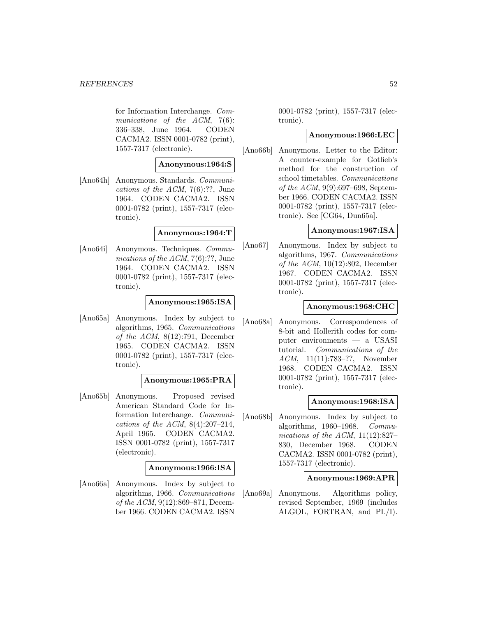for Information Interchange. Communications of the ACM, 7(6): 336–338, June 1964. CODEN CACMA2. ISSN 0001-0782 (print), 1557-7317 (electronic).

#### **Anonymous:1964:S**

[Ano64h] Anonymous. Standards. Communications of the ACM,  $7(6)$ :??, June 1964. CODEN CACMA2. ISSN 0001-0782 (print), 1557-7317 (electronic).

#### **Anonymous:1964:T**

[Ano64i] Anonymous. Techniques. Communications of the ACM, 7(6):??, June 1964. CODEN CACMA2. ISSN 0001-0782 (print), 1557-7317 (electronic).

# **Anonymous:1965:ISA**

[Ano65a] Anonymous. Index by subject to algorithms, 1965. Communications of the ACM, 8(12):791, December 1965. CODEN CACMA2. ISSN 0001-0782 (print), 1557-7317 (electronic).

#### **Anonymous:1965:PRA**

[Ano65b] Anonymous. Proposed revised American Standard Code for Information Interchange. Communications of the ACM,  $8(4):207-214$ , April 1965. CODEN CACMA2. ISSN 0001-0782 (print), 1557-7317 (electronic).

### **Anonymous:1966:ISA**

[Ano66a] Anonymous. Index by subject to algorithms, 1966. Communications of the ACM, 9(12):869–871, December 1966. CODEN CACMA2. ISSN

0001-0782 (print), 1557-7317 (electronic).

#### **Anonymous:1966:LEC**

[Ano66b] Anonymous. Letter to the Editor: A counter-example for Gotlieb's method for the construction of school timetables. Communications of the ACM, 9(9):697–698, September 1966. CODEN CACMA2. ISSN 0001-0782 (print), 1557-7317 (electronic). See [CG64, Dun65a].

## **Anonymous:1967:ISA**

[Ano67] Anonymous. Index by subject to algorithms, 1967. Communications of the ACM, 10(12):802, December 1967. CODEN CACMA2. ISSN 0001-0782 (print), 1557-7317 (electronic).

## **Anonymous:1968:CHC**

[Ano68a] Anonymous. Correspondences of 8-bit and Hollerith codes for computer environments — a USASI tutorial. Communications of the ACM, 11(11):783–??, November 1968. CODEN CACMA2. ISSN 0001-0782 (print), 1557-7317 (electronic).

### **Anonymous:1968:ISA**

[Ano68b] Anonymous. Index by subject to algorithms, 1960–1968. Communications of the ACM,  $11(12):827-$ 830, December 1968. CODEN CACMA2. ISSN 0001-0782 (print), 1557-7317 (electronic).

#### **Anonymous:1969:APR**

[Ano69a] Anonymous. Algorithms policy, revised September, 1969 (includes ALGOL, FORTRAN, and PL/I).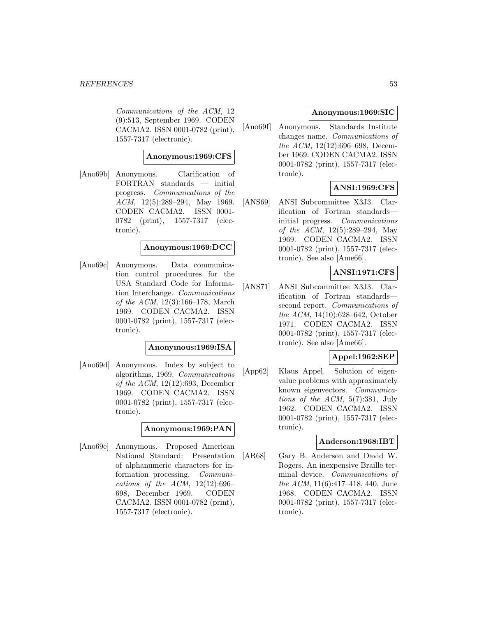#### *REFERENCES* 53

Communications of the ACM, 12 (9):513, September 1969. CODEN CACMA2. ISSN 0001-0782 (print), 1557-7317 (electronic).

### **Anonymous:1969:CFS**

[Ano69b] Anonymous. Clarification of FORTRAN standards — initial progress. Communications of the ACM, 12(5):289–294, May 1969. CODEN CACMA2. ISSN 0001- 0782 (print), 1557-7317 (electronic).

### **Anonymous:1969:DCC**

[Ano69c] Anonymous. Data communication control procedures for the USA Standard Code for Information Interchange. Communications of the ACM, 12(3):166–178, March 1969. CODEN CACMA2. ISSN 0001-0782 (print), 1557-7317 (electronic).

## **Anonymous:1969:ISA**

[Ano69d] Anonymous. Index by subject to algorithms, 1969. Communications of the ACM, 12(12):693, December 1969. CODEN CACMA2. ISSN 0001-0782 (print), 1557-7317 (electronic).

#### **Anonymous:1969:PAN**

[Ano69e] Anonymous. Proposed American National Standard: Presentation of alphanumeric characters for information processing. Communications of the ACM,  $12(12):696-$ 698, December 1969. CODEN CACMA2. ISSN 0001-0782 (print), 1557-7317 (electronic).

### **Anonymous:1969:SIC**

[Ano69f] Anonymous. Standards Institute changes name. Communications of the ACM, 12(12):696–698, December 1969. CODEN CACMA2. ISSN 0001-0782 (print), 1557-7317 (electronic).

# **ANSI:1969:CFS**

[ANS69] ANSI Subcommittee X3J3. Clarification of Fortran standards initial progress. Communications of the ACM, 12(5):289–294, May 1969. CODEN CACMA2. ISSN 0001-0782 (print), 1557-7317 (electronic). See also [Ame66].

# **ANSI:1971:CFS**

[ANS71] ANSI Subcommittee X3J3. Clarification of Fortran standards second report. Communications of the ACM, 14(10):628–642, October 1971. CODEN CACMA2. ISSN 0001-0782 (print), 1557-7317 (electronic). See also [Ame66].

## **Appel:1962:SEP**

[App62] Klaus Appel. Solution of eigenvalue problems with approximately known eigenvectors. Communications of the ACM, 5(7):381, July 1962. CODEN CACMA2. ISSN 0001-0782 (print), 1557-7317 (electronic).

#### **Anderson:1968:IBT**

[AR68] Gary B. Anderson and David W. Rogers. An inexpensive Braille terminal device. Communications of the ACM, 11(6):417–418, 440, June 1968. CODEN CACMA2. ISSN 0001-0782 (print), 1557-7317 (electronic).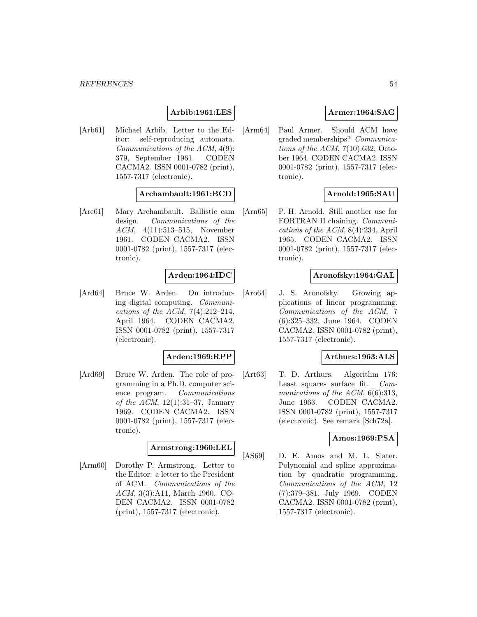# **Arbib:1961:LES**

[Arb61] Michael Arbib. Letter to the Editor: self-reproducing automata. Communications of the ACM, 4(9): 379, September 1961. CODEN CACMA2. ISSN 0001-0782 (print), 1557-7317 (electronic).

# **Archambault:1961:BCD**

[Arc61] Mary Archambault. Ballistic cam design. Communications of the ACM, 4(11):513–515, November 1961. CODEN CACMA2. ISSN 0001-0782 (print), 1557-7317 (electronic).

### **Arden:1964:IDC**

[Ard64] Bruce W. Arden. On introducing digital computing. Communications of the ACM,  $7(4):212-214$ , April 1964. CODEN CACMA2. ISSN 0001-0782 (print), 1557-7317 (electronic).

#### **Arden:1969:RPP**

[Ard69] Bruce W. Arden. The role of programming in a Ph.D. computer science program. Communications of the ACM,  $12(1):31-37$ , January 1969. CODEN CACMA2. ISSN 0001-0782 (print), 1557-7317 (electronic).

#### **Armstrong:1960:LEL**

[Arm60] Dorothy P. Armstrong. Letter to the Editor: a letter to the President of ACM. Communications of the ACM, 3(3):A11, March 1960. CO-DEN CACMA2. ISSN 0001-0782 (print), 1557-7317 (electronic).

# **Armer:1964:SAG**

[Arm64] Paul Armer. Should ACM have graded memberships? Communications of the ACM,  $7(10):632$ , October 1964. CODEN CACMA2. ISSN 0001-0782 (print), 1557-7317 (electronic).

# **Arnold:1965:SAU**

[Arn65] P. H. Arnold. Still another use for FORTRAN II chaining. Communications of the ACM, 8(4):234, April 1965. CODEN CACMA2. ISSN 0001-0782 (print), 1557-7317 (electronic).

#### **Aronofsky:1964:GAL**

[Aro64] J. S. Aronofsky. Growing applications of linear programming. Communications of the ACM, 7 (6):325–332, June 1964. CODEN CACMA2. ISSN 0001-0782 (print), 1557-7317 (electronic).

## **Arthurs:1963:ALS**

[Art63] T. D. Arthurs. Algorithm 176: Least squares surface fit. Communications of the ACM, 6(6):313, June 1963. CODEN CACMA2. ISSN 0001-0782 (print), 1557-7317 (electronic). See remark [Sch72a].

### **Amos:1969:PSA**

[AS69] D. E. Amos and M. L. Slater. Polynomial and spline approximation by quadratic programming. Communications of the ACM, 12 (7):379–381, July 1969. CODEN CACMA2. ISSN 0001-0782 (print), 1557-7317 (electronic).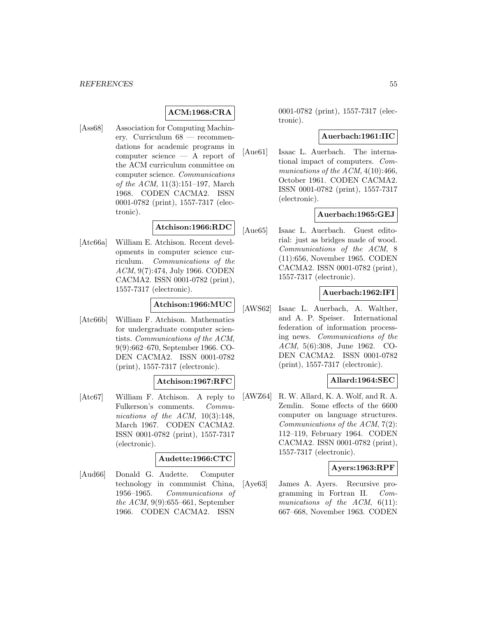# **ACM:1968:CRA**

[Ass68] Association for Computing Machinery. Curriculum 68 — recommendations for academic programs in computer science — A report of the ACM curriculum committee on computer science. Communications of the ACM, 11(3):151–197, March 1968. CODEN CACMA2. ISSN 0001-0782 (print), 1557-7317 (electronic).

# **Atchison:1966:RDC**

[Atc66a] William E. Atchison. Recent developments in computer science curriculum. Communications of the ACM, 9(7):474, July 1966. CODEN CACMA2. ISSN 0001-0782 (print), 1557-7317 (electronic).

# **Atchison:1966:MUC**

[Atc66b] William F. Atchison. Mathematics for undergraduate computer scientists. Communications of the ACM, 9(9):662–670, September 1966. CO-DEN CACMA2. ISSN 0001-0782 (print), 1557-7317 (electronic).

### **Atchison:1967:RFC**

[Atc67] William F. Atchison. A reply to Fulkerson's comments. Communications of the ACM,  $10(3):148$ , March 1967. CODEN CACMA2. ISSN 0001-0782 (print), 1557-7317 (electronic).

#### **Audette:1966:CTC**

[Aud66] Donald G. Audette. Computer technology in communist China, 1956–1965. Communications of the ACM, 9(9):655–661, September 1966. CODEN CACMA2. ISSN

0001-0782 (print), 1557-7317 (electronic).

### **Auerbach:1961:IIC**

[Aue61] Isaac L. Auerbach. The international impact of computers. Communications of the ACM, 4(10):466, October 1961. CODEN CACMA2. ISSN 0001-0782 (print), 1557-7317 (electronic).

# **Auerbach:1965:GEJ**

[Aue65] Isaac L. Auerbach. Guest editorial: just as bridges made of wood. Communications of the ACM, 8 (11):656, November 1965. CODEN CACMA2. ISSN 0001-0782 (print), 1557-7317 (electronic).

### **Auerbach:1962:IFI**

[AWS62] Isaac L. Auerbach, A. Walther, and A. P. Speiser. International federation of information processing news. Communications of the ACM, 5(6):308, June 1962. CO-DEN CACMA2. ISSN 0001-0782 (print), 1557-7317 (electronic).

#### **Allard:1964:SEC**

[AWZ64] R. W. Allard, K. A. Wolf, and R. A. Zemlin. Some effects of the 6600 computer on language structures. Communications of the ACM, 7(2): 112–119, February 1964. CODEN CACMA2. ISSN 0001-0782 (print), 1557-7317 (electronic).

### **Ayers:1963:RPF**

[Aye63] James A. Ayers. Recursive programming in Fortran II. Communications of the  $ACM$ ,  $6(11)$ : 667–668, November 1963. CODEN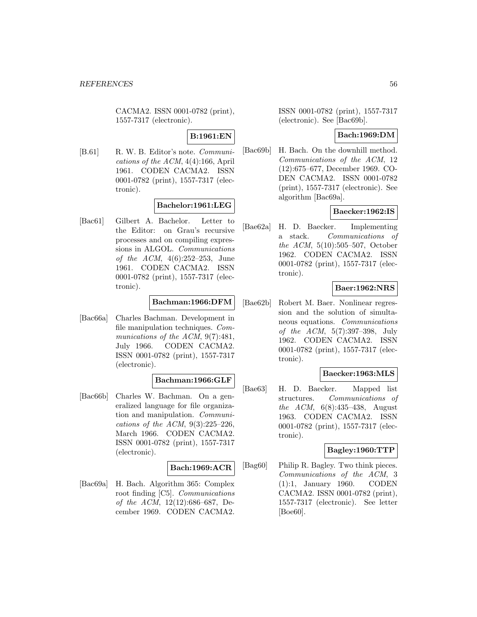CACMA2. ISSN 0001-0782 (print), 1557-7317 (electronic).

# **B:1961:EN**

[B.61] R. W. B. Editor's note. *Communi*cations of the ACM, 4(4):166, April 1961. CODEN CACMA2. ISSN 0001-0782 (print), 1557-7317 (electronic).

# **Bachelor:1961:LEG**

[Bac61] Gilbert A. Bachelor. Letter to the Editor: on Grau's recursive processes and on compiling expressions in ALGOL. Communications of the ACM, 4(6):252–253, June 1961. CODEN CACMA2. ISSN 0001-0782 (print), 1557-7317 (electronic).

### **Bachman:1966:DFM**

[Bac66a] Charles Bachman. Development in file manipulation techniques. Communications of the ACM, 9(7):481, July 1966. CODEN CACMA2. ISSN 0001-0782 (print), 1557-7317 (electronic).

#### **Bachman:1966:GLF**

[Bac66b] Charles W. Bachman. On a generalized language for file organization and manipulation. Communications of the ACM, 9(3):225–226, March 1966. CODEN CACMA2. ISSN 0001-0782 (print), 1557-7317 (electronic).

#### **Bach:1969:ACR**

[Bac69a] H. Bach. Algorithm 365: Complex root finding [C5]. Communications of the ACM, 12(12):686–687, December 1969. CODEN CACMA2.

ISSN 0001-0782 (print), 1557-7317 (electronic). See [Bac69b].

#### **Bach:1969:DM**

[Bac69b] H. Bach. On the downhill method. Communications of the ACM, 12 (12):675–677, December 1969. CO-DEN CACMA2. ISSN 0001-0782 (print), 1557-7317 (electronic). See algorithm [Bac69a].

### **Baecker:1962:IS**

[Bae62a] H. D. Baecker. Implementing a stack. Communications of the ACM, 5(10):505–507, October 1962. CODEN CACMA2. ISSN 0001-0782 (print), 1557-7317 (electronic).

# **Baer:1962:NRS**

[Bae62b] Robert M. Baer. Nonlinear regression and the solution of simultaneous equations. Communications of the ACM, 5(7):397–398, July 1962. CODEN CACMA2. ISSN 0001-0782 (print), 1557-7317 (electronic).

## **Baecker:1963:MLS**

[Bae63] H. D. Baecker. Mapped list structures. Communications of the ACM, 6(8):435–438, August 1963. CODEN CACMA2. ISSN 0001-0782 (print), 1557-7317 (electronic).

### **Bagley:1960:TTP**

[Bag60] Philip R. Bagley. Two think pieces. Communications of the ACM, 3 (1):1, January 1960. CODEN CACMA2. ISSN 0001-0782 (print), 1557-7317 (electronic). See letter [Boe60].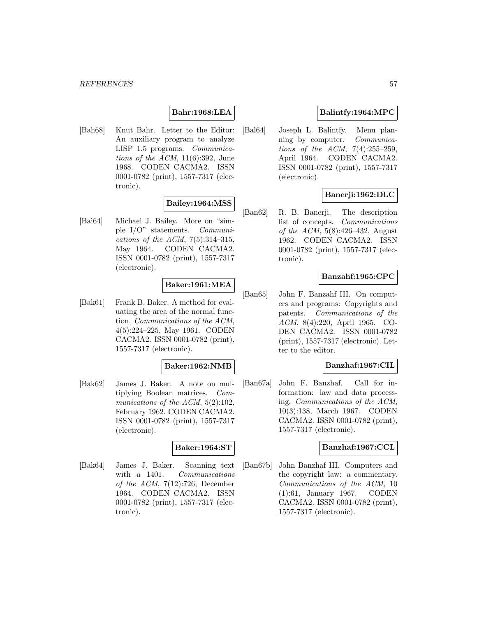# **Bahr:1968:LEA**

[Bah68] Knut Bahr. Letter to the Editor: An auxiliary program to analyze LISP 1.5 programs. Communications of the ACM,  $11(6):392$ , June 1968. CODEN CACMA2. ISSN 0001-0782 (print), 1557-7317 (electronic).

# **Bailey:1964:MSS**

[Bai64] Michael J. Bailey. More on "simple I/O" statements. Communications of the ACM,  $7(5):314-315$ , May 1964. CODEN CACMA2. ISSN 0001-0782 (print), 1557-7317 (electronic).

# **Baker:1961:MEA**

[Bak61] Frank B. Baker. A method for evaluating the area of the normal function. Communications of the ACM, 4(5):224–225, May 1961. CODEN CACMA2. ISSN 0001-0782 (print), 1557-7317 (electronic).

### **Baker:1962:NMB**

[Bak62] James J. Baker. A note on multiplying Boolean matrices. Communications of the ACM,  $5(2):102$ , February 1962. CODEN CACMA2. ISSN 0001-0782 (print), 1557-7317 (electronic).

### **Baker:1964:ST**

[Bak64] James J. Baker. Scanning text with a 1401. Communications of the ACM,  $7(12):726$ , December 1964. CODEN CACMA2. ISSN 0001-0782 (print), 1557-7317 (electronic).

## **Balintfy:1964:MPC**

[Bal64] Joseph L. Balintfy. Menu planning by computer. Communications of the ACM, 7(4):255–259, April 1964. CODEN CACMA2. ISSN 0001-0782 (print), 1557-7317 (electronic).

# **Banerji:1962:DLC**

[Ban62] R. B. Banerji. The description list of concepts. Communications of the ACM, 5(8):426–432, August 1962. CODEN CACMA2. ISSN 0001-0782 (print), 1557-7317 (electronic).

### **Banzahf:1965:CPC**

[Ban65] John F. Banzahf III. On computers and programs: Copyrights and patents. Communications of the ACM, 8(4):220, April 1965. CO-DEN CACMA2. ISSN 0001-0782 (print), 1557-7317 (electronic). Letter to the editor.

## **Banzhaf:1967:CIL**

[Ban67a] John F. Banzhaf. Call for information: law and data processing. Communications of the ACM, 10(3):138, March 1967. CODEN CACMA2. ISSN 0001-0782 (print), 1557-7317 (electronic).

#### **Banzhaf:1967:CCL**

[Ban67b] John Banzhaf III. Computers and the copyright law: a commentary. Communications of the ACM, 10 (1):61, January 1967. CODEN CACMA2. ISSN 0001-0782 (print), 1557-7317 (electronic).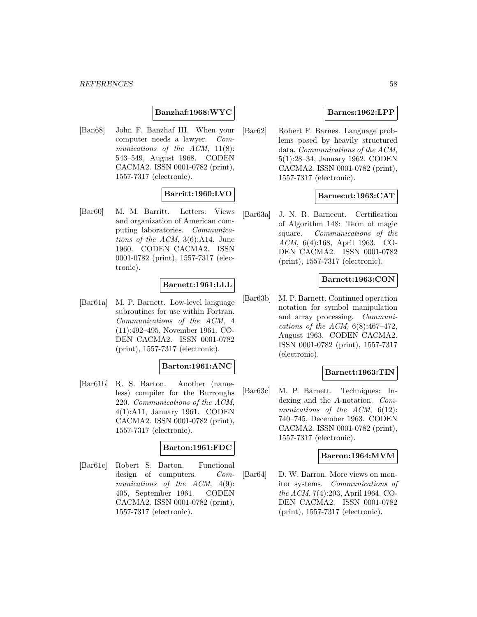# **Banzhaf:1968:WYC**

[Ban68] John F. Banzhaf III. When your computer needs a lawyer. Communications of the  $ACM$ ,  $11(8)$ : 543–549, August 1968. CODEN CACMA2. ISSN 0001-0782 (print), 1557-7317 (electronic).

# **Barritt:1960:LVO**

[Bar60] M. M. Barritt. Letters: Views and organization of American computing laboratories. Communications of the ACM, 3(6):A14, June 1960. CODEN CACMA2. ISSN 0001-0782 (print), 1557-7317 (electronic).

### **Barnett:1961:LLL**

[Bar61a] M. P. Barnett. Low-level language subroutines for use within Fortran. Communications of the ACM, 4 (11):492–495, November 1961. CO-DEN CACMA2. ISSN 0001-0782 (print), 1557-7317 (electronic).

#### **Barton:1961:ANC**

[Bar61b] R. S. Barton. Another (nameless) compiler for the Burroughs 220. Communications of the ACM, 4(1):A11, January 1961. CODEN CACMA2. ISSN 0001-0782 (print), 1557-7317 (electronic).

### **Barton:1961:FDC**

[Bar61c] Robert S. Barton. Functional design of computers. Communications of the ACM,  $4(9)$ : 405, September 1961. CODEN CACMA2. ISSN 0001-0782 (print), 1557-7317 (electronic).

## **Barnes:1962:LPP**

[Bar62] Robert F. Barnes. Language problems posed by heavily structured data. Communications of the ACM, 5(1):28–34, January 1962. CODEN CACMA2. ISSN 0001-0782 (print), 1557-7317 (electronic).

### **Barnecut:1963:CAT**

[Bar63a] J. N. R. Barnecut. Certification of Algorithm 148: Term of magic square. Communications of the ACM, 6(4):168, April 1963. CO-DEN CACMA2. ISSN 0001-0782 (print), 1557-7317 (electronic).

#### **Barnett:1963:CON**

[Bar63b] M. P. Barnett. Continued operation notation for symbol manipulation and array processing. Communications of the ACM,  $6(8):467-472$ , August 1963. CODEN CACMA2. ISSN 0001-0782 (print), 1557-7317 (electronic).

### **Barnett:1963:TIN**

[Bar63c] M. P. Barnett. Techniques: Indexing and the A-notation. Communications of the ACM,  $6(12)$ : 740–745, December 1963. CODEN CACMA2. ISSN 0001-0782 (print), 1557-7317 (electronic).

#### **Barron:1964:MVM**

[Bar64] D. W. Barron. More views on monitor systems. Communications of the ACM, 7(4):203, April 1964. CO-DEN CACMA2. ISSN 0001-0782 (print), 1557-7317 (electronic).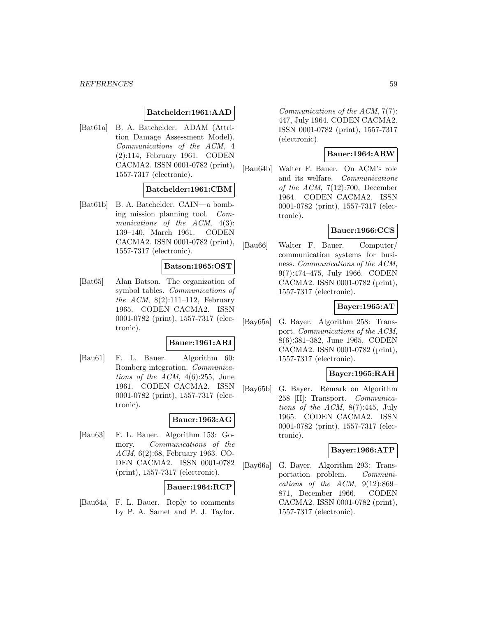#### **Batchelder:1961:AAD**

[Bat61a] B. A. Batchelder. ADAM (Attrition Damage Assessment Model). Communications of the ACM, 4 (2):114, February 1961. CODEN CACMA2. ISSN 0001-0782 (print), 1557-7317 (electronic).

### **Batchelder:1961:CBM**

[Bat61b] B. A. Batchelder. CAIN—a bombing mission planning tool. Communications of the ACM,  $4(3)$ : 139–140, March 1961. CODEN CACMA2. ISSN 0001-0782 (print), 1557-7317 (electronic).

### **Batson:1965:OST**

[Bat65] Alan Batson. The organization of symbol tables. Communications of the ACM,  $8(2):111-112$ , February 1965. CODEN CACMA2. ISSN 0001-0782 (print), 1557-7317 (electronic).

#### **Bauer:1961:ARI**

[Bau61] F. L. Bauer. Algorithm 60: Romberg integration. Communications of the ACM,  $4(6):255$ , June 1961. CODEN CACMA2. ISSN 0001-0782 (print), 1557-7317 (electronic).

# **Bauer:1963:AG**

[Bau63] F. L. Bauer. Algorithm 153: Gomory. Communications of the ACM, 6(2):68, February 1963. CO-DEN CACMA2. ISSN 0001-0782 (print), 1557-7317 (electronic).

#### **Bauer:1964:RCP**

[Bau64a] F. L. Bauer. Reply to comments by P. A. Samet and P. J. Taylor.

Communications of the ACM, 7(7): 447, July 1964. CODEN CACMA2. ISSN 0001-0782 (print), 1557-7317 (electronic).

# **Bauer:1964:ARW**

[Bau64b] Walter F. Bauer. On ACM's role and its welfare. Communications of the ACM, 7(12):700, December 1964. CODEN CACMA2. ISSN 0001-0782 (print), 1557-7317 (electronic).

# **Bauer:1966:CCS**

[Bau66] Walter F. Bauer. Computer/ communication systems for business. Communications of the ACM, 9(7):474–475, July 1966. CODEN CACMA2. ISSN 0001-0782 (print), 1557-7317 (electronic).

#### **Bayer:1965:AT**

[Bay65a] G. Bayer. Algorithm 258: Transport. Communications of the ACM, 8(6):381–382, June 1965. CODEN CACMA2. ISSN 0001-0782 (print), 1557-7317 (electronic).

## **Bayer:1965:RAH**

[Bay65b] G. Bayer. Remark on Algorithm 258 [H]: Transport. Communications of the  $ACM$ ,  $8(7):445$ , July 1965. CODEN CACMA2. ISSN 0001-0782 (print), 1557-7317 (electronic).

### **Bayer:1966:ATP**

[Bay66a] G. Bayer. Algorithm 293: Transportation problem. Communications of the ACM,  $9(12):869-$ 871, December 1966. CODEN CACMA2. ISSN 0001-0782 (print), 1557-7317 (electronic).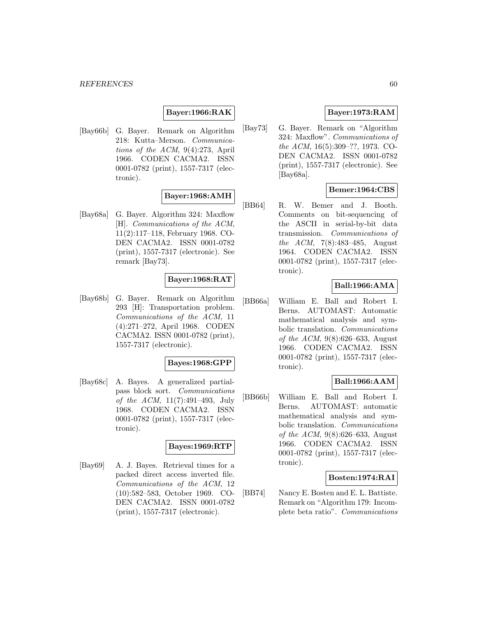### **Bayer:1966:RAK**

[Bay66b] G. Bayer. Remark on Algorithm 218: Kutta–Merson. Communications of the ACM, 9(4):273, April 1966. CODEN CACMA2. ISSN 0001-0782 (print), 1557-7317 (electronic).

# **Bayer:1968:AMH**

[Bay68a] G. Bayer. Algorithm 324: Maxflow [H]. Communications of the ACM, 11(2):117–118, February 1968. CO-DEN CACMA2. ISSN 0001-0782 (print), 1557-7317 (electronic). See remark [Bay73].

# **Bayer:1968:RAT**

[Bay68b] G. Bayer. Remark on Algorithm 293 [H]: Transportation problem. Communications of the ACM, 11 (4):271–272, April 1968. CODEN CACMA2. ISSN 0001-0782 (print), 1557-7317 (electronic).

#### **Bayes:1968:GPP**

[Bay68c] A. Bayes. A generalized partialpass block sort. Communications of the ACM, 11(7):491–493, July 1968. CODEN CACMA2. ISSN 0001-0782 (print), 1557-7317 (electronic).

# **Bayes:1969:RTP**

[Bay69] A. J. Bayes. Retrieval times for a packed direct access inverted file. Communications of the ACM, 12 (10):582–583, October 1969. CO-DEN CACMA2. ISSN 0001-0782 (print), 1557-7317 (electronic).

# **Bayer:1973:RAM**

[Bay73] G. Bayer. Remark on "Algorithm 324: Maxflow". Communications of the ACM, 16(5):309–??, 1973. CO-DEN CACMA2. ISSN 0001-0782 (print), 1557-7317 (electronic). See [Bay68a].

### **Bemer:1964:CBS**

[BB64] R. W. Bemer and J. Booth. Comments on bit-sequencing of the ASCII in serial-by-bit data transmission. Communications of the ACM, 7(8):483–485, August 1964. CODEN CACMA2. ISSN 0001-0782 (print), 1557-7317 (electronic).

# **Ball:1966:AMA**

[BB66a] William E. Ball and Robert I. Berns. AUTOMAST: Automatic mathematical analysis and symbolic translation. Communications of the ACM, 9(8):626–633, August 1966. CODEN CACMA2. ISSN 0001-0782 (print), 1557-7317 (electronic).

### **Ball:1966:AAM**

[BB66b] William E. Ball and Robert I. Berns. AUTOMAST: automatic mathematical analysis and symbolic translation. Communications of the ACM, 9(8):626–633, August 1966. CODEN CACMA2. ISSN 0001-0782 (print), 1557-7317 (electronic).

### **Bosten:1974:RAI**

[BB74] Nancy E. Bosten and E. L. Battiste. Remark on "Algorithm 179: Incomplete beta ratio". Communications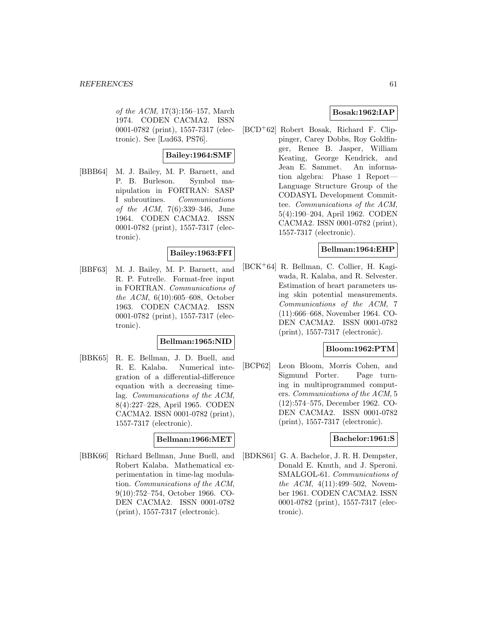of the ACM, 17(3):156–157, March 1974. CODEN CACMA2. ISSN 0001-0782 (print), 1557-7317 (electronic). See [Lud63, PS76].

# **Bailey:1964:SMF**

[BBB64] M. J. Bailey, M. P. Barnett, and P. B. Burleson. Symbol manipulation in FORTRAN: SASP I subroutines. Communications of the ACM, 7(6):339–346, June 1964. CODEN CACMA2. ISSN 0001-0782 (print), 1557-7317 (electronic).

# **Bailey:1963:FFI**

[BBF63] M. J. Bailey, M. P. Barnett, and R. P. Futrelle. Format-free input in FORTRAN. Communications of the ACM, 6(10):605–608, October 1963. CODEN CACMA2. ISSN 0001-0782 (print), 1557-7317 (electronic).

### **Bellman:1965:NID**

[BBK65] R. E. Bellman, J. D. Buell, and R. E. Kalaba. Numerical integration of a differential-difference equation with a decreasing timelag. Communications of the ACM, 8(4):227–228, April 1965. CODEN CACMA2. ISSN 0001-0782 (print), 1557-7317 (electronic).

#### **Bellman:1966:MET**

[BBK66] Richard Bellman, June Buell, and Robert Kalaba. Mathematical experimentation in time-lag modulation. Communications of the ACM, 9(10):752–754, October 1966. CO-DEN CACMA2. ISSN 0001-0782 (print), 1557-7317 (electronic).

## **Bosak:1962:IAP**

[BCD<sup>+</sup>62] Robert Bosak, Richard F. Clippinger, Carey Dobbs, Roy Goldfinger, Renee B. Jasper, William Keating, George Kendrick, and Jean E. Sammet. An information algebra: Phase 1 Report— Language Structure Group of the CODASYL Development Committee. Communications of the ACM, 5(4):190–204, April 1962. CODEN CACMA2. ISSN 0001-0782 (print), 1557-7317 (electronic).

### **Bellman:1964:EHP**

[BCK<sup>+</sup>64] R. Bellman, C. Collier, H. Kagiwada, R. Kalaba, and R. Selvester. Estimation of heart parameters using skin potential measurements. Communications of the ACM, 7 (11):666–668, November 1964. CO-DEN CACMA2. ISSN 0001-0782 (print), 1557-7317 (electronic).

# **Bloom:1962:PTM**

[BCP62] Leon Bloom, Morris Cohen, and Sigmund Porter. Page turning in multiprogrammed computers. Communications of the ACM, 5 (12):574–575, December 1962. CO-DEN CACMA2. ISSN 0001-0782 (print), 1557-7317 (electronic).

#### **Bachelor:1961:S**

[BDKS61] G. A. Bachelor, J. R. H. Dempster, Donald E. Knuth, and J. Speroni. SMALGOL-61. Communications of the ACM, 4(11):499-502, November 1961. CODEN CACMA2. ISSN 0001-0782 (print), 1557-7317 (electronic).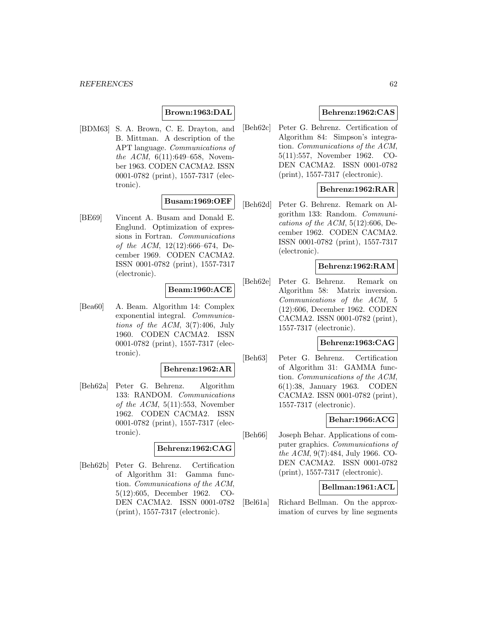## **Brown:1963:DAL**

[BDM63] S. A. Brown, C. E. Drayton, and B. Mittman. A description of the APT language. Communications of the ACM, 6(11):649–658, November 1963. CODEN CACMA2. ISSN 0001-0782 (print), 1557-7317 (electronic).

# **Busam:1969:OEF**

[BE69] Vincent A. Busam and Donald E. Englund. Optimization of expressions in Fortran. Communications of the ACM,  $12(12):666-674$ , December 1969. CODEN CACMA2. ISSN 0001-0782 (print), 1557-7317 (electronic).

# **Beam:1960:ACE**

[Bea60] A. Beam. Algorithm 14: Complex exponential integral. Communications of the  $ACM$ ,  $3(7):406$ , July 1960. CODEN CACMA2. ISSN 0001-0782 (print), 1557-7317 (electronic).

## **Behrenz:1962:AR**

[Beh62a] Peter G. Behrenz. Algorithm 133: RANDOM. Communications of the  $ACM$ ,  $5(11):553$ , November 1962. CODEN CACMA2. ISSN 0001-0782 (print), 1557-7317 (electronic).

#### **Behrenz:1962:CAG**

[Beh62b] Peter G. Behrenz. Certification of Algorithm 31: Gamma function. Communications of the ACM, 5(12):605, December 1962. CO-DEN CACMA2. ISSN 0001-0782 (print), 1557-7317 (electronic).

# **Behrenz:1962:CAS**

[Beh62c] Peter G. Behrenz. Certification of Algorithm 84: Simpson's integration. Communications of the ACM, 5(11):557, November 1962. CO-DEN CACMA2. ISSN 0001-0782 (print), 1557-7317 (electronic).

### **Behrenz:1962:RAR**

[Beh62d] Peter G. Behrenz. Remark on Algorithm 133: Random. Communications of the ACM,  $5(12):606$ , December 1962. CODEN CACMA2. ISSN 0001-0782 (print), 1557-7317 (electronic).

#### **Behrenz:1962:RAM**

[Beh62e] Peter G. Behrenz. Remark on Algorithm 58: Matrix inversion. Communications of the ACM, 5 (12):606, December 1962. CODEN CACMA2. ISSN 0001-0782 (print), 1557-7317 (electronic).

#### **Behrenz:1963:CAG**

[Beh63] Peter G. Behrenz. Certification of Algorithm 31: GAMMA function. Communications of the ACM, 6(1):38, January 1963. CODEN CACMA2. ISSN 0001-0782 (print), 1557-7317 (electronic).

# **Behar:1966:ACG**

[Beh66] Joseph Behar. Applications of computer graphics. Communications of the ACM, 9(7):484, July 1966. CO-DEN CACMA2. ISSN 0001-0782 (print), 1557-7317 (electronic).

### **Bellman:1961:ACL**

[Bel61a] Richard Bellman. On the approximation of curves by line segments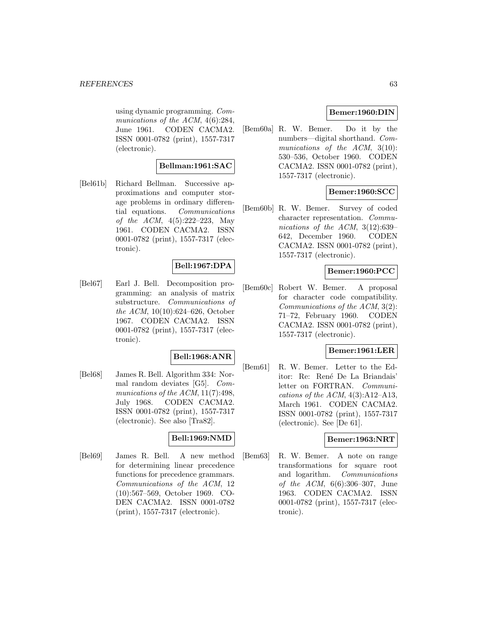using dynamic programming. Communications of the ACM,  $4(6):284$ , June 1961. CODEN CACMA2. ISSN 0001-0782 (print), 1557-7317 (electronic).

### **Bellman:1961:SAC**

[Bel61b] Richard Bellman. Successive approximations and computer storage problems in ordinary differential equations. Communications of the ACM, 4(5):222–223, May 1961. CODEN CACMA2. ISSN 0001-0782 (print), 1557-7317 (electronic).

# **Bell:1967:DPA**

[Bel67] Earl J. Bell. Decomposition programming: an analysis of matrix substructure. Communications of the ACM, 10(10):624–626, October 1967. CODEN CACMA2. ISSN 0001-0782 (print), 1557-7317 (electronic).

### **Bell:1968:ANR**

[Bel68] James R. Bell. Algorithm 334: Normal random deviates [G5]. Communications of the ACM, 11(7):498, July 1968. CODEN CACMA2. ISSN 0001-0782 (print), 1557-7317 (electronic). See also [Tra82].

### **Bell:1969:NMD**

[Bel69] James R. Bell. A new method for determining linear precedence functions for precedence grammars. Communications of the ACM, 12 (10):567–569, October 1969. CO-DEN CACMA2. ISSN 0001-0782 (print), 1557-7317 (electronic).

## **Bemer:1960:DIN**

[Bem60a] R. W. Bemer. Do it by the numbers—digital shorthand. Communications of the ACM, 3(10): 530–536, October 1960. CODEN CACMA2. ISSN 0001-0782 (print), 1557-7317 (electronic).

# **Bemer:1960:SCC**

[Bem60b] R. W. Bemer. Survey of coded character representation. Communications of the ACM, 3(12):639– 642, December 1960. CODEN CACMA2. ISSN 0001-0782 (print), 1557-7317 (electronic).

# **Bemer:1960:PCC**

[Bem60c] Robert W. Bemer. A proposal for character code compatibility. Communications of the ACM, 3(2): 71–72, February 1960. CODEN CACMA2. ISSN 0001-0782 (print), 1557-7317 (electronic).

# **Bemer:1961:LER**

[Bem61] R. W. Bemer. Letter to the Editor: Re: Ren´e De La Briandais' letter on FORTRAN. Communications of the ACM,  $4(3)$ :A12–A13, March 1961. CODEN CACMA2. ISSN 0001-0782 (print), 1557-7317 (electronic). See [De 61].

### **Bemer:1963:NRT**

[Bem63] R. W. Bemer. A note on range transformations for square root and logarithm. Communications of the ACM, 6(6):306–307, June 1963. CODEN CACMA2. ISSN 0001-0782 (print), 1557-7317 (electronic).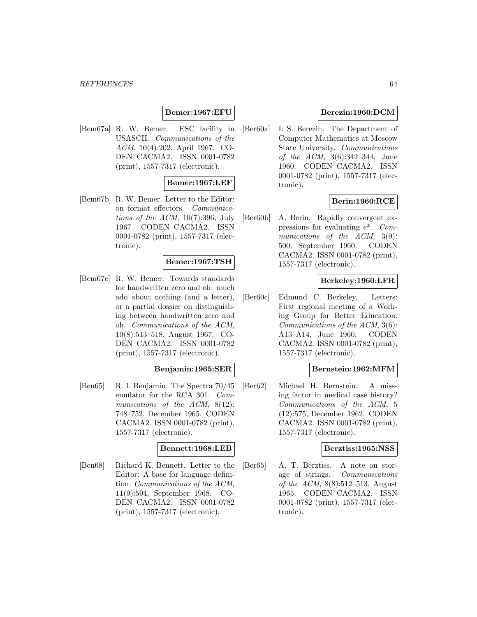## **Bemer:1967:EFU**

[Bem67a] R. W. Bemer. ESC facility in USASCII. Communications of the ACM, 10(4):202, April 1967. CO-DEN CACMA2. ISSN 0001-0782 (print), 1557-7317 (electronic).

### **Bemer:1967:LEF**

[Bem67b] R. W. Bemer. Letter to the Editor: on format effectors. Communications of the ACM,  $10(7)$ :396, July 1967. CODEN CACMA2. ISSN 0001-0782 (print), 1557-7317 (electronic).

#### **Bemer:1967:TSH**

[Bem67c] R. W. Bemer. Towards standards for handwritten zero and oh: much ado about nothing (and a letter), or a partial dossier on distinguishing between handwritten zero and oh. Communications of the ACM, 10(8):513–518, August 1967. CO-DEN CACMA2. ISSN 0001-0782 (print), 1557-7317 (electronic).

#### **Benjamin:1965:SER**

[Ben65] R. I. Benjamin. The Spectra 70/45 emulator for the RCA 301. Communications of the ACM, 8(12): 748–752, December 1965. CODEN CACMA2. ISSN 0001-0782 (print), 1557-7317 (electronic).

#### **Bennett:1968:LEB**

[Ben68] Richard K. Bennett. Letter to the Editor: A base for language definition. Communications of the ACM, 11(9):594, September 1968. CO-DEN CACMA2. ISSN 0001-0782 (print), 1557-7317 (electronic).

## **Berezin:1960:DCM**

[Ber60a] I. S. Berezin. The Department of Computer Mathematics at Moscow State University. Communications of the ACM, 3(6):342–344, June 1960. CODEN CACMA2. ISSN 0001-0782 (print), 1557-7317 (electronic).

### **Berin:1960:RCE**

[Ber60b] A. Berin. Rapidly convergent expressions for evaluating  $e^x$ . Communications of the ACM, 3(9): 500, September 1960. CODEN CACMA2. ISSN 0001-0782 (print), 1557-7317 (electronic).

### **Berkeley:1960:LFR**

[Ber60c] Edmund C. Berkeley. Letters: First regional meeting of a Working Group for Better Education. Communications of the ACM, 3(6): A13–A14, June 1960. CODEN CACMA2. ISSN 0001-0782 (print), 1557-7317 (electronic).

#### **Bernstein:1962:MFM**

[Ber62] Michael H. Bernstein. A missing factor in medical case history? Communications of the ACM, 5 (12):575, December 1962. CODEN CACMA2. ISSN 0001-0782 (print), 1557-7317 (electronic).

#### **Berztiss:1965:NSS**

[Ber65] A. T. Berztiss. A note on storage of strings. Communications of the ACM, 8(8):512–513, August 1965. CODEN CACMA2. ISSN 0001-0782 (print), 1557-7317 (electronic).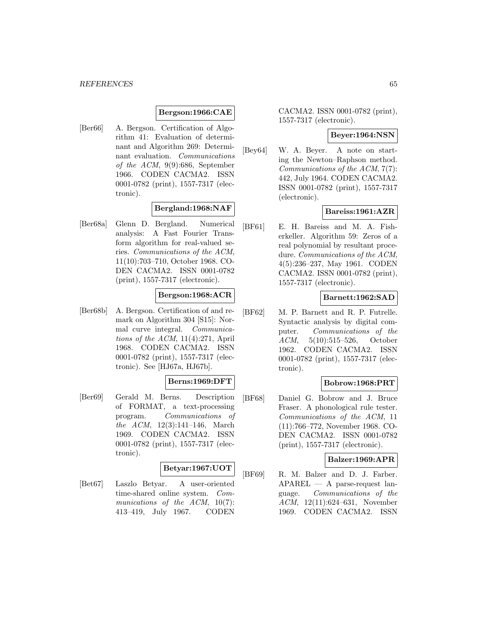#### **Bergson:1966:CAE**

[Ber66] A. Bergson. Certification of Algorithm 41: Evaluation of determinant and Algorithm 269: Determinant evaluation. Communications of the ACM, 9(9):686, September 1966. CODEN CACMA2. ISSN 0001-0782 (print), 1557-7317 (electronic).

# **Bergland:1968:NAF**

[Ber68a] Glenn D. Bergland. Numerical analysis: A Fast Fourier Transform algorithm for real-valued series. Communications of the ACM, 11(10):703–710, October 1968. CO-DEN CACMA2. ISSN 0001-0782 (print), 1557-7317 (electronic).

# **Bergson:1968:ACR**

[Ber68b] A. Bergson. Certification of and remark on Algorithm 304 [S15]: Normal curve integral. Communications of the ACM,  $11(4):271$ , April 1968. CODEN CACMA2. ISSN 0001-0782 (print), 1557-7317 (electronic). See [HJ67a, HJ67b].

### **Berns:1969:DFT**

[Ber69] Gerald M. Berns. Description of FORMAT, a text-processing program. Communications of the ACM, 12(3):141–146, March 1969. CODEN CACMA2. ISSN 0001-0782 (print), 1557-7317 (electronic).

#### **Betyar:1967:UOT**

[Bet67] Laszlo Betyar. A user-oriented time-shared online system. Communications of the ACM,  $10(7)$ : 413–419, July 1967. CODEN

CACMA2. ISSN 0001-0782 (print), 1557-7317 (electronic).

#### **Beyer:1964:NSN**

[Bey64] W. A. Beyer. A note on starting the Newton–Raphson method. Communications of the ACM, 7(7): 442, July 1964. CODEN CACMA2. ISSN 0001-0782 (print), 1557-7317 (electronic).

#### **Bareiss:1961:AZR**

[BF61] E. H. Bareiss and M. A. Fisherkeller. Algorithm 59: Zeros of a real polynomial by resultant procedure. Communications of the ACM, 4(5):236–237, May 1961. CODEN CACMA2. ISSN 0001-0782 (print), 1557-7317 (electronic).

#### **Barnett:1962:SAD**

[BF62] M. P. Barnett and R. P. Futrelle. Syntactic analysis by digital computer. Communications of the ACM, 5(10):515–526, October 1962. CODEN CACMA2. ISSN 0001-0782 (print), 1557-7317 (electronic).

### **Bobrow:1968:PRT**

[BF68] Daniel G. Bobrow and J. Bruce Fraser. A phonological rule tester. Communications of the ACM, 11 (11):766–772, November 1968. CO-DEN CACMA2. ISSN 0001-0782 (print), 1557-7317 (electronic).

#### **Balzer:1969:APR**

[BF69] R. M. Balzer and D. J. Farber. APAREL — A parse-request language. Communications of the ACM, 12(11):624–631, November 1969. CODEN CACMA2. ISSN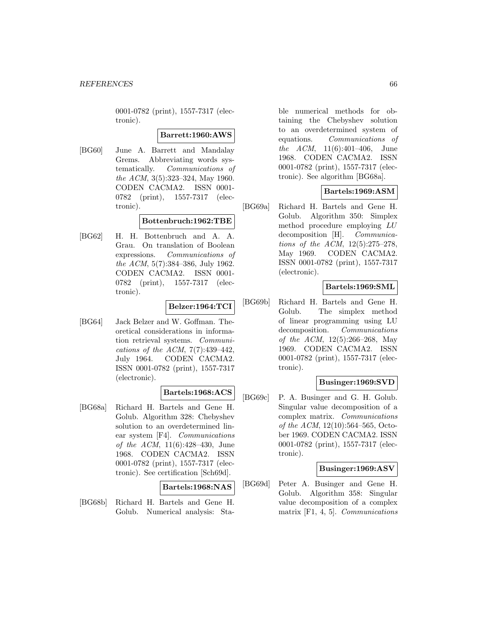0001-0782 (print), 1557-7317 (electronic).

#### **Barrett:1960:AWS**

[BG60] June A. Barrett and Mandalay Grems. Abbreviating words systematically. Communications of the ACM, 3(5):323–324, May 1960. CODEN CACMA2. ISSN 0001- 0782 (print), 1557-7317 (electronic).

### **Bottenbruch:1962:TBE**

[BG62] H. H. Bottenbruch and A. A. Grau. On translation of Boolean expressions. Communications of the ACM, 5(7):384–386, July 1962. CODEN CACMA2. ISSN 0001- 0782 (print), 1557-7317 (electronic).

# **Belzer:1964:TCI**

[BG64] Jack Belzer and W. Goffman. Theoretical considerations in information retrieval systems. Communications of the ACM,  $7(7):439-442$ , July 1964. CODEN CACMA2. ISSN 0001-0782 (print), 1557-7317 (electronic).

### **Bartels:1968:ACS**

[BG68a] Richard H. Bartels and Gene H. Golub. Algorithm 328: Chebyshev solution to an overdetermined linear system [F4]. Communications of the ACM, 11(6):428–430, June 1968. CODEN CACMA2. ISSN 0001-0782 (print), 1557-7317 (electronic). See certification [Sch69d].

#### **Bartels:1968:NAS**

[BG68b] Richard H. Bartels and Gene H. Golub. Numerical analysis: Stable numerical methods for obtaining the Chebyshev solution to an overdetermined system of equations. Communications of the ACM, 11(6):401–406, June 1968. CODEN CACMA2. ISSN 0001-0782 (print), 1557-7317 (electronic). See algorithm [BG68a].

# **Bartels:1969:ASM**

[BG69a] Richard H. Bartels and Gene H. Golub. Algorithm 350: Simplex method procedure employing LU decomposition [H]. *Communica*tions of the ACM, 12(5):275–278, May 1969. CODEN CACMA2. ISSN 0001-0782 (print), 1557-7317 (electronic).

# **Bartels:1969:SML**

[BG69b] Richard H. Bartels and Gene H. Golub. The simplex method of linear programming using LU decomposition. Communications of the ACM, 12(5):266–268, May 1969. CODEN CACMA2. ISSN 0001-0782 (print), 1557-7317 (electronic).

### **Businger:1969:SVD**

[BG69c] P. A. Businger and G. H. Golub. Singular value decomposition of a complex matrix. Communications of the ACM, 12(10):564–565, October 1969. CODEN CACMA2. ISSN 0001-0782 (print), 1557-7317 (electronic).

### **Businger:1969:ASV**

[BG69d] Peter A. Businger and Gene H. Golub. Algorithm 358: Singular value decomposition of a complex matrix [F1, 4, 5]. Communications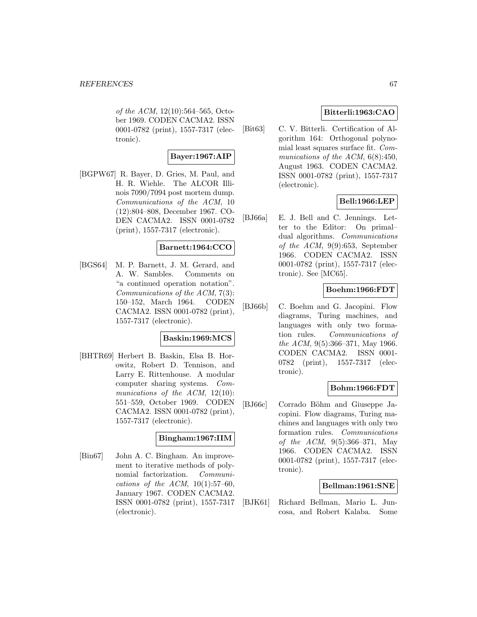of the ACM, 12(10):564–565, October 1969. CODEN CACMA2. ISSN 0001-0782 (print), 1557-7317 (electronic).

# **Bayer:1967:AIP**

[BGPW67] R. Bayer, D. Gries, M. Paul, and H. R. Wiehle. The ALCOR Illinois 7090/7094 post mortem dump. Communications of the ACM, 10 (12):804–808, December 1967. CO-DEN CACMA2. ISSN 0001-0782 (print), 1557-7317 (electronic).

### **Barnett:1964:CCO**

[BGS64] M. P. Barnett, J. M. Gerard, and A. W. Sambles. Comments on "a continued operation notation". Communications of the ACM, 7(3): 150–152, March 1964. CODEN CACMA2. ISSN 0001-0782 (print), 1557-7317 (electronic).

## **Baskin:1969:MCS**

[BHTR69] Herbert B. Baskin, Elsa B. Horowitz, Robert D. Tennison, and Larry E. Rittenhouse. A modular computer sharing systems. Communications of the ACM, 12(10): 551–559, October 1969. CODEN CACMA2. ISSN 0001-0782 (print), 1557-7317 (electronic).

#### **Bingham:1967:IIM**

[Bin67] John A. C. Bingham. An improvement to iterative methods of polynomial factorization. Communications of the ACM,  $10(1):57-60$ , January 1967. CODEN CACMA2. ISSN 0001-0782 (print), 1557-7317 (electronic).

# **Bitterli:1963:CAO**

[Bit63] C. V. Bitterli. Certification of Algorithm 164: Orthogonal polynomial least squares surface fit. Communications of the ACM,  $6(8):450$ , August 1963. CODEN CACMA2. ISSN 0001-0782 (print), 1557-7317 (electronic).

# **Bell:1966:LEP**

[BJ66a] E. J. Bell and C. Jennings. Letter to the Editor: On primal– dual algorithms. Communications of the ACM, 9(9):653, September 1966. CODEN CACMA2. ISSN 0001-0782 (print), 1557-7317 (electronic). See [MC65].

# **Boehm:1966:FDT**

[BJ66b] C. Boehm and G. Jacopini. Flow diagrams, Turing machines, and languages with only two formation rules. Communications of the ACM, 9(5):366–371, May 1966. CODEN CACMA2. ISSN 0001- 0782 (print), 1557-7317 (electronic).

### **Bohm:1966:FDT**

[BJ66c] Corrado Böhm and Giuseppe Jacopini. Flow diagrams, Turing machines and languages with only two formation rules. Communications of the ACM, 9(5):366–371, May 1966. CODEN CACMA2. ISSN 0001-0782 (print), 1557-7317 (electronic).

### **Bellman:1961:SNE**

[BJK61] Richard Bellman, Mario L. Juncosa, and Robert Kalaba. Some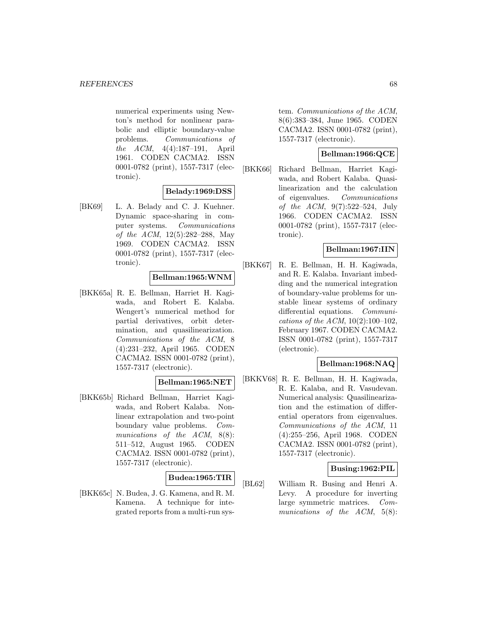numerical experiments using Newton's method for nonlinear parabolic and elliptic boundary-value problems. Communications of the ACM, 4(4):187–191, April 1961. CODEN CACMA2. ISSN 0001-0782 (print), 1557-7317 (electronic).

# **Belady:1969:DSS**

[BK69] L. A. Belady and C. J. Kuehner. Dynamic space-sharing in computer systems. Communications of the ACM, 12(5):282–288, May 1969. CODEN CACMA2. ISSN 0001-0782 (print), 1557-7317 (electronic).

# **Bellman:1965:WNM**

[BKK65a] R. E. Bellman, Harriet H. Kagiwada, and Robert E. Kalaba. Wengert's numerical method for partial derivatives, orbit determination, and quasilinearization. Communications of the ACM, 8 (4):231–232, April 1965. CODEN CACMA2. ISSN 0001-0782 (print), 1557-7317 (electronic).

### **Bellman:1965:NET**

[BKK65b] Richard Bellman, Harriet Kagiwada, and Robert Kalaba. Nonlinear extrapolation and two-point boundary value problems. Communications of the ACM, 8(8): 511–512, August 1965. CODEN CACMA2. ISSN 0001-0782 (print), 1557-7317 (electronic).

# **Budea:1965:TIR**

[BKK65c] N. Budea, J. G. Kamena, and R. M. Kamena. A technique for integrated reports from a multi-run system. Communications of the ACM, 8(6):383–384, June 1965. CODEN CACMA2. ISSN 0001-0782 (print), 1557-7317 (electronic).

# **Bellman:1966:QCE**

[BKK66] Richard Bellman, Harriet Kagiwada, and Robert Kalaba. Quasilinearization and the calculation of eigenvalues. Communications of the ACM, 9(7):522–524, July 1966. CODEN CACMA2. ISSN 0001-0782 (print), 1557-7317 (electronic).

### **Bellman:1967:IIN**

[BKK67] R. E. Bellman, H. H. Kagiwada, and R. E. Kalaba. Invariant imbedding and the numerical integration of boundary-value problems for unstable linear systems of ordinary differential equations. Communications of the ACM, 10(2):100–102, February 1967. CODEN CACMA2. ISSN 0001-0782 (print), 1557-7317 (electronic).

#### **Bellman:1968:NAQ**

[BKKV68] R. E. Bellman, H. H. Kagiwada, R. E. Kalaba, and R. Vasudevan. Numerical analysis: Quasilinearization and the estimation of differential operators from eigenvalues. Communications of the ACM, 11 (4):255–256, April 1968. CODEN CACMA2. ISSN 0001-0782 (print), 1557-7317 (electronic).

#### **Busing:1962:PIL**

[BL62] William R. Busing and Henri A. Levy. A procedure for inverting large symmetric matrices. Communications of the ACM, 5(8):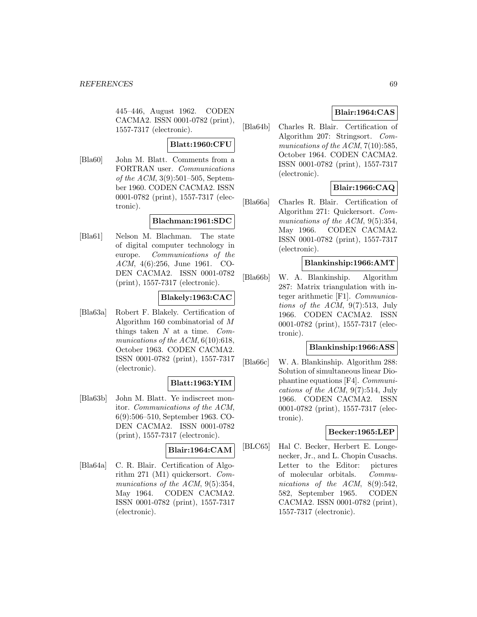445–446, August 1962. CODEN CACMA2. ISSN 0001-0782 (print), 1557-7317 (electronic).

## **Blatt:1960:CFU**

[Bla60] John M. Blatt. Comments from a FORTRAN user. Communications of the ACM, 3(9):501–505, September 1960. CODEN CACMA2. ISSN 0001-0782 (print), 1557-7317 (electronic).

# **Blachman:1961:SDC**

[Bla61] Nelson M. Blachman. The state of digital computer technology in europe. Communications of the ACM, 4(6):256, June 1961. CO-DEN CACMA2. ISSN 0001-0782 (print), 1557-7317 (electronic).

### **Blakely:1963:CAC**

[Bla63a] Robert F. Blakely. Certification of Algorithm 160 combinatorial of M things taken  $N$  at a time.  $Com$ munications of the  $ACM$ ,  $6(10):618$ , October 1963. CODEN CACMA2. ISSN 0001-0782 (print), 1557-7317 (electronic).

### **Blatt:1963:YIM**

[Bla63b] John M. Blatt. Ye indiscreet monitor. Communications of the ACM, 6(9):506–510, September 1963. CO-DEN CACMA2. ISSN 0001-0782 (print), 1557-7317 (electronic).

### **Blair:1964:CAM**

[Bla64a] C. R. Blair. Certification of Algorithm 271 (M1) quickersort. Communications of the ACM, 9(5):354, May 1964. CODEN CACMA2. ISSN 0001-0782 (print), 1557-7317 (electronic).

# **Blair:1964:CAS**

[Bla64b] Charles R. Blair. Certification of Algorithm 207: Stringsort. Communications of the ACM, 7(10):585, October 1964. CODEN CACMA2. ISSN 0001-0782 (print), 1557-7317 (electronic).

# **Blair:1966:CAQ**

[Bla66a] Charles R. Blair. Certification of Algorithm 271: Quickersort. Communications of the ACM, 9(5):354, May 1966. CODEN CACMA2. ISSN 0001-0782 (print), 1557-7317 (electronic).

#### **Blankinship:1966:AMT**

[Bla66b] W. A. Blankinship. Algorithm 287: Matrix triangulation with integer arithmetic [F1]. Communications of the ACM, 9(7):513, July 1966. CODEN CACMA2. ISSN 0001-0782 (print), 1557-7317 (electronic).

# **Blankinship:1966:ASS**

[Bla66c] W. A. Blankinship. Algorithm 288: Solution of simultaneous linear Diophantine equations [F4]. Communications of the ACM, 9(7):514, July 1966. CODEN CACMA2. ISSN 0001-0782 (print), 1557-7317 (electronic).

## **Becker:1965:LEP**

[BLC65] Hal C. Becker, Herbert E. Longenecker, Jr., and L. Chopin Cusachs. Letter to the Editor: pictures of molecular orbitals. Communications of the ACM, 8(9):542, 582, September 1965. CODEN CACMA2. ISSN 0001-0782 (print), 1557-7317 (electronic).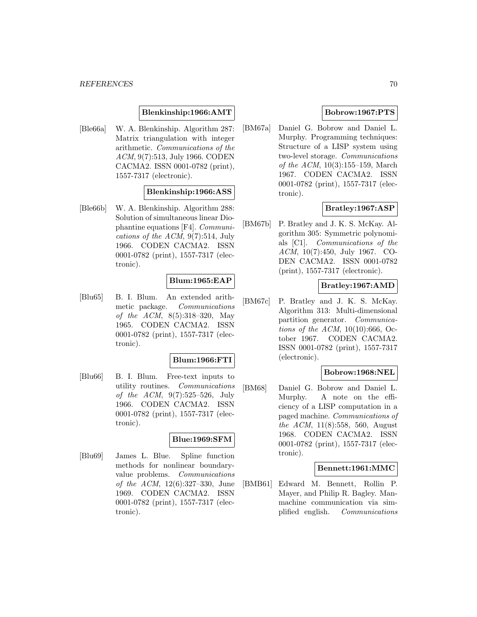### **Blenkinship:1966:AMT**

[Ble66a] W. A. Blenkinship. Algorithm 287: Matrix triangulation with integer arithmetic. Communications of the ACM, 9(7):513, July 1966. CODEN CACMA2. ISSN 0001-0782 (print), 1557-7317 (electronic).

# **Blenkinship:1966:ASS**

[Ble66b] W. A. Blenkinship. Algorithm 288: Solution of simultaneous linear Diophantine equations [F4]. Communications of the ACM, 9(7):514, July 1966. CODEN CACMA2. ISSN 0001-0782 (print), 1557-7317 (electronic).

### **Blum:1965:EAP**

[Blu65] B. I. Blum. An extended arithmetic package. Communications of the ACM, 8(5):318–320, May 1965. CODEN CACMA2. ISSN 0001-0782 (print), 1557-7317 (electronic).

#### **Blum:1966:FTI**

[Blu66] B. I. Blum. Free-text inputs to utility routines. Communications of the ACM, 9(7):525–526, July 1966. CODEN CACMA2. ISSN 0001-0782 (print), 1557-7317 (electronic).

#### **Blue:1969:SFM**

[Blu69] James L. Blue. Spline function methods for nonlinear boundaryvalue problems. Communications of the ACM, 12(6):327–330, June 1969. CODEN CACMA2. ISSN 0001-0782 (print), 1557-7317 (electronic).

## **Bobrow:1967:PTS**

[BM67a] Daniel G. Bobrow and Daniel L. Murphy. Programming techniques: Structure of a LISP system using two-level storage. Communications of the ACM, 10(3):155–159, March 1967. CODEN CACMA2. ISSN 0001-0782 (print), 1557-7317 (electronic).

# **Bratley:1967:ASP**

[BM67b] P. Bratley and J. K. S. McKay. Algorithm 305: Symmetric polynomials [C1]. Communications of the ACM, 10(7):450, July 1967. CO-DEN CACMA2. ISSN 0001-0782 (print), 1557-7317 (electronic).

# **Bratley:1967:AMD**

[BM67c] P. Bratley and J. K. S. McKay. Algorithm 313: Multi-dimensional partition generator. Communications of the ACM,  $10(10):666$ , October 1967. CODEN CACMA2. ISSN 0001-0782 (print), 1557-7317 (electronic).

# **Bobrow:1968:NEL**

[BM68] Daniel G. Bobrow and Daniel L. Murphy. A note on the efficiency of a LISP computation in a paged machine. Communications of the ACM, 11(8):558, 560, August 1968. CODEN CACMA2. ISSN 0001-0782 (print), 1557-7317 (electronic).

#### **Bennett:1961:MMC**

[BMB61] Edward M. Bennett, Rollin P. Mayer, and Philip R. Bagley. Manmachine communication via simplified english. Communications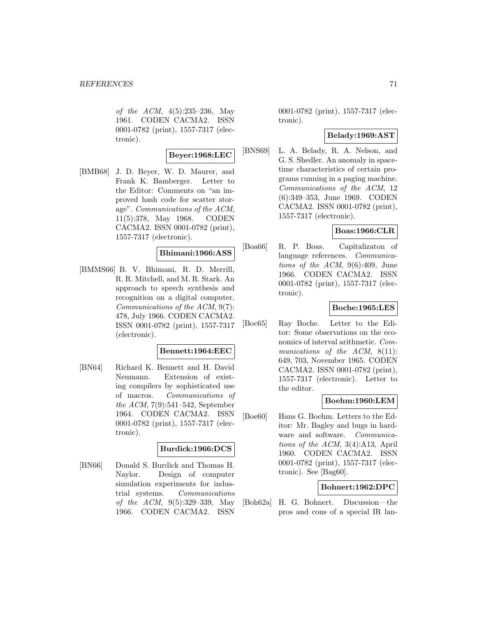of the ACM, 4(5):235–236, May 1961. CODEN CACMA2. ISSN 0001-0782 (print), 1557-7317 (electronic).

$$
{\bf Beyer:} 1968{:}\mathrm{LEC}
$$

[BMB68] J. D. Beyer, W. D. Maurer, and Frank K. Bamberger. Letter to the Editor: Comments on "an improved hash code for scatter storage". Communications of the ACM, 11(5):378, May 1968. CODEN CACMA2. ISSN 0001-0782 (print), 1557-7317 (electronic).

#### **Bhimani:1966:ASS**

[BMMS66] B. V. Bhimani, R. D. Merrill, R. R. Mitchell, and M. R. Stark. An approach to speech synthesis and recognition on a digital computer. Communications of the ACM, 9(7): 478, July 1966. CODEN CACMA2. ISSN 0001-0782 (print), 1557-7317 (electronic).

#### **Bennett:1964:EEC**

[BN64] Richard K. Bennett and H. David Neumann. Extension of existing compilers by sophisticated use of macros. Communications of the ACM, 7(9):541–542, September 1964. CODEN CACMA2. ISSN 0001-0782 (print), 1557-7317 (electronic).

#### **Burdick:1966:DCS**

[BN66] Donald S. Burdick and Thomas H. Naylor. Design of computer simulation experiments for industrial systems. Communications of the ACM, 9(5):329–339, May 1966. CODEN CACMA2. ISSN

0001-0782 (print), 1557-7317 (electronic).

#### **Belady:1969:AST**

[BNS69] L. A. Belady, R. A. Nelson, and G. S. Shedler. An anomaly in spacetime characteristics of certain programs running in a paging machine. Communications of the ACM, 12 (6):349–353, June 1969. CODEN CACMA2. ISSN 0001-0782 (print), 1557-7317 (electronic).

# **Boas:1966:CLR**

[Boa66] R. P. Boas. Capitalizaton of language references. Communications of the ACM, 9(6):409, June 1966. CODEN CACMA2. ISSN 0001-0782 (print), 1557-7317 (electronic).

### **Boche:1965:LES**

[Boc65] Ray Boche. Letter to the Editor: Some observations on the economics of interval arithmetic. Communications of the ACM, 8(11): 649, 703, November 1965. CODEN CACMA2. ISSN 0001-0782 (print), 1557-7317 (electronic). Letter to the editor.

### **Boehm:1960:LEM**

[Boe60] Hans G. Boehm. Letters to the Editor: Mr. Bagley and bugs in hardware and software. Communications of the ACM, 3(4):A13, April 1960. CODEN CACMA2. ISSN 0001-0782 (print), 1557-7317 (electronic). See [Bag60].

### **Bohnert:1962:DPC**

[Boh62a] H. G. Bohnert. Discussion—the pros and cons of a special IR lan-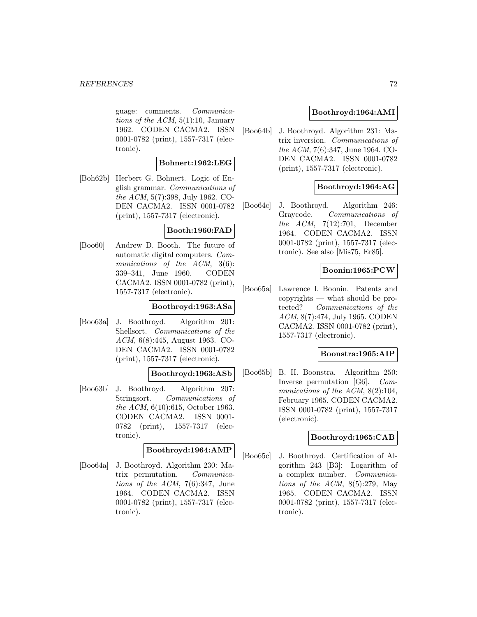#### *REFERENCES* 72

guage: comments. Communications of the  $ACM$ ,  $5(1):10$ , January 1962. CODEN CACMA2. ISSN 0001-0782 (print), 1557-7317 (electronic).

### **Bohnert:1962:LEG**

[Boh62b] Herbert G. Bohnert. Logic of English grammar. Communications of the ACM, 5(7):398, July 1962. CO-DEN CACMA2. ISSN 0001-0782 (print), 1557-7317 (electronic).

## **Booth:1960:FAD**

[Boo60] Andrew D. Booth. The future of automatic digital computers. Communications of the ACM, 3(6): 339–341, June 1960. CODEN CACMA2. ISSN 0001-0782 (print), 1557-7317 (electronic).

## **Boothroyd:1963:ASa**

[Boo63a] J. Boothroyd. Algorithm 201: Shellsort. Communications of the ACM, 6(8):445, August 1963. CO-DEN CACMA2. ISSN 0001-0782 (print), 1557-7317 (electronic).

## **Boothroyd:1963:ASb**

[Boo63b] J. Boothroyd. Algorithm 207: Stringsort. Communications of the ACM, 6(10):615, October 1963. CODEN CACMA2. ISSN 0001- 0782 (print), 1557-7317 (electronic).

# **Boothroyd:1964:AMP**

[Boo64a] J. Boothroyd. Algorithm 230: Matrix permutation. Communications of the ACM, 7(6):347, June 1964. CODEN CACMA2. ISSN 0001-0782 (print), 1557-7317 (electronic).

#### **Boothroyd:1964:AMI**

[Boo64b] J. Boothroyd. Algorithm 231: Matrix inversion. Communications of the ACM, 7(6):347, June 1964. CO-DEN CACMA2. ISSN 0001-0782 (print), 1557-7317 (electronic).

### **Boothroyd:1964:AG**

[Boo64c] J. Boothroyd. Algorithm 246: Graycode. Communications of the ACM,  $7(12):701$ , December 1964. CODEN CACMA2. ISSN 0001-0782 (print), 1557-7317 (electronic). See also [Mis75, Er85].

# **Boonin:1965:PCW**

[Boo65a] Lawrence I. Boonin. Patents and copyrights — what should be protected? Communications of the ACM, 8(7):474, July 1965. CODEN CACMA2. ISSN 0001-0782 (print), 1557-7317 (electronic).

### **Boonstra:1965:AIP**

[Boo65b] B. H. Boonstra. Algorithm 250: Inverse permutation [G6]. Communications of the ACM, 8(2):104, February 1965. CODEN CACMA2. ISSN 0001-0782 (print), 1557-7317 (electronic).

#### **Boothroyd:1965:CAB**

[Boo65c] J. Boothroyd. Certification of Algorithm 243 [B3]: Logarithm of a complex number. Communications of the ACM,  $8(5):279$ , May 1965. CODEN CACMA2. ISSN 0001-0782 (print), 1557-7317 (electronic).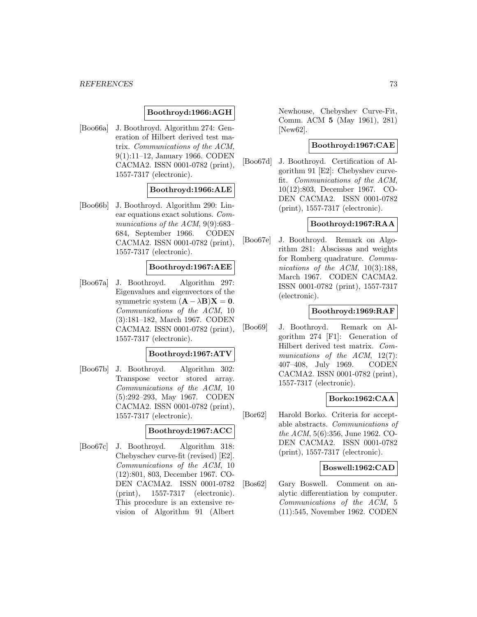### **Boothroyd:1966:AGH**

[Boo66a] J. Boothroyd. Algorithm 274: Generation of Hilbert derived test matrix. Communications of the ACM, 9(1):11–12, January 1966. CODEN CACMA2. ISSN 0001-0782 (print), 1557-7317 (electronic).

## **Boothroyd:1966:ALE**

[Boo66b] J. Boothroyd. Algorithm 290: Linear equations exact solutions. Communications of the ACM, 9(9):683– 684, September 1966. CODEN CACMA2. ISSN 0001-0782 (print), 1557-7317 (electronic).

### **Boothroyd:1967:AEE**

[Boo67a] J. Boothroyd. Algorithm 297: Eigenvalues and eigenvectors of the symmetric system  $(A - \lambda B)X = 0$ . Communications of the ACM, 10 (3):181–182, March 1967. CODEN CACMA2. ISSN 0001-0782 (print), 1557-7317 (electronic).

#### **Boothroyd:1967:ATV**

[Boo67b] J. Boothroyd. Algorithm 302: Transpose vector stored array. Communications of the ACM, 10 (5):292–293, May 1967. CODEN CACMA2. ISSN 0001-0782 (print), 1557-7317 (electronic).

## **Boothroyd:1967:ACC**

[Boo67c] J. Boothroyd. Algorithm 318: Chebyschev curve-fit (revised) [E2]. Communications of the ACM, 10 (12):801, 803, December 1967. CO-DEN CACMA2. ISSN 0001-0782 (print), 1557-7317 (electronic). This procedure is an extensive revision of Algorithm 91 (Albert

Newhouse, Chebyshev Curve-Fit, Comm. ACM **5** (May 1961), 281) [New62].

## **Boothroyd:1967:CAE**

[Boo67d] J. Boothroyd. Certification of Algorithm 91 [E2]: Chebyshev curvefit. Communications of the ACM, 10(12):803, December 1967. CO-DEN CACMA2. ISSN 0001-0782 (print), 1557-7317 (electronic).

### **Boothroyd:1967:RAA**

[Boo67e] J. Boothroyd. Remark on Algorithm 281: Abscissas and weights for Romberg quadrature. Communications of the ACM,  $10(3):188$ , March 1967. CODEN CACMA2. ISSN 0001-0782 (print), 1557-7317 (electronic).

### **Boothroyd:1969:RAF**

[Boo69] J. Boothroyd. Remark on Algorithm 274 [F1]: Generation of Hilbert derived test matrix. Communications of the ACM, 12(7): 407–408, July 1969. CODEN CACMA2. ISSN 0001-0782 (print), 1557-7317 (electronic).

### **Borko:1962:CAA**

[Bor62] Harold Borko. Criteria for acceptable abstracts. Communications of the ACM, 5(6):356, June 1962. CO-DEN CACMA2. ISSN 0001-0782 (print), 1557-7317 (electronic).

### **Boswell:1962:CAD**

[Bos62] Gary Boswell. Comment on analytic differentiation by computer. Communications of the ACM, 5 (11):545, November 1962. CODEN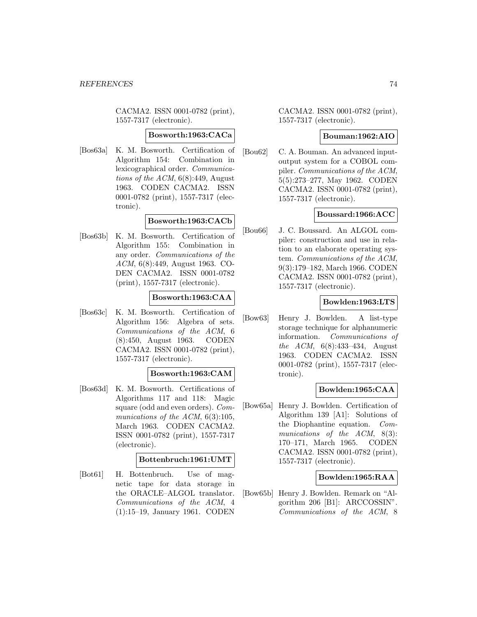CACMA2. ISSN 0001-0782 (print), 1557-7317 (electronic).

### **Bosworth:1963:CACa**

[Bos63a] K. M. Bosworth. Certification of Algorithm 154: Combination in lexicographical order. Communications of the ACM,  $6(8):449$ , August 1963. CODEN CACMA2. ISSN 0001-0782 (print), 1557-7317 (electronic).

## **Bosworth:1963:CACb**

[Bos63b] K. M. Bosworth. Certification of Algorithm 155: Combination in any order. Communications of the ACM, 6(8):449, August 1963. CO-DEN CACMA2. ISSN 0001-0782 (print), 1557-7317 (electronic).

## **Bosworth:1963:CAA**

[Bos63c] K. M. Bosworth. Certification of Algorithm 156: Algebra of sets. Communications of the ACM, 6 (8):450, August 1963. CODEN CACMA2. ISSN 0001-0782 (print), 1557-7317 (electronic).

### **Bosworth:1963:CAM**

[Bos63d] K. M. Bosworth. Certifications of Algorithms 117 and 118: Magic square (odd and even orders). Communications of the ACM, 6(3):105, March 1963. CODEN CACMA2. ISSN 0001-0782 (print), 1557-7317 (electronic).

### **Bottenbruch:1961:UMT**

[Bot61] H. Bottenbruch. Use of magnetic tape for data storage in the ORACLE–ALGOL translator. Communications of the ACM, 4 (1):15–19, January 1961. CODEN CACMA2. ISSN 0001-0782 (print), 1557-7317 (electronic).

### **Bouman:1962:AIO**

[Bou62] C. A. Bouman. An advanced inputoutput system for a COBOL compiler. Communications of the ACM, 5(5):273–277, May 1962. CODEN CACMA2. ISSN 0001-0782 (print), 1557-7317 (electronic).

## **Boussard:1966:ACC**

[Bou66] J. C. Boussard. An ALGOL compiler: construction and use in relation to an elaborate operating system. Communications of the ACM, 9(3):179–182, March 1966. CODEN CACMA2. ISSN 0001-0782 (print), 1557-7317 (electronic).

### **Bowlden:1963:LTS**

[Bow63] Henry J. Bowlden. A list-type storage technique for alphanumeric information. Communications of the ACM, 6(8):433–434, August 1963. CODEN CACMA2. ISSN 0001-0782 (print), 1557-7317 (electronic).

## **Bowlden:1965:CAA**

[Bow65a] Henry J. Bowlden. Certification of Algorithm 139 [A1]: Solutions of the Diophantine equation. Communications of the ACM, 8(3): 170–171, March 1965. CODEN CACMA2. ISSN 0001-0782 (print), 1557-7317 (electronic).

### **Bowlden:1965:RAA**

[Bow65b] Henry J. Bowlden. Remark on "Algorithm 206 [B1]: ARCCOSSIN". Communications of the ACM, 8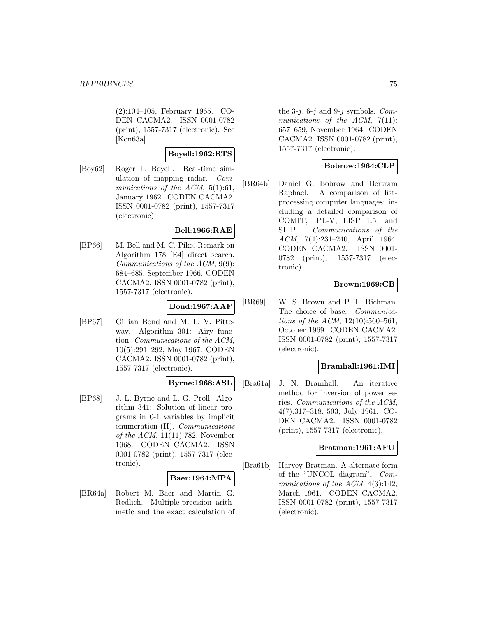(2):104–105, February 1965. CO-DEN CACMA2. ISSN 0001-0782 (print), 1557-7317 (electronic). See [Kon63a].

## **Boyell:1962:RTS**

[Boy62] Roger L. Boyell. Real-time simulation of mapping radar. Communications of the ACM, 5(1):61, January 1962. CODEN CACMA2. ISSN 0001-0782 (print), 1557-7317 (electronic).

## **Bell:1966:RAE**

[BP66] M. Bell and M. C. Pike. Remark on Algorithm 178 [E4] direct search. Communications of the ACM, 9(9): 684–685, September 1966. CODEN CACMA2. ISSN 0001-0782 (print), 1557-7317 (electronic).

### **Bond:1967:AAF**

[BP67] Gillian Bond and M. L. V. Pitteway. Algorithm 301: Airy function. Communications of the ACM, 10(5):291–292, May 1967. CODEN CACMA2. ISSN 0001-0782 (print), 1557-7317 (electronic).

## **Byrne:1968:ASL**

[BP68] J. L. Byrne and L. G. Proll. Algorithm 341: Solution of linear programs in 0-1 variables by implicit enumeration (H). Communications of the ACM, 11(11):782, November 1968. CODEN CACMA2. ISSN 0001-0782 (print), 1557-7317 (electronic).

#### **Baer:1964:MPA**

[BR64a] Robert M. Baer and Martin G. Redlich. Multiple-precision arithmetic and the exact calculation of the 3-j, 6-j and 9-j symbols. Communications of the  $ACM$ ,  $7(11)$ : 657–659, November 1964. CODEN CACMA2. ISSN 0001-0782 (print), 1557-7317 (electronic).

## **Bobrow:1964:CLP**

[BR64b] Daniel G. Bobrow and Bertram Raphael. A comparison of listprocessing computer languages: including a detailed comparison of COMIT, IPL-V, LISP 1.5, and SLIP. Communications of the ACM, 7(4):231–240, April 1964. CODEN CACMA2. ISSN 0001- 0782 (print), 1557-7317 (electronic).

### **Brown:1969:CB**

[BR69] W. S. Brown and P. L. Richman. The choice of base. Communications of the ACM, 12(10):560–561, October 1969. CODEN CACMA2. ISSN 0001-0782 (print), 1557-7317 (electronic).

### **Bramhall:1961:IMI**

[Bra61a] J. N. Bramhall. An iterative method for inversion of power series. Communications of the ACM, 4(7):317–318, 503, July 1961. CO-DEN CACMA2. ISSN 0001-0782 (print), 1557-7317 (electronic).

#### **Bratman:1961:AFU**

[Bra61b] Harvey Bratman. A alternate form of the "UNCOL diagram". Communications of the ACM,  $4(3):142$ , March 1961. CODEN CACMA2. ISSN 0001-0782 (print), 1557-7317 (electronic).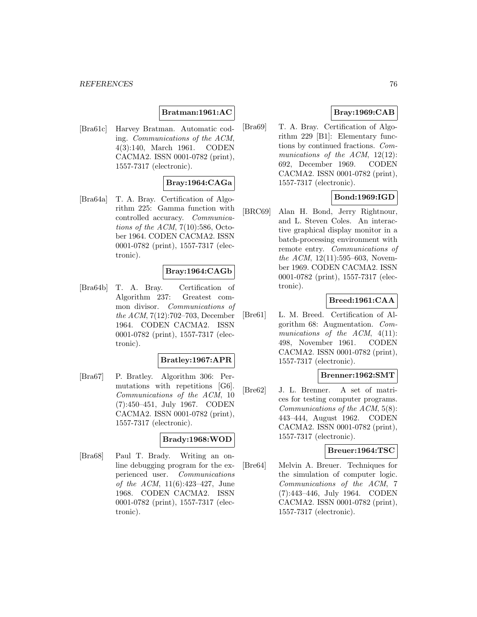## **Bratman:1961:AC**

[Bra61c] Harvey Bratman. Automatic coding. Communications of the ACM, 4(3):140, March 1961. CODEN CACMA2. ISSN 0001-0782 (print), 1557-7317 (electronic).

### **Bray:1964:CAGa**

[Bra64a] T. A. Bray. Certification of Algorithm 225: Gamma function with controlled accuracy. Communications of the ACM,  $7(10):586$ , October 1964. CODEN CACMA2. ISSN 0001-0782 (print), 1557-7317 (electronic).

### **Bray:1964:CAGb**

[Bra64b] T. A. Bray. Certification of Algorithm 237: Greatest common divisor. Communications of the ACM, 7(12):702–703, December 1964. CODEN CACMA2. ISSN 0001-0782 (print), 1557-7317 (electronic).

### **Bratley:1967:APR**

[Bra67] P. Bratley. Algorithm 306: Permutations with repetitions [G6]. Communications of the ACM, 10 (7):450–451, July 1967. CODEN CACMA2. ISSN 0001-0782 (print), 1557-7317 (electronic).

## **Brady:1968:WOD**

[Bra68] Paul T. Brady. Writing an online debugging program for the experienced user. Communications of the ACM, 11(6):423–427, June 1968. CODEN CACMA2. ISSN 0001-0782 (print), 1557-7317 (electronic).

## **Bray:1969:CAB**

[Bra69] T. A. Bray. Certification of Algorithm 229 [B1]: Elementary functions by continued fractions. Communications of the ACM, 12(12): 692, December 1969. CODEN CACMA2. ISSN 0001-0782 (print), 1557-7317 (electronic).

## **Bond:1969:IGD**

[BRC69] Alan H. Bond, Jerry Rightnour, and L. Steven Coles. An interactive graphical display monitor in a batch-processing environment with remote entry. Communications of the ACM,  $12(11):595-603$ , November 1969. CODEN CACMA2. ISSN 0001-0782 (print), 1557-7317 (electronic).

### **Breed:1961:CAA**

[Bre61] L. M. Breed. Certification of Algorithm 68: Augmentation. Communications of the ACM,  $4(11)$ : 498, November 1961. CODEN CACMA2. ISSN 0001-0782 (print), 1557-7317 (electronic).

### **Brenner:1962:SMT**

[Bre62] J. L. Brenner. A set of matrices for testing computer programs. Communications of the ACM, 5(8): 443–444, August 1962. CODEN CACMA2. ISSN 0001-0782 (print), 1557-7317 (electronic).

### **Breuer:1964:TSC**

[Bre64] Melvin A. Breuer. Techniques for the simulation of computer logic. Communications of the ACM, 7 (7):443–446, July 1964. CODEN CACMA2. ISSN 0001-0782 (print), 1557-7317 (electronic).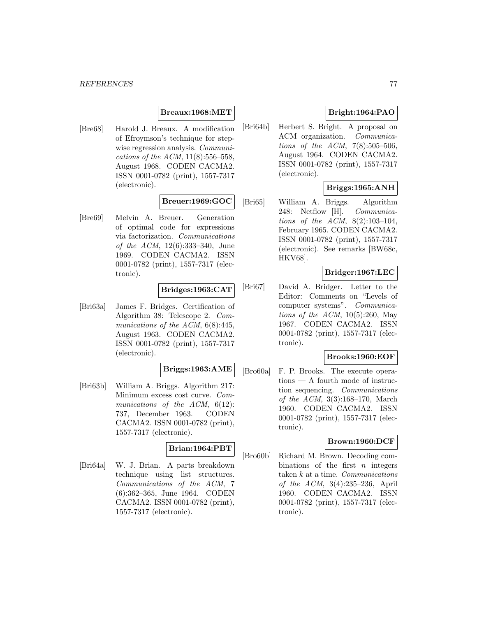### **Breaux:1968:MET**

[Bre68] Harold J. Breaux. A modification of Efroymson's technique for stepwise regression analysis. *Communi*cations of the ACM, 11(8):556–558, August 1968. CODEN CACMA2. ISSN 0001-0782 (print), 1557-7317 (electronic).

### **Breuer:1969:GOC**

[Bre69] Melvin A. Breuer. Generation of optimal code for expressions via factorization. Communications of the ACM, 12(6):333–340, June 1969. CODEN CACMA2. ISSN 0001-0782 (print), 1557-7317 (electronic).

### **Bridges:1963:CAT**

[Bri63a] James F. Bridges. Certification of Algorithm 38: Telescope 2. Communications of the ACM,  $6(8):445$ , August 1963. CODEN CACMA2. ISSN 0001-0782 (print), 1557-7317 (electronic).

#### **Briggs:1963:AME**

[Bri63b] William A. Briggs. Algorithm 217: Minimum excess cost curve. Communications of the ACM,  $6(12)$ : 737, December 1963. CODEN CACMA2. ISSN 0001-0782 (print), 1557-7317 (electronic).

## **Brian:1964:PBT**

[Bri64a] W. J. Brian. A parts breakdown technique using list structures. Communications of the ACM, 7 (6):362–365, June 1964. CODEN CACMA2. ISSN 0001-0782 (print), 1557-7317 (electronic).

# **Bright:1964:PAO**

[Bri64b] Herbert S. Bright. A proposal on ACM organization. Communications of the ACM,  $7(8):505-506$ , August 1964. CODEN CACMA2. ISSN 0001-0782 (print), 1557-7317 (electronic).

## **Briggs:1965:ANH**

[Bri65] William A. Briggs. Algorithm 248: Netflow [H]. Communications of the ACM, 8(2):103–104, February 1965. CODEN CACMA2. ISSN 0001-0782 (print), 1557-7317 (electronic). See remarks [BW68c, HKV68].

## **Bridger:1967:LEC**

[Bri67] David A. Bridger. Letter to the Editor: Comments on "Levels of computer systems". Communications of the ACM,  $10(5):260$ , May 1967. CODEN CACMA2. ISSN 0001-0782 (print), 1557-7317 (electronic).

### **Brooks:1960:EOF**

[Bro60a] F. P. Brooks. The execute operations — A fourth mode of instruction sequencing. Communications of the ACM, 3(3):168–170, March 1960. CODEN CACMA2. ISSN 0001-0782 (print), 1557-7317 (electronic).

### **Brown:1960:DCF**

[Bro60b] Richard M. Brown. Decoding combinations of the first  $n$  integers taken  $k$  at a time. Communications of the ACM, 3(4):235–236, April 1960. CODEN CACMA2. ISSN 0001-0782 (print), 1557-7317 (electronic).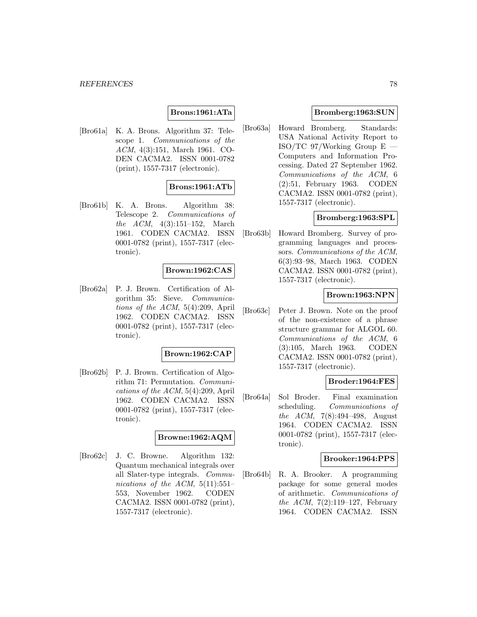### **Brons:1961:ATa**

[Bro61a] K. A. Brons. Algorithm 37: Telescope 1. Communications of the ACM, 4(3):151, March 1961. CO-DEN CACMA2. ISSN 0001-0782 (print), 1557-7317 (electronic).

### **Brons:1961:ATb**

[Bro61b] K. A. Brons. Algorithm 38: Telescope 2. Communications of the ACM, 4(3):151–152, March 1961. CODEN CACMA2. ISSN 0001-0782 (print), 1557-7317 (electronic).

### **Brown:1962:CAS**

[Bro62a] P. J. Brown. Certification of Algorithm 35: Sieve. Communications of the ACM, 5(4):209, April 1962. CODEN CACMA2. ISSN 0001-0782 (print), 1557-7317 (electronic).

#### **Brown:1962:CAP**

[Bro62b] P. J. Brown. Certification of Algorithm 71: Permutation. Communications of the ACM, 5(4):209, April 1962. CODEN CACMA2. ISSN 0001-0782 (print), 1557-7317 (electronic).

### **Browne:1962:AQM**

[Bro62c] J. C. Browne. Algorithm 132: Quantum mechanical integrals over all Slater-type integrals. Communications of the ACM,  $5(11):551-$ 553, November 1962. CODEN CACMA2. ISSN 0001-0782 (print), 1557-7317 (electronic).

### **Bromberg:1963:SUN**

[Bro63a] Howard Bromberg. Standards: USA National Activity Report to ISO/TC 97/Working Group  $E =$ Computers and Information Processing. Dated 27 September 1962. Communications of the ACM, 6 (2):51, February 1963. CODEN CACMA2. ISSN 0001-0782 (print), 1557-7317 (electronic).

### **Bromberg:1963:SPL**

[Bro63b] Howard Bromberg. Survey of programming languages and processors. Communications of the ACM, 6(3):93–98, March 1963. CODEN CACMA2. ISSN 0001-0782 (print), 1557-7317 (electronic).

## **Brown:1963:NPN**

[Bro63c] Peter J. Brown. Note on the proof of the non-existence of a phrase structure grammar for ALGOL 60. Communications of the ACM, 6 (3):105, March 1963. CODEN CACMA2. ISSN 0001-0782 (print), 1557-7317 (electronic).

### **Broder:1964:FES**

[Bro64a] Sol Broder. Final examination scheduling. Communications of the ACM, 7(8):494–498, August 1964. CODEN CACMA2. ISSN 0001-0782 (print), 1557-7317 (electronic).

#### **Brooker:1964:PPS**

[Bro64b] R. A. Brooker. A programming package for some general modes of arithmetic. Communications of the ACM, 7(2):119–127, February 1964. CODEN CACMA2. ISSN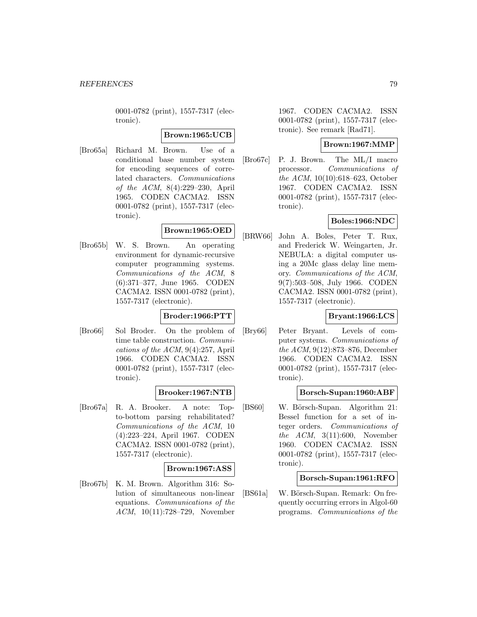0001-0782 (print), 1557-7317 (electronic).

### **Brown:1965:UCB**

[Bro65a] Richard M. Brown. Use of a conditional base number system for encoding sequences of correlated characters. Communications of the ACM, 8(4):229–230, April 1965. CODEN CACMA2. ISSN 0001-0782 (print), 1557-7317 (electronic).

# **Brown:1965:OED**

[Bro65b] W. S. Brown. An operating environment for dynamic-recursive computer programming systems. Communications of the ACM, 8 (6):371–377, June 1965. CODEN CACMA2. ISSN 0001-0782 (print), 1557-7317 (electronic).

# **Broder:1966:PTT**

[Bro66] Sol Broder. On the problem of time table construction. Communications of the ACM, 9(4):257, April 1966. CODEN CACMA2. ISSN 0001-0782 (print), 1557-7317 (electronic).

### **Brooker:1967:NTB**

[Bro67a] R. A. Brooker. A note: Topto-bottom parsing rehabilitated? Communications of the ACM, 10 (4):223–224, April 1967. CODEN CACMA2. ISSN 0001-0782 (print), 1557-7317 (electronic).

### **Brown:1967:ASS**

[Bro67b] K. M. Brown. Algorithm 316: Solution of simultaneous non-linear equations. Communications of the ACM, 10(11):728–729, November

1967. CODEN CACMA2. ISSN 0001-0782 (print), 1557-7317 (electronic). See remark [Rad71].

### **Brown:1967:MMP**

[Bro67c] P. J. Brown. The ML/I macro processor. Communications of the ACM, 10(10):618–623, October 1967. CODEN CACMA2. ISSN 0001-0782 (print), 1557-7317 (electronic).

## **Boles:1966:NDC**

[BRW66] John A. Boles, Peter T. Rux, and Frederick W. Weingarten, Jr. NEBULA: a digital computer using a 20Mc glass delay line memory. Communications of the ACM, 9(7):503–508, July 1966. CODEN CACMA2. ISSN 0001-0782 (print), 1557-7317 (electronic).

### **Bryant:1966:LCS**

[Bry66] Peter Bryant. Levels of computer systems. Communications of the ACM, 9(12):873–876, December 1966. CODEN CACMA2. ISSN 0001-0782 (print), 1557-7317 (electronic).

### **Borsch-Supan:1960:ABF**

[BS60] W. Börsch-Supan. Algorithm 21: Bessel function for a set of integer orders. Communications of the ACM, 3(11):600, November 1960. CODEN CACMA2. ISSN 0001-0782 (print), 1557-7317 (electronic).

### **Borsch-Supan:1961:RFO**

[BS61a] W. Börsch-Supan. Remark: On frequently occurring errors in Algol-60 programs. Communications of the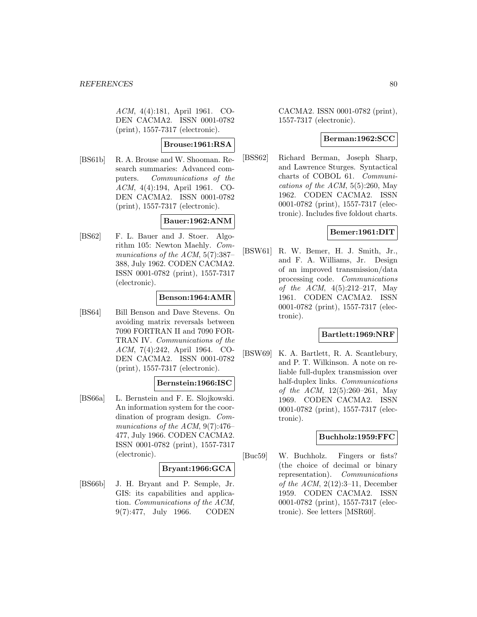ACM, 4(4):181, April 1961. CO-DEN CACMA2. ISSN 0001-0782 (print), 1557-7317 (electronic).

## **Brouse:1961:RSA**

[BS61b] R. A. Brouse and W. Shooman. Research summaries: Advanced computers. Communications of the ACM, 4(4):194, April 1961. CO-DEN CACMA2. ISSN 0001-0782 (print), 1557-7317 (electronic).

## **Bauer:1962:ANM**

[BS62] F. L. Bauer and J. Stoer. Algorithm 105: Newton Maehly. Communications of the ACM, 5(7):387– 388, July 1962. CODEN CACMA2. ISSN 0001-0782 (print), 1557-7317 (electronic).

### **Benson:1964:AMR**

[BS64] Bill Benson and Dave Stevens. On avoiding matrix reversals between 7090 FORTRAN II and 7090 FOR-TRAN IV. Communications of the ACM, 7(4):242, April 1964. CO-DEN CACMA2. ISSN 0001-0782 (print), 1557-7317 (electronic).

### **Bernstein:1966:ISC**

[BS66a] L. Bernstein and F. E. Slojkowski. An information system for the coordination of program design. Communications of the ACM, 9(7):476– 477, July 1966. CODEN CACMA2. ISSN 0001-0782 (print), 1557-7317 (electronic).

### **Bryant:1966:GCA**

[BS66b] J. H. Bryant and P. Semple, Jr. GIS: its capabilities and application. Communications of the ACM, 9(7):477, July 1966. CODEN

CACMA2. ISSN 0001-0782 (print), 1557-7317 (electronic).

### **Berman:1962:SCC**

[BSS62] Richard Berman, Joseph Sharp, and Lawrence Sturges. Syntactical charts of COBOL 61. Communications of the ACM,  $5(5):260$ , May 1962. CODEN CACMA2. ISSN 0001-0782 (print), 1557-7317 (electronic). Includes five foldout charts.

### **Bemer:1961:DIT**

[BSW61] R. W. Bemer, H. J. Smith, Jr., and F. A. Williams, Jr. Design of an improved transmission/data processing code. Communications of the ACM,  $4(5):212-217$ , May 1961. CODEN CACMA2. ISSN 0001-0782 (print), 1557-7317 (electronic).

### **Bartlett:1969:NRF**

[BSW69] K. A. Bartlett, R. A. Scantlebury, and P. T. Wilkinson. A note on reliable full-duplex transmission over half-duplex links. Communications of the ACM, 12(5):260–261, May 1969. CODEN CACMA2. ISSN 0001-0782 (print), 1557-7317 (electronic).

### **Buchholz:1959:FFC**

[Buc59] W. Buchholz. Fingers or fists? (the choice of decimal or binary representation). Communications of the ACM,  $2(12):3-11$ , December 1959. CODEN CACMA2. ISSN 0001-0782 (print), 1557-7317 (electronic). See letters [MSR60].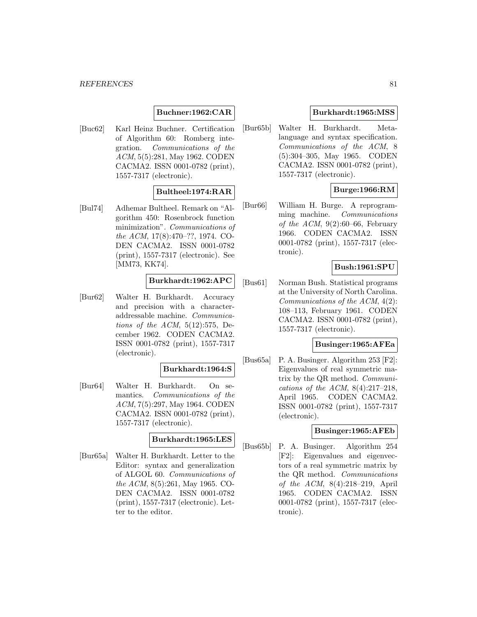## **Buchner:1962:CAR**

[Buc62] Karl Heinz Buchner. Certification of Algorithm 60: Romberg integration. Communications of the ACM, 5(5):281, May 1962. CODEN CACMA2. ISSN 0001-0782 (print), 1557-7317 (electronic).

# **Bultheel:1974:RAR**

[Bul74] Adhemar Bultheel. Remark on "Algorithm 450: Rosenbrock function minimization". Communications of the ACM, 17(8):470–??, 1974. CO-DEN CACMA2. ISSN 0001-0782 (print), 1557-7317 (electronic). See [MM73, KK74].

### **Burkhardt:1962:APC**

[Bur62] Walter H. Burkhardt. Accuracy and precision with a characteraddressable machine. Communications of the  $ACM$ ,  $5(12):575$ , December 1962. CODEN CACMA2. ISSN 0001-0782 (print), 1557-7317 (electronic).

## **Burkhardt:1964:S**

[Bur64] Walter H. Burkhardt. On semantics. Communications of the ACM, 7(5):297, May 1964. CODEN CACMA2. ISSN 0001-0782 (print), 1557-7317 (electronic).

### **Burkhardt:1965:LES**

[Bur65a] Walter H. Burkhardt. Letter to the Editor: syntax and generalization of ALGOL 60. Communications of the ACM, 8(5):261, May 1965. CO-DEN CACMA2. ISSN 0001-0782 (print), 1557-7317 (electronic). Letter to the editor.

### **Burkhardt:1965:MSS**

[Bur65b] Walter H. Burkhardt. Metalanguage and syntax specification. Communications of the ACM, 8 (5):304–305, May 1965. CODEN CACMA2. ISSN 0001-0782 (print), 1557-7317 (electronic).

## **Burge:1966:RM**

[Bur66] William H. Burge. A reprogramming machine. Communications of the ACM,  $9(2):60-66$ , February 1966. CODEN CACMA2. ISSN 0001-0782 (print), 1557-7317 (electronic).

### **Bush:1961:SPU**

[Bus61] Norman Bush. Statistical programs at the University of North Carolina. Communications of the ACM, 4(2): 108–113, February 1961. CODEN CACMA2. ISSN 0001-0782 (print), 1557-7317 (electronic).

### **Businger:1965:AFEa**

[Bus65a] P. A. Businger. Algorithm 253 [F2]: Eigenvalues of real symmetric matrix by the QR method. Communications of the ACM,  $8(4):217-218$ , April 1965. CODEN CACMA2. ISSN 0001-0782 (print), 1557-7317 (electronic).

### **Businger:1965:AFEb**

[Bus65b] P. A. Businger. Algorithm 254 [F2]: Eigenvalues and eigenvectors of a real symmetric matrix by the QR method. Communications of the ACM, 8(4):218–219, April 1965. CODEN CACMA2. ISSN 0001-0782 (print), 1557-7317 (electronic).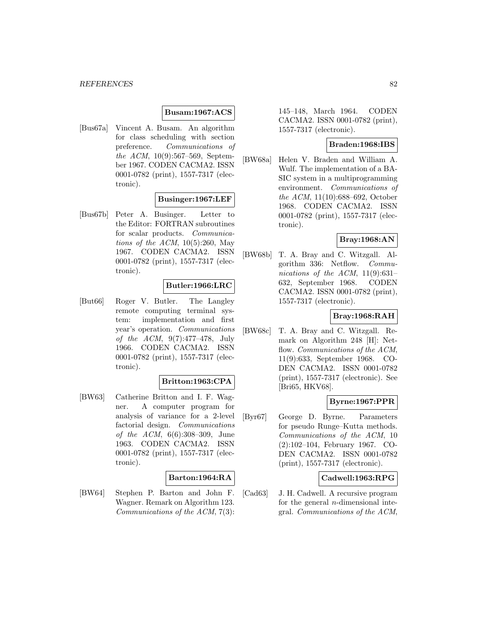### **Busam:1967:ACS**

[Bus67a] Vincent A. Busam. An algorithm for class scheduling with section preference. Communications of the ACM, 10(9):567–569, September 1967. CODEN CACMA2. ISSN 0001-0782 (print), 1557-7317 (electronic).

### **Businger:1967:LEF**

[Bus67b] Peter A. Businger. Letter to the Editor: FORTRAN subroutines for scalar products. Communications of the ACM,  $10(5):260$ , May 1967. CODEN CACMA2. ISSN 0001-0782 (print), 1557-7317 (electronic).

### **Butler:1966:LRC**

[But66] Roger V. Butler. The Langley remote computing terminal system: implementation and first year's operation. Communications of the ACM, 9(7):477–478, July 1966. CODEN CACMA2. ISSN 0001-0782 (print), 1557-7317 (electronic).

#### **Britton:1963:CPA**

[BW63] Catherine Britton and I. F. Wagner. A computer program for analysis of variance for a 2-level factorial design. Communications of the ACM, 6(6):308–309, June 1963. CODEN CACMA2. ISSN 0001-0782 (print), 1557-7317 (electronic).

### **Barton:1964:RA**

[BW64] Stephen P. Barton and John F. Wagner. Remark on Algorithm 123. Communications of the ACM, 7(3):

145–148, March 1964. CODEN CACMA2. ISSN 0001-0782 (print), 1557-7317 (electronic).

# **Braden:1968:IBS**

[BW68a] Helen V. Braden and William A. Wulf. The implementation of a BA-SIC system in a multiprogramming environment. Communications of the ACM, 11(10):688–692, October 1968. CODEN CACMA2. ISSN 0001-0782 (print), 1557-7317 (electronic).

## **Bray:1968:AN**

[BW68b] T. A. Bray and C. Witzgall. Algorithm 336: Netflow. Communications of the ACM,  $11(9):631-$ 632, September 1968. CODEN CACMA2. ISSN 0001-0782 (print), 1557-7317 (electronic).

## **Bray:1968:RAH**

[BW68c] T. A. Bray and C. Witzgall. Remark on Algorithm 248 [H]: Netflow. Communications of the ACM, 11(9):633, September 1968. CO-DEN CACMA2. ISSN 0001-0782 (print), 1557-7317 (electronic). See [Bri65, HKV68].

### **Byrne:1967:PPR**

[Byr67] George D. Byrne. Parameters for pseudo Runge–Kutta methods. Communications of the ACM, 10 (2):102–104, February 1967. CO-DEN CACMA2. ISSN 0001-0782 (print), 1557-7317 (electronic).

### **Cadwell:1963:RPG**

[Cad63] J. H. Cadwell. A recursive program for the general  $n$ -dimensional integral. Communications of the ACM,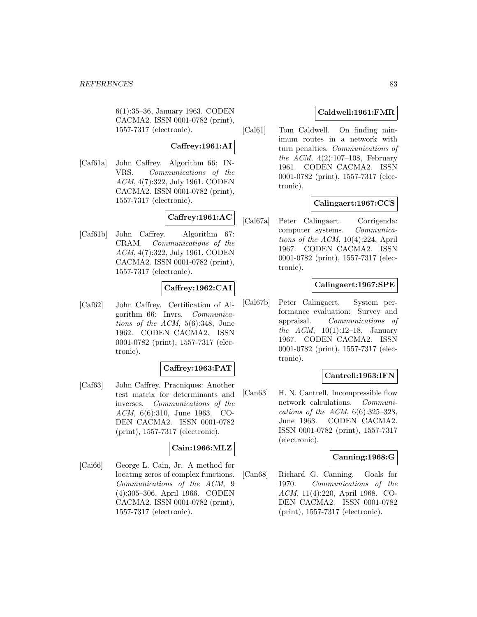6(1):35–36, January 1963. CODEN CACMA2. ISSN 0001-0782 (print), 1557-7317 (electronic).

## **Caffrey:1961:AI**

[Caf61a] John Caffrey. Algorithm 66: IN-VRS. Communications of the ACM, 4(7):322, July 1961. CODEN CACMA2. ISSN 0001-0782 (print), 1557-7317 (electronic).

# **Caffrey:1961:AC**

[Caf61b] John Caffrey. Algorithm 67: CRAM. Communications of the ACM, 4(7):322, July 1961. CODEN CACMA2. ISSN 0001-0782 (print), 1557-7317 (electronic).

## **Caffrey:1962:CAI**

[Caf62] John Caffrey. Certification of Algorithm 66: Invrs. Communications of the ACM, 5(6):348, June 1962. CODEN CACMA2. ISSN 0001-0782 (print), 1557-7317 (electronic).

### **Caffrey:1963:PAT**

[Caf63] John Caffrey. Pracniques: Another test matrix for determinants and inverses. Communications of the ACM, 6(6):310, June 1963. CO-DEN CACMA2. ISSN 0001-0782 (print), 1557-7317 (electronic).

### **Cain:1966:MLZ**

[Cai66] George L. Cain, Jr. A method for locating zeros of complex functions. Communications of the ACM, 9 (4):305–306, April 1966. CODEN CACMA2. ISSN 0001-0782 (print), 1557-7317 (electronic).

## **Caldwell:1961:FMR**

[Cal61] Tom Caldwell. On finding minimum routes in a network with turn penalties. Communications of the ACM,  $4(2):107-108$ , February 1961. CODEN CACMA2. ISSN 0001-0782 (print), 1557-7317 (electronic).

## **Calingaert:1967:CCS**

[Cal67a] Peter Calingaert. Corrigenda: computer systems. Communications of the ACM, 10(4):224, April 1967. CODEN CACMA2. ISSN 0001-0782 (print), 1557-7317 (electronic).

## **Calingaert:1967:SPE**

[Cal67b] Peter Calingaert. System performance evaluation: Survey and appraisal. Communications of *the ACM*,  $10(1):12-18$ , January 1967. CODEN CACMA2. ISSN 0001-0782 (print), 1557-7317 (electronic).

### **Cantrell:1963:IFN**

[Can63] H. N. Cantrell. Incompressible flow network calculations. Communications of the ACM,  $6(6):325-328$ , June 1963. CODEN CACMA2. ISSN 0001-0782 (print), 1557-7317 (electronic).

### **Canning:1968:G**

[Can68] Richard G. Canning. Goals for 1970. Communications of the ACM, 11(4):220, April 1968. CO-DEN CACMA2. ISSN 0001-0782 (print), 1557-7317 (electronic).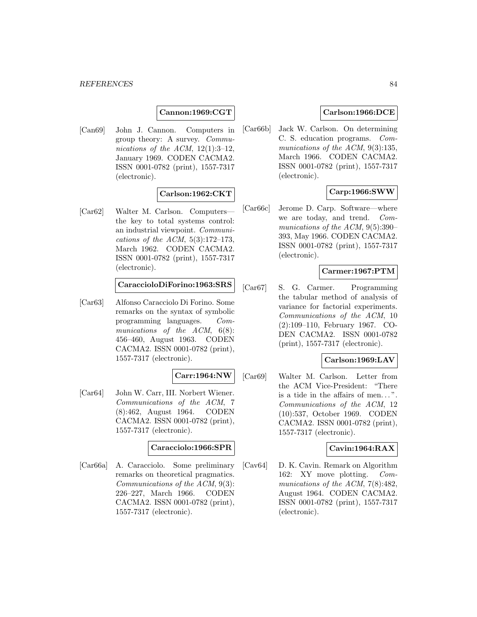## **Cannon:1969:CGT**

[Can69] John J. Cannon. Computers in group theory: A survey. Communications of the ACM,  $12(1):3-12$ , January 1969. CODEN CACMA2. ISSN 0001-0782 (print), 1557-7317 (electronic).

## **Carlson:1962:CKT**

[Car62] Walter M. Carlson. Computers the key to total systems control: an industrial viewpoint. Communications of the ACM,  $5(3):172-173$ , March 1962. CODEN CACMA2. ISSN 0001-0782 (print), 1557-7317 (electronic).

### **CaraccioloDiForino:1963:SRS**

[Car63] Alfonso Caracciolo Di Forino. Some remarks on the syntax of symbolic programming languages. Communications of the ACM,  $6(8)$ : 456–460, August 1963. CODEN CACMA2. ISSN 0001-0782 (print), 1557-7317 (electronic).

## **Carr:1964:NW**

[Car64] John W. Carr, III. Norbert Wiener. Communications of the ACM, 7 (8):462, August 1964. CODEN CACMA2. ISSN 0001-0782 (print), 1557-7317 (electronic).

### **Caracciolo:1966:SPR**

[Car66a] A. Caracciolo. Some preliminary remarks on theoretical pragmatics. Communications of the ACM, 9(3): 226–227, March 1966. CODEN CACMA2. ISSN 0001-0782 (print), 1557-7317 (electronic).

# **Carlson:1966:DCE**

[Car66b] Jack W. Carlson. On determining C. S. education programs. Communications of the ACM, 9(3):135, March 1966. CODEN CACMA2. ISSN 0001-0782 (print), 1557-7317 (electronic).

# **Carp:1966:SWW**

[Car66c] Jerome D. Carp. Software—where we are today, and trend. Communications of the ACM, 9(5):390– 393, May 1966. CODEN CACMA2. ISSN 0001-0782 (print), 1557-7317 (electronic).

### **Carmer:1967:PTM**

[Car67] S. G. Carmer. Programming the tabular method of analysis of variance for factorial experiments. Communications of the ACM, 10 (2):109–110, February 1967. CO-DEN CACMA2. ISSN 0001-0782 (print), 1557-7317 (electronic).

### **Carlson:1969:LAV**

[Car69] Walter M. Carlson. Letter from the ACM Vice-President: "There is a tide in the affairs of men... ". Communications of the ACM, 12 (10):537, October 1969. CODEN CACMA2. ISSN 0001-0782 (print), 1557-7317 (electronic).

### **Cavin:1964:RAX**

[Cav64] D. K. Cavin. Remark on Algorithm 162: XY move plotting. Communications of the ACM, 7(8):482, August 1964. CODEN CACMA2. ISSN 0001-0782 (print), 1557-7317 (electronic).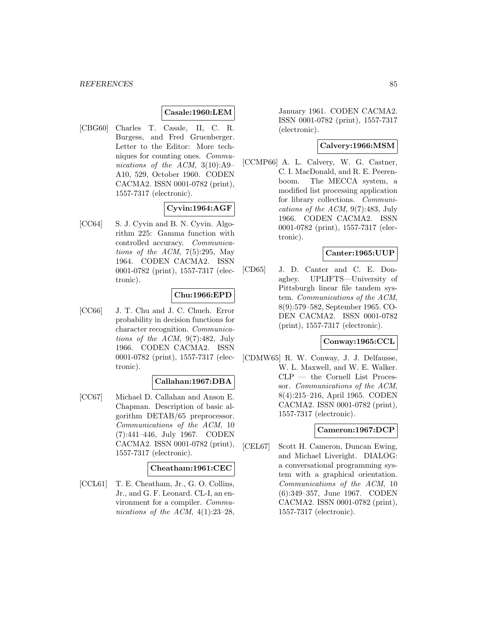## **Casale:1960:LEM**

[CBG60] Charles T. Casale, II, C. R. Burgess, and Fred Gruenberger. Letter to the Editor: More techniques for counting ones. Communications of the ACM, 3(10):A9– A10, 529, October 1960. CODEN CACMA2. ISSN 0001-0782 (print), 1557-7317 (electronic).

## **Cyvin:1964:AGF**

[CC64] S. J. Cyvin and B. N. Cyvin. Algorithm 225: Gamma function with controlled accuracy. Communications of the ACM,  $7(5):295$ , May 1964. CODEN CACMA2. ISSN 0001-0782 (print), 1557-7317 (electronic).

## **Chu:1966:EPD**

[CC66] J. T. Chu and J. C. Chueh. Error probability in decision functions for character recognition. Communications of the ACM, 9(7):482, July 1966. CODEN CACMA2. ISSN 0001-0782 (print), 1557-7317 (electronic).

### **Callahan:1967:DBA**

[CC67] Michael D. Callahan and Anson E. Chapman. Description of basic algorithm DETAB/65 preprocessor. Communications of the ACM, 10 (7):441–446, July 1967. CODEN CACMA2. ISSN 0001-0782 (print), 1557-7317 (electronic).

### **Cheatham:1961:CEC**

[CCL61] T. E. Cheatham, Jr., G. O. Collins, Jr., and G. F. Leonard. CL-I, an environment for a compiler. Communications of the ACM,  $4(1):23-28$ ,

January 1961. CODEN CACMA2. ISSN 0001-0782 (print), 1557-7317 (electronic).

### **Calvery:1966:MSM**

[CCMP66] A. L. Calvery, W. G. Castner, C. I. MacDonald, and R. E. Peerenboom. The MECCA system, a modified list processing application for library collections. Communications of the ACM, 9(7):483, July 1966. CODEN CACMA2. ISSN 0001-0782 (print), 1557-7317 (electronic).

## **Canter:1965:UUP**

[CD65] J. D. Canter and C. E. Donaghey. UPLIFTS—University of Pittsburgh linear file tandem system. Communications of the ACM, 8(9):579–582, September 1965. CO-DEN CACMA2. ISSN 0001-0782 (print), 1557-7317 (electronic).

### **Conway:1965:CCL**

[CDMW65] R. W. Conway, J. J. Delfausse, W. L. Maxwell, and W. E. Walker. CLP — the Cornell List Processor. Communications of the ACM, 8(4):215–216, April 1965. CODEN CACMA2. ISSN 0001-0782 (print), 1557-7317 (electronic).

### **Cameron:1967:DCP**

[CEL67] Scott H. Cameron, Duncan Ewing, and Michael Liveright. DIALOG: a conversational programming system with a graphical orientation. Communications of the ACM, 10 (6):349–357, June 1967. CODEN CACMA2. ISSN 0001-0782 (print), 1557-7317 (electronic).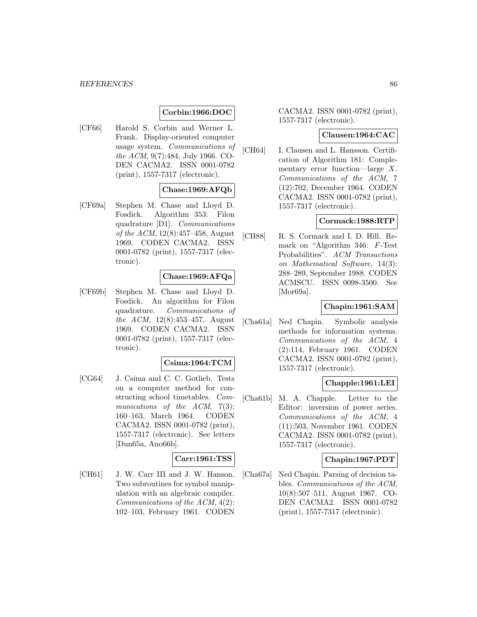# **Corbin:1966:DOC**

[CF66] Harold S. Corbin and Werner L. Frank. Display-oriented computer usage system. Communications of the ACM, 9(7):484, July 1966. CO-DEN CACMA2. ISSN 0001-0782 (print), 1557-7317 (electronic).

## **Chase:1969:AFQb**

[CF69a] Stephen M. Chase and Lloyd D. Fosdick. Algorithm 353: Filon quadrature [D1]. Communications of the ACM, 12(8):457–458, August 1969. CODEN CACMA2. ISSN 0001-0782 (print), 1557-7317 (electronic).

### **Chase:1969:AFQa**

[CF69b] Stephen M. Chase and Lloyd D. Fosdick. An algorithm for Filon quadrature. Communications of the ACM, 12(8):453–457, August 1969. CODEN CACMA2. ISSN 0001-0782 (print), 1557-7317 (electronic).

### **Csima:1964:TCM**

[CG64] J. Csima and C. C. Gotlieb. Tests on a computer method for constructing school timetables. Communications of the ACM, 7(3): 160–163, March 1964. CODEN CACMA2. ISSN 0001-0782 (print), 1557-7317 (electronic). See letters [Dun65a, Ano66b].

## **Carr:1961:TSS**

[CH61] J. W. Carr III and J. W. Hanson. Two subroutines for symbol manipulation with an algebraic compiler. Communications of the ACM, 4(2): 102–103, February 1961. CODEN

CACMA2. ISSN 0001-0782 (print), 1557-7317 (electronic).

### **Clausen:1964:CAC**

[CH64] I. Clausen and L. Hansson. Certification of Algorithm 181: Complementary error function—large X. Communications of the ACM, 7 (12):702, December 1964. CODEN CACMA2. ISSN 0001-0782 (print), 1557-7317 (electronic).

### **Cormack:1988:RTP**

[CH88] R. S. Cormack and I. D. Hill. Remark on "Algorithm 346: F-Test Probabilities". ACM Transactions on Mathematical Software, 14(3): 288–289, September 1988. CODEN ACMSCU. ISSN 0098-3500. See [Mor69a].

### **Chapin:1961:SAM**

[Cha61a] Ned Chapin. Symbolic analysis methods for information systems. Communications of the ACM, 4 (2):114, February 1961. CODEN CACMA2. ISSN 0001-0782 (print), 1557-7317 (electronic).

## **Chapple:1961:LEI**

[Cha61b] M. A. Chapple. Letter to the Editor: inversion of power series. Communications of the ACM, 4 (11):503, November 1961. CODEN CACMA2. ISSN 0001-0782 (print), 1557-7317 (electronic).

#### **Chapin:1967:PDT**

[Cha67a] Ned Chapin. Parsing of decision tables. Communications of the ACM, 10(8):507–511, August 1967. CO-DEN CACMA2. ISSN 0001-0782 (print), 1557-7317 (electronic).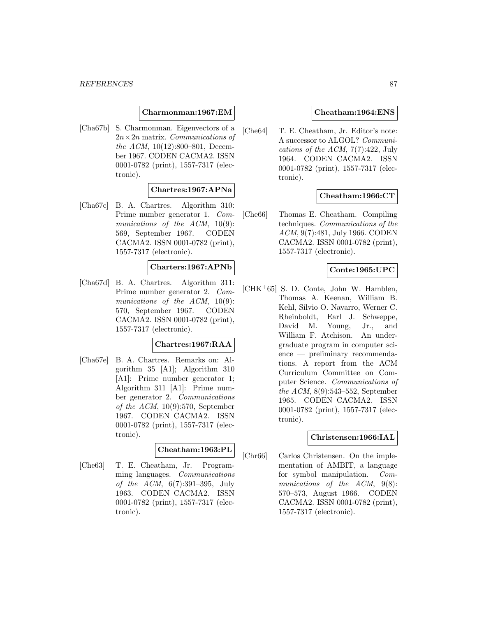### **Charmonman:1967:EM**

[Cha67b] S. Charmonman. Eigenvectors of a  $2n \times 2n$  matrix. Communications of the ACM, 10(12):800–801, December 1967. CODEN CACMA2. ISSN 0001-0782 (print), 1557-7317 (electronic).

# **Chartres:1967:APNa**

[Cha67c] B. A. Chartres. Algorithm 310: Prime number generator 1. Communications of the ACM,  $10(9)$ : 569, September 1967. CODEN CACMA2. ISSN 0001-0782 (print), 1557-7317 (electronic).

### **Charters:1967:APNb**

[Cha67d] B. A. Chartres. Algorithm 311: Prime number generator 2. Communications of the ACM,  $10(9)$ : 570, September 1967. CODEN CACMA2. ISSN 0001-0782 (print), 1557-7317 (electronic).

#### **Chartres:1967:RAA**

[Cha67e] B. A. Chartres. Remarks on: Algorithm 35 [A1]; Algorithm 310 [A1]: Prime number generator 1; Algorithm 311 [A1]: Prime number generator 2. Communications of the  $ACM$ , 10(9):570, September 1967. CODEN CACMA2. ISSN 0001-0782 (print), 1557-7317 (electronic).

# **Cheatham:1963:PL**

[Che63] T. E. Cheatham, Jr. Programming languages. Communications of the ACM, 6(7):391–395, July 1963. CODEN CACMA2. ISSN 0001-0782 (print), 1557-7317 (electronic).

### **Cheatham:1964:ENS**

[Che64] T. E. Cheatham, Jr. Editor's note: A successor to ALGOL? Communications of the ACM,  $7(7):422$ , July 1964. CODEN CACMA2. ISSN 0001-0782 (print), 1557-7317 (electronic).

### **Cheatham:1966:CT**

[Che66] Thomas E. Cheatham. Compiling techniques. Communications of the ACM, 9(7):481, July 1966. CODEN CACMA2. ISSN 0001-0782 (print), 1557-7317 (electronic).

# **Conte:1965:UPC**

[CHK<sup>+</sup>65] S. D. Conte, John W. Hamblen, Thomas A. Keenan, William B. Kehl, Silvio O. Navarro, Werner C. Rheinboldt, Earl J. Schweppe, David M. Young, Jr., and William F. Atchison. An undergraduate program in computer science — preliminary recommendations. A report from the ACM Curriculum Committee on Computer Science. Communications of the ACM, 8(9):543–552, September 1965. CODEN CACMA2. ISSN 0001-0782 (print), 1557-7317 (electronic).

#### **Christensen:1966:IAL**

[Chr66] Carlos Christensen. On the implementation of AMBIT, a language for symbol manipulation. Communications of the ACM,  $9(8)$ : 570–573, August 1966. CODEN CACMA2. ISSN 0001-0782 (print), 1557-7317 (electronic).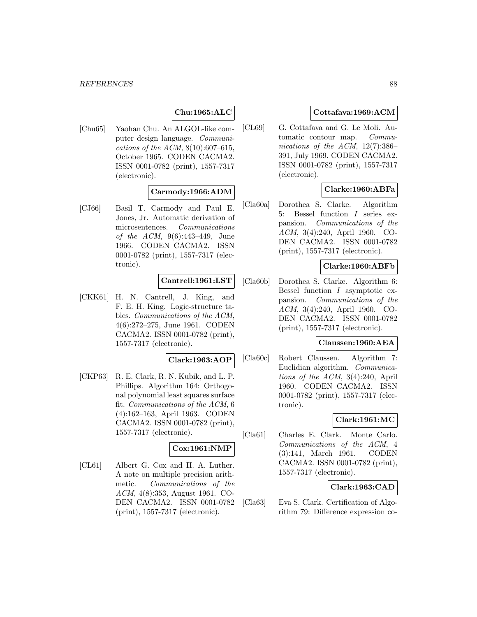# **Chu:1965:ALC**

[Chu65] Yaohan Chu. An ALGOL-like computer design language. Communications of the ACM,  $8(10):607-615$ , October 1965. CODEN CACMA2. ISSN 0001-0782 (print), 1557-7317 (electronic).

### **Carmody:1966:ADM**

[CJ66] Basil T. Carmody and Paul E. Jones, Jr. Automatic derivation of microsentences. Communications of the ACM, 9(6):443–449, June 1966. CODEN CACMA2. ISSN 0001-0782 (print), 1557-7317 (electronic).

### **Cantrell:1961:LST**

[CKK61] H. N. Cantrell, J. King, and F. E. H. King. Logic-structure tables. Communications of the ACM, 4(6):272–275, June 1961. CODEN CACMA2. ISSN 0001-0782 (print), 1557-7317 (electronic).

#### **Clark:1963:AOP**

[CKP63] R. E. Clark, R. N. Kubik, and L. P. Phillips. Algorithm 164: Orthogonal polynomial least squares surface fit. Communications of the ACM, 6 (4):162–163, April 1963. CODEN CACMA2. ISSN 0001-0782 (print), 1557-7317 (electronic).

### **Cox:1961:NMP**

[CL61] Albert G. Cox and H. A. Luther. A note on multiple precision arithmetic. Communications of the ACM, 4(8):353, August 1961. CO-DEN CACMA2. ISSN 0001-0782 (print), 1557-7317 (electronic).

## **Cottafava:1969:ACM**

[CL69] G. Cottafava and G. Le Moli. Automatic contour map. Communications of the ACM, 12(7):386– 391, July 1969. CODEN CACMA2. ISSN 0001-0782 (print), 1557-7317 (electronic).

## **Clarke:1960:ABFa**

[Cla60a] Dorothea S. Clarke. Algorithm 5: Bessel function I series expansion. Communications of the ACM, 3(4):240, April 1960. CO-DEN CACMA2. ISSN 0001-0782 (print), 1557-7317 (electronic).

### **Clarke:1960:ABFb**

[Cla60b] Dorothea S. Clarke. Algorithm 6: Bessel function I asymptotic expansion. Communications of the ACM, 3(4):240, April 1960. CO-DEN CACMA2. ISSN 0001-0782 (print), 1557-7317 (electronic).

### **Claussen:1960:AEA**

[Cla60c] Robert Claussen. Algorithm 7: Euclidian algorithm. Communications of the ACM, 3(4):240, April 1960. CODEN CACMA2. ISSN 0001-0782 (print), 1557-7317 (electronic).

### **Clark:1961:MC**

[Cla61] Charles E. Clark. Monte Carlo. Communications of the ACM, 4 (3):141, March 1961. CODEN CACMA2. ISSN 0001-0782 (print), 1557-7317 (electronic).

### **Clark:1963:CAD**

[Cla63] Eva S. Clark. Certification of Algorithm 79: Difference expression co-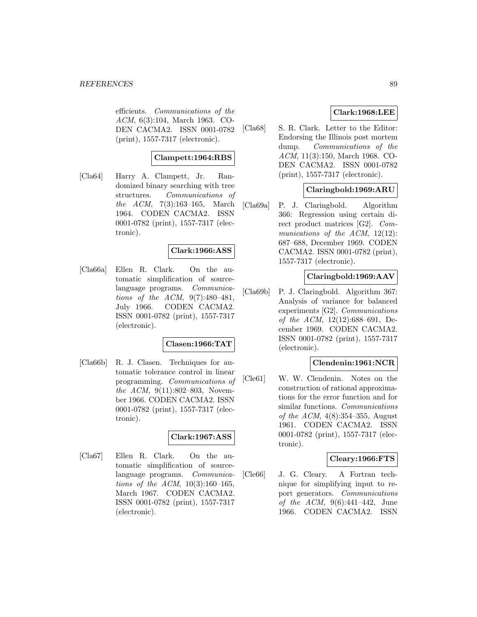efficients. Communications of the ACM, 6(3):104, March 1963. CO-DEN CACMA2. ISSN 0001-0782 (print), 1557-7317 (electronic).

## **Clampett:1964:RBS**

[Cla64] Harry A. Clampett, Jr. Randomized binary searching with tree structures. Communications of the ACM, 7(3):163–165, March 1964. CODEN CACMA2. ISSN 0001-0782 (print), 1557-7317 (electronic).

### **Clark:1966:ASS**

[Cla66a] Ellen R. Clark. On the automatic simplification of sourcelanguage programs. Communications of the ACM, 9(7):480–481, July 1966. CODEN CACMA2. ISSN 0001-0782 (print), 1557-7317 (electronic).

### **Clasen:1966:TAT**

[Cla66b] R. J. Clasen. Techniques for automatic tolerance control in linear programming. Communications of the ACM, 9(11):802–803, November 1966. CODEN CACMA2. ISSN 0001-0782 (print), 1557-7317 (electronic).

## **Clark:1967:ASS**

[Cla67] Ellen R. Clark. On the automatic simplification of sourcelanguage programs. Communications of the ACM, 10(3):160–165, March 1967. CODEN CACMA2. ISSN 0001-0782 (print), 1557-7317 (electronic).

## **Clark:1968:LEE**

[Cla68] S. R. Clark. Letter to the Editor: Endorsing the Illinois post mortem dump. *Communications* of the ACM, 11(3):150, March 1968. CO-DEN CACMA2. ISSN 0001-0782 (print), 1557-7317 (electronic).

## **Claringbold:1969:ARU**

[Cla69a] P. J. Claringbold. Algorithm 366: Regression using certain direct product matrices [G2]. Communications of the ACM, 12(12): 687–688, December 1969. CODEN CACMA2. ISSN 0001-0782 (print), 1557-7317 (electronic).

### **Claringbold:1969:AAV**

[Cla69b] P. J. Claringbold. Algorithm 367: Analysis of variance for balanced experiments [G2]. Communications of the ACM, 12(12):688–691, December 1969. CODEN CACMA2. ISSN 0001-0782 (print), 1557-7317 (electronic).

### **Clendenin:1961:NCR**

[Cle61] W. W. Clendenin. Notes on the construction of rational approximations for the error function and for similar functions. Communications of the ACM,  $4(8)$ :354-355, August 1961. CODEN CACMA2. ISSN 0001-0782 (print), 1557-7317 (electronic).

### **Cleary:1966:FTS**

[Cle66] J. G. Cleary. A Fortran technique for simplifying input to report generators. Communications of the ACM, 9(6):441–442, June 1966. CODEN CACMA2. ISSN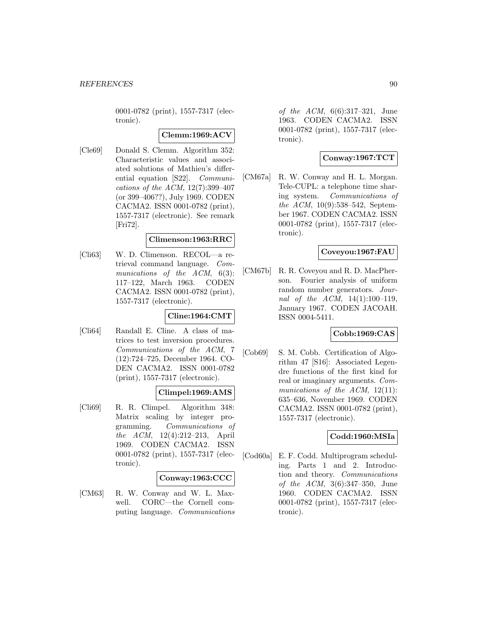0001-0782 (print), 1557-7317 (electronic).

### **Clemm:1969:ACV**

[Cle69] Donald S. Clemm. Algorithm 352: Characteristic values and associated solutions of Mathieu's differential equation [S22]. Communications of the ACM, 12(7):399–407 (or 399–406??), July 1969. CODEN CACMA2. ISSN 0001-0782 (print), 1557-7317 (electronic). See remark [Fri72].

### **Climenson:1963:RRC**

[Cli63] W. D. Climenson. RECOL—a retrieval command language. Communications of the ACM,  $6(3)$ : 117–122, March 1963. CODEN CACMA2. ISSN 0001-0782 (print), 1557-7317 (electronic).

### **Cline:1964:CMT**

[Cli64] Randall E. Cline. A class of matrices to test inversion procedures. Communications of the ACM, 7 (12):724–725, December 1964. CO-DEN CACMA2. ISSN 0001-0782 (print), 1557-7317 (electronic).

### **Climpel:1969:AMS**

[Cli69] R. R. Climpel. Algorithm 348: Matrix scaling by integer programming. Communications of the ACM, 12(4):212–213, April 1969. CODEN CACMA2. ISSN 0001-0782 (print), 1557-7317 (electronic).

### **Conway:1963:CCC**

[CM63] R. W. Conway and W. L. Maxwell. CORC—the Cornell computing language. Communications of the ACM, 6(6):317–321, June 1963. CODEN CACMA2. ISSN 0001-0782 (print), 1557-7317 (electronic).

# **Conway:1967:TCT**

[CM67a] R. W. Conway and H. L. Morgan. Tele-CUPL: a telephone time sharing system. Communications of the ACM, 10(9):538–542, September 1967. CODEN CACMA2. ISSN 0001-0782 (print), 1557-7317 (electronic).

## **Coveyou:1967:FAU**

[CM67b] R. R. Coveyou and R. D. MacPherson. Fourier analysis of uniform random number generators. Journal of the ACM, 14(1):100–119, January 1967. CODEN JACOAH. ISSN 0004-5411.

## **Cobb:1969:CAS**

[Cob69] S. M. Cobb. Certification of Algorithm 47 [S16]: Associated Legendre functions of the first kind for real or imaginary arguments. Communications of the ACM,  $12(11)$ : 635–636, November 1969. CODEN CACMA2. ISSN 0001-0782 (print), 1557-7317 (electronic).

### **Codd:1960:MSIa**

[Cod60a] E. F. Codd. Multiprogram scheduling. Parts 1 and 2. Introduction and theory. Communications of the ACM, 3(6):347–350, June 1960. CODEN CACMA2. ISSN 0001-0782 (print), 1557-7317 (electronic).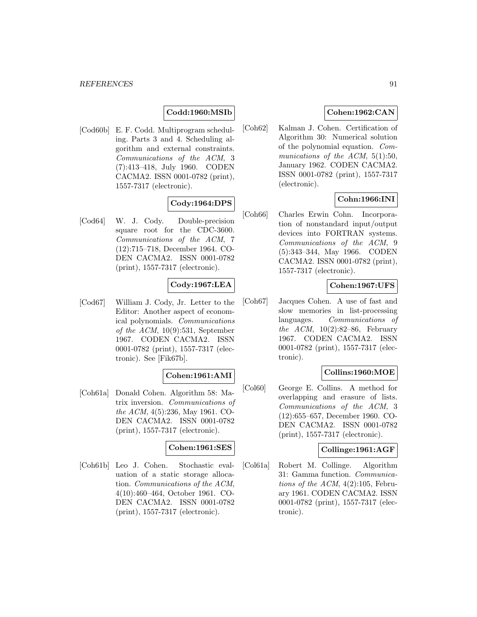# **Codd:1960:MSIb**

[Cod60b] E. F. Codd. Multiprogram scheduling. Parts 3 and 4. Scheduling algorithm and external constraints. Communications of the ACM, 3 (7):413–418, July 1960. CODEN CACMA2. ISSN 0001-0782 (print), 1557-7317 (electronic).

## **Cody:1964:DPS**

[Cod64] W. J. Cody. Double-precision square root for the CDC-3600. Communications of the ACM, 7 (12):715–718, December 1964. CO-DEN CACMA2. ISSN 0001-0782 (print), 1557-7317 (electronic).

### **Cody:1967:LEA**

[Cod67] William J. Cody, Jr. Letter to the Editor: Another aspect of economical polynomials. Communications of the  $ACM$ , 10(9):531, September 1967. CODEN CACMA2. ISSN 0001-0782 (print), 1557-7317 (electronic). See [Fik67b].

## **Cohen:1961:AMI**

[Coh61a] Donald Cohen. Algorithm 58: Matrix inversion. Communications of the ACM, 4(5):236, May 1961. CO-DEN CACMA2. ISSN 0001-0782 (print), 1557-7317 (electronic).

### **Cohen:1961:SES**

[Coh61b] Leo J. Cohen. Stochastic evaluation of a static storage allocation. Communications of the ACM, 4(10):460–464, October 1961. CO-DEN CACMA2. ISSN 0001-0782 (print), 1557-7317 (electronic).

## **Cohen:1962:CAN**

[Coh62] Kalman J. Cohen. Certification of Algorithm 30: Numerical solution of the polynomial equation. Communications of the ACM,  $5(1):50$ , January 1962. CODEN CACMA2. ISSN 0001-0782 (print), 1557-7317 (electronic).

## **Cohn:1966:INI**

[Coh66] Charles Erwin Cohn. Incorporation of nonstandard input/output devices into FORTRAN systems. Communications of the ACM, 9 (5):343–344, May 1966. CODEN CACMA2. ISSN 0001-0782 (print), 1557-7317 (electronic).

### **Cohen:1967:UFS**

[Coh67] Jacques Cohen. A use of fast and slow memories in list-processing languages. Communications of the  $ACM$ ,  $10(2):82-86$ , February 1967. CODEN CACMA2. ISSN 0001-0782 (print), 1557-7317 (electronic).

## **Collins:1960:MOE**

[Col60] George E. Collins. A method for overlapping and erasure of lists. Communications of the ACM, 3 (12):655–657, December 1960. CO-DEN CACMA2. ISSN 0001-0782 (print), 1557-7317 (electronic).

### **Collinge:1961:AGF**

[Col61a] Robert M. Collinge. Algorithm 31: Gamma function. Communications of the ACM,  $4(2):105$ , February 1961. CODEN CACMA2. ISSN 0001-0782 (print), 1557-7317 (electronic).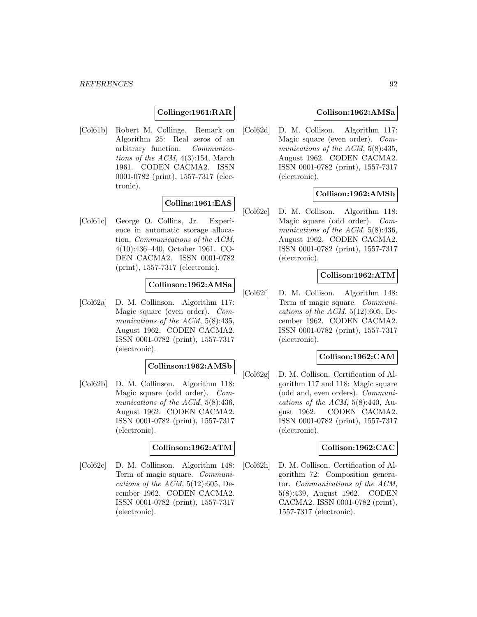## **Collinge:1961:RAR**

[Col61b] Robert M. Collinge. Remark on Algorithm 25: Real zeros of an arbitrary function. Communications of the ACM,  $4(3):154$ , March 1961. CODEN CACMA2. ISSN 0001-0782 (print), 1557-7317 (electronic).

## **Collins:1961:EAS**

[Col61c] George O. Collins, Jr. Experience in automatic storage allocation. Communications of the ACM, 4(10):436–440, October 1961. CO-DEN CACMA2. ISSN 0001-0782 (print), 1557-7317 (electronic).

## **Collinson:1962:AMSa**

[Col62a] D. M. Collinson. Algorithm 117: Magic square (even order). Communications of the ACM, 5(8):435, August 1962. CODEN CACMA2. ISSN 0001-0782 (print), 1557-7317 (electronic).

### **Collinson:1962:AMSb**

[Col62b] D. M. Collinson. Algorithm 118: Magic square (odd order). Communications of the ACM, 5(8):436, August 1962. CODEN CACMA2. ISSN 0001-0782 (print), 1557-7317 (electronic).

## **Collinson:1962:ATM**

[Col62c] D. M. Collinson. Algorithm 148: Term of magic square. Communications of the ACM,  $5(12):605$ , December 1962. CODEN CACMA2. ISSN 0001-0782 (print), 1557-7317 (electronic).

### **Collison:1962:AMSa**

[Col62d] D. M. Collison. Algorithm 117: Magic square (even order). Communications of the ACM, 5(8):435, August 1962. CODEN CACMA2. ISSN 0001-0782 (print), 1557-7317 (electronic).

## **Collison:1962:AMSb**

[Col62e] D. M. Collison. Algorithm 118: Magic square (odd order). Communications of the ACM, 5(8):436, August 1962. CODEN CACMA2. ISSN 0001-0782 (print), 1557-7317 (electronic).

### **Collison:1962:ATM**

[Col62f] D. M. Collison. Algorithm 148: Term of magic square. Communications of the ACM,  $5(12):605$ , December 1962. CODEN CACMA2. ISSN 0001-0782 (print), 1557-7317 (electronic).

### **Collison:1962:CAM**

[Col62g] D. M. Collison. Certification of Algorithm 117 and 118: Magic square (odd and, even orders). Communications of the ACM,  $5(8):440$ , August 1962. CODEN CACMA2. ISSN 0001-0782 (print), 1557-7317 (electronic).

### **Collison:1962:CAC**

[Col62h] D. M. Collison. Certification of Algorithm 72: Composition generator. Communications of the ACM, 5(8):439, August 1962. CODEN CACMA2. ISSN 0001-0782 (print), 1557-7317 (electronic).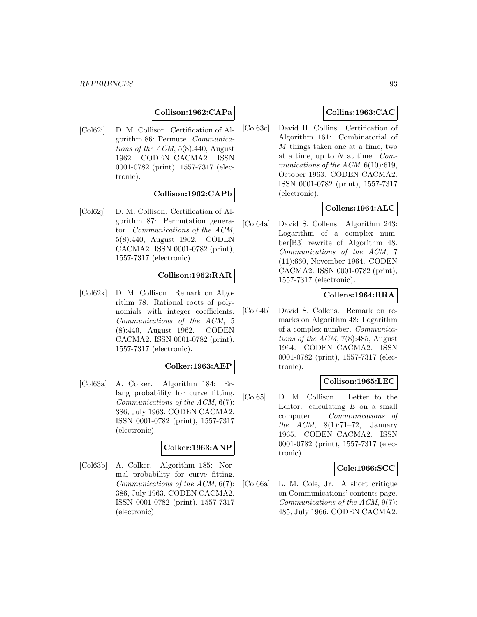### **Collison:1962:CAPa**

[Col62i] D. M. Collison. Certification of Algorithm 86: Permute. Communications of the  $ACM$ ,  $5(8):440$ , August 1962. CODEN CACMA2. ISSN 0001-0782 (print), 1557-7317 (electronic).

### **Collison:1962:CAPb**

[Col62j] D. M. Collison. Certification of Algorithm 87: Permutation generator. Communications of the ACM, 5(8):440, August 1962. CODEN CACMA2. ISSN 0001-0782 (print), 1557-7317 (electronic).

### **Collison:1962:RAR**

[Col62k] D. M. Collison. Remark on Algorithm 78: Rational roots of polynomials with integer coefficients. Communications of the ACM, 5 (8):440, August 1962. CODEN CACMA2. ISSN 0001-0782 (print), 1557-7317 (electronic).

#### **Colker:1963:AEP**

[Col63a] A. Colker. Algorithm 184: Erlang probability for curve fitting. Communications of the ACM, 6(7): 386, July 1963. CODEN CACMA2. ISSN 0001-0782 (print), 1557-7317 (electronic).

### **Colker:1963:ANP**

[Col63b] A. Colker. Algorithm 185: Normal probability for curve fitting. Communications of the ACM, 6(7): 386, July 1963. CODEN CACMA2. ISSN 0001-0782 (print), 1557-7317 (electronic).

## **Collins:1963:CAC**

[Col63c] David H. Collins. Certification of Algorithm 161: Combinatorial of M things taken one at a time, two at a time, up to  $N$  at time.  $Com$ munications of the  $ACM$ ,  $6(10):619$ , October 1963. CODEN CACMA2. ISSN 0001-0782 (print), 1557-7317 (electronic).

## **Collens:1964:ALC**

[Col64a] David S. Collens. Algorithm 243: Logarithm of a complex number[B3] rewrite of Algorithm 48. Communications of the ACM, 7 (11):660, November 1964. CODEN CACMA2. ISSN 0001-0782 (print), 1557-7317 (electronic).

### **Collens:1964:RRA**

[Col64b] David S. Collens. Remark on remarks on Algorithm 48: Logarithm of a complex number. Communications of the ACM, 7(8):485, August 1964. CODEN CACMA2. ISSN 0001-0782 (print), 1557-7317 (electronic).

### **Collison:1965:LEC**

[Col65] D. M. Collison. Letter to the Editor: calculating  $E$  on a small computer. Communications of the ACM,  $8(1):71-72$ , January 1965. CODEN CACMA2. ISSN 0001-0782 (print), 1557-7317 (electronic).

### **Cole:1966:SCC**

[Col66a] L. M. Cole, Jr. A short critique on Communications' contents page. Communications of the ACM, 9(7): 485, July 1966. CODEN CACMA2.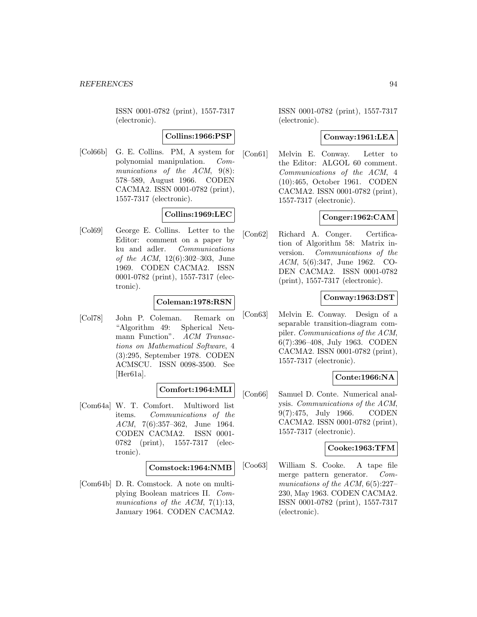ISSN 0001-0782 (print), 1557-7317 (electronic).

### **Collins:1966:PSP**

[Col66b] G. E. Collins. PM, A system for polynomial manipulation. Communications of the ACM, 9(8): 578–589, August 1966. CODEN CACMA2. ISSN 0001-0782 (print), 1557-7317 (electronic).

# **Collins:1969:LEC**

[Col69] George E. Collins. Letter to the Editor: comment on a paper by ku and adler. Communications of the ACM, 12(6):302–303, June 1969. CODEN CACMA2. ISSN 0001-0782 (print), 1557-7317 (electronic).

## **Coleman:1978:RSN**

[Col78] John P. Coleman. Remark on "Algorithm 49: Spherical Neumann Function". ACM Transactions on Mathematical Software, 4 (3):295, September 1978. CODEN ACMSCU. ISSN 0098-3500. See [Her61a].

## **Comfort:1964:MLI**

[Com64a] W. T. Comfort. Multiword list items. Communications of the ACM, 7(6):357–362, June 1964. CODEN CACMA2. ISSN 0001- 0782 (print), 1557-7317 (electronic).

### **Comstock:1964:NMB**

[Com64b] D. R. Comstock. A note on multiplying Boolean matrices II. Communications of the ACM,  $7(1):13$ , January 1964. CODEN CACMA2.

ISSN 0001-0782 (print), 1557-7317 (electronic).

## **Conway:1961:LEA**

[Con61] Melvin E. Conway. Letter to the Editor: ALGOL 60 comment. Communications of the ACM, 4 (10):465, October 1961. CODEN CACMA2. ISSN 0001-0782 (print), 1557-7317 (electronic).

## **Conger:1962:CAM**

[Con62] Richard A. Conger. Certification of Algorithm 58: Matrix inversion. Communications of the ACM, 5(6):347, June 1962. CO-DEN CACMA2. ISSN 0001-0782 (print), 1557-7317 (electronic).

## **Conway:1963:DST**

[Con63] Melvin E. Conway. Design of a separable transition-diagram compiler. Communications of the ACM, 6(7):396–408, July 1963. CODEN CACMA2. ISSN 0001-0782 (print), 1557-7317 (electronic).

# **Conte:1966:NA**

[Con66] Samuel D. Conte. Numerical analysis. Communications of the ACM, 9(7):475, July 1966. CODEN CACMA2. ISSN 0001-0782 (print), 1557-7317 (electronic).

### **Cooke:1963:TFM**

[Coo63] William S. Cooke. A tape file merge pattern generator. Communications of the ACM, 6(5):227– 230, May 1963. CODEN CACMA2. ISSN 0001-0782 (print), 1557-7317 (electronic).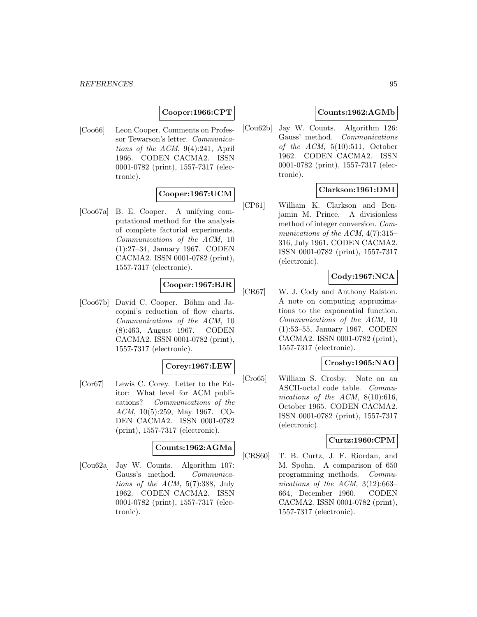## **Cooper:1966:CPT**

[Coo66] Leon Cooper. Comments on Professor Tewarson's letter. Communications of the ACM, 9(4):241, April 1966. CODEN CACMA2. ISSN 0001-0782 (print), 1557-7317 (electronic).

## **Cooper:1967:UCM**

[Coo67a] B. E. Cooper. A unifying computational method for the analysis of complete factorial experiments. Communications of the ACM, 10 (1):27–34, January 1967. CODEN CACMA2. ISSN 0001-0782 (print), 1557-7317 (electronic).

# **Cooper:1967:BJR**

[Coo67b] David C. Cooper. Böhm and Jacopini's reduction of flow charts. Communications of the ACM, 10 (8):463, August 1967. CODEN CACMA2. ISSN 0001-0782 (print), 1557-7317 (electronic).

### **Corey:1967:LEW**

[Cor67] Lewis C. Corey. Letter to the Editor: What level for ACM publications? Communications of the ACM, 10(5):259, May 1967. CO-DEN CACMA2. ISSN 0001-0782 (print), 1557-7317 (electronic).

### **Counts:1962:AGMa**

[Cou62a] Jay W. Counts. Algorithm 107: Gauss's method. Communications of the ACM, 5(7):388, July 1962. CODEN CACMA2. ISSN 0001-0782 (print), 1557-7317 (electronic).

## **Counts:1962:AGMb**

[Cou62b] Jay W. Counts. Algorithm 126: Gauss' method. Communications of the  $ACM$ ,  $5(10):511$ , October 1962. CODEN CACMA2. ISSN 0001-0782 (print), 1557-7317 (electronic).

## **Clarkson:1961:DMI**

[CP61] William K. Clarkson and Benjamin M. Prince. A divisionless method of integer conversion. Communications of the ACM,  $4(7):315-$ 316, July 1961. CODEN CACMA2. ISSN 0001-0782 (print), 1557-7317 (electronic).

### **Cody:1967:NCA**

[CR67] W. J. Cody and Anthony Ralston. A note on computing approximations to the exponential function. Communications of the ACM, 10 (1):53–55, January 1967. CODEN CACMA2. ISSN 0001-0782 (print), 1557-7317 (electronic).

### **Crosby:1965:NAO**

[Cro65] William S. Crosby. Note on an ASCII-octal code table. Communications of the ACM, 8(10):616, October 1965. CODEN CACMA2. ISSN 0001-0782 (print), 1557-7317 (electronic).

### **Curtz:1960:CPM**

[CRS60] T. B. Curtz, J. F. Riordan, and M. Spohn. A comparison of 650 programming methods. Communications of the ACM, 3(12):663– 664, December 1960. CODEN CACMA2. ISSN 0001-0782 (print), 1557-7317 (electronic).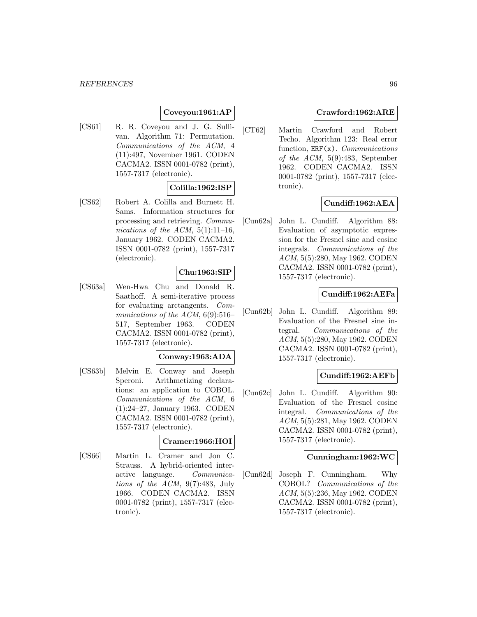# **Coveyou:1961:AP**

[CS61] R. R. Coveyou and J. G. Sullivan. Algorithm 71: Permutation. Communications of the ACM, 4 (11):497, November 1961. CODEN CACMA2. ISSN 0001-0782 (print), 1557-7317 (electronic).

### **Colilla:1962:ISP**

[CS62] Robert A. Colilla and Burnett H. Sams. Information structures for processing and retrieving. Communications of the ACM,  $5(1):11-16$ , January 1962. CODEN CACMA2. ISSN 0001-0782 (print), 1557-7317 (electronic).

### **Chu:1963:SIP**

[CS63a] Wen-Hwa Chu and Donald R. Saathoff. A semi-iterative process for evaluating arctangents. Communications of the ACM,  $6(9):516-$ 517, September 1963. CODEN CACMA2. ISSN 0001-0782 (print), 1557-7317 (electronic).

### **Conway:1963:ADA**

[CS63b] Melvin E. Conway and Joseph Speroni. Arithmetizing declarations: an application to COBOL. Communications of the ACM, 6 (1):24–27, January 1963. CODEN CACMA2. ISSN 0001-0782 (print), 1557-7317 (electronic).

#### **Cramer:1966:HOI**

[CS66] Martin L. Cramer and Jon C. Strauss. A hybrid-oriented interactive language. Communications of the ACM, 9(7):483, July 1966. CODEN CACMA2. ISSN 0001-0782 (print), 1557-7317 (electronic).

## **Crawford:1962:ARE**

[CT62] Martin Crawford and Robert Techo. Algorithm 123: Real error function,  $ERF(x)$ . *Communications* of the ACM, 5(9):483, September 1962. CODEN CACMA2. ISSN 0001-0782 (print), 1557-7317 (electronic).

### **Cundiff:1962:AEA**

[Cun62a] John L. Cundiff. Algorithm 88: Evaluation of asymptotic expression for the Fresnel sine and cosine integrals. Communications of the ACM, 5(5):280, May 1962. CODEN CACMA2. ISSN 0001-0782 (print), 1557-7317 (electronic).

### **Cundiff:1962:AEFa**

[Cun62b] John L. Cundiff. Algorithm 89: Evaluation of the Fresnel sine integral. Communications of the ACM, 5(5):280, May 1962. CODEN CACMA2. ISSN 0001-0782 (print), 1557-7317 (electronic).

### **Cundiff:1962:AEFb**

[Cun62c] John L. Cundiff. Algorithm 90: Evaluation of the Fresnel cosine integral. Communications of the ACM, 5(5):281, May 1962. CODEN CACMA2. ISSN 0001-0782 (print), 1557-7317 (electronic).

### **Cunningham:1962:WC**

[Cun62d] Joseph F. Cunningham. Why COBOL? Communications of the ACM, 5(5):236, May 1962. CODEN CACMA2. ISSN 0001-0782 (print), 1557-7317 (electronic).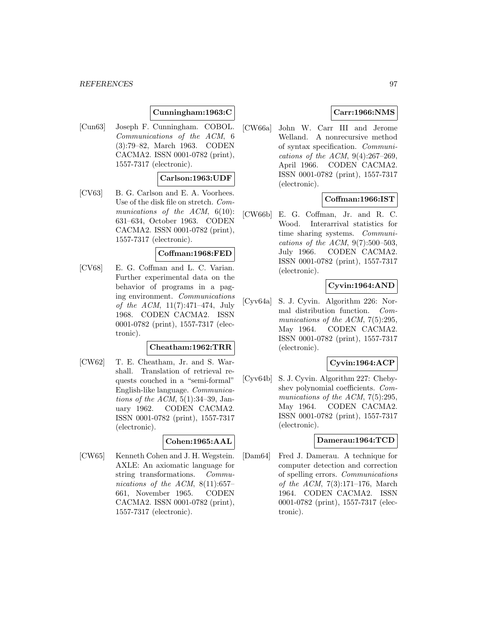## **Cunningham:1963:C**

[Cun63] Joseph F. Cunningham. COBOL. Communications of the ACM, 6 (3):79–82, March 1963. CODEN CACMA2. ISSN 0001-0782 (print), 1557-7317 (electronic).

### **Carlson:1963:UDF**

[CV63] B. G. Carlson and E. A. Voorhees. Use of the disk file on stretch. Communications of the ACM,  $6(10)$ : 631–634, October 1963. CODEN CACMA2. ISSN 0001-0782 (print), 1557-7317 (electronic).

#### **Coffman:1968:FED**

[CV68] E. G. Coffman and L. C. Varian. Further experimental data on the behavior of programs in a paging environment. Communications of the ACM,  $11(7):471-474$ , July 1968. CODEN CACMA2. ISSN 0001-0782 (print), 1557-7317 (electronic).

### **Cheatham:1962:TRR**

[CW62] T. E. Cheatham, Jr. and S. Warshall. Translation of retrieval requests couched in a "semi-formal" English-like language. Communications of the ACM,  $5(1):34-39$ , January 1962. CODEN CACMA2. ISSN 0001-0782 (print), 1557-7317 (electronic).

#### **Cohen:1965:AAL**

[CW65] Kenneth Cohen and J. H. Wegstein. AXLE: An axiomatic language for string transformations. Communications of the ACM,  $8(11):657-$ 661, November 1965. CODEN CACMA2. ISSN 0001-0782 (print), 1557-7317 (electronic).

## **Carr:1966:NMS**

[CW66a] John W. Carr III and Jerome Welland. A nonrecursive method of syntax specification. Communications of the ACM,  $9(4):267-269$ , April 1966. CODEN CACMA2. ISSN 0001-0782 (print), 1557-7317 (electronic).

## **Coffman:1966:IST**

[CW66b] E. G. Coffman, Jr. and R. C. Wood. Interarrival statistics for time sharing systems. Communications of the ACM,  $9(7):500-503$ , July 1966. CODEN CACMA2. ISSN 0001-0782 (print), 1557-7317 (electronic).

# **Cyvin:1964:AND**

[Cyv64a] S. J. Cyvin. Algorithm 226: Normal distribution function. Communications of the ACM, 7(5):295, May 1964. CODEN CACMA2. ISSN 0001-0782 (print), 1557-7317 (electronic).

### **Cyvin:1964:ACP**

[Cyv64b] S. J. Cyvin. Algorithm 227: Chebyshev polynomial coefficients. Communications of the ACM, 7(5):295, May 1964. CODEN CACMA2. ISSN 0001-0782 (print), 1557-7317 (electronic).

#### **Damerau:1964:TCD**

[Dam64] Fred J. Damerau. A technique for computer detection and correction of spelling errors. Communications of the ACM, 7(3):171–176, March 1964. CODEN CACMA2. ISSN 0001-0782 (print), 1557-7317 (electronic).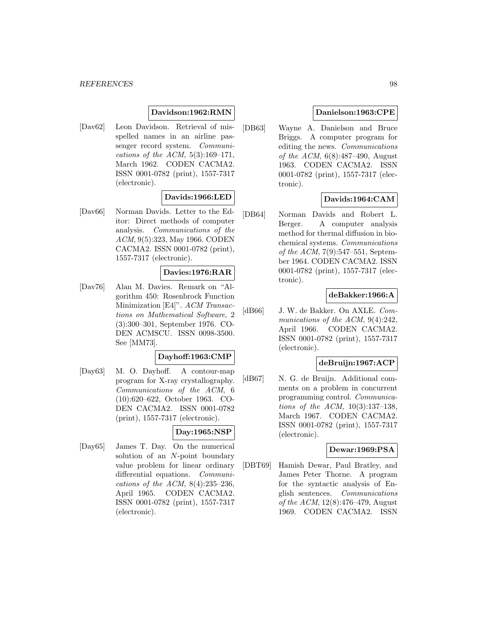### **Davidson:1962:RMN**

[Dav62] Leon Davidson. Retrieval of misspelled names in an airline passenger record system. Communications of the ACM,  $5(3):169-171$ , March 1962. CODEN CACMA2. ISSN 0001-0782 (print), 1557-7317 (electronic).

## **Davids:1966:LED**

[Dav66] Norman Davids. Letter to the Editor: Direct methods of computer analysis. Communications of the ACM, 9(5):323, May 1966. CODEN CACMA2. ISSN 0001-0782 (print), 1557-7317 (electronic).

## **Davies:1976:RAR**

[Dav76] Alan M. Davies. Remark on "Algorithm 450: Rosenbrock Function Minimization [E4]". ACM Transactions on Mathematical Software, 2 (3):300–301, September 1976. CO-DEN ACMSCU. ISSN 0098-3500. See [MM73].

#### **Dayhoff:1963:CMP**

[Day63] M. O. Dayhoff. A contour-map program for X-ray crystallography. Communications of the ACM, 6 (10):620–622, October 1963. CO-DEN CACMA2. ISSN 0001-0782 (print), 1557-7317 (electronic).

## **Day:1965:NSP**

[Day65] James T. Day. On the numerical solution of an N-point boundary value problem for linear ordinary differential equations. *Communi*cations of the ACM, 8(4):235–236, April 1965. CODEN CACMA2. ISSN 0001-0782 (print), 1557-7317 (electronic).

## **Danielson:1963:CPE**

[DB63] Wayne A. Danielson and Bruce Briggs. A computer program for editing the news. Communications *of the ACM*,  $6(8):487-490$ , August 1963. CODEN CACMA2. ISSN 0001-0782 (print), 1557-7317 (electronic).

## **Davids:1964:CAM**

[DB64] Norman Davids and Robert L. Berger. A computer analysis method for thermal diffusion in biochemical systems. Communications of the ACM, 7(9):547–551, September 1964. CODEN CACMA2. ISSN 0001-0782 (print), 1557-7317 (electronic).

### **deBakker:1966:A**

[dB66] J. W. de Bakker. On AXLE. Communications of the ACM, 9(4):242, April 1966. CODEN CACMA2. ISSN 0001-0782 (print), 1557-7317 (electronic).

### **deBruijn:1967:ACP**

[dB67] N. G. de Bruijn. Additional comments on a problem in concurrent programming control. Communications of the ACM, 10(3):137–138, March 1967. CODEN CACMA2. ISSN 0001-0782 (print), 1557-7317 (electronic).

### **Dewar:1969:PSA**

[DBT69] Hamish Dewar, Paul Bratley, and James Peter Thorne. A program for the syntactic analysis of English sentences. Communications of the ACM, 12(8):476–479, August 1969. CODEN CACMA2. ISSN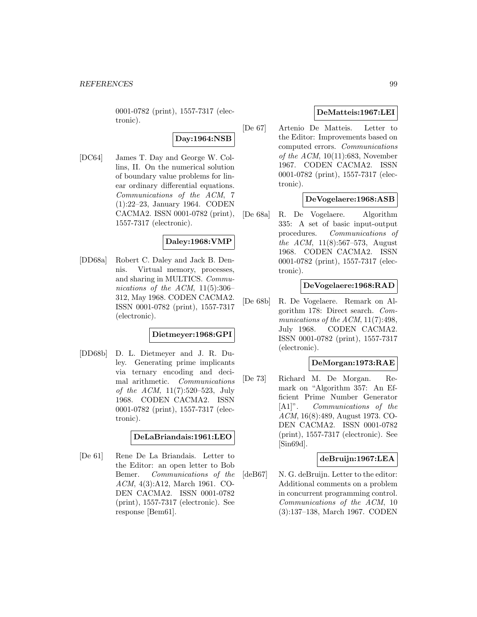0001-0782 (print), 1557-7317 (electronic).

# **Day:1964:NSB**

[DC64] James T. Day and George W. Collins, II. On the numerical solution of boundary value problems for linear ordinary differential equations. Communications of the ACM, 7 (1):22–23, January 1964. CODEN CACMA2. ISSN 0001-0782 (print), 1557-7317 (electronic).

## **Daley:1968:VMP**

[DD68a] Robert C. Daley and Jack B. Dennis. Virtual memory, processes, and sharing in MULTICS. Communications of the ACM,  $11(5):306-$ 312, May 1968. CODEN CACMA2. ISSN 0001-0782 (print), 1557-7317 (electronic).

### **Dietmeyer:1968:GPI**

[DD68b] D. L. Dietmeyer and J. R. Duley. Generating prime implicants via ternary encoding and decimal arithmetic. Communications of the ACM, 11(7):520–523, July 1968. CODEN CACMA2. ISSN 0001-0782 (print), 1557-7317 (electronic).

## **DeLaBriandais:1961:LEO**

[De 61] Rene De La Briandais. Letter to the Editor: an open letter to Bob Bemer. Communications of the ACM, 4(3):A12, March 1961. CO-DEN CACMA2. ISSN 0001-0782 (print), 1557-7317 (electronic). See response [Bem61].

## **DeMatteis:1967:LEI**

[De 67] Artenio De Matteis. Letter to the Editor: Improvements based on computed errors. Communications of the ACM,  $10(11):683$ , November 1967. CODEN CACMA2. ISSN 0001-0782 (print), 1557-7317 (electronic).

## **DeVogelaere:1968:ASB**

[De 68a] R. De Vogelaere. Algorithm 335: A set of basic input-output procedures. Communications of the ACM, 11(8):567–573, August 1968. CODEN CACMA2. ISSN 0001-0782 (print), 1557-7317 (electronic).

### **DeVogelaere:1968:RAD**

[De 68b] R. De Vogelaere. Remark on Algorithm 178: Direct search. Communications of the ACM, 11(7):498, July 1968. CODEN CACMA2. ISSN 0001-0782 (print), 1557-7317 (electronic).

### **DeMorgan:1973:RAE**

[De 73] Richard M. De Morgan. Remark on "Algorithm 357: An Efficient Prime Number Generator [A1]". Communications of the ACM, 16(8):489, August 1973. CO-DEN CACMA2. ISSN 0001-0782 (print), 1557-7317 (electronic). See [Sin69d].

### **deBruijn:1967:LEA**

[deB67] N. G. deBruijn. Letter to the editor: Additional comments on a problem in concurrent programming control. Communications of the ACM, 10 (3):137–138, March 1967. CODEN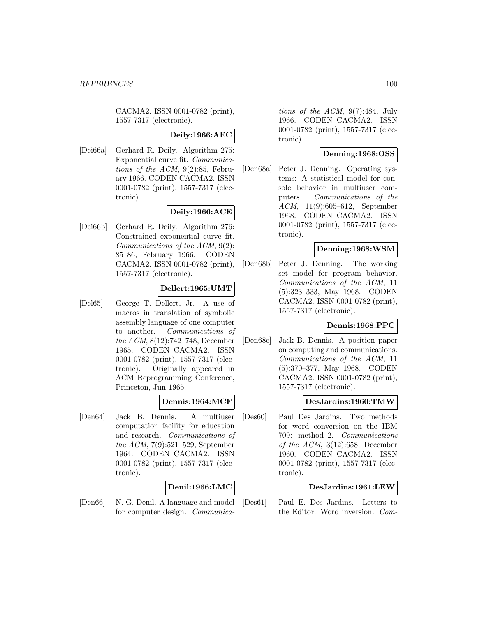CACMA2. ISSN 0001-0782 (print), 1557-7317 (electronic).

### **Deily:1966:AEC**

[Dei66a] Gerhard R. Deily. Algorithm 275: Exponential curve fit. Communications of the ACM,  $9(2):85$ , February 1966. CODEN CACMA2. ISSN 0001-0782 (print), 1557-7317 (electronic).

## **Deily:1966:ACE**

[Dei66b] Gerhard R. Deily. Algorithm 276: Constrained exponential curve fit. Communications of the ACM, 9(2): 85–86, February 1966. CODEN CACMA2. ISSN 0001-0782 (print), 1557-7317 (electronic).

### **Dellert:1965:UMT**

[Del65] George T. Dellert, Jr. A use of macros in translation of symbolic assembly language of one computer to another. Communications of the ACM, 8(12):742–748, December 1965. CODEN CACMA2. ISSN 0001-0782 (print), 1557-7317 (electronic). Originally appeared in ACM Reprogramming Conference, Princeton, Jun 1965.

### **Dennis:1964:MCF**

[Den64] Jack B. Dennis. A multiuser computation facility for education and research. Communications of the ACM, 7(9):521–529, September 1964. CODEN CACMA2. ISSN 0001-0782 (print), 1557-7317 (electronic).

### **Denil:1966:LMC**

[Den66] N. G. Denil. A language and model for computer design. Communications of the ACM, 9(7):484, July 1966. CODEN CACMA2. ISSN 0001-0782 (print), 1557-7317 (electronic).

## **Denning:1968:OSS**

[Den68a] Peter J. Denning. Operating systems: A statistical model for console behavior in multiuser computers. Communications of the ACM, 11(9):605–612, September 1968. CODEN CACMA2. ISSN 0001-0782 (print), 1557-7317 (electronic).

### **Denning:1968:WSM**

[Den68b] Peter J. Denning. The working set model for program behavior. Communications of the ACM, 11 (5):323–333, May 1968. CODEN CACMA2. ISSN 0001-0782 (print), 1557-7317 (electronic).

## **Dennis:1968:PPC**

[Den68c] Jack B. Dennis. A position paper on computing and communications. Communications of the ACM, 11 (5):370–377, May 1968. CODEN CACMA2. ISSN 0001-0782 (print), 1557-7317 (electronic).

### **DesJardins:1960:TMW**

[Des60] Paul Des Jardins. Two methods for word conversion on the IBM 709: method 2. Communications of the ACM,  $3(12):658$ , December 1960. CODEN CACMA2. ISSN 0001-0782 (print), 1557-7317 (electronic).

### **DesJardins:1961:LEW**

[Des61] Paul E. Des Jardins. Letters to the Editor: Word inversion. Com-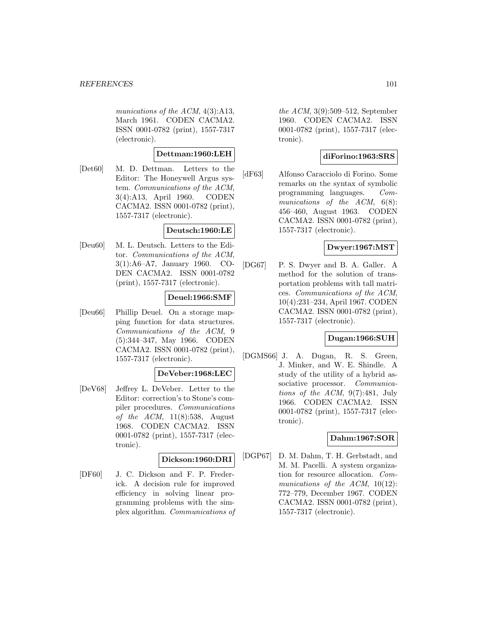munications of the ACM,  $4(3)$ :A13, March 1961. CODEN CACMA2. ISSN 0001-0782 (print), 1557-7317 (electronic).

### **Dettman:1960:LEH**

[Det60] M. D. Dettman. Letters to the Editor: The Honeywell Argus system. Communications of the ACM, 3(4):A13, April 1960. CODEN CACMA2. ISSN 0001-0782 (print), 1557-7317 (electronic).

## **Deutsch:1960:LE**

[Deu60] M. L. Deutsch. Letters to the Editor. Communications of the ACM, 3(1):A6–A7, January 1960. CO-DEN CACMA2. ISSN 0001-0782 (print), 1557-7317 (electronic).

### **Deuel:1966:SMF**

[Deu66] Phillip Deuel. On a storage mapping function for data structures. Communications of the ACM, 9 (5):344–347, May 1966. CODEN CACMA2. ISSN 0001-0782 (print), 1557-7317 (electronic).

### **DeVeber:1968:LEC**

[DeV68] Jeffrey L. DeVeber. Letter to the Editor: correction's to Stone's compiler procedures. Communications of the ACM,  $11(8):538$ , August 1968. CODEN CACMA2. ISSN 0001-0782 (print), 1557-7317 (electronic).

## **Dickson:1960:DRI**

[DF60] J. C. Dickson and F. P. Frederick. A decision rule for improved efficiency in solving linear programming problems with the simplex algorithm. Communications of the ACM, 3(9):509–512, September 1960. CODEN CACMA2. ISSN 0001-0782 (print), 1557-7317 (electronic).

## **diForino:1963:SRS**

[dF63] Alfonso Caracciolo di Forino. Some remarks on the syntax of symbolic programming languages. Communications of the ACM,  $6(8)$ : 456–460, August 1963. CODEN CACMA2. ISSN 0001-0782 (print), 1557-7317 (electronic).

## **Dwyer:1967:MST**

[DG67] P. S. Dwyer and B. A. Galler. A method for the solution of transportation problems with tall matrices. Communications of the ACM, 10(4):231–234, April 1967. CODEN CACMA2. ISSN 0001-0782 (print), 1557-7317 (electronic).

### **Dugan:1966:SUH**

[DGMS66] J. A. Dugan, R. S. Green, J. Minker, and W. E. Shindle. A study of the utility of a hybrid associative processor. *Communica*tions of the  $ACM$ ,  $9(7):481$ , July 1966. CODEN CACMA2. ISSN 0001-0782 (print), 1557-7317 (electronic).

### **Dahm:1967:SOR**

[DGP67] D. M. Dahm, T. H. Gerbstadt, and M. M. Pacelli. A system organization for resource allocation. Communications of the ACM, 10(12): 772–779, December 1967. CODEN CACMA2. ISSN 0001-0782 (print), 1557-7317 (electronic).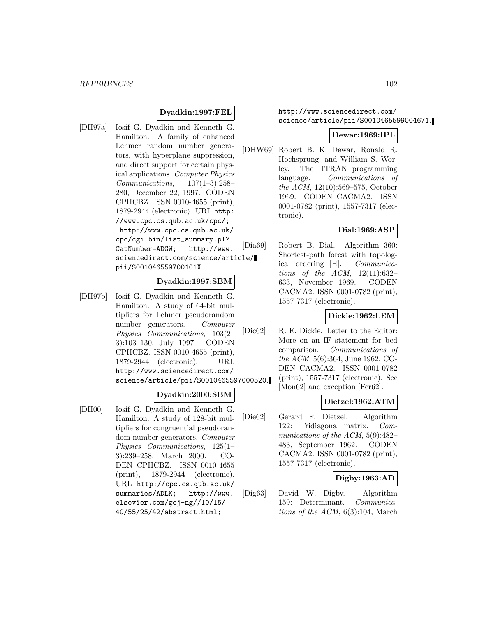### **Dyadkin:1997:FEL**

[DH97a] Iosif G. Dyadkin and Kenneth G. Hamilton. A family of enhanced Lehmer random number generators, with hyperplane suppression, and direct support for certain physical applications. Computer Physics Communications, 107(1–3):258– 280, December 22, 1997. CODEN CPHCBZ. ISSN 0010-4655 (print), 1879-2944 (electronic). URL http: //www.cpc.cs.qub.ac.uk/cpc/; http://www.cpc.cs.qub.ac.uk/ cpc/cgi-bin/list\_summary.pl? CatNumber=ADGW; http://www. sciencedirect.com/science/article/ pii/S001046559700101X.

# **Dyadkin:1997:SBM**

[DH97b] Iosif G. Dyadkin and Kenneth G. Hamilton. A study of 64-bit multipliers for Lehmer pseudorandom number generators. Computer Physics Communications, 103(2– 3):103–130, July 1997. CODEN CPHCBZ. ISSN 0010-4655 (print), 1879-2944 (electronic). URL http://www.sciencedirect.com/ science/article/pii/S0010465597000520.

## **Dyadkin:2000:SBM**

[DH00] Iosif G. Dyadkin and Kenneth G. Hamilton. A study of 128-bit multipliers for congruential pseudorandom number generators. Computer Physics Communications, 125(1– 3):239–258, March 2000. CO-DEN CPHCBZ. ISSN 0010-4655 (print), 1879-2944 (electronic). URL http://cpc.cs.qub.ac.uk/ summaries/ADLK; http://www. elsevier.com/gej-ng//10/15/ 40/55/25/42/abstract.html;

## http://www.sciencedirect.com/ science/article/pii/S0010465599004671.

### **Dewar:1969:IPL**

[DHW69] Robert B. K. Dewar, Ronald R. Hochsprung, and William S. Worley. The IITRAN programming language. Communications of the ACM, 12(10):569–575, October 1969. CODEN CACMA2. ISSN 0001-0782 (print), 1557-7317 (electronic).

### **Dial:1969:ASP**

[Dia69] Robert B. Dial. Algorithm 360: Shortest-path forest with topological ordering [H]. Communications of the ACM,  $12(11):632-$ 633, November 1969. CODEN CACMA2. ISSN 0001-0782 (print), 1557-7317 (electronic).

### **Dickie:1962:LEM**

[Dic62] R. E. Dickie. Letter to the Editor: More on an IF statement for bcd comparison. Communications of the ACM, 5(6):364, June 1962. CO-DEN CACMA2. ISSN 0001-0782 (print), 1557-7317 (electronic). See [Mon62] and exception [Fer62].

### **Dietzel:1962:ATM**

[Die62] Gerard F. Dietzel. Algorithm 122: Tridiagonal matrix. Communications of the ACM, 5(9):482– 483, September 1962. CODEN CACMA2. ISSN 0001-0782 (print), 1557-7317 (electronic).

## **Digby:1963:AD**

[Dig63] David W. Digby. Algorithm 159: Determinant. Communications of the ACM, 6(3):104, March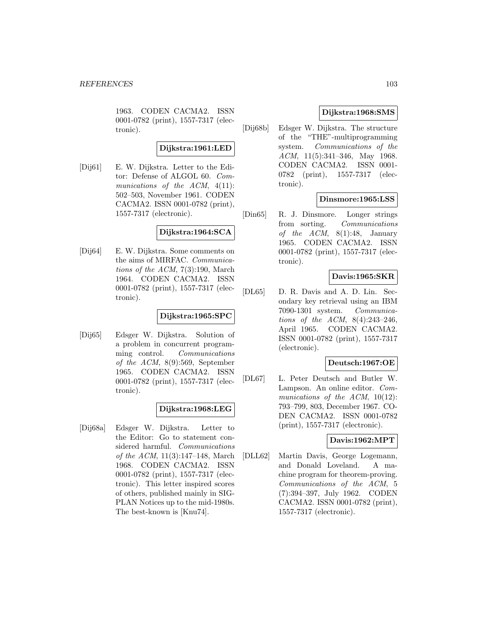1963. CODEN CACMA2. ISSN 0001-0782 (print), 1557-7317 (electronic).

### **Dijkstra:1961:LED**

[Dij61] E. W. Dijkstra. Letter to the Editor: Defense of ALGOL 60. Communications of the ACM, 4(11): 502–503, November 1961. CODEN CACMA2. ISSN 0001-0782 (print), 1557-7317 (electronic).

### **Dijkstra:1964:SCA**

[Dij64] E. W. Dijkstra. Some comments on the aims of MIRFAC. Communications of the ACM,  $7(3):190$ , March 1964. CODEN CACMA2. ISSN 0001-0782 (print), 1557-7317 (electronic).

### **Dijkstra:1965:SPC**

[Dij65] Edsger W. Dijkstra. Solution of a problem in concurrent programming control. Communications of the ACM, 8(9):569, September 1965. CODEN CACMA2. ISSN 0001-0782 (print), 1557-7317 (electronic).

## **Dijkstra:1968:LEG**

[Dij68a] Edsger W. Dijkstra. Letter to the Editor: Go to statement considered harmful. Communications of the ACM, 11(3):147–148, March 1968. CODEN CACMA2. ISSN 0001-0782 (print), 1557-7317 (electronic). This letter inspired scores of others, published mainly in SIG-PLAN Notices up to the mid-1980s. The best-known is [Knu74].

# **Dijkstra:1968:SMS**

[Dij68b] Edsger W. Dijkstra. The structure of the "THE"-multiprogramming system. Communications of the ACM, 11(5):341–346, May 1968. CODEN CACMA2. ISSN 0001- 0782 (print), 1557-7317 (electronic).

## **Dinsmore:1965:LSS**

[Din65] R. J. Dinsmore. Longer strings from sorting. Communications of the  $ACM$ ,  $8(1):48$ , January 1965. CODEN CACMA2. ISSN 0001-0782 (print), 1557-7317 (electronic).

## **Davis:1965:SKR**

[DL65] D. R. Davis and A. D. Lin. Secondary key retrieval using an IBM 7090-1301 system. Communications of the ACM, 8(4):243–246, April 1965. CODEN CACMA2. ISSN 0001-0782 (print), 1557-7317 (electronic).

### **Deutsch:1967:OE**

[DL67] L. Peter Deutsch and Butler W. Lampson. An online editor. Communications of the ACM, 10(12): 793–799, 803, December 1967. CO-DEN CACMA2. ISSN 0001-0782 (print), 1557-7317 (electronic).

### **Davis:1962:MPT**

[DLL62] Martin Davis, George Logemann, and Donald Loveland. A machine program for theorem-proving. Communications of the ACM, 5 (7):394–397, July 1962. CODEN CACMA2. ISSN 0001-0782 (print), 1557-7317 (electronic).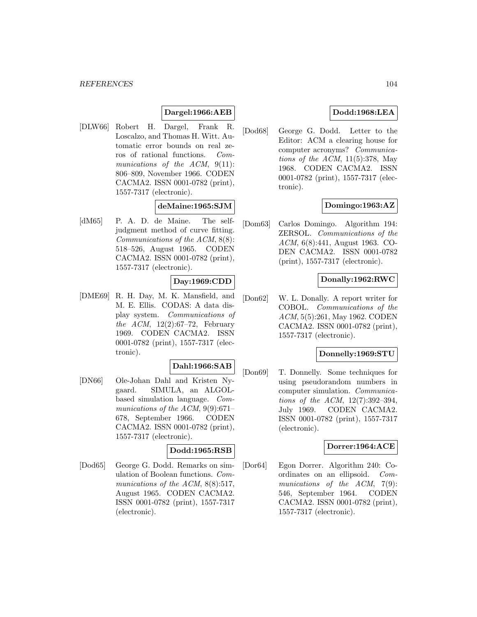## **Dargel:1966:AEB**

[DLW66] Robert H. Dargel, Frank R. Loscalzo, and Thomas H. Witt. Automatic error bounds on real zeros of rational functions. Communications of the ACM, 9(11): 806–809, November 1966. CODEN CACMA2. ISSN 0001-0782 (print), 1557-7317 (electronic).

### **deMaine:1965:SJM**

[dM65] P. A. D. de Maine. The selfjudgment method of curve fitting. Communications of the ACM, 8(8): 518–526, August 1965. CODEN CACMA2. ISSN 0001-0782 (print), 1557-7317 (electronic).

# **Day:1969:CDD**

[DME69] R. H. Day, M. K. Mansfield, and M. E. Ellis. CODAS: A data display system. Communications of the ACM, 12(2):67–72, February 1969. CODEN CACMA2. ISSN 0001-0782 (print), 1557-7317 (electronic).

#### **Dahl:1966:SAB**

[DN66] Ole-Johan Dahl and Kristen Nygaard. SIMULA, an ALGOLbased simulation language. Communications of the ACM, 9(9):671– 678, September 1966. CODEN CACMA2. ISSN 0001-0782 (print), 1557-7317 (electronic).

# **Dodd:1965:RSB**

[Dod65] George G. Dodd. Remarks on simulation of Boolean functions. Communications of the ACM, 8(8):517, August 1965. CODEN CACMA2. ISSN 0001-0782 (print), 1557-7317 (electronic).

## **Dodd:1968:LEA**

[Dod68] George G. Dodd. Letter to the Editor: ACM a clearing house for computer acronyms? Communications of the ACM,  $11(5):378$ , May 1968. CODEN CACMA2. ISSN 0001-0782 (print), 1557-7317 (electronic).

## **Domingo:1963:AZ**

[Dom63] Carlos Domingo. Algorithm 194: ZERSOL. Communications of the ACM, 6(8):441, August 1963. CO-DEN CACMA2. ISSN 0001-0782 (print), 1557-7317 (electronic).

## **Donally:1962:RWC**

[Don62] W. L. Donally. A report writer for COBOL. Communications of the ACM, 5(5):261, May 1962. CODEN CACMA2. ISSN 0001-0782 (print), 1557-7317 (electronic).

### **Donnelly:1969:STU**

[Don69] T. Donnelly. Some techniques for using pseudorandom numbers in computer simulation. Communications of the ACM, 12(7):392–394, July 1969. CODEN CACMA2. ISSN 0001-0782 (print), 1557-7317 (electronic).

### **Dorrer:1964:ACE**

[Dor64] Egon Dorrer. Algorithm 240: Coordinates on an ellipsoid. Communications of the ACM, 7(9): 546, September 1964. CODEN CACMA2. ISSN 0001-0782 (print), 1557-7317 (electronic).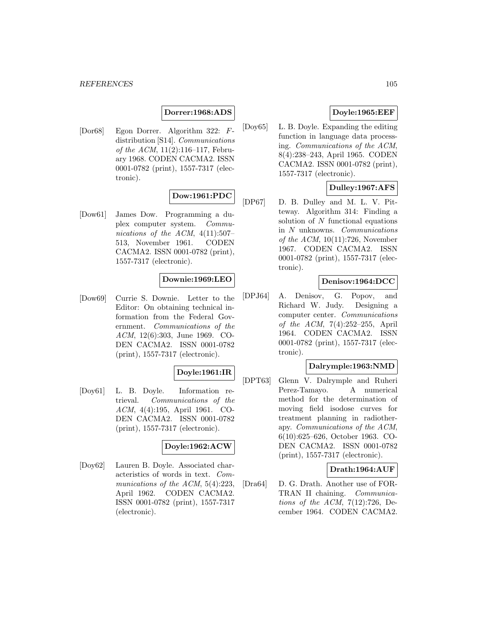## **Dorrer:1968:ADS**

[Dor68] Egon Dorrer. Algorithm 322: Fdistribution [S14]. Communications of the ACM, 11(2):116–117, February 1968. CODEN CACMA2. ISSN 0001-0782 (print), 1557-7317 (electronic).

# **Dow:1961:PDC**

[Dow61] James Dow. Programming a duplex computer system. Communications of the ACM,  $4(11):507-$ 513, November 1961. CODEN CACMA2. ISSN 0001-0782 (print), 1557-7317 (electronic).

## **Downie:1969:LEO**

[Dow69] Currie S. Downie. Letter to the Editor: On obtaining technical information from the Federal Government. Communications of the ACM, 12(6):303, June 1969. CO-DEN CACMA2. ISSN 0001-0782 (print), 1557-7317 (electronic).

## **Doyle:1961:IR**

[Doy61] L. B. Doyle. Information retrieval. Communications of the ACM, 4(4):195, April 1961. CO-DEN CACMA2. ISSN 0001-0782 (print), 1557-7317 (electronic).

### **Doyle:1962:ACW**

[Doy62] Lauren B. Doyle. Associated characteristics of words in text. Communications of the ACM, 5(4):223, April 1962. CODEN CACMA2. ISSN 0001-0782 (print), 1557-7317 (electronic).

## **Doyle:1965:EEF**

[Doy65] L. B. Doyle. Expanding the editing function in language data processing. Communications of the ACM, 8(4):238–243, April 1965. CODEN CACMA2. ISSN 0001-0782 (print), 1557-7317 (electronic).

## **Dulley:1967:AFS**

[DP67] D. B. Dulley and M. L. V. Pitteway. Algorithm 314: Finding a solution of N functional equations in N unknowns. Communications of the  $ACM$ , 10(11):726, November 1967. CODEN CACMA2. ISSN 0001-0782 (print), 1557-7317 (electronic).

## **Denisov:1964:DCC**

[DPJ64] A. Denisov, G. Popov, and Richard W. Judy. Designing a computer center. Communications of the ACM, 7(4):252–255, April 1964. CODEN CACMA2. ISSN 0001-0782 (print), 1557-7317 (electronic).

### **Dalrymple:1963:NMD**

[DPT63] Glenn V. Dalrymple and Ruheri Perez-Tamayo. A numerical method for the determination of moving field isodose curves for treatment planning in radiotherapy. Communications of the ACM, 6(10):625–626, October 1963. CO-DEN CACMA2. ISSN 0001-0782 (print), 1557-7317 (electronic).

#### **Drath:1964:AUF**

[Dra64] D. G. Drath. Another use of FOR-TRAN II chaining. Communications of the ACM,  $7(12):726$ , December 1964. CODEN CACMA2.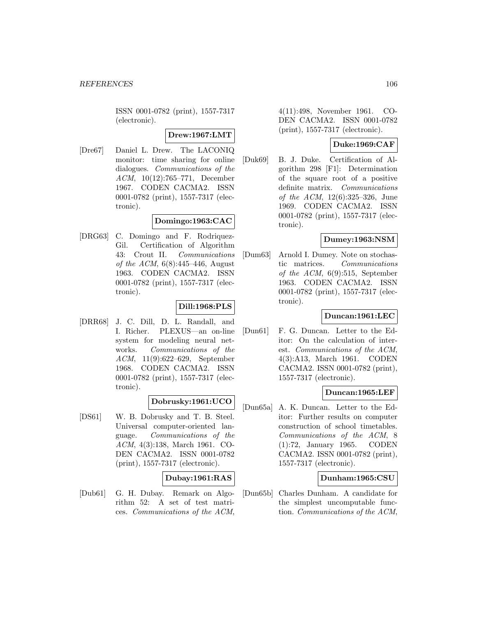ISSN 0001-0782 (print), 1557-7317 (electronic).

## **Drew:1967:LMT**

[Dre67] Daniel L. Drew. The LACONIQ monitor: time sharing for online dialogues. Communications of the ACM, 10(12):765–771, December 1967. CODEN CACMA2. ISSN 0001-0782 (print), 1557-7317 (electronic).

### **Domingo:1963:CAC**

[DRG63] C. Domingo and F. Rodriquez-Gil. Certification of Algorithm 43: Crout II. Communications of the ACM,  $6(8):445-446$ , August 1963. CODEN CACMA2. ISSN 0001-0782 (print), 1557-7317 (electronic).

### **Dill:1968:PLS**

[DRR68] J. C. Dill, D. L. Randall, and I. Richer. PLEXUS—an on-line system for modeling neural networks. Communications of the ACM, 11(9):622–629, September 1968. CODEN CACMA2. ISSN 0001-0782 (print), 1557-7317 (electronic).

### **Dobrusky:1961:UCO**

[DS61] W. B. Dobrusky and T. B. Steel. Universal computer-oriented language. Communications of the ACM, 4(3):138, March 1961. CO-DEN CACMA2. ISSN 0001-0782 (print), 1557-7317 (electronic).

## **Dubay:1961:RAS**

[Dub61] G. H. Dubay. Remark on Algorithm 52: A set of test matrices. Communications of the ACM,

4(11):498, November 1961. CO-DEN CACMA2. ISSN 0001-0782 (print), 1557-7317 (electronic).

# **Duke:1969:CAF**

[Duk69] B. J. Duke. Certification of Algorithm 298 [F1]: Determination of the square root of a positive definite matrix. Communications of the ACM, 12(6):325–326, June 1969. CODEN CACMA2. ISSN 0001-0782 (print), 1557-7317 (electronic).

# **Dumey:1963:NSM**

[Dum63] Arnold I. Dumey. Note on stochastic matrices. Communications of the ACM,  $6(9):515$ , September 1963. CODEN CACMA2. ISSN 0001-0782 (print), 1557-7317 (electronic).

### **Duncan:1961:LEC**

[Dun61] F. G. Duncan. Letter to the Editor: On the calculation of interest. Communications of the ACM, 4(3):A13, March 1961. CODEN CACMA2. ISSN 0001-0782 (print), 1557-7317 (electronic).

### **Duncan:1965:LEF**

[Dun65a] A. K. Duncan. Letter to the Editor: Further results on computer construction of school timetables. Communications of the ACM, 8 (1):72, January 1965. CODEN CACMA2. ISSN 0001-0782 (print), 1557-7317 (electronic).

### **Dunham:1965:CSU**

[Dun65b] Charles Dunham. A candidate for the simplest uncomputable function. Communications of the ACM,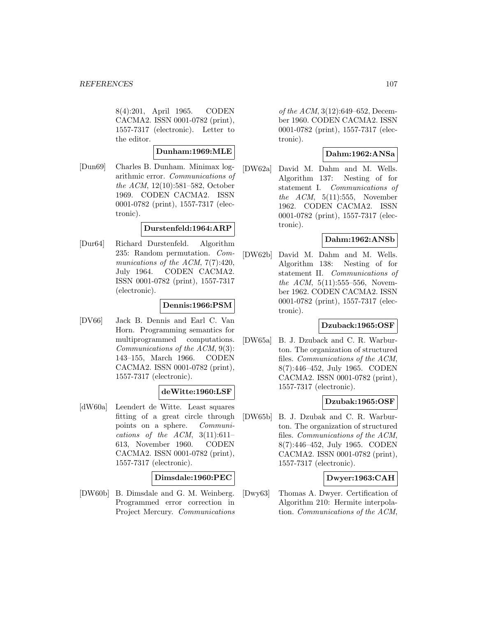8(4):201, April 1965. CODEN CACMA2. ISSN 0001-0782 (print), 1557-7317 (electronic). Letter to the editor.

#### **Dunham:1969:MLE**

[Dun69] Charles B. Dunham. Minimax logarithmic error. Communications of the ACM, 12(10):581–582, October 1969. CODEN CACMA2. ISSN 0001-0782 (print), 1557-7317 (electronic).

### **Durstenfeld:1964:ARP**

[Dur64] Richard Durstenfeld. Algorithm 235: Random permutation. Communications of the ACM,  $7(7):420$ , July 1964. CODEN CACMA2. ISSN 0001-0782 (print), 1557-7317 (electronic).

## **Dennis:1966:PSM**

[DV66] Jack B. Dennis and Earl C. Van Horn. Programming semantics for multiprogrammed computations. Communications of the ACM, 9(3): 143–155, March 1966. CODEN CACMA2. ISSN 0001-0782 (print), 1557-7317 (electronic).

### **deWitte:1960:LSF**

[dW60a] Leendert de Witte. Least squares fitting of a great circle through points on a sphere. Communications of the ACM,  $3(11):611-$ 613, November 1960. CODEN CACMA2. ISSN 0001-0782 (print), 1557-7317 (electronic).

### **Dimsdale:1960:PEC**

[DW60b] B. Dimsdale and G. M. Weinberg. Programmed error correction in Project Mercury. Communications of the ACM, 3(12):649–652, December 1960. CODEN CACMA2. ISSN 0001-0782 (print), 1557-7317 (electronic).

## **Dahm:1962:ANSa**

[DW62a] David M. Dahm and M. Wells. Algorithm 137: Nesting of for statement I. Communications of the  $ACM$ ,  $5(11):555$ , November 1962. CODEN CACMA2. ISSN 0001-0782 (print), 1557-7317 (electronic).

# **Dahm:1962:ANSb**

[DW62b] David M. Dahm and M. Wells. Algorithm 138: Nesting of for statement II. Communications of the  $ACM$ ,  $5(11):555-556$ , November 1962. CODEN CACMA2. ISSN 0001-0782 (print), 1557-7317 (electronic).

# **Dzuback:1965:OSF**

[DW65a] B. J. Dzuback and C. R. Warburton. The organization of structured files. Communications of the ACM, 8(7):446–452, July 1965. CODEN CACMA2. ISSN 0001-0782 (print), 1557-7317 (electronic).

### **Dzubak:1965:OSF**

[DW65b] B. J. Dzubak and C. R. Warburton. The organization of structured files. Communications of the ACM, 8(7):446–452, July 1965. CODEN CACMA2. ISSN 0001-0782 (print), 1557-7317 (electronic).

# **Dwyer:1963:CAH**

[Dwy63] Thomas A. Dwyer. Certification of Algorithm 210: Hermite interpolation. Communications of the ACM,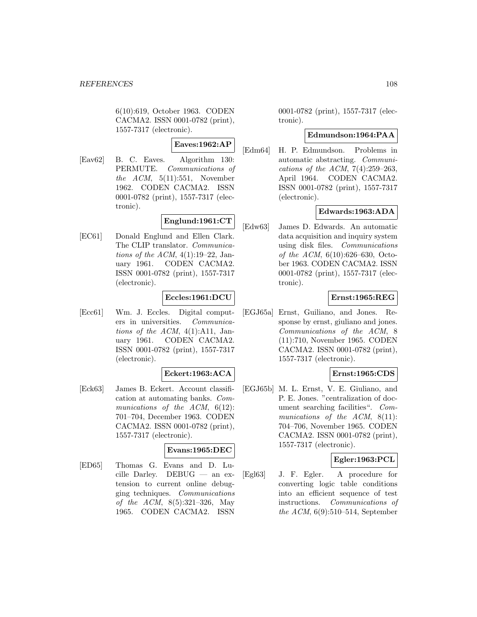6(10):619, October 1963. CODEN CACMA2. ISSN 0001-0782 (print), 1557-7317 (electronic).

# **Eaves:1962:AP**

[Eav62] B. C. Eaves. Algorithm 130: PERMUTE. Communications of the  $ACM$ ,  $5(11):551$ , November 1962. CODEN CACMA2. ISSN 0001-0782 (print), 1557-7317 (electronic).

# **Englund:1961:CT**

[EC61] Donald Englund and Ellen Clark. The CLIP translator. Communications of the ACM,  $4(1):19-22$ , January 1961. CODEN CACMA2. ISSN 0001-0782 (print), 1557-7317 (electronic).

# **Eccles:1961:DCU**

[Ecc61] Wm. J. Eccles. Digital computers in universities. Communications of the ACM,  $4(1)$ :A11, January 1961. CODEN CACMA2. ISSN 0001-0782 (print), 1557-7317 (electronic).

## **Eckert:1963:ACA**

[Eck63] James B. Eckert. Account classification at automating banks. Communications of the  $ACM$ ,  $6(12)$ : 701–704, December 1963. CODEN CACMA2. ISSN 0001-0782 (print), 1557-7317 (electronic).

# **Evans:1965:DEC**

[ED65] Thomas G. Evans and D. Lucille Darley. DEBUG — an extension to current online debugging techniques. Communications of the ACM, 8(5):321–326, May 1965. CODEN CACMA2. ISSN

0001-0782 (print), 1557-7317 (electronic).

## **Edmundson:1964:PAA**

[Edm64] H. P. Edmundson. Problems in automatic abstracting. Communications of the ACM,  $7(4):259-263$ , April 1964. CODEN CACMA2. ISSN 0001-0782 (print), 1557-7317 (electronic).

## **Edwards:1963:ADA**

[Edw63] James D. Edwards. An automatic data acquisition and inquiry system using disk files. Communications of the ACM,  $6(10):626-630$ , October 1963. CODEN CACMA2. ISSN 0001-0782 (print), 1557-7317 (electronic).

## **Ernst:1965:REG**

[EGJ65a] Ernst, Guiliano, and Jones. Response by ernst, giuliano and jones. Communications of the ACM, 8 (11):710, November 1965. CODEN CACMA2. ISSN 0001-0782 (print), 1557-7317 (electronic).

### **Ernst:1965:CDS**

[EGJ65b] M. L. Ernst, V. E. Giuliano, and P. E. Jones. "centralization of document searching facilities". Communications of the ACM, 8(11): 704–706, November 1965. CODEN CACMA2. ISSN 0001-0782 (print), 1557-7317 (electronic).

## **Egler:1963:PCL**

[Egl63] J. F. Egler. A procedure for converting logic table conditions into an efficient sequence of test instructions. Communications of the ACM, 6(9):510–514, September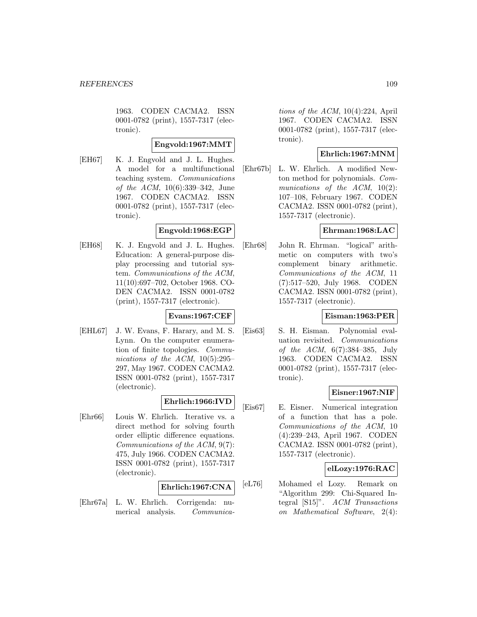1963. CODEN CACMA2. ISSN 0001-0782 (print), 1557-7317 (electronic).

## **Engvold:1967:MMT**

[EH67] K. J. Engvold and J. L. Hughes. A model for a multifunctional teaching system. Communications of the ACM, 10(6):339–342, June 1967. CODEN CACMA2. ISSN 0001-0782 (print), 1557-7317 (electronic).

## **Engvold:1968:EGP**

[EH68] K. J. Engvold and J. L. Hughes. Education: A general-purpose display processing and tutorial system. Communications of the ACM, 11(10):697–702, October 1968. CO-DEN CACMA2. ISSN 0001-0782 (print), 1557-7317 (electronic).

## **Evans:1967:CEF**

[EHL67] J. W. Evans, F. Harary, and M. S. Lynn. On the computer enumeration of finite topologies. Communications of the ACM,  $10(5):295-$ 297, May 1967. CODEN CACMA2. ISSN 0001-0782 (print), 1557-7317 (electronic).

# **Ehrlich:1966:IVD**

[Ehr66] Louis W. Ehrlich. Iterative vs. a direct method for solving fourth order elliptic difference equations. Communications of the ACM, 9(7): 475, July 1966. CODEN CACMA2. ISSN 0001-0782 (print), 1557-7317 (electronic).

# **Ehrlich:1967:CNA**

[Ehr67a] L. W. Ehrlich. Corrigenda: numerical analysis. Communications of the ACM, 10(4):224, April 1967. CODEN CACMA2. ISSN 0001-0782 (print), 1557-7317 (electronic).

## **Ehrlich:1967:MNM**

[Ehr67b] L. W. Ehrlich. A modified Newton method for polynomials. Communications of the ACM,  $10(2)$ : 107–108, February 1967. CODEN CACMA2. ISSN 0001-0782 (print), 1557-7317 (electronic).

## **Ehrman:1968:LAC**

[Ehr68] John R. Ehrman. "logical" arithmetic on computers with two's complement binary arithmetic. Communications of the ACM, 11 (7):517–520, July 1968. CODEN CACMA2. ISSN 0001-0782 (print), 1557-7317 (electronic).

## **Eisman:1963:PER**

[Eis63] S. H. Eisman. Polynomial evaluation revisited. Communications of the ACM, 6(7):384–385, July 1963. CODEN CACMA2. ISSN 0001-0782 (print), 1557-7317 (electronic).

# **Eisner:1967:NIF**

[Eis67] E. Eisner. Numerical integration of a function that has a pole. Communications of the ACM, 10 (4):239–243, April 1967. CODEN CACMA2. ISSN 0001-0782 (print), 1557-7317 (electronic).

## **elLozy:1976:RAC**

[eL76] Mohamed el Lozy. Remark on "Algorithm 299: Chi-Squared Integral [S15]". ACM Transactions on Mathematical Software, 2(4):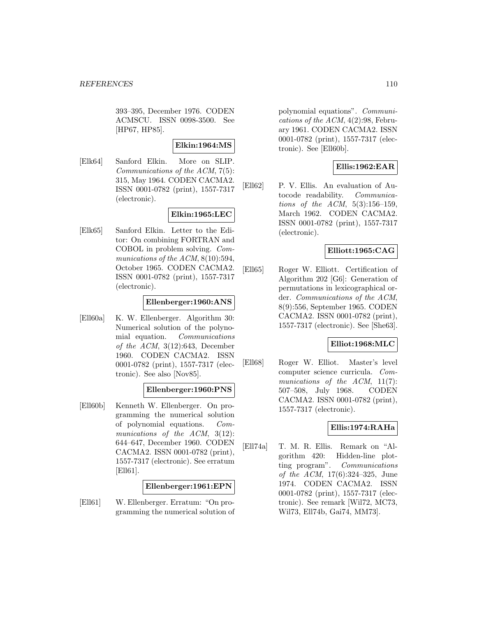393–395, December 1976. CODEN ACMSCU. ISSN 0098-3500. See [HP67, HP85].

## **Elkin:1964:MS**

[Elk64] Sanford Elkin. More on SLIP. Communications of the ACM, 7(5): 315, May 1964. CODEN CACMA2. ISSN 0001-0782 (print), 1557-7317 (electronic).

## **Elkin:1965:LEC**

[Elk65] Sanford Elkin. Letter to the Editor: On combining FORTRAN and COBOL in problem solving. Communications of the ACM,  $8(10):594$ , October 1965. CODEN CACMA2. ISSN 0001-0782 (print), 1557-7317 (electronic).

## **Ellenberger:1960:ANS**

[Ell60a] K. W. Ellenberger. Algorithm 30: Numerical solution of the polynomial equation. Communications of the ACM,  $3(12):643$ , December 1960. CODEN CACMA2. ISSN 0001-0782 (print), 1557-7317 (electronic). See also [Nov85].

# **Ellenberger:1960:PNS**

[Ell60b] Kenneth W. Ellenberger. On programming the numerical solution of polynomial equations. Communications of the ACM, 3(12): 644–647, December 1960. CODEN CACMA2. ISSN 0001-0782 (print), 1557-7317 (electronic). See erratum [Ell61].

**Ellenberger:1961:EPN**

[Ell61] W. Ellenberger. Erratum: "On programming the numerical solution of polynomial equations". Communications of the  $ACM$ ,  $4(2):98$ , February 1961. CODEN CACMA2. ISSN 0001-0782 (print), 1557-7317 (electronic). See [Ell60b].

# **Ellis:1962:EAR**

[Ell62] P. V. Ellis. An evaluation of Autocode readability. Communications of the ACM, 5(3):156–159, March 1962. CODEN CACMA2. ISSN 0001-0782 (print), 1557-7317 (electronic).

# **Elliott:1965:CAG**

[Ell65] Roger W. Elliott. Certification of Algorithm 202 [G6]: Generation of permutations in lexicographical order. Communications of the ACM, 8(9):556, September 1965. CODEN CACMA2. ISSN 0001-0782 (print), 1557-7317 (electronic). See [She63].

## **Elliot:1968:MLC**

[Ell68] Roger W. Elliot. Master's level computer science curricula. Communications of the ACM, 11(7): 507–508, July 1968. CODEN CACMA2. ISSN 0001-0782 (print), 1557-7317 (electronic).

## **Ellis:1974:RAHa**

[Ell74a] T. M. R. Ellis. Remark on "Algorithm 420: Hidden-line plotting program". Communications of the ACM, 17(6):324–325, June 1974. CODEN CACMA2. ISSN 0001-0782 (print), 1557-7317 (electronic). See remark [Wil72, MC73, Wil73, Ell74b, Gai74, MM73].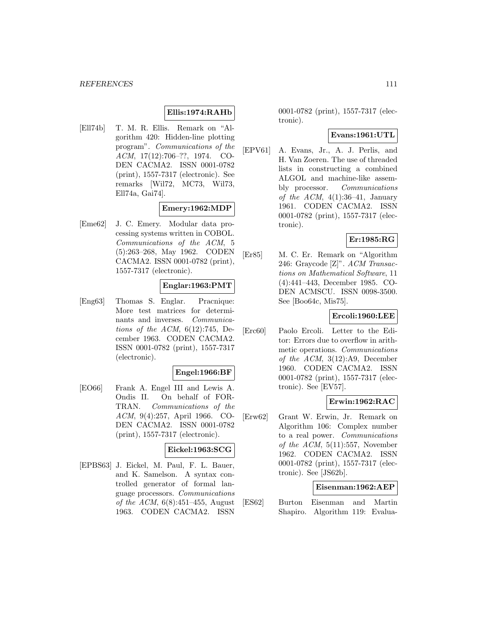## **Ellis:1974:RAHb**

[Ell74b] T. M. R. Ellis. Remark on "Algorithm 420: Hidden-line plotting program". Communications of the ACM, 17(12):706–??, 1974. CO-DEN CACMA2. ISSN 0001-0782 (print), 1557-7317 (electronic). See remarks [Wil72, MC73, Wil73, Ell74a, Gai74].

## **Emery:1962:MDP**

[Eme62] J. C. Emery. Modular data processing systems written in COBOL. Communications of the ACM, 5 (5):263–268, May 1962. CODEN CACMA2. ISSN 0001-0782 (print), 1557-7317 (electronic).

## **Englar:1963:PMT**

[Eng63] Thomas S. Englar. Pracnique: More test matrices for determinants and inverses. Communications of the ACM,  $6(12):745$ , December 1963. CODEN CACMA2. ISSN 0001-0782 (print), 1557-7317 (electronic).

## **Engel:1966:BF**

[EO66] Frank A. Engel III and Lewis A. Ondis II. On behalf of FOR-TRAN. Communications of the ACM, 9(4):257, April 1966. CO-DEN CACMA2. ISSN 0001-0782 (print), 1557-7317 (electronic).

## **Eickel:1963:SCG**

[EPBS63] J. Eickel, M. Paul, F. L. Bauer, and K. Samelson. A syntax controlled generator of formal language processors. Communications of the ACM,  $6(8):451-455$ , August 1963. CODEN CACMA2. ISSN

0001-0782 (print), 1557-7317 (electronic).

#### **Evans:1961:UTL**

[EPV61] A. Evans, Jr., A. J. Perlis, and H. Van Zoeren. The use of threaded lists in constructing a combined ALGOL and machine-like assembly processor. Communications of the ACM,  $4(1):36-41$ , January 1961. CODEN CACMA2. ISSN 0001-0782 (print), 1557-7317 (electronic).

## **Er:1985:RG**

[Er85] M. C. Er. Remark on "Algorithm 246: Graycode [Z]". ACM Transactions on Mathematical Software, 11 (4):441–443, December 1985. CO-DEN ACMSCU. ISSN 0098-3500. See [Boo64c, Mis75].

## **Ercoli:1960:LEE**

[Erc60] Paolo Ercoli. Letter to the Editor: Errors due to overflow in arithmetic operations. Communications of the ACM, 3(12):A9, December 1960. CODEN CACMA2. ISSN 0001-0782 (print), 1557-7317 (electronic). See [EV57].

## **Erwin:1962:RAC**

[Erw62] Grant W. Erwin, Jr. Remark on Algorithm 106: Complex number to a real power. Communications of the ACM,  $5(11):557$ , November 1962. CODEN CACMA2. ISSN 0001-0782 (print), 1557-7317 (electronic). See [JS62b].

#### **Eisenman:1962:AEP**

[ES62] Burton Eisenman and Martin Shapiro. Algorithm 119: Evalua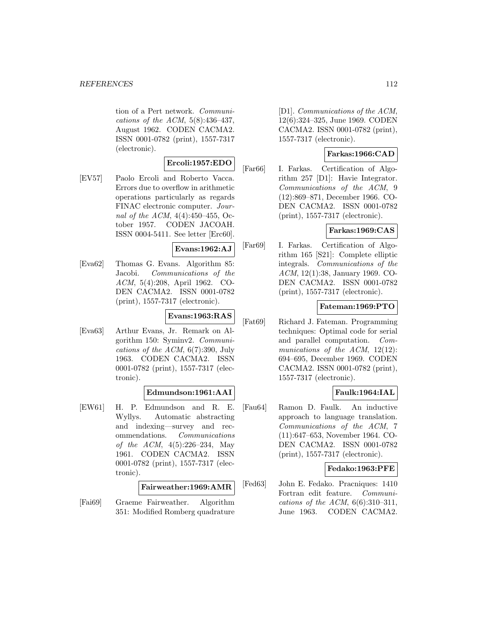tion of a Pert network. Communications of the ACM,  $5(8):436-437$ , August 1962. CODEN CACMA2. ISSN 0001-0782 (print), 1557-7317 (electronic).

# **Ercoli:1957:EDO**

[EV57] Paolo Ercoli and Roberto Vacca. Errors due to overflow in arithmetic operations particularly as regards FINAC electronic computer. Journal of the ACM, 4(4):450–455, October 1957. CODEN JACOAH. ISSN 0004-5411. See letter [Erc60].

#### **Evans:1962:AJ**

[Eva62] Thomas G. Evans. Algorithm 85: Jacobi. Communications of the ACM, 5(4):208, April 1962. CO-DEN CACMA2. ISSN 0001-0782 (print), 1557-7317 (electronic).

## **Evans:1963:RAS**

[Eva63] Arthur Evans, Jr. Remark on Algorithm 150: Syminv2. Communications of the  $ACM$ ,  $6(7)$ :390, July 1963. CODEN CACMA2. ISSN 0001-0782 (print), 1557-7317 (electronic).

# **Edmundson:1961:AAI**

[EW61] H. P. Edmundson and R. E. Wyllys. Automatic abstracting and indexing—survey and recommendations. Communications of the ACM, 4(5):226–234, May 1961. CODEN CACMA2. ISSN 0001-0782 (print), 1557-7317 (electronic).

#### **Fairweather:1969:AMR**

[Fai69] Graeme Fairweather. Algorithm 351: Modified Romberg quadrature [D1]. Communications of the ACM, 12(6):324–325, June 1969. CODEN CACMA2. ISSN 0001-0782 (print), 1557-7317 (electronic).

## **Farkas:1966:CAD**

[Far66] I. Farkas. Certification of Algorithm 257 [D1]: Havie Integrator. Communications of the ACM, 9 (12):869–871, December 1966. CO-DEN CACMA2. ISSN 0001-0782 (print), 1557-7317 (electronic).

## **Farkas:1969:CAS**

[Far69] I. Farkas. Certification of Algorithm 165 [S21]: Complete elliptic integrals. Communications of the ACM, 12(1):38, January 1969. CO-DEN CACMA2. ISSN 0001-0782 (print), 1557-7317 (electronic).

## **Fateman:1969:PTO**

[Fat69] Richard J. Fateman. Programming techniques: Optimal code for serial and parallel computation. Communications of the ACM, 12(12): 694–695, December 1969. CODEN CACMA2. ISSN 0001-0782 (print), 1557-7317 (electronic).

# **Faulk:1964:IAL**

[Fau64] Ramon D. Faulk. An inductive approach to language translation. Communications of the ACM, 7 (11):647–653, November 1964. CO-DEN CACMA2. ISSN 0001-0782 (print), 1557-7317 (electronic).

## **Fedako:1963:PFE**

[Fed63] John E. Fedako. Pracniques: 1410 Fortran edit feature. Communications of the ACM,  $6(6):310-311$ , June 1963. CODEN CACMA2.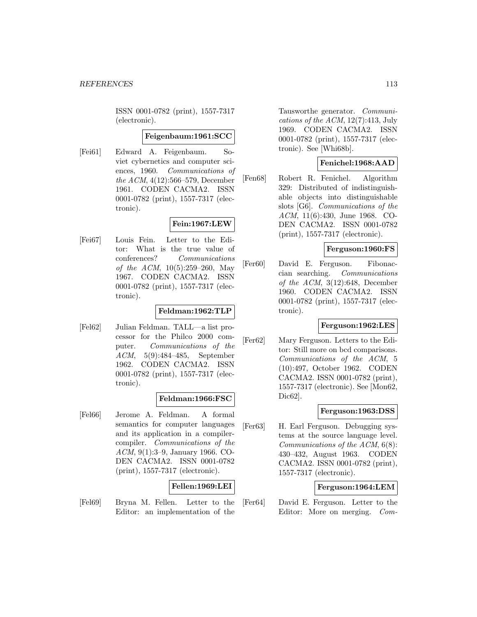ISSN 0001-0782 (print), 1557-7317 (electronic).

#### **Feigenbaum:1961:SCC**

[Fei61] Edward A. Feigenbaum. Soviet cybernetics and computer sciences, 1960. Communications of the ACM, 4(12):566–579, December 1961. CODEN CACMA2. ISSN 0001-0782 (print), 1557-7317 (electronic).

## **Fein:1967:LEW**

[Fei67] Louis Fein. Letter to the Editor: What is the true value of conferences? Communications of the ACM, 10(5):259–260, May 1967. CODEN CACMA2. ISSN 0001-0782 (print), 1557-7317 (electronic).

## **Feldman:1962:TLP**

[Fel62] Julian Feldman. TALL—a list processor for the Philco 2000 computer. Communications of the ACM, 5(9):484–485, September 1962. CODEN CACMA2. ISSN 0001-0782 (print), 1557-7317 (electronic).

## **Feldman:1966:FSC**

[Fel66] Jerome A. Feldman. A formal semantics for computer languages and its application in a compilercompiler. Communications of the ACM, 9(1):3–9, January 1966. CO-DEN CACMA2. ISSN 0001-0782 (print), 1557-7317 (electronic).

# **Fellen:1969:LEI**

[Fel69] Bryna M. Fellen. Letter to the Editor: an implementation of the Tausworthe generator. Communications of the ACM,  $12(7):413$ , July 1969. CODEN CACMA2. ISSN 0001-0782 (print), 1557-7317 (electronic). See [Whi68b].

## **Fenichel:1968:AAD**

[Fen68] Robert R. Fenichel. Algorithm 329: Distributed of indistinguishable objects into distinguishable slots [G6]. Communications of the ACM, 11(6):430, June 1968. CO-DEN CACMA2. ISSN 0001-0782 (print), 1557-7317 (electronic).

## **Ferguson:1960:FS**

[Fer60] David E. Ferguson. Fibonaccian searching. Communications of the ACM,  $3(12):648$ , December 1960. CODEN CACMA2. ISSN 0001-0782 (print), 1557-7317 (electronic).

## **Ferguson:1962:LES**

[Fer62] Mary Ferguson. Letters to the Editor: Still more on bcd comparisons. Communications of the ACM, 5 (10):497, October 1962. CODEN CACMA2. ISSN 0001-0782 (print), 1557-7317 (electronic). See [Mon62, Dic62].

## **Ferguson:1963:DSS**

[Fer63] H. Earl Ferguson. Debugging systems at the source language level. Communications of the ACM, 6(8): 430–432, August 1963. CODEN CACMA2. ISSN 0001-0782 (print), 1557-7317 (electronic).

## **Ferguson:1964:LEM**

[Fer64] David E. Ferguson. Letter to the Editor: More on merging. Com-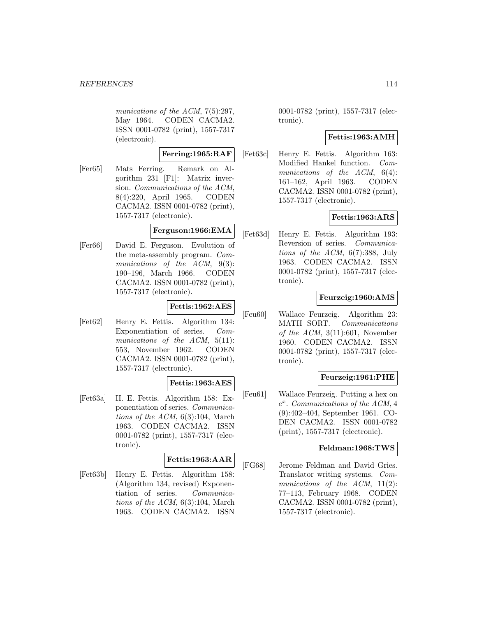munications of the ACM, 7(5):297, May 1964. CODEN CACMA2. ISSN 0001-0782 (print), 1557-7317 (electronic).

#### **Ferring:1965:RAF**

[Fer65] Mats Ferring. Remark on Algorithm 231 [F1]: Matrix inversion. Communications of the ACM, 8(4):220, April 1965. CODEN CACMA2. ISSN 0001-0782 (print), 1557-7317 (electronic).

# **Ferguson:1966:EMA**

[Fer66] David E. Ferguson. Evolution of the meta-assembly program. Communications of the ACM, 9(3): 190–196, March 1966. CODEN CACMA2. ISSN 0001-0782 (print), 1557-7317 (electronic).

## **Fettis:1962:AES**

[Fet62] Henry E. Fettis. Algorithm 134: Exponentiation of series. Communications of the ACM, 5(11): 553, November 1962. CODEN CACMA2. ISSN 0001-0782 (print), 1557-7317 (electronic).

## **Fettis:1963:AES**

[Fet63a] H. E. Fettis. Algorithm 158: Exponentiation of series. Communications of the ACM, 6(3):104, March 1963. CODEN CACMA2. ISSN 0001-0782 (print), 1557-7317 (electronic).

# **Fettis:1963:AAR**

[Fet63b] Henry E. Fettis. Algorithm 158: (Algorithm 134, revised) Exponentiation of series. Communications of the ACM,  $6(3):104$ , March 1963. CODEN CACMA2. ISSN

0001-0782 (print), 1557-7317 (electronic).

## **Fettis:1963:AMH**

[Fet63c] Henry E. Fettis. Algorithm 163: Modified Hankel function. Communications of the ACM,  $6(4)$ : 161–162, April 1963. CODEN CACMA2. ISSN 0001-0782 (print), 1557-7317 (electronic).

## **Fettis:1963:ARS**

[Fet63d] Henry E. Fettis. Algorithm 193: Reversion of series. Communications of the  $ACM$ ,  $6(7)$ :388, July 1963. CODEN CACMA2. ISSN 0001-0782 (print), 1557-7317 (electronic).

## **Feurzeig:1960:AMS**

[Feu60] Wallace Feurzeig. Algorithm 23: MATH SORT. Communications of the ACM,  $3(11):601$ , November 1960. CODEN CACMA2. ISSN 0001-0782 (print), 1557-7317 (electronic).

# **Feurzeig:1961:PHE**

[Feu61] Wallace Feurzeig. Putting a hex on  $e^x$ . Communications of the ACM, 4 (9):402–404, September 1961. CO-DEN CACMA2. ISSN 0001-0782 (print), 1557-7317 (electronic).

## **Feldman:1968:TWS**

[FG68] Jerome Feldman and David Gries. Translator writing systems. Communications of the ACM,  $11(2)$ : 77–113, February 1968. CODEN CACMA2. ISSN 0001-0782 (print), 1557-7317 (electronic).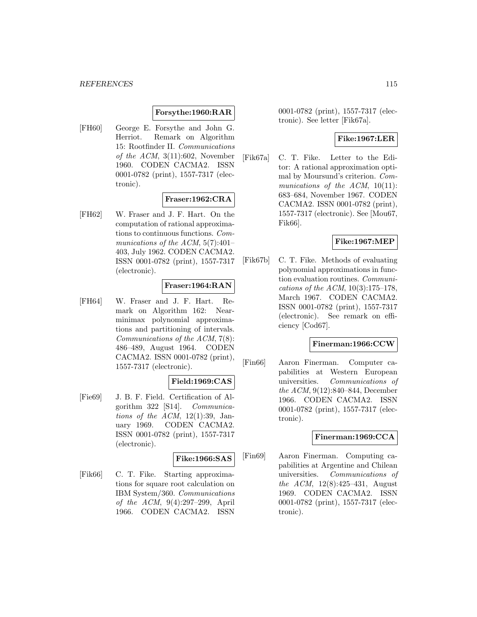# **Forsythe:1960:RAR**

[FH60] George E. Forsythe and John G. Herriot. Remark on Algorithm 15: Rootfinder II. Communications of the ACM,  $3(11):602$ , November 1960. CODEN CACMA2. ISSN 0001-0782 (print), 1557-7317 (electronic).

## **Fraser:1962:CRA**

[FH62] W. Fraser and J. F. Hart. On the computation of rational approximations to continuous functions. Communications of the ACM,  $5(7):401-$ 403, July 1962. CODEN CACMA2. ISSN 0001-0782 (print), 1557-7317 (electronic).

## **Fraser:1964:RAN**

[FH64] W. Fraser and J. F. Hart. Remark on Algorithm 162: Nearminimax polynomial approximations and partitioning of intervals. Communications of the ACM, 7(8): 486–489, August 1964. CODEN CACMA2. ISSN 0001-0782 (print), 1557-7317 (electronic).

#### **Field:1969:CAS**

[Fie69] J. B. F. Field. Certification of Algorithm 322 [S14]. Communications of the  $ACM$ , 12(1):39, January 1969. CODEN CACMA2. ISSN 0001-0782 (print), 1557-7317 (electronic).

# **Fike:1966:SAS**

[Fik66] C. T. Fike. Starting approximations for square root calculation on IBM System/360. Communications of the ACM, 9(4):297–299, April 1966. CODEN CACMA2. ISSN

0001-0782 (print), 1557-7317 (electronic). See letter [Fik67a].

## **Fike:1967:LER**

[Fik67a] C. T. Fike. Letter to the Editor: A rational approximation optimal by Moursund's criterion. Communications of the  $ACM$ , 10(11): 683–684, November 1967. CODEN CACMA2. ISSN 0001-0782 (print), 1557-7317 (electronic). See [Mou67, Fik66].

## **Fike:1967:MEP**

[Fik67b] C. T. Fike. Methods of evaluating polynomial approximations in function evaluation routines. Communications of the ACM,  $10(3):175-178$ , March 1967. CODEN CACMA2. ISSN 0001-0782 (print), 1557-7317 (electronic). See remark on efficiency [Cod67].

#### **Finerman:1966:CCW**

[Fin66] Aaron Finerman. Computer capabilities at Western European universities. Communications of the ACM, 9(12):840–844, December 1966. CODEN CACMA2. ISSN 0001-0782 (print), 1557-7317 (electronic).

#### **Finerman:1969:CCA**

[Fin69] Aaron Finerman. Computing capabilities at Argentine and Chilean universities. Communications of the ACM, 12(8):425–431, August 1969. CODEN CACMA2. ISSN 0001-0782 (print), 1557-7317 (electronic).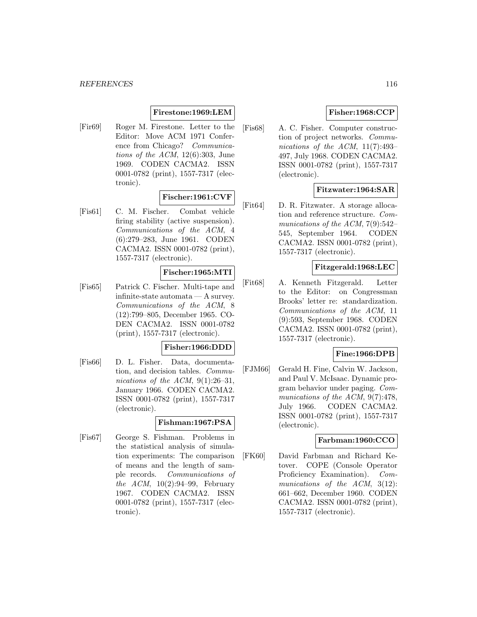## **Firestone:1969:LEM**

[Fir69] Roger M. Firestone. Letter to the Editor: Move ACM 1971 Conference from Chicago? Communications of the ACM,  $12(6):303$ , June 1969. CODEN CACMA2. ISSN 0001-0782 (print), 1557-7317 (electronic).

## **Fischer:1961:CVF**

[Fis61] C. M. Fischer. Combat vehicle firing stability (active suspension). Communications of the ACM, 4 (6):279–283, June 1961. CODEN CACMA2. ISSN 0001-0782 (print), 1557-7317 (electronic).

# **Fischer:1965:MTI**

[Fis65] Patrick C. Fischer. Multi-tape and infinite-state automata — A survey. Communications of the ACM, 8 (12):799–805, December 1965. CO-DEN CACMA2. ISSN 0001-0782 (print), 1557-7317 (electronic).

# **Fisher:1966:DDD**

[Fis66] D. L. Fisher. Data, documentation, and decision tables. Communications of the ACM,  $9(1):26-31$ , January 1966. CODEN CACMA2. ISSN 0001-0782 (print), 1557-7317 (electronic).

## **Fishman:1967:PSA**

[Fis67] George S. Fishman. Problems in the statistical analysis of simulation experiments: The comparison of means and the length of sample records. Communications of the  $ACM$ ,  $10(2):94-99$ , February 1967. CODEN CACMA2. ISSN 0001-0782 (print), 1557-7317 (electronic).

## **Fisher:1968:CCP**

[Fis68] A. C. Fisher. Computer construction of project networks. Communications of the ACM, 11(7):493– 497, July 1968. CODEN CACMA2. ISSN 0001-0782 (print), 1557-7317 (electronic).

## **Fitzwater:1964:SAR**

[Fit64] D. R. Fitzwater. A storage allocation and reference structure. Communications of the ACM, 7(9):542– 545, September 1964. CODEN CACMA2. ISSN 0001-0782 (print), 1557-7317 (electronic).

## **Fitzgerald:1968:LEC**

[Fit68] A. Kenneth Fitzgerald. Letter to the Editor: on Congressman Brooks' letter re: standardization. Communications of the ACM, 11 (9):593, September 1968. CODEN CACMA2. ISSN 0001-0782 (print), 1557-7317 (electronic).

## **Fine:1966:DPB**

[FJM66] Gerald H. Fine, Calvin W. Jackson, and Paul V. McIsaac. Dynamic program behavior under paging. Communications of the ACM, 9(7):478, July 1966. CODEN CACMA2. ISSN 0001-0782 (print), 1557-7317 (electronic).

#### **Farbman:1960:CCO**

[FK60] David Farbman and Richard Ketover. COPE (Console Operator Proficiency Examination). Communications of the ACM, 3(12): 661–662, December 1960. CODEN CACMA2. ISSN 0001-0782 (print), 1557-7317 (electronic).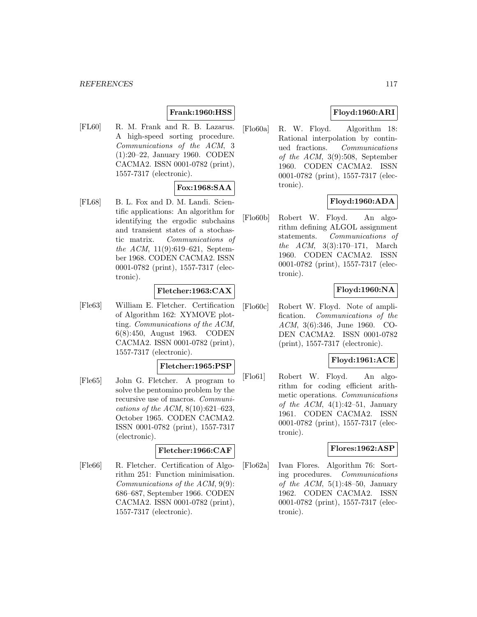## **Frank:1960:HSS**

[FL60] R. M. Frank and R. B. Lazarus. A high-speed sorting procedure. Communications of the ACM, 3 (1):20–22, January 1960. CODEN CACMA2. ISSN 0001-0782 (print), 1557-7317 (electronic).

## **Fox:1968:SAA**

[FL68] B. L. Fox and D. M. Landi. Scientific applications: An algorithm for identifying the ergodic subchains and transient states of a stochastic matrix. Communications of the ACM, 11(9):619–621, September 1968. CODEN CACMA2. ISSN 0001-0782 (print), 1557-7317 (electronic).

## **Fletcher:1963:CAX**

[Fle63] William E. Fletcher. Certification of Algorithm 162: XYMOVE plotting. Communications of the ACM, 6(8):450, August 1963. CODEN CACMA2. ISSN 0001-0782 (print), 1557-7317 (electronic).

#### **Fletcher:1965:PSP**

[Fle65] John G. Fletcher. A program to solve the pentomino problem by the recursive use of macros. Communications of the ACM,  $8(10):621-623$ , October 1965. CODEN CACMA2. ISSN 0001-0782 (print), 1557-7317 (electronic).

## **Fletcher:1966:CAF**

[Fle66] R. Fletcher. Certification of Algorithm 251: Function minimisation. Communications of the ACM, 9(9): 686–687, September 1966. CODEN CACMA2. ISSN 0001-0782 (print), 1557-7317 (electronic).

# **Floyd:1960:ARI**

[Flo60a] R. W. Floyd. Algorithm 18: Rational interpolation by continued fractions. Communications of the ACM, 3(9):508, September 1960. CODEN CACMA2. ISSN 0001-0782 (print), 1557-7317 (electronic).

## **Floyd:1960:ADA**

[Flo60b] Robert W. Floyd. An algorithm defining ALGOL assignment statements. Communications of the ACM, 3(3):170–171, March 1960. CODEN CACMA2. ISSN 0001-0782 (print), 1557-7317 (electronic).

## **Floyd:1960:NA**

[Flo60c] Robert W. Floyd. Note of amplification. Communications of the ACM, 3(6):346, June 1960. CO-DEN CACMA2. ISSN 0001-0782 (print), 1557-7317 (electronic).

# **Floyd:1961:ACE**

[Flo61] Robert W. Floyd. An algorithm for coding efficient arithmetic operations. Communications of the ACM,  $4(1):42-51$ , January 1961. CODEN CACMA2. ISSN 0001-0782 (print), 1557-7317 (electronic).

## **Flores:1962:ASP**

[Flo62a] Ivan Flores. Algorithm 76: Sorting procedures. Communications of the ACM,  $5(1):48-50$ , January 1962. CODEN CACMA2. ISSN 0001-0782 (print), 1557-7317 (electronic).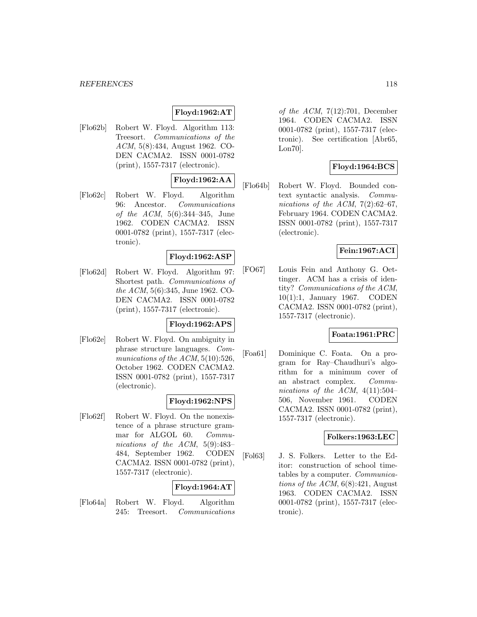# **Floyd:1962:AT**

[Flo62b] Robert W. Floyd. Algorithm 113: Treesort. Communications of the ACM, 5(8):434, August 1962. CO-DEN CACMA2. ISSN 0001-0782 (print), 1557-7317 (electronic).

# **Floyd:1962:AA**

[Flo62c] Robert W. Floyd. Algorithm 96: Ancestor. Communications of the ACM, 5(6):344–345, June 1962. CODEN CACMA2. ISSN 0001-0782 (print), 1557-7317 (electronic).

## **Floyd:1962:ASP**

[Flo62d] Robert W. Floyd. Algorithm 97: Shortest path. Communications of the ACM, 5(6):345, June 1962. CO-DEN CACMA2. ISSN 0001-0782 (print), 1557-7317 (electronic).

# **Floyd:1962:APS**

[Flo62e] Robert W. Floyd. On ambiguity in phrase structure languages. Communications of the  $ACM$ ,  $5(10):526$ , October 1962. CODEN CACMA2. ISSN 0001-0782 (print), 1557-7317 (electronic).

## **Floyd:1962:NPS**

[Flo62f] Robert W. Floyd. On the nonexistence of a phrase structure grammar for ALGOL 60. Communications of the ACM, 5(9):483– 484, September 1962. CODEN CACMA2. ISSN 0001-0782 (print), 1557-7317 (electronic).

# **Floyd:1964:AT**

[Flo64a] Robert W. Floyd. Algorithm 245: Treesort. Communications of the ACM,  $7(12):701$ , December 1964. CODEN CACMA2. ISSN 0001-0782 (print), 1557-7317 (electronic). See certification [Abr65, Lon70].

# **Floyd:1964:BCS**

[Flo64b] Robert W. Floyd. Bounded context syntactic analysis. Communications of the ACM,  $7(2):62-67$ , February 1964. CODEN CACMA2. ISSN 0001-0782 (print), 1557-7317 (electronic).

## **Fein:1967:ACI**

[FO67] Louis Fein and Anthony G. Oettinger. ACM has a crisis of identity? Communications of the ACM, 10(1):1, January 1967. CODEN CACMA2. ISSN 0001-0782 (print), 1557-7317 (electronic).

## **Foata:1961:PRC**

[Foa61] Dominique C. Foata. On a program for Ray–Chaudhuri's algorithm for a minimum cover of an abstract complex. Communications of the ACM,  $4(11):504-$ 506, November 1961. CODEN CACMA2. ISSN 0001-0782 (print), 1557-7317 (electronic).

## **Folkers:1963:LEC**

[Fol63] J. S. Folkers. Letter to the Editor: construction of school timetables by a computer. Communications of the ACM,  $6(8):421$ , August 1963. CODEN CACMA2. ISSN 0001-0782 (print), 1557-7317 (electronic).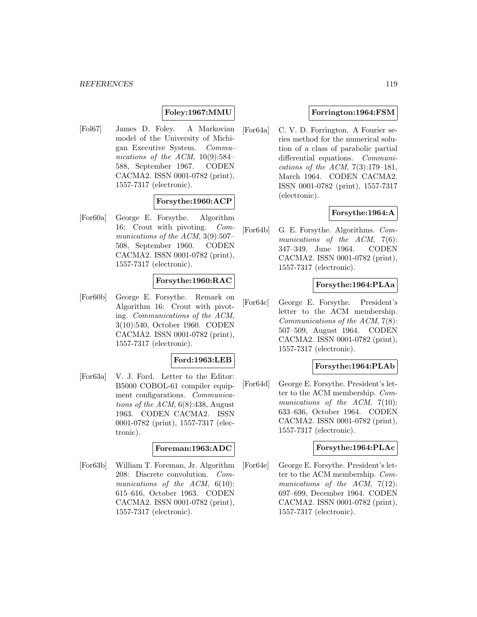## **Foley:1967:MMU**

[Fol67] James D. Foley. A Markovian model of the University of Michigan Executive System. Communications of the ACM,  $10(9):584-$ 588, September 1967. CODEN CACMA2. ISSN 0001-0782 (print), 1557-7317 (electronic).

## **Forsythe:1960:ACP**

[For60a] George E. Forsythe. Algorithm 16: Crout with pivoting. Communications of the ACM, 3(9):507– 508, September 1960. CODEN CACMA2. ISSN 0001-0782 (print), 1557-7317 (electronic).

## **Forsythe:1960:RAC**

[For60b] George E. Forsythe. Remark on Algorithm 16: Crout with pivoting. Communications of the ACM, 3(10):540, October 1960. CODEN CACMA2. ISSN 0001-0782 (print), 1557-7317 (electronic).

#### **Ford:1963:LEB**

[For63a] V. J. Ford. Letter to the Editor: B5000 COBOL-61 compiler equipment configurations. Communications of the ACM,  $6(8):438$ , August 1963. CODEN CACMA2. ISSN 0001-0782 (print), 1557-7317 (electronic).

#### **Foreman:1963:ADC**

[For63b] William T. Foreman, Jr. Algorithm 208: Discrete convolution. Communications of the ACM,  $6(10)$ : 615–616, October 1963. CODEN CACMA2. ISSN 0001-0782 (print), 1557-7317 (electronic).

## **Forrington:1964:FSM**

[For64a] C. V. D. Forrington. A Fourier series method for the numerical solution of a class of parabolic partial differential equations. Communications of the ACM,  $7(3):179-181$ , March 1964. CODEN CACMA2. ISSN 0001-0782 (print), 1557-7317 (electronic).

## **Forsythe:1964:A**

[For64b] G. E. Forsythe. Algorithms. Communications of the ACM, 7(6): 347–349, June 1964. CODEN CACMA2. ISSN 0001-0782 (print), 1557-7317 (electronic).

## **Forsythe:1964:PLAa**

[For64c] George E. Forsythe. President's letter to the ACM membership. Communications of the ACM, 7(8): 507–509, August 1964. CODEN CACMA2. ISSN 0001-0782 (print), 1557-7317 (electronic).

## **Forsythe:1964:PLAb**

[For64d] George E. Forsythe. President's letter to the ACM membership. Communications of the ACM, 7(10): 633–636, October 1964. CODEN CACMA2. ISSN 0001-0782 (print), 1557-7317 (electronic).

#### **Forsythe:1964:PLAc**

[For64e] George E. Forsythe. President's letter to the ACM membership. Communications of the ACM, 7(12): 697–699, December 1964. CODEN CACMA2. ISSN 0001-0782 (print), 1557-7317 (electronic).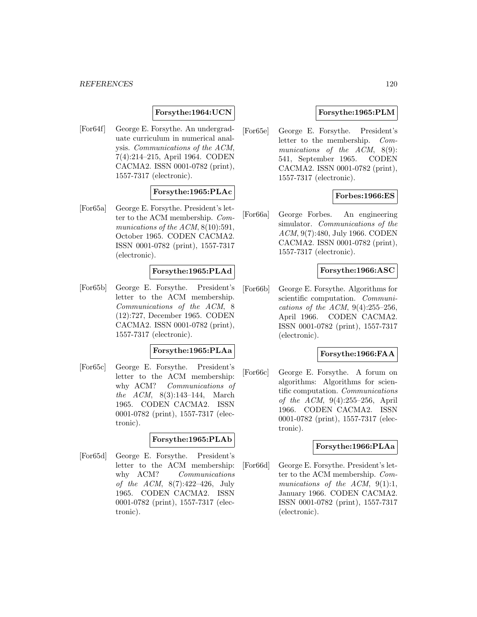## **Forsythe:1964:UCN**

[For64f] George E. Forsythe. An undergraduate curriculum in numerical analysis. Communications of the ACM, 7(4):214–215, April 1964. CODEN CACMA2. ISSN 0001-0782 (print), 1557-7317 (electronic).

# **Forsythe:1965:PLAc**

[For65a] George E. Forsythe. President's letter to the ACM membership. Communications of the ACM,  $8(10):591$ , October 1965. CODEN CACMA2. ISSN 0001-0782 (print), 1557-7317 (electronic).

## **Forsythe:1965:PLAd**

[For65b] George E. Forsythe. President's letter to the ACM membership. Communications of the ACM, 8 (12):727, December 1965. CODEN CACMA2. ISSN 0001-0782 (print), 1557-7317 (electronic).

## **Forsythe:1965:PLAa**

[For65c] George E. Forsythe. President's letter to the ACM membership: why ACM? *Communications of* the ACM, 8(3):143–144, March 1965. CODEN CACMA2. ISSN 0001-0782 (print), 1557-7317 (electronic).

#### **Forsythe:1965:PLAb**

[For65d] George E. Forsythe. President's letter to the ACM membership: why ACM? Communications of the ACM, 8(7):422–426, July 1965. CODEN CACMA2. ISSN 0001-0782 (print), 1557-7317 (electronic).

## **Forsythe:1965:PLM**

[For65e] George E. Forsythe. President's letter to the membership. Communications of the ACM, 8(9): 541, September 1965. CODEN CACMA2. ISSN 0001-0782 (print), 1557-7317 (electronic).

## **Forbes:1966:ES**

[For66a] George Forbes. An engineering simulator. Communications of the ACM, 9(7):480, July 1966. CODEN CACMA2. ISSN 0001-0782 (print), 1557-7317 (electronic).

## **Forsythe:1966:ASC**

[For66b] George E. Forsythe. Algorithms for scientific computation. *Communi*cations of the ACM,  $9(4):255-256$ , April 1966. CODEN CACMA2. ISSN 0001-0782 (print), 1557-7317 (electronic).

## **Forsythe:1966:FAA**

[For66c] George E. Forsythe. A forum on algorithms: Algorithms for scientific computation. Communications of the ACM, 9(4):255–256, April 1966. CODEN CACMA2. ISSN 0001-0782 (print), 1557-7317 (electronic).

#### **Forsythe:1966:PLAa**

[For66d] George E. Forsythe. President's letter to the ACM membership. Communications of the ACM, 9(1):1, January 1966. CODEN CACMA2. ISSN 0001-0782 (print), 1557-7317 (electronic).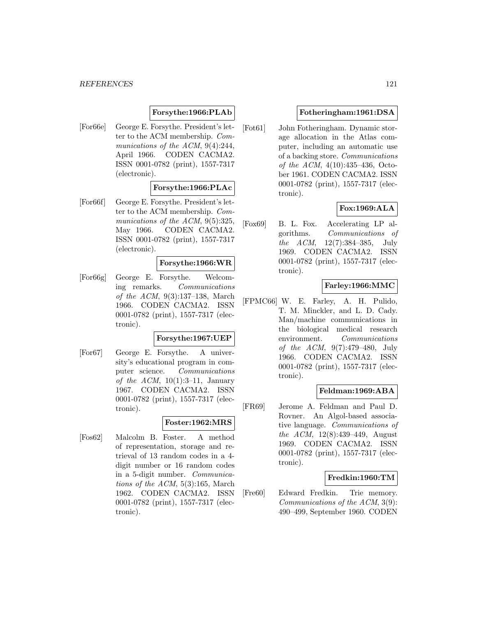## **Forsythe:1966:PLAb**

[For66e] George E. Forsythe. President's letter to the ACM membership. Communications of the ACM, 9(4):244, April 1966. CODEN CACMA2. ISSN 0001-0782 (print), 1557-7317 (electronic).

## **Forsythe:1966:PLAc**

[For66f] George E. Forsythe. President's letter to the ACM membership. Communications of the ACM, 9(5):325, May 1966. CODEN CACMA2. ISSN 0001-0782 (print), 1557-7317 (electronic).

#### **Forsythe:1966:WR**

[For66g] George E. Forsythe. Welcoming remarks. Communications of the ACM, 9(3):137–138, March 1966. CODEN CACMA2. ISSN 0001-0782 (print), 1557-7317 (electronic).

#### **Forsythe:1967:UEP**

[For67] George E. Forsythe. A university's educational program in computer science. Communications of the  $ACM$ , 10(1):3-11, January 1967. CODEN CACMA2. ISSN 0001-0782 (print), 1557-7317 (electronic).

## **Foster:1962:MRS**

[Fos62] Malcolm B. Foster. A method of representation, storage and retrieval of 13 random codes in a 4 digit number or 16 random codes in a 5-digit number. Communications of the ACM,  $5(3):165$ , March 1962. CODEN CACMA2. ISSN 0001-0782 (print), 1557-7317 (electronic).

#### **Fotheringham:1961:DSA**

[Fot61] John Fotheringham. Dynamic storage allocation in the Atlas computer, including an automatic use of a backing store. Communications of the ACM, 4(10):435–436, October 1961. CODEN CACMA2. ISSN 0001-0782 (print), 1557-7317 (electronic).

## **Fox:1969:ALA**

[Fox69] B. L. Fox. Accelerating LP algorithms. Communications of the ACM, 12(7):384–385, July 1969. CODEN CACMA2. ISSN 0001-0782 (print), 1557-7317 (electronic).

# **Farley:1966:MMC**

[FPMC66] W. E. Farley, A. H. Pulido, T. M. Minckler, and L. D. Cady. Man/machine communications in the biological medical research environment. Communications of the ACM, 9(7):479–480, July 1966. CODEN CACMA2. ISSN 0001-0782 (print), 1557-7317 (electronic).

## **Feldman:1969:ABA**

[FR69] Jerome A. Feldman and Paul D. Rovner. An Algol-based associative language. Communications of the ACM, 12(8):439–449, August 1969. CODEN CACMA2. ISSN 0001-0782 (print), 1557-7317 (electronic).

## **Fredkin:1960:TM**

[Fre60] Edward Fredkin. Trie memory. Communications of the ACM, 3(9): 490–499, September 1960. CODEN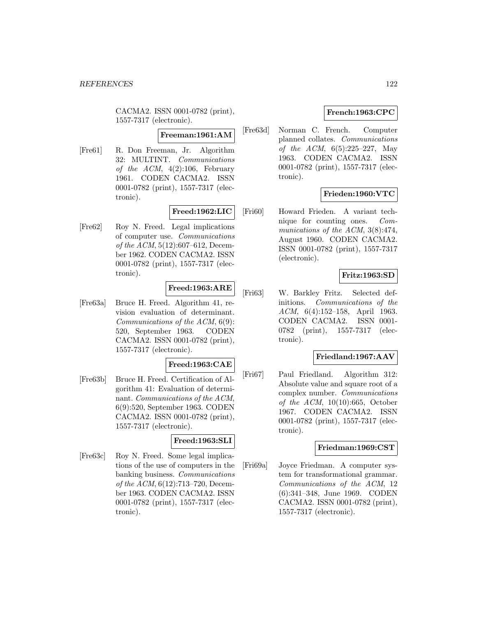CACMA2. ISSN 0001-0782 (print), 1557-7317 (electronic).

#### **Freeman:1961:AM**

[Fre61] R. Don Freeman, Jr. Algorithm 32: MULTINT. Communications of the ACM,  $4(2):106$ , February 1961. CODEN CACMA2. ISSN 0001-0782 (print), 1557-7317 (electronic).

# **Freed:1962:LIC**

[Fre62] Roy N. Freed. Legal implications of computer use. Communications of the ACM, 5(12):607–612, December 1962. CODEN CACMA2. ISSN 0001-0782 (print), 1557-7317 (electronic).

# **Freed:1963:ARE**

[Fre63a] Bruce H. Freed. Algorithm 41, revision evaluation of determinant. Communications of the ACM, 6(9): 520, September 1963. CODEN CACMA2. ISSN 0001-0782 (print), 1557-7317 (electronic).

# **Freed:1963:CAE**

[Fre63b] Bruce H. Freed. Certification of Algorithm 41: Evaluation of determinant. Communications of the ACM, 6(9):520, September 1963. CODEN CACMA2. ISSN 0001-0782 (print), 1557-7317 (electronic).

## **Freed:1963:SLI**

[Fre63c] Roy N. Freed. Some legal implications of the use of computers in the banking business. Communications of the ACM, 6(12):713–720, December 1963. CODEN CACMA2. ISSN 0001-0782 (print), 1557-7317 (electronic).

# **French:1963:CPC**

[Fre63d] Norman C. French. Computer planned collates. Communications of the ACM, 6(5):225–227, May 1963. CODEN CACMA2. ISSN 0001-0782 (print), 1557-7317 (electronic).

# **Frieden:1960:VTC**

[Fri60] Howard Frieden. A variant technique for counting ones. Communications of the ACM, 3(8):474, August 1960. CODEN CACMA2. ISSN 0001-0782 (print), 1557-7317 (electronic).

## **Fritz:1963:SD**

[Fri63] W. Barkley Fritz. Selected definitions. Communications of the ACM, 6(4):152–158, April 1963. CODEN CACMA2. ISSN 0001- 0782 (print), 1557-7317 (electronic).

# **Friedland:1967:AAV**

[Fri67] Paul Friedland. Algorithm 312: Absolute value and square root of a complex number. Communications of the ACM, 10(10):665, October 1967. CODEN CACMA2. ISSN 0001-0782 (print), 1557-7317 (electronic).

## **Friedman:1969:CST**

[Fri69a] Joyce Friedman. A computer system for transformational grammar. Communications of the ACM, 12 (6):341–348, June 1969. CODEN CACMA2. ISSN 0001-0782 (print), 1557-7317 (electronic).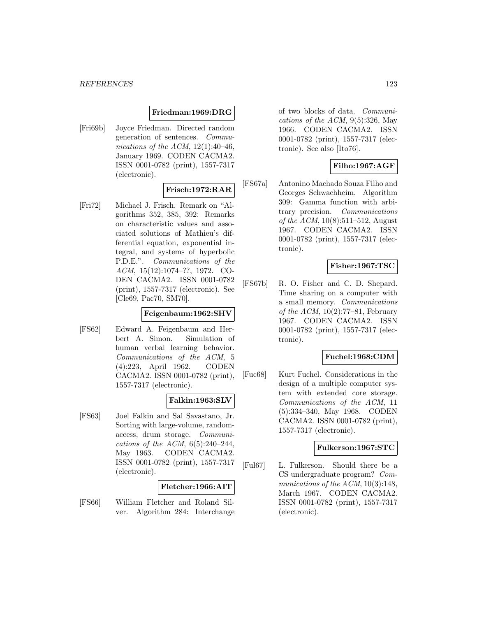## **Friedman:1969:DRG**

[Fri69b] Joyce Friedman. Directed random generation of sentences. Communications of the ACM,  $12(1):40-46$ , January 1969. CODEN CACMA2. ISSN 0001-0782 (print), 1557-7317 (electronic).

## **Frisch:1972:RAR**

[Fri72] Michael J. Frisch. Remark on "Algorithms 352, 385, 392: Remarks on characteristic values and associated solutions of Mathieu's differential equation, exponential integral, and systems of hyperbolic P.D.E.". Communications of the ACM, 15(12):1074–??, 1972. CO-DEN CACMA2. ISSN 0001-0782 (print), 1557-7317 (electronic). See [Cle69, Pac70, SM70].

#### **Feigenbaum:1962:SHV**

[FS62] Edward A. Feigenbaum and Herbert A. Simon. Simulation of human verbal learning behavior. Communications of the ACM, 5 (4):223, April 1962. CODEN CACMA2. ISSN 0001-0782 (print), 1557-7317 (electronic).

#### **Falkin:1963:SLV**

[FS63] Joel Falkin and Sal Savastano, Jr. Sorting with large-volume, randomaccess, drum storage. Communications of the ACM,  $6(5):240-244$ , May 1963. CODEN CACMA2. ISSN 0001-0782 (print), 1557-7317 (electronic).

## **Fletcher:1966:AIT**

[FS66] William Fletcher and Roland Silver. Algorithm 284: Interchange of two blocks of data. Communications of the ACM,  $9(5):326$ , May 1966. CODEN CACMA2. ISSN 0001-0782 (print), 1557-7317 (electronic). See also [Ito76].

# **Filho:1967:AGF**

[FS67a] Antonino Machado Souza Filho and Georges Schwachheim. Algorithm 309: Gamma function with arbitrary precision. Communications of the ACM, 10(8):511–512, August 1967. CODEN CACMA2. ISSN 0001-0782 (print), 1557-7317 (electronic).

# **Fisher:1967:TSC**

[FS67b] R. O. Fisher and C. D. Shepard. Time sharing on a computer with a small memory. Communications of the ACM,  $10(2)$ :77-81, February 1967. CODEN CACMA2. ISSN 0001-0782 (print), 1557-7317 (electronic).

## **Fuchel:1968:CDM**

[Fuc68] Kurt Fuchel. Considerations in the design of a multiple computer system with extended core storage. Communications of the ACM, 11 (5):334–340, May 1968. CODEN CACMA2. ISSN 0001-0782 (print), 1557-7317 (electronic).

#### **Fulkerson:1967:STC**

[Ful67] L. Fulkerson. Should there be a CS undergraduate program? Communications of the ACM, 10(3):148, March 1967. CODEN CACMA2. ISSN 0001-0782 (print), 1557-7317 (electronic).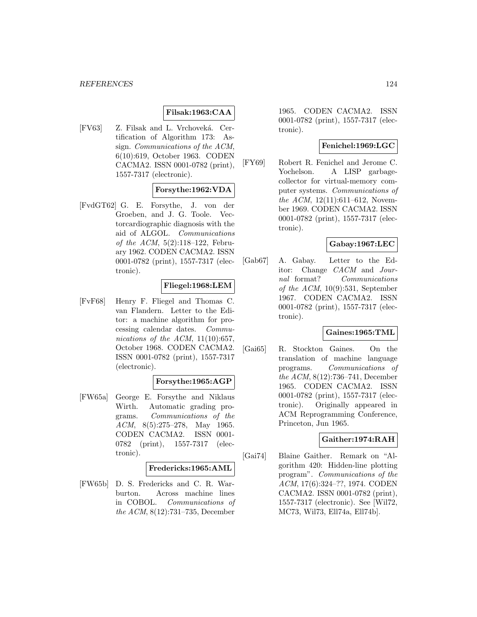## **Filsak:1963:CAA**

[FV63] Z. Filsak and L. Vrchoveká. Certification of Algorithm 173: Assign. Communications of the ACM, 6(10):619, October 1963. CODEN CACMA2. ISSN 0001-0782 (print), 1557-7317 (electronic).

## **Forsythe:1962:VDA**

[FvdGT62] G. E. Forsythe, J. von der Groeben, and J. G. Toole. Vectorcardiographic diagnosis with the aid of ALGOL. Communications of the ACM,  $5(2):118-122$ , February 1962. CODEN CACMA2. ISSN 0001-0782 (print), 1557-7317 (electronic).

## **Fliegel:1968:LEM**

[FvF68] Henry F. Fliegel and Thomas C. van Flandern. Letter to the Editor: a machine algorithm for processing calendar dates. Communications of the ACM,  $11(10):657$ , October 1968. CODEN CACMA2. ISSN 0001-0782 (print), 1557-7317 (electronic).

## **Forsythe:1965:AGP**

[FW65a] George E. Forsythe and Niklaus Wirth. Automatic grading programs. Communications of the ACM, 8(5):275–278, May 1965. CODEN CACMA2. ISSN 0001- 0782 (print), 1557-7317 (electronic).

## **Fredericks:1965:AML**

[FW65b] D. S. Fredericks and C. R. Warburton. Across machine lines in COBOL. Communications of the ACM, 8(12):731–735, December

1965. CODEN CACMA2. ISSN 0001-0782 (print), 1557-7317 (electronic).

# **Fenichel:1969:LGC**

[FY69] Robert R. Fenichel and Jerome C. Yochelson. A LISP garbagecollector for virtual-memory computer systems. Communications of the ACM, 12(11):611–612, November 1969. CODEN CACMA2. ISSN 0001-0782 (print), 1557-7317 (electronic).

## **Gabay:1967:LEC**

[Gab67] A. Gabay. Letter to the Editor: Change CACM and Journal format? Communications of the ACM,  $10(9):531$ , September 1967. CODEN CACMA2. ISSN 0001-0782 (print), 1557-7317 (electronic).

# **Gaines:1965:TML**

[Gai65] R. Stockton Gaines. On the translation of machine language programs. Communications of the ACM, 8(12):736–741, December 1965. CODEN CACMA2. ISSN 0001-0782 (print), 1557-7317 (electronic). Originally appeared in ACM Reprogramming Conference, Princeton, Jun 1965.

## **Gaither:1974:RAH**

[Gai74] Blaine Gaither. Remark on "Algorithm 420: Hidden-line plotting program". Communications of the ACM, 17(6):324–??, 1974. CODEN CACMA2. ISSN 0001-0782 (print), 1557-7317 (electronic). See [Wil72, MC73, Wil73, Ell74a, Ell74b].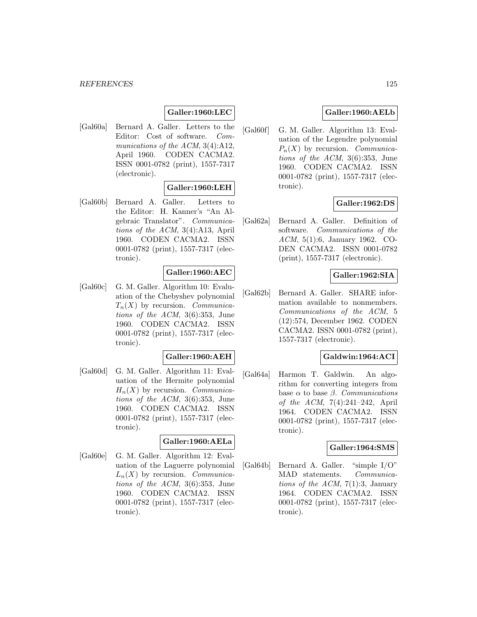# **Galler:1960:LEC**

[Gal60a] Bernard A. Galler. Letters to the Editor: Cost of software. Communications of the ACM, 3(4):A12, April 1960. CODEN CACMA2. ISSN 0001-0782 (print), 1557-7317 (electronic).

# **Galler:1960:LEH**

[Gal60b] Bernard A. Galler. Letters to the Editor: H. Kanner's "An Algebraic Translator". Communications of the ACM, 3(4):A13, April 1960. CODEN CACMA2. ISSN 0001-0782 (print), 1557-7317 (electronic).

## **Galler:1960:AEC**

[Gal60c] G. M. Galler. Algorithm 10: Evaluation of the Chebyshev polynomial  $T_n(X)$  by recursion. Communications of the ACM, 3(6):353, June 1960. CODEN CACMA2. ISSN 0001-0782 (print), 1557-7317 (electronic).

## **Galler:1960:AEH**

[Gal60d] G. M. Galler. Algorithm 11: Evaluation of the Hermite polynomial  $H_n(X)$  by recursion. Communications of the ACM, 3(6):353, June 1960. CODEN CACMA2. ISSN 0001-0782 (print), 1557-7317 (electronic).

## **Galler:1960:AELa**

[Gal60e] G. M. Galler. Algorithm 12: Evaluation of the Laguerre polynomial  $L_n(X)$  by recursion. Communications of the ACM, 3(6):353, June 1960. CODEN CACMA2. ISSN 0001-0782 (print), 1557-7317 (electronic).

## **Galler:1960:AELb**

[Gal60f] G. M. Galler. Algorithm 13: Evaluation of the Legendre polynomial  $P_n(X)$  by recursion. Communications of the ACM, 3(6):353, June 1960. CODEN CACMA2. ISSN 0001-0782 (print), 1557-7317 (electronic).

## **Galler:1962:DS**

[Gal62a] Bernard A. Galler. Definition of software. Communications of the ACM, 5(1):6, January 1962. CO-DEN CACMA2. ISSN 0001-0782 (print), 1557-7317 (electronic).

## **Galler:1962:SIA**

[Gal62b] Bernard A. Galler. SHARE information available to nonmembers. Communications of the ACM, 5 (12):574, December 1962. CODEN CACMA2. ISSN 0001-0782 (print), 1557-7317 (electronic).

## **Galdwin:1964:ACI**

[Gal64a] Harmon T. Galdwin. An algorithm for converting integers from base  $\alpha$  to base  $\beta$ . Communications of the ACM, 7(4):241–242, April 1964. CODEN CACMA2. ISSN 0001-0782 (print), 1557-7317 (electronic).

#### **Galler:1964:SMS**

[Gal64b] Bernard A. Galler. "simple I/O" MAD statements. Communications of the ACM,  $7(1):3$ , January 1964. CODEN CACMA2. ISSN 0001-0782 (print), 1557-7317 (electronic).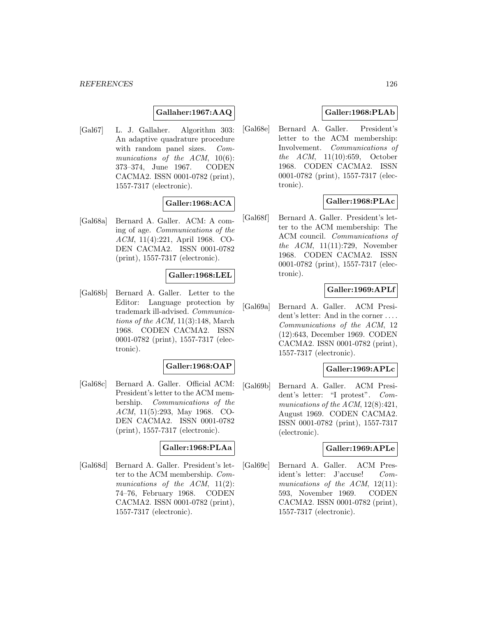## **Gallaher:1967:AAQ**

[Gal67] L. J. Gallaher. Algorithm 303: An adaptive quadrature procedure with random panel sizes. Communications of the  $ACM$ ,  $10(6)$ : 373–374, June 1967. CODEN CACMA2. ISSN 0001-0782 (print), 1557-7317 (electronic).

# **Galler:1968:ACA**

[Gal68a] Bernard A. Galler. ACM: A coming of age. Communications of the ACM, 11(4):221, April 1968. CO-DEN CACMA2. ISSN 0001-0782 (print), 1557-7317 (electronic).

#### **Galler:1968:LEL**

[Gal68b] Bernard A. Galler. Letter to the Editor: Language protection by trademark ill-advised. Communications of the  $ACM$ , 11(3):148, March 1968. CODEN CACMA2. ISSN 0001-0782 (print), 1557-7317 (electronic).

#### **Galler:1968:OAP**

[Gal68c] Bernard A. Galler. Official ACM: President's letter to the ACM membership. Communications of the ACM, 11(5):293, May 1968. CO-DEN CACMA2. ISSN 0001-0782 (print), 1557-7317 (electronic).

#### **Galler:1968:PLAa**

[Gal68d] Bernard A. Galler. President's letter to the ACM membership. Communications of the ACM,  $11(2)$ : 74–76, February 1968. CODEN CACMA2. ISSN 0001-0782 (print), 1557-7317 (electronic).

## **Galler:1968:PLAb**

[Gal68e] Bernard A. Galler. President's letter to the ACM membership: Involvement. Communications of the ACM, 11(10):659, October 1968. CODEN CACMA2. ISSN 0001-0782 (print), 1557-7317 (electronic).

## **Galler:1968:PLAc**

[Gal68f] Bernard A. Galler. President's letter to the ACM membership: The ACM council. Communications of the ACM, 11(11):729, November 1968. CODEN CACMA2. ISSN 0001-0782 (print), 1557-7317 (electronic).

## **Galler:1969:APLf**

[Gal69a] Bernard A. Galler. ACM President's letter: And in the corner ... . Communications of the ACM, 12 (12):643, December 1969. CODEN CACMA2. ISSN 0001-0782 (print), 1557-7317 (electronic).

## **Galler:1969:APLc**

[Gal69b] Bernard A. Galler. ACM President's letter: "I protest". Communications of the ACM, 12(8):421, August 1969. CODEN CACMA2. ISSN 0001-0782 (print), 1557-7317 (electronic).

## **Galler:1969:APLe**

[Gal69c] Bernard A. Galler. ACM President's letter: J'accuse! Communications of the ACM,  $12(11)$ : 593, November 1969. CODEN CACMA2. ISSN 0001-0782 (print), 1557-7317 (electronic).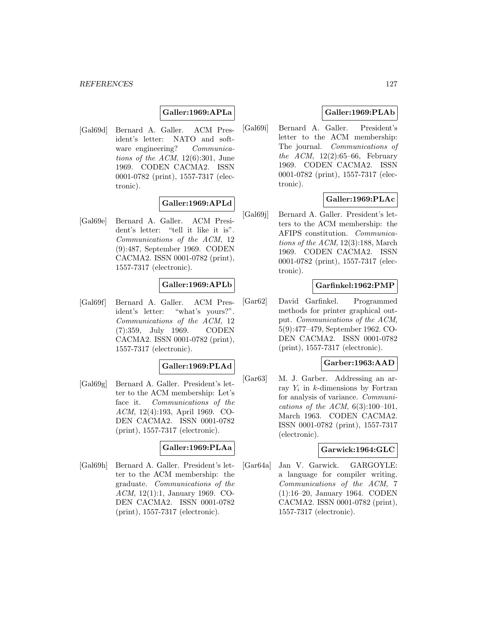## **Galler:1969:APLa**

[Gal69d] Bernard A. Galler. ACM President's letter: NATO and software engineering? Communications of the ACM,  $12(6):301$ , June 1969. CODEN CACMA2. ISSN 0001-0782 (print), 1557-7317 (electronic).

## **Galler:1969:APLd**

[Gal69e] Bernard A. Galler. ACM President's letter: "tell it like it is". Communications of the ACM, 12 (9):487, September 1969. CODEN CACMA2. ISSN 0001-0782 (print), 1557-7317 (electronic).

## **Galler:1969:APLb**

[Gal69f] Bernard A. Galler. ACM President's letter: "what's yours?". Communications of the ACM, 12 (7):359, July 1969. CODEN CACMA2. ISSN 0001-0782 (print), 1557-7317 (electronic).

## **Galler:1969:PLAd**

[Gal69g] Bernard A. Galler. President's letter to the ACM membership: Let's face it. Communications of the ACM, 12(4):193, April 1969. CO-DEN CACMA2. ISSN 0001-0782 (print), 1557-7317 (electronic).

## **Galler:1969:PLAa**

[Gal69h] Bernard A. Galler. President's letter to the ACM membership: the graduate. Communications of the ACM, 12(1):1, January 1969. CO-DEN CACMA2. ISSN 0001-0782 (print), 1557-7317 (electronic).

## **Galler:1969:PLAb**

[Gal69i] Bernard A. Galler. President's letter to the ACM membership: The journal. Communications of the ACM,  $12(2):65-66$ , February 1969. CODEN CACMA2. ISSN 0001-0782 (print), 1557-7317 (electronic).

## **Galler:1969:PLAc**

[Gal69j] Bernard A. Galler. President's letters to the ACM membership: the AFIPS constitution. Communications of the ACM, 12(3):188, March 1969. CODEN CACMA2. ISSN 0001-0782 (print), 1557-7317 (electronic).

## **Garfinkel:1962:PMP**

[Gar62] David Garfinkel. Programmed methods for printer graphical output. Communications of the ACM, 5(9):477–479, September 1962. CO-DEN CACMA2. ISSN 0001-0782 (print), 1557-7317 (electronic).

## **Garber:1963:AAD**

[Gar63] M. J. Garber. Addressing an array  $Y_i$  in k-dimensions by Fortran for analysis of variance. Communications of the ACM,  $6(3):100-101$ , March 1963. CODEN CACMA2. ISSN 0001-0782 (print), 1557-7317 (electronic).

## **Garwick:1964:GLC**

[Gar64a] Jan V. Garwick. GARGOYLE: a language for compiler writing. Communications of the ACM, 7 (1):16–20, January 1964. CODEN CACMA2. ISSN 0001-0782 (print), 1557-7317 (electronic).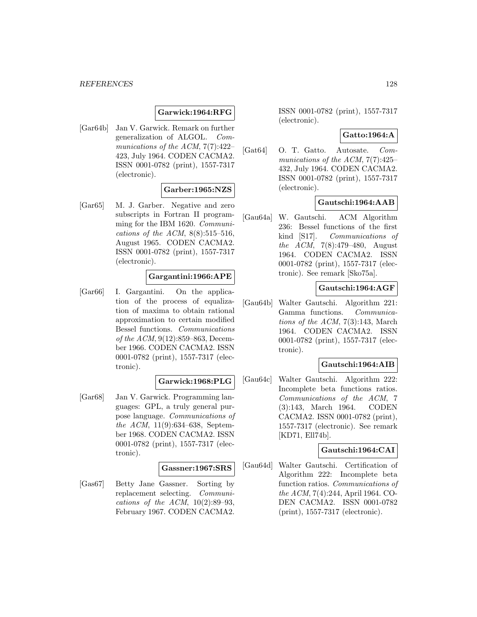## **Garwick:1964:RFG**

[Gar64b] Jan V. Garwick. Remark on further generalization of ALGOL. Communications of the ACM, 7(7):422– 423, July 1964. CODEN CACMA2. ISSN 0001-0782 (print), 1557-7317 (electronic).

## **Garber:1965:NZS**

[Gar65] M. J. Garber. Negative and zero subscripts in Fortran II programming for the IBM 1620. Communications of the ACM,  $8(8):515-516$ , August 1965. CODEN CACMA2. ISSN 0001-0782 (print), 1557-7317 (electronic).

## **Gargantini:1966:APE**

[Gar66] I. Gargantini. On the application of the process of equalization of maxima to obtain rational approximation to certain modified Bessel functions. Communications of the ACM, 9(12):859–863, December 1966. CODEN CACMA2. ISSN 0001-0782 (print), 1557-7317 (electronic).

#### **Garwick:1968:PLG**

[Gar68] Jan V. Garwick. Programming languages: GPL, a truly general purpose language. Communications of the ACM, 11(9):634–638, September 1968. CODEN CACMA2. ISSN 0001-0782 (print), 1557-7317 (electronic).

#### **Gassner:1967:SRS**

[Gas67] Betty Jane Gassner. Sorting by replacement selecting. Communications of the ACM,  $10(2):89-93$ , February 1967. CODEN CACMA2.

ISSN 0001-0782 (print), 1557-7317 (electronic).

#### **Gatto:1964:A**

[Gat64] O. T. Gatto. Autosate. Communications of the ACM, 7(7):425– 432, July 1964. CODEN CACMA2. ISSN 0001-0782 (print), 1557-7317 (electronic).

## **Gautschi:1964:AAB**

[Gau64a] W. Gautschi. ACM Algorithm 236: Bessel functions of the first kind [S17]. Communications of the ACM, 7(8):479–480, August 1964. CODEN CACMA2. ISSN 0001-0782 (print), 1557-7317 (electronic). See remark [Sko75a].

## **Gautschi:1964:AGF**

[Gau64b] Walter Gautschi. Algorithm 221: Gamma functions. Communications of the ACM,  $7(3):143$ , March 1964. CODEN CACMA2. ISSN 0001-0782 (print), 1557-7317 (electronic).

## **Gautschi:1964:AIB**

[Gau64c] Walter Gautschi. Algorithm 222: Incomplete beta functions ratios. Communications of the ACM, 7 (3):143, March 1964. CODEN CACMA2. ISSN 0001-0782 (print), 1557-7317 (electronic). See remark [KD71, Ell74b].

## **Gautschi:1964:CAI**

[Gau64d] Walter Gautschi. Certification of Algorithm 222: Incomplete beta function ratios. Communications of the ACM, 7(4):244, April 1964. CO-DEN CACMA2. ISSN 0001-0782 (print), 1557-7317 (electronic).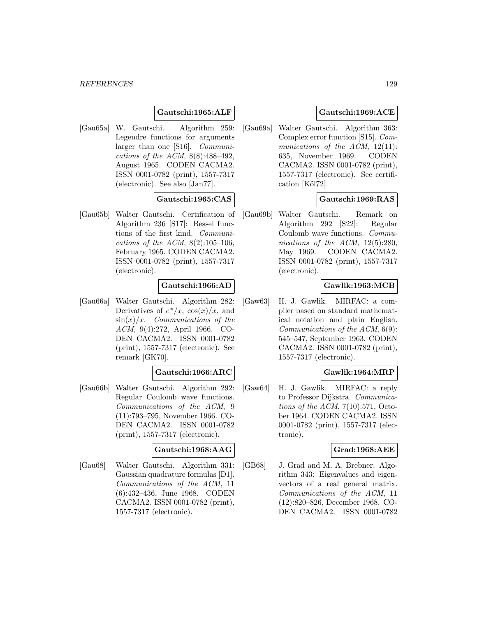#### *REFERENCES* 129

## **Gautschi:1965:ALF**

[Gau65a] W. Gautschi. Algorithm 259: Legendre functions for arguments larger than one [S16]. Communications of the ACM,  $8(8):488-492$ , August 1965. CODEN CACMA2. ISSN 0001-0782 (print), 1557-7317 (electronic). See also [Jan77].

# **Gautschi:1965:CAS**

[Gau65b] Walter Gautschi. Certification of Algorithm 236 [S17]: Bessel functions of the first kind. Communications of the ACM,  $8(2):105-106$ , February 1965. CODEN CACMA2. ISSN 0001-0782 (print), 1557-7317 (electronic).

## **Gautschi:1966:AD**

[Gau66a] Walter Gautschi. Algorithm 282: Derivatives of  $e^x/x$ ,  $\cos(x)/x$ , and  $\sin(x)/x$ . Communications of the ACM, 9(4):272, April 1966. CO-DEN CACMA2. ISSN 0001-0782 (print), 1557-7317 (electronic). See remark [GK70].

## **Gautschi:1966:ARC**

[Gau66b] Walter Gautschi. Algorithm 292: Regular Coulomb wave functions. Communications of the ACM, 9 (11):793–795, November 1966. CO-DEN CACMA2. ISSN 0001-0782 (print), 1557-7317 (electronic).

## **Gautschi:1968:AAG**

[Gau68] Walter Gautschi. Algorithm 331: Gaussian quadrature formulas [D1]. Communications of the ACM, 11 (6):432–436, June 1968. CODEN CACMA2. ISSN 0001-0782 (print), 1557-7317 (electronic).

## **Gautschi:1969:ACE**

[Gau69a] Walter Gautschi. Algorithm 363: Complex error function [S15]. Communications of the ACM, 12(11): 635, November 1969. CODEN CACMA2. ISSN 0001-0782 (print), 1557-7317 (electronic). See certification [Köl72].

## **Gautschi:1969:RAS**

[Gau69b] Walter Gautschi. Remark on Algorithm 292 [S22]: Regular Coulomb wave functions. Communications of the ACM, 12(5):280, May 1969. CODEN CACMA2. ISSN 0001-0782 (print), 1557-7317 (electronic).

## **Gawlik:1963:MCB**

[Gaw63] H. J. Gawlik. MIRFAC: a compiler based on standard mathematical notation and plain English. Communications of the ACM, 6(9): 545–547, September 1963. CODEN CACMA2. ISSN 0001-0782 (print), 1557-7317 (electronic).

# **Gawlik:1964:MRP**

[Gaw64] H. J. Gawlik. MIRFAC: a reply to Professor Dijkstra. Communications of the ACM,  $7(10):571$ , October 1964. CODEN CACMA2. ISSN 0001-0782 (print), 1557-7317 (electronic).

## **Grad:1968:AEE**

[GB68] J. Grad and M. A. Brebner. Algorithm 343: Eigenvalues and eigenvectors of a real general matrix. Communications of the ACM, 11 (12):820–826, December 1968. CO-DEN CACMA2. ISSN 0001-0782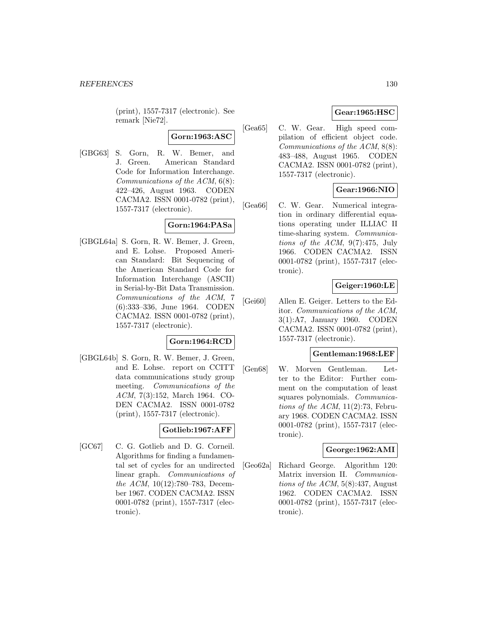(print), 1557-7317 (electronic). See remark [Nie72].

# **Gorn:1963:ASC**

[GBG63] S. Gorn, R. W. Bemer, and J. Green. American Standard Code for Information Interchange. Communications of the ACM, 6(8): 422–426, August 1963. CODEN CACMA2. ISSN 0001-0782 (print), 1557-7317 (electronic).

# **Gorn:1964:PASa**

[GBGL64a] S. Gorn, R. W. Bemer, J. Green, and E. Lohse. Proposed American Standard: Bit Sequencing of the American Standard Code for Information Interchange (ASCII) in Serial-by-Bit Data Transmission. Communications of the ACM, 7 (6):333–336, June 1964. CODEN CACMA2. ISSN 0001-0782 (print), 1557-7317 (electronic).

## **Gorn:1964:RCD**

[GBGL64b] S. Gorn, R. W. Bemer, J. Green, and E. Lohse. report on CCITT data communications study group meeting. Communications of the ACM, 7(3):152, March 1964. CO-DEN CACMA2. ISSN 0001-0782 (print), 1557-7317 (electronic).

## **Gotlieb:1967:AFF**

[GC67] C. G. Gotlieb and D. G. Corneil. Algorithms for finding a fundamental set of cycles for an undirected linear graph. Communications of the ACM, 10(12):780–783, December 1967. CODEN CACMA2. ISSN 0001-0782 (print), 1557-7317 (electronic).

# **Gear:1965:HSC**

[Gea65] C. W. Gear. High speed compilation of efficient object code. Communications of the ACM, 8(8): 483–488, August 1965. CODEN CACMA2. ISSN 0001-0782 (print), 1557-7317 (electronic).

# **Gear:1966:NIO**

[Gea66] C. W. Gear. Numerical integration in ordinary differential equations operating under ILLIAC II time-sharing system. Communications of the  $ACM$ ,  $9(7):475$ , July 1966. CODEN CACMA2. ISSN 0001-0782 (print), 1557-7317 (electronic).

# **Geiger:1960:LE**

[Gei60] Allen E. Geiger. Letters to the Editor. Communications of the ACM, 3(1):A7, January 1960. CODEN CACMA2. ISSN 0001-0782 (print), 1557-7317 (electronic).

## **Gentleman:1968:LEF**

[Gen68] W. Morven Gentleman. Letter to the Editor: Further comment on the computation of least squares polynomials. Communications of the ACM,  $11(2):73$ , February 1968. CODEN CACMA2. ISSN 0001-0782 (print), 1557-7317 (electronic).

## **George:1962:AMI**

[Geo62a] Richard George. Algorithm 120: Matrix inversion II. Communications of the  $ACM$ , 5(8):437, August 1962. CODEN CACMA2. ISSN 0001-0782 (print), 1557-7317 (electronic).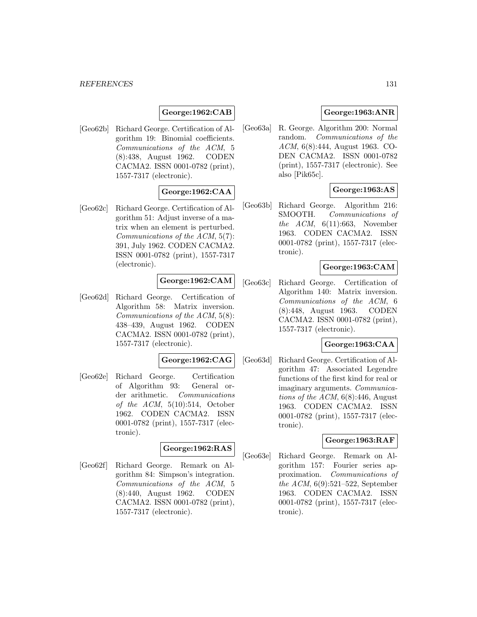# **George:1962:CAB**

[Geo62b] Richard George. Certification of Algorithm 19: Binomial coefficients. Communications of the ACM, 5 (8):438, August 1962. CODEN CACMA2. ISSN 0001-0782 (print), 1557-7317 (electronic).

# **George:1962:CAA**

[Geo62c] Richard George. Certification of Algorithm 51: Adjust inverse of a matrix when an element is perturbed. Communications of the ACM, 5(7): 391, July 1962. CODEN CACMA2. ISSN 0001-0782 (print), 1557-7317 (electronic).

## **George:1962:CAM**

[Geo62d] Richard George. Certification of Algorithm 58: Matrix inversion. Communications of the ACM, 5(8): 438–439, August 1962. CODEN CACMA2. ISSN 0001-0782 (print), 1557-7317 (electronic).

## **George:1962:CAG**

[Geo62e] Richard George. Certification of Algorithm 93: General order arithmetic. Communications of the ACM,  $5(10):514$ , October 1962. CODEN CACMA2. ISSN 0001-0782 (print), 1557-7317 (electronic).

## **George:1962:RAS**

[Geo62f] Richard George. Remark on Algorithm 84: Simpson's integration. Communications of the ACM, 5 (8):440, August 1962. CODEN CACMA2. ISSN 0001-0782 (print), 1557-7317 (electronic).

## **George:1963:ANR**

[Geo63a] R. George. Algorithm 200: Normal random. Communications of the ACM, 6(8):444, August 1963. CO-DEN CACMA2. ISSN 0001-0782 (print), 1557-7317 (electronic). See also [Pik65c].

## **George:1963:AS**

[Geo63b] Richard George. Algorithm 216: SMOOTH. Communications of the ACM,  $6(11):663$ , November 1963. CODEN CACMA2. ISSN 0001-0782 (print), 1557-7317 (electronic).

## **George:1963:CAM**

[Geo63c] Richard George. Certification of Algorithm 140: Matrix inversion. Communications of the ACM, 6 (8):448, August 1963. CODEN CACMA2. ISSN 0001-0782 (print), 1557-7317 (electronic).

## **George:1963:CAA**

[Geo63d] Richard George. Certification of Algorithm 47: Associated Legendre functions of the first kind for real or imaginary arguments. Communications of the ACM,  $6(8)$ :446, August 1963. CODEN CACMA2. ISSN 0001-0782 (print), 1557-7317 (electronic).

## **George:1963:RAF**

[Geo63e] Richard George. Remark on Algorithm 157: Fourier series approximation. Communications of the ACM, 6(9):521–522, September 1963. CODEN CACMA2. ISSN 0001-0782 (print), 1557-7317 (electronic).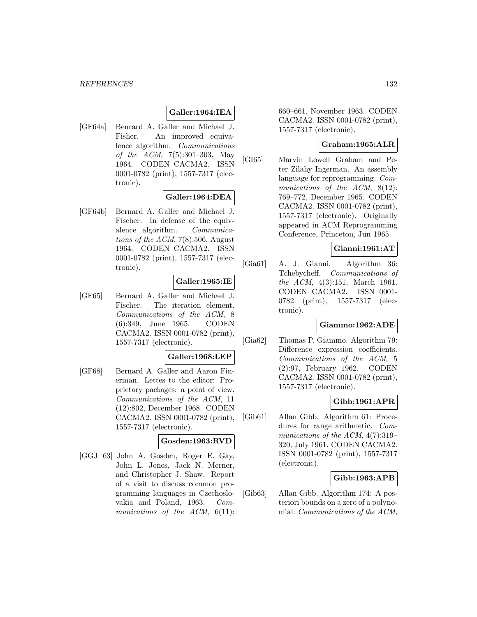## **Galler:1964:IEA**

[GF64a] Benrard A. Galler and Michael J. Fisher. An improved equivalence algorithm. Communications of the ACM, 7(5):301–303, May 1964. CODEN CACMA2. ISSN 0001-0782 (print), 1557-7317 (electronic).

## **Galler:1964:DEA**

[GF64b] Bernard A. Galler and Michael J. Fischer. In defense of the equivalence algorithm. Communications of the ACM, 7(8):506, August 1964. CODEN CACMA2. ISSN 0001-0782 (print), 1557-7317 (electronic).

# **Galler:1965:IE**

[GF65] Bernard A. Galler and Michael J. Fischer. The iteration element. Communications of the ACM, 8 (6):349, June 1965. CODEN CACMA2. ISSN 0001-0782 (print), 1557-7317 (electronic).

#### **Galler:1968:LEP**

[GF68] Bernard A. Galler and Aaron Finerman. Lettes to the editor: Proprietary packages: a point of view. Communications of the ACM, 11 (12):802, December 1968. CODEN CACMA2. ISSN 0001-0782 (print), 1557-7317 (electronic).

#### **Gosden:1963:RVD**

[GGJ<sup>+</sup>63] John A. Gosden, Roger E. Gay, John L. Jones, Jack N. Merner, and Christopher J. Shaw. Report of a visit to discuss common programming languages in Czechoslovakia and Poland, 1963. Communications of the  $ACM$ ,  $6(11)$ : 660–661, November 1963. CODEN CACMA2. ISSN 0001-0782 (print), 1557-7317 (electronic).

# **Graham:1965:ALR**

[GI65] Marvin Lowell Graham and Peter Zilahy Ingerman. An assembly language for reprogramming. Communications of the ACM, 8(12): 769–772, December 1965. CODEN CACMA2. ISSN 0001-0782 (print), 1557-7317 (electronic). Originally appeared in ACM Reprogramming Conference, Princeton, Jun 1965.

## **Gianni:1961:AT**

[Gia61] A. J. Gianni. Algorithm 36: Tchebycheff. Communications of the ACM, 4(3):151, March 1961. CODEN CACMA2. ISSN 0001- 0782 (print), 1557-7317 (electronic).

## **Giammo:1962:ADE**

[Gia62] Thomas P. Giammo. Algorithm 79: Difference expression coefficients. Communications of the ACM, 5 (2):97, February 1962. CODEN CACMA2. ISSN 0001-0782 (print), 1557-7317 (electronic).

## **Gibb:1961:APR**

[Gib61] Allan Gibb. Algorithm 61: Procedures for range arithmetic. Communications of the ACM, 4(7):319– 320, July 1961. CODEN CACMA2. ISSN 0001-0782 (print), 1557-7317 (electronic).

## **Gibb:1963:APB**

[Gib63] Allan Gibb. Algorithm 174: A posteriori bounds on a zero of a polynomial. Communications of the ACM,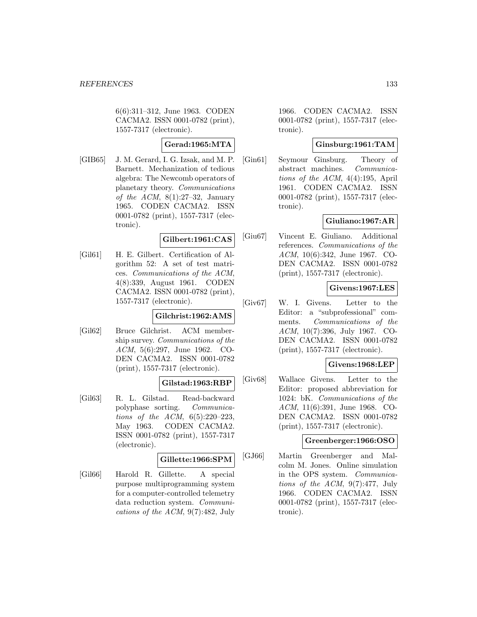6(6):311–312, June 1963. CODEN CACMA2. ISSN 0001-0782 (print), 1557-7317 (electronic).

# **Gerad:1965:MTA**

[GIB65] J. M. Gerard, I. G. Izsak, and M. P. Barnett. Mechanization of tedious algebra: The Newcomb operators of planetary theory. Communications of the ACM,  $8(1):27-32$ , January 1965. CODEN CACMA2. ISSN 0001-0782 (print), 1557-7317 (electronic).

## **Gilbert:1961:CAS**

[Gil61] H. E. Gilbert. Certification of Algorithm 52: A set of test matrices. Communications of the ACM, 4(8):339, August 1961. CODEN CACMA2. ISSN 0001-0782 (print), 1557-7317 (electronic).

# **Gilchrist:1962:AMS**

[Gil62] Bruce Gilchrist. ACM membership survey. Communications of the ACM, 5(6):297, June 1962. CO-DEN CACMA2. ISSN 0001-0782 (print), 1557-7317 (electronic).

# **Gilstad:1963:RBP**

[Gil63] R. L. Gilstad. Read-backward polyphase sorting. Communications of the ACM,  $6(5):220-223$ , May 1963. CODEN CACMA2. ISSN 0001-0782 (print), 1557-7317 (electronic).

# **Gillette:1966:SPM**

[Gil66] Harold R. Gillette. A special purpose multiprogramming system for a computer-controlled telemetry data reduction system. Communications of the ACM, 9(7):482, July 1966. CODEN CACMA2. ISSN 0001-0782 (print), 1557-7317 (electronic).

## **Ginsburg:1961:TAM**

[Gin61] Seymour Ginsburg. Theory of abstract machines. Communications of the ACM, 4(4):195, April 1961. CODEN CACMA2. ISSN 0001-0782 (print), 1557-7317 (electronic).

# **Giuliano:1967:AR**

[Giu67] Vincent E. Giuliano. Additional references. Communications of the ACM, 10(6):342, June 1967. CO-DEN CACMA2. ISSN 0001-0782 (print), 1557-7317 (electronic).

# **Givens:1967:LES**

[Giv67] W. I. Givens. Letter to the Editor: a "subprofessional" comments. Communications of the ACM, 10(7):396, July 1967. CO-DEN CACMA2. ISSN 0001-0782 (print), 1557-7317 (electronic).

# **Givens:1968:LEP**

[Giv68] Wallace Givens. Letter to the Editor: proposed abbreviation for 1024: bK. Communications of the ACM, 11(6):391, June 1968. CO-DEN CACMA2. ISSN 0001-0782 (print), 1557-7317 (electronic).

## **Greenberger:1966:OSO**

[GJ66] Martin Greenberger and Malcolm M. Jones. Online simulation in the OPS system. Communications of the  $ACM$ ,  $9(7):477$ , July 1966. CODEN CACMA2. ISSN 0001-0782 (print), 1557-7317 (electronic).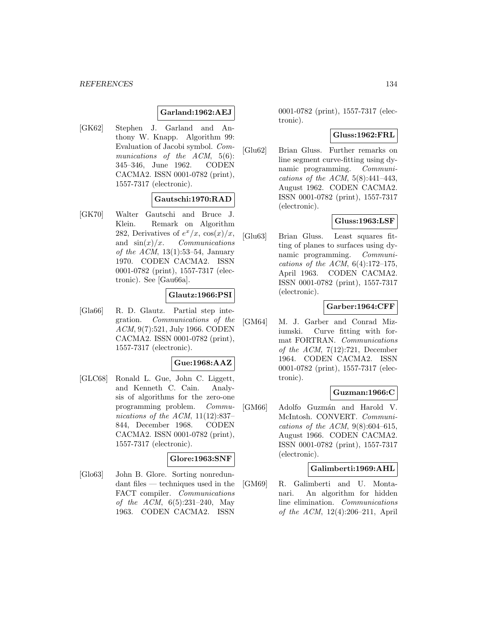## **Garland:1962:AEJ**

[GK62] Stephen J. Garland and Anthony W. Knapp. Algorithm 99: Evaluation of Jacobi symbol. Communications of the ACM, 5(6): 345–346, June 1962. CODEN CACMA2. ISSN 0001-0782 (print), 1557-7317 (electronic).

## **Gautschi:1970:RAD**

[GK70] Walter Gautschi and Bruce J. Klein. Remark on Algorithm 282, Derivatives of  $e^x/x$ ,  $\cos(x)/x$ , and  $\sin(x)/x$ . *Communications* of the  $ACM$ , 13(1):53–54, January 1970. CODEN CACMA2. ISSN 0001-0782 (print), 1557-7317 (electronic). See [Gau66a].

## **Glautz:1966:PSI**

[Gla66] R. D. Glautz. Partial step integration. Communications of the ACM, 9(7):521, July 1966. CODEN CACMA2. ISSN 0001-0782 (print), 1557-7317 (electronic).

## **Gue:1968:AAZ**

[GLC68] Ronald L. Gue, John C. Liggett, and Kenneth C. Cain. Analysis of algorithms for the zero-one programming problem. Communications of the ACM,  $11(12):837-$ 844, December 1968. CODEN CACMA2. ISSN 0001-0782 (print), 1557-7317 (electronic).

## **Glore:1963:SNF**

[Glo63] John B. Glore. Sorting nonredundant files — techniques used in the FACT compiler. Communications of the ACM, 6(5):231–240, May 1963. CODEN CACMA2. ISSN

0001-0782 (print), 1557-7317 (electronic).

#### **Gluss:1962:FRL**

[Glu62] Brian Gluss. Further remarks on line segment curve-fitting using dynamic programming. Communications of the ACM,  $5(8)$ :441-443, August 1962. CODEN CACMA2. ISSN 0001-0782 (print), 1557-7317 (electronic).

## **Gluss:1963:LSF**

[Glu63] Brian Gluss. Least squares fitting of planes to surfaces using dynamic programming. Communications of the ACM,  $6(4):172-175$ , April 1963. CODEN CACMA2. ISSN 0001-0782 (print), 1557-7317 (electronic).

# **Garber:1964:CFF**

[GM64] M. J. Garber and Conrad Miziumski. Curve fitting with format FORTRAN. Communications of the ACM,  $7(12):721$ , December 1964. CODEN CACMA2. ISSN 0001-0782 (print), 1557-7317 (electronic).

## **Guzman:1966:C**

[GM66] Adolfo Guzmán and Harold V. McIntosh. CONVERT. Communications of the ACM,  $9(8):604-615$ , August 1966. CODEN CACMA2. ISSN 0001-0782 (print), 1557-7317 (electronic).

#### **Galimberti:1969:AHL**

[GM69] R. Galimberti and U. Montanari. An algorithm for hidden line elimination. Communications of the ACM, 12(4):206–211, April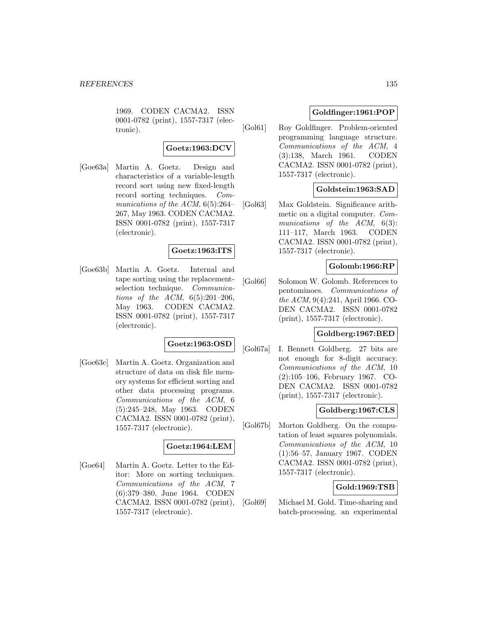1969. CODEN CACMA2. ISSN 0001-0782 (print), 1557-7317 (electronic).

#### **Goetz:1963:DCV**

[Goe63a] Martin A. Goetz. Design and characteristics of a variable-length record sort using new fixed-length record sorting techniques. Communications of the ACM,  $6(5):264-$ 267, May 1963. CODEN CACMA2. ISSN 0001-0782 (print), 1557-7317 (electronic).

#### **Goetz:1963:ITS**

[Goe63b] Martin A. Goetz. Internal and tape sorting using the replacementselection technique. Communications of the ACM,  $6(5):201-206$ , May 1963. CODEN CACMA2. ISSN 0001-0782 (print), 1557-7317 (electronic).

## **Goetz:1963:OSD**

[Goe63c] Martin A. Goetz. Organization and structure of data on disk file memory systems for efficient sorting and other data processing programs. Communications of the ACM, 6 (5):245–248, May 1963. CODEN CACMA2. ISSN 0001-0782 (print), 1557-7317 (electronic).

## **Goetz:1964:LEM**

[Goe64] Martin A. Goetz. Letter to the Editor: More on sorting techniques. Communications of the ACM, 7 (6):379–380, June 1964. CODEN CACMA2. ISSN 0001-0782 (print), 1557-7317 (electronic).

## **Goldfinger:1961:POP**

[Gol61] Roy Goldfinger. Problem-oriented programming language structure. Communications of the ACM, 4 (3):138, March 1961. CODEN CACMA2. ISSN 0001-0782 (print), 1557-7317 (electronic).

## **Goldstein:1963:SAD**

[Gol63] Max Goldstein. Significance arithmetic on a digital computer. Communications of the ACM, 6(3): 111–117, March 1963. CODEN CACMA2. ISSN 0001-0782 (print), 1557-7317 (electronic).

## **Golomb:1966:RP**

[Gol66] Solomon W. Golomb. References to pentominoes. Communications of the ACM, 9(4):241, April 1966. CO-DEN CACMA2. ISSN 0001-0782 (print), 1557-7317 (electronic).

# **Goldberg:1967:BED**

[Gol67a] I. Bennett Goldberg. 27 bits are not enough for 8-digit accuracy. Communications of the ACM, 10 (2):105–106, February 1967. CO-DEN CACMA2. ISSN 0001-0782 (print), 1557-7317 (electronic).

## **Goldberg:1967:CLS**

[Gol67b] Morton Goldberg. On the computation of least squares polynomials. Communications of the ACM, 10 (1):56–57, January 1967. CODEN CACMA2. ISSN 0001-0782 (print), 1557-7317 (electronic).

## **Gold:1969:TSB**

[Gol69] Michael M. Gold. Time-sharing and batch-processing. an experimental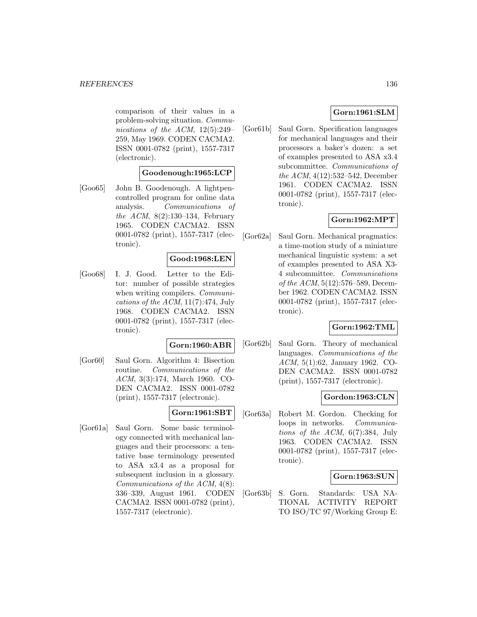#### *REFERENCES* 136

comparison of their values in a problem-solving situation. Communications of the ACM, 12(5):249– 259, May 1969. CODEN CACMA2. ISSN 0001-0782 (print), 1557-7317 (electronic).

## **Goodenough:1965:LCP**

[Goo65] John B. Goodenough. A lightpencontrolled program for online data analysis. Communications of the ACM, 8(2):130–134, February 1965. CODEN CACMA2. ISSN 0001-0782 (print), 1557-7317 (electronic).

## **Good:1968:LEN**

[Goo68] I. J. Good. Letter to the Editor: number of possible strategies when writing compilers. *Communi*cations of the ACM,  $11(7)$ :474, July 1968. CODEN CACMA2. ISSN 0001-0782 (print), 1557-7317 (electronic).

#### **Gorn:1960:ABR**

[Gor60] Saul Gorn. Algorithm 4: Bisection routine. Communications of the ACM, 3(3):174, March 1960. CO-DEN CACMA2. ISSN 0001-0782 (print), 1557-7317 (electronic).

#### **Gorn:1961:SBT**

[Gor61a] Saul Gorn. Some basic terminology connected with mechanical languages and their processors: a tentative base terminology presented to ASA x3.4 as a proposal for subsequent inclusion in a glossary. Communications of the ACM, 4(8): 336–339, August 1961. CODEN CACMA2. ISSN 0001-0782 (print), 1557-7317 (electronic).

## **Gorn:1961:SLM**

[Gor61b] Saul Gorn. Specification languages for mechanical languages and their processors a baker's dozen: a set of examples presented to ASA x3.4 subcommittee. Communications of the ACM, 4(12):532–542, December 1961. CODEN CACMA2. ISSN 0001-0782 (print), 1557-7317 (electronic).

## **Gorn:1962:MPT**

[Gor62a] Saul Gorn. Mechanical pragmatics: a time-motion study of a miniature mechanical linguistic system: a set of examples presented to ASA X3- 4 subcommittee. Communications of the ACM, 5(12):576–589, December 1962. CODEN CACMA2. ISSN 0001-0782 (print), 1557-7317 (electronic).

## **Gorn:1962:TML**

[Gor62b] Saul Gorn. Theory of mechanical languages. Communications of the ACM, 5(1):62, January 1962. CO-DEN CACMA2. ISSN 0001-0782 (print), 1557-7317 (electronic).

## **Gordon:1963:CLN**

[Gor63a] Robert M. Gordon. Checking for loops in networks. Communications of the  $ACM$ ,  $6(7)$ :384, July 1963. CODEN CACMA2. ISSN 0001-0782 (print), 1557-7317 (electronic).

## **Gorn:1963:SUN**

[Gor63b] S. Gorn. Standards: USA NA-TIONAL ACTIVITY REPORT TO ISO/TC 97/Working Group E: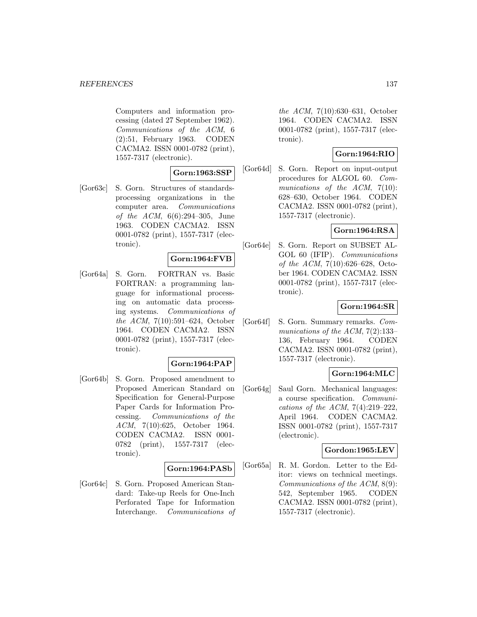#### *REFERENCES* 137

Computers and information processing (dated 27 September 1962). Communications of the ACM, 6 (2):51, February 1963. CODEN CACMA2. ISSN 0001-0782 (print), 1557-7317 (electronic).

## **Gorn:1963:SSP**

[Gor63c] S. Gorn. Structures of standardsprocessing organizations in the computer area. Communications of the ACM, 6(6):294–305, June 1963. CODEN CACMA2. ISSN 0001-0782 (print), 1557-7317 (electronic).

## **Gorn:1964:FVB**

[Gor64a] S. Gorn. FORTRAN vs. Basic FORTRAN: a programming language for informational processing on automatic data processing systems. Communications of the ACM, 7(10):591–624, October 1964. CODEN CACMA2. ISSN 0001-0782 (print), 1557-7317 (electronic).

#### **Gorn:1964:PAP**

[Gor64b] S. Gorn. Proposed amendment to Proposed American Standard on Specification for General-Purpose Paper Cards for Information Processing. Communications of the ACM, 7(10):625, October 1964. CODEN CACMA2. ISSN 0001- 0782 (print), 1557-7317 (electronic).

#### **Gorn:1964:PASb**

[Gor64c] S. Gorn. Proposed American Standard: Take-up Reels for One-Inch Perforated Tape for Information Interchange. Communications of the ACM, 7(10):630–631, October 1964. CODEN CACMA2. ISSN 0001-0782 (print), 1557-7317 (electronic).

# **Gorn:1964:RIO**

[Gor64d] S. Gorn. Report on input-output procedures for ALGOL 60. Communications of the ACM, 7(10): 628–630, October 1964. CODEN CACMA2. ISSN 0001-0782 (print), 1557-7317 (electronic).

# **Gorn:1964:RSA**

[Gor64e] S. Gorn. Report on SUBSET AL-GOL 60 (IFIP). Communications of the ACM, 7(10):626–628, October 1964. CODEN CACMA2. ISSN 0001-0782 (print), 1557-7317 (electronic).

## **Gorn:1964:SR**

[Gor64f] S. Gorn. Summary remarks. Communications of the ACM, 7(2):133– 136, February 1964. CODEN CACMA2. ISSN 0001-0782 (print), 1557-7317 (electronic).

## **Gorn:1964:MLC**

[Gor64g] Saul Gorn. Mechanical languages: a course specification. Communications of the ACM, 7(4):219–222, April 1964. CODEN CACMA2. ISSN 0001-0782 (print), 1557-7317 (electronic).

## **Gordon:1965:LEV**

[Gor65a] R. M. Gordon. Letter to the Editor: views on technical meetings. Communications of the ACM, 8(9): 542, September 1965. CODEN CACMA2. ISSN 0001-0782 (print), 1557-7317 (electronic).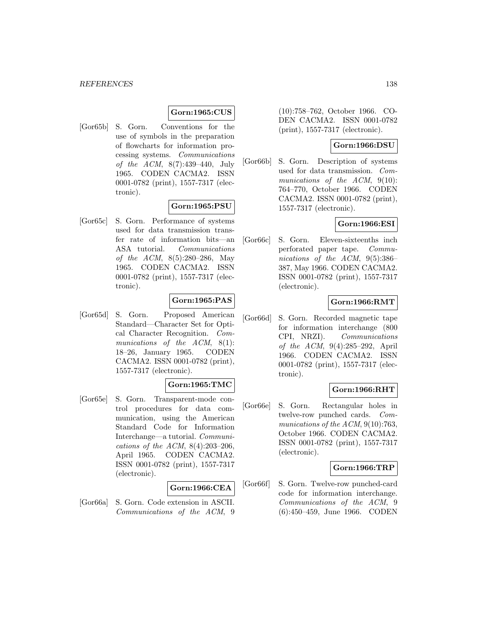#### **Gorn:1965:CUS**

[Gor65b] S. Gorn. Conventions for the use of symbols in the preparation of flowcharts for information processing systems. Communications of the ACM, 8(7):439–440, July 1965. CODEN CACMA2. ISSN 0001-0782 (print), 1557-7317 (electronic).

#### **Gorn:1965:PSU**

[Gor65c] S. Gorn. Performance of systems used for data transmission transfer rate of information bits—an ASA tutorial. Communications of the ACM, 8(5):280–286, May 1965. CODEN CACMA2. ISSN 0001-0782 (print), 1557-7317 (electronic).

## **Gorn:1965:PAS**

[Gor65d] S. Gorn. Proposed American Standard—Character Set for Optical Character Recognition. Communications of the ACM, 8(1): 18–26, January 1965. CODEN CACMA2. ISSN 0001-0782 (print), 1557-7317 (electronic).

## **Gorn:1965:TMC**

[Gor65e] S. Gorn. Transparent-mode control procedures for data communication, using the American Standard Code for Information Interchange—a tutorial. Communications of the ACM,  $8(4):203-206$ , April 1965. CODEN CACMA2. ISSN 0001-0782 (print), 1557-7317 (electronic).

#### **Gorn:1966:CEA**

[Gor66a] S. Gorn. Code extension in ASCII. Communications of the ACM, 9 (10):758–762, October 1966. CO-DEN CACMA2. ISSN 0001-0782 (print), 1557-7317 (electronic).

# **Gorn:1966:DSU**

[Gor66b] S. Gorn. Description of systems used for data transmission. Communications of the  $ACM$ ,  $9(10)$ : 764–770, October 1966. CODEN CACMA2. ISSN 0001-0782 (print), 1557-7317 (electronic).

## **Gorn:1966:ESI**

[Gor66c] S. Gorn. Eleven-sixteenths inch perforated paper tape. Communications of the ACM, 9(5):386– 387, May 1966. CODEN CACMA2. ISSN 0001-0782 (print), 1557-7317 (electronic).

## **Gorn:1966:RMT**

[Gor66d] S. Gorn. Recorded magnetic tape for information interchange (800 CPI, NRZI). Communications of the ACM, 9(4):285–292, April 1966. CODEN CACMA2. ISSN 0001-0782 (print), 1557-7317 (electronic).

## **Gorn:1966:RHT**

[Gor66e] S. Gorn. Rectangular holes in twelve-row punched cards. Communications of the ACM, 9(10):763, October 1966. CODEN CACMA2. ISSN 0001-0782 (print), 1557-7317 (electronic).

#### **Gorn:1966:TRP**

[Gor66f] S. Gorn. Twelve-row punched-card code for information interchange. Communications of the ACM, 9 (6):450–459, June 1966. CODEN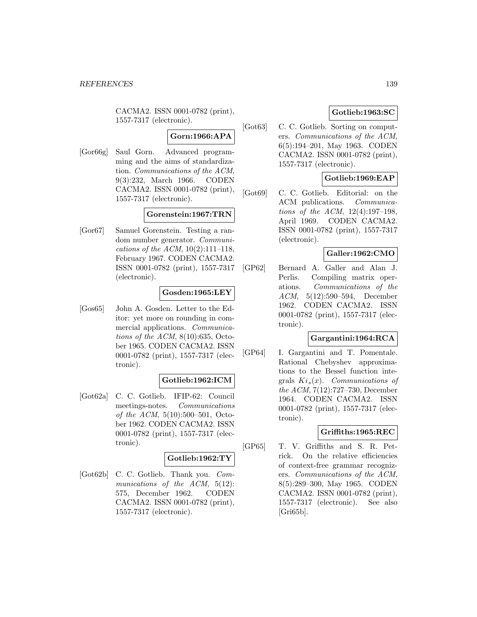CACMA2. ISSN 0001-0782 (print), 1557-7317 (electronic).

# **Gorn:1966:APA**

[Gor66g] Saul Gorn. Advanced programming and the aims of standardization. Communications of the ACM, 9(3):232, March 1966. CODEN CACMA2. ISSN 0001-0782 (print), 1557-7317 (electronic).

# **Gorenstein:1967:TRN**

[Gor67] Samuel Gorenstein. Testing a random number generator. Communications of the ACM,  $10(2):111-118$ , February 1967. CODEN CACMA2. ISSN 0001-0782 (print), 1557-7317 (electronic).

## **Gosden:1965:LEY**

[Gos65] John A. Gosden. Letter to the Editor: yet more on rounding in commercial applications. Communications of the ACM,  $8(10):635$ , October 1965. CODEN CACMA2. ISSN 0001-0782 (print), 1557-7317 (electronic).

# **Gotlieb:1962:ICM**

[Got62a] C. C. Gotlieb. IFIP-62: Council meetings-notes. Communications of the ACM, 5(10):500–501, October 1962. CODEN CACMA2. ISSN 0001-0782 (print), 1557-7317 (electronic).

# **Gotlieb:1962:TY**

[Got62b] C. C. Gotlieb. Thank you. Communications of the ACM, 5(12): 575, December 1962. CODEN CACMA2. ISSN 0001-0782 (print), 1557-7317 (electronic).

# **Gotlieb:1963:SC**

[Got63] C. C. Gotlieb. Sorting on computers. Communications of the ACM, 6(5):194–201, May 1963. CODEN CACMA2. ISSN 0001-0782 (print), 1557-7317 (electronic).

## **Gotlieb:1969:EAP**

[Got69] C. C. Gotlieb. Editorial: on the ACM publications. Communications of the ACM, 12(4):197–198, April 1969. CODEN CACMA2. ISSN 0001-0782 (print), 1557-7317 (electronic).

# **Galler:1962:CMO**

[GP62] Bernard A. Galler and Alan J. Perlis. Compiling matrix operations. Communications of the ACM, 5(12):590–594, December 1962. CODEN CACMA2. ISSN 0001-0782 (print), 1557-7317 (electronic).

## **Gargantini:1964:RCA**

[GP64] I. Gargantini and T. Pomentale. Rational Chebyshev approximations to the Bessel function integrals  $Ki_s(x)$ . Communications of the ACM, 7(12):727–730, December 1964. CODEN CACMA2. ISSN 0001-0782 (print), 1557-7317 (electronic).

# **Griffiths:1965:REC**

[GP65] T. V. Griffiths and S. R. Petrick. On the relative efficiencies of context-free grammar recognizers. Communications of the ACM, 8(5):289–300, May 1965. CODEN CACMA2. ISSN 0001-0782 (print), 1557-7317 (electronic). See also  $[Gri65b]$ .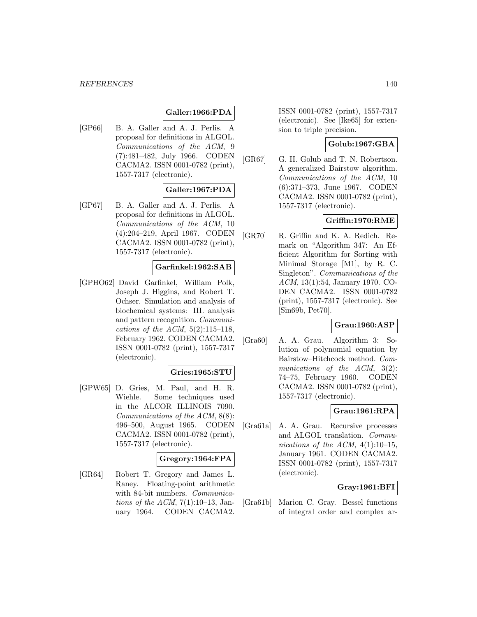## **Galler:1966:PDA**

[GP66] B. A. Galler and A. J. Perlis. A proposal for definitions in ALGOL. Communications of the ACM, 9 (7):481–482, July 1966. CODEN CACMA2. ISSN 0001-0782 (print), 1557-7317 (electronic).

## **Galler:1967:PDA**

[GP67] B. A. Galler and A. J. Perlis. A proposal for definitions in ALGOL. Communications of the ACM, 10 (4):204–219, April 1967. CODEN CACMA2. ISSN 0001-0782 (print), 1557-7317 (electronic).

#### **Garfinkel:1962:SAB**

[GPHO62] David Garfinkel, William Polk, Joseph J. Higgins, and Robert T. Ochser. Simulation and analysis of biochemical systems: III. analysis and pattern recognition. Communications of the ACM,  $5(2):115-118$ , February 1962. CODEN CACMA2. ISSN 0001-0782 (print), 1557-7317 (electronic).

## **Gries:1965:STU**

[GPW65] D. Gries, M. Paul, and H. R. Wiehle. Some techniques used in the ALCOR ILLINOIS 7090. Communications of the ACM, 8(8): 496–500, August 1965. CODEN CACMA2. ISSN 0001-0782 (print), 1557-7317 (electronic).

## **Gregory:1964:FPA**

[GR64] Robert T. Gregory and James L. Raney. Floating-point arithmetic with 84-bit numbers. Communications of the ACM,  $7(1):10-13$ , January 1964. CODEN CACMA2.

ISSN 0001-0782 (print), 1557-7317 (electronic). See [Ike65] for extension to triple precision.

## **Golub:1967:GBA**

[GR67] G. H. Golub and T. N. Robertson. A generalized Bairstow algorithm. Communications of the ACM, 10 (6):371–373, June 1967. CODEN CACMA2. ISSN 0001-0782 (print), 1557-7317 (electronic).

# **Griffin:1970:RME**

[GR70] R. Griffin and K. A. Redich. Remark on "Algorithm 347: An Efficient Algorithm for Sorting with Minimal Storage [M1], by R. C. Singleton". Communications of the ACM, 13(1):54, January 1970. CO-DEN CACMA2. ISSN 0001-0782 (print), 1557-7317 (electronic). See [Sin69b, Pet70].

## **Grau:1960:ASP**

[Gra60] A. A. Grau. Algorithm 3: Solution of polynomial equation by Bairstow–Hitchcock method. Communications of the ACM,  $3(2)$ : 74–75, February 1960. CODEN CACMA2. ISSN 0001-0782 (print), 1557-7317 (electronic).

## **Grau:1961:RPA**

[Gra61a] A. A. Grau. Recursive processes and ALGOL translation. Communications of the ACM,  $4(1):10-15$ , January 1961. CODEN CACMA2. ISSN 0001-0782 (print), 1557-7317 (electronic).

## **Gray:1961:BFI**

[Gra61b] Marion C. Gray. Bessel functions of integral order and complex ar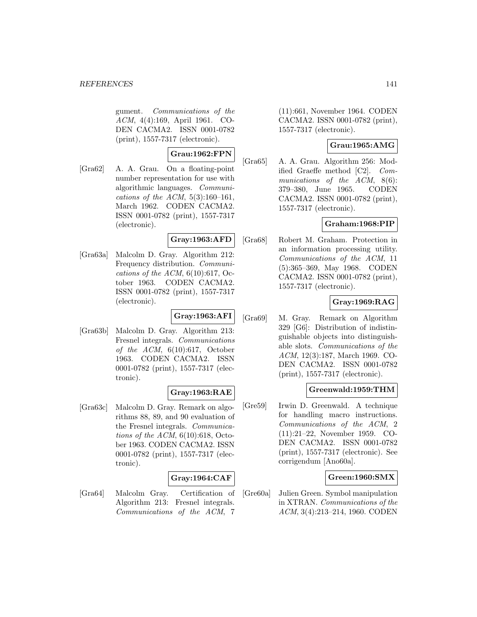gument. Communications of the ACM, 4(4):169, April 1961. CO-DEN CACMA2. ISSN 0001-0782 (print), 1557-7317 (electronic).

## **Grau:1962:FPN**

[Gra62] A. A. Grau. On a floating-point number representation for use with algorithmic languages. Communications of the ACM,  $5(3):160-161$ , March 1962. CODEN CACMA2. ISSN 0001-0782 (print), 1557-7317 (electronic).

#### **Gray:1963:AFD**

[Gra63a] Malcolm D. Gray. Algorithm 212: Frequency distribution. Communications of the ACM,  $6(10):617$ , October 1963. CODEN CACMA2. ISSN 0001-0782 (print), 1557-7317 (electronic).

## **Gray:1963:AFI**

[Gra63b] Malcolm D. Gray. Algorithm 213: Fresnel integrals. Communications of the  $ACM$ ,  $6(10):617$ , October 1963. CODEN CACMA2. ISSN 0001-0782 (print), 1557-7317 (electronic).

## **Gray:1963:RAE**

[Gra63c] Malcolm D. Gray. Remark on algorithms 88, 89, and 90 evaluation of the Fresnel integrals. Communications of the ACM,  $6(10):618$ , October 1963. CODEN CACMA2. ISSN 0001-0782 (print), 1557-7317 (electronic).

## **Gray:1964:CAF**

[Gra64] Malcolm Gray. Certification of Algorithm 213: Fresnel integrals. Communications of the ACM, 7

(11):661, November 1964. CODEN CACMA2. ISSN 0001-0782 (print), 1557-7317 (electronic).

## **Grau:1965:AMG**

[Gra65] A. A. Grau. Algorithm 256: Modified Graeffe method [C2]. Communications of the ACM, 8(6): 379–380, June 1965. CODEN CACMA2. ISSN 0001-0782 (print), 1557-7317 (electronic).

## **Graham:1968:PIP**

[Gra68] Robert M. Graham. Protection in an information processing utility. Communications of the ACM, 11 (5):365–369, May 1968. CODEN CACMA2. ISSN 0001-0782 (print), 1557-7317 (electronic).

## **Gray:1969:RAG**

[Gra69] M. Gray. Remark on Algorithm 329 [G6]: Distribution of indistinguishable objects into distinguishable slots. Communications of the ACM, 12(3):187, March 1969. CO-DEN CACMA2. ISSN 0001-0782 (print), 1557-7317 (electronic).

## **Greenwald:1959:THM**

[Gre59] Irwin D. Greenwald. A technique for handling macro instructions. Communications of the ACM, 2 (11):21–22, November 1959. CO-DEN CACMA2. ISSN 0001-0782 (print), 1557-7317 (electronic). See corrigendum [Ano60a].

## **Green:1960:SMX**

[Gre60a] Julien Green. Symbol manipulation in XTRAN. Communications of the ACM, 3(4):213–214, 1960. CODEN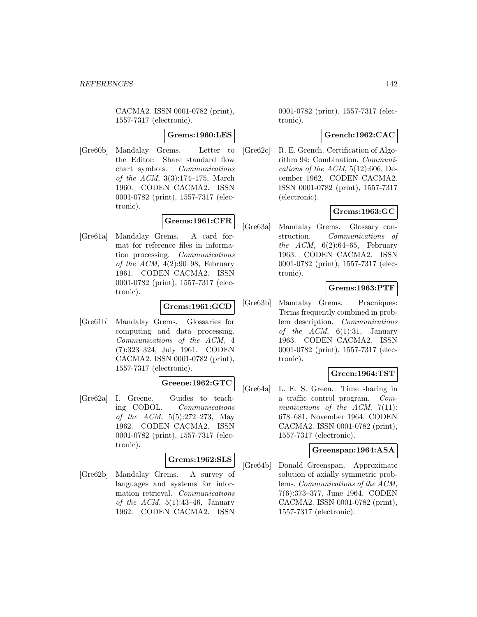CACMA2. ISSN 0001-0782 (print), 1557-7317 (electronic).

#### **Grems:1960:LES**

[Gre60b] Mandalay Grems. Letter to the Editor: Share standard flow chart symbols. Communications of the ACM, 3(3):174–175, March 1960. CODEN CACMA2. ISSN 0001-0782 (print), 1557-7317 (electronic).

# **Grems:1961:CFR**

[Gre61a] Mandalay Grems. A card format for reference files in information processing. Communications of the ACM,  $4(2):90-98$ , February 1961. CODEN CACMA2. ISSN 0001-0782 (print), 1557-7317 (electronic).

## **Grems:1961:GCD**

[Gre61b] Mandalay Grems. Glossaries for computing and data processing. Communications of the ACM, 4 (7):323–324, July 1961. CODEN CACMA2. ISSN 0001-0782 (print), 1557-7317 (electronic).

## **Greene:1962:GTC**

[Gre62a] I. Greene. Guides to teaching COBOL. Communications of the ACM, 5(5):272–273, May 1962. CODEN CACMA2. ISSN 0001-0782 (print), 1557-7317 (electronic).

## **Grems:1962:SLS**

[Gre62b] Mandalay Grems. A survey of languages and systems for information retrieval. Communications of the ACM,  $5(1):43-46$ , January 1962. CODEN CACMA2. ISSN

0001-0782 (print), 1557-7317 (electronic).

## **Grench:1962:CAC**

[Gre62c] R. E. Grench. Certification of Algorithm 94: Combination. Communications of the  $ACM$ ,  $5(12):606$ , December 1962. CODEN CACMA2. ISSN 0001-0782 (print), 1557-7317 (electronic).

# **Grems:1963:GC**

[Gre63a] Mandalay Grems. Glossary construction. Communications of the ACM,  $6(2):64-65$ , February 1963. CODEN CACMA2. ISSN 0001-0782 (print), 1557-7317 (electronic).

# **Grems:1963:PTF**

[Gre63b] Mandalay Grems. Pracniques: Terms frequently combined in problem description. Communications of the ACM,  $6(1):31$ , January 1963. CODEN CACMA2. ISSN 0001-0782 (print), 1557-7317 (electronic).

## **Green:1964:TST**

[Gre64a] L. E. S. Green. Time sharing in a traffic control program. Communications of the  $ACM$ ,  $7(11)$ : 678–681, November 1964. CODEN CACMA2. ISSN 0001-0782 (print), 1557-7317 (electronic).

## **Greenspan:1964:ASA**

[Gre64b] Donald Greenspan. Approximate solution of axially symmetric problems. Communications of the ACM, 7(6):373–377, June 1964. CODEN CACMA2. ISSN 0001-0782 (print), 1557-7317 (electronic).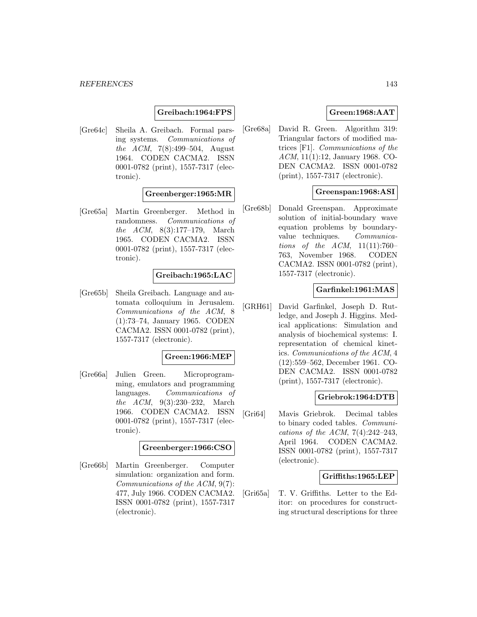## **Greibach:1964:FPS**

[Gre64c] Sheila A. Greibach. Formal parsing systems. Communications of the ACM, 7(8):499–504, August 1964. CODEN CACMA2. ISSN 0001-0782 (print), 1557-7317 (electronic).

## **Greenberger:1965:MR**

[Gre65a] Martin Greenberger. Method in randomness. Communications of the ACM, 8(3):177–179, March 1965. CODEN CACMA2. ISSN 0001-0782 (print), 1557-7317 (electronic).

#### **Greibach:1965:LAC**

[Gre65b] Sheila Greibach. Language and automata colloquium in Jerusalem. Communications of the ACM, 8 (1):73–74, January 1965. CODEN CACMA2. ISSN 0001-0782 (print), 1557-7317 (electronic).

#### **Green:1966:MEP**

[Gre66a] Julien Green. Microprogramming, emulators and programming languages. Communications of the ACM, 9(3):230–232, March 1966. CODEN CACMA2. ISSN 0001-0782 (print), 1557-7317 (electronic).

#### **Greenberger:1966:CSO**

[Gre66b] Martin Greenberger. Computer simulation: organization and form. Communications of the ACM, 9(7): 477, July 1966. CODEN CACMA2. ISSN 0001-0782 (print), 1557-7317 (electronic).

## **Green:1968:AAT**

[Gre68a] David R. Green. Algorithm 319: Triangular factors of modified matrices [F1]. Communications of the ACM, 11(1):12, January 1968. CO-DEN CACMA2. ISSN 0001-0782 (print), 1557-7317 (electronic).

## **Greenspan:1968:ASI**

[Gre68b] Donald Greenspan. Approximate solution of initial-boundary wave equation problems by boundaryvalue techniques. Communications of the  $ACM$ ,  $11(11):760-$ 763, November 1968. CODEN CACMA2. ISSN 0001-0782 (print), 1557-7317 (electronic).

#### **Garfinkel:1961:MAS**

[GRH61] David Garfinkel, Joseph D. Rutledge, and Joseph J. Higgins. Medical applications: Simulation and analysis of biochemical systems: I. representation of chemical kinetics. Communications of the ACM, 4 (12):559–562, December 1961. CO-DEN CACMA2. ISSN 0001-0782 (print), 1557-7317 (electronic).

## **Griebrok:1964:DTB**

[Gri64] Mavis Griebrok. Decimal tables to binary coded tables. Communications of the ACM,  $7(4):242-243$ , April 1964. CODEN CACMA2. ISSN 0001-0782 (print), 1557-7317 (electronic).

## **Griffiths:1965:LEP**

[Gri65a] T. V. Griffiths. Letter to the Editor: on procedures for constructing structural descriptions for three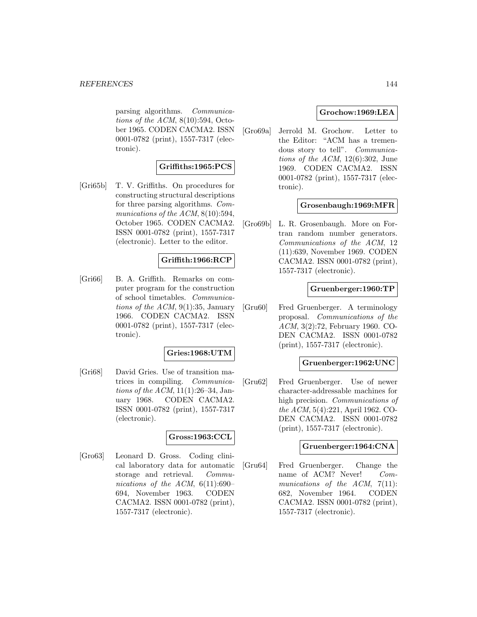parsing algorithms. Communications of the ACM,  $8(10):594$ , October 1965. CODEN CACMA2. ISSN 0001-0782 (print), 1557-7317 (electronic).

# **Griffiths:1965:PCS**

[Gri65b] T. V. Griffiths. On procedures for constructing structural descriptions for three parsing algorithms. Communications of the ACM,  $8(10):594$ , October 1965. CODEN CACMA2. ISSN 0001-0782 (print), 1557-7317 (electronic). Letter to the editor.

## **Griffith:1966:RCP**

[Gri66] B. A. Griffith. Remarks on computer program for the construction of school timetables. Communications of the  $ACM$ , 9(1):35, January 1966. CODEN CACMA2. ISSN 0001-0782 (print), 1557-7317 (electronic).

## **Gries:1968:UTM**

[Gri68] David Gries. Use of transition matrices in compiling. Communications of the ACM, 11(1):26–34, January 1968. CODEN CACMA2. ISSN 0001-0782 (print), 1557-7317 (electronic).

## **Gross:1963:CCL**

[Gro63] Leonard D. Gross. Coding clinical laboratory data for automatic storage and retrieval. Communications of the ACM,  $6(11):690-$ 694, November 1963. CODEN CACMA2. ISSN 0001-0782 (print), 1557-7317 (electronic).

#### **Grochow:1969:LEA**

[Gro69a] Jerrold M. Grochow. Letter to the Editor: "ACM has a tremendous story to tell". Communications of the ACM,  $12(6):302$ , June 1969. CODEN CACMA2. ISSN 0001-0782 (print), 1557-7317 (electronic).

#### **Grosenbaugh:1969:MFR**

[Gro69b] L. R. Grosenbaugh. More on Fortran random number generators. Communications of the ACM, 12 (11):639, November 1969. CODEN CACMA2. ISSN 0001-0782 (print), 1557-7317 (electronic).

#### **Gruenberger:1960:TP**

[Gru60] Fred Gruenberger. A terminology proposal. Communications of the ACM, 3(2):72, February 1960. CO-DEN CACMA2. ISSN 0001-0782 (print), 1557-7317 (electronic).

#### **Gruenberger:1962:UNC**

[Gru62] Fred Gruenberger. Use of newer character-addressable machines for high precision. Communications of the ACM, 5(4):221, April 1962. CO-DEN CACMA2. ISSN 0001-0782 (print), 1557-7317 (electronic).

#### **Gruenberger:1964:CNA**

[Gru64] Fred Gruenberger. Change the name of ACM? Never! Communications of the ACM, 7(11): 682, November 1964. CODEN CACMA2. ISSN 0001-0782 (print), 1557-7317 (electronic).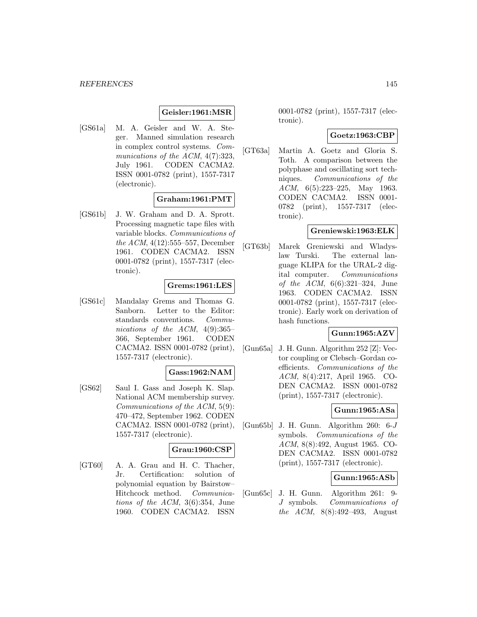## **Geisler:1961:MSR**

[GS61a] M. A. Geisler and W. A. Steger. Manned simulation research in complex control systems. Communications of the ACM,  $4(7)$ :323, July 1961. CODEN CACMA2. ISSN 0001-0782 (print), 1557-7317 (electronic).

## **Graham:1961:PMT**

[GS61b] J. W. Graham and D. A. Sprott. Processing magnetic tape files with variable blocks. Communications of the  $ACM$ ,  $4(12):555-557$ , December 1961. CODEN CACMA2. ISSN 0001-0782 (print), 1557-7317 (electronic).

### **Grems:1961:LES**

[GS61c] Mandalay Grems and Thomas G. Sanborn. Letter to the Editor: standards conventions. Communications of the ACM,  $4(9):365-$ 366, September 1961. CODEN CACMA2. ISSN 0001-0782 (print), 1557-7317 (electronic).

# **Gass:1962:NAM**

[GS62] Saul I. Gass and Joseph K. Slap. National ACM membership survey. Communications of the ACM, 5(9): 470–472, September 1962. CODEN CACMA2. ISSN 0001-0782 (print), 1557-7317 (electronic).

## **Grau:1960:CSP**

[GT60] A. A. Grau and H. C. Thacher, Jr. Certification: solution of polynomial equation by Bairstow– Hitchcock method. Communications of the ACM, 3(6):354, June 1960. CODEN CACMA2. ISSN

0001-0782 (print), 1557-7317 (electronic).

#### **Goetz:1963:CBP**

[GT63a] Martin A. Goetz and Gloria S. Toth. A comparison between the polyphase and oscillating sort techniques. Communications of the ACM, 6(5):223–225, May 1963. CODEN CACMA2. ISSN 0001- 0782 (print), 1557-7317 (electronic).

### **Greniewski:1963:ELK**

[GT63b] Marek Greniewski and Wladyslaw Turski. The external language KLIPA for the URAL-2 digital computer. Communications of the ACM, 6(6):321–324, June 1963. CODEN CACMA2. ISSN 0001-0782 (print), 1557-7317 (electronic). Early work on derivation of hash functions.

### **Gunn:1965:AZV**

[Gun65a] J. H. Gunn. Algorithm 252 [Z]: Vector coupling or Clebsch–Gordan coefficients. Communications of the ACM, 8(4):217, April 1965. CO-DEN CACMA2. ISSN 0001-0782 (print), 1557-7317 (electronic).

### **Gunn:1965:ASa**

[Gun65b] J. H. Gunn. Algorithm 260: 6-J symbols. Communications of the ACM, 8(8):492, August 1965. CO-DEN CACMA2. ISSN 0001-0782 (print), 1557-7317 (electronic).

## **Gunn:1965:ASb**

[Gun65c] J. H. Gunn. Algorithm 261: 9- J symbols. Communications of the ACM, 8(8):492–493, August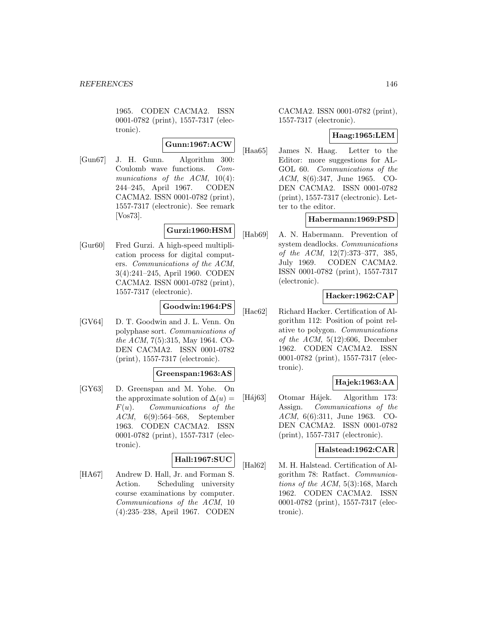1965. CODEN CACMA2. ISSN 0001-0782 (print), 1557-7317 (electronic).

# **Gunn:1967:ACW**

[Gun67] J. H. Gunn. Algorithm 300: Coulomb wave functions. Communications of the ACM, 10(4): 244–245, April 1967. CODEN CACMA2. ISSN 0001-0782 (print), 1557-7317 (electronic). See remark [Vos73].

# **Gurzi:1960:HSM**

[Gur60] Fred Gurzi. A high-speed multiplication process for digital computers. Communications of the ACM, 3(4):241–245, April 1960. CODEN CACMA2. ISSN 0001-0782 (print), 1557-7317 (electronic).

## **Goodwin:1964:PS**

[GV64] D. T. Goodwin and J. L. Venn. On polyphase sort. Communications of the ACM, 7(5):315, May 1964. CO-DEN CACMA2. ISSN 0001-0782 (print), 1557-7317 (electronic).

### **Greenspan:1963:AS**

[GY63] D. Greenspan and M. Yohe. On the approximate solution of  $\Delta(u)$  =  $F(u)$ . Communications of the ACM, 6(9):564–568, September 1963. CODEN CACMA2. ISSN 0001-0782 (print), 1557-7317 (electronic).

# **Hall:1967:SUC**

[HA67] Andrew D. Hall, Jr. and Forman S. Action. Scheduling university course examinations by computer. Communications of the ACM, 10 (4):235–238, April 1967. CODEN

CACMA2. ISSN 0001-0782 (print), 1557-7317 (electronic).

## **Haag:1965:LEM**

[Haa65] James N. Haag. Letter to the Editor: more suggestions for AL-GOL 60. Communications of the ACM, 8(6):347, June 1965. CO-DEN CACMA2. ISSN 0001-0782 (print), 1557-7317 (electronic). Letter to the editor.

## **Habermann:1969:PSD**

[Hab69] A. N. Habermann. Prevention of system deadlocks. Communications of the ACM, 12(7):373–377, 385, July 1969. CODEN CACMA2. ISSN 0001-0782 (print), 1557-7317 (electronic).

# **Hacker:1962:CAP**

[Hac62] Richard Hacker. Certification of Algorithm 112: Position of point relative to polygon. Communications of the ACM,  $5(12):606$ , December 1962. CODEN CACMA2. ISSN 0001-0782 (print), 1557-7317 (electronic).

# **Hajek:1963:AA**

[Háj63] Otomar Hájek. Algorithm 173: Assign. Communications of the ACM, 6(6):311, June 1963. CO-DEN CACMA2. ISSN 0001-0782 (print), 1557-7317 (electronic).

### **Halstead:1962:CAR**

[Hal62] M. H. Halstead. Certification of Algorithm 78: Ratfact. Communications of the ACM, 5(3):168, March 1962. CODEN CACMA2. ISSN 0001-0782 (print), 1557-7317 (electronic).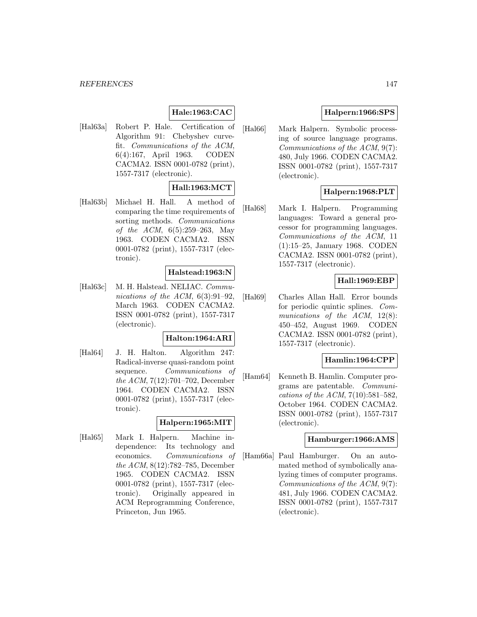#### *REFERENCES* 147

# **Hale:1963:CAC**

[Hal63a] Robert P. Hale. Certification of Algorithm 91: Chebyshev curvefit. Communications of the ACM, 6(4):167, April 1963. CODEN CACMA2. ISSN 0001-0782 (print), 1557-7317 (electronic).

## **Hall:1963:MCT**

[Hal63b] Michael H. Hall. A method of comparing the time requirements of sorting methods. Communications of the ACM, 6(5):259–263, May 1963. CODEN CACMA2. ISSN 0001-0782 (print), 1557-7317 (electronic).

### **Halstead:1963:N**

[Hal63c] M. H. Halstead. NELIAC. Communications of the ACM,  $6(3):91-92$ , March 1963. CODEN CACMA2. ISSN 0001-0782 (print), 1557-7317 (electronic).

### **Halton:1964:ARI**

[Hal64] J. H. Halton. Algorithm 247: Radical-inverse quasi-random point sequence. Communications of the ACM, 7(12):701–702, December 1964. CODEN CACMA2. ISSN 0001-0782 (print), 1557-7317 (electronic).

## **Halpern:1965:MIT**

[Hal65] Mark I. Halpern. Machine independence: Its technology and economics. Communications of the ACM, 8(12):782–785, December 1965. CODEN CACMA2. ISSN 0001-0782 (print), 1557-7317 (electronic). Originally appeared in ACM Reprogramming Conference, Princeton, Jun 1965.

# **Halpern:1966:SPS**

[Hal66] Mark Halpern. Symbolic processing of source language programs. Communications of the ACM, 9(7): 480, July 1966. CODEN CACMA2. ISSN 0001-0782 (print), 1557-7317 (electronic).

## **Halpern:1968:PLT**

[Hal68] Mark I. Halpern. Programming languages: Toward a general processor for programming languages. Communications of the ACM, 11 (1):15–25, January 1968. CODEN CACMA2. ISSN 0001-0782 (print), 1557-7317 (electronic).

### **Hall:1969:EBP**

[Hal69] Charles Allan Hall. Error bounds for periodic quintic splines. Communications of the ACM, 12(8): 450–452, August 1969. CODEN CACMA2. ISSN 0001-0782 (print), 1557-7317 (electronic).

### **Hamlin:1964:CPP**

[Ham64] Kenneth B. Hamlin. Computer programs are patentable. Communications of the ACM, 7(10):581–582, October 1964. CODEN CACMA2. ISSN 0001-0782 (print), 1557-7317 (electronic).

### **Hamburger:1966:AMS**

[Ham66a] Paul Hamburger. On an automated method of symbolically analyzing times of computer programs. Communications of the ACM, 9(7): 481, July 1966. CODEN CACMA2. ISSN 0001-0782 (print), 1557-7317 (electronic).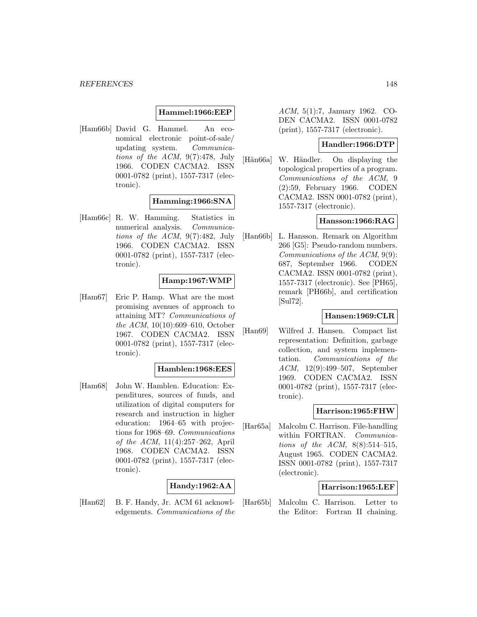### **Hammel:1966:EEP**

[Ham66b] David G. Hammel. An economical electronic point-of-sale/ updating system. Communications of the ACM, 9(7):478, July 1966. CODEN CACMA2. ISSN 0001-0782 (print), 1557-7317 (electronic).

### **Hamming:1966:SNA**

[Ham66c] R. W. Hamming. Statistics in numerical analysis. Communications of the ACM, 9(7):482, July 1966. CODEN CACMA2. ISSN 0001-0782 (print), 1557-7317 (electronic).

## **Hamp:1967:WMP**

[Ham67] Eric P. Hamp. What are the most promising avenues of approach to attaining MT? Communications of the ACM, 10(10):609–610, October 1967. CODEN CACMA2. ISSN 0001-0782 (print), 1557-7317 (electronic).

#### **Hamblen:1968:EES**

[Ham68] John W. Hamblen. Education: Expenditures, sources of funds, and utilization of digital computers for research and instruction in higher education: 1964–65 with projections for 1968–69. Communications of the ACM, 11(4):257–262, April 1968. CODEN CACMA2. ISSN 0001-0782 (print), 1557-7317 (electronic).

### **Handy:1962:AA**

[Han62] B. F. Handy, Jr. ACM 61 acknowledgements. Communications of the ACM, 5(1):7, January 1962. CO-DEN CACMA2. ISSN 0001-0782 (print), 1557-7317 (electronic).

### **Handler:1966:DTP**

[Hän66a] W. Händler. On displaying the topological properties of a program. Communications of the ACM, 9 (2):59, February 1966. CODEN CACMA2. ISSN 0001-0782 (print), 1557-7317 (electronic).

### **Hansson:1966:RAG**

[Han66b] L. Hansson. Remark on Algorithm 266 [G5]: Pseudo-random numbers. Communications of the ACM, 9(9): 687, September 1966. CODEN CACMA2. ISSN 0001-0782 (print), 1557-7317 (electronic). See [PH65], remark [PH66b], and certification [Sul72].

### **Hansen:1969:CLR**

[Han69] Wilfred J. Hansen. Compact list representation: Definition, garbage collection, and system implementation. Communications of the ACM, 12(9):499–507, September 1969. CODEN CACMA2. ISSN 0001-0782 (print), 1557-7317 (electronic).

### **Harrison:1965:FHW**

[Har65a] Malcolm C. Harrison. File-handling within FORTRAN. Communications of the ACM,  $8(8):514-515$ , August 1965. CODEN CACMA2. ISSN 0001-0782 (print), 1557-7317 (electronic).

### **Harrison:1965:LEF**

[Har65b] Malcolm C. Harrison. Letter to the Editor: Fortran II chaining.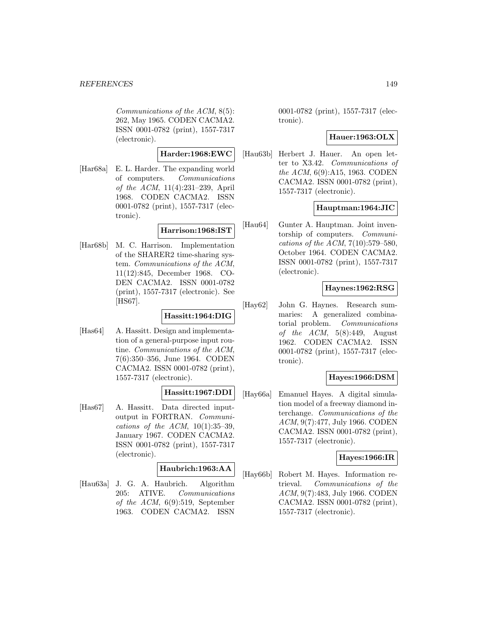Communications of the ACM, 8(5): 262, May 1965. CODEN CACMA2. ISSN 0001-0782 (print), 1557-7317 (electronic).

## **Harder:1968:EWC**

[Har68a] E. L. Harder. The expanding world of computers. Communications of the ACM, 11(4):231–239, April 1968. CODEN CACMA2. ISSN 0001-0782 (print), 1557-7317 (electronic).

### **Harrison:1968:IST**

[Har68b] M. C. Harrison. Implementation of the SHARER2 time-sharing system. Communications of the ACM, 11(12):845, December 1968. CO-DEN CACMA2. ISSN 0001-0782 (print), 1557-7317 (electronic). See [HS67].

# **Hassitt:1964:DIG**

[Has64] A. Hassitt. Design and implementation of a general-purpose input routine. Communications of the ACM, 7(6):350–356, June 1964. CODEN CACMA2. ISSN 0001-0782 (print), 1557-7317 (electronic).

### **Hassitt:1967:DDI**

[Has67] A. Hassitt. Data directed inputoutput in FORTRAN. Communications of the ACM,  $10(1):35-39$ , January 1967. CODEN CACMA2. ISSN 0001-0782 (print), 1557-7317 (electronic).

### **Haubrich:1963:AA**

[Hau63a] J. G. A. Haubrich. Algorithm 205: ATIVE. Communications of the ACM, 6(9):519, September 1963. CODEN CACMA2. ISSN

0001-0782 (print), 1557-7317 (electronic).

## **Hauer:1963:OLX**

[Hau63b] Herbert J. Hauer. An open letter to X3.42. Communications of the ACM, 6(9):A15, 1963. CODEN CACMA2. ISSN 0001-0782 (print), 1557-7317 (electronic).

## **Hauptman:1964:JIC**

[Hau64] Gunter A. Hauptman. Joint inventorship of computers. Communications of the ACM, 7(10):579–580, October 1964. CODEN CACMA2. ISSN 0001-0782 (print), 1557-7317 (electronic).

## **Haynes:1962:RSG**

[Hay62] John G. Haynes. Research summaries: A generalized combinatorial problem. Communications of the  $ACM$ ,  $5(8):449$ , August 1962. CODEN CACMA2. ISSN 0001-0782 (print), 1557-7317 (electronic).

### **Hayes:1966:DSM**

[Hay66a] Emanuel Hayes. A digital simulation model of a freeway diamond interchange. Communications of the ACM, 9(7):477, July 1966. CODEN CACMA2. ISSN 0001-0782 (print), 1557-7317 (electronic).

### **Hayes:1966:IR**

[Hay66b] Robert M. Hayes. Information retrieval. Communications of the ACM, 9(7):483, July 1966. CODEN CACMA2. ISSN 0001-0782 (print), 1557-7317 (electronic).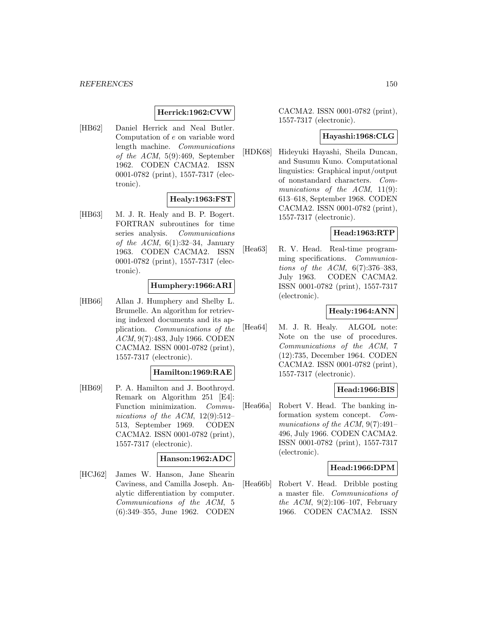## **Herrick:1962:CVW**

[HB62] Daniel Herrick and Neal Butler. Computation of e on variable word length machine. Communications of the ACM, 5(9):469, September 1962. CODEN CACMA2. ISSN 0001-0782 (print), 1557-7317 (electronic).

### **Healy:1963:FST**

[HB63] M. J. R. Healy and B. P. Bogert. FORTRAN subroutines for time series analysis. *Communications* of the ACM,  $6(1):32-34$ , January 1963. CODEN CACMA2. ISSN 0001-0782 (print), 1557-7317 (electronic).

## **Humphery:1966:ARI**

[HB66] Allan J. Humphery and Shelby L. Brumelle. An algorithm for retrieving indexed documents and its application. Communications of the ACM, 9(7):483, July 1966. CODEN CACMA2. ISSN 0001-0782 (print), 1557-7317 (electronic).

# **Hamilton:1969:RAE**

[HB69] P. A. Hamilton and J. Boothroyd. Remark on Algorithm 251 [E4]: Function minimization. Communications of the ACM,  $12(9):512-$ 513, September 1969. CODEN CACMA2. ISSN 0001-0782 (print), 1557-7317 (electronic).

#### **Hanson:1962:ADC**

[HCJ62] James W. Hanson, Jane Shearin Caviness, and Camilla Joseph. Analytic differentiation by computer. Communications of the ACM, 5 (6):349–355, June 1962. CODEN

CACMA2. ISSN 0001-0782 (print), 1557-7317 (electronic).

## **Hayashi:1968:CLG**

[HDK68] Hideyuki Hayashi, Sheila Duncan, and Susumu Kuno. Computational linguistics: Graphical input/output of nonstandard characters. Communications of the ACM, 11(9): 613–618, September 1968. CODEN CACMA2. ISSN 0001-0782 (print), 1557-7317 (electronic).

### **Head:1963:RTP**

[Hea63] R. V. Head. Real-time programming specifications. Communications of the ACM, 6(7):376–383, July 1963. CODEN CACMA2. ISSN 0001-0782 (print), 1557-7317 (electronic).

# **Healy:1964:ANN**

[Hea64] M. J. R. Healy. ALGOL note: Note on the use of procedures. Communications of the ACM, 7 (12):735, December 1964. CODEN CACMA2. ISSN 0001-0782 (print), 1557-7317 (electronic).

## **Head:1966:BIS**

[Hea66a] Robert V. Head. The banking information system concept. Communications of the ACM, 9(7):491– 496, July 1966. CODEN CACMA2. ISSN 0001-0782 (print), 1557-7317 (electronic).

### **Head:1966:DPM**

[Hea66b] Robert V. Head. Dribble posting a master file. Communications of the ACM,  $9(2):106-107$ , February 1966. CODEN CACMA2. ISSN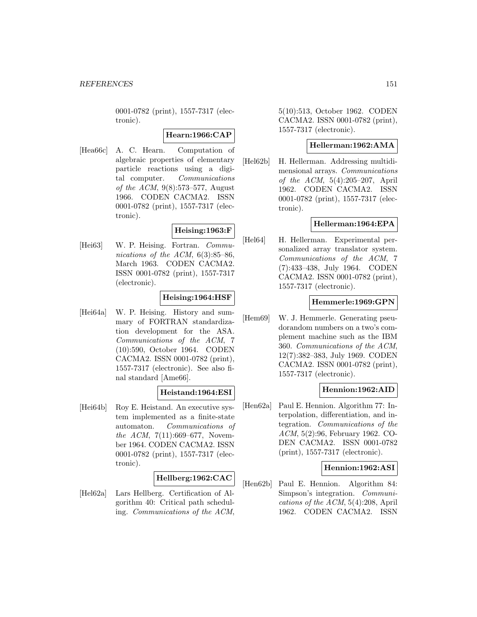0001-0782 (print), 1557-7317 (electronic).

## **Hearn:1966:CAP**

[Hea66c] A. C. Hearn. Computation of algebraic properties of elementary particle reactions using a digital computer. Communications of the ACM, 9(8):573–577, August 1966. CODEN CACMA2. ISSN 0001-0782 (print), 1557-7317 (electronic).

## **Heising:1963:F**

[Hei63] W. P. Heising. Fortran. Communications of the ACM,  $6(3):85-86$ , March 1963. CODEN CACMA2. ISSN 0001-0782 (print), 1557-7317 (electronic).

## **Heising:1964:HSF**

[Hei64a] W. P. Heising. History and summary of FORTRAN standardization development for the ASA. Communications of the ACM, 7 (10):590, October 1964. CODEN CACMA2. ISSN 0001-0782 (print), 1557-7317 (electronic). See also final standard [Ame66].

### **Heistand:1964:ESI**

[Hei64b] Roy E. Heistand. An executive system implemented as a finite-state automaton. Communications of the ACM, 7(11):669–677, November 1964. CODEN CACMA2. ISSN 0001-0782 (print), 1557-7317 (electronic).

## **Hellberg:1962:CAC**

[Hel62a] Lars Hellberg. Certification of Algorithm 40: Critical path scheduling. Communications of the ACM, 5(10):513, October 1962. CODEN CACMA2. ISSN 0001-0782 (print), 1557-7317 (electronic).

### **Hellerman:1962:AMA**

[Hel62b] H. Hellerman. Addressing multidimensional arrays. Communications of the ACM, 5(4):205–207, April 1962. CODEN CACMA2. ISSN 0001-0782 (print), 1557-7317 (electronic).

### **Hellerman:1964:EPA**

[Hel64] H. Hellerman. Experimental personalized array translator system. Communications of the ACM, 7 (7):433–438, July 1964. CODEN CACMA2. ISSN 0001-0782 (print), 1557-7317 (electronic).

### **Hemmerle:1969:GPN**

[Hem69] W. J. Hemmerle. Generating pseudorandom numbers on a two's complement machine such as the IBM 360. Communications of the ACM, 12(7):382–383, July 1969. CODEN CACMA2. ISSN 0001-0782 (print), 1557-7317 (electronic).

## **Hennion:1962:AID**

[Hen62a] Paul E. Hennion. Algorithm 77: Interpolation, differentiation, and integration. Communications of the ACM, 5(2):96, February 1962. CO-DEN CACMA2. ISSN 0001-0782 (print), 1557-7317 (electronic).

### **Hennion:1962:ASI**

[Hen62b] Paul E. Hennion. Algorithm 84: Simpson's integration. Communications of the ACM, 5(4):208, April 1962. CODEN CACMA2. ISSN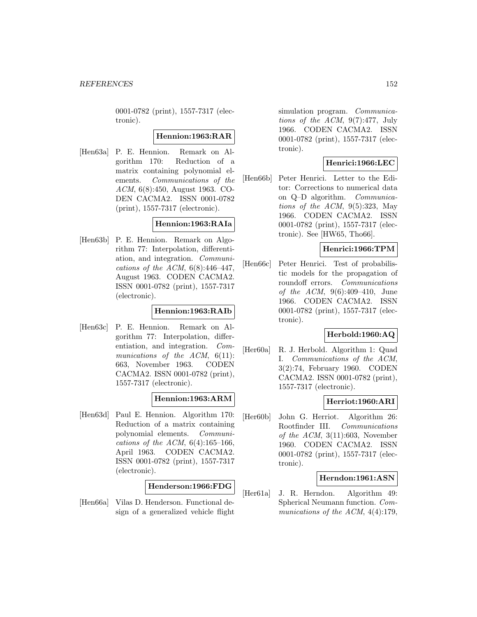0001-0782 (print), 1557-7317 (electronic).

### **Hennion:1963:RAR**

[Hen63a] P. E. Hennion. Remark on Algorithm 170: Reduction of a matrix containing polynomial elements. Communications of the ACM, 6(8):450, August 1963. CO-DEN CACMA2. ISSN 0001-0782 (print), 1557-7317 (electronic).

### **Hennion:1963:RAIa**

[Hen63b] P. E. Hennion. Remark on Algorithm 77: Interpolation, differentiation, and integration. Communications of the ACM,  $6(8):446-447$ , August 1963. CODEN CACMA2. ISSN 0001-0782 (print), 1557-7317 (electronic).

### **Hennion:1963:RAIb**

[Hen63c] P. E. Hennion. Remark on Algorithm 77: Interpolation, differentiation, and integration. Communications of the  $ACM$ ,  $6(11)$ : 663, November 1963. CODEN CACMA2. ISSN 0001-0782 (print), 1557-7317 (electronic).

## **Hennion:1963:ARM**

[Hen63d] Paul E. Hennion. Algorithm 170: Reduction of a matrix containing polynomial elements. Communications of the ACM,  $6(4):165-166$ , April 1963. CODEN CACMA2. ISSN 0001-0782 (print), 1557-7317 (electronic).

#### **Henderson:1966:FDG**

[Hen66a] Vilas D. Henderson. Functional design of a generalized vehicle flight simulation program. *Communica*tions of the ACM,  $9(7):477$ , July 1966. CODEN CACMA2. ISSN 0001-0782 (print), 1557-7317 (electronic).

## **Henrici:1966:LEC**

[Hen66b] Peter Henrici. Letter to the Editor: Corrections to numerical data on Q–D algorithm. Communications of the ACM,  $9(5):323$ , May 1966. CODEN CACMA2. ISSN 0001-0782 (print), 1557-7317 (electronic). See [HW65, Tho66].

### **Henrici:1966:TPM**

[Hen66c] Peter Henrici. Test of probabilistic models for the propagation of roundoff errors. Communications of the ACM, 9(6):409–410, June 1966. CODEN CACMA2. ISSN 0001-0782 (print), 1557-7317 (electronic).

### **Herbold:1960:AQ**

[Her60a] R. J. Herbold. Algorithm 1: Quad I. Communications of the ACM, 3(2):74, February 1960. CODEN CACMA2. ISSN 0001-0782 (print), 1557-7317 (electronic).

### **Herriot:1960:ARI**

[Her60b] John G. Herriot. Algorithm 26: Rootfinder III. Communications of the  $ACM$ , 3(11):603, November 1960. CODEN CACMA2. ISSN 0001-0782 (print), 1557-7317 (electronic).

#### **Herndon:1961:ASN**

[Her61a] J. R. Herndon. Algorithm 49: Spherical Neumann function. Communications of the ACM,  $4(4):179$ ,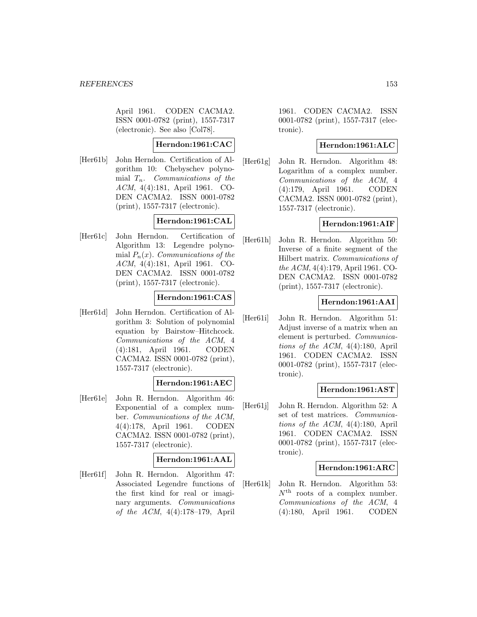April 1961. CODEN CACMA2. ISSN 0001-0782 (print), 1557-7317 (electronic). See also [Col78].

# **Herndon:1961:CAC**

[Her61b] John Herndon. Certification of Algorithm 10: Chebyschev polynomial  $T_n$ . Communications of the ACM, 4(4):181, April 1961. CO-DEN CACMA2. ISSN 0001-0782 (print), 1557-7317 (electronic).

# **Herndon:1961:CAL**

[Her61c] John Herndon. Certification of Algorithm 13: Legendre polynomial  $P_n(x)$ . Communications of the ACM, 4(4):181, April 1961. CO-DEN CACMA2. ISSN 0001-0782 (print), 1557-7317 (electronic).

## **Herndon:1961:CAS**

[Her61d] John Herndon. Certification of Algorithm 3: Solution of polynomial equation by Bairstow–Hitchcock. Communications of the ACM, 4 (4):181, April 1961. CODEN CACMA2. ISSN 0001-0782 (print), 1557-7317 (electronic).

### **Herndon:1961:AEC**

[Her61e] John R. Herndon. Algorithm 46: Exponential of a complex number. Communications of the ACM, 4(4):178, April 1961. CODEN CACMA2. ISSN 0001-0782 (print), 1557-7317 (electronic).

#### **Herndon:1961:AAL**

[Her61f] John R. Herndon. Algorithm 47: Associated Legendre functions of the first kind for real or imaginary arguments. Communications of the ACM, 4(4):178–179, April

1961. CODEN CACMA2. ISSN 0001-0782 (print), 1557-7317 (electronic).

### **Herndon:1961:ALC**

[Her61g] John R. Herndon. Algorithm 48: Logarithm of a complex number. Communications of the ACM, 4 (4):179, April 1961. CODEN CACMA2. ISSN 0001-0782 (print), 1557-7317 (electronic).

### **Herndon:1961:AIF**

[Her61h] John R. Herndon. Algorithm 50: Inverse of a finite segment of the Hilbert matrix. Communications of the ACM, 4(4):179, April 1961. CO-DEN CACMA2. ISSN 0001-0782 (print), 1557-7317 (electronic).

# **Herndon:1961:AAI**

[Her61i] John R. Herndon. Algorithm 51: Adjust inverse of a matrix when an element is perturbed. Communications of the ACM, 4(4):180, April 1961. CODEN CACMA2. ISSN 0001-0782 (print), 1557-7317 (electronic).

### **Herndon:1961:AST**

[Her61j] John R. Herndon. Algorithm 52: A set of test matrices. Communications of the ACM, 4(4):180, April 1961. CODEN CACMA2. ISSN 0001-0782 (print), 1557-7317 (electronic).

### **Herndon:1961:ARC**

[Her61k] John R. Herndon. Algorithm 53:  $N^{\text{th}}$  roots of a complex number. Communications of the ACM, 4 (4):180, April 1961. CODEN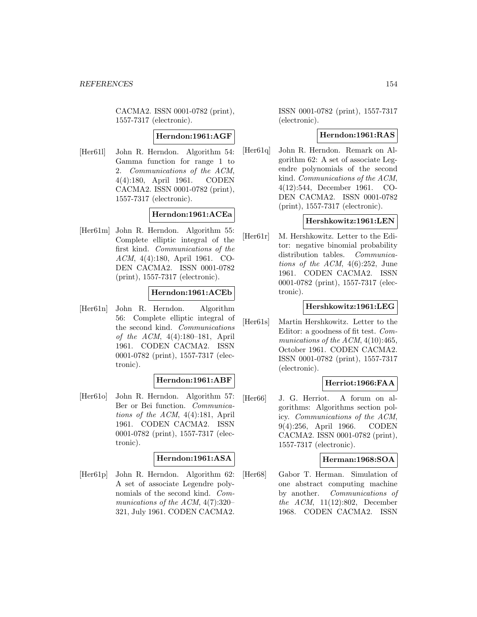CACMA2. ISSN 0001-0782 (print), 1557-7317 (electronic).

### **Herndon:1961:AGF**

[Her61l] John R. Herndon. Algorithm 54: Gamma function for range 1 to 2. Communications of the ACM, 4(4):180, April 1961. CODEN CACMA2. ISSN 0001-0782 (print), 1557-7317 (electronic).

## **Herndon:1961:ACEa**

[Her61m] John R. Herndon. Algorithm 55: Complete elliptic integral of the first kind. Communications of the ACM, 4(4):180, April 1961. CO-DEN CACMA2. ISSN 0001-0782 (print), 1557-7317 (electronic).

### **Herndon:1961:ACEb**

[Her61n] John R. Herndon. Algorithm 56: Complete elliptic integral of the second kind. Communications of the ACM, 4(4):180–181, April 1961. CODEN CACMA2. ISSN 0001-0782 (print), 1557-7317 (electronic).

### **Herndon:1961:ABF**

[Her61o] John R. Herndon. Algorithm 57: Ber or Bei function. Communications of the ACM, 4(4):181, April 1961. CODEN CACMA2. ISSN 0001-0782 (print), 1557-7317 (electronic).

### **Herndon:1961:ASA**

[Her61p] John R. Herndon. Algorithm 62: A set of associate Legendre polynomials of the second kind. Communications of the ACM, 4(7):320– 321, July 1961. CODEN CACMA2.

ISSN 0001-0782 (print), 1557-7317 (electronic).

### **Herndon:1961:RAS**

[Her61q] John R. Herndon. Remark on Algorithm 62: A set of associate Legendre polynomials of the second kind. Communications of the ACM, 4(12):544, December 1961. CO-DEN CACMA2. ISSN 0001-0782 (print), 1557-7317 (electronic).

### **Hershkowitz:1961:LEN**

[Her61r] M. Hershkowitz. Letter to the Editor: negative binomial probability distribution tables. *Communica*tions of the ACM,  $4(6):252$ , June 1961. CODEN CACMA2. ISSN 0001-0782 (print), 1557-7317 (electronic).

## **Hershkowitz:1961:LEG**

[Her61s] Martin Hershkowitz. Letter to the Editor: a goodness of fit test. Communications of the ACM,  $4(10):465$ , October 1961. CODEN CACMA2. ISSN 0001-0782 (print), 1557-7317 (electronic).

### **Herriot:1966:FAA**

[Her66] J. G. Herriot. A forum on algorithms: Algorithms section policy. Communications of the ACM, 9(4):256, April 1966. CODEN CACMA2. ISSN 0001-0782 (print), 1557-7317 (electronic).

### **Herman:1968:SOA**

[Her68] Gabor T. Herman. Simulation of one abstract computing machine by another. Communications of the ACM, 11(12):802, December 1968. CODEN CACMA2. ISSN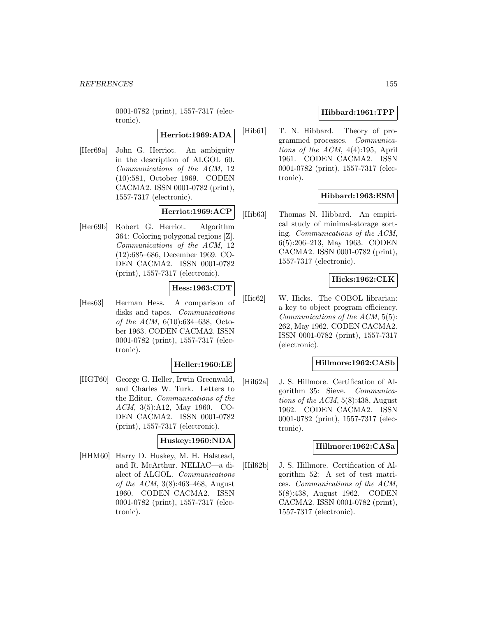0001-0782 (print), 1557-7317 (electronic).

#### **Herriot:1969:ADA**

[Her69a] John G. Herriot. An ambiguity in the description of ALGOL 60. Communications of the ACM, 12 (10):581, October 1969. CODEN CACMA2. ISSN 0001-0782 (print), 1557-7317 (electronic).

### **Herriot:1969:ACP**

[Her69b] Robert G. Herriot. Algorithm 364: Coloring polygonal regions [Z]. Communications of the ACM, 12 (12):685–686, December 1969. CO-DEN CACMA2. ISSN 0001-0782 (print), 1557-7317 (electronic).

# **Hess:1963:CDT**

[Hes63] Herman Hess. A comparison of disks and tapes. Communications of the ACM, 6(10):634–638, October 1963. CODEN CACMA2. ISSN 0001-0782 (print), 1557-7317 (electronic).

## **Heller:1960:LE**

[HGT60] George G. Heller, Irwin Greenwald, and Charles W. Turk. Letters to the Editor. Communications of the ACM, 3(5):A12, May 1960. CO-DEN CACMA2. ISSN 0001-0782 (print), 1557-7317 (electronic).

#### **Huskey:1960:NDA**

[HHM60] Harry D. Huskey, M. H. Halstead, and R. McArthur. NELIAC—a dialect of ALGOL. Communications of the ACM, 3(8):463–468, August 1960. CODEN CACMA2. ISSN 0001-0782 (print), 1557-7317 (electronic).

# **Hibbard:1961:TPP**

[Hib61] T. N. Hibbard. Theory of programmed processes. Communications of the ACM, 4(4):195, April 1961. CODEN CACMA2. ISSN 0001-0782 (print), 1557-7317 (electronic).

# **Hibbard:1963:ESM**

[Hib63] Thomas N. Hibbard. An empirical study of minimal-storage sorting. Communications of the ACM, 6(5):206–213, May 1963. CODEN CACMA2. ISSN 0001-0782 (print), 1557-7317 (electronic).

### **Hicks:1962:CLK**

[Hic62] W. Hicks. The COBOL librarian: a key to object program efficiency. Communications of the ACM, 5(5): 262, May 1962. CODEN CACMA2. ISSN 0001-0782 (print), 1557-7317 (electronic).

### **Hillmore:1962:CASb**

[Hil62a] J. S. Hillmore. Certification of Algorithm 35: Sieve. Communications of the ACM,  $5(8)$ :438, August 1962. CODEN CACMA2. ISSN 0001-0782 (print), 1557-7317 (electronic).

### **Hillmore:1962:CASa**

[Hil62b] J. S. Hillmore. Certification of Algorithm 52: A set of test matrices. Communications of the ACM, 5(8):438, August 1962. CODEN CACMA2. ISSN 0001-0782 (print), 1557-7317 (electronic).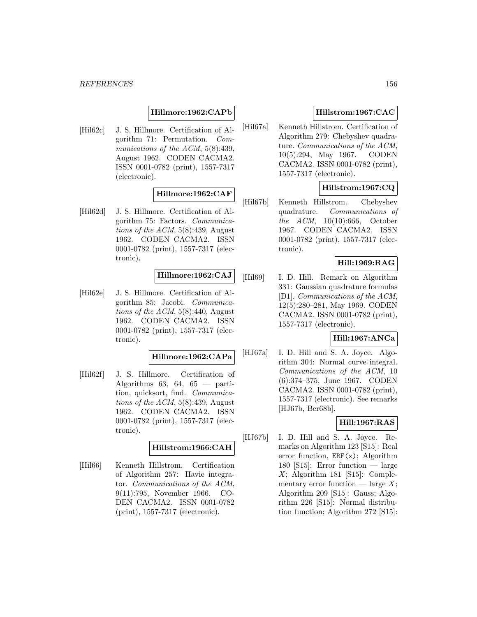## **Hillmore:1962:CAPb**

[Hil62c] J. S. Hillmore. Certification of Algorithm 71: Permutation. Communications of the ACM,  $5(8):439$ , August 1962. CODEN CACMA2. ISSN 0001-0782 (print), 1557-7317 (electronic).

# **Hillmore:1962:CAF**

[Hil62d] J. S. Hillmore. Certification of Algorithm 75: Factors. Communications of the ACM, 5(8):439, August 1962. CODEN CACMA2. ISSN 0001-0782 (print), 1557-7317 (electronic).

## **Hillmore:1962:CAJ**

[Hil62e] J. S. Hillmore. Certification of Algorithm 85: Jacobi. Communications of the  $ACM$ ,  $5(8):440$ , August 1962. CODEN CACMA2. ISSN 0001-0782 (print), 1557-7317 (electronic).

**Hillmore:1962:CAPa**

[Hil62f] J. S. Hillmore. Certification of Algorithms 63, 64, 65 — partition, quicksort, find. Communications of the ACM, 5(8):439, August 1962. CODEN CACMA2. ISSN 0001-0782 (print), 1557-7317 (electronic).

### **Hillstrom:1966:CAH**

[Hil66] Kenneth Hillstrom. Certification of Algorithm 257: Havie integrator. Communications of the ACM, 9(11):795, November 1966. CO-DEN CACMA2. ISSN 0001-0782 (print), 1557-7317 (electronic).

# **Hillstrom:1967:CAC**

[Hil67a] Kenneth Hillstrom. Certification of Algorithm 279: Chebyshev quadrature. Communications of the ACM, 10(5):294, May 1967. CODEN CACMA2. ISSN 0001-0782 (print), 1557-7317 (electronic).

# **Hillstrom:1967:CQ**

[Hil67b] Kenneth Hillstrom. Chebyshev quadrature. Communications of the ACM, 10(10):666, October 1967. CODEN CACMA2. ISSN 0001-0782 (print), 1557-7317 (electronic).

### **Hill:1969:RAG**

[Hil69] I. D. Hill. Remark on Algorithm 331: Gaussian quadrature formulas [D1]. Communications of the ACM, 12(5):280–281, May 1969. CODEN CACMA2. ISSN 0001-0782 (print), 1557-7317 (electronic).

## **Hill:1967:ANCa**

[HJ67a] I. D. Hill and S. A. Joyce. Algorithm 304: Normal curve integral. Communications of the ACM, 10 (6):374–375, June 1967. CODEN CACMA2. ISSN 0001-0782 (print), 1557-7317 (electronic). See remarks [HJ67b, Ber68b].

### **Hill:1967:RAS**

[HJ67b] I. D. Hill and S. A. Joyce. Remarks on Algorithm 123 [S15]: Real error function,  $ERF(x)$ ; Algorithm 180 [S15]: Error function — large  $X$ ; Algorithm 181 [S15]: Complementary error function — large  $X$ ; Algorithm 209 [S15]: Gauss; Algorithm 226 [S15]: Normal distribution function; Algorithm 272 [S15]: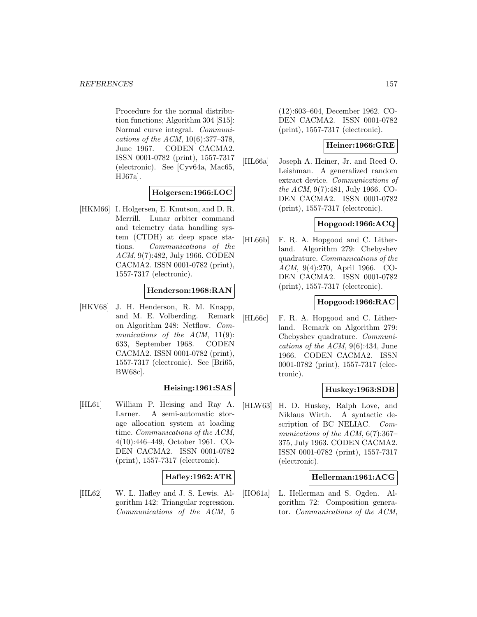Procedure for the normal distribution functions; Algorithm 304 [S15]: Normal curve integral. Communications of the ACM, 10(6):377–378, June 1967. CODEN CACMA2. ISSN 0001-0782 (print), 1557-7317 (electronic). See [Cyv64a, Mac65, HJ67a].

### **Holgersen:1966:LOC**

[HKM66] I. Holgersen, E. Knutson, and D. R. Merrill. Lunar orbiter command and telemetry data handling system (CTDH) at deep space stations. Communications of the ACM, 9(7):482, July 1966. CODEN CACMA2. ISSN 0001-0782 (print), 1557-7317 (electronic).

### **Henderson:1968:RAN**

[HKV68] J. H. Henderson, R. M. Knapp, and M. E. Volberding. Remark on Algorithm 248: Netflow. Communications of the ACM, 11(9): 633, September 1968. CODEN CACMA2. ISSN 0001-0782 (print), 1557-7317 (electronic). See [Bri65, BW68c].

### **Heising:1961:SAS**

[HL61] William P. Heising and Ray A. Larner. A semi-automatic storage allocation system at loading time. Communications of the ACM, 4(10):446–449, October 1961. CO-DEN CACMA2. ISSN 0001-0782 (print), 1557-7317 (electronic).

## **Hafley:1962:ATR**

[HL62] W. L. Hafley and J. S. Lewis. Algorithm 142: Triangular regression. Communications of the ACM, 5 (12):603–604, December 1962. CO-DEN CACMA2. ISSN 0001-0782 (print), 1557-7317 (electronic).

## **Heiner:1966:GRE**

[HL66a] Joseph A. Heiner, Jr. and Reed O. Leishman. A generalized random extract device. Communications of the ACM, 9(7):481, July 1966. CO-DEN CACMA2. ISSN 0001-0782 (print), 1557-7317 (electronic).

# **Hopgood:1966:ACQ**

[HL66b] F. R. A. Hopgood and C. Litherland. Algorithm 279: Chebyshev quadrature. Communications of the ACM, 9(4):270, April 1966. CO-DEN CACMA2. ISSN 0001-0782 (print), 1557-7317 (electronic).

### **Hopgood:1966:RAC**

[HL66c] F. R. A. Hopgood and C. Litherland. Remark on Algorithm 279: Chebyshev quadrature. Communications of the ACM, 9(6):434, June 1966. CODEN CACMA2. ISSN 0001-0782 (print), 1557-7317 (electronic).

# **Huskey:1963:SDB**

[HLW63] H. D. Huskey, Ralph Love, and Niklaus Wirth. A syntactic description of BC NELIAC. Communications of the ACM, 6(7):367– 375, July 1963. CODEN CACMA2. ISSN 0001-0782 (print), 1557-7317 (electronic).

### **Hellerman:1961:ACG**

[HO61a] L. Hellerman and S. Ogden. Algorithm 72: Composition generator. Communications of the ACM,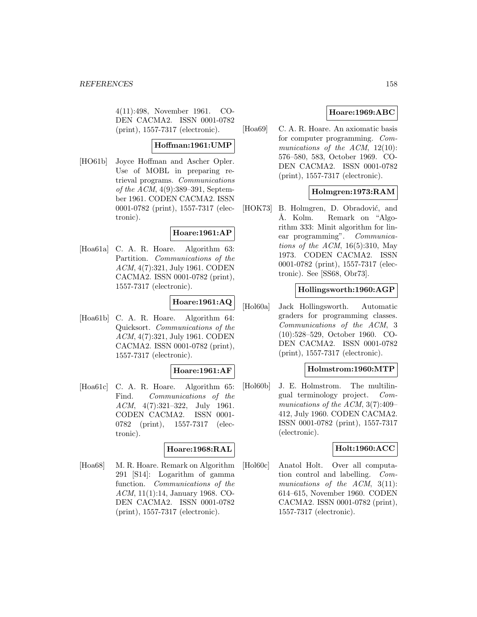4(11):498, November 1961. CO-DEN CACMA2. ISSN 0001-0782 (print), 1557-7317 (electronic).

## **Hoffman:1961:UMP**

[HO61b] Joyce Hoffman and Ascher Opler. Use of MOBL in preparing retrieval programs. Communications of the ACM, 4(9):389–391, September 1961. CODEN CACMA2. ISSN 0001-0782 (print), 1557-7317 (electronic).

### **Hoare:1961:AP**

[Hoa61a] C. A. R. Hoare. Algorithm 63: Partition. Communications of the ACM, 4(7):321, July 1961. CODEN CACMA2. ISSN 0001-0782 (print), 1557-7317 (electronic).

# **Hoare:1961:AQ**

[Hoa61b] C. A. R. Hoare. Algorithm 64: Quicksort. Communications of the ACM, 4(7):321, July 1961. CODEN CACMA2. ISSN 0001-0782 (print), 1557-7317 (electronic).

### **Hoare:1961:AF**

[Hoa61c] C. A. R. Hoare. Algorithm 65: Find. Communications of the ACM, 4(7):321–322, July 1961. CODEN CACMA2. ISSN 0001- 0782 (print), 1557-7317 (electronic).

# **Hoare:1968:RAL**

[Hoa68] M. R. Hoare. Remark on Algorithm 291 [S14]: Logarithm of gamma function. Communications of the ACM, 11(1):14, January 1968. CO-DEN CACMA2. ISSN 0001-0782 (print), 1557-7317 (electronic).

# **Hoare:1969:ABC**

[Hoa69] C. A. R. Hoare. An axiomatic basis for computer programming. Communications of the ACM, 12(10): 576–580, 583, October 1969. CO-DEN CACMA2. ISSN 0001-0782 (print), 1557-7317 (electronic).

# **Holmgren:1973:RAM**

[HOK73] B. Holmgren, D. Obradović, and Å. Kolm. Remark on "Algorithm 333: Minit algorithm for linear programming". Communications of the ACM,  $16(5):310$ , May 1973. CODEN CACMA2. ISSN 0001-0782 (print), 1557-7317 (electronic). See [SS68, Obr73].

### **Hollingsworth:1960:AGP**

[Hol60a] Jack Hollingsworth. Automatic graders for programming classes. Communications of the ACM, 3 (10):528–529, October 1960. CO-DEN CACMA2. ISSN 0001-0782 (print), 1557-7317 (electronic).

### **Holmstrom:1960:MTP**

[Hol60b] J. E. Holmstrom. The multilingual terminology project. Communications of the ACM, 3(7):409– 412, July 1960. CODEN CACMA2. ISSN 0001-0782 (print), 1557-7317 (electronic).

### **Holt:1960:ACC**

[Hol60c] Anatol Holt. Over all computation control and labelling. Communications of the ACM, 3(11): 614–615, November 1960. CODEN CACMA2. ISSN 0001-0782 (print), 1557-7317 (electronic).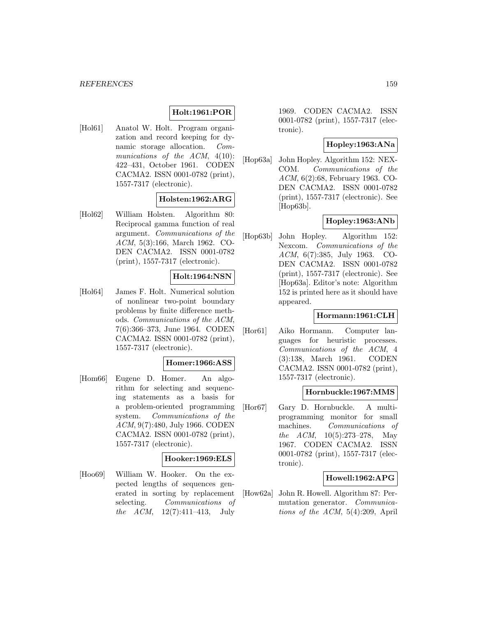# **Holt:1961:POR**

[Hol61] Anatol W. Holt. Program organization and record keeping for dynamic storage allocation. Communications of the ACM,  $4(10)$ : 422–431, October 1961. CODEN CACMA2. ISSN 0001-0782 (print), 1557-7317 (electronic).

## **Holsten:1962:ARG**

[Hol62] William Holsten. Algorithm 80: Reciprocal gamma function of real argument. Communications of the ACM, 5(3):166, March 1962. CO-DEN CACMA2. ISSN 0001-0782 (print), 1557-7317 (electronic).

## **Holt:1964:NSN**

[Hol64] James F. Holt. Numerical solution of nonlinear two-point boundary problems by finite difference methods. Communications of the ACM, 7(6):366–373, June 1964. CODEN CACMA2. ISSN 0001-0782 (print), 1557-7317 (electronic).

#### **Homer:1966:ASS**

[Hom66] Eugene D. Homer. An algorithm for selecting and sequencing statements as a basis for a problem-oriented programming system. Communications of the ACM, 9(7):480, July 1966. CODEN CACMA2. ISSN 0001-0782 (print), 1557-7317 (electronic).

# **Hooker:1969:ELS**

[Hoo69] William W. Hooker. On the expected lengths of sequences generated in sorting by replacement selecting. Communications of the ACM, 12(7):411–413, July

1969. CODEN CACMA2. ISSN 0001-0782 (print), 1557-7317 (electronic).

## **Hopley:1963:ANa**

[Hop63a] John Hopley. Algorithm 152: NEX-COM. Communications of the ACM, 6(2):68, February 1963. CO-DEN CACMA2. ISSN 0001-0782 (print), 1557-7317 (electronic). See [Hop63b].

## **Hopley:1963:ANb**

[Hop63b] John Hopley. Algorithm 152: Nexcom. Communications of the ACM, 6(7):385, July 1963. CO-DEN CACMA2. ISSN 0001-0782 (print), 1557-7317 (electronic). See [Hop63a]. Editor's note: Algorithm 152 is printed here as it should have appeared.

### **Hormann:1961:CLH**

[Hor61] Aiko Hormann. Computer languages for heuristic processes. Communications of the ACM, 4 (3):138, March 1961. CODEN CACMA2. ISSN 0001-0782 (print), 1557-7317 (electronic).

### **Hornbuckle:1967:MMS**

[Hor67] Gary D. Hornbuckle. A multiprogramming monitor for small machines. Communications of the ACM, 10(5):273–278, May 1967. CODEN CACMA2. ISSN 0001-0782 (print), 1557-7317 (electronic).

### **Howell:1962:APG**

[How62a] John R. Howell. Algorithm 87: Permutation generator. Communications of the ACM, 5(4):209, April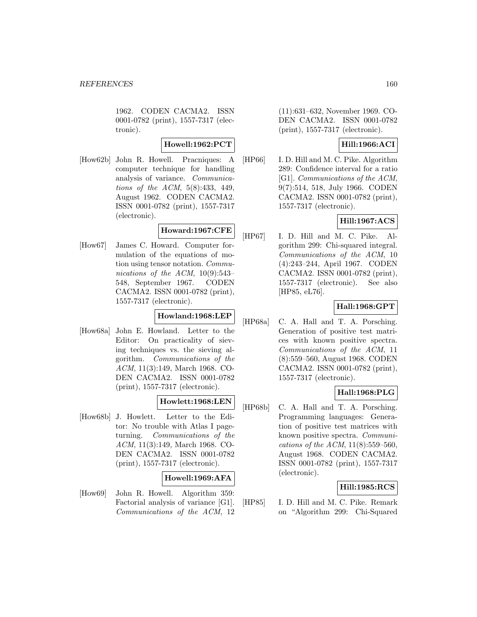1962. CODEN CACMA2. ISSN 0001-0782 (print), 1557-7317 (electronic).

**Howell:1962:PCT**

[How62b] John R. Howell. Pracniques: A computer technique for handling analysis of variance. Communications of the ACM, 5(8):433, 449, August 1962. CODEN CACMA2. ISSN 0001-0782 (print), 1557-7317 (electronic).

# **Howard:1967:CFE**

[How67] James C. Howard. Computer formulation of the equations of motion using tensor notation. Communications of the ACM, 10(9):543– 548, September 1967. CODEN CACMA2. ISSN 0001-0782 (print), 1557-7317 (electronic).

### **Howland:1968:LEP**

[How68a] John E. Howland. Letter to the Editor: On practicality of sieving techniques vs. the sieving algorithm. Communications of the ACM, 11(3):149, March 1968. CO-DEN CACMA2. ISSN 0001-0782 (print), 1557-7317 (electronic).

# **Howlett:1968:LEN**

[How68b] J. Howlett. Letter to the Editor: No trouble with Atlas I pageturning. Communications of the ACM, 11(3):149, March 1968. CO-DEN CACMA2. ISSN 0001-0782 (print), 1557-7317 (electronic).

# **Howell:1969:AFA**

[How69] John R. Howell. Algorithm 359: Factorial analysis of variance [G1]. Communications of the ACM, 12 (11):631–632, November 1969. CO-DEN CACMA2. ISSN 0001-0782 (print), 1557-7317 (electronic).

# **Hill:1966:ACI**

[HP66] I. D. Hill and M. C. Pike. Algorithm 289: Confidence interval for a ratio [G1]. Communications of the ACM, 9(7):514, 518, July 1966. CODEN CACMA2. ISSN 0001-0782 (print), 1557-7317 (electronic).

## **Hill:1967:ACS**

[HP67] I. D. Hill and M. C. Pike. Algorithm 299: Chi-squared integral. Communications of the ACM, 10 (4):243–244, April 1967. CODEN CACMA2. ISSN 0001-0782 (print), 1557-7317 (electronic). See also [HP85, eL76].

# **Hall:1968:GPT**

[HP68a] C. A. Hall and T. A. Porsching. Generation of positive test matrices with known positive spectra. Communications of the ACM, 11 (8):559–560, August 1968. CODEN CACMA2. ISSN 0001-0782 (print), 1557-7317 (electronic).

# **Hall:1968:PLG**

[HP68b] C. A. Hall and T. A. Porsching. Programming languages: Generation of positive test matrices with known positive spectra. Communications of the ACM, 11(8):559–560, August 1968. CODEN CACMA2. ISSN 0001-0782 (print), 1557-7317 (electronic).

### **Hill:1985:RCS**

[HP85] I. D. Hill and M. C. Pike. Remark on "Algorithm 299: Chi-Squared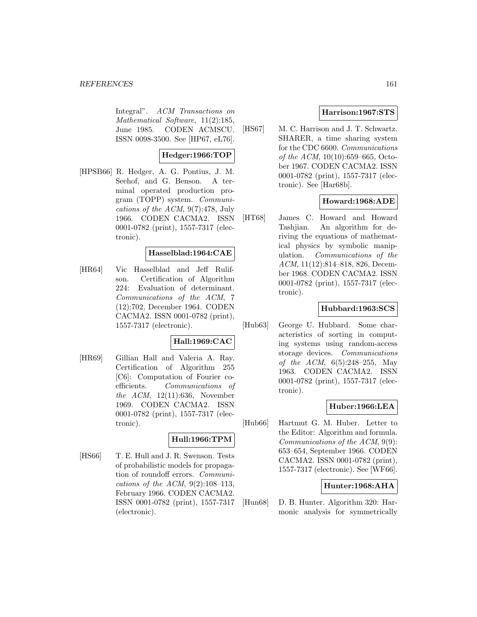Integral". ACM Transactions on Mathematical Software, 11(2):185, June 1985. CODEN ACMSCU. ISSN 0098-3500. See [HP67, eL76].

# **Hedger:1966:TOP**

[HPSB66] R. Hedger, A. G. Pontius, J. M. Seehof, and G. Benson. A terminal operated production program (TOPP) system. Communications of the ACM, 9(7):478, July 1966. CODEN CACMA2. ISSN 0001-0782 (print), 1557-7317 (electronic).

## **Hasselblad:1964:CAE**

[HR64] Vic Hasselblad and Jeff Rulifson. Certification of Algorithm 224: Evaluation of determinant. Communications of the ACM, 7 (12):702, December 1964. CODEN CACMA2. ISSN 0001-0782 (print), 1557-7317 (electronic).

# **Hall:1969:CAC**

[HR69] Gillian Hall and Valeria A. Ray. Certification of Algorithm 255 [C6]: Computation of Fourier coefficients. Communications of the ACM,  $12(11):636$ , November 1969. CODEN CACMA2. ISSN 0001-0782 (print), 1557-7317 (electronic).

### **Hull:1966:TPM**

[HS66] T. E. Hull and J. R. Swenson. Tests of probabilistic models for propagation of roundoff errors. Communications of the ACM,  $9(2):108-113$ , February 1966. CODEN CACMA2. ISSN 0001-0782 (print), 1557-7317 (electronic).

## **Harrison:1967:STS**

[HS67] M. C. Harrison and J. T. Schwartz. SHARER, a time sharing system for the CDC 6600. Communications of the ACM, 10(10):659–665, October 1967. CODEN CACMA2. ISSN 0001-0782 (print), 1557-7317 (electronic). See [Har68b].

# **Howard:1968:ADE**

[HT68] James C. Howard and Howard Tashjian. An algorithm for deriving the equations of mathematical physics by symbolic manipulation. Communications of the ACM, 11(12):814–818, 826, December 1968. CODEN CACMA2. ISSN 0001-0782 (print), 1557-7317 (electronic).

### **Hubbard:1963:SCS**

[Hub63] George U. Hubbard. Some characteristics of sorting in computing systems using random-access storage devices. Communications of the ACM, 6(5):248–255, May 1963. CODEN CACMA2. ISSN 0001-0782 (print), 1557-7317 (electronic).

### **Huber:1966:LEA**

[Hub66] Hartmut G. M. Huber. Letter to the Editor: Algorithm and formula. Communications of the ACM, 9(9): 653–654, September 1966. CODEN CACMA2. ISSN 0001-0782 (print), 1557-7317 (electronic). See [WF66].

### **Hunter:1968:AHA**

[Hun68] D. B. Hunter. Algorithm 320: Harmonic analysis for symmetrically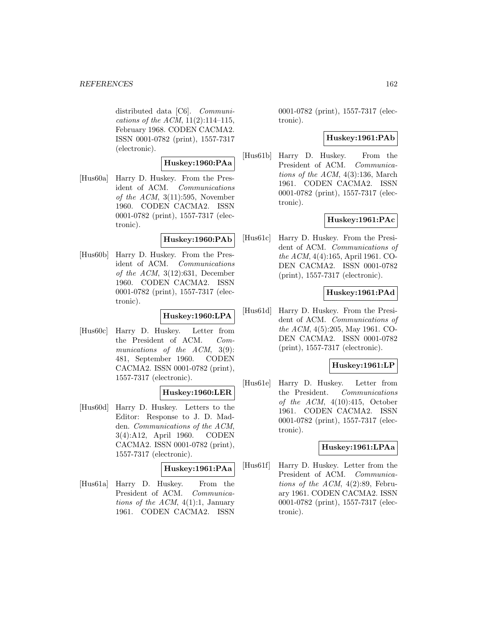distributed data [C6]. Communications of the ACM,  $11(2):114-115$ , February 1968. CODEN CACMA2. ISSN 0001-0782 (print), 1557-7317 (electronic).

## **Huskey:1960:PAa**

[Hus60a] Harry D. Huskey. From the President of ACM. Communications of the  $ACM$ ,  $3(11):595$ , November 1960. CODEN CACMA2. ISSN 0001-0782 (print), 1557-7317 (electronic).

### **Huskey:1960:PAb**

[Hus60b] Harry D. Huskey. From the President of ACM. Communications of the ACM,  $3(12):631$ , December 1960. CODEN CACMA2. ISSN 0001-0782 (print), 1557-7317 (electronic).

# **Huskey:1960:LPA**

[Hus60c] Harry D. Huskey. Letter from the President of ACM. Communications of the ACM, 3(9): 481, September 1960. CODEN CACMA2. ISSN 0001-0782 (print), 1557-7317 (electronic).

## **Huskey:1960:LER**

[Hus60d] Harry D. Huskey. Letters to the Editor: Response to J. D. Madden. Communications of the ACM, 3(4):A12, April 1960. CODEN CACMA2. ISSN 0001-0782 (print), 1557-7317 (electronic).

### **Huskey:1961:PAa**

[Hus61a] Harry D. Huskey. From the President of ACM. Communications of the ACM,  $4(1)$ :1, January 1961. CODEN CACMA2. ISSN

0001-0782 (print), 1557-7317 (electronic).

## **Huskey:1961:PAb**

[Hus61b] Harry D. Huskey. From the President of ACM. Communications of the ACM, 4(3):136, March 1961. CODEN CACMA2. ISSN 0001-0782 (print), 1557-7317 (electronic).

# **Huskey:1961:PAc**

[Hus61c] Harry D. Huskey. From the President of ACM. Communications of the ACM, 4(4):165, April 1961. CO-DEN CACMA2. ISSN 0001-0782 (print), 1557-7317 (electronic).

# **Huskey:1961:PAd**

[Hus61d] Harry D. Huskey. From the President of ACM. Communications of the ACM, 4(5):205, May 1961. CO-DEN CACMA2. ISSN 0001-0782 (print), 1557-7317 (electronic).

### **Huskey:1961:LP**

[Hus61e] Harry D. Huskey. Letter from the President. Communications of the  $ACM$ ,  $4(10):415$ , October 1961. CODEN CACMA2. ISSN 0001-0782 (print), 1557-7317 (electronic).

### **Huskey:1961:LPAa**

[Hus61f] Harry D. Huskey. Letter from the President of ACM. Communications of the ACM,  $4(2):89$ , February 1961. CODEN CACMA2. ISSN 0001-0782 (print), 1557-7317 (electronic).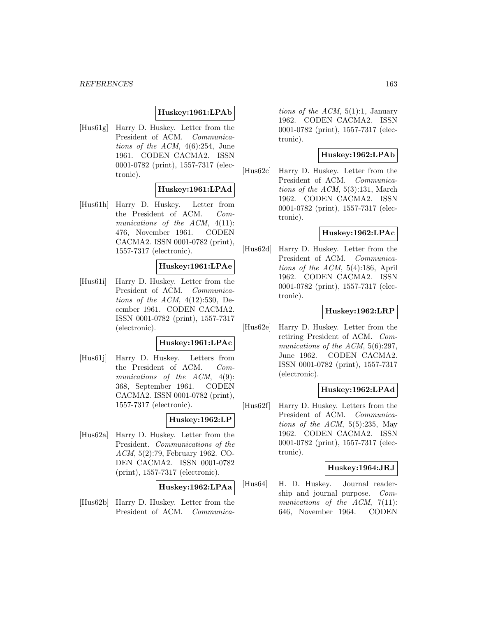### **Huskey:1961:LPAb**

[Hus61g] Harry D. Huskey. Letter from the President of ACM. Communications of the ACM,  $4(6):254$ , June 1961. CODEN CACMA2. ISSN 0001-0782 (print), 1557-7317 (electronic).

### **Huskey:1961:LPAd**

[Hus61h] Harry D. Huskey. Letter from the President of ACM. Communications of the ACM,  $4(11)$ : 476, November 1961. CODEN CACMA2. ISSN 0001-0782 (print), 1557-7317 (electronic).

### **Huskey:1961:LPAe**

[Hus61i] Harry D. Huskey. Letter from the President of ACM. Communications of the ACM,  $4(12):530$ , December 1961. CODEN CACMA2. ISSN 0001-0782 (print), 1557-7317 (electronic).

#### **Huskey:1961:LPAc**

[Hus61j] Harry D. Huskey. Letters from the President of ACM. Communications of the ACM,  $4(9)$ : 368, September 1961. CODEN CACMA2. ISSN 0001-0782 (print), 1557-7317 (electronic).

## **Huskey:1962:LP**

[Hus62a] Harry D. Huskey. Letter from the President. Communications of the ACM, 5(2):79, February 1962. CO-DEN CACMA2. ISSN 0001-0782 (print), 1557-7317 (electronic).

#### **Huskey:1962:LPAa**

[Hus62b] Harry D. Huskey. Letter from the President of ACM. Communications of the ACM,  $5(1)$ :1, January 1962. CODEN CACMA2. ISSN 0001-0782 (print), 1557-7317 (electronic).

## **Huskey:1962:LPAb**

[Hus62c] Harry D. Huskey. Letter from the President of ACM. Communications of the ACM, 5(3):131, March 1962. CODEN CACMA2. ISSN 0001-0782 (print), 1557-7317 (electronic).

### **Huskey:1962:LPAc**

[Hus62d] Harry D. Huskey. Letter from the President of ACM. Communications of the ACM, 5(4):186, April 1962. CODEN CACMA2. ISSN 0001-0782 (print), 1557-7317 (electronic).

## **Huskey:1962:LRP**

[Hus62e] Harry D. Huskey. Letter from the retiring President of ACM. Communications of the ACM, 5(6):297, June 1962. CODEN CACMA2. ISSN 0001-0782 (print), 1557-7317 (electronic).

# **Huskey:1962:LPAd**

[Hus62f] Harry D. Huskey. Letters from the President of ACM. Communications of the  $ACM$ , 5(5):235, May 1962. CODEN CACMA2. ISSN 0001-0782 (print), 1557-7317 (electronic).

### **Huskey:1964:JRJ**

[Hus64] H. D. Huskey. Journal readership and journal purpose. Communications of the ACM, 7(11): 646, November 1964. CODEN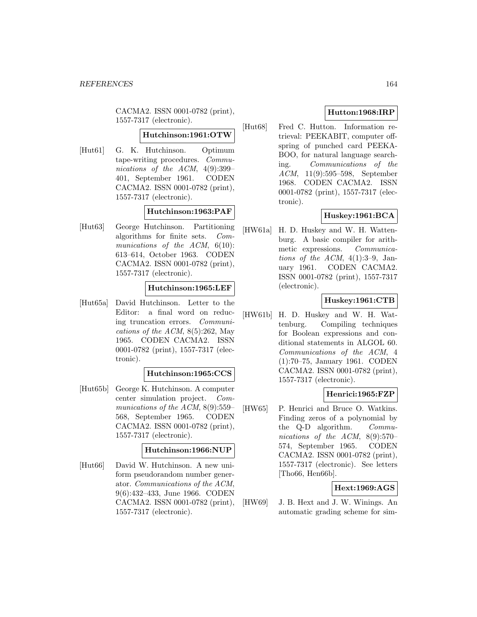CACMA2. ISSN 0001-0782 (print), 1557-7317 (electronic).

### **Hutchinson:1961:OTW**

[Hut61] G. K. Hutchinson. Optimum tape-writing procedures. Communications of the ACM,  $4(9):399-$ 401, September 1961. CODEN CACMA2. ISSN 0001-0782 (print), 1557-7317 (electronic).

## **Hutchinson:1963:PAF**

[Hut63] George Hutchinson. Partitioning algorithms for finite sets. Communications of the ACM, 6(10): 613–614, October 1963. CODEN CACMA2. ISSN 0001-0782 (print), 1557-7317 (electronic).

### **Hutchinson:1965:LEF**

[Hut65a] David Hutchinson. Letter to the Editor: a final word on reducing truncation errors. Communications of the ACM,  $8(5):262$ , May 1965. CODEN CACMA2. ISSN 0001-0782 (print), 1557-7317 (electronic).

### **Hutchinson:1965:CCS**

[Hut65b] George K. Hutchinson. A computer center simulation project. Communications of the ACM, 8(9):559– 568, September 1965. CODEN CACMA2. ISSN 0001-0782 (print), 1557-7317 (electronic).

### **Hutchinson:1966:NUP**

[Hut66] David W. Hutchinson. A new uniform pseudorandom number generator. Communications of the ACM, 9(6):432–433, June 1966. CODEN CACMA2. ISSN 0001-0782 (print), 1557-7317 (electronic).

# **Hutton:1968:IRP**

[Hut68] Fred C. Hutton. Information retrieval: PEEKABIT, computer offspring of punched card PEEKA-BOO, for natural language searching. Communications of the ACM, 11(9):595–598, September 1968. CODEN CACMA2. ISSN 0001-0782 (print), 1557-7317 (electronic).

# **Huskey:1961:BCA**

[HW61a] H. D. Huskey and W. H. Wattenburg. A basic compiler for arithmetic expressions. Communications of the ACM,  $4(1):3-9$ , January 1961. CODEN CACMA2. ISSN 0001-0782 (print), 1557-7317 (electronic).

# **Huskey:1961:CTB**

[HW61b] H. D. Huskey and W. H. Wattenburg. Compiling techniques for Boolean expressions and conditional statements in ALGOL 60. Communications of the ACM, 4 (1):70–75, January 1961. CODEN CACMA2. ISSN 0001-0782 (print), 1557-7317 (electronic).

# **Henrici:1965:FZP**

[HW65] P. Henrici and Bruce O. Watkins. Finding zeros of a polynomial by the Q-D algorithm. Communications of the ACM, 8(9):570– 574, September 1965. CODEN CACMA2. ISSN 0001-0782 (print), 1557-7317 (electronic). See letters [Tho66, Hen66b].

## **Hext:1969:AGS**

[HW69] J. B. Hext and J. W. Winings. An automatic grading scheme for sim-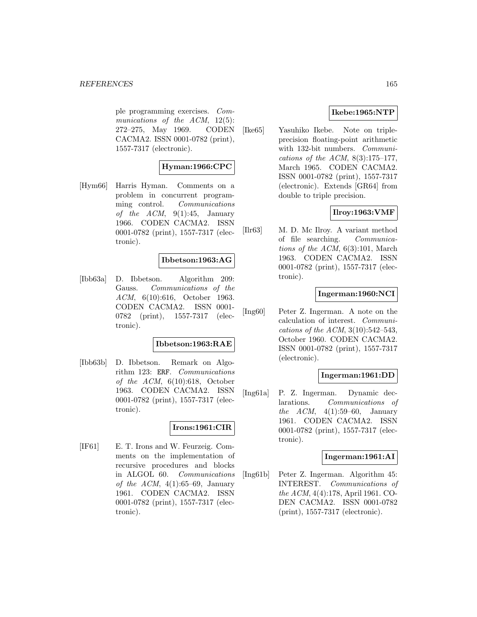#### *REFERENCES* 165

ple programming exercises. Communications of the ACM, 12(5): 272–275, May 1969. CODEN CACMA2. ISSN 0001-0782 (print), 1557-7317 (electronic).

# **Hyman:1966:CPC**

[Hym66] Harris Hyman. Comments on a problem in concurrent programming control. Communications of the  $ACM$ ,  $9(1):45$ , January 1966. CODEN CACMA2. ISSN 0001-0782 (print), 1557-7317 (electronic).

### **Ibbetson:1963:AG**

[Ibb63a] D. Ibbetson. Algorithm 209: Gauss. Communications of the ACM, 6(10):616, October 1963. CODEN CACMA2. ISSN 0001- 0782 (print), 1557-7317 (electronic).

#### **Ibbetson:1963:RAE**

[Ibb63b] D. Ibbetson. Remark on Algorithm 123: ERF. Communications of the  $ACM$ ,  $6(10):618$ , October 1963. CODEN CACMA2. ISSN 0001-0782 (print), 1557-7317 (electronic).

### **Irons:1961:CIR**

[IF61] E. T. Irons and W. Feurzeig. Comments on the implementation of recursive procedures and blocks in ALGOL 60. Communications of the ACM,  $4(1):65-69$ , January 1961. CODEN CACMA2. ISSN 0001-0782 (print), 1557-7317 (electronic).

## **Ikebe:1965:NTP**

[Ike65] Yasuhiko Ikebe. Note on tripleprecision floating-point arithmetic with 132-bit numbers. Communications of the ACM,  $8(3):175-177$ , March 1965. CODEN CACMA2. ISSN 0001-0782 (print), 1557-7317 (electronic). Extends [GR64] from double to triple precision.

### **Ilroy:1963:VMF**

[Ilr63] M. D. Mc Ilroy. A variant method of file searching. Communications of the ACM,  $6(3):101$ , March 1963. CODEN CACMA2. ISSN 0001-0782 (print), 1557-7317 (electronic).

## **Ingerman:1960:NCI**

[Ing60] Peter Z. Ingerman. A note on the calculation of interest. Communications of the ACM, 3(10):542–543, October 1960. CODEN CACMA2. ISSN 0001-0782 (print), 1557-7317 (electronic).

### **Ingerman:1961:DD**

[Ing61a] P. Z. Ingerman. Dynamic declarations. Communications of the  $ACM$ ,  $4(1):59-60$ , January 1961. CODEN CACMA2. ISSN 0001-0782 (print), 1557-7317 (electronic).

### **Ingerman:1961:AI**

[Ing61b] Peter Z. Ingerman. Algorithm 45: INTEREST. Communications of the ACM, 4(4):178, April 1961. CO-DEN CACMA2. ISSN 0001-0782 (print), 1557-7317 (electronic).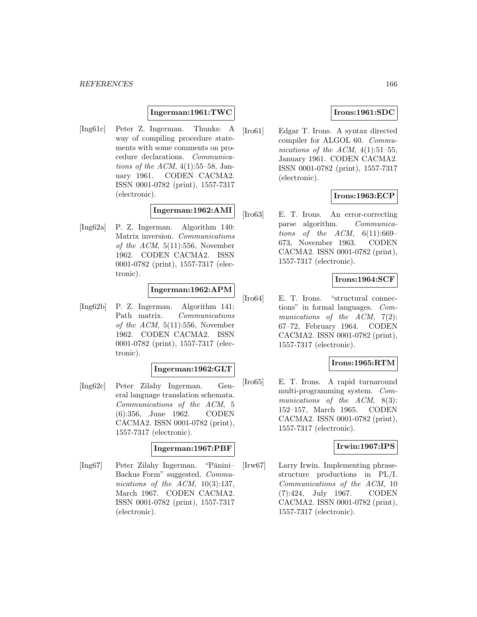### **Ingerman:1961:TWC**

[Ing61c] Peter Z. Ingerman. Thunks: A way of compiling procedure statements with some comments on procedure declarations. Communications of the ACM,  $4(1):55-58$ , January 1961. CODEN CACMA2. ISSN 0001-0782 (print), 1557-7317 (electronic).

## **Ingerman:1962:AMI**

[Ing62a] P. Z. Ingerman. Algorithm 140: Matrix inversion. Communications of the  $ACM$ ,  $5(11):556$ , November 1962. CODEN CACMA2. ISSN 0001-0782 (print), 1557-7317 (electronic).

## **Ingerman:1962:APM**

[Ing62b] P. Z. Ingerman. Algorithm 141: Path matrix. Communications of the  $ACM$ ,  $5(11):556$ , November 1962. CODEN CACMA2. ISSN 0001-0782 (print), 1557-7317 (electronic).

### **Ingerman:1962:GLT**

[Ing62c] Peter Zilahy Ingerman. General language translation schemata. Communications of the ACM, 5 (6):356, June 1962. CODEN CACMA2. ISSN 0001-0782 (print), 1557-7317 (electronic).

### **Ingerman:1967:PBF**

[Ing67] Peter Zilahy Ingerman. "Pānini-Backus Form" suggested. Communications of the ACM,  $10(3):137$ , March 1967. CODEN CACMA2. ISSN 0001-0782 (print), 1557-7317 (electronic).

## **Irons:1961:SDC**

[Iro61] Edgar T. Irons. A syntax directed compiler for ALGOL 60. Communications of the ACM,  $4(1):51-55$ , January 1961. CODEN CACMA2. ISSN 0001-0782 (print), 1557-7317 (electronic).

## **Irons:1963:ECP**

[Iro63] E. T. Irons. An error-correcting parse algorithm. Communications of the ACM,  $6(11):669-$ 673, November 1963. CODEN CACMA2. ISSN 0001-0782 (print), 1557-7317 (electronic).

### **Irons:1964:SCF**

[Iro64] E. T. Irons. "structural connections" in formal languages. Communications of the  $ACM$ ,  $7(2)$ : 67–72, February 1964. CODEN CACMA2. ISSN 0001-0782 (print), 1557-7317 (electronic).

## **Irons:1965:RTM**

[Iro65] E. T. Irons. A rapid turnaround multi-programming system. Communications of the ACM, 8(3): 152–157, March 1965. CODEN CACMA2. ISSN 0001-0782 (print), 1557-7317 (electronic).

## **Irwin:1967:IPS**

[Irw67] Larry Irwin. Implementing phrasestructure productions in PL/I. Communications of the ACM, 10 (7):424, July 1967. CODEN CACMA2. ISSN 0001-0782 (print), 1557-7317 (electronic).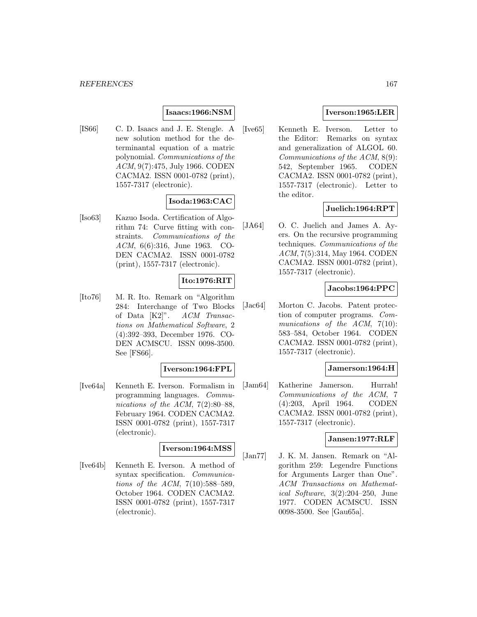### **Isaacs:1966:NSM**

[IS66] C. D. Isaacs and J. E. Stengle. A new solution method for the determinantal equation of a matric polynomial. Communications of the ACM, 9(7):475, July 1966. CODEN CACMA2. ISSN 0001-0782 (print), 1557-7317 (electronic).

# **Isoda:1963:CAC**

[Iso63] Kazuo Isoda. Certification of Algorithm 74: Curve fitting with constraints. Communications of the ACM, 6(6):316, June 1963. CO-DEN CACMA2. ISSN 0001-0782 (print), 1557-7317 (electronic).

# **Ito:1976:RIT**

[Ito76] M. R. Ito. Remark on "Algorithm 284: Interchange of Two Blocks of Data [K2]". ACM Transactions on Mathematical Software, 2 (4):392–393, December 1976. CO-DEN ACMSCU. ISSN 0098-3500. See [FS66].

### **Iverson:1964:FPL**

[Ive64a] Kenneth E. Iverson. Formalism in programming languages. Communications of the ACM, 7(2):80–88, February 1964. CODEN CACMA2. ISSN 0001-0782 (print), 1557-7317 (electronic).

# **Iverson:1964:MSS**

[Ive64b] Kenneth E. Iverson. A method of syntax specification. Communications of the ACM, 7(10):588–589, October 1964. CODEN CACMA2. ISSN 0001-0782 (print), 1557-7317 (electronic).

# **Iverson:1965:LER**

[Ive65] Kenneth E. Iverson. Letter to the Editor: Remarks on syntax and generalization of ALGOL 60. Communications of the ACM, 8(9): 542, September 1965. CODEN CACMA2. ISSN 0001-0782 (print), 1557-7317 (electronic). Letter to the editor.

## **Juelich:1964:RPT**

[JA64] O. C. Juelich and James A. Ayers. On the recursive programming techniques. Communications of the ACM, 7(5):314, May 1964. CODEN CACMA2. ISSN 0001-0782 (print), 1557-7317 (electronic).

### **Jacobs:1964:PPC**

[Jac64] Morton C. Jacobs. Patent protection of computer programs. Communications of the  $ACM$ ,  $7(10)$ : 583–584, October 1964. CODEN CACMA2. ISSN 0001-0782 (print), 1557-7317 (electronic).

#### **Jamerson:1964:H**

[Jam64] Katherine Jamerson. Hurrah! Communications of the ACM, 7 (4):203, April 1964. CODEN CACMA2. ISSN 0001-0782 (print), 1557-7317 (electronic).

### **Jansen:1977:RLF**

[Jan77] J. K. M. Jansen. Remark on "Algorithm 259: Legendre Functions for Arguments Larger than One". ACM Transactions on Mathematical Software, 3(2):204–250, June 1977. CODEN ACMSCU. ISSN 0098-3500. See [Gau65a].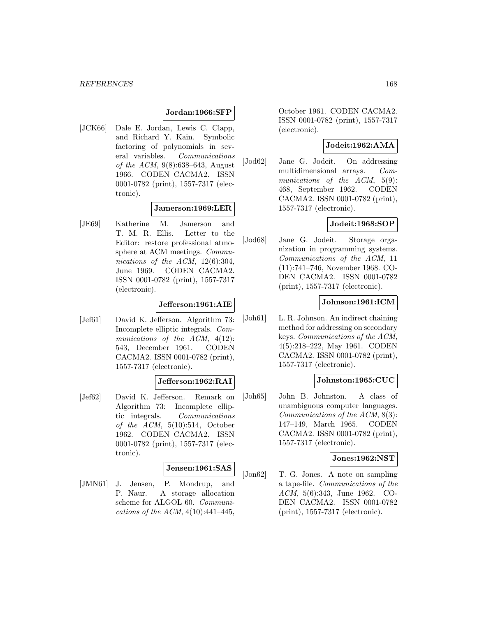### **Jordan:1966:SFP**

[JCK66] Dale E. Jordan, Lewis C. Clapp, and Richard Y. Kain. Symbolic factoring of polynomials in several variables. Communications of the ACM, 9(8):638–643, August 1966. CODEN CACMA2. ISSN 0001-0782 (print), 1557-7317 (electronic).

### **Jamerson:1969:LER**

[JE69] Katherine M. Jamerson and T. M. R. Ellis. Letter to the Editor: restore professional atmosphere at ACM meetings. Communications of the ACM, 12(6):304, June 1969. CODEN CACMA2. ISSN 0001-0782 (print), 1557-7317 (electronic).

# **Jefferson:1961:AIE**

[Jef61] David K. Jefferson. Algorithm 73: Incomplete elliptic integrals. Communications of the ACM,  $4(12)$ : 543, December 1961. CODEN CACMA2. ISSN 0001-0782 (print), 1557-7317 (electronic).

### **Jefferson:1962:RAI**

[Jef62] David K. Jefferson. Remark on Algorithm 73: Incomplete elliptic integrals. Communications of the  $ACM$ ,  $5(10):514$ , October 1962. CODEN CACMA2. ISSN 0001-0782 (print), 1557-7317 (electronic).

#### **Jensen:1961:SAS**

[JMN61] J. Jensen, P. Mondrup, and P. Naur. A storage allocation scheme for ALGOL 60. Communications of the ACM,  $4(10):441-445$ ,

October 1961. CODEN CACMA2. ISSN 0001-0782 (print), 1557-7317 (electronic).

### **Jodeit:1962:AMA**

[Jod62] Jane G. Jodeit. On addressing multidimensional arrays. Communications of the ACM, 5(9): 468, September 1962. CODEN CACMA2. ISSN 0001-0782 (print), 1557-7317 (electronic).

#### **Jodeit:1968:SOP**

[Jod68] Jane G. Jodeit. Storage organization in programming systems. Communications of the ACM, 11 (11):741–746, November 1968. CO-DEN CACMA2. ISSN 0001-0782 (print), 1557-7317 (electronic).

### **Johnson:1961:ICM**

[Joh61] L. R. Johnson. An indirect chaining method for addressing on secondary keys. Communications of the ACM, 4(5):218–222, May 1961. CODEN CACMA2. ISSN 0001-0782 (print), 1557-7317 (electronic).

### **Johnston:1965:CUC**

[Joh65] John B. Johnston. A class of unambiguous computer languages. Communications of the ACM, 8(3): 147–149, March 1965. CODEN CACMA2. ISSN 0001-0782 (print), 1557-7317 (electronic).

### **Jones:1962:NST**

[Jon62] T. G. Jones. A note on sampling a tape-file. Communications of the ACM, 5(6):343, June 1962. CO-DEN CACMA2. ISSN 0001-0782 (print), 1557-7317 (electronic).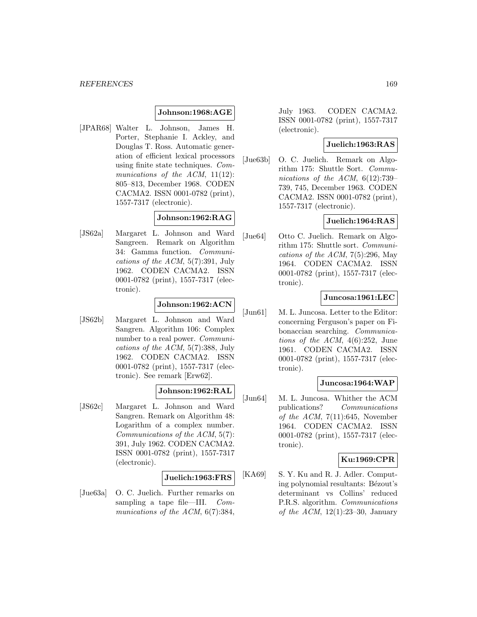## **Johnson:1968:AGE**

[JPAR68] Walter L. Johnson, James H. Porter, Stephanie I. Ackley, and Douglas T. Ross. Automatic generation of efficient lexical processors using finite state techniques. Communications of the ACM, 11(12): 805–813, December 1968. CODEN CACMA2. ISSN 0001-0782 (print), 1557-7317 (electronic).

# **Johnson:1962:RAG**

[JS62a] Margaret L. Johnson and Ward Sangreen. Remark on Algorithm 34: Gamma function. Communications of the ACM, 5(7):391, July 1962. CODEN CACMA2. ISSN 0001-0782 (print), 1557-7317 (electronic).

# **Johnson:1962:ACN**

[JS62b] Margaret L. Johnson and Ward Sangren. Algorithm 106: Complex number to a real power. Communications of the ACM, 5(7):388, July 1962. CODEN CACMA2. ISSN 0001-0782 (print), 1557-7317 (electronic). See remark [Erw62].

# **Johnson:1962:RAL**

[JS62c] Margaret L. Johnson and Ward Sangren. Remark on Algorithm 48: Logarithm of a complex number. Communications of the ACM, 5(7): 391, July 1962. CODEN CACMA2. ISSN 0001-0782 (print), 1557-7317 (electronic).

### **Juelich:1963:FRS**

[Jue63a] O. C. Juelich. Further remarks on sampling a tape file—III. Communications of the ACM, 6(7):384,

July 1963. CODEN CACMA2. ISSN 0001-0782 (print), 1557-7317 (electronic).

## **Juelich:1963:RAS**

[Jue63b] O. C. Juelich. Remark on Algorithm 175: Shuttle Sort. Communications of the ACM, 6(12):739– 739, 745, December 1963. CODEN CACMA2. ISSN 0001-0782 (print), 1557-7317 (electronic).

# **Juelich:1964:RAS**

[Jue64] Otto C. Juelich. Remark on Algorithm 175: Shuttle sort. Communications of the ACM,  $7(5):296$ , May 1964. CODEN CACMA2. ISSN 0001-0782 (print), 1557-7317 (electronic).

## **Juncosa:1961:LEC**

[Jun61] M. L. Juncosa. Letter to the Editor: concerning Ferguson's paper on Fibonaccian searching. Communications of the ACM,  $4(6):252$ , June 1961. CODEN CACMA2. ISSN 0001-0782 (print), 1557-7317 (electronic).

### **Juncosa:1964:WAP**

[Jun64] M. L. Juncosa. Whither the ACM publications? Communications of the ACM,  $7(11):645$ , November 1964. CODEN CACMA2. ISSN 0001-0782 (print), 1557-7317 (electronic).

### **Ku:1969:CPR**

[KA69] S. Y. Ku and R. J. Adler. Computing polynomial resultants: Bézout's determinant vs Collins' reduced P.R.S. algorithm. Communications of the ACM,  $12(1):23-30$ , January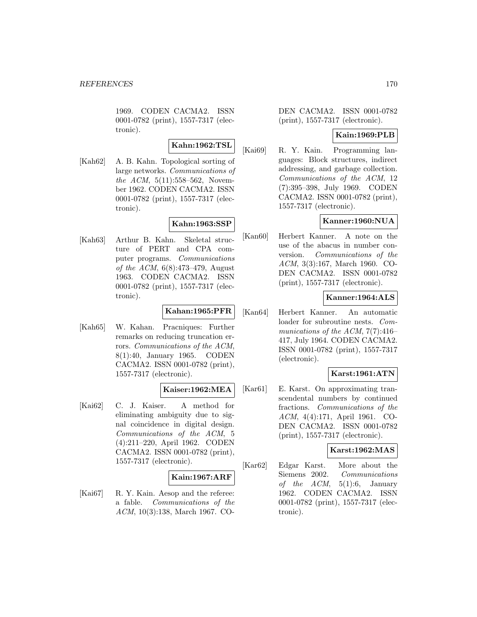1969. CODEN CACMA2. ISSN 0001-0782 (print), 1557-7317 (electronic).

# **Kahn:1962:TSL**

[Kah62] A. B. Kahn. Topological sorting of large networks. Communications of the ACM, 5(11):558–562, November 1962. CODEN CACMA2. ISSN 0001-0782 (print), 1557-7317 (electronic).

## **Kahn:1963:SSP**

[Kah63] Arthur B. Kahn. Skeletal structure of PERT and CPA computer programs. Communications of the ACM, 6(8):473–479, August 1963. CODEN CACMA2. ISSN 0001-0782 (print), 1557-7317 (electronic).

# **Kahan:1965:PFR**

[Kah65] W. Kahan. Pracniques: Further remarks on reducing truncation errors. Communications of the ACM, 8(1):40, January 1965. CODEN CACMA2. ISSN 0001-0782 (print), 1557-7317 (electronic).

### **Kaiser:1962:MEA**

[Kai62] C. J. Kaiser. A method for eliminating ambiguity due to signal coincidence in digital design. Communications of the ACM, 5 (4):211–220, April 1962. CODEN CACMA2. ISSN 0001-0782 (print), 1557-7317 (electronic).

### **Kain:1967:ARF**

[Kai67] R. Y. Kain. Aesop and the referee: a fable. Communications of the ACM, 10(3):138, March 1967. CO-

DEN CACMA2. ISSN 0001-0782 (print), 1557-7317 (electronic).

## **Kain:1969:PLB**

[Kai69] R. Y. Kain. Programming languages: Block structures, indirect addressing, and garbage collection. Communications of the ACM, 12 (7):395–398, July 1969. CODEN CACMA2. ISSN 0001-0782 (print), 1557-7317 (electronic).

# **Kanner:1960:NUA**

[Kan60] Herbert Kanner. A note on the use of the abacus in number conversion. Communications of the ACM, 3(3):167, March 1960. CO-DEN CACMA2. ISSN 0001-0782 (print), 1557-7317 (electronic).

## **Kanner:1964:ALS**

[Kan64] Herbert Kanner. An automatic loader for subroutine nests. Communications of the ACM, 7(7):416– 417, July 1964. CODEN CACMA2. ISSN 0001-0782 (print), 1557-7317 (electronic).

### **Karst:1961:ATN**

[Kar61] E. Karst. On approximating transcendental numbers by continued fractions. Communications of the ACM, 4(4):171, April 1961. CO-DEN CACMA2. ISSN 0001-0782 (print), 1557-7317 (electronic).

## **Karst:1962:MAS**

[Kar62] Edgar Karst. More about the Siemens 2002. Communications of the  $ACM$ ,  $5(1):6$ , January 1962. CODEN CACMA2. ISSN 0001-0782 (print), 1557-7317 (electronic).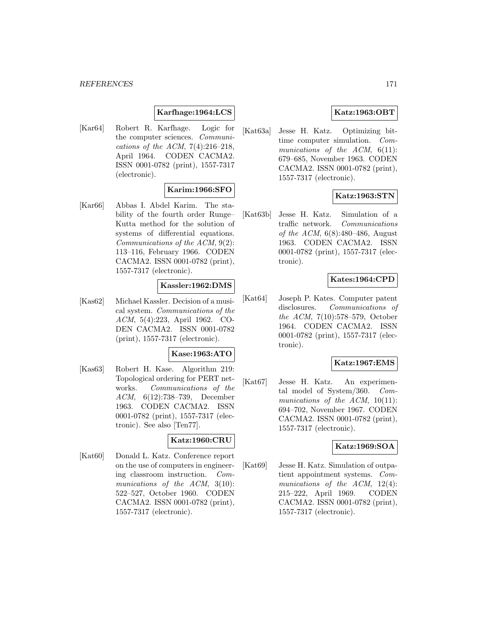## **Karfhage:1964:LCS**

[Kar64] Robert R. Karfhage. Logic for the computer sciences. Communications of the ACM,  $7(4):216-218$ , April 1964. CODEN CACMA2. ISSN 0001-0782 (print), 1557-7317 (electronic).

## **Karim:1966:SFO**

[Kar66] Abbas I. Abdel Karim. The stability of the fourth order Runge– Kutta method for the solution of systems of differential equations. Communications of the ACM, 9(2): 113–116, February 1966. CODEN CACMA2. ISSN 0001-0782 (print), 1557-7317 (electronic).

### **Kassler:1962:DMS**

[Kas62] Michael Kassler. Decision of a musical system. Communications of the ACM, 5(4):223, April 1962. CO-DEN CACMA2. ISSN 0001-0782 (print), 1557-7317 (electronic).

#### **Kase:1963:ATO**

[Kas63] Robert H. Kase. Algorithm 219: Topological ordering for PERT networks. Communications of the ACM, 6(12):738–739, December 1963. CODEN CACMA2. ISSN 0001-0782 (print), 1557-7317 (electronic). See also [Ten77].

#### **Katz:1960:CRU**

[Kat60] Donald L. Katz. Conference report on the use of computers in engineering classroom instruction. Communications of the ACM, 3(10): 522–527, October 1960. CODEN CACMA2. ISSN 0001-0782 (print), 1557-7317 (electronic).

# **Katz:1963:OBT**

[Kat63a] Jesse H. Katz. Optimizing bittime computer simulation. Communications of the  $ACM$ ,  $6(11)$ : 679–685, November 1963. CODEN CACMA2. ISSN 0001-0782 (print), 1557-7317 (electronic).

## **Katz:1963:STN**

[Kat63b] Jesse H. Katz. Simulation of a traffic network. Communications *of the ACM*,  $6(8):480-486$ , August 1963. CODEN CACMA2. ISSN 0001-0782 (print), 1557-7317 (electronic).

### **Kates:1964:CPD**

[Kat64] Joseph P. Kates. Computer patent disclosures. Communications of the ACM, 7(10):578–579, October 1964. CODEN CACMA2. ISSN 0001-0782 (print), 1557-7317 (electronic).

### **Katz:1967:EMS**

[Kat67] Jesse H. Katz. An experimental model of System/360. Communications of the ACM,  $10(11)$ : 694–702, November 1967. CODEN CACMA2. ISSN 0001-0782 (print), 1557-7317 (electronic).

#### **Katz:1969:SOA**

[Kat69] Jesse H. Katz. Simulation of outpatient appointment systems. Communications of the ACM, 12(4): 215–222, April 1969. CODEN CACMA2. ISSN 0001-0782 (print), 1557-7317 (electronic).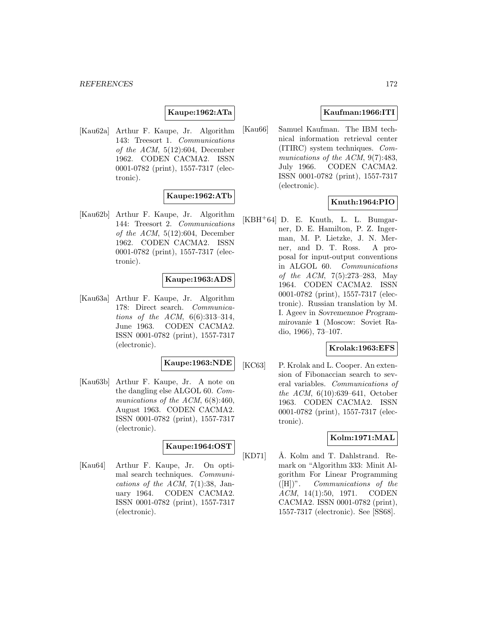## **Kaupe:1962:ATa**

[Kau62a] Arthur F. Kaupe, Jr. Algorithm 143: Treesort 1. Communications of the ACM,  $5(12):604$ , December 1962. CODEN CACMA2. ISSN 0001-0782 (print), 1557-7317 (electronic).

### **Kaupe:1962:ATb**

[Kau62b] Arthur F. Kaupe, Jr. Algorithm 144: Treesort 2. Communications of the ACM, 5(12):604, December 1962. CODEN CACMA2. ISSN 0001-0782 (print), 1557-7317 (electronic).

### **Kaupe:1963:ADS**

[Kau63a] Arthur F. Kaupe, Jr. Algorithm 178: Direct search. Communications of the ACM, 6(6):313–314, June 1963. CODEN CACMA2. ISSN 0001-0782 (print), 1557-7317 (electronic).

## **Kaupe:1963:NDE**

[Kau63b] Arthur F. Kaupe, Jr. A note on the dangling else ALGOL 60. Communications of the ACM,  $6(8):460$ , August 1963. CODEN CACMA2. ISSN 0001-0782 (print), 1557-7317 (electronic).

### **Kaupe:1964:OST**

[Kau64] Arthur F. Kaupe, Jr. On optimal search techniques. Communications of the ACM,  $7(1):38$ , January 1964. CODEN CACMA2. ISSN 0001-0782 (print), 1557-7317 (electronic).

## **Kaufman:1966:ITI**

[Kau66] Samuel Kaufman. The IBM technical information retrieval center (ITIRC) system techniques. Communications of the ACM, 9(7):483, July 1966. CODEN CACMA2. ISSN 0001-0782 (print), 1557-7317 (electronic).

### **Knuth:1964:PIO**

 $[KBH<sup>+</sup>64]$  D. E. Knuth, L. L. Bumgarner, D. E. Hamilton, P. Z. Ingerman, M. P. Lietzke, J. N. Merner, and D. T. Ross. A proposal for input-output conventions in ALGOL 60. Communications of the ACM, 7(5):273–283, May 1964. CODEN CACMA2. ISSN 0001-0782 (print), 1557-7317 (electronic). Russian translation by M. I. Ageev in *Sovremennoe Programmirovanie* **1** (Moscow: Soviet Radio, 1966), 73–107.

## **Krolak:1963:EFS**

[KC63] P. Krolak and L. Cooper. An extension of Fibonaccian search to several variables. Communications of the ACM, 6(10):639–641, October 1963. CODEN CACMA2. ISSN 0001-0782 (print), 1557-7317 (electronic).

### **Kolm:1971:MAL**

[KD71] Å. Kolm and T. Dahlstrand. Remark on "Algorithm 333: Minit Algorithm For Linear Programming ([H])". Communications of the ACM, 14(1):50, 1971. CODEN CACMA2. ISSN 0001-0782 (print), 1557-7317 (electronic). See [SS68].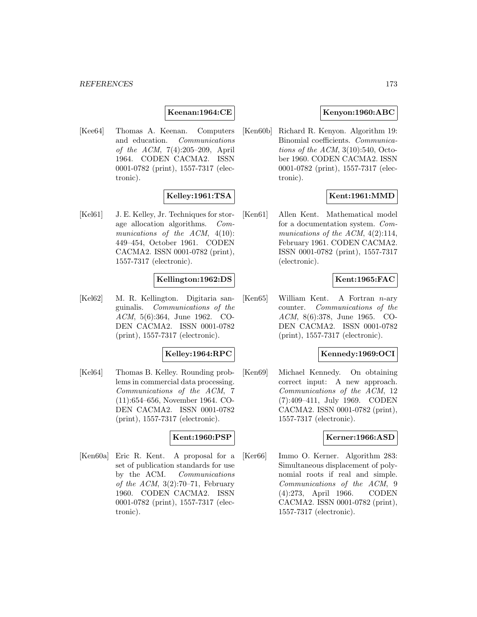## **Keenan:1964:CE**

[Kee64] Thomas A. Keenan. Computers and education. Communications of the ACM, 7(4):205–209, April 1964. CODEN CACMA2. ISSN 0001-0782 (print), 1557-7317 (electronic).

## **Kelley:1961:TSA**

[Kel61] J. E. Kelley, Jr. Techniques for storage allocation algorithms. Communications of the ACM,  $4(10)$ : 449–454, October 1961. CODEN CACMA2. ISSN 0001-0782 (print), 1557-7317 (electronic).

### **Kellington:1962:DS**

[Kel62] M. R. Kellington. Digitaria sanguinalis. Communications of the ACM, 5(6):364, June 1962. CO-DEN CACMA2. ISSN 0001-0782 (print), 1557-7317 (electronic).

### **Kelley:1964:RPC**

[Kel64] Thomas B. Kelley. Rounding problems in commercial data processing. Communications of the ACM, 7 (11):654–656, November 1964. CO-DEN CACMA2. ISSN 0001-0782 (print), 1557-7317 (electronic).

#### **Kent:1960:PSP**

[Ken60a] Eric R. Kent. A proposal for a set of publication standards for use by the ACM. Communications of the ACM,  $3(2):70-71$ , February 1960. CODEN CACMA2. ISSN 0001-0782 (print), 1557-7317 (electronic).

## **Kenyon:1960:ABC**

[Ken60b] Richard R. Kenyon. Algorithm 19: Binomial coefficients. Communications of the  $ACM$ ,  $3(10):540$ , October 1960. CODEN CACMA2. ISSN 0001-0782 (print), 1557-7317 (electronic).

## **Kent:1961:MMD**

[Ken61] Allen Kent. Mathematical model for a documentation system. Communications of the ACM,  $4(2):114$ , February 1961. CODEN CACMA2. ISSN 0001-0782 (print), 1557-7317 (electronic).

### **Kent:1965:FAC**

 $[Ken65]$  William Kent. A Fortran *n*-ary counter. Communications of the ACM, 8(6):378, June 1965. CO-DEN CACMA2. ISSN 0001-0782 (print), 1557-7317 (electronic).

## **Kennedy:1969:OCI**

[Ken69] Michael Kennedy. On obtaining correct input: A new approach. Communications of the ACM, 12 (7):409–411, July 1969. CODEN CACMA2. ISSN 0001-0782 (print), 1557-7317 (electronic).

#### **Kerner:1966:ASD**

[Ker66] Immo O. Kerner. Algorithm 283: Simultaneous displacement of polynomial roots if real and simple. Communications of the ACM, 9 (4):273, April 1966. CODEN CACMA2. ISSN 0001-0782 (print), 1557-7317 (electronic).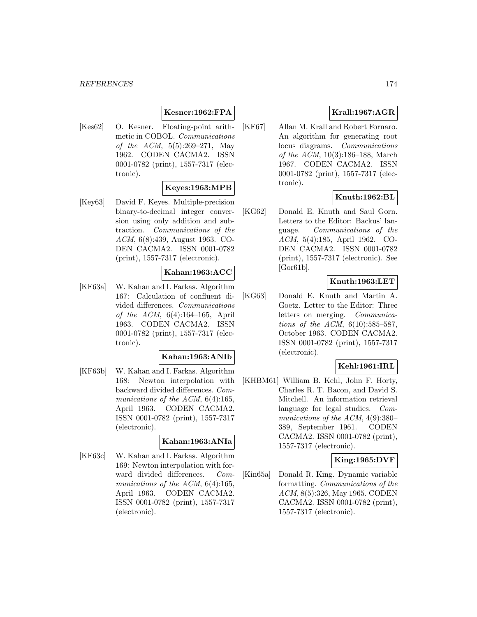# **Kesner:1962:FPA**

[Kes62] O. Kesner. Floating-point arithmetic in COBOL. Communications of the ACM, 5(5):269–271, May 1962. CODEN CACMA2. ISSN 0001-0782 (print), 1557-7317 (electronic).

# **Keyes:1963:MPB**

[Key63] David F. Keyes. Multiple-precision binary-to-decimal integer conversion using only addition and subtraction. Communications of the ACM, 6(8):439, August 1963. CO-DEN CACMA2. ISSN 0001-0782 (print), 1557-7317 (electronic).

## **Kahan:1963:ACC**

[KF63a] W. Kahan and I. Farkas. Algorithm 167: Calculation of confluent divided differences. Communications of the ACM, 6(4):164–165, April 1963. CODEN CACMA2. ISSN 0001-0782 (print), 1557-7317 (electronic).

### **Kahan:1963:ANIb**

[KF63b] W. Kahan and I. Farkas. Algorithm 168: Newton interpolation with backward divided differences. Communications of the ACM, 6(4):165, April 1963. CODEN CACMA2. ISSN 0001-0782 (print), 1557-7317 (electronic).

#### **Kahan:1963:ANIa**

[KF63c] W. Kahan and I. Farkas. Algorithm 169: Newton interpolation with forward divided differences. Communications of the ACM, 6(4):165, April 1963. CODEN CACMA2. ISSN 0001-0782 (print), 1557-7317 (electronic).

# **Krall:1967:AGR**

[KF67] Allan M. Krall and Robert Fornaro. An algorithm for generating root locus diagrams. Communications of the ACM, 10(3):186–188, March 1967. CODEN CACMA2. ISSN 0001-0782 (print), 1557-7317 (electronic).

# **Knuth:1962:BL**

[KG62] Donald E. Knuth and Saul Gorn. Letters to the Editor: Backus' language. Communications of the ACM, 5(4):185, April 1962. CO-DEN CACMA2. ISSN 0001-0782 (print), 1557-7317 (electronic). See  $[Gor61b]$ .

## **Knuth:1963:LET**

[KG63] Donald E. Knuth and Martin A. Goetz. Letter to the Editor: Three letters on merging. Communications of the ACM, 6(10):585–587, October 1963. CODEN CACMA2. ISSN 0001-0782 (print), 1557-7317 (electronic).

## **Kehl:1961:IRL**

[KHBM61] William B. Kehl, John F. Horty, Charles R. T. Bacon, and David S. Mitchell. An information retrieval language for legal studies. Communications of the ACM, 4(9):380– 389, September 1961. CODEN CACMA2. ISSN 0001-0782 (print), 1557-7317 (electronic).

# **King:1965:DVF**

[Kin65a] Donald R. King. Dynamic variable formatting. Communications of the ACM, 8(5):326, May 1965. CODEN CACMA2. ISSN 0001-0782 (print), 1557-7317 (electronic).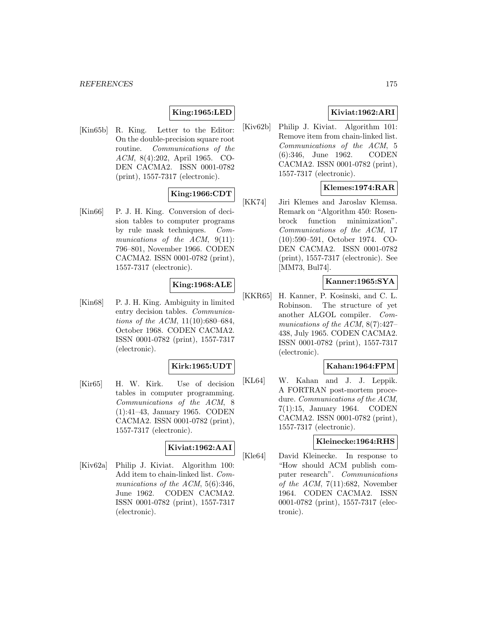# **King:1965:LED**

[Kin65b] R. King. Letter to the Editor: On the double-precision square root routine. Communications of the ACM, 8(4):202, April 1965. CO-DEN CACMA2. ISSN 0001-0782 (print), 1557-7317 (electronic).

# **King:1966:CDT**

[Kin66] P. J. H. King. Conversion of decision tables to computer programs by rule mask techniques. Communications of the ACM, 9(11): 796–801, November 1966. CODEN CACMA2. ISSN 0001-0782 (print), 1557-7317 (electronic).

### **King:1968:ALE**

[Kin68] P. J. H. King. Ambiguity in limited entry decision tables. Communications of the ACM, 11(10):680–684, October 1968. CODEN CACMA2. ISSN 0001-0782 (print), 1557-7317 (electronic).

#### **Kirk:1965:UDT**

[Kir65] H. W. Kirk. Use of decision tables in computer programming. Communications of the ACM, 8 (1):41–43, January 1965. CODEN CACMA2. ISSN 0001-0782 (print), 1557-7317 (electronic).

## **Kiviat:1962:AAI**

[Kiv62a] Philip J. Kiviat. Algorithm 100: Add item to chain-linked list. Communications of the ACM, 5(6):346, June 1962. CODEN CACMA2. ISSN 0001-0782 (print), 1557-7317 (electronic).

# **Kiviat:1962:ARI**

[Kiv62b] Philip J. Kiviat. Algorithm 101: Remove item from chain-linked list. Communications of the ACM, 5 (6):346, June 1962. CODEN CACMA2. ISSN 0001-0782 (print), 1557-7317 (electronic).

# **Klemes:1974:RAR**

[KK74] Jiri Klemes and Jaroslav Klemsa. Remark on "Algorithm 450: Rosenbrock function minimization". Communications of the ACM, 17 (10):590–591, October 1974. CO-DEN CACMA2. ISSN 0001-0782 (print), 1557-7317 (electronic). See [MM73, Bul74].

# **Kanner:1965:SYA**

[KKR65] H. Kanner, P. Kosinski, and C. L. Robinson. The structure of yet another ALGOL compiler. Communications of the ACM, 8(7):427– 438, July 1965. CODEN CACMA2. ISSN 0001-0782 (print), 1557-7317 (electronic).

### **Kahan:1964:FPM**

[KL64] W. Kahan and J. J. Leppik. A FORTRAN post-mortem procedure. Communications of the ACM, 7(1):15, January 1964. CODEN CACMA2. ISSN 0001-0782 (print), 1557-7317 (electronic).

### **Kleinecke:1964:RHS**

[Kle64] David Kleinecke. In response to "How should ACM publish computer research". Communications of the ACM,  $7(11):682$ , November 1964. CODEN CACMA2. ISSN 0001-0782 (print), 1557-7317 (electronic).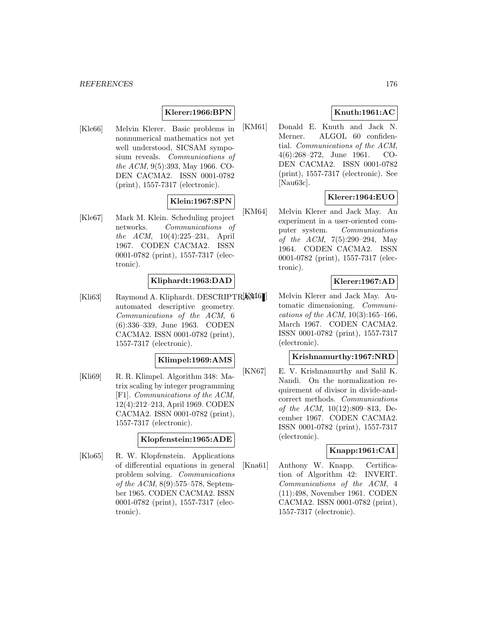# **Klerer:1966:BPN**

[Kle66] Melvin Klerer. Basic problems in nonnumerical mathematics not yet well understood, SICSAM symposium reveals. Communications of the ACM, 9(5):393, May 1966. CO-DEN CACMA2. ISSN 0001-0782 (print), 1557-7317 (electronic).

## **Klein:1967:SPN**

[Kle67] Mark M. Klein. Scheduling project networks. Communications of the ACM, 10(4):225–231, April 1967. CODEN CACMA2. ISSN 0001-0782 (print), 1557-7317 (electronic).

# **Kliphardt:1963:DAD**

 $[Kli63]$  Raymond A. Kliphardt. DESCRIPTR $[KM6]$ automated descriptive geometry. Communications of the ACM, 6 (6):336–339, June 1963. CODEN CACMA2. ISSN 0001-0782 (print), 1557-7317 (electronic).

### **Klimpel:1969:AMS**

[Kli69] R. R. Klimpel. Algorithm 348: Matrix scaling by integer programming [F1]. Communications of the ACM, 12(4):212–213, April 1969. CODEN CACMA2. ISSN 0001-0782 (print), 1557-7317 (electronic).

#### **Klopfenstein:1965:ADE**

[Klo65] R. W. Klopfenstein. Applications of differential equations in general problem solving. Communications of the ACM, 8(9):575–578, September 1965. CODEN CACMA2. ISSN 0001-0782 (print), 1557-7317 (electronic).

# **Knuth:1961:AC**

[KM61] Donald E. Knuth and Jack N. Merner. ALGOL 60 confidential. Communications of the ACM, 4(6):268–272, June 1961. CO-DEN CACMA2. ISSN 0001-0782 (print), 1557-7317 (electronic). See [Nau63c].

# **Klerer:1964:EUO**

[KM64] Melvin Klerer and Jack May. An experiment in a user-oriented computer system. Communications of the ACM, 7(5):290–294, May 1964. CODEN CACMA2. ISSN 0001-0782 (print), 1557-7317 (electronic).

## **Klerer:1967:AD**

Melvin Klerer and Jack May. Automatic dimensioning. Communications of the ACM,  $10(3):165-166$ , March 1967. CODEN CACMA2. ISSN 0001-0782 (print), 1557-7317 (electronic).

## **Krishnamurthy:1967:NRD**

[KN67] E. V. Krishnamurthy and Salil K. Nandi. On the normalization requirement of divisor in divide-andcorrect methods. Communications of the ACM, 10(12):809–813, December 1967. CODEN CACMA2. ISSN 0001-0782 (print), 1557-7317 (electronic).

## **Knapp:1961:CAI**

[Kna61] Anthony W. Knapp. Certification of Algorithm 42: INVERT. Communications of the ACM, 4 (11):498, November 1961. CODEN CACMA2. ISSN 0001-0782 (print), 1557-7317 (electronic).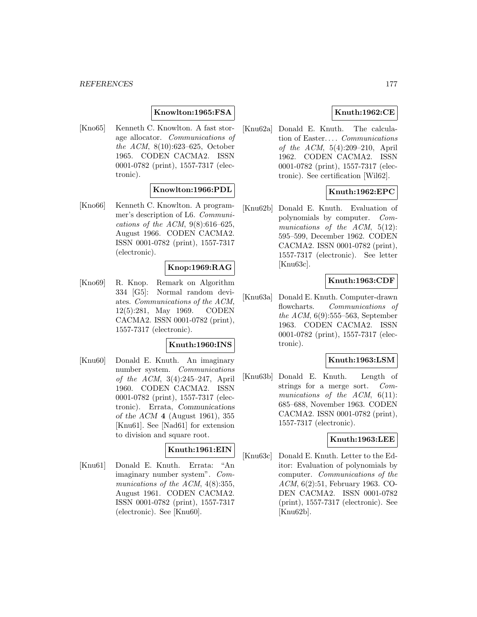## **Knowlton:1965:FSA**

[Kno65] Kenneth C. Knowlton. A fast storage allocator. Communications of the ACM, 8(10):623–625, October 1965. CODEN CACMA2. ISSN 0001-0782 (print), 1557-7317 (electronic).

### **Knowlton:1966:PDL**

[Kno66] Kenneth C. Knowlton. A programmer's description of L6. Communications of the ACM,  $9(8):616-625$ , August 1966. CODEN CACMA2. ISSN 0001-0782 (print), 1557-7317 (electronic).

### **Knop:1969:RAG**

[Kno69] R. Knop. Remark on Algorithm 334 [G5]: Normal random deviates. Communications of the ACM, 12(5):281, May 1969. CODEN CACMA2. ISSN 0001-0782 (print), 1557-7317 (electronic).

#### **Knuth:1960:INS**

[Knu60] Donald E. Knuth. An imaginary number system. Communications of the ACM, 3(4):245–247, April 1960. CODEN CACMA2. ISSN 0001-0782 (print), 1557-7317 (electronic). Errata, *Communications of the ACM* **4** (August 1961), 355 [Knu61]. See [Nad61] for extension to division and square root.

# **Knuth:1961:EIN**

[Knu61] Donald E. Knuth. Errata: "An imaginary number system". Communications of the ACM,  $4(8):355$ , August 1961. CODEN CACMA2. ISSN 0001-0782 (print), 1557-7317 (electronic). See [Knu60].

## **Knuth:1962:CE**

[Knu62a] Donald E. Knuth. The calculation of Easter... . Communications of the ACM, 5(4):209–210, April 1962. CODEN CACMA2. ISSN 0001-0782 (print), 1557-7317 (electronic). See certification [Wil62].

# **Knuth:1962:EPC**

[Knu62b] Donald E. Knuth. Evaluation of polynomials by computer. Communications of the ACM, 5(12): 595–599, December 1962. CODEN CACMA2. ISSN 0001-0782 (print), 1557-7317 (electronic). See letter [Knu63c].

### **Knuth:1963:CDF**

[Knu63a] Donald E. Knuth. Computer-drawn flowcharts. Communications of the ACM, 6(9):555–563, September 1963. CODEN CACMA2. ISSN 0001-0782 (print), 1557-7317 (electronic).

### **Knuth:1963:LSM**

[Knu63b] Donald E. Knuth. Length of strings for a merge sort. Communications of the  $ACM$ ,  $6(11)$ : 685–688, November 1963. CODEN CACMA2. ISSN 0001-0782 (print), 1557-7317 (electronic).

### **Knuth:1963:LEE**

[Knu63c] Donald E. Knuth. Letter to the Editor: Evaluation of polynomials by computer. Communications of the ACM, 6(2):51, February 1963. CO-DEN CACMA2. ISSN 0001-0782 (print), 1557-7317 (electronic). See [Knu62b].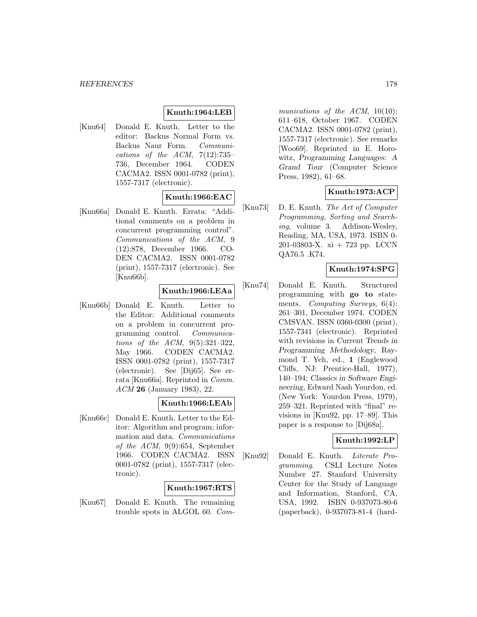# **Knuth:1964:LEB**

[Knu64] Donald E. Knuth. Letter to the editor: Backus Normal Form vs. Backus Naur Form. Communications of the  $ACM$ ,  $7(12):735-$ 736, December 1964. CODEN CACMA2. ISSN 0001-0782 (print), 1557-7317 (electronic).

# **Knuth:1966:EAC**

[Knu66a] Donald E. Knuth. Errata: "Additional comments on a problem in concurrent programming control". Communications of the ACM, 9 (12):878, December 1966. CO-DEN CACMA2. ISSN 0001-0782 (print), 1557-7317 (electronic). See [Knu66b].

# **Knuth:1966:LEAa**

[Knu66b] Donald E. Knuth. Letter to the Editor: Additional comments on a problem in concurrent programming control. Communications of the ACM, 9(5):321–322, May 1966. CODEN CACMA2. ISSN 0001-0782 (print), 1557-7317 (electronic). See [Dij65]. See errata [Knu66a]. Reprinted in Comm. ACM **26** (January 1983), 22.

# **Knuth:1966:LEAb**

[Knu66c] Donald E. Knuth. Letter to the Editor: Algorithm and program; information and data. Communications of the ACM, 9(9):654, September 1966. CODEN CACMA2. ISSN 0001-0782 (print), 1557-7317 (electronic).

### **Knuth:1967:RTS**

[Knu67] Donald E. Knuth. The remaining trouble spots in ALGOL 60. Communications of the ACM, 10(10): 611–618, October 1967. CODEN CACMA2. ISSN 0001-0782 (print), 1557-7317 (electronic). See remarks [Woo69]. Reprinted in E. Horowitz, *Programming Languages: A Grand Tour* (Computer Science Press, 1982), 61–68.

# **Knuth:1973:ACP**

[Knu73] D. E. Knuth. The Art of Computer Programming, Sorting and Searching, volume 3. Addison-Wesley, Reading, MA, USA, 1973. ISBN 0- 201-03803-X. xi + 723 pp. LCCN QA76.5 .K74.

# **Knuth:1974:SPG**

[Knu74] Donald E. Knuth. Structured programming with **go to** statements. Computing Surveys, 6(4): 261–301, December 1974. CODEN CMSVAN. ISSN 0360-0300 (print), 1557-7341 (electronic). Reprinted with revisions in *Current Trends in Programming Methodology*, Raymond T. Yeh, ed., **1** (Englewood Cliffs, NJ: Prentice-Hall, 1977), 140–194; *Classics in Software Engineering*, Edward Nash Yourdon, ed. (New York: Yourdon Press, 1979), 259–321. Reprinted with "final" revisions in [Knu92, pp. 17–89]. This paper is a response to [Dij68a].

# **Knuth:1992:LP**

[Knu92] Donald E. Knuth. Literate Programming. CSLI Lecture Notes Number 27. Stanford University Center for the Study of Language and Information, Stanford, CA, USA, 1992. ISBN 0-937073-80-6 (paperback), 0-937073-81-4 (hard-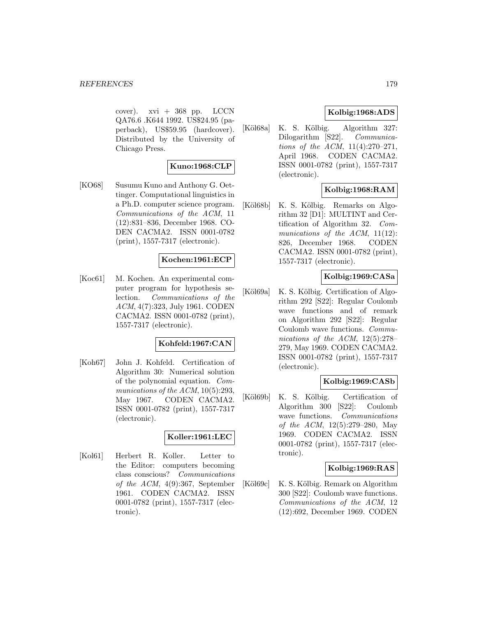$cover).$  xvi + 368 pp. LCCN QA76.6 .K644 1992. US\$24.95 (paperback), US\$59.95 (hardcover). Distributed by the University of Chicago Press.

## **Kuno:1968:CLP**

[KO68] Susumu Kuno and Anthony G. Oettinger. Computational linguistics in a Ph.D. computer science program. Communications of the ACM, 11 (12):831–836, December 1968. CO-DEN CACMA2. ISSN 0001-0782 (print), 1557-7317 (electronic).

### **Kochen:1961:ECP**

[Koc61] M. Kochen. An experimental computer program for hypothesis selection. Communications of the ACM, 4(7):323, July 1961. CODEN CACMA2. ISSN 0001-0782 (print), 1557-7317 (electronic).

### **Kohfeld:1967:CAN**

[Koh67] John J. Kohfeld. Certification of Algorithm 30: Numerical solution of the polynomial equation. Communications of the ACM, 10(5):293, May 1967. CODEN CACMA2. ISSN 0001-0782 (print), 1557-7317 (electronic).

# **Koller:1961:LEC**

[Kol61] Herbert R. Koller. Letter to the Editor: computers becoming class conscious? Communications of the ACM, 4(9):367, September 1961. CODEN CACMA2. ISSN 0001-0782 (print), 1557-7317 (electronic).

## **Kolbig:1968:ADS**

[Köl68a] K. S. Kölbig. Algorithm 327: Dilogarithm [S22]. Communications of the ACM, 11(4):270–271, April 1968. CODEN CACMA2. ISSN 0001-0782 (print), 1557-7317 (electronic).

# **Kolbig:1968:RAM**

[Köl $68b$ ] K. S. Kölbig. Remarks on Algorithm 32 [D1]: MULTINT and Certification of Algorithm 32. Communications of the ACM,  $11(12)$ : 826, December 1968. CODEN CACMA2. ISSN 0001-0782 (print), 1557-7317 (electronic).

### **Kolbig:1969:CASa**

[Köl $69a$ ] K. S. Kölbig. Certification of Algorithm 292 [S22]: Regular Coulomb wave functions and of remark on Algorithm 292 [S22]: Regular Coulomb wave functions. Communications of the ACM, 12(5):278– 279, May 1969. CODEN CACMA2. ISSN 0001-0782 (print), 1557-7317 (electronic).

### **Kolbig:1969:CASb**

[Köl69b] K. S. Kölbig. Certification of Algorithm 300 [S22]: Coulomb wave functions. Communications of the ACM, 12(5):279–280, May 1969. CODEN CACMA2. ISSN 0001-0782 (print), 1557-7317 (electronic).

#### **Kolbig:1969:RAS**

[Köl $69c$ ] K. S. Kölbig. Remark on Algorithm 300 [S22]: Coulomb wave functions. Communications of the ACM, 12 (12):692, December 1969. CODEN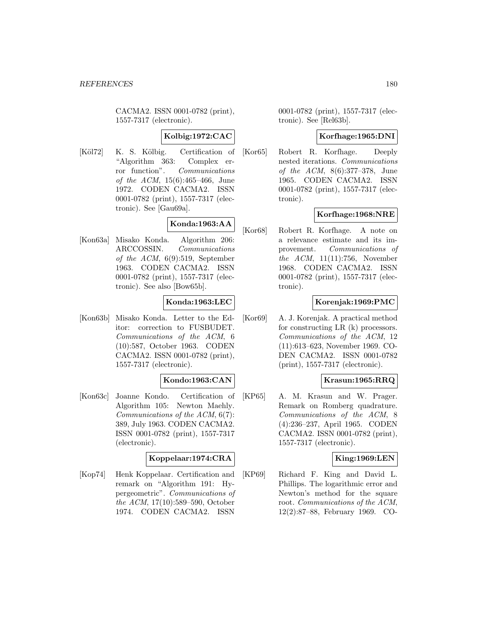CACMA2. ISSN 0001-0782 (print), 1557-7317 (electronic).

## **Kolbig:1972:CAC**

[Köl72] K. S. Kölbig. Certification of "Algorithm 363: Complex error function". Communications of the ACM, 15(6):465–466, June 1972. CODEN CACMA2. ISSN 0001-0782 (print), 1557-7317 (electronic). See [Gau69a].

# **Konda:1963:AA**

[Kon63a] Misako Konda. Algorithm 206: ARCCOSSIN. Communications of the ACM, 6(9):519, September 1963. CODEN CACMA2. ISSN 0001-0782 (print), 1557-7317 (electronic). See also [Bow65b].

## **Konda:1963:LEC**

[Kon63b] Misako Konda. Letter to the Editor: correction to FUSBUDET. Communications of the ACM, 6 (10):587, October 1963. CODEN CACMA2. ISSN 0001-0782 (print), 1557-7317 (electronic).

### **Kondo:1963:CAN**

[Kon63c] Joanne Kondo. Certification of Algorithm 105: Newton Maehly. Communications of the ACM, 6(7): 389, July 1963. CODEN CACMA2. ISSN 0001-0782 (print), 1557-7317 (electronic).

### **Koppelaar:1974:CRA**

[Kop74] Henk Koppelaar. Certification and remark on "Algorithm 191: Hypergeometric". Communications of the ACM, 17(10):589–590, October 1974. CODEN CACMA2. ISSN

0001-0782 (print), 1557-7317 (electronic). See [Rel63b].

### **Korfhage:1965:DNI**

[Kor65] Robert R. Korfhage. Deeply nested iterations. Communications of the ACM, 8(6):377–378, June 1965. CODEN CACMA2. ISSN 0001-0782 (print), 1557-7317 (electronic).

# **Korfhage:1968:NRE**

[Kor68] Robert R. Korfhage. A note on a relevance estimate and its improvement. Communications of the  $ACM$ , 11(11):756, November 1968. CODEN CACMA2. ISSN 0001-0782 (print), 1557-7317 (electronic).

## **Korenjak:1969:PMC**

[Kor69] A. J. Korenjak. A practical method for constructing LR (k) processors. Communications of the ACM, 12 (11):613–623, November 1969. CO-DEN CACMA2. ISSN 0001-0782 (print), 1557-7317 (electronic).

### **Krasun:1965:RRQ**

[KP65] A. M. Krasun and W. Prager. Remark on Romberg quadrature. Communications of the ACM, 8 (4):236–237, April 1965. CODEN CACMA2. ISSN 0001-0782 (print), 1557-7317 (electronic).

### **King:1969:LEN**

[KP69] Richard F. King and David L. Phillips. The logarithmic error and Newton's method for the square root. Communications of the ACM, 12(2):87–88, February 1969. CO-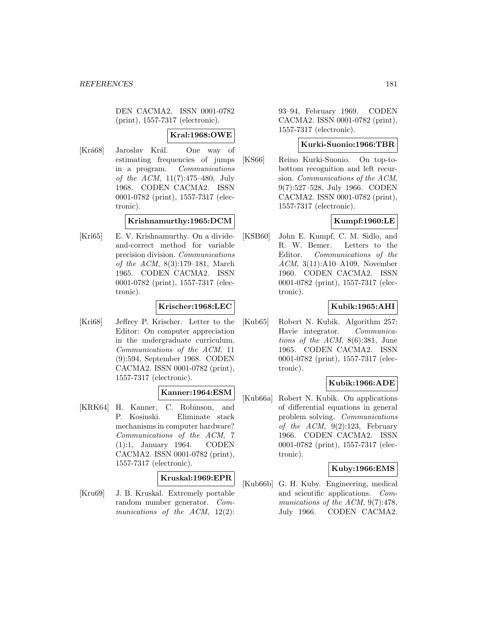DEN CACMA2. ISSN 0001-0782 (print), 1557-7317 (electronic).

### **Kral:1968:OWE**

[Krá68] Jaroslav Král. One way of estimating frequencies of jumps in a program. Communications of the ACM, 11(7):475–480, July 1968. CODEN CACMA2. ISSN 0001-0782 (print), 1557-7317 (electronic).

### **Krishnamurthy:1965:DCM**

[Kri65] E. V. Krishnamurthy. On a divideand-correct method for variable precision division. Communications of the ACM, 8(3):179–181, March 1965. CODEN CACMA2. ISSN 0001-0782 (print), 1557-7317 (electronic).

### **Krischer:1968:LEC**

[Kri68] Jeffrey P. Krischer. Letter to the Editor: On computer appreciation in the undergraduate curriculum. Communications of the ACM, 11 (9):594, September 1968. CODEN CACMA2. ISSN 0001-0782 (print), 1557-7317 (electronic).

# **Kanner:1964:ESM**

[KRK64] H. Kanner, C. Robinson, and P. Kosinski. Eliminate stack mechanisms in computer hardware? Communications of the ACM, 7 (1):1, January 1964. CODEN CACMA2. ISSN 0001-0782 (print), 1557-7317 (electronic).

# **Kruskal:1969:EPR**

[Kru69] J. B. Kruskal. Extremely portable random number generator. Communications of the ACM, 12(2):

93–94, February 1969. CODEN CACMA2. ISSN 0001-0782 (print), 1557-7317 (electronic).

### **Kurki-Suonio:1966:TBR**

[KS66] Reino Kurki-Suonio. On top-tobottom recognition and left recursion. Communications of the ACM, 9(7):527–528, July 1966. CODEN CACMA2. ISSN 0001-0782 (print), 1557-7317 (electronic).

# **Kumpf:1960:LE**

[KSB60] John E. Kumpf, C. M. Sidlo, and R. W. Bemer. Letters to the Editor. Communications of the ACM, 3(11):A10–A109, November 1960. CODEN CACMA2. ISSN 0001-0782 (print), 1557-7317 (electronic).

## **Kubik:1965:AHI**

[Kub65] Robert N. Kubik. Algorithm 257: Havie integrator. Communications of the ACM, 8(6):381, June 1965. CODEN CACMA2. ISSN 0001-0782 (print), 1557-7317 (electronic).

### **Kubik:1966:ADE**

[Kub66a] Robert N. Kubik. On applications of differential equations in general problem solving. Communications of the  $ACM$ ,  $9(2):123$ , February 1966. CODEN CACMA2. ISSN 0001-0782 (print), 1557-7317 (electronic).

### **Kuby:1966:EMS**

[Kub66b] G. H. Kuby. Engineering, medical and scientific applications. Communications of the ACM,  $9(7):478$ , July 1966. CODEN CACMA2.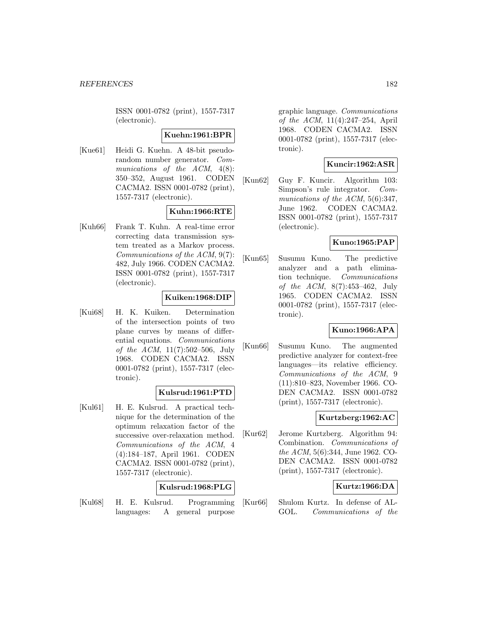ISSN 0001-0782 (print), 1557-7317 (electronic).

### **Kuehn:1961:BPR**

[Kue61] Heidi G. Kuehn. A 48-bit pseudorandom number generator. Communications of the ACM,  $4(8)$ : 350–352, August 1961. CODEN CACMA2. ISSN 0001-0782 (print), 1557-7317 (electronic).

# **Kuhn:1966:RTE**

[Kuh66] Frank T. Kuhn. A real-time error correcting data transmission system treated as a Markov process. Communications of the ACM, 9(7): 482, July 1966. CODEN CACMA2. ISSN 0001-0782 (print), 1557-7317 (electronic).

### **Kuiken:1968:DIP**

[Kui68] H. K. Kuiken. Determination of the intersection points of two plane curves by means of differential equations. Communications of the ACM, 11(7):502–506, July 1968. CODEN CACMA2. ISSN 0001-0782 (print), 1557-7317 (electronic).

# **Kulsrud:1961:PTD**

[Kul61] H. E. Kulsrud. A practical technique for the determination of the optimum relaxation factor of the successive over-relaxation method. Communications of the ACM, 4 (4):184–187, April 1961. CODEN CACMA2. ISSN 0001-0782 (print), 1557-7317 (electronic).

### **Kulsrud:1968:PLG**

[Kul68] H. E. Kulsrud. Programming languages: A general purpose

graphic language. Communications of the ACM, 11(4):247–254, April 1968. CODEN CACMA2. ISSN 0001-0782 (print), 1557-7317 (electronic).

# **Kuncir:1962:ASR**

[Kun62] Guy F. Kuncir. Algorithm 103: Simpson's rule integrator. Communications of the ACM, 5(6):347, June 1962. CODEN CACMA2. ISSN 0001-0782 (print), 1557-7317 (electronic).

### **Kuno:1965:PAP**

[Kun65] Susumu Kuno. The predictive analyzer and a path elimination technique. Communications of the ACM, 8(7):453–462, July 1965. CODEN CACMA2. ISSN 0001-0782 (print), 1557-7317 (electronic).

# **Kuno:1966:APA**

[Kun66] Susumu Kuno. The augmented predictive analyzer for context-free languages—its relative efficiency. Communications of the ACM, 9 (11):810–823, November 1966. CO-DEN CACMA2. ISSN 0001-0782 (print), 1557-7317 (electronic).

### **Kurtzberg:1962:AC**

[Kur62] Jerome Kurtzberg. Algorithm 94: Combination. Communications of the ACM, 5(6):344, June 1962. CO-DEN CACMA2. ISSN 0001-0782 (print), 1557-7317 (electronic).

# **Kurtz:1966:DA**

[Kur66] Shulom Kurtz. In defense of AL-GOL. Communications of the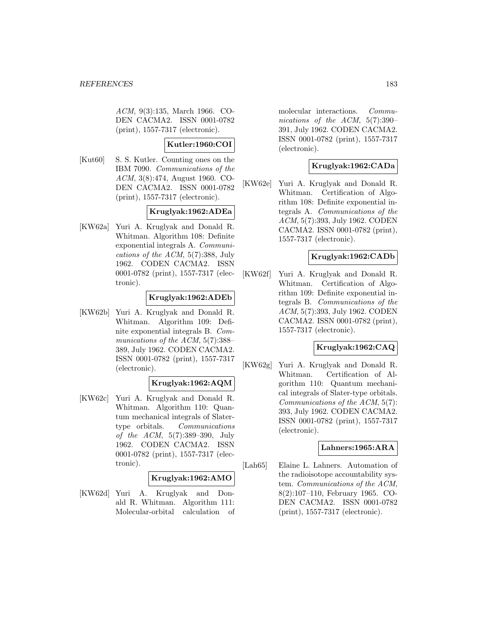ACM, 9(3):135, March 1966. CO-DEN CACMA2. ISSN 0001-0782 (print), 1557-7317 (electronic).

# **Kutler:1960:COI**

[Kut60] S. S. Kutler. Counting ones on the IBM 7090. Communications of the ACM, 3(8):474, August 1960. CO-DEN CACMA2. ISSN 0001-0782 (print), 1557-7317 (electronic).

### **Kruglyak:1962:ADEa**

[KW62a] Yuri A. Kruglyak and Donald R. Whitman. Algorithm 108: Definite exponential integrals A. Communications of the ACM, 5(7):388, July 1962. CODEN CACMA2. ISSN 0001-0782 (print), 1557-7317 (electronic).

### **Kruglyak:1962:ADEb**

[KW62b] Yuri A. Kruglyak and Donald R. Whitman. Algorithm 109: Definite exponential integrals B. Communications of the ACM,  $5(7)$ :388– 389, July 1962. CODEN CACMA2. ISSN 0001-0782 (print), 1557-7317 (electronic).

# **Kruglyak:1962:AQM**

[KW62c] Yuri A. Kruglyak and Donald R. Whitman. Algorithm 110: Quantum mechanical integrals of Slatertype orbitals. Communications of the ACM, 5(7):389–390, July 1962. CODEN CACMA2. ISSN 0001-0782 (print), 1557-7317 (electronic).

### **Kruglyak:1962:AMO**

[KW62d] Yuri A. Kruglyak and Donald R. Whitman. Algorithm 111: Molecular-orbital calculation of molecular interactions. Communications of the ACM, 5(7):390– 391, July 1962. CODEN CACMA2. ISSN 0001-0782 (print), 1557-7317 (electronic).

# **Kruglyak:1962:CADa**

[KW62e] Yuri A. Kruglyak and Donald R. Whitman. Certification of Algorithm 108: Definite exponential integrals A. Communications of the ACM, 5(7):393, July 1962. CODEN CACMA2. ISSN 0001-0782 (print), 1557-7317 (electronic).

### **Kruglyak:1962:CADb**

[KW62f] Yuri A. Kruglyak and Donald R. Whitman. Certification of Algorithm 109: Definite exponential integrals B. Communications of the ACM, 5(7):393, July 1962. CODEN CACMA2. ISSN 0001-0782 (print), 1557-7317 (electronic).

# **Kruglyak:1962:CAQ**

[KW62g] Yuri A. Kruglyak and Donald R. Whitman. Certification of Algorithm 110: Quantum mechanical integrals of Slater-type orbitals. Communications of the ACM, 5(7): 393, July 1962. CODEN CACMA2. ISSN 0001-0782 (print), 1557-7317 (electronic).

### **Lahners:1965:ARA**

[Lah65] Elaine L. Lahners. Automation of the radioisotope accountability system. Communications of the ACM, 8(2):107–110, February 1965. CO-DEN CACMA2. ISSN 0001-0782 (print), 1557-7317 (electronic).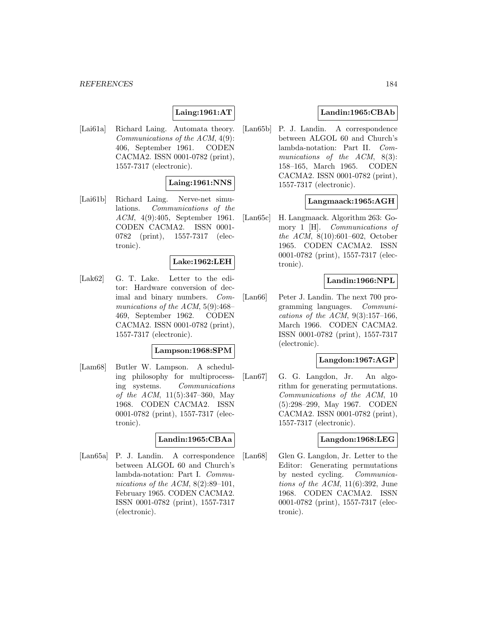# **Laing:1961:AT**

[Lai61a] Richard Laing. Automata theory. Communications of the ACM, 4(9): 406, September 1961. CODEN CACMA2. ISSN 0001-0782 (print), 1557-7317 (electronic).

### **Laing:1961:NNS**

[Lai61b] Richard Laing. Nerve-net simulations. Communications of the ACM, 4(9):405, September 1961. CODEN CACMA2. ISSN 0001- 0782 (print), 1557-7317 (electronic).

### **Lake:1962:LEH**

[Lak62] G. T. Lake. Letter to the editor: Hardware conversion of decimal and binary numbers. Communications of the ACM, 5(9):468– 469, September 1962. CODEN CACMA2. ISSN 0001-0782 (print), 1557-7317 (electronic).

### **Lampson:1968:SPM**

[Lam68] Butler W. Lampson. A scheduling philosophy for multiprocessing systems. Communications of the ACM, 11(5):347–360, May 1968. CODEN CACMA2. ISSN 0001-0782 (print), 1557-7317 (electronic).

#### **Landin:1965:CBAa**

[Lan65a] P. J. Landin. A correspondence between ALGOL 60 and Church's lambda-notation: Part I. Communications of the  $ACM$ ,  $8(2):89-101$ , February 1965. CODEN CACMA2. ISSN 0001-0782 (print), 1557-7317 (electronic).

# **Landin:1965:CBAb**

[Lan65b] P. J. Landin. A correspondence between ALGOL 60 and Church's lambda-notation: Part II. Communications of the ACM, 8(3): 158–165, March 1965. CODEN CACMA2. ISSN 0001-0782 (print), 1557-7317 (electronic).

### **Langmaack:1965:AGH**

[Lan65c] H. Langmaack. Algorithm 263: Gomory 1 [H]. Communications of the ACM, 8(10):601–602, October 1965. CODEN CACMA2. ISSN 0001-0782 (print), 1557-7317 (electronic).

# **Landin:1966:NPL**

[Lan66] Peter J. Landin. The next 700 programming languages. Communications of the ACM,  $9(3):157-166$ , March 1966. CODEN CACMA2. ISSN 0001-0782 (print), 1557-7317 (electronic).

### **Langdon:1967:AGP**

[Lan67] G. G. Langdon, Jr. An algorithm for generating permutations. Communications of the ACM, 10 (5):298–299, May 1967. CODEN CACMA2. ISSN 0001-0782 (print), 1557-7317 (electronic).

### **Langdon:1968:LEG**

[Lan68] Glen G. Langdon, Jr. Letter to the Editor: Generating permutations by nested cycling. Communications of the ACM,  $11(6)$ :392, June 1968. CODEN CACMA2. ISSN 0001-0782 (print), 1557-7317 (electronic).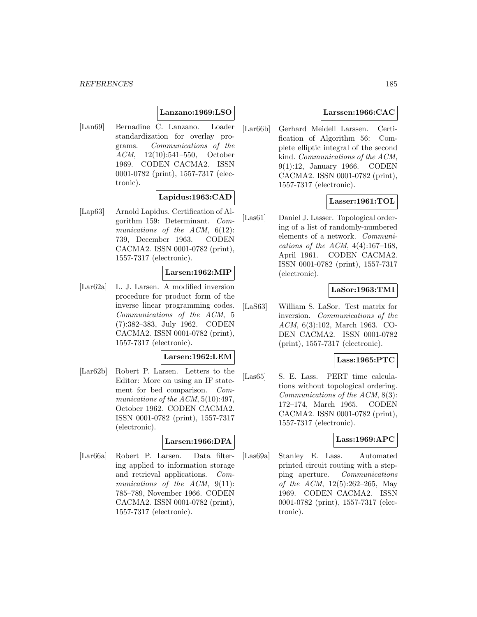### **Lanzano:1969:LSO**

[Lan69] Bernadine C. Lanzano. Loader standardization for overlay programs. Communications of the ACM, 12(10):541–550, October 1969. CODEN CACMA2. ISSN 0001-0782 (print), 1557-7317 (electronic).

### **Lapidus:1963:CAD**

[Lap63] Arnold Lapidus. Certification of Algorithm 159: Determinant. Communications of the ACM,  $6(12)$ : 739, December 1963. CODEN CACMA2. ISSN 0001-0782 (print), 1557-7317 (electronic).

### **Larsen:1962:MIP**

[Lar62a] L. J. Larsen. A modified inversion procedure for product form of the inverse linear programming codes. Communications of the ACM, 5 (7):382–383, July 1962. CODEN CACMA2. ISSN 0001-0782 (print), 1557-7317 (electronic).

### **Larsen:1962:LEM**

[Lar62b] Robert P. Larsen. Letters to the Editor: More on using an IF statement for bed comparison. Communications of the ACM,  $5(10):497$ , October 1962. CODEN CACMA2. ISSN 0001-0782 (print), 1557-7317 (electronic).

#### **Larsen:1966:DFA**

[Lar66a] Robert P. Larsen. Data filtering applied to information storage and retrieval applications. Communications of the ACM, 9(11): 785–789, November 1966. CODEN CACMA2. ISSN 0001-0782 (print), 1557-7317 (electronic).

## **Larssen:1966:CAC**

[Lar66b] Gerhard Meidell Larssen. Certification of Algorithm 56: Complete elliptic integral of the second kind. Communications of the ACM, 9(1):12, January 1966. CODEN CACMA2. ISSN 0001-0782 (print), 1557-7317 (electronic).

### **Lasser:1961:TOL**

[Las61] Daniel J. Lasser. Topological ordering of a list of randomly-numbered elements of a network. Communications of the ACM,  $4(4):167-168$ , April 1961. CODEN CACMA2. ISSN 0001-0782 (print), 1557-7317 (electronic).

### **LaSor:1963:TMI**

[LaS63] William S. LaSor. Test matrix for inversion. Communications of the ACM, 6(3):102, March 1963. CO-DEN CACMA2. ISSN 0001-0782 (print), 1557-7317 (electronic).

### **Lass:1965:PTC**

[Las65] S. E. Lass. PERT time calculations without topological ordering. Communications of the ACM, 8(3): 172–174, March 1965. CODEN CACMA2. ISSN 0001-0782 (print), 1557-7317 (electronic).

### **Lass:1969:APC**

[Las69a] Stanley E. Lass. Automated printed circuit routing with a stepping aperture. Communications of the ACM, 12(5):262–265, May 1969. CODEN CACMA2. ISSN 0001-0782 (print), 1557-7317 (electronic).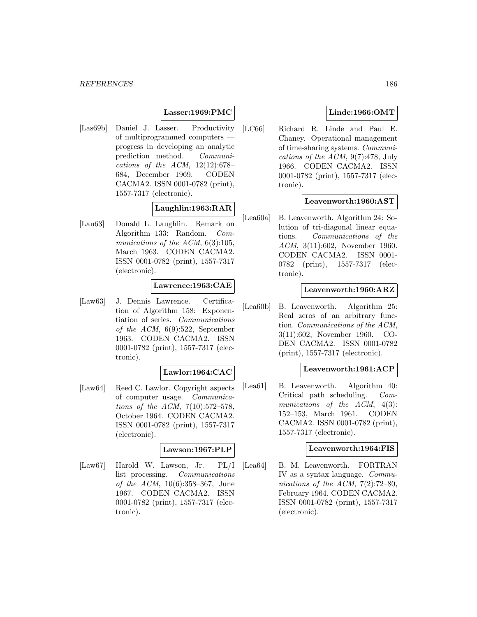### **Lasser:1969:PMC**

[Las69b] Daniel J. Lasser. Productivity of multiprogrammed computers progress in developing an analytic prediction method. Communications of the ACM,  $12(12):678-$ 684, December 1969. CODEN CACMA2. ISSN 0001-0782 (print), 1557-7317 (electronic).

# **Laughlin:1963:RAR**

[Lau63] Donald L. Laughlin. Remark on Algorithm 133: Random. Communications of the ACM,  $6(3):105$ , March 1963. CODEN CACMA2. ISSN 0001-0782 (print), 1557-7317 (electronic).

### **Lawrence:1963:CAE**

[Law63] J. Dennis Lawrence. Certification of Algorithm 158: Exponentiation of series. Communications of the ACM, 6(9):522, September 1963. CODEN CACMA2. ISSN 0001-0782 (print), 1557-7317 (electronic).

# **Lawlor:1964:CAC**

[Law64] Reed C. Lawlor. Copyright aspects of computer usage. Communications of the ACM, 7(10):572–578, October 1964. CODEN CACMA2. ISSN 0001-0782 (print), 1557-7317 (electronic).

# **Lawson:1967:PLP**

[Law67] Harold W. Lawson, Jr. PL/I list processing. Communications of the ACM, 10(6):358–367, June 1967. CODEN CACMA2. ISSN 0001-0782 (print), 1557-7317 (electronic).

# **Linde:1966:OMT**

[LC66] Richard R. Linde and Paul E. Chaney. Operational management of time-sharing systems. Communications of the ACM, 9(7):478, July 1966. CODEN CACMA2. ISSN 0001-0782 (print), 1557-7317 (electronic).

### **Leavenworth:1960:AST**

[Lea60a] B. Leavenworth. Algorithm 24: Solution of tri-diagonal linear equations. Communications of the ACM, 3(11):602, November 1960. CODEN CACMA2. ISSN 0001- 0782 (print), 1557-7317 (electronic).

### **Leavenworth:1960:ARZ**

[Lea60b] B. Leavenworth. Algorithm 25: Real zeros of an arbitrary function. Communications of the ACM, 3(11):602, November 1960. CO-DEN CACMA2. ISSN 0001-0782 (print), 1557-7317 (electronic).

### **Leavenworth:1961:ACP**

[Lea61] B. Leavenworth. Algorithm 40: Critical path scheduling. Communications of the ACM, 4(3): 152–153, March 1961. CODEN CACMA2. ISSN 0001-0782 (print), 1557-7317 (electronic).

#### **Leavenworth:1964:FIS**

[Lea64] B. M. Leavenworth. FORTRAN IV as a syntax language. Communications of the ACM,  $7(2):72-80$ , February 1964. CODEN CACMA2. ISSN 0001-0782 (print), 1557-7317 (electronic).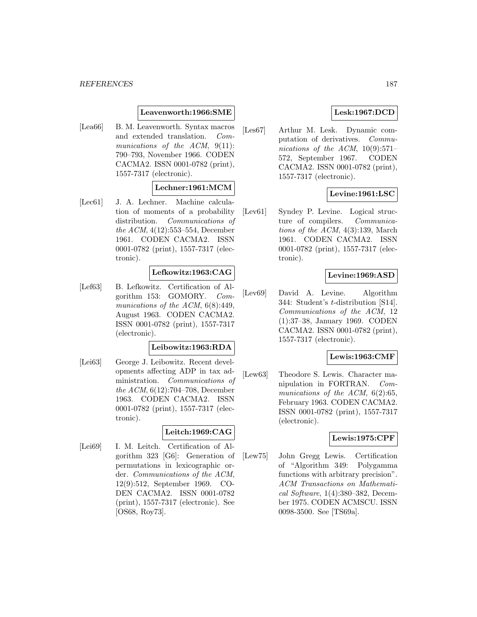### **Leavenworth:1966:SME**

[Lea66] B. M. Leavenworth. Syntax macros and extended translation. Communications of the ACM, 9(11): 790–793, November 1966. CODEN CACMA2. ISSN 0001-0782 (print), 1557-7317 (electronic).

### **Lechner:1961:MCM**

[Lec61] J. A. Lechner. Machine calculation of moments of a probability distribution. Communications of the ACM, 4(12):553–554, December 1961. CODEN CACMA2. ISSN 0001-0782 (print), 1557-7317 (electronic).

### **Lefkowitz:1963:CAG**

[Lef63] B. Lefkowitz. Certification of Algorithm 153: GOMORY. Communications of the ACM,  $6(8):449$ , August 1963. CODEN CACMA2. ISSN 0001-0782 (print), 1557-7317 (electronic).

### **Leibowitz:1963:RDA**

[Lei63] George J. Leibowitz. Recent developments affecting ADP in tax administration. Communications of the ACM, 6(12):704–708, December 1963. CODEN CACMA2. ISSN 0001-0782 (print), 1557-7317 (electronic).

# **Leitch:1969:CAG**

[Lei69] I. M. Leitch. Certification of Algorithm 323 [G6]: Generation of permutations in lexicographic order. Communications of the ACM, 12(9):512, September 1969. CO-DEN CACMA2. ISSN 0001-0782 (print), 1557-7317 (electronic). See [OS68, Roy73].

# **Lesk:1967:DCD**

[Les67] Arthur M. Lesk. Dynamic computation of derivatives. Communications of the ACM,  $10(9):571-$ 572, September 1967. CODEN CACMA2. ISSN 0001-0782 (print), 1557-7317 (electronic).

# **Levine:1961:LSC**

[Lev61] Syndey P. Levine. Logical structure of compilers. Communications of the ACM, 4(3):139, March 1961. CODEN CACMA2. ISSN 0001-0782 (print), 1557-7317 (electronic).

### **Levine:1969:ASD**

[Lev69] David A. Levine. Algorithm 344: Student's t-distribution [S14]. Communications of the ACM, 12 (1):37–38, January 1969. CODEN CACMA2. ISSN 0001-0782 (print), 1557-7317 (electronic).

## **Lewis:1963:CMF**

[Lew63] Theodore S. Lewis. Character manipulation in FORTRAN. Communications of the ACM, 6(2):65, February 1963. CODEN CACMA2. ISSN 0001-0782 (print), 1557-7317 (electronic).

#### **Lewis:1975:CPF**

[Lew75] John Gregg Lewis. Certification of "Algorithm 349: Polygamma functions with arbitrary precision". ACM Transactions on Mathematical Software, 1(4):380–382, December 1975. CODEN ACMSCU. ISSN 0098-3500. See [TS69a].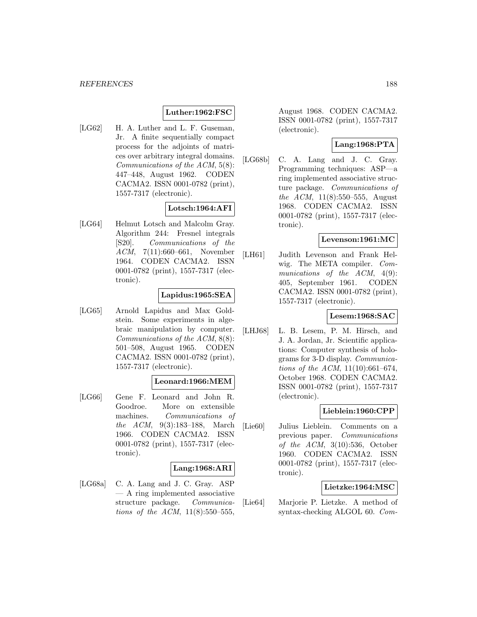### **Luther:1962:FSC**

[LG62] H. A. Luther and L. F. Guseman, Jr. A finite sequentially compact process for the adjoints of matrices over arbitrary integral domains. Communications of the ACM, 5(8): 447–448, August 1962. CODEN CACMA2. ISSN 0001-0782 (print), 1557-7317 (electronic).

### **Lotsch:1964:AFI**

[LG64] Helmut Lotsch and Malcolm Gray. Algorithm 244: Fresnel integrals [S20]. Communications of the ACM, 7(11):660–661, November 1964. CODEN CACMA2. ISSN 0001-0782 (print), 1557-7317 (electronic).

# **Lapidus:1965:SEA**

[LG65] Arnold Lapidus and Max Goldstein. Some experiments in algebraic manipulation by computer. Communications of the ACM, 8(8): 501–508, August 1965. CODEN CACMA2. ISSN 0001-0782 (print), 1557-7317 (electronic).

#### **Leonard:1966:MEM**

[LG66] Gene F. Leonard and John R. Goodroe. More on extensible machines. Communications of the ACM, 9(3):183–188, March 1966. CODEN CACMA2. ISSN 0001-0782 (print), 1557-7317 (electronic).

### **Lang:1968:ARI**

[LG68a] C. A. Lang and J. C. Gray. ASP — A ring implemented associative structure package. Communications of the ACM,  $11(8):550-555$ ,

August 1968. CODEN CACMA2. ISSN 0001-0782 (print), 1557-7317 (electronic).

# **Lang:1968:PTA**

[LG68b] C. A. Lang and J. C. Gray. Programming techniques: ASP—a ring implemented associative structure package. Communications of the ACM, 11(8):550–555, August 1968. CODEN CACMA2. ISSN 0001-0782 (print), 1557-7317 (electronic).

## **Levenson:1961:MC**

[LH61] Judith Levenson and Frank Helwig. The META compiler. Communications of the ACM,  $4(9)$ : 405, September 1961. CODEN CACMA2. ISSN 0001-0782 (print), 1557-7317 (electronic).

#### **Lesem:1968:SAC**

[LHJ68] L. B. Lesem, P. M. Hirsch, and J. A. Jordan, Jr. Scientific applications: Computer synthesis of holograms for 3-D display. Communications of the ACM, 11(10):661–674, October 1968. CODEN CACMA2. ISSN 0001-0782 (print), 1557-7317 (electronic).

# **Lieblein:1960:CPP**

[Lie60] Julius Lieblein. Comments on a previous paper. Communications of the  $ACM$ ,  $3(10):536$ , October 1960. CODEN CACMA2. ISSN 0001-0782 (print), 1557-7317 (electronic).

### **Lietzke:1964:MSC**

[Lie64] Marjorie P. Lietzke. A method of syntax-checking ALGOL 60. Com-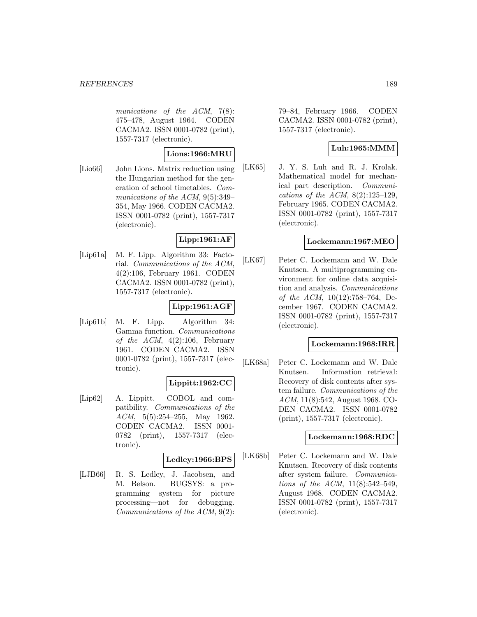munications of the ACM, 7(8): 475–478, August 1964. CODEN CACMA2. ISSN 0001-0782 (print), 1557-7317 (electronic).

### **Lions:1966:MRU**

[Lio66] John Lions. Matrix reduction using the Hungarian method for the generation of school timetables. Communications of the ACM, 9(5):349– 354, May 1966. CODEN CACMA2. ISSN 0001-0782 (print), 1557-7317 (electronic).

# **Lipp:1961:AF**

[Lip61a] M. F. Lipp. Algorithm 33: Factorial. Communications of the ACM, 4(2):106, February 1961. CODEN CACMA2. ISSN 0001-0782 (print), 1557-7317 (electronic).

# **Lipp:1961:AGF**

[Lip61b] M. F. Lipp. Algorithm 34: Gamma function. Communications of the ACM,  $4(2):106$ , February 1961. CODEN CACMA2. ISSN 0001-0782 (print), 1557-7317 (electronic).

### **Lippitt:1962:CC**

[Lip62] A. Lippitt. COBOL and compatibility. Communications of the ACM, 5(5):254–255, May 1962. CODEN CACMA2. ISSN 0001- 0782 (print), 1557-7317 (electronic).

# **Ledley:1966:BPS**

[LJB66] R. S. Ledley, J. Jacobsen, and M. Belson. BUGSYS: a programming system for picture processing—not for debugging. Communications of the ACM, 9(2): 79–84, February 1966. CODEN CACMA2. ISSN 0001-0782 (print), 1557-7317 (electronic).

# **Luh:1965:MMM**

[LK65] J. Y. S. Luh and R. J. Krolak. Mathematical model for mechanical part description. Communications of the ACM,  $8(2):125-129$ , February 1965. CODEN CACMA2. ISSN 0001-0782 (print), 1557-7317 (electronic).

### **Lockemann:1967:MEO**

[LK67] Peter C. Lockemann and W. Dale Knutsen. A multiprogramming environment for online data acquisition and analysis. Communications of the ACM, 10(12):758–764, December 1967. CODEN CACMA2. ISSN 0001-0782 (print), 1557-7317 (electronic).

#### **Lockemann:1968:IRR**

[LK68a] Peter C. Lockemann and W. Dale Knutsen. Information retrieval: Recovery of disk contents after system failure. Communications of the ACM, 11(8):542, August 1968. CO-DEN CACMA2. ISSN 0001-0782 (print), 1557-7317 (electronic).

### **Lockemann:1968:RDC**

[LK68b] Peter C. Lockemann and W. Dale Knutsen. Recovery of disk contents after system failure. Communications of the ACM, 11(8):542–549, August 1968. CODEN CACMA2. ISSN 0001-0782 (print), 1557-7317 (electronic).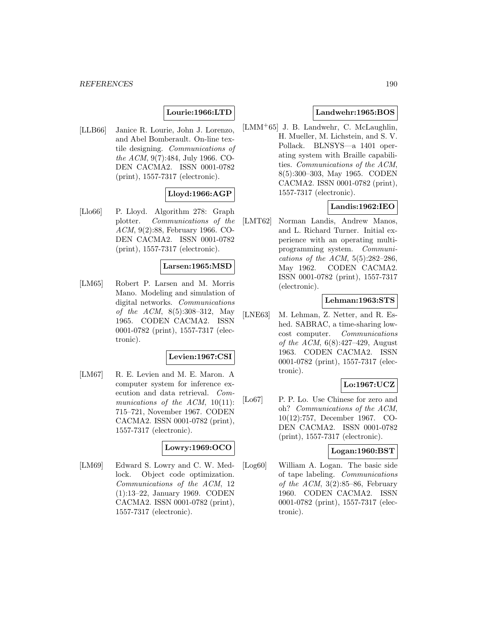# **Lourie:1966:LTD**

[LLB66] Janice R. Lourie, John J. Lorenzo, and Abel Bomberault. On-line textile designing. Communications of the ACM, 9(7):484, July 1966. CO-DEN CACMA2. ISSN 0001-0782 (print), 1557-7317 (electronic).

# **Lloyd:1966:AGP**

[Llo66] P. Lloyd. Algorithm 278: Graph plotter. Communications of the ACM, 9(2):88, February 1966. CO-DEN CACMA2. ISSN 0001-0782 (print), 1557-7317 (electronic).

### **Larsen:1965:MSD**

[LM65] Robert P. Larsen and M. Morris Mano. Modeling and simulation of digital networks. Communications of the ACM, 8(5):308–312, May 1965. CODEN CACMA2. ISSN 0001-0782 (print), 1557-7317 (electronic).

### **Levien:1967:CSI**

[LM67] R. E. Levien and M. E. Maron. A computer system for inference execution and data retrieval. Communications of the  $ACM$ , 10(11): 715–721, November 1967. CODEN CACMA2. ISSN 0001-0782 (print), 1557-7317 (electronic).

### **Lowry:1969:OCO**

[LM69] Edward S. Lowry and C. W. Medlock. Object code optimization. Communications of the ACM, 12 (1):13–22, January 1969. CODEN CACMA2. ISSN 0001-0782 (print), 1557-7317 (electronic).

## **Landwehr:1965:BOS**

[LMM<sup>+</sup>65] J. B. Landwehr, C. McLaughlin, H. Mueller, M. Lichstein, and S. V. Pollack. BLNSYS—a 1401 operating system with Braille capabilities. Communications of the ACM, 8(5):300–303, May 1965. CODEN CACMA2. ISSN 0001-0782 (print), 1557-7317 (electronic).

# **Landis:1962:IEO**

[LMT62] Norman Landis, Andrew Manos, and L. Richard Turner. Initial experience with an operating multiprogramming system. Communications of the ACM,  $5(5):282-286$ , May 1962. CODEN CACMA2. ISSN 0001-0782 (print), 1557-7317 (electronic).

### **Lehman:1963:STS**

[LNE63] M. Lehman, Z. Netter, and R. Eshed. SABRAC, a time-sharing lowcost computer. Communications of the ACM, 6(8):427–429, August 1963. CODEN CACMA2. ISSN 0001-0782 (print), 1557-7317 (electronic).

# **Lo:1967:UCZ**

[Lo67] P. P. Lo. Use Chinese for zero and oh? Communications of the ACM, 10(12):757, December 1967. CO-DEN CACMA2. ISSN 0001-0782 (print), 1557-7317 (electronic).

### **Logan:1960:BST**

[Log60] William A. Logan. The basic side of tape labeling. Communications of the ACM,  $3(2):85-86$ , February 1960. CODEN CACMA2. ISSN 0001-0782 (print), 1557-7317 (electronic).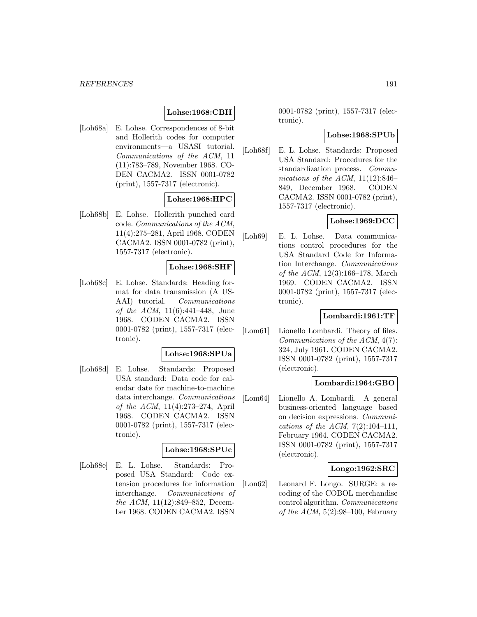#### *REFERENCES* 191

# **Lohse:1968:CBH**

[Loh68a] E. Lohse. Correspondences of 8-bit and Hollerith codes for computer environments—a USASI tutorial. Communications of the ACM, 11 (11):783–789, November 1968. CO-DEN CACMA2. ISSN 0001-0782 (print), 1557-7317 (electronic).

# **Lohse:1968:HPC**

[Loh68b] E. Lohse. Hollerith punched card code. Communications of the ACM, 11(4):275–281, April 1968. CODEN CACMA2. ISSN 0001-0782 (print), 1557-7317 (electronic).

#### **Lohse:1968:SHF**

[Loh68c] E. Lohse. Standards: Heading format for data transmission (A US-AAI) tutorial. Communications of the ACM,  $11(6):441-448$ , June 1968. CODEN CACMA2. ISSN 0001-0782 (print), 1557-7317 (electronic).

#### **Lohse:1968:SPUa**

[Loh68d] E. Lohse. Standards: Proposed USA standard: Data code for calendar date for machine-to-machine data interchange. Communications of the ACM, 11(4):273–274, April 1968. CODEN CACMA2. ISSN 0001-0782 (print), 1557-7317 (electronic).

## **Lohse:1968:SPUc**

[Loh68e] E. L. Lohse. Standards: Proposed USA Standard: Code extension procedures for information interchange. Communications of the ACM, 11(12):849–852, December 1968. CODEN CACMA2. ISSN

0001-0782 (print), 1557-7317 (electronic).

#### **Lohse:1968:SPUb**

[Loh68f] E. L. Lohse. Standards: Proposed USA Standard: Procedures for the standardization process. Communications of the ACM, 11(12):846– 849, December 1968. CODEN CACMA2. ISSN 0001-0782 (print), 1557-7317 (electronic).

#### **Lohse:1969:DCC**

[Loh69] E. L. Lohse. Data communications control procedures for the USA Standard Code for Information Interchange. Communications of the ACM, 12(3):166–178, March 1969. CODEN CACMA2. ISSN 0001-0782 (print), 1557-7317 (electronic).

### **Lombardi:1961:TF**

[Lom61] Lionello Lombardi. Theory of files. Communications of the ACM, 4(7): 324, July 1961. CODEN CACMA2. ISSN 0001-0782 (print), 1557-7317 (electronic).

#### **Lombardi:1964:GBO**

[Lom64] Lionello A. Lombardi. A general business-oriented language based on decision expressions. Communications of the ACM,  $7(2):104-111$ , February 1964. CODEN CACMA2. ISSN 0001-0782 (print), 1557-7317 (electronic).

#### **Longo:1962:SRC**

[Lon62] Leonard F. Longo. SURGE: a recoding of the COBOL merchandise control algorithm. Communications of the ACM,  $5(2):98-100$ , February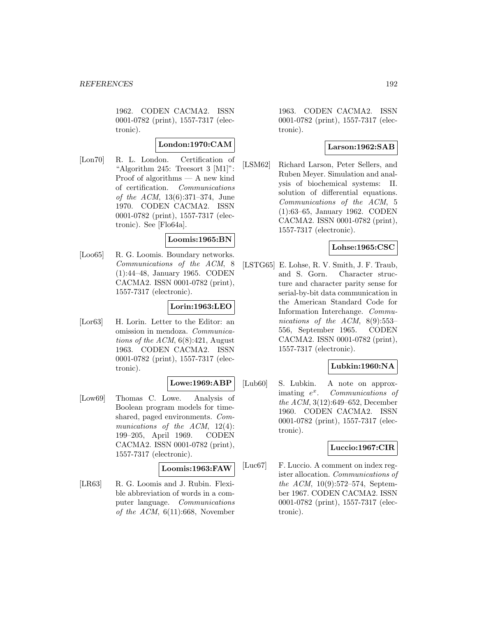1962. CODEN CACMA2. ISSN 0001-0782 (print), 1557-7317 (electronic).

### **London:1970:CAM**

[Lon70] R. L. London. Certification of "Algorithm 245: Treesort 3 [M1]": Proof of algorithms — A new kind of certification. Communications of the ACM, 13(6):371–374, June 1970. CODEN CACMA2. ISSN 0001-0782 (print), 1557-7317 (electronic). See [Flo64a].

### **Loomis:1965:BN**

[Loo65] R. G. Loomis. Boundary networks. Communications of the ACM, 8 (1):44–48, January 1965. CODEN CACMA2. ISSN 0001-0782 (print), 1557-7317 (electronic).

## **Lorin:1963:LEO**

[Lor63] H. Lorin. Letter to the Editor: an omission in mendoza. Communications of the ACM,  $6(8):421$ , August 1963. CODEN CACMA2. ISSN 0001-0782 (print), 1557-7317 (electronic).

### **Lowe:1969:ABP**

[Low69] Thomas C. Lowe. Analysis of Boolean program models for timeshared, paged environments. Communications of the  $ACM$ , 12(4): 199–205, April 1969. CODEN CACMA2. ISSN 0001-0782 (print), 1557-7317 (electronic).

#### **Loomis:1963:FAW**

[LR63] R. G. Loomis and J. Rubin. Flexible abbreviation of words in a computer language. Communications of the ACM,  $6(11):668$ , November

1963. CODEN CACMA2. ISSN 0001-0782 (print), 1557-7317 (electronic).

### **Larson:1962:SAB**

[LSM62] Richard Larson, Peter Sellers, and Ruben Meyer. Simulation and analysis of biochemical systems: II. solution of differential equations. Communications of the ACM, 5 (1):63–65, January 1962. CODEN CACMA2. ISSN 0001-0782 (print), 1557-7317 (electronic).

### **Lohse:1965:CSC**

[LSTG65] E. Lohse, R. V. Smith, J. F. Traub, and S. Gorn. Character structure and character parity sense for serial-by-bit data communication in the American Standard Code for Information Interchange. Communications of the ACM, 8(9):553– 556, September 1965. CODEN CACMA2. ISSN 0001-0782 (print), 1557-7317 (electronic).

### **Lubkin:1960:NA**

[Lub60] S. Lubkin. A note on approximating  $e^x$ . Communications of the ACM, 3(12):649–652, December 1960. CODEN CACMA2. ISSN 0001-0782 (print), 1557-7317 (electronic).

#### **Luccio:1967:CIR**

[Luc67] F. Luccio. A comment on index register allocation. Communications of the ACM, 10(9):572–574, September 1967. CODEN CACMA2. ISSN 0001-0782 (print), 1557-7317 (electronic).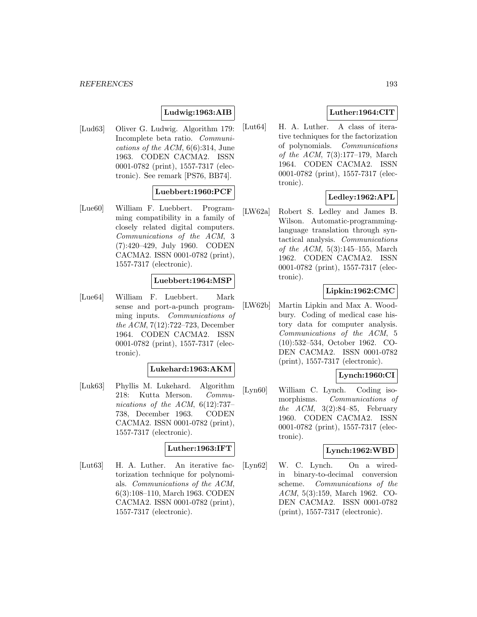# **Ludwig:1963:AIB**

[Lud63] Oliver G. Ludwig. Algorithm 179: Incomplete beta ratio. Communications of the  $ACM$ , 6(6):314, June 1963. CODEN CACMA2. ISSN 0001-0782 (print), 1557-7317 (electronic). See remark [PS76, BB74].

# **Luebbert:1960:PCF**

[Lue60] William F. Luebbert. Programming compatibility in a family of closely related digital computers. Communications of the ACM, 3 (7):420–429, July 1960. CODEN CACMA2. ISSN 0001-0782 (print), 1557-7317 (electronic).

### **Luebbert:1964:MSP**

[Lue64] William F. Luebbert. Mark sense and port-a-punch programming inputs. Communications of the ACM, 7(12):722–723, December 1964. CODEN CACMA2. ISSN 0001-0782 (print), 1557-7317 (electronic).

### **Lukehard:1963:AKM**

[Luk63] Phyllis M. Lukehard. Algorithm 218: Kutta Merson. Communications of the ACM, 6(12):737– 738, December 1963. CODEN CACMA2. ISSN 0001-0782 (print), 1557-7317 (electronic).

# **Luther:1963:IFT**

[Lut63] H. A. Luther. An iterative factorization technique for polynomials. Communications of the ACM, 6(3):108–110, March 1963. CODEN CACMA2. ISSN 0001-0782 (print), 1557-7317 (electronic).

# **Luther:1964:CIT**

[Lut64] H. A. Luther. A class of iterative techniques for the factorization of polynomials. Communications of the ACM, 7(3):177–179, March 1964. CODEN CACMA2. ISSN 0001-0782 (print), 1557-7317 (electronic).

# **Ledley:1962:APL**

[LW62a] Robert S. Ledley and James B. Wilson. Automatic-programminglanguage translation through syntactical analysis. Communications of the ACM,  $5(3):145-155$ , March 1962. CODEN CACMA2. ISSN 0001-0782 (print), 1557-7317 (electronic).

### **Lipkin:1962:CMC**

[LW62b] Martin Lipkin and Max A. Woodbury. Coding of medical case history data for computer analysis. Communications of the ACM, 5 (10):532–534, October 1962. CO-DEN CACMA2. ISSN 0001-0782 (print), 1557-7317 (electronic).

# **Lynch:1960:CI**

[Lyn60] William C. Lynch. Coding isomorphisms. Communications of the  $ACM$ ,  $3(2):84-85$ , February 1960. CODEN CACMA2. ISSN 0001-0782 (print), 1557-7317 (electronic).

### **Lynch:1962:WBD**

[Lyn62] W. C. Lynch. On a wiredin binary-to-decimal conversion scheme. Communications of the ACM, 5(3):159, March 1962. CO-DEN CACMA2. ISSN 0001-0782 (print), 1557-7317 (electronic).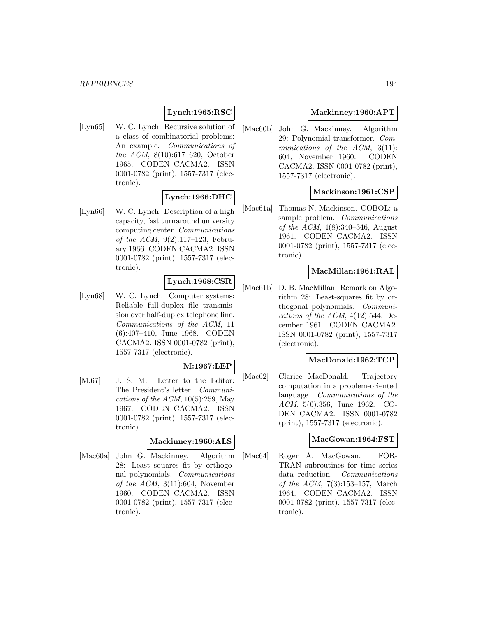# **Lynch:1965:RSC**

[Lyn65] W. C. Lynch. Recursive solution of a class of combinatorial problems: An example. Communications of the ACM, 8(10):617–620, October 1965. CODEN CACMA2. ISSN 0001-0782 (print), 1557-7317 (electronic).

### **Lynch:1966:DHC**

[Lyn66] W. C. Lynch. Description of a high capacity, fast turnaround university computing center. Communications of the ACM, 9(2):117–123, February 1966. CODEN CACMA2. ISSN 0001-0782 (print), 1557-7317 (electronic).

# **Lynch:1968:CSR**

[Lyn68] W. C. Lynch. Computer systems: Reliable full-duplex file transmission over half-duplex telephone line. Communications of the ACM, 11 (6):407–410, June 1968. CODEN CACMA2. ISSN 0001-0782 (print), 1557-7317 (electronic).

### **M:1967:LEP**

[M.67] J. S. M. Letter to the Editor: The President's letter. Communications of the ACM,  $10(5):259$ , May 1967. CODEN CACMA2. ISSN 0001-0782 (print), 1557-7317 (electronic).

#### **Mackinney:1960:ALS**

[Mac60a] John G. Mackinney. Algorithm 28: Least squares fit by orthogonal polynomials. Communications of the  $ACM$ ,  $3(11):604$ , November 1960. CODEN CACMA2. ISSN 0001-0782 (print), 1557-7317 (electronic).

### **Mackinney:1960:APT**

[Mac60b] John G. Mackinney. Algorithm 29: Polynomial transformer. Communications of the ACM, 3(11): 604, November 1960. CODEN CACMA2. ISSN 0001-0782 (print), 1557-7317 (electronic).

### **Mackinson:1961:CSP**

[Mac61a] Thomas N. Mackinson. COBOL: a sample problem. *Communications* of the ACM, 4(8):340–346, August 1961. CODEN CACMA2. ISSN 0001-0782 (print), 1557-7317 (electronic).

### **MacMillan:1961:RAL**

[Mac61b] D. B. MacMillan. Remark on Algorithm 28: Least-squares fit by orthogonal polynomials. Communications of the ACM,  $4(12):544$ , December 1961. CODEN CACMA2. ISSN 0001-0782 (print), 1557-7317 (electronic).

#### **MacDonald:1962:TCP**

[Mac62] Clarice MacDonald. Trajectory computation in a problem-oriented language. Communications of the ACM, 5(6):356, June 1962. CO-DEN CACMA2. ISSN 0001-0782 (print), 1557-7317 (electronic).

#### **MacGowan:1964:FST**

[Mac64] Roger A. MacGowan. FOR-TRAN subroutines for time series data reduction. Communications of the ACM, 7(3):153–157, March 1964. CODEN CACMA2. ISSN 0001-0782 (print), 1557-7317 (electronic).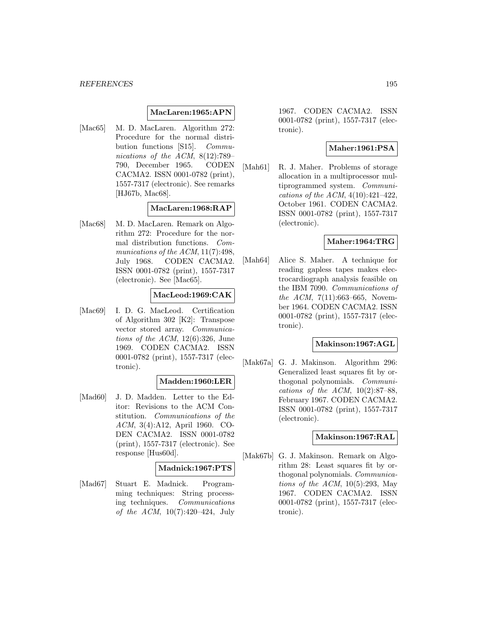#### **MacLaren:1965:APN**

[Mac65] M. D. MacLaren. Algorithm 272: Procedure for the normal distribution functions [S15]. Communications of the ACM, 8(12):789– 790, December 1965. CODEN CACMA2. ISSN 0001-0782 (print), 1557-7317 (electronic). See remarks [HJ67b, Mac68].

### **MacLaren:1968:RAP**

[Mac68] M. D. MacLaren. Remark on Algorithm 272: Procedure for the normal distribution functions. Communications of the  $ACM$ , 11(7):498, July 1968. CODEN CACMA2. ISSN 0001-0782 (print), 1557-7317 (electronic). See [Mac65].

### **MacLeod:1969:CAK**

[Mac69] I. D. G. MacLeod. Certification of Algorithm 302 [K2]: Transpose vector stored array. Communications of the  $ACM$ , 12(6):326, June 1969. CODEN CACMA2. ISSN 0001-0782 (print), 1557-7317 (electronic).

#### **Madden:1960:LER**

[Mad60] J. D. Madden. Letter to the Editor: Revisions to the ACM Constitution. Communications of the ACM, 3(4):A12, April 1960. CO-DEN CACMA2. ISSN 0001-0782 (print), 1557-7317 (electronic). See response [Hus60d].

#### **Madnick:1967:PTS**

[Mad67] Stuart E. Madnick. Programming techniques: String processing techniques. Communications of the ACM, 10(7):420–424, July

1967. CODEN CACMA2. ISSN 0001-0782 (print), 1557-7317 (electronic).

### **Maher:1961:PSA**

[Mah61] R. J. Maher. Problems of storage allocation in a multiprocessor multiprogrammed system. Communications of the ACM,  $4(10):421-422$ , October 1961. CODEN CACMA2. ISSN 0001-0782 (print), 1557-7317 (electronic).

#### **Maher:1964:TRG**

[Mah64] Alice S. Maher. A technique for reading gapless tapes makes electrocardiograph analysis feasible on the IBM 7090. Communications of the ACM,  $7(11):663-665$ , November 1964. CODEN CACMA2. ISSN 0001-0782 (print), 1557-7317 (electronic).

#### **Makinson:1967:AGL**

[Mak67a] G. J. Makinson. Algorithm 296: Generalized least squares fit by orthogonal polynomials. Communications of the ACM,  $10(2):87-88$ , February 1967. CODEN CACMA2. ISSN 0001-0782 (print), 1557-7317 (electronic).

### **Makinson:1967:RAL**

[Mak67b] G. J. Makinson. Remark on Algorithm 28: Least squares fit by orthogonal polynomials. Communications of the ACM,  $10(5):293$ , May 1967. CODEN CACMA2. ISSN 0001-0782 (print), 1557-7317 (electronic).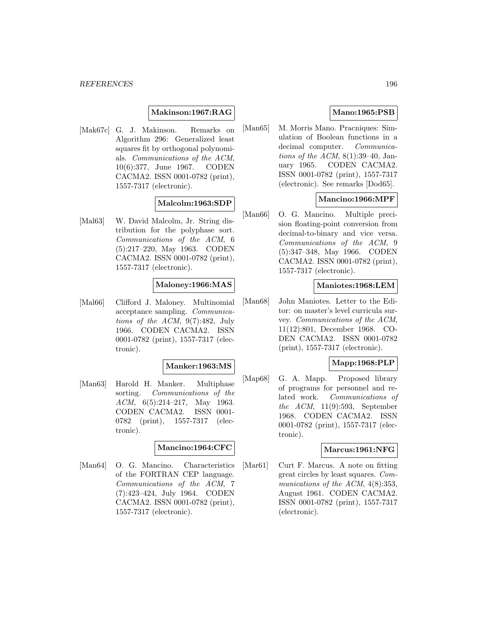#### **Makinson:1967:RAG**

[Mak67c] G. J. Makinson. Remarks on Algorithm 296: Generalized least squares fit by orthogonal polynomials. Communications of the ACM, 10(6):377, June 1967. CODEN CACMA2. ISSN 0001-0782 (print), 1557-7317 (electronic).

#### **Malcolm:1963:SDP**

[Mal63] W. David Malcolm, Jr. String distribution for the polyphase sort. Communications of the ACM, 6 (5):217–220, May 1963. CODEN CACMA2. ISSN 0001-0782 (print), 1557-7317 (electronic).

# **Maloney:1966:MAS**

[Mal66] Clifford J. Maloney. Multinomial acceptance sampling. Communications of the ACM, 9(7):482, July 1966. CODEN CACMA2. ISSN 0001-0782 (print), 1557-7317 (electronic).

#### **Manker:1963:MS**

[Man63] Harold H. Manker. Multiphase sorting. Communications of the ACM, 6(5):214–217, May 1963. CODEN CACMA2. ISSN 0001- 0782 (print), 1557-7317 (electronic).

### **Mancino:1964:CFC**

[Man64] O. G. Mancino. Characteristics of the FORTRAN CEP language. Communications of the ACM, 7 (7):423–424, July 1964. CODEN CACMA2. ISSN 0001-0782 (print), 1557-7317 (electronic).

## **Mano:1965:PSB**

[Man65] M. Morris Mano. Pracniques: Simulation of Boolean functions in a decimal computer. Communications of the ACM,  $8(1):39-40$ , January 1965. CODEN CACMA2. ISSN 0001-0782 (print), 1557-7317 (electronic). See remarks [Dod65].

### **Mancino:1966:MPF**

[Man66] O. G. Mancino. Multiple precision floating-point conversion from decimal-to-binary and vice versa. Communications of the ACM, 9 (5):347–348, May 1966. CODEN CACMA2. ISSN 0001-0782 (print), 1557-7317 (electronic).

#### **Maniotes:1968:LEM**

[Man68] John Maniotes. Letter to the Editor: on master's level curricula survey. Communications of the ACM, 11(12):801, December 1968. CO-DEN CACMA2. ISSN 0001-0782 (print), 1557-7317 (electronic).

## **Mapp:1968:PLP**

[Map68] G. A. Mapp. Proposed library of programs for personnel and related work. Communications of the ACM, 11(9):593, September 1968. CODEN CACMA2. ISSN 0001-0782 (print), 1557-7317 (electronic).

### **Marcus:1961:NFG**

[Mar61] Curt F. Marcus. A note on fitting great circles by least squares. Communications of the ACM,  $4(8):353$ , August 1961. CODEN CACMA2. ISSN 0001-0782 (print), 1557-7317 (electronic).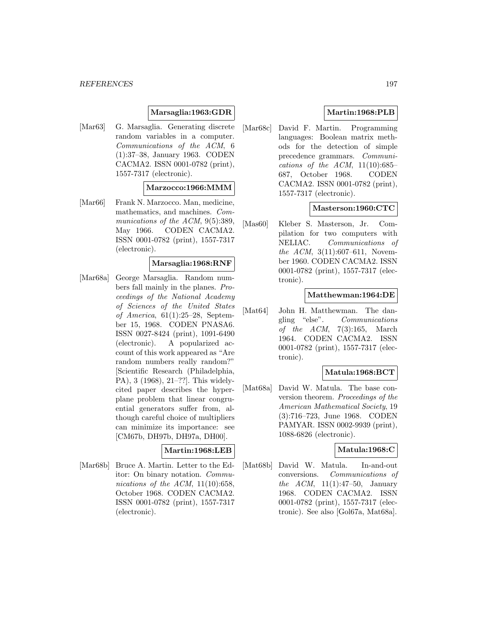### **Marsaglia:1963:GDR**

[Mar63] G. Marsaglia. Generating discrete random variables in a computer. Communications of the ACM, 6 (1):37–38, January 1963. CODEN CACMA2. ISSN 0001-0782 (print), 1557-7317 (electronic).

#### **Marzocco:1966:MMM**

[Mar66] Frank N. Marzocco. Man, medicine, mathematics, and machines. Communications of the ACM, 9(5):389, May 1966. CODEN CACMA2. ISSN 0001-0782 (print), 1557-7317 (electronic).

#### **Marsaglia:1968:RNF**

[Mar68a] George Marsaglia. Random numbers fall mainly in the planes. Proceedings of the National Academy of Sciences of the United States of America, 61(1):25–28, September 15, 1968. CODEN PNASA6. ISSN 0027-8424 (print), 1091-6490 (electronic). A popularized account of this work appeared as "Are random numbers really random?" [Scientific Research (Philadelphia, PA), 3 (1968), 21–??]. This widelycited paper describes the hyperplane problem that linear congruential generators suffer from, although careful choice of multipliers can minimize its importance: see [CM67b, DH97b, DH97a, DH00].

# **Martin:1968:LEB**

[Mar68b] Bruce A. Martin. Letter to the Editor: On binary notation. Communications of the ACM,  $11(10):658$ , October 1968. CODEN CACMA2. ISSN 0001-0782 (print), 1557-7317 (electronic).

# **Martin:1968:PLB**

[Mar68c] David F. Martin. Programming languages: Boolean matrix methods for the detection of simple precedence grammars. Communications of the ACM,  $11(10):685-$ 687, October 1968. CODEN CACMA2. ISSN 0001-0782 (print), 1557-7317 (electronic).

### **Masterson:1960:CTC**

[Mas60] Kleber S. Masterson, Jr. Compilation for two computers with NELIAC. Communications of the ACM, 3(11):607–611, November 1960. CODEN CACMA2. ISSN 0001-0782 (print), 1557-7317 (electronic).

### **Matthewman:1964:DE**

[Mat64] John H. Matthewman. The dangling "else". Communications of the  $ACM$ , 7(3):165, March 1964. CODEN CACMA2. ISSN 0001-0782 (print), 1557-7317 (electronic).

### **Matula:1968:BCT**

[Mat68a] David W. Matula. The base conversion theorem. Proceedings of the American Mathematical Society, 19 (3):716–723, June 1968. CODEN PAMYAR. ISSN 0002-9939 (print), 1088-6826 (electronic).

### **Matula:1968:C**

[Mat68b] David W. Matula. In-and-out conversions. Communications of the  $ACM$ , 11(1):47–50, January 1968. CODEN CACMA2. ISSN 0001-0782 (print), 1557-7317 (electronic). See also [Gol67a, Mat68a].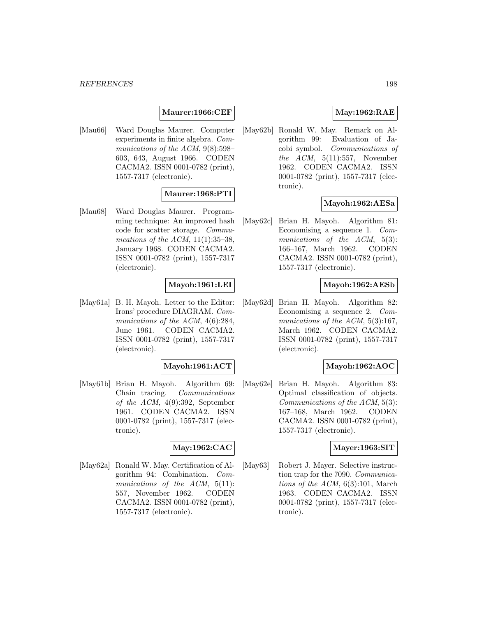### **Maurer:1966:CEF**

[Mau66] Ward Douglas Maurer. Computer experiments in finite algebra. Communications of the ACM,  $9(8):598-$ 603, 643, August 1966. CODEN CACMA2. ISSN 0001-0782 (print), 1557-7317 (electronic).

## **Maurer:1968:PTI**

[Mau68] Ward Douglas Maurer. Programming technique: An improved hash code for scatter storage. Communications of the ACM,  $11(1):35-38$ , January 1968. CODEN CACMA2. ISSN 0001-0782 (print), 1557-7317 (electronic).

### **Mayoh:1961:LEI**

[May61a] B. H. Mayoh. Letter to the Editor: Irons' procedure DIAGRAM. Communications of the ACM,  $4(6):284$ , June 1961. CODEN CACMA2. ISSN 0001-0782 (print), 1557-7317 (electronic).

#### **Mayoh:1961:ACT**

[May61b] Brian H. Mayoh. Algorithm 69: Chain tracing. Communications of the ACM, 4(9):392, September 1961. CODEN CACMA2. ISSN 0001-0782 (print), 1557-7317 (electronic).

### **May:1962:CAC**

[May62a] Ronald W. May. Certification of Algorithm 94: Combination. Communications of the ACM, 5(11): 557, November 1962. CODEN CACMA2. ISSN 0001-0782 (print), 1557-7317 (electronic).

## **May:1962:RAE**

[May62b] Ronald W. May. Remark on Algorithm 99: Evaluation of Jacobi symbol. Communications of the  $ACM$ ,  $5(11):557$ , November 1962. CODEN CACMA2. ISSN 0001-0782 (print), 1557-7317 (electronic).

### **Mayoh:1962:AESa**

[May62c] Brian H. Mayoh. Algorithm 81: Economising a sequence 1. Communications of the ACM, 5(3): 166–167, March 1962. CODEN CACMA2. ISSN 0001-0782 (print), 1557-7317 (electronic).

## **Mayoh:1962:AESb**

[May62d] Brian H. Mayoh. Algorithm 82: Economising a sequence 2. Communications of the ACM,  $5(3):167$ , March 1962. CODEN CACMA2. ISSN 0001-0782 (print), 1557-7317 (electronic).

#### **Mayoh:1962:AOC**

[May62e] Brian H. Mayoh. Algorithm 83: Optimal classification of objects. Communications of the ACM, 5(3): 167–168, March 1962. CODEN CACMA2. ISSN 0001-0782 (print), 1557-7317 (electronic).

#### **Mayer:1963:SIT**

[May63] Robert J. Mayer. Selective instruction trap for the 7090. Communications of the ACM,  $6(3):101$ , March 1963. CODEN CACMA2. ISSN 0001-0782 (print), 1557-7317 (electronic).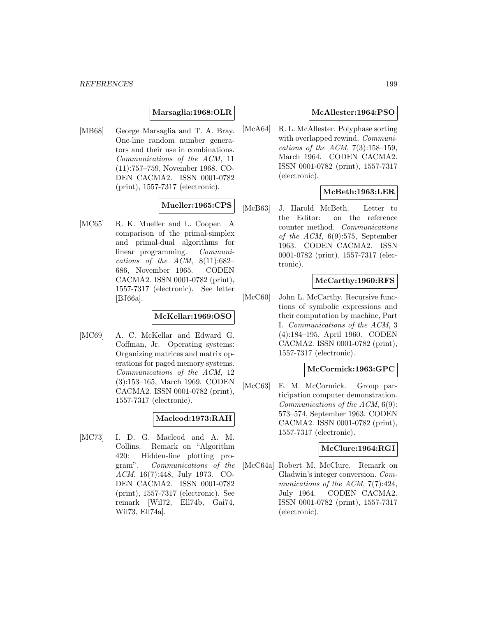### **Marsaglia:1968:OLR**

[MB68] George Marsaglia and T. A. Bray. One-line random number generators and their use in combinations. Communications of the ACM, 11 (11):757–759, November 1968. CO-DEN CACMA2. ISSN 0001-0782 (print), 1557-7317 (electronic).

# **Mueller:1965:CPS**

[MC65] R. K. Mueller and L. Cooper. A comparison of the primal-simplex and primal-dual algorithms for linear programming. Communications of the ACM,  $8(11):682-$ 686, November 1965. CODEN CACMA2. ISSN 0001-0782 (print), 1557-7317 (electronic). See letter [BJ66a].

### **McKellar:1969:OSO**

[MC69] A. C. McKellar and Edward G. Coffman, Jr. Operating systems: Organizing matrices and matrix operations for paged memory systems. Communications of the ACM, 12 (3):153–165, March 1969. CODEN CACMA2. ISSN 0001-0782 (print), 1557-7317 (electronic).

### **Macleod:1973:RAH**

[MC73] I. D. G. Macleod and A. M. Collins. Remark on "Algorithm 420: Hidden-line plotting program". Communications of the ACM, 16(7):448, July 1973. CO-DEN CACMA2. ISSN 0001-0782 (print), 1557-7317 (electronic). See remark [Wil72, Ell74b, Gai74, Wil73, Ell74a].

## **McAllester:1964:PSO**

[McA64] R. L. McAllester. Polyphase sorting with overlapped rewind. Communications of the ACM,  $7(3):158-159$ , March 1964. CODEN CACMA2. ISSN 0001-0782 (print), 1557-7317 (electronic).

# **McBeth:1963:LER**

[McB63] J. Harold McBeth. Letter to the Editor: on the reference counter method. Communications of the ACM,  $6(9):575$ , September 1963. CODEN CACMA2. ISSN 0001-0782 (print), 1557-7317 (electronic).

# **McCarthy:1960:RFS**

[McC60] John L. McCarthy. Recursive functions of symbolic expressions and their computation by machine, Part I. Communications of the ACM, 3 (4):184–195, April 1960. CODEN CACMA2. ISSN 0001-0782 (print), 1557-7317 (electronic).

### **McCormick:1963:GPC**

[McC63] E. M. McCormick. Group participation computer demonstration. Communications of the ACM, 6(9): 573–574, September 1963. CODEN CACMA2. ISSN 0001-0782 (print), 1557-7317 (electronic).

### **McClure:1964:RGI**

[McC64a] Robert M. McClure. Remark on Gladwin's integer conversion. Communications of the ACM, 7(7):424, July 1964. CODEN CACMA2. ISSN 0001-0782 (print), 1557-7317 (electronic).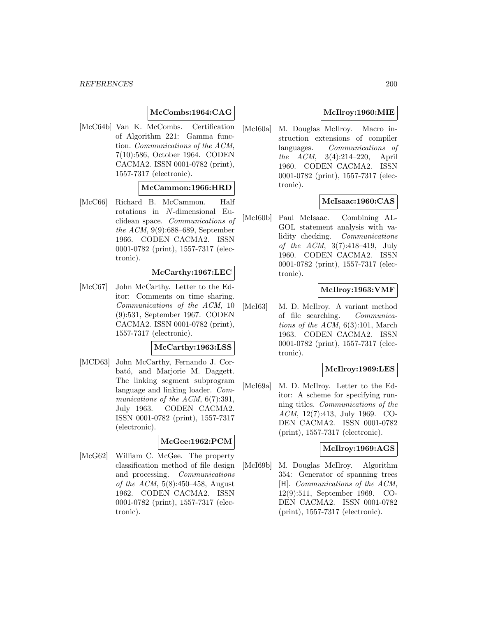### **McCombs:1964:CAG**

[McC64b] Van K. McCombs. Certification of Algorithm 221: Gamma function. Communications of the ACM, 7(10):586, October 1964. CODEN CACMA2. ISSN 0001-0782 (print), 1557-7317 (electronic).

#### **McCammon:1966:HRD**

[McC66] Richard B. McCammon. Half rotations in N-dimensional Euclidean space. Communications of the ACM, 9(9):688–689, September 1966. CODEN CACMA2. ISSN 0001-0782 (print), 1557-7317 (electronic).

#### **McCarthy:1967:LEC**

[McC67] John McCarthy. Letter to the Editor: Comments on time sharing. Communications of the ACM, 10 (9):531, September 1967. CODEN CACMA2. ISSN 0001-0782 (print), 1557-7317 (electronic).

#### **McCarthy:1963:LSS**

[MCD63] John McCarthy, Fernando J. Corbató, and Marjorie M. Daggett. The linking segment subprogram language and linking loader. Communications of the ACM, 6(7):391, July 1963. CODEN CACMA2. ISSN 0001-0782 (print), 1557-7317 (electronic).

#### **McGee:1962:PCM**

[McG62] William C. McGee. The property classification method of file design and processing. Communications of the ACM, 5(8):450–458, August 1962. CODEN CACMA2. ISSN 0001-0782 (print), 1557-7317 (electronic).

# **McIlroy:1960:MIE**

[McI60a] M. Douglas McIlroy. Macro instruction extensions of compiler languages. Communications of the ACM, 3(4):214–220, April 1960. CODEN CACMA2. ISSN 0001-0782 (print), 1557-7317 (electronic).

### **McIsaac:1960:CAS**

[McI60b] Paul McIsaac. Combining AL-GOL statement analysis with validity checking. Communications of the ACM, 3(7):418–419, July 1960. CODEN CACMA2. ISSN 0001-0782 (print), 1557-7317 (electronic).

### **McIlroy:1963:VMF**

[McI63] M. D. McIlroy. A variant method of file searching. Communications of the ACM,  $6(3):101$ , March 1963. CODEN CACMA2. ISSN 0001-0782 (print), 1557-7317 (electronic).

### **McIlroy:1969:LES**

[McI69a] M. D. McIlroy. Letter to the Editor: A scheme for specifying running titles. Communications of the ACM, 12(7):413, July 1969. CO-DEN CACMA2. ISSN 0001-0782 (print), 1557-7317 (electronic).

### **McIlroy:1969:AGS**

[McI69b] M. Douglas McIlroy. Algorithm 354: Generator of spanning trees [H]. Communications of the ACM, 12(9):511, September 1969. CO-DEN CACMA2. ISSN 0001-0782 (print), 1557-7317 (electronic).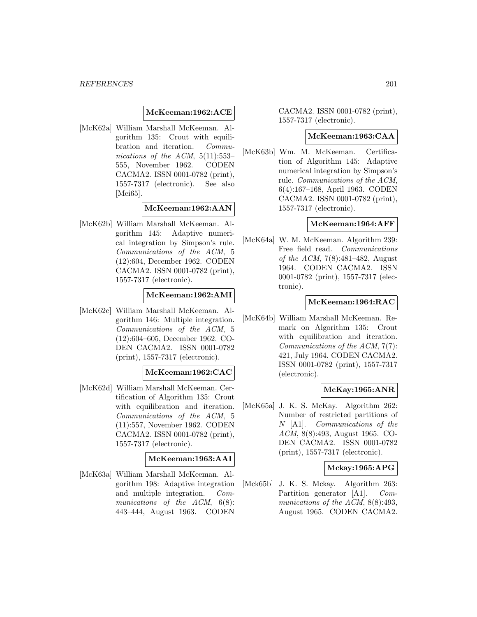#### **McKeeman:1962:ACE**

[McK62a] William Marshall McKeeman. Algorithm 135: Crout with equilibration and iteration. Communications of the ACM, 5(11):553– 555, November 1962. CODEN CACMA2. ISSN 0001-0782 (print), 1557-7317 (electronic). See also [Mei65].

### **McKeeman:1962:AAN**

[McK62b] William Marshall McKeeman. Algorithm 145: Adaptive numerical integration by Simpson's rule. Communications of the ACM, 5 (12):604, December 1962. CODEN CACMA2. ISSN 0001-0782 (print), 1557-7317 (electronic).

## **McKeeman:1962:AMI**

[McK62c] William Marshall McKeeman. Algorithm 146: Multiple integration. Communications of the ACM, 5 (12):604–605, December 1962. CO-DEN CACMA2. ISSN 0001-0782 (print), 1557-7317 (electronic).

## **McKeeman:1962:CAC**

[McK62d] William Marshall McKeeman. Certification of Algorithm 135: Crout with equilibration and iteration. Communications of the ACM, 5 (11):557, November 1962. CODEN CACMA2. ISSN 0001-0782 (print), 1557-7317 (electronic).

### **McKeeman:1963:AAI**

[McK63a] William Marshall McKeeman. Algorithm 198: Adaptive integration and multiple integration. Communications of the ACM,  $6(8)$ : 443–444, August 1963. CODEN

CACMA2. ISSN 0001-0782 (print), 1557-7317 (electronic).

#### **McKeeman:1963:CAA**

[McK63b] Wm. M. McKeeman. Certification of Algorithm 145: Adaptive numerical integration by Simpson's rule. Communications of the ACM, 6(4):167–168, April 1963. CODEN CACMA2. ISSN 0001-0782 (print), 1557-7317 (electronic).

#### **McKeeman:1964:AFF**

[McK64a] W. M. McKeeman. Algorithm 239: Free field read. Communications of the ACM, 7(8):481–482, August 1964. CODEN CACMA2. ISSN 0001-0782 (print), 1557-7317 (electronic).

#### **McKeeman:1964:RAC**

[McK64b] William Marshall McKeeman. Remark on Algorithm 135: Crout with equilibration and iteration. Communications of the ACM, 7(7): 421, July 1964. CODEN CACMA2. ISSN 0001-0782 (print), 1557-7317 (electronic).

### **McKay:1965:ANR**

[McK65a] J. K. S. McKay. Algorithm 262: Number of restricted partitions of N [A1]. Communications of the ACM, 8(8):493, August 1965. CO-DEN CACMA2. ISSN 0001-0782 (print), 1557-7317 (electronic).

### **Mckay:1965:APG**

[Mck65b] J. K. S. Mckay. Algorithm 263: Partition generator [A1]. Communications of the ACM, 8(8):493, August 1965. CODEN CACMA2.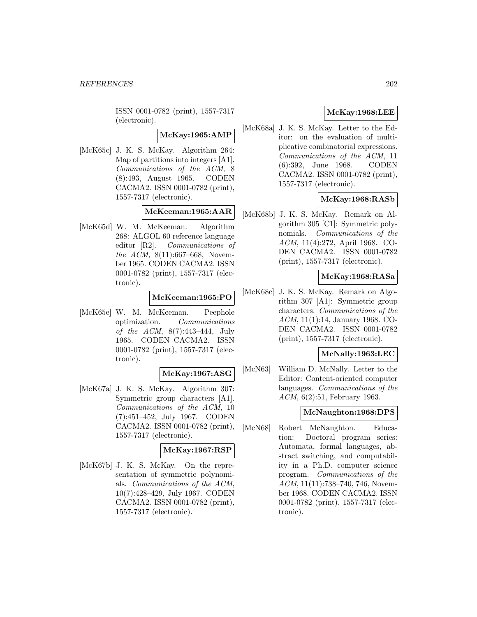ISSN 0001-0782 (print), 1557-7317 (electronic).

### **McKay:1965:AMP**

[McK65c] J. K. S. McKay. Algorithm 264: Map of partitions into integers [A1]. Communications of the ACM, 8 (8):493, August 1965. CODEN CACMA2. ISSN 0001-0782 (print), 1557-7317 (electronic).

### **McKeeman:1965:AAR**

[McK65d] W. M. McKeeman. Algorithm 268: ALGOL 60 reference language editor [R2]. Communications of the ACM, 8(11):667–668, November 1965. CODEN CACMA2. ISSN 0001-0782 (print), 1557-7317 (electronic).

### **McKeeman:1965:PO**

[McK65e] W. M. McKeeman. Peephole optimization. Communications of the ACM, 8(7):443–444, July 1965. CODEN CACMA2. ISSN 0001-0782 (print), 1557-7317 (electronic).

### **McKay:1967:ASG**

[McK67a] J. K. S. McKay. Algorithm 307: Symmetric group characters [A1]. Communications of the ACM, 10 (7):451–452, July 1967. CODEN CACMA2. ISSN 0001-0782 (print), 1557-7317 (electronic).

### **McKay:1967:RSP**

[McK67b] J. K. S. McKay. On the representation of symmetric polynomials. Communications of the ACM, 10(7):428–429, July 1967. CODEN CACMA2. ISSN 0001-0782 (print), 1557-7317 (electronic).

# **McKay:1968:LEE**

[McK68a] J. K. S. McKay. Letter to the Editor: on the evaluation of multiplicative combinatorial expressions. Communications of the ACM, 11<br>(6):392, June 1968. CODEN  $(6):392$ , June 1968. CACMA2. ISSN 0001-0782 (print), 1557-7317 (electronic).

# **McKay:1968:RASb**

[McK68b] J. K. S. McKay. Remark on Algorithm 305 [C1]: Symmetric polynomials. Communications of the ACM, 11(4):272, April 1968. CO-DEN CACMA2. ISSN 0001-0782 (print), 1557-7317 (electronic).

### **McKay:1968:RASa**

[McK68c] J. K. S. McKay. Remark on Algorithm 307 [A1]: Symmetric group characters. Communications of the ACM, 11(1):14, January 1968. CO-DEN CACMA2. ISSN 0001-0782 (print), 1557-7317 (electronic).

### **McNally:1963:LEC**

[McN63] William D. McNally. Letter to the Editor: Content-oriented computer languages. Communications of the ACM, 6(2):51, February 1963.

## **McNaughton:1968:DPS**

[McN68] Robert McNaughton. Education: Doctoral program series: Automata, formal languages, abstract switching, and computability in a Ph.D. computer science program. Communications of the ACM, 11(11):738–740, 746, November 1968. CODEN CACMA2. ISSN 0001-0782 (print), 1557-7317 (electronic).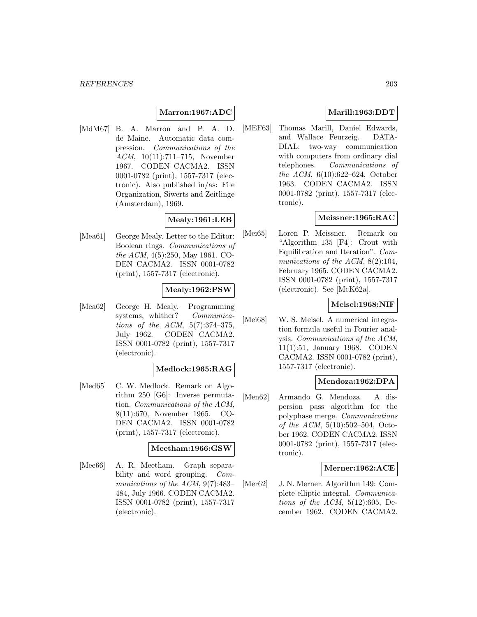### **Marron:1967:ADC**

[MdM67] B. A. Marron and P. A. D. de Maine. Automatic data compression. Communications of the ACM, 10(11):711–715, November 1967. CODEN CACMA2. ISSN 0001-0782 (print), 1557-7317 (electronic). Also published in/as: File Organization, Siwerts and Zeitlinge (Amsterdam), 1969.

# **Mealy:1961:LEB**

[Mea61] George Mealy. Letter to the Editor: Boolean rings. Communications of the ACM, 4(5):250, May 1961. CO-DEN CACMA2. ISSN 0001-0782 (print), 1557-7317 (electronic).

### **Mealy:1962:PSW**

[Mea62] George H. Mealy. Programming systems, whither? Communications of the ACM, 5(7):374–375, July 1962. CODEN CACMA2. ISSN 0001-0782 (print), 1557-7317 (electronic).

#### **Medlock:1965:RAG**

[Med65] C. W. Medlock. Remark on Algorithm 250 [G6]: Inverse permutation. Communications of the ACM, 8(11):670, November 1965. CO-DEN CACMA2. ISSN 0001-0782 (print), 1557-7317 (electronic).

#### **Meetham:1966:GSW**

[Mee66] A. R. Meetham. Graph separability and word grouping. *Com*munications of the ACM, 9(7):483– 484, July 1966. CODEN CACMA2. ISSN 0001-0782 (print), 1557-7317 (electronic).

## **Marill:1963:DDT**

[MEF63] Thomas Marill, Daniel Edwards, and Wallace Feurzeig. DATA-DIAL: two-way communication with computers from ordinary dial telephones. Communications of the ACM, 6(10):622–624, October 1963. CODEN CACMA2. ISSN 0001-0782 (print), 1557-7317 (electronic).

### **Meissner:1965:RAC**

[Mei65] Loren P. Meissner. Remark on "Algorithm 135 [F4]: Crout with Equilibration and Iteration". Communications of the ACM, 8(2):104, February 1965. CODEN CACMA2. ISSN 0001-0782 (print), 1557-7317 (electronic). See [McK62a].

#### **Meisel:1968:NIF**

[Mei68] W. S. Meisel. A numerical integration formula useful in Fourier analysis. Communications of the ACM, 11(1):51, January 1968. CODEN CACMA2. ISSN 0001-0782 (print), 1557-7317 (electronic).

### **Mendoza:1962:DPA**

[Men62] Armando G. Mendoza. A dispersion pass algorithm for the polyphase merge. Communications of the ACM,  $5(10):502-504$ , October 1962. CODEN CACMA2. ISSN 0001-0782 (print), 1557-7317 (electronic).

#### **Merner:1962:ACE**

[Mer62] J. N. Merner. Algorithm 149: Complete elliptic integral. Communications of the ACM,  $5(12):605$ , December 1962. CODEN CACMA2.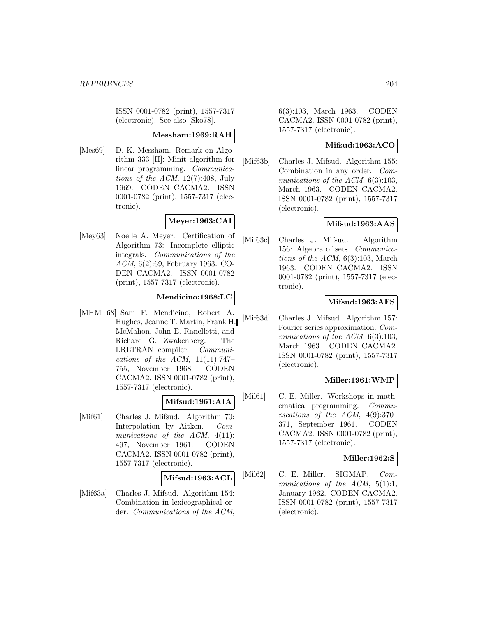ISSN 0001-0782 (print), 1557-7317 (electronic). See also [Sko78].

#### **Messham:1969:RAH**

[Mes69] D. K. Messham. Remark on Algorithm 333 [H]: Minit algorithm for linear programming. Communications of the ACM, 12(7):408, July 1969. CODEN CACMA2. ISSN 0001-0782 (print), 1557-7317 (electronic).

# **Meyer:1963:CAI**

[Mey63] Noelle A. Meyer. Certification of Algorithm 73: Incomplete elliptic integrals. Communications of the ACM, 6(2):69, February 1963. CO-DEN CACMA2. ISSN 0001-0782 (print), 1557-7317 (electronic).

### **Mendicino:1968:LC**

[MHM<sup>+</sup>68] Sam F. Mendicino, Robert A. Hughes, Jeanne T. Martin, Frank H. McMahon, John E. Ranelletti, and Richard G. Zwakenberg. The LRLTRAN compiler. Communications of the ACM,  $11(11):747-$ 755, November 1968. CODEN CACMA2. ISSN 0001-0782 (print), 1557-7317 (electronic).

# **Mifsud:1961:AIA**

[Mif61] Charles J. Mifsud. Algorithm 70: Interpolation by Aitken. Communications of the ACM, 4(11): 497, November 1961. CODEN CACMA2. ISSN 0001-0782 (print), 1557-7317 (electronic).

### **Mifsud:1963:ACL**

[Mif63a] Charles J. Mifsud. Algorithm 154: Combination in lexicographical order. Communications of the ACM,

6(3):103, March 1963. CODEN CACMA2. ISSN 0001-0782 (print), 1557-7317 (electronic).

### **Mifsud:1963:ACO**

[Mif63b] Charles J. Mifsud. Algorithm 155: Combination in any order. Communications of the ACM,  $6(3):103$ , March 1963. CODEN CACMA2. ISSN 0001-0782 (print), 1557-7317 (electronic).

### **Mifsud:1963:AAS**

[Mif63c] Charles J. Mifsud. Algorithm 156: Algebra of sets. Communications of the ACM, 6(3):103, March 1963. CODEN CACMA2. ISSN 0001-0782 (print), 1557-7317 (electronic).

### **Mifsud:1963:AFS**

[Mif63d] Charles J. Mifsud. Algorithm 157: Fourier series approximation. Communications of the ACM, 6(3):103, March 1963. CODEN CACMA2. ISSN 0001-0782 (print), 1557-7317 (electronic).

### **Miller:1961:WMP**

[Mil61] C. E. Miller. Workshops in mathematical programming. Communications of the ACM, 4(9):370– 371, September 1961. CODEN CACMA2. ISSN 0001-0782 (print), 1557-7317 (electronic).

### **Miller:1962:S**

[Mil62] C. E. Miller. SIGMAP. Communications of the  $ACM$ ,  $5(1):1$ , January 1962. CODEN CACMA2. ISSN 0001-0782 (print), 1557-7317 (electronic).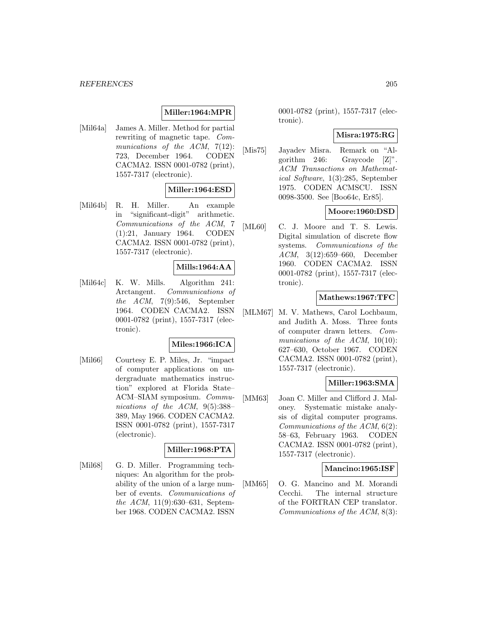# **Miller:1964:MPR**

[Mil64a] James A. Miller. Method for partial rewriting of magnetic tape. Communications of the ACM, 7(12): 723, December 1964. CODEN CACMA2. ISSN 0001-0782 (print), 1557-7317 (electronic).

# **Miller:1964:ESD**

[Mil64b] R. H. Miller. An example in "significant-digit" arithmetic. Communications of the ACM, 7 (1):21, January 1964. CODEN CACMA2. ISSN 0001-0782 (print), 1557-7317 (electronic).

### **Mills:1964:AA**

[Mil64c] K. W. Mills. Algorithm 241: Arctangent. Communications of the ACM, 7(9):546, September 1964. CODEN CACMA2. ISSN 0001-0782 (print), 1557-7317 (electronic).

### **Miles:1966:ICA**

[Mil66] Courtesy E. P. Miles, Jr. "impact of computer applications on undergraduate mathematics instruction" explored at Florida State– ACM–SIAM symposium. Communications of the ACM, 9(5):388-389, May 1966. CODEN CACMA2. ISSN 0001-0782 (print), 1557-7317 (electronic).

### **Miller:1968:PTA**

[Mil68] G. D. Miller. Programming techniques: An algorithm for the probability of the union of a large number of events. Communications of the ACM, 11(9):630–631, September 1968. CODEN CACMA2. ISSN

0001-0782 (print), 1557-7317 (electronic).

### **Misra:1975:RG**

[Mis75] Jayadev Misra. Remark on "Algorithm 246: Graycode [Z]". ACM Transactions on Mathematical Software, 1(3):285, September 1975. CODEN ACMSCU. ISSN 0098-3500. See [Boo64c, Er85].

### **Moore:1960:DSD**

[ML60] C. J. Moore and T. S. Lewis. Digital simulation of discrete flow systems. Communications of the ACM, 3(12):659–660, December 1960. CODEN CACMA2. ISSN 0001-0782 (print), 1557-7317 (electronic).

#### **Mathews:1967:TFC**

[MLM67] M. V. Mathews, Carol Lochbaum, and Judith A. Moss. Three fonts of computer drawn letters. Communications of the ACM, 10(10): 627–630, October 1967. CODEN CACMA2. ISSN 0001-0782 (print), 1557-7317 (electronic).

### **Miller:1963:SMA**

[MM63] Joan C. Miller and Clifford J. Maloney. Systematic mistake analysis of digital computer programs. Communications of the ACM, 6(2): 58–63, February 1963. CODEN CACMA2. ISSN 0001-0782 (print), 1557-7317 (electronic).

#### **Mancino:1965:ISF**

[MM65] O. G. Mancino and M. Morandi Cecchi. The internal structure of the FORTRAN CEP translator. Communications of the ACM, 8(3):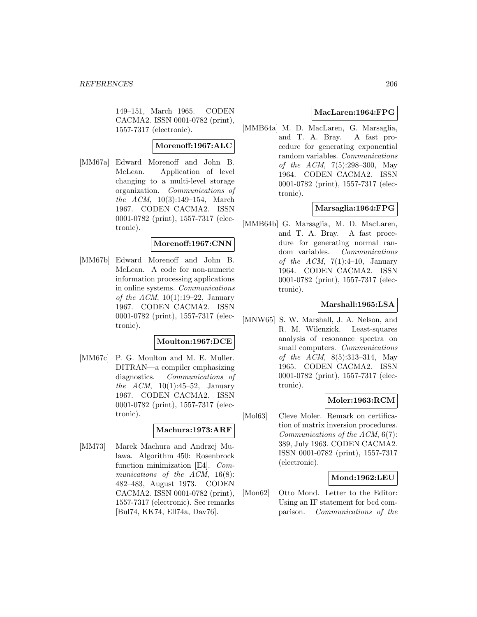149–151, March 1965. CODEN CACMA2. ISSN 0001-0782 (print), 1557-7317 (electronic).

#### **Morenoff:1967:ALC**

[MM67a] Edward Morenoff and John B. McLean. Application of level changing to a multi-level storage organization. Communications of the ACM, 10(3):149–154, March 1967. CODEN CACMA2. ISSN 0001-0782 (print), 1557-7317 (electronic).

## **Morenoff:1967:CNN**

[MM67b] Edward Morenoff and John B. McLean. A code for non-numeric information processing applications in online systems. Communications of the ACM,  $10(1):19-22$ , January 1967. CODEN CACMA2. ISSN 0001-0782 (print), 1557-7317 (electronic).

### **Moulton:1967:DCE**

[MM67c] P. G. Moulton and M. E. Muller. DITRAN—a compiler emphasizing diagnostics. Communications of the ACM,  $10(1):45-52$ , January 1967. CODEN CACMA2. ISSN 0001-0782 (print), 1557-7317 (electronic).

#### **Machura:1973:ARF**

[MM73] Marek Machura and Andrzej Mulawa. Algorithm 450: Rosenbrock function minimization [E4]. Communications of the ACM, 16(8): 482–483, August 1973. CODEN CACMA2. ISSN 0001-0782 (print), 1557-7317 (electronic). See remarks [Bul74, KK74, Ell74a, Dav76].

### **MacLaren:1964:FPG**

[MMB64a] M. D. MacLaren, G. Marsaglia, and T. A. Bray. A fast procedure for generating exponential random variables. Communications of the ACM, 7(5):298–300, May 1964. CODEN CACMA2. ISSN 0001-0782 (print), 1557-7317 (electronic).

# **Marsaglia:1964:FPG**

[MMB64b] G. Marsaglia, M. D. MacLaren, and T. A. Bray. A fast procedure for generating normal random variables. Communications of the ACM,  $7(1):4-10$ , January 1964. CODEN CACMA2. ISSN 0001-0782 (print), 1557-7317 (electronic).

### **Marshall:1965:LSA**

[MNW65] S. W. Marshall, J. A. Nelson, and R. M. Wilenzick. Least-squares analysis of resonance spectra on small computers. *Communications* of the ACM, 8(5):313–314, May 1965. CODEN CACMA2. ISSN 0001-0782 (print), 1557-7317 (electronic).

### **Moler:1963:RCM**

[Mol63] Cleve Moler. Remark on certification of matrix inversion procedures. Communications of the ACM, 6(7): 389, July 1963. CODEN CACMA2. ISSN 0001-0782 (print), 1557-7317 (electronic).

### **Mond:1962:LEU**

[Mon62] Otto Mond. Letter to the Editor: Using an IF statement for bcd comparison. Communications of the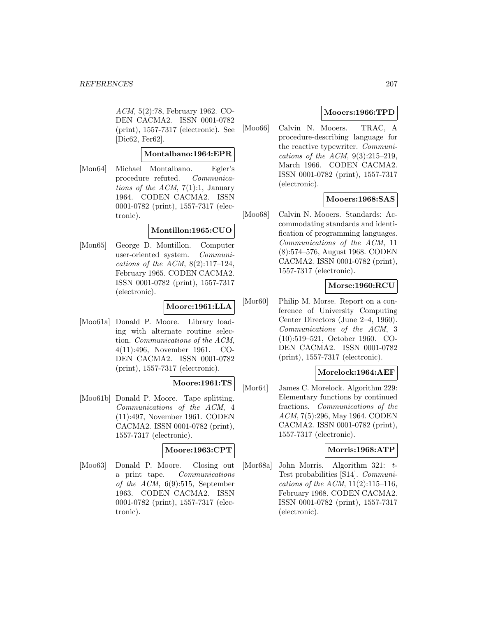ACM, 5(2):78, February 1962. CO-DEN CACMA2. ISSN 0001-0782 (print), 1557-7317 (electronic). See [Dic62, Fer62].

### **Montalbano:1964:EPR**

[Mon64] Michael Montalbano. Egler's procedure refuted. Communications of the ACM,  $7(1)$ :1, January 1964. CODEN CACMA2. ISSN 0001-0782 (print), 1557-7317 (electronic).

## **Montillon:1965:CUO**

[Mon65] George D. Montillon. Computer user-oriented system. Communications of the ACM,  $8(2):117-124$ , February 1965. CODEN CACMA2. ISSN 0001-0782 (print), 1557-7317 (electronic).

## **Moore:1961:LLA**

[Moo61a] Donald P. Moore. Library loading with alternate routine selection. Communications of the ACM, 4(11):496, November 1961. CO-DEN CACMA2. ISSN 0001-0782 (print), 1557-7317 (electronic).

### **Moore:1961:TS**

[Moo61b] Donald P. Moore. Tape splitting. Communications of the ACM, 4 (11):497, November 1961. CODEN CACMA2. ISSN 0001-0782 (print), 1557-7317 (electronic).

# **Moore:1963:CPT**

[Moo63] Donald P. Moore. Closing out a print tape. Communications of the ACM, 6(9):515, September 1963. CODEN CACMA2. ISSN 0001-0782 (print), 1557-7317 (electronic).

## **Mooers:1966:TPD**

[Moo66] Calvin N. Mooers. TRAC, A procedure-describing language for the reactive typewriter. Communications of the ACM,  $9(3):215-219$ , March 1966. CODEN CACMA2. ISSN 0001-0782 (print), 1557-7317 (electronic).

# **Mooers:1968:SAS**

[Moo68] Calvin N. Mooers. Standards: Accommodating standards and identification of programming languages. Communications of the ACM, 11 (8):574–576, August 1968. CODEN CACMA2. ISSN 0001-0782 (print), 1557-7317 (electronic).

### **Morse:1960:RCU**

[Mor60] Philip M. Morse. Report on a conference of University Computing Center Directors (June 2–4, 1960). Communications of the ACM, 3 (10):519–521, October 1960. CO-DEN CACMA2. ISSN 0001-0782 (print), 1557-7317 (electronic).

## **Morelock:1964:AEF**

[Mor64] James C. Morelock. Algorithm 229: Elementary functions by continued fractions. Communications of the ACM, 7(5):296, May 1964. CODEN CACMA2. ISSN 0001-0782 (print), 1557-7317 (electronic).

### **Morris:1968:ATP**

[Mor68a] John Morris. Algorithm 321: t-Test probabilities [S14]. Communications of the ACM,  $11(2):115-116$ , February 1968. CODEN CACMA2. ISSN 0001-0782 (print), 1557-7317 (electronic).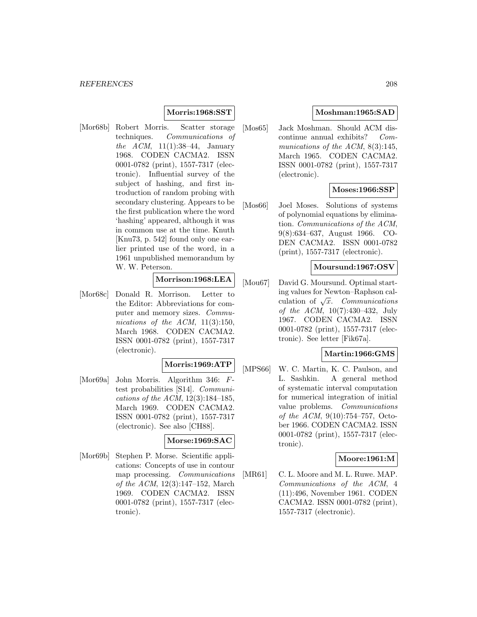### **Morris:1968:SST**

[Mor68b] Robert Morris. Scatter storage techniques. Communications of the ACM,  $11(1):38-44$ , January 1968. CODEN CACMA2. ISSN 0001-0782 (print), 1557-7317 (electronic). Influential survey of the subject of hashing, and first introduction of random probing with secondary clustering. Appears to be the first publication where the word 'hashing' appeared, although it was in common use at the time. Knuth [Knu73, p. 542] found only one earlier printed use of the word, in a 1961 unpublished memorandum by W. W. Peterson.

### **Morrison:1968:LEA**

[Mor68c] Donald R. Morrison. Letter to the Editor: Abbreviations for computer and memory sizes. Communications of the ACM,  $11(3):150$ , March 1968. CODEN CACMA2. ISSN 0001-0782 (print), 1557-7317 (electronic).

### **Morris:1969:ATP**

[Mor69a] John Morris. Algorithm 346: Ftest probabilities [S14]. Communications of the ACM, 12(3):184–185, March 1969. CODEN CACMA2. ISSN 0001-0782 (print), 1557-7317 (electronic). See also [CH88].

#### **Morse:1969:SAC**

[Mor69b] Stephen P. Morse. Scientific applications: Concepts of use in contour map processing. Communications of the ACM, 12(3):147–152, March 1969. CODEN CACMA2. ISSN 0001-0782 (print), 1557-7317 (electronic).

## **Moshman:1965:SAD**

[Mos65] Jack Moshman. Should ACM discontinue annual exhibits? Communications of the ACM, 8(3):145, March 1965. CODEN CACMA2. ISSN 0001-0782 (print), 1557-7317 (electronic).

### **Moses:1966:SSP**

[Mos66] Joel Moses. Solutions of systems of polynomial equations by elimination. Communications of the ACM, 9(8):634–637, August 1966. CO-DEN CACMA2. ISSN 0001-0782 (print), 1557-7317 (electronic).

### **Moursund:1967:OSV**

[Mou67] David G. Moursund. Optimal starting values for Newton–Raphson calculation of  $\sqrt{x}$ . Communications of the ACM, 10(7):430–432, July 1967. CODEN CACMA2. ISSN 0001-0782 (print), 1557-7317 (electronic). See letter [Fik67a].

### **Martin:1966:GMS**

[MPS66] W. C. Martin, K. C. Paulson, and L. Sashkin. A general method of systematic interval computation for numerical integration of initial value problems. Communications of the ACM, 9(10):754–757, October 1966. CODEN CACMA2. ISSN 0001-0782 (print), 1557-7317 (electronic).

### **Moore:1961:M**

[MR61] C. L. Moore and M. L. Ruwe. MAP. Communications of the ACM, 4 (11):496, November 1961. CODEN CACMA2. ISSN 0001-0782 (print), 1557-7317 (electronic).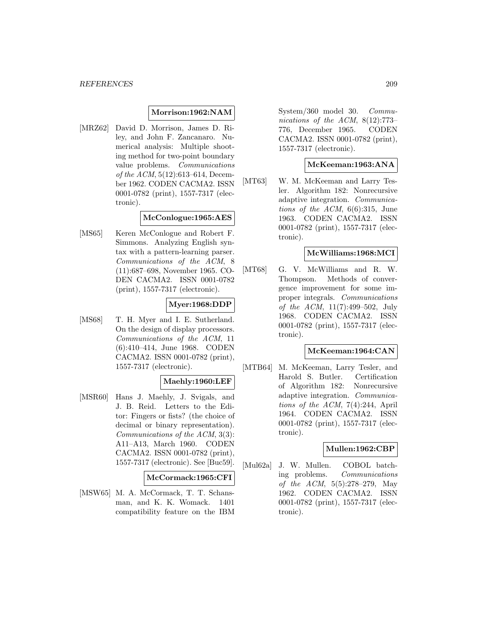#### **Morrison:1962:NAM**

[MRZ62] David D. Morrison, James D. Riley, and John F. Zancanaro. Numerical analysis: Multiple shooting method for two-point boundary value problems. Communications of the ACM, 5(12):613–614, December 1962. CODEN CACMA2. ISSN 0001-0782 (print), 1557-7317 (electronic).

#### **McConlogue:1965:AES**

[MS65] Keren McConlogue and Robert F. Simmons. Analyzing English syntax with a pattern-learning parser. Communications of the ACM, 8 (11):687–698, November 1965. CO-DEN CACMA2. ISSN 0001-0782 (print), 1557-7317 (electronic).

# **Myer:1968:DDP**

[MS68] T. H. Myer and I. E. Sutherland. On the design of display processors. Communications of the ACM, 11 (6):410–414, June 1968. CODEN CACMA2. ISSN 0001-0782 (print), 1557-7317 (electronic).

### **Maehly:1960:LEF**

[MSR60] Hans J. Maehly, J. Svigals, and J. B. Reid. Letters to the Editor: Fingers or fists? (the choice of decimal or binary representation). Communications of the ACM, 3(3): A11–A13, March 1960. CODEN CACMA2. ISSN 0001-0782 (print), 1557-7317 (electronic). See [Buc59].

### **McCormack:1965:CFI**

[MSW65] M. A. McCormack, T. T. Schansman, and K. K. Womack. 1401 compatibility feature on the IBM System/360 model 30. Communications of the ACM, 8(12):773– 776, December 1965. CODEN CACMA2. ISSN 0001-0782 (print), 1557-7317 (electronic).

#### **McKeeman:1963:ANA**

[MT63] W. M. McKeeman and Larry Tesler. Algorithm 182: Nonrecursive adaptive integration. Communications of the ACM,  $6(6):315$ , June 1963. CODEN CACMA2. ISSN 0001-0782 (print), 1557-7317 (electronic).

### **McWilliams:1968:MCI**

[MT68] G. V. McWilliams and R. W. Thompson. Methods of convergence improvement for some improper integrals. Communications of the ACM, 11(7):499–502, July 1968. CODEN CACMA2. ISSN 0001-0782 (print), 1557-7317 (electronic).

#### **McKeeman:1964:CAN**

[MTB64] M. McKeeman, Larry Tesler, and Harold S. Butler. Certification of Algorithm 182: Nonrecursive adaptive integration. Communications of the ACM, 7(4):244, April 1964. CODEN CACMA2. ISSN 0001-0782 (print), 1557-7317 (electronic).

### **Mullen:1962:CBP**

[Mul62a] J. W. Mullen. COBOL batching problems. Communications of the ACM, 5(5):278–279, May 1962. CODEN CACMA2. ISSN 0001-0782 (print), 1557-7317 (electronic).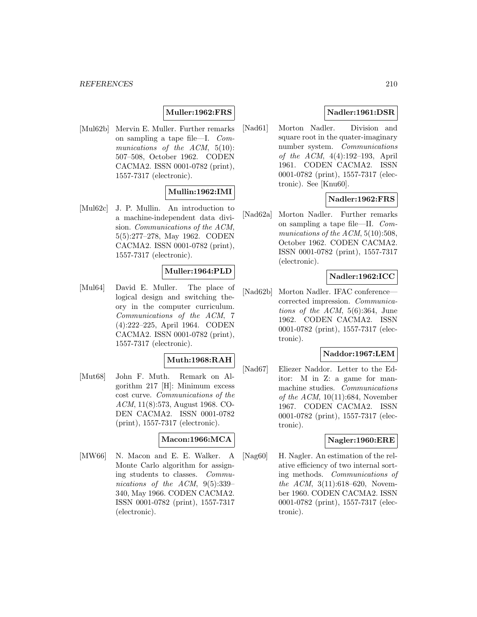## **Muller:1962:FRS**

[Mul62b] Mervin E. Muller. Further remarks on sampling a tape file—I. Communications of the ACM, 5(10): 507–508, October 1962. CODEN CACMA2. ISSN 0001-0782 (print), 1557-7317 (electronic).

# **Mullin:1962:IMI**

[Mul62c] J. P. Mullin. An introduction to a machine-independent data division. Communications of the ACM, 5(5):277–278, May 1962. CODEN CACMA2. ISSN 0001-0782 (print), 1557-7317 (electronic).

# **Muller:1964:PLD**

[Mul64] David E. Muller. The place of logical design and switching theory in the computer curriculum. Communications of the ACM, 7 (4):222–225, April 1964. CODEN CACMA2. ISSN 0001-0782 (print), 1557-7317 (electronic).

### **Muth:1968:RAH**

[Mut68] John F. Muth. Remark on Algorithm 217 [H]: Minimum excess cost curve. Communications of the ACM, 11(8):573, August 1968. CO-DEN CACMA2. ISSN 0001-0782 (print), 1557-7317 (electronic).

#### **Macon:1966:MCA**

[MW66] N. Macon and E. E. Walker. A Monte Carlo algorithm for assigning students to classes. Communications of the ACM, 9(5):339– 340, May 1966. CODEN CACMA2. ISSN 0001-0782 (print), 1557-7317 (electronic).

# **Nadler:1961:DSR**

[Nad61] Morton Nadler. Division and square root in the quater-imaginary number system. Communications of the ACM, 4(4):192–193, April 1961. CODEN CACMA2. ISSN 0001-0782 (print), 1557-7317 (electronic). See [Knu60].

### **Nadler:1962:FRS**

[Nad62a] Morton Nadler. Further remarks on sampling a tape file—II. Communications of the ACM,  $5(10):508$ , October 1962. CODEN CACMA2. ISSN 0001-0782 (print), 1557-7317 (electronic).

### **Nadler:1962:ICC**

[Nad62b] Morton Nadler. IFAC conferencecorrected impression. Communications of the ACM, 5(6):364, June 1962. CODEN CACMA2. ISSN 0001-0782 (print), 1557-7317 (electronic).

### **Naddor:1967:LEM**

[Nad67] Eliezer Naddor. Letter to the Editor: M in Z: a game for manmachine studies. Communications of the ACM,  $10(11):684$ , November 1967. CODEN CACMA2. ISSN 0001-0782 (print), 1557-7317 (electronic).

#### **Nagler:1960:ERE**

[Nag60] H. Nagler. An estimation of the relative efficiency of two internal sorting methods. Communications of the ACM, 3(11):618-620, November 1960. CODEN CACMA2. ISSN 0001-0782 (print), 1557-7317 (electronic).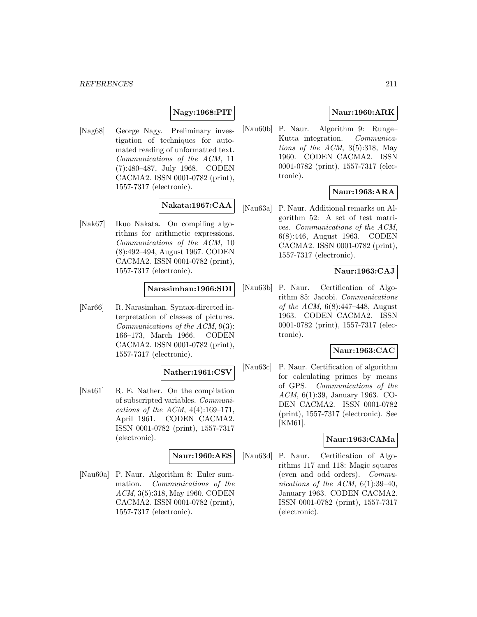# **Nagy:1968:PIT**

[Nag68] George Nagy. Preliminary investigation of techniques for automated reading of unformatted text. Communications of the ACM, 11 (7):480–487, July 1968. CODEN CACMA2. ISSN 0001-0782 (print), 1557-7317 (electronic).

# **Nakata:1967:CAA**

[Nak67] Ikuo Nakata. On compiling algorithms for arithmetic expressions. Communications of the ACM, 10 (8):492–494, August 1967. CODEN CACMA2. ISSN 0001-0782 (print), 1557-7317 (electronic).

### **Narasimhan:1966:SDI**

[Nar66] R. Narasimhan. Syntax-directed interpretation of classes of pictures. Communications of the ACM, 9(3): 166–173, March 1966. CODEN CACMA2. ISSN 0001-0782 (print), 1557-7317 (electronic).

## **Nather:1961:CSV**

[Nat61] R. E. Nather. On the compilation of subscripted variables. Communications of the ACM,  $4(4):169-171$ , April 1961. CODEN CACMA2. ISSN 0001-0782 (print), 1557-7317 (electronic).

### **Naur:1960:AES**

[Nau60a] P. Naur. Algorithm 8: Euler summation. Communications of the ACM, 3(5):318, May 1960. CODEN CACMA2. ISSN 0001-0782 (print), 1557-7317 (electronic).

# **Naur:1960:ARK**

[Nau60b] P. Naur. Algorithm 9: Runge– Kutta integration. Communications of the ACM,  $3(5):318$ , May 1960. CODEN CACMA2. ISSN 0001-0782 (print), 1557-7317 (electronic).

# **Naur:1963:ARA**

[Nau63a] P. Naur. Additional remarks on Algorithm 52: A set of test matrices. Communications of the ACM, 6(8):446, August 1963. CODEN CACMA2. ISSN 0001-0782 (print), 1557-7317 (electronic).

## **Naur:1963:CAJ**

[Nau63b] P. Naur. Certification of Algorithm 85: Jacobi. Communications of the ACM,  $6(8):447-448$ , August 1963. CODEN CACMA2. ISSN 0001-0782 (print), 1557-7317 (electronic).

# **Naur:1963:CAC**

[Nau63c] P. Naur. Certification of algorithm for calculating primes by means of GPS. Communications of the ACM, 6(1):39, January 1963. CO-DEN CACMA2. ISSN 0001-0782 (print), 1557-7317 (electronic). See [KM61].

### **Naur:1963:CAMa**

[Nau63d] P. Naur. Certification of Algorithms 117 and 118: Magic squares (even and odd orders). Communications of the ACM,  $6(1):39-40$ , January 1963. CODEN CACMA2. ISSN 0001-0782 (print), 1557-7317 (electronic).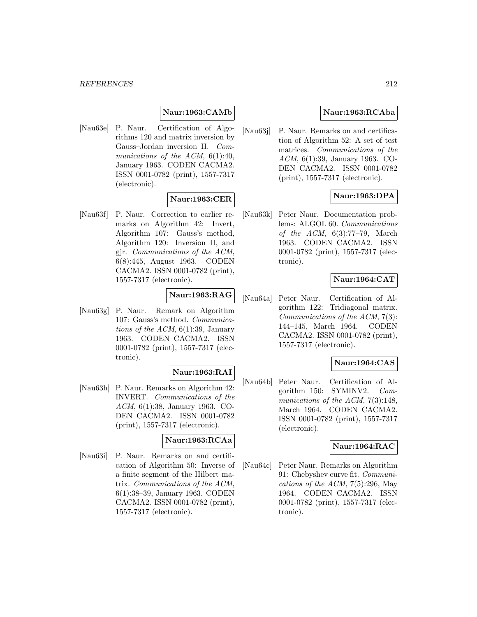## **Naur:1963:CAMb**

[Nau63e] P. Naur. Certification of Algorithms 120 and matrix inversion by Gauss–Jordan inversion II. Communications of the ACM,  $6(1):40$ , January 1963. CODEN CACMA2. ISSN 0001-0782 (print), 1557-7317 (electronic).

### **Naur:1963:CER**

[Nau63f] P. Naur. Correction to earlier remarks on Algorithm 42: Invert, Algorithm 107: Gauss's method, Algorithm 120: Inversion II, and gjr. Communications of the ACM, 6(8):445, August 1963. CODEN CACMA2. ISSN 0001-0782 (print), 1557-7317 (electronic).

# **Naur:1963:RAG**

[Nau63g] P. Naur. Remark on Algorithm 107: Gauss's method. Communications of the ACM,  $6(1):39$ , January 1963. CODEN CACMA2. ISSN 0001-0782 (print), 1557-7317 (electronic).

## **Naur:1963:RAI**

[Nau63h] P. Naur. Remarks on Algorithm 42: INVERT. Communications of the ACM, 6(1):38, January 1963. CO-DEN CACMA2. ISSN 0001-0782 (print), 1557-7317 (electronic).

### **Naur:1963:RCAa**

[Nau63i] P. Naur. Remarks on and certification of Algorithm 50: Inverse of a finite segment of the Hilbert matrix. Communications of the ACM, 6(1):38–39, January 1963. CODEN CACMA2. ISSN 0001-0782 (print), 1557-7317 (electronic).

### **Naur:1963:RCAba**

[Nau63j] P. Naur. Remarks on and certification of Algorithm 52: A set of test matrices. Communications of the ACM, 6(1):39, January 1963. CO-DEN CACMA2. ISSN 0001-0782 (print), 1557-7317 (electronic).

### **Naur:1963:DPA**

[Nau63k] Peter Naur. Documentation problems: ALGOL 60. Communications of the ACM, 6(3):77–79, March 1963. CODEN CACMA2. ISSN 0001-0782 (print), 1557-7317 (electronic).

### **Naur:1964:CAT**

[Nau64a] Peter Naur. Certification of Algorithm 122: Tridiagonal matrix. Communications of the ACM, 7(3): 144–145, March 1964. CODEN CACMA2. ISSN 0001-0782 (print), 1557-7317 (electronic).

### **Naur:1964:CAS**

[Nau64b] Peter Naur. Certification of Algorithm 150: SYMINV2. Communications of the ACM, 7(3):148, March 1964. CODEN CACMA2. ISSN 0001-0782 (print), 1557-7317 (electronic).

#### **Naur:1964:RAC**

[Nau64c] Peter Naur. Remarks on Algorithm 91: Chebyshev curve fit. Communications of the ACM,  $7(5):296$ , May 1964. CODEN CACMA2. ISSN 0001-0782 (print), 1557-7317 (electronic).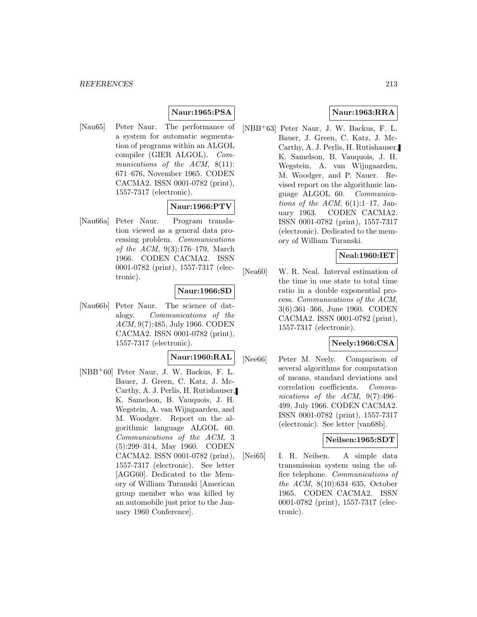### **Naur:1965:PSA**

[Nau65] Peter Naur. The performance of a system for automatic segmentation of programs within an ALGOL compiler (GIER ALGOL). Communications of the  $ACM$ ,  $8(11)$ : 671–676, November 1965. CODEN CACMA2. ISSN 0001-0782 (print), 1557-7317 (electronic).

### **Naur:1966:PTV**

[Nau66a] Peter Naur. Program translation viewed as a general data processing problem. Communications of the ACM, 9(3):176–179, March 1966. CODEN CACMA2. ISSN 0001-0782 (print), 1557-7317 (electronic).

### **Naur:1966:SD**

[Nau66b] Peter Naur. The science of datalogy. Communications of the ACM, 9(7):485, July 1966. CODEN CACMA2. ISSN 0001-0782 (print), 1557-7317 (electronic).

#### **Naur:1960:RAL**

[NBB<sup>+</sup>60] Peter Naur, J. W. Backus, F. L. Bauer, J. Green, C. Katz, J. Mc-Carthy, A. J. Perlis, H. Rutishauser, K. Samelson, B. Vauquois, J. H. Wegstein, A. van Wijngaarden, and M. Woodger. Report on the algorithmic language ALGOL 60. Communications of the ACM, 3 (5):299–314, May 1960. CODEN CACMA2. ISSN 0001-0782 (print), 1557-7317 (electronic). See letter [AGG60]. Dedicated to the Memory of William Turanski [American group member who was killed by an automobile just prior to the January 1960 Conference].

### **Naur:1963:RRA**

[NBB<sup>+</sup>63] Peter Naur, J. W. Backus, F. L. Bauer, J. Green, C. Katz, J. Mc-Carthy, A. J. Perlis, H. Rutishauser, K. Samelson, B. Vauquois, J. H. Wegstein, A. van Wijngaarden, M. Woodger, and P. Nauer. Revised report on the algorithmic language ALGOL 60. Communications of the ACM,  $6(1):1-17$ , January 1963. CODEN CACMA2. ISSN 0001-0782 (print), 1557-7317 (electronic). Dedicated to the memory of William Turanski.

# **Neal:1960:IET**

[Nea60] W. R. Neal. Interval estimation of the time in one state to total time ratio in a double exponential process. Communications of the ACM, 3(6):361–366, June 1960. CODEN CACMA2. ISSN 0001-0782 (print), 1557-7317 (electronic).

# **Neely:1966:CSA**

[Nee66] Peter M. Neely. Comparison of several algorithms for computation of means, standard deviations and correlation coefficients. Communications of the ACM, 9(7):496– 499, July 1966. CODEN CACMA2. ISSN 0001-0782 (print), 1557-7317 (electronic). See letter [van68b].

### **Neilsen:1965:SDT**

[Nei65] I. R. Neilsen. A simple data transmission system using the office telephone. Communications of the ACM, 8(10):634–635, October 1965. CODEN CACMA2. ISSN 0001-0782 (print), 1557-7317 (electronic).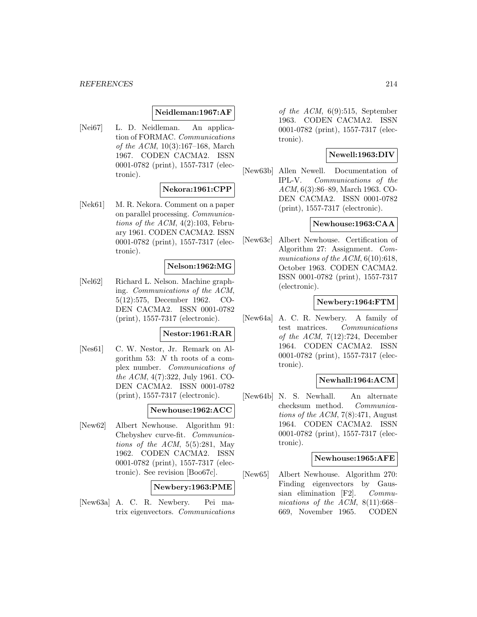#### **Neidleman:1967:AF**

[Nei67] L. D. Neidleman. An application of FORMAC. Communications of the ACM, 10(3):167–168, March 1967. CODEN CACMA2. ISSN 0001-0782 (print), 1557-7317 (electronic).

### **Nekora:1961:CPP**

[Nek61] M. R. Nekora. Comment on a paper on parallel processing. Communications of the ACM,  $4(2):103$ , February 1961. CODEN CACMA2. ISSN 0001-0782 (print), 1557-7317 (electronic).

### **Nelson:1962:MG**

[Nel62] Richard L. Nelson. Machine graphing. Communications of the ACM, 5(12):575, December 1962. CO-DEN CACMA2. ISSN 0001-0782 (print), 1557-7317 (electronic).

### **Nestor:1961:RAR**

[Nes61] C. W. Nestor, Jr. Remark on Algorithm 53: N th roots of a complex number. Communications of the ACM, 4(7):322, July 1961. CO-DEN CACMA2. ISSN 0001-0782 (print), 1557-7317 (electronic).

#### **Newhouse:1962:ACC**

[New62] Albert Newhouse. Algorithm 91: Chebyshev curve-fit. Communications of the ACM,  $5(5):281$ , May 1962. CODEN CACMA2. ISSN 0001-0782 (print), 1557-7317 (electronic). See revision [Boo67c].

### **Newbery:1963:PME**

[New63a] A. C. R. Newbery. Pei matrix eigenvectors. Communications of the ACM,  $6(9):515$ , September 1963. CODEN CACMA2. ISSN 0001-0782 (print), 1557-7317 (electronic).

## **Newell:1963:DIV**

[New63b] Allen Newell. Documentation of IPL-V. Communications of the ACM, 6(3):86–89, March 1963. CO-DEN CACMA2. ISSN 0001-0782 (print), 1557-7317 (electronic).

#### **Newhouse:1963:CAA**

[New63c] Albert Newhouse. Certification of Algorithm 27: Assignment. Communications of the ACM,  $6(10):618$ , October 1963. CODEN CACMA2. ISSN 0001-0782 (print), 1557-7317 (electronic).

#### **Newbery:1964:FTM**

[New64a] A. C. R. Newbery. A family of test matrices. Communications of the ACM,  $7(12):724$ , December 1964. CODEN CACMA2. ISSN 0001-0782 (print), 1557-7317 (electronic).

#### **Newhall:1964:ACM**

[New64b] N. S. Newhall. An alternate checksum method. Communications of the ACM,  $7(8):471$ , August 1964. CODEN CACMA2. ISSN 0001-0782 (print), 1557-7317 (electronic).

### **Newhouse:1965:AFE**

[New65] Albert Newhouse. Algorithm 270: Finding eigenvectors by Gaussian elimination [F2]. Communications of the ACM, 8(11):668– 669, November 1965. CODEN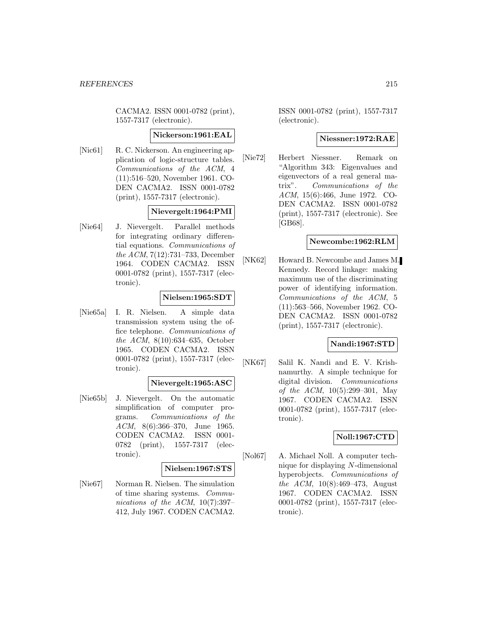CACMA2. ISSN 0001-0782 (print), 1557-7317 (electronic).

#### **Nickerson:1961:EAL**

[Nic61] R. C. Nickerson. An engineering application of logic-structure tables. Communications of the ACM, 4 (11):516–520, November 1961. CO-DEN CACMA2. ISSN 0001-0782 (print), 1557-7317 (electronic).

### **Nievergelt:1964:PMI**

[Nie64] J. Nievergelt. Parallel methods for integrating ordinary differential equations. Communications of the ACM, 7(12):731–733, December 1964. CODEN CACMA2. ISSN 0001-0782 (print), 1557-7317 (electronic).

### **Nielsen:1965:SDT**

[Nie65a] I. R. Nielsen. A simple data transmission system using the office telephone. Communications of the ACM, 8(10):634–635, October 1965. CODEN CACMA2. ISSN 0001-0782 (print), 1557-7317 (electronic).

## **Nievergelt:1965:ASC**

[Nie65b] J. Nievergelt. On the automatic simplification of computer programs. Communications of the ACM, 8(6):366–370, June 1965. CODEN CACMA2. ISSN 0001- 0782 (print), 1557-7317 (electronic).

### **Nielsen:1967:STS**

[Nie67] Norman R. Nielsen. The simulation of time sharing systems. Communications of the ACM,  $10(7):397-$ 412, July 1967. CODEN CACMA2.

ISSN 0001-0782 (print), 1557-7317 (electronic).

### **Niessner:1972:RAE**

[Nie72] Herbert Niessner. Remark on "Algorithm 343: Eigenvalues and eigenvectors of a real general matrix". Communications of the ACM, 15(6):466, June 1972. CO-DEN CACMA2. ISSN 0001-0782 (print), 1557-7317 (electronic). See [GB68].

#### **Newcombe:1962:RLM**

[NK62] Howard B. Newcombe and James M. Kennedy. Record linkage: making maximum use of the discriminating power of identifying information. Communications of the ACM, 5 (11):563–566, November 1962. CO-DEN CACMA2. ISSN 0001-0782 (print), 1557-7317 (electronic).

### **Nandi:1967:STD**

[NK67] Salil K. Nandi and E. V. Krishnamurthy. A simple technique for digital division. Communications of the ACM, 10(5):299–301, May 1967. CODEN CACMA2. ISSN 0001-0782 (print), 1557-7317 (electronic).

### **Noll:1967:CTD**

[Nol67] A. Michael Noll. A computer technique for displaying N-dimensional hyperobjects. Communications of the ACM, 10(8):469–473, August 1967. CODEN CACMA2. ISSN 0001-0782 (print), 1557-7317 (electronic).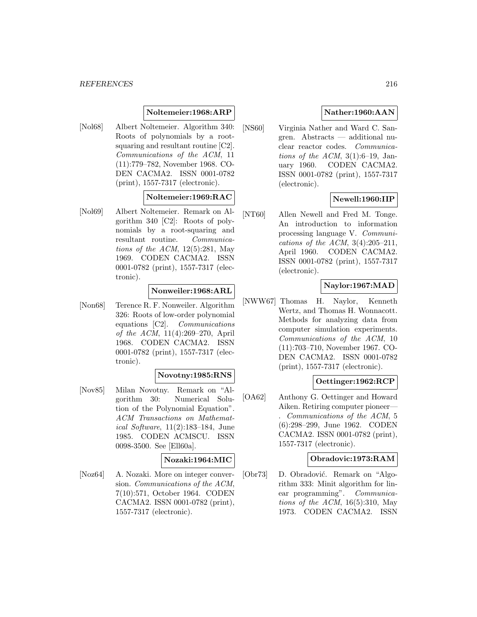#### *REFERENCES* 216

### **Noltemeier:1968:ARP**

[Nol68] Albert Noltemeier. Algorithm 340: Roots of polynomials by a rootsquaring and resultant routine [C2]. Communications of the ACM, 11 (11):779–782, November 1968. CO-DEN CACMA2. ISSN 0001-0782 (print), 1557-7317 (electronic).

### **Noltemeier:1969:RAC**

[Nol69] Albert Noltemeier. Remark on Algorithm 340 [C2]: Roots of polynomials by a root-squaring and resultant routine. Communications of the ACM,  $12(5):281$ , May 1969. CODEN CACMA2. ISSN 0001-0782 (print), 1557-7317 (electronic).

#### **Nonweiler:1968:ARL**

[Non68] Terence R. F. Nonweiler. Algorithm 326: Roots of low-order polynomial equations [C2]. Communications of the ACM, 11(4):269–270, April 1968. CODEN CACMA2. ISSN 0001-0782 (print), 1557-7317 (electronic).

### **Novotny:1985:RNS**

[Nov85] Milan Novotny. Remark on "Algorithm 30: Numerical Solution of the Polynomial Equation". ACM Transactions on Mathematical Software, 11(2):183–184, June 1985. CODEN ACMSCU. ISSN 0098-3500. See [Ell60a].

### **Nozaki:1964:MIC**

[Noz64] A. Nozaki. More on integer conversion. Communications of the ACM, 7(10):571, October 1964. CODEN CACMA2. ISSN 0001-0782 (print), 1557-7317 (electronic).

# **Nather:1960:AAN**

[NS60] Virginia Nather and Ward C. Sangren. Abstracts — additional nuclear reactor codes. Communications of the ACM,  $3(1):6-19$ , January 1960. CODEN CACMA2. ISSN 0001-0782 (print), 1557-7317 (electronic).

### **Newell:1960:IIP**

[NT60] Allen Newell and Fred M. Tonge. An introduction to information processing language V. Communications of the ACM,  $3(4):205-211$ , April 1960. CODEN CACMA2. ISSN 0001-0782 (print), 1557-7317 (electronic).

# **Naylor:1967:MAD**

[NWW67] Thomas H. Naylor, Kenneth Wertz, and Thomas H. Wonnacott. Methods for analyzing data from computer simulation experiments. Communications of the ACM, 10 (11):703–710, November 1967. CO-DEN CACMA2. ISSN 0001-0782 (print), 1557-7317 (electronic).

### **Oettinger:1962:RCP**

[OA62] Anthony G. Oettinger and Howard Aiken. Retiring computer pioneer— . Communications of the ACM, 5 (6):298–299, June 1962. CODEN CACMA2. ISSN 0001-0782 (print), 1557-7317 (electronic).

#### **Obradovic:1973:RAM**

[Obr73] D. Obradović. Remark on "Algorithm 333: Minit algorithm for linear programming". Communications of the ACM,  $16(5):310$ , May 1973. CODEN CACMA2. ISSN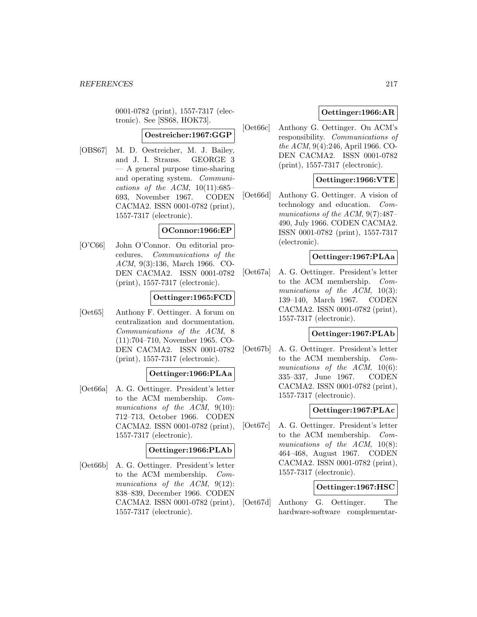0001-0782 (print), 1557-7317 (electronic). See [SS68, HOK73].

#### **Oestreicher:1967:GGP**

[OBS67] M. D. Oestreicher, M. J. Bailey, and J. I. Strauss. GEORGE 3 — A general purpose time-sharing and operating system. Communications of the ACM,  $10(11):685-$ 693, November 1967. CODEN CACMA2. ISSN 0001-0782 (print), 1557-7317 (electronic).

### **OConnor:1966:EP**

[O'C66] John O'Connor. On editorial procedures. Communications of the ACM, 9(3):136, March 1966. CO-DEN CACMA2. ISSN 0001-0782 (print), 1557-7317 (electronic).

#### **Oettinger:1965:FCD**

[Oet65] Anthony F. Oettinger. A forum on centralization and documentation. Communications of the ACM, 8 (11):704–710, November 1965. CO-DEN CACMA2. ISSN 0001-0782 (print), 1557-7317 (electronic).

#### **Oettinger:1966:PLAa**

[Oet66a] A. G. Oettinger. President's letter to the ACM membership. Communications of the  $ACM$ ,  $9(10)$ : 712–713, October 1966. CODEN CACMA2. ISSN 0001-0782 (print), 1557-7317 (electronic).

### **Oettinger:1966:PLAb**

[Oet66b] A. G. Oettinger. President's letter to the ACM membership. Communications of the ACM, 9(12): 838–839, December 1966. CODEN CACMA2. ISSN 0001-0782 (print), 1557-7317 (electronic).

# **Oettinger:1966:AR**

[Oet66c] Anthony G. Oettinger. On ACM's responsibility. Communications of the ACM, 9(4):246, April 1966. CO-DEN CACMA2. ISSN 0001-0782 (print), 1557-7317 (electronic).

## **Oettinger:1966:VTE**

[Oet66d] Anthony G. Oettinger. A vision of technology and education. Communications of the ACM, 9(7):487– 490, July 1966. CODEN CACMA2. ISSN 0001-0782 (print), 1557-7317 (electronic).

### **Oettinger:1967:PLAa**

[Oet67a] A. G. Oettinger. President's letter to the ACM membership. Communications of the ACM, 10(3): 139–140, March 1967. CODEN CACMA2. ISSN 0001-0782 (print), 1557-7317 (electronic).

## **Oettinger:1967:PLAb**

[Oet67b] A. G. Oettinger. President's letter to the ACM membership. Communications of the ACM, 10(6): 335–337, June 1967. CODEN CACMA2. ISSN 0001-0782 (print), 1557-7317 (electronic).

### **Oettinger:1967:PLAc**

[Oet67c] A. G. Oettinger. President's letter to the ACM membership. Communications of the ACM,  $10(8)$ : 464–468, August 1967. CODEN CACMA2. ISSN 0001-0782 (print), 1557-7317 (electronic).

### **Oettinger:1967:HSC**

[Oet67d] Anthony G. Oettinger. The hardware-software complementar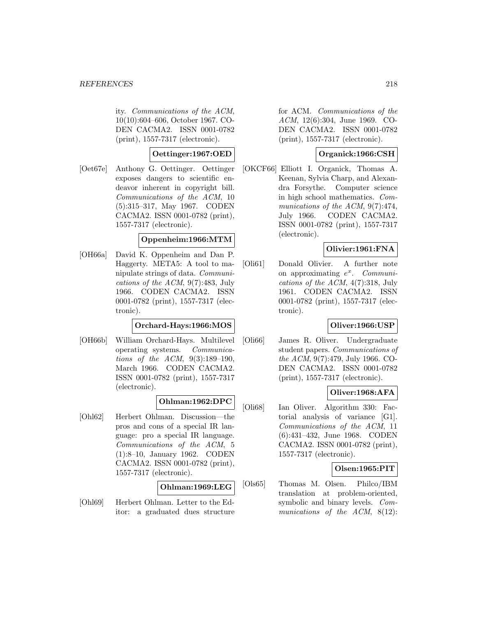ity. Communications of the ACM, 10(10):604–606, October 1967. CO-DEN CACMA2. ISSN 0001-0782 (print), 1557-7317 (electronic).

### **Oettinger:1967:OED**

[Oet67e] Anthony G. Oettinger. Oettinger exposes dangers to scientific endeavor inherent in copyright bill. Communications of the ACM, 10 (5):315–317, May 1967. CODEN CACMA2. ISSN 0001-0782 (print), 1557-7317 (electronic).

### **Oppenheim:1966:MTM**

[OH66a] David K. Oppenheim and Dan P. Haggerty. META5: A tool to manipulate strings of data. Communications of the ACM, 9(7):483, July 1966. CODEN CACMA2. ISSN 0001-0782 (print), 1557-7317 (electronic).

### **Orchard-Hays:1966:MOS**

[OH66b] William Orchard-Hays. Multilevel operating systems. Communications of the ACM, 9(3):189–190, March 1966. CODEN CACMA2. ISSN 0001-0782 (print), 1557-7317 (electronic).

### **Ohlman:1962:DPC**

[Ohl62] Herbert Ohlman. Discussion—the pros and cons of a special IR language: pro a special IR language. Communications of the ACM, 5 (1):8–10, January 1962. CODEN CACMA2. ISSN 0001-0782 (print), 1557-7317 (electronic).

### **Ohlman:1969:LEG**

[Ohl69] Herbert Ohlman. Letter to the Editor: a graduated dues structure for ACM. Communications of the ACM, 12(6):304, June 1969. CO-DEN CACMA2. ISSN 0001-0782 (print), 1557-7317 (electronic).

### **Organick:1966:CSH**

[OKCF66] Elliott I. Organick, Thomas A. Keenan, Sylvia Charp, and Alexandra Forsythe. Computer science in high school mathematics. Communications of the ACM, 9(7):474, July 1966. CODEN CACMA2. ISSN 0001-0782 (print), 1557-7317 (electronic).

## **Olivier:1961:FNA**

[Oli61] Donald Olivier. A further note on approximating  $e^x$ . Communications of the ACM, 4(7):318, July 1961. CODEN CACMA2. ISSN 0001-0782 (print), 1557-7317 (electronic).

# **Oliver:1966:USP**

[Oli66] James R. Oliver. Undergraduate student papers. Communications of the ACM, 9(7):479, July 1966. CO-DEN CACMA2. ISSN 0001-0782 (print), 1557-7317 (electronic).

### **Oliver:1968:AFA**

[Oli68] Ian Oliver. Algorithm 330: Factorial analysis of variance [G1]. Communications of the ACM, 11 (6):431–432, June 1968. CODEN CACMA2. ISSN 0001-0782 (print), 1557-7317 (electronic).

### **Olsen:1965:PIT**

[Ols65] Thomas M. Olsen. Philco/IBM translation at problem-oriented, symbolic and binary levels. Communications of the ACM, 8(12):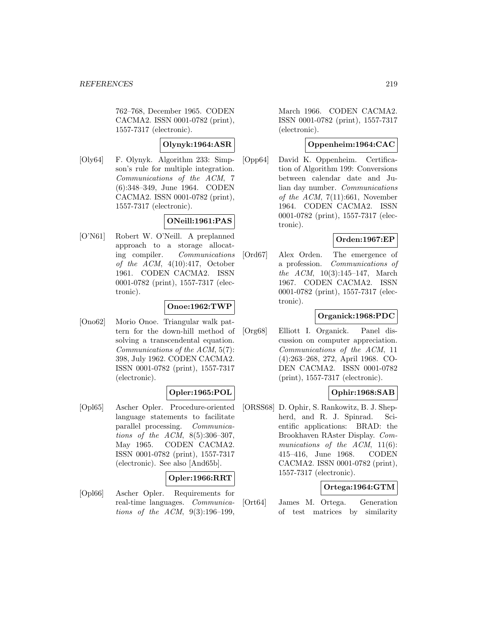762–768, December 1965. CODEN CACMA2. ISSN 0001-0782 (print), 1557-7317 (electronic).

# **Olynyk:1964:ASR**

[Oly64] F. Olynyk. Algorithm 233: Simpson's rule for multiple integration. Communications of the ACM, 7 (6):348–349, June 1964. CODEN CACMA2. ISSN 0001-0782 (print), 1557-7317 (electronic).

# **ONeill:1961:PAS**

[O'N61] Robert W. O'Neill. A preplanned approach to a storage allocating compiler. Communications of the  $ACM$ ,  $4(10):417$ , October 1961. CODEN CACMA2. ISSN 0001-0782 (print), 1557-7317 (electronic).

# **Onoe:1962:TWP**

[Ono62] Morio Onoe. Triangular walk pattern for the down-hill method of solving a transcendental equation. Communications of the ACM, 5(7): 398, July 1962. CODEN CACMA2. ISSN 0001-0782 (print), 1557-7317 (electronic).

## **Opler:1965:POL**

[Opl65] Ascher Opler. Procedure-oriented language statements to facilitate parallel processing. Communications of the ACM, 8(5):306–307, May 1965. CODEN CACMA2. ISSN 0001-0782 (print), 1557-7317 (electronic). See also [And65b].

## **Opler:1966:RRT**

[Opl66] Ascher Opler. Requirements for real-time languages. Communications of the ACM, 9(3):196–199,

March 1966. CODEN CACMA2. ISSN 0001-0782 (print), 1557-7317 (electronic).

# **Oppenheim:1964:CAC**

[Opp64] David K. Oppenheim. Certification of Algorithm 199: Conversions between calendar date and Julian day number. Communications of the ACM,  $7(11):661$ , November 1964. CODEN CACMA2. ISSN 0001-0782 (print), 1557-7317 (electronic).

## **Orden:1967:EP**

[Ord67] Alex Orden. The emergence of a profession. Communications of the ACM, 10(3):145–147, March 1967. CODEN CACMA2. ISSN 0001-0782 (print), 1557-7317 (electronic).

## **Organick:1968:PDC**

[Org68] Elliott I. Organick. Panel discussion on computer appreciation. Communications of the ACM, 11 (4):263–268, 272, April 1968. CO-DEN CACMA2. ISSN 0001-0782 (print), 1557-7317 (electronic).

## **Ophir:1968:SAB**

[ORSS68] D. Ophir, S. Rankowitz, B. J. Shepherd, and R. J. Spinrad. Scientific applications: BRAD: the Brookhaven RAster Display. Communications of the  $ACM$ ,  $11(6)$ : 415–416, June 1968. CODEN CACMA2. ISSN 0001-0782 (print), 1557-7317 (electronic).

# **Ortega:1964:GTM**

[Ort64] James M. Ortega. Generation of test matrices by similarity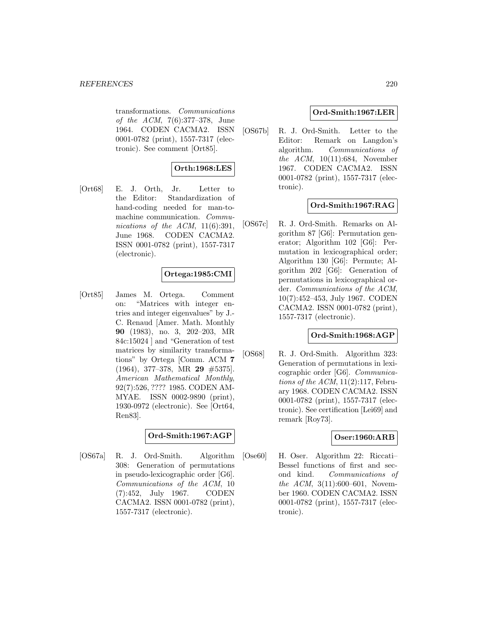transformations. Communications of the ACM, 7(6):377–378, June 1964. CODEN CACMA2. ISSN 0001-0782 (print), 1557-7317 (electronic). See comment [Ort85].

## **Orth:1968:LES**

[Ort68] E. J. Orth, Jr. Letter to the Editor: Standardization of hand-coding needed for man-tomachine communication. Communications of the ACM,  $11(6):391$ , June 1968. CODEN CACMA2. ISSN 0001-0782 (print), 1557-7317 (electronic).

### **Ortega:1985:CMI**

[Ort85] James M. Ortega. Comment on: "Matrices with integer entries and integer eigenvalues" by J.- C. Renaud [Amer. Math. Monthly **90** (1983), no. 3, 202–203, MR 84c:15024 ] and "Generation of test matrices by similarity transformations" by Ortega [Comm. ACM **7** (1964), 377–378, MR **29** #5375]. American Mathematical Monthly, 92(7):526, ???? 1985. CODEN AM-MYAE. ISSN 0002-9890 (print), 1930-0972 (electronic). See [Ort64, Ren83].

## **Ord-Smith:1967:AGP**

[OS67a] R. J. Ord-Smith. Algorithm 308: Generation of permutations in pseudo-lexicographic order [G6]. Communications of the ACM, 10 (7):452, July 1967. CODEN CACMA2. ISSN 0001-0782 (print), 1557-7317 (electronic).

### **Ord-Smith:1967:LER**

[OS67b] R. J. Ord-Smith. Letter to the Editor: Remark on Langdon's algorithm. Communications of the ACM, 10(11):684, November 1967. CODEN CACMA2. ISSN 0001-0782 (print), 1557-7317 (electronic).

### **Ord-Smith:1967:RAG**

[OS67c] R. J. Ord-Smith. Remarks on Algorithm 87 [G6]: Permutation generator; Algorithm 102 [G6]: Permutation in lexicographical order; Algorithm 130 [G6]: Permute; Algorithm 202 [G6]: Generation of permutations in lexicographical order. Communications of the ACM, 10(7):452–453, July 1967. CODEN CACMA2. ISSN 0001-0782 (print), 1557-7317 (electronic).

### **Ord-Smith:1968:AGP**

[OS68] R. J. Ord-Smith. Algorithm 323: Generation of permutations in lexicographic order [G6]. Communications of the  $ACM$ ,  $11(2):117$ , February 1968. CODEN CACMA2. ISSN 0001-0782 (print), 1557-7317 (electronic). See certification [Lei69] and remark [Roy73].

### **Oser:1960:ARB**

[Ose60] H. Oser. Algorithm 22: Riccati– Bessel functions of first and second kind. Communications of the ACM, 3(11):600-601, November 1960. CODEN CACMA2. ISSN 0001-0782 (print), 1557-7317 (electronic).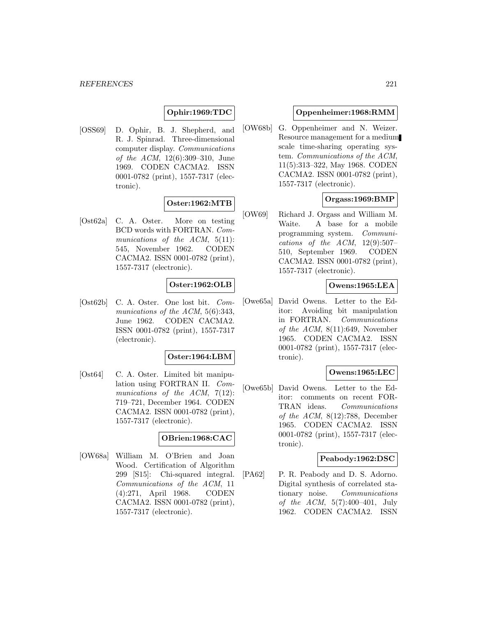# **Ophir:1969:TDC**

[OSS69] D. Ophir, B. J. Shepherd, and R. J. Spinrad. Three-dimensional computer display. Communications of the ACM, 12(6):309–310, June 1969. CODEN CACMA2. ISSN 0001-0782 (print), 1557-7317 (electronic).

## **Oster:1962:MTB**

[Ost62a] C. A. Oster. More on testing BCD words with FORTRAN. Communications of the ACM, 5(11): 545, November 1962. CODEN CACMA2. ISSN 0001-0782 (print), 1557-7317 (electronic).

### **Oster:1962:OLB**

[Ost62b] C. A. Oster. One lost bit. Communications of the ACM, 5(6):343, June 1962. CODEN CACMA2. ISSN 0001-0782 (print), 1557-7317 (electronic).

### **Oster:1964:LBM**

[Ost64] C. A. Oster. Limited bit manipulation using FORTRAN II. Communications of the  $ACM$ ,  $7(12)$ : 719–721, December 1964. CODEN CACMA2. ISSN 0001-0782 (print), 1557-7317 (electronic).

#### **OBrien:1968:CAC**

[OW68a] William M. O'Brien and Joan Wood. Certification of Algorithm 299 [S15]: Chi-squared integral. Communications of the ACM, 11 (4):271, April 1968. CODEN CACMA2. ISSN 0001-0782 (print), 1557-7317 (electronic).

### **Oppenheimer:1968:RMM**

[OW68b] G. Oppenheimer and N. Weizer. Resource management for a medium scale time-sharing operating system. Communications of the ACM, 11(5):313–322, May 1968. CODEN CACMA2. ISSN 0001-0782 (print), 1557-7317 (electronic).

### **Orgass:1969:BMP**

[OW69] Richard J. Orgass and William M. Waite. A base for a mobile programming system. Communications of the  $ACM$ , 12(9):507– 510, September 1969. CODEN CACMA2. ISSN 0001-0782 (print), 1557-7317 (electronic).

### **Owens:1965:LEA**

[Owe65a] David Owens. Letter to the Editor: Avoiding bit manipulation in FORTRAN. Communications of the ACM,  $8(11):649$ , November 1965. CODEN CACMA2. ISSN 0001-0782 (print), 1557-7317 (electronic).

### **Owens:1965:LEC**

[Owe65b] David Owens. Letter to the Editor: comments on recent FOR-TRAN ideas. Communications of the ACM,  $8(12):788$ , December 1965. CODEN CACMA2. ISSN 0001-0782 (print), 1557-7317 (electronic).

### **Peabody:1962:DSC**

[PA62] P. R. Peabody and D. S. Adorno. Digital synthesis of correlated stationary noise. Communications of the ACM,  $5(7):400-401$ , July 1962. CODEN CACMA2. ISSN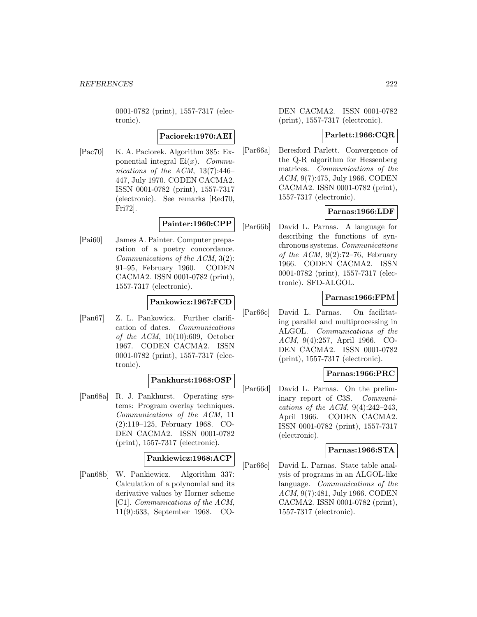0001-0782 (print), 1557-7317 (electronic).

### **Paciorek:1970:AEI**

[Pac70] K. A. Paciorek. Algorithm 385: Exponential integral  $Ei(x)$ . *Commu*nications of the ACM,  $13(7):446-$ 447, July 1970. CODEN CACMA2. ISSN 0001-0782 (print), 1557-7317 (electronic). See remarks [Red70, Fri72].

# **Painter:1960:CPP**

[Pai60] James A. Painter. Computer preparation of a poetry concordance. Communications of the ACM, 3(2): 91–95, February 1960. CODEN CACMA2. ISSN 0001-0782 (print), 1557-7317 (electronic).

### **Pankowicz:1967:FCD**

[Pan67] Z. L. Pankowicz. Further clarification of dates. Communications of the  $ACM$ , 10(10):609, October 1967. CODEN CACMA2. ISSN 0001-0782 (print), 1557-7317 (electronic).

### **Pankhurst:1968:OSP**

[Pan68a] R. J. Pankhurst. Operating systems: Program overlay techniques. Communications of the ACM, 11 (2):119–125, February 1968. CO-DEN CACMA2. ISSN 0001-0782 (print), 1557-7317 (electronic).

### **Pankiewicz:1968:ACP**

[Pan68b] W. Pankiewicz. Algorithm 337: Calculation of a polynomial and its derivative values by Horner scheme [C1]. Communications of the ACM, 11(9):633, September 1968. CO-

DEN CACMA2. ISSN 0001-0782 (print), 1557-7317 (electronic).

### **Parlett:1966:CQR**

[Par66a] Beresford Parlett. Convergence of the Q-R algorithm for Hessenberg matrices. Communications of the ACM, 9(7):475, July 1966. CODEN CACMA2. ISSN 0001-0782 (print), 1557-7317 (electronic).

### **Parnas:1966:LDF**

[Par66b] David L. Parnas. A language for describing the functions of synchronous systems. Communications of the ACM,  $9(2)$ :72–76, February 1966. CODEN CACMA2. ISSN 0001-0782 (print), 1557-7317 (electronic). SFD-ALGOL.

### **Parnas:1966:FPM**

[Par66c] David L. Parnas. On facilitating parallel and multiprocessing in ALGOL. Communications of the ACM, 9(4):257, April 1966. CO-DEN CACMA2. ISSN 0001-0782 (print), 1557-7317 (electronic).

### **Parnas:1966:PRC**

[Par66d] David L. Parnas. On the preliminary report of C3S. Communications of the ACM,  $9(4):242-243$ , April 1966. CODEN CACMA2. ISSN 0001-0782 (print), 1557-7317 (electronic).

### **Parnas:1966:STA**

[Par66e] David L. Parnas. State table analysis of programs in an ALGOL-like language. Communications of the ACM, 9(7):481, July 1966. CODEN CACMA2. ISSN 0001-0782 (print), 1557-7317 (electronic).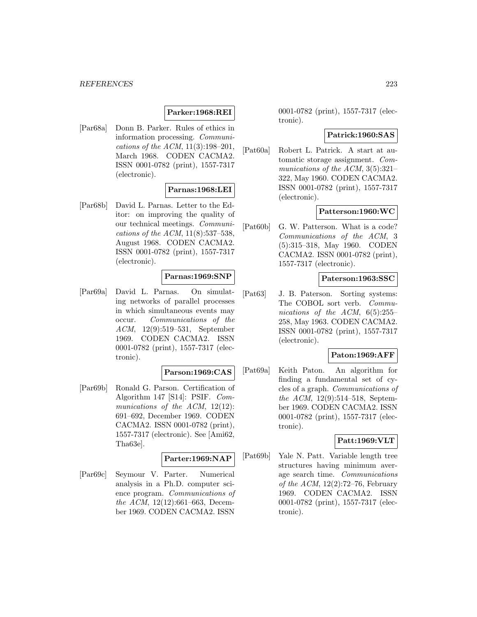# **Parker:1968:REI**

[Par68a] Donn B. Parker. Rules of ethics in information processing. Communications of the ACM, 11(3):198–201, March 1968. CODEN CACMA2. ISSN 0001-0782 (print), 1557-7317 (electronic).

### **Parnas:1968:LEI**

[Par68b] David L. Parnas. Letter to the Editor: on improving the quality of our technical meetings. Communications of the ACM, 11(8):537–538, August 1968. CODEN CACMA2. ISSN 0001-0782 (print), 1557-7317 (electronic).

### **Parnas:1969:SNP**

[Par69a] David L. Parnas. On simulating networks of parallel processes in which simultaneous events may occur. Communications of the ACM, 12(9):519–531, September 1969. CODEN CACMA2. ISSN 0001-0782 (print), 1557-7317 (electronic).

#### **Parson:1969:CAS**

[Par69b] Ronald G. Parson. Certification of Algorithm 147 [S14]: PSIF. Communications of the ACM, 12(12): 691–692, December 1969. CODEN CACMA2. ISSN 0001-0782 (print), 1557-7317 (electronic). See [Ami62, Tha63e].

### **Parter:1969:NAP**

[Par69c] Seymour V. Parter. Numerical analysis in a Ph.D. computer science program. Communications of the ACM, 12(12):661–663, December 1969. CODEN CACMA2. ISSN

0001-0782 (print), 1557-7317 (electronic).

#### **Patrick:1960:SAS**

[Pat60a] Robert L. Patrick. A start at automatic storage assignment. Communications of the ACM, 3(5):321– 322, May 1960. CODEN CACMA2. ISSN 0001-0782 (print), 1557-7317 (electronic).

### **Patterson:1960:WC**

[Pat60b] G. W. Patterson. What is a code? Communications of the ACM, 3 (5):315–318, May 1960. CODEN CACMA2. ISSN 0001-0782 (print), 1557-7317 (electronic).

### **Paterson:1963:SSC**

[Pat63] J. B. Paterson. Sorting systems: The COBOL sort verb. Communications of the ACM,  $6(5):255-$ 258, May 1963. CODEN CACMA2. ISSN 0001-0782 (print), 1557-7317 (electronic).

### **Paton:1969:AFF**

[Pat69a] Keith Paton. An algorithm for finding a fundamental set of cycles of a graph. Communications of the ACM, 12(9):514–518, September 1969. CODEN CACMA2. ISSN 0001-0782 (print), 1557-7317 (electronic).

### **Patt:1969:VLT**

[Pat69b] Yale N. Patt. Variable length tree structures having minimum average search time. Communications of the ACM, 12(2):72–76, February 1969. CODEN CACMA2. ISSN 0001-0782 (print), 1557-7317 (electronic).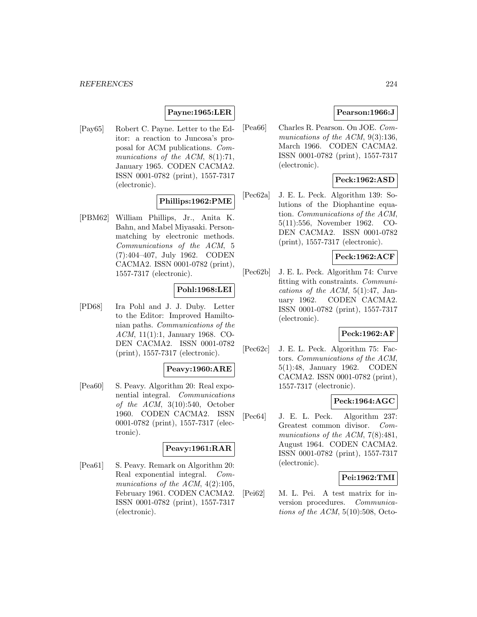# **Payne:1965:LER**

[Pay65] Robert C. Payne. Letter to the Editor: a reaction to Juncosa's proposal for ACM publications. Communications of the ACM, 8(1):71, January 1965. CODEN CACMA2. ISSN 0001-0782 (print), 1557-7317 (electronic).

# **Phillips:1962:PME**

[PBM62] William Phillips, Jr., Anita K. Bahn, and Mabel Miyasaki. Personmatching by electronic methods. Communications of the ACM, 5 (7):404–407, July 1962. CODEN CACMA2. ISSN 0001-0782 (print), 1557-7317 (electronic).

### **Pohl:1968:LEI**

[PD68] Ira Pohl and J. J. Duby. Letter to the Editor: Improved Hamiltonian paths. Communications of the ACM, 11(1):1, January 1968. CO-DEN CACMA2. ISSN 0001-0782 (print), 1557-7317 (electronic).

### **Peavy:1960:ARE**

[Pea60] S. Peavy. Algorithm 20: Real exponential integral. Communications of the  $ACM$ ,  $3(10):540$ , October 1960. CODEN CACMA2. ISSN 0001-0782 (print), 1557-7317 (electronic).

### **Peavy:1961:RAR**

[Pea61] S. Peavy. Remark on Algorithm 20: Real exponential integral. Communications of the ACM,  $4(2):105$ , February 1961. CODEN CACMA2. ISSN 0001-0782 (print), 1557-7317 (electronic).

### **Pearson:1966:J**

[Pea66] Charles R. Pearson. On JOE. Communications of the ACM, 9(3):136, March 1966. CODEN CACMA2. ISSN 0001-0782 (print), 1557-7317 (electronic).

## **Peck:1962:ASD**

[Pec62a] J. E. L. Peck. Algorithm 139: Solutions of the Diophantine equation. Communications of the ACM, 5(11):556, November 1962. CO-DEN CACMA2. ISSN 0001-0782 (print), 1557-7317 (electronic).

### **Peck:1962:ACF**

[Pec62b] J. E. L. Peck. Algorithm 74: Curve fitting with constraints. Communications of the ACM,  $5(1):47$ , January 1962. CODEN CACMA2. ISSN 0001-0782 (print), 1557-7317 (electronic).

### **Peck:1962:AF**

[Pec62c] J. E. L. Peck. Algorithm 75: Factors. Communications of the ACM, 5(1):48, January 1962. CODEN CACMA2. ISSN 0001-0782 (print), 1557-7317 (electronic).

### **Peck:1964:AGC**

[Pec64] J. E. L. Peck. Algorithm 237: Greatest common divisor. Communications of the ACM, 7(8):481, August 1964. CODEN CACMA2. ISSN 0001-0782 (print), 1557-7317 (electronic).

### **Pei:1962:TMI**

[Pei62] M. L. Pei. A test matrix for inversion procedures. Communications of the ACM,  $5(10):508$ , Octo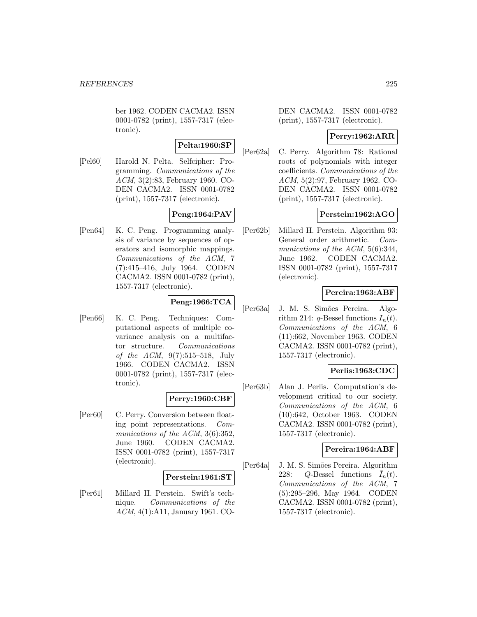ber 1962. CODEN CACMA2. ISSN 0001-0782 (print), 1557-7317 (electronic).

# **Pelta:1960:SP**

[Pel60] Harold N. Pelta. Selfcipher: Programming. Communications of the ACM, 3(2):83, February 1960. CO-DEN CACMA2. ISSN 0001-0782 (print), 1557-7317 (electronic).

# **Peng:1964:PAV**

[Pen64] K. C. Peng. Programming analysis of variance by sequences of operators and isomorphic mappings. Communications of the ACM, 7 (7):415–416, July 1964. CODEN CACMA2. ISSN 0001-0782 (print), 1557-7317 (electronic).

# **Peng:1966:TCA**

[Pen66] K. C. Peng. Techniques: Computational aspects of multiple covariance analysis on a multifactor structure. Communications of the ACM, 9(7):515–518, July 1966. CODEN CACMA2. ISSN 0001-0782 (print), 1557-7317 (electronic).

### **Perry:1960:CBF**

[Per60] C. Perry. Conversion between floating point representations. Communications of the ACM, 3(6):352, June 1960. CODEN CACMA2. ISSN 0001-0782 (print), 1557-7317 (electronic).

### **Perstein:1961:ST**

[Per61] Millard H. Perstein. Swift's technique. Communications of the ACM, 4(1):A11, January 1961. CO-

DEN CACMA2. ISSN 0001-0782 (print), 1557-7317 (electronic).

### **Perry:1962:ARR**

[Per62a] C. Perry. Algorithm 78: Rational roots of polynomials with integer coefficients. Communications of the ACM, 5(2):97, February 1962. CO-DEN CACMA2. ISSN 0001-0782 (print), 1557-7317 (electronic).

### **Perstein:1962:AGO**

[Per62b] Millard H. Perstein. Algorithm 93: General order arithmetic. Communications of the ACM, 5(6):344, June 1962. CODEN CACMA2. ISSN 0001-0782 (print), 1557-7317 (electronic).

## **Pereira:1963:ABF**

[Per63a] J. M. S. Simões Pereira. Algorithm 214: q-Bessel functions  $I_n(t)$ . Communications of the ACM, 6 (11):662, November 1963. CODEN CACMA2. ISSN 0001-0782 (print), 1557-7317 (electronic).

### **Perlis:1963:CDC**

[Per63b] Alan J. Perlis. Computation's development critical to our society. Communications of the ACM, 6 (10):642, October 1963. CODEN CACMA2. ISSN 0001-0782 (print), 1557-7317 (electronic).

### **Pereira:1964:ABF**

[Per64a] J. M. S. Simões Pereira. Algorithm 228: Q-Bessel functions  $\bar{I}_n(t)$ . Communications of the ACM, 7 (5):295–296, May 1964. CODEN CACMA2. ISSN 0001-0782 (print), 1557-7317 (electronic).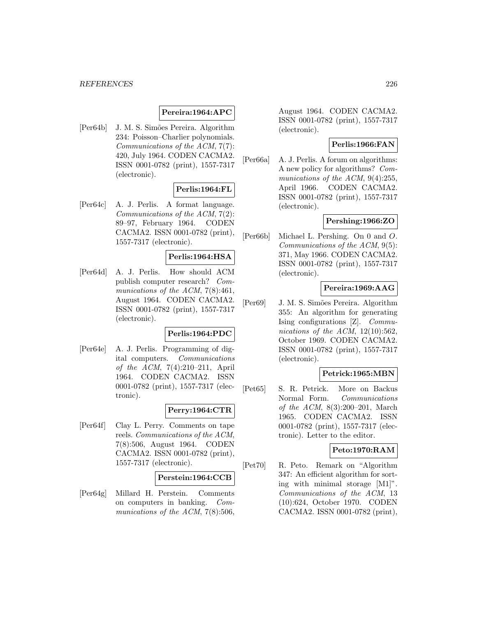### **Pereira:1964:APC**

[Per64b] J. M. S. Simões Pereira. Algorithm 234: Poisson–Charlier polynomials. Communications of the ACM, 7(7): 420, July 1964. CODEN CACMA2. ISSN 0001-0782 (print), 1557-7317 (electronic).

### **Perlis:1964:FL**

[Per64c] A. J. Perlis. A format language. Communications of the ACM, 7(2): 89–97, February 1964. CODEN CACMA2. ISSN 0001-0782 (print), 1557-7317 (electronic).

### **Perlis:1964:HSA**

[Per64d] A. J. Perlis. How should ACM publish computer research? Communications of the ACM, 7(8):461, August 1964. CODEN CACMA2. ISSN 0001-0782 (print), 1557-7317 (electronic).

### **Perlis:1964:PDC**

[Per64e] A. J. Perlis. Programming of digital computers. Communications of the ACM, 7(4):210–211, April 1964. CODEN CACMA2. ISSN 0001-0782 (print), 1557-7317 (electronic).

### **Perry:1964:CTR**

[Per64f] Clay L. Perry. Comments on tape reels. Communications of the ACM, 7(8):506, August 1964. CODEN CACMA2. ISSN 0001-0782 (print), 1557-7317 (electronic).

### **Perstein:1964:CCB**

[Per64g] Millard H. Perstein. Comments on computers in banking. Communications of the ACM, 7(8):506, August 1964. CODEN CACMA2. ISSN 0001-0782 (print), 1557-7317 (electronic).

### **Perlis:1966:FAN**

[Per66a] A. J. Perlis. A forum on algorithms: A new policy for algorithms? Communications of the ACM, 9(4):255, April 1966. CODEN CACMA2. ISSN 0001-0782 (print), 1557-7317 (electronic).

### **Pershing:1966:ZO**

[Per66b] Michael L. Pershing. On 0 and O. Communications of the ACM, 9(5): 371, May 1966. CODEN CACMA2. ISSN 0001-0782 (print), 1557-7317 (electronic).

### **Pereira:1969:AAG**

[Per69] J. M. S. Simões Pereira. Algorithm 355: An algorithm for generating Ising configurations [Z]. Communications of the ACM,  $12(10):562$ , October 1969. CODEN CACMA2. ISSN 0001-0782 (print), 1557-7317 (electronic).

### **Petrick:1965:MBN**

[Pet65] S. R. Petrick. More on Backus Normal Form. Communications of the ACM, 8(3):200–201, March 1965. CODEN CACMA2. ISSN 0001-0782 (print), 1557-7317 (electronic). Letter to the editor.

### **Peto:1970:RAM**

[Pet70] R. Peto. Remark on "Algorithm 347: An efficient algorithm for sorting with minimal storage [M1]". Communications of the ACM, 13 (10):624, October 1970. CODEN CACMA2. ISSN 0001-0782 (print),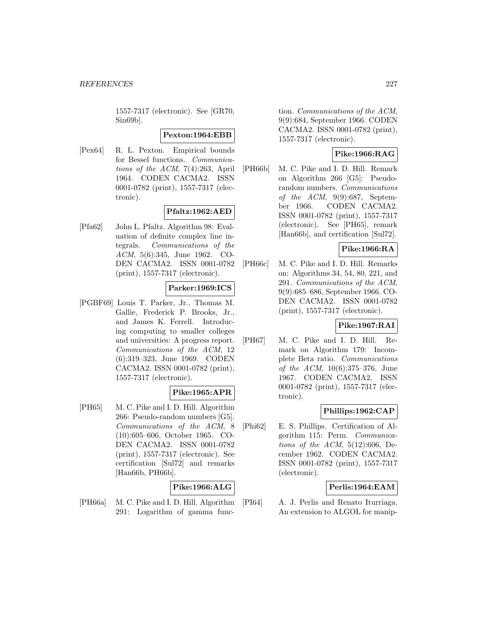1557-7317 (electronic). See [GR70, Sin69b].

### **Pexton:1964:EBB**

[Pex64] R. L. Pexton. Empirical bounds for Bessel functions. Communications of the ACM, 7(4):263, April 1964. CODEN CACMA2. ISSN 0001-0782 (print), 1557-7317 (electronic).

## **Pfaltz:1962:AED**

[Pfa62] John L. Pfaltz. Algorithm 98: Evaluation of definite complex line integrals. Communications of the ACM, 5(6):345, June 1962. CO-DEN CACMA2. ISSN 0001-0782 (print), 1557-7317 (electronic).

### **Parker:1969:ICS**

[PGBF69] Louis T. Parker, Jr., Thomas M. Gallie, Frederick P. Brooks, Jr., and James K. Ferrell. Introducing computing to smaller colleges and universities: A progress report. Communications of the ACM, 12 (6):319–323, June 1969. CODEN CACMA2. ISSN 0001-0782 (print), 1557-7317 (electronic).

### **Pike:1965:APR**

[PH65] M. C. Pike and I. D. Hill. Algorithm 266: Pseudo-random numbers [G5]. Communications of the ACM, 8 (10):605–606, October 1965. CO-DEN CACMA2. ISSN 0001-0782 (print), 1557-7317 (electronic). See certification [Sul72] and remarks [Han66b, PH66b].

## **Pike:1966:ALG**

[PH66a] M. C. Pike and I. D. Hill. Algorithm 291: Logarithm of gamma function. Communications of the ACM, 9(9):684, September 1966. CODEN CACMA2. ISSN 0001-0782 (print), 1557-7317 (electronic).

# **Pike:1966:RAG**

[PH66b] M. C. Pike and I. D. Hill. Remark on Algorithm 266 [G5]: Pseudorandom numbers. Communications of the  $ACM$ , 9(9):687, September 1966. CODEN CACMA2. ISSN 0001-0782 (print), 1557-7317 (electronic). See [PH65], remark [Han66b], and certification [Sul72].

### **Pike:1966:RA**

[PH66c] M. C. Pike and I. D. Hill. Remarks on: Algorithms 34, 54, 80, 221, and 291. Communications of the ACM, 9(9):685–686, September 1966. CO-DEN CACMA2. ISSN 0001-0782 (print), 1557-7317 (electronic).

### **Pike:1967:RAI**

[PH67] M. C. Pike and I. D. Hill. Remark on Algorithm 179: Incomplete Beta ratio. Communications of the ACM, 10(6):375–376, June 1967. CODEN CACMA2. ISSN 0001-0782 (print), 1557-7317 (electronic).

## **Phillips:1962:CAP**

[Phi62] E. S. Phillips. Certification of Algorithm 115: Perm. Communications of the ACM,  $5(12):606$ , December 1962. CODEN CACMA2. ISSN 0001-0782 (print), 1557-7317 (electronic).

## **Perlis:1964:EAM**

[PI64] A. J. Perlis and Renato Iturriaga. An extension to ALGOL for manip-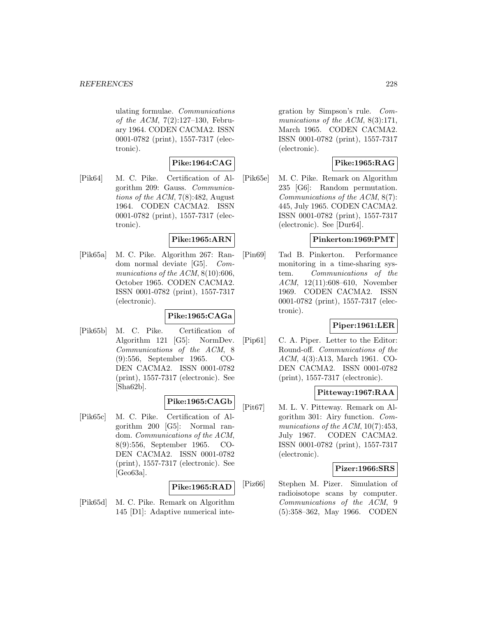ulating formulae. Communications of the ACM, 7(2):127–130, February 1964. CODEN CACMA2. ISSN 0001-0782 (print), 1557-7317 (electronic).

## **Pike:1964:CAG**

[Pik64] M. C. Pike. Certification of Algorithm 209: Gauss. Communications of the ACM, 7(8):482, August 1964. CODEN CACMA2. ISSN 0001-0782 (print), 1557-7317 (electronic).

### **Pike:1965:ARN**

[Pik65a] M. C. Pike. Algorithm 267: Random normal deviate [G5]. Communications of the ACM,  $8(10):606$ , October 1965. CODEN CACMA2. ISSN 0001-0782 (print), 1557-7317 (electronic).

## **Pike:1965:CAGa**

[Pik65b] M. C. Pike. Certification of Algorithm 121 [G5]: NormDev. Communications of the ACM, 8 (9):556, September 1965. CO-DEN CACMA2. ISSN 0001-0782 (print), 1557-7317 (electronic). See  $[Sha62b]$ .

### **Pike:1965:CAGb**

[Pik65c] M. C. Pike. Certification of Algorithm 200 [G5]: Normal random. Communications of the ACM, 8(9):556, September 1965. CO-DEN CACMA2. ISSN 0001-0782 (print), 1557-7317 (electronic). See [Geo63a].

### **Pike:1965:RAD**

[Pik65d] M. C. Pike. Remark on Algorithm 145 [D1]: Adaptive numerical integration by Simpson's rule. Communications of the ACM, 8(3):171, March 1965. CODEN CACMA2. ISSN 0001-0782 (print), 1557-7317 (electronic).

## **Pike:1965:RAG**

[Pik65e] M. C. Pike. Remark on Algorithm 235 [G6]: Random permutation. Communications of the ACM, 8(7): 445, July 1965. CODEN CACMA2. ISSN 0001-0782 (print), 1557-7317 (electronic). See [Dur64].

## **Pinkerton:1969:PMT**

[Pin69] Tad B. Pinkerton. Performance monitoring in a time-sharing system. Communications of the ACM, 12(11):608–610, November 1969. CODEN CACMA2. ISSN 0001-0782 (print), 1557-7317 (electronic).

# **Piper:1961:LER**

[Pip61] C. A. Piper. Letter to the Editor: Round-off. Communications of the ACM, 4(3):A13, March 1961. CO-DEN CACMA2. ISSN 0001-0782 (print), 1557-7317 (electronic).

### **Pitteway:1967:RAA**

[Pit67] M. L. V. Pitteway. Remark on Algorithm 301: Airy function. Communications of the ACM,  $10(7):453$ , July 1967. CODEN CACMA2. ISSN 0001-0782 (print), 1557-7317 (electronic).

### **Pizer:1966:SRS**

[Piz66] Stephen M. Pizer. Simulation of radioisotope scans by computer. Communications of the ACM, 9 (5):358–362, May 1966. CODEN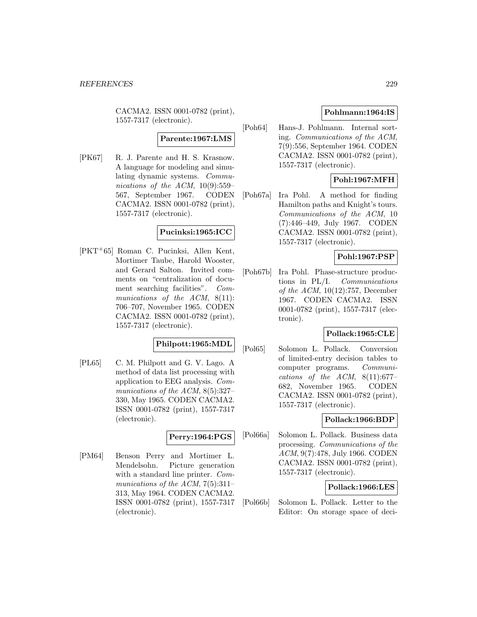CACMA2. ISSN 0001-0782 (print), 1557-7317 (electronic).

# **Parente:1967:LMS**

[PK67] R. J. Parente and H. S. Krasnow. A language for modeling and simulating dynamic systems. Communications of the ACM,  $10(9):559-$ 567, September 1967. CODEN CACMA2. ISSN 0001-0782 (print), 1557-7317 (electronic).

#### **Pucinksi:1965:ICC**

[PKT<sup>+</sup>65] Roman C. Pucinksi, Allen Kent, Mortimer Taube, Harold Wooster, and Gerard Salton. Invited comments on "centralization of document searching facilities". Communications of the ACM, 8(11): 706–707, November 1965. CODEN CACMA2. ISSN 0001-0782 (print), 1557-7317 (electronic).

### **Philpott:1965:MDL**

[PL65] C. M. Philpott and G. V. Lago. A method of data list processing with application to EEG analysis. Communications of the ACM, 8(5):327– 330, May 1965. CODEN CACMA2. ISSN 0001-0782 (print), 1557-7317 (electronic).

#### **Perry:1964:PGS**

[PM64] Benson Perry and Mortimer L. Mendelsohn. Picture generation with a standard line printer. Communications of the ACM,  $7(5):311-$ 313, May 1964. CODEN CACMA2. ISSN 0001-0782 (print), 1557-7317 (electronic).

### **Pohlmann:1964:IS**

[Poh64] Hans-J. Pohlmann. Internal sorting. Communications of the ACM, 7(9):556, September 1964. CODEN CACMA2. ISSN 0001-0782 (print), 1557-7317 (electronic).

## **Pohl:1967:MFH**

[Poh67a] Ira Pohl. A method for finding Hamilton paths and Knight's tours. Communications of the ACM, 10 (7):446–449, July 1967. CODEN CACMA2. ISSN 0001-0782 (print), 1557-7317 (electronic).

## **Pohl:1967:PSP**

[Poh67b] Ira Pohl. Phase-structure productions in PL/I. Communications of the ACM, 10(12):757, December 1967. CODEN CACMA2. ISSN 0001-0782 (print), 1557-7317 (electronic).

### **Pollack:1965:CLE**

[Pol65] Solomon L. Pollack. Conversion of limited-entry decision tables to computer programs. Communications of the  $ACM$ ,  $8(11):677-$ 682, November 1965. CODEN CACMA2. ISSN 0001-0782 (print), 1557-7317 (electronic).

### **Pollack:1966:BDP**

[Pol66a] Solomon L. Pollack. Business data processing. Communications of the ACM, 9(7):478, July 1966. CODEN CACMA2. ISSN 0001-0782 (print), 1557-7317 (electronic).

### **Pollack:1966:LES**

[Pol66b] Solomon L. Pollack. Letter to the Editor: On storage space of deci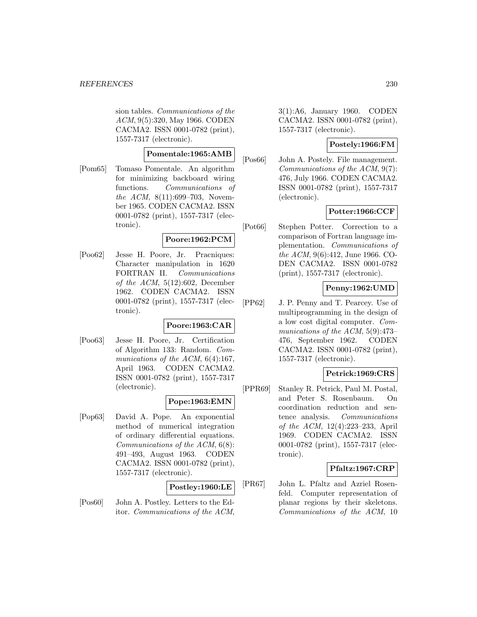sion tables. Communications of the ACM, 9(5):320, May 1966. CODEN CACMA2. ISSN 0001-0782 (print), 1557-7317 (electronic).

## **Pomentale:1965:AMB**

[Pom65] Tomaso Pomentale. An algorithm for minimizing backboard wiring functions. Communications of the ACM, 8(11):699-703, November 1965. CODEN CACMA2. ISSN 0001-0782 (print), 1557-7317 (electronic).

### **Poore:1962:PCM**

[Poo62] Jesse H. Poore, Jr. Pracniques: Character manipulation in 1620 FORTRAN II. Communications of the ACM,  $5(12):602$ , December 1962. CODEN CACMA2. ISSN 0001-0782 (print), 1557-7317 (electronic).

### **Poore:1963:CAR**

[Poo63] Jesse H. Poore, Jr. Certification of Algorithm 133: Random. Communications of the ACM, 6(4):167, April 1963. CODEN CACMA2. ISSN 0001-0782 (print), 1557-7317 (electronic).

### **Pope:1963:EMN**

[Pop63] David A. Pope. An exponential method of numerical integration of ordinary differential equations. Communications of the ACM, 6(8): 491–493, August 1963. CODEN CACMA2. ISSN 0001-0782 (print), 1557-7317 (electronic).

### **Postley:1960:LE**

[Pos60] John A. Postley. Letters to the Editor. Communications of the ACM, 3(1):A6, January 1960. CODEN CACMA2. ISSN 0001-0782 (print), 1557-7317 (electronic).

## **Postely:1966:FM**

[Pos66] John A. Postely. File management. Communications of the ACM, 9(7): 476, July 1966. CODEN CACMA2. ISSN 0001-0782 (print), 1557-7317 (electronic).

### **Potter:1966:CCF**

[Pot66] Stephen Potter. Correction to a comparison of Fortran language implementation. Communications of the ACM, 9(6):412, June 1966. CO-DEN CACMA2. ISSN 0001-0782 (print), 1557-7317 (electronic).

### **Penny:1962:UMD**

[PP62] J. P. Penny and T. Pearcey. Use of multiprogramming in the design of a low cost digital computer. Communications of the ACM, 5(9):473– 476, September 1962. CODEN CACMA2. ISSN 0001-0782 (print), 1557-7317 (electronic).

### **Petrick:1969:CRS**

[PPR69] Stanley R. Petrick, Paul M. Postal, and Peter S. Rosenbaum. On coordination reduction and sentence analysis. Communications of the ACM, 12(4):223–233, April 1969. CODEN CACMA2. ISSN 0001-0782 (print), 1557-7317 (electronic).

### **Pfaltz:1967:CRP**

[PR67] John L. Pfaltz and Azriel Rosenfeld. Computer representation of planar regions by their skeletons. Communications of the ACM, 10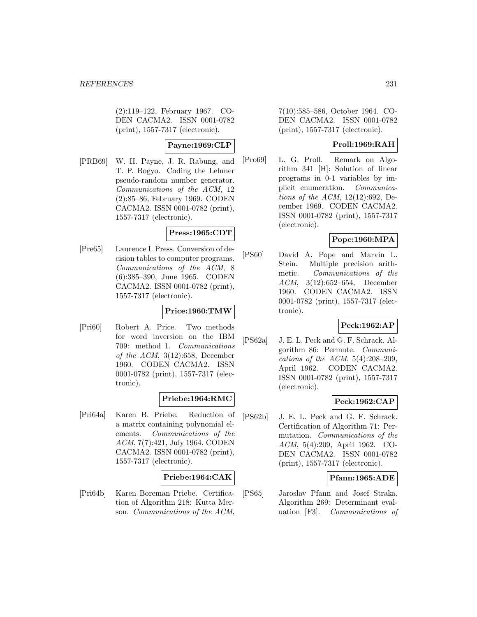(2):119–122, February 1967. CO-DEN CACMA2. ISSN 0001-0782 (print), 1557-7317 (electronic).

# **Payne:1969:CLP**

[PRB69] W. H. Payne, J. R. Rabung, and T. P. Bogyo. Coding the Lehmer pseudo-random number generator. Communications of the ACM, 12 (2):85–86, February 1969. CODEN CACMA2. ISSN 0001-0782 (print), 1557-7317 (electronic).

### **Press:1965:CDT**

[Pre65] Laurence I. Press. Conversion of decision tables to computer programs. Communications of the ACM, 8 (6):385–390, June 1965. CODEN CACMA2. ISSN 0001-0782 (print), 1557-7317 (electronic).

### **Price:1960:TMW**

[Pri60] Robert A. Price. Two methods for word inversion on the IBM 709: method 1. Communications of the ACM, 3(12):658, December 1960. CODEN CACMA2. ISSN 0001-0782 (print), 1557-7317 (electronic).

### **Priebe:1964:RMC**

[Pri64a] Karen B. Priebe. Reduction of a matrix containing polynomial elements. Communications of the ACM, 7(7):421, July 1964. CODEN CACMA2. ISSN 0001-0782 (print), 1557-7317 (electronic).

### **Priebe:1964:CAK**

[Pri64b] Karen Boreman Priebe. Certification of Algorithm 218: Kutta Merson. Communications of the ACM,

7(10):585–586, October 1964. CO-DEN CACMA2. ISSN 0001-0782 (print), 1557-7317 (electronic).

### **Proll:1969:RAH**

[Pro69] L. G. Proll. Remark on Algorithm 341 [H]: Solution of linear programs in 0-1 variables by implicit enumeration. Communications of the ACM, 12(12):692, December 1969. CODEN CACMA2. ISSN 0001-0782 (print), 1557-7317 (electronic).

### **Pope:1960:MPA**

[PS60] David A. Pope and Marvin L. Stein. Multiple precision arithmetic. Communications of the ACM, 3(12):652–654, December 1960. CODEN CACMA2. ISSN 0001-0782 (print), 1557-7317 (electronic).

# **Peck:1962:AP**

[PS62a] J. E. L. Peck and G. F. Schrack. Algorithm 86: Permute. Communications of the ACM,  $5(4):208-209$ , April 1962. CODEN CACMA2. ISSN 0001-0782 (print), 1557-7317 (electronic).

### **Peck:1962:CAP**

[PS62b] J. E. L. Peck and G. F. Schrack. Certification of Algorithm 71: Permutation. Communications of the ACM, 5(4):209, April 1962. CO-DEN CACMA2. ISSN 0001-0782 (print), 1557-7317 (electronic).

## **Pfann:1965:ADE**

[PS65] Jaroslav Pfann and Josef Straka. Algorithm 269: Determinant evaluation [F3]. Communications of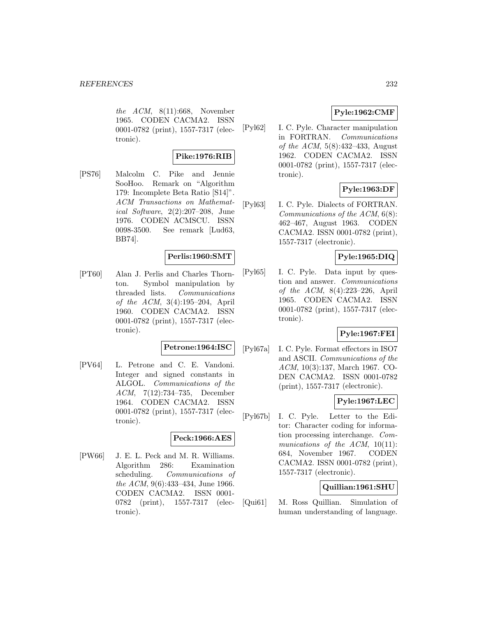the  $ACM$ ,  $8(11):668$ , November 1965. CODEN CACMA2. ISSN 0001-0782 (print), 1557-7317 (electronic).

# **Pike:1976:RIB**

[PS76] Malcolm C. Pike and Jennie SooHoo. Remark on "Algorithm 179: Incomplete Beta Ratio [S14]". ACM Transactions on Mathematical Software, 2(2):207–208, June 1976. CODEN ACMSCU. ISSN 0098-3500. See remark [Lud63, BB74].

## **Perlis:1960:SMT**

[PT60] Alan J. Perlis and Charles Thornton. Symbol manipulation by threaded lists. Communications of the ACM, 3(4):195–204, April 1960. CODEN CACMA2. ISSN 0001-0782 (print), 1557-7317 (electronic).

#### **Petrone:1964:ISC**

[PV64] L. Petrone and C. E. Vandoni. Integer and signed constants in ALGOL. Communications of the ACM, 7(12):734–735, December 1964. CODEN CACMA2. ISSN 0001-0782 (print), 1557-7317 (electronic).

#### **Peck:1966:AES**

[PW66] J. E. L. Peck and M. R. Williams. Algorithm 286: Examination scheduling. Communications of the ACM, 9(6):433–434, June 1966. CODEN CACMA2. ISSN 0001- 0782 (print), 1557-7317 (electronic).

# **Pyle:1962:CMF**

[Pyl62] I. C. Pyle. Character manipulation in FORTRAN. Communications of the ACM, 5(8):432–433, August 1962. CODEN CACMA2. ISSN 0001-0782 (print), 1557-7317 (electronic).

## **Pyle:1963:DF**

[Pyl63] I. C. Pyle. Dialects of FORTRAN. Communications of the ACM, 6(8): 462–467, August 1963. CODEN CACMA2. ISSN 0001-0782 (print), 1557-7317 (electronic).

# **Pyle:1965:DIQ**

[Pyl65] I. C. Pyle. Data input by question and answer. Communications of the ACM, 8(4):223–226, April 1965. CODEN CACMA2. ISSN 0001-0782 (print), 1557-7317 (electronic).

## **Pyle:1967:FEI**

[Pyl67a] I. C. Pyle. Format effectors in ISO7 and ASCII. Communications of the ACM, 10(3):137, March 1967. CO-DEN CACMA2. ISSN 0001-0782 (print), 1557-7317 (electronic).

## **Pyle:1967:LEC**

[Pyl67b] I. C. Pyle. Letter to the Editor: Character coding for information processing interchange. Communications of the ACM,  $10(11)$ : 684, November 1967. CODEN CACMA2. ISSN 0001-0782 (print), 1557-7317 (electronic).

## **Quillian:1961:SHU**

[Qui61] M. Ross Quillian. Simulation of human understanding of language.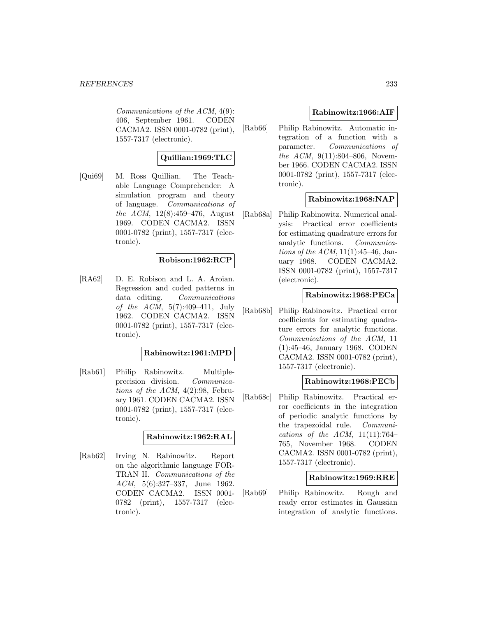#### *REFERENCES* 233

Communications of the ACM, 4(9): 406, September 1961. CODEN CACMA2. ISSN 0001-0782 (print), 1557-7317 (electronic).

## **Quillian:1969:TLC**

[Qui69] M. Ross Quillian. The Teachable Language Comprehender: A simulation program and theory of language. Communications of the ACM, 12(8):459–476, August 1969. CODEN CACMA2. ISSN 0001-0782 (print), 1557-7317 (electronic).

### **Robison:1962:RCP**

[RA62] D. E. Robison and L. A. Aroian. Regression and coded patterns in data editing. Communications of the ACM, 5(7):409–411, July 1962. CODEN CACMA2. ISSN 0001-0782 (print), 1557-7317 (electronic).

#### **Rabinowitz:1961:MPD**

[Rab61] Philip Rabinowitz. Multipleprecision division. Communications of the  $ACM$ ,  $4(2):98$ , February 1961. CODEN CACMA2. ISSN 0001-0782 (print), 1557-7317 (electronic).

### **Rabinowitz:1962:RAL**

[Rab62] Irving N. Rabinowitz. Report on the algorithmic language FOR-TRAN II. Communications of the ACM, 5(6):327–337, June 1962. CODEN CACMA2. ISSN 0001- 0782 (print), 1557-7317 (electronic).

#### **Rabinowitz:1966:AIF**

[Rab66] Philip Rabinowitz. Automatic integration of a function with a parameter. Communications of the ACM, 9(11):804–806, November 1966. CODEN CACMA2. ISSN 0001-0782 (print), 1557-7317 (electronic).

### **Rabinowitz:1968:NAP**

[Rab68a] Philip Rabinowitz. Numerical analysis: Practical error coefficients for estimating quadrature errors for analytic functions. Communica*tions of the ACM*,  $11(1):45-46$ , January 1968. CODEN CACMA2. ISSN 0001-0782 (print), 1557-7317 (electronic).

### **Rabinowitz:1968:PECa**

[Rab68b] Philip Rabinowitz. Practical error coefficients for estimating quadrature errors for analytic functions. Communications of the ACM, 11 (1):45–46, January 1968. CODEN CACMA2. ISSN 0001-0782 (print), 1557-7317 (electronic).

### **Rabinowitz:1968:PECb**

[Rab68c] Philip Rabinowitz. Practical error coefficients in the integration of periodic analytic functions by the trapezoidal rule. Communications of the ACM,  $11(11):764-$ 765, November 1968. CODEN CACMA2. ISSN 0001-0782 (print), 1557-7317 (electronic).

### **Rabinowitz:1969:RRE**

[Rab69] Philip Rabinowitz. Rough and ready error estimates in Gaussian integration of analytic functions.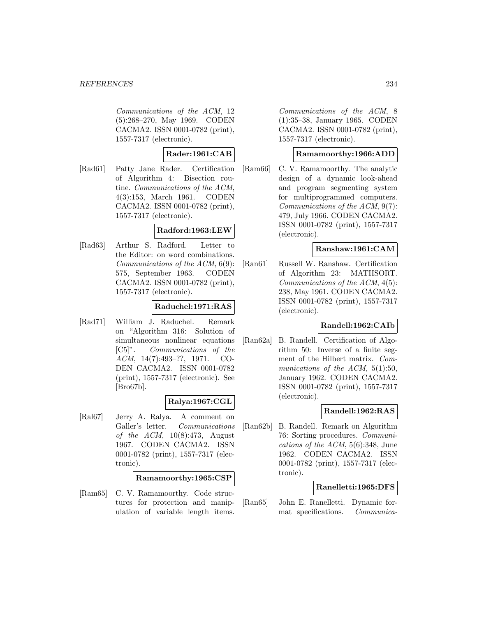#### *REFERENCES* 234

Communications of the ACM, 12 (5):268–270, May 1969. CODEN CACMA2. ISSN 0001-0782 (print), 1557-7317 (electronic).

### **Rader:1961:CAB**

[Rad61] Patty Jane Rader. Certification of Algorithm 4: Bisection routine. Communications of the ACM, 4(3):153, March 1961. CODEN CACMA2. ISSN 0001-0782 (print), 1557-7317 (electronic).

### **Radford:1963:LEW**

[Rad63] Arthur S. Radford. Letter to the Editor: on word combinations. Communications of the ACM, 6(9): 575, September 1963. CODEN CACMA2. ISSN 0001-0782 (print), 1557-7317 (electronic).

### **Raduchel:1971:RAS**

[Rad71] William J. Raduchel. Remark on "Algorithm 316: Solution of simultaneous nonlinear equations [C5]". Communications of the ACM, 14(7):493–??, 1971. CO-DEN CACMA2. ISSN 0001-0782 (print), 1557-7317 (electronic). See [Bro67b].

### **Ralya:1967:CGL**

[Ral67] Jerry A. Ralya. A comment on Galler's letter. Communications of the ACM, 10(8):473, August 1967. CODEN CACMA2. ISSN 0001-0782 (print), 1557-7317 (electronic).

### **Ramamoorthy:1965:CSP**

[Ram65] C. V. Ramamoorthy. Code structures for protection and manipulation of variable length items.

Communications of the ACM, 8 (1):35–38, January 1965. CODEN CACMA2. ISSN 0001-0782 (print), 1557-7317 (electronic).

### **Ramamoorthy:1966:ADD**

[Ram66] C. V. Ramamoorthy. The analytic design of a dynamic look-ahead and program segmenting system for multiprogrammed computers. Communications of the ACM, 9(7): 479, July 1966. CODEN CACMA2. ISSN 0001-0782 (print), 1557-7317 (electronic).

### **Ranshaw:1961:CAM**

[Ran61] Russell W. Ranshaw. Certification of Algorithm 23: MATHSORT. Communications of the ACM, 4(5): 238, May 1961. CODEN CACMA2. ISSN 0001-0782 (print), 1557-7317 (electronic).

### **Randell:1962:CAIb**

[Ran62a] B. Randell. Certification of Algorithm 50: Inverse of a finite segment of the Hilbert matrix. Communications of the ACM, 5(1):50, January 1962. CODEN CACMA2. ISSN 0001-0782 (print), 1557-7317 (electronic).

## **Randell:1962:RAS**

[Ran62b] B. Randell. Remark on Algorithm 76: Sorting procedures. Communications of the ACM, 5(6):348, June 1962. CODEN CACMA2. ISSN 0001-0782 (print), 1557-7317 (electronic).

### **Ranelletti:1965:DFS**

[Ran65] John E. Ranelletti. Dynamic format specifications. Communica-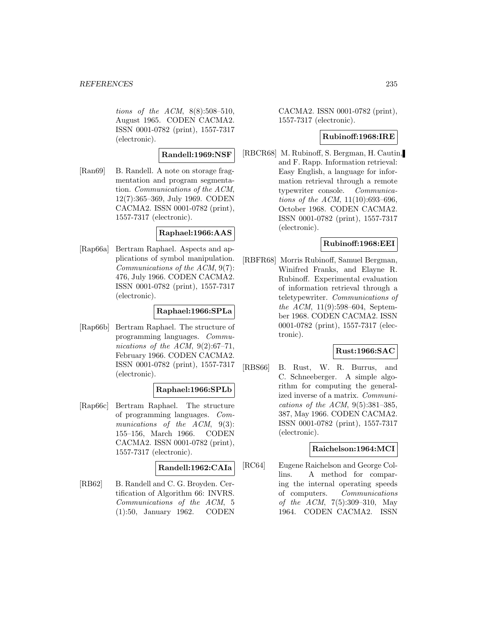tions of the ACM, 8(8):508–510, August 1965. CODEN CACMA2. ISSN 0001-0782 (print), 1557-7317 (electronic).

### **Randell:1969:NSF**

[Ran69] B. Randell. A note on storage fragmentation and program segmentation. Communications of the ACM, 12(7):365–369, July 1969. CODEN CACMA2. ISSN 0001-0782 (print), 1557-7317 (electronic).

#### **Raphael:1966:AAS**

[Rap66a] Bertram Raphael. Aspects and applications of symbol manipulation. Communications of the ACM, 9(7): 476, July 1966. CODEN CACMA2. ISSN 0001-0782 (print), 1557-7317 (electronic).

## **Raphael:1966:SPLa**

[Rap66b] Bertram Raphael. The structure of programming languages. Communications of the ACM, 9(2):67–71, February 1966. CODEN CACMA2. ISSN 0001-0782 (print), 1557-7317 (electronic).

### **Raphael:1966:SPLb**

[Rap66c] Bertram Raphael. The structure of programming languages. Communications of the ACM, 9(3): 155–156, March 1966. CODEN CACMA2. ISSN 0001-0782 (print), 1557-7317 (electronic).

### **Randell:1962:CAIa**

[RB62] B. Randell and C. G. Broyden. Certification of Algorithm 66: INVRS. Communications of the ACM, 5 (1):50, January 1962. CODEN

CACMA2. ISSN 0001-0782 (print), 1557-7317 (electronic).

## **Rubinoff:1968:IRE**

[RBCR68] M. Rubinoff, S. Bergman, H. Cautin, and F. Rapp. Information retrieval: Easy English, a language for information retrieval through a remote typewriter console. Communications of the ACM, 11(10):693–696, October 1968. CODEN CACMA2. ISSN 0001-0782 (print), 1557-7317 (electronic).

### **Rubinoff:1968:EEI**

[RBFR68] Morris Rubinoff, Samuel Bergman, Winifred Franks, and Elayne R. Rubinoff. Experimental evaluation of information retrieval through a teletypewriter. Communications of the ACM, 11(9):598–604, September 1968. CODEN CACMA2. ISSN 0001-0782 (print), 1557-7317 (electronic).

## **Rust:1966:SAC**

[RBS66] B. Rust, W. R. Burrus, and C. Schneeberger. A simple algorithm for computing the generalized inverse of a matrix. Communications of the ACM,  $9(5):381-385$ , 387, May 1966. CODEN CACMA2. ISSN 0001-0782 (print), 1557-7317 (electronic).

### **Raichelson:1964:MCI**

[RC64] Eugene Raichelson and George Collins. A method for comparing the internal operating speeds of computers. Communications of the ACM, 7(5):309–310, May 1964. CODEN CACMA2. ISSN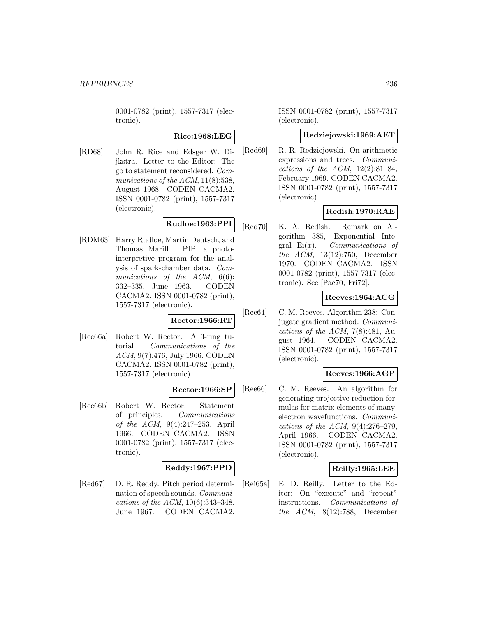0001-0782 (print), 1557-7317 (electronic).

### **Rice:1968:LEG**

[RD68] John R. Rice and Edsger W. Dijkstra. Letter to the Editor: The go to statement reconsidered. Communications of the  $ACM$ ,  $11(8):538$ , August 1968. CODEN CACMA2. ISSN 0001-0782 (print), 1557-7317 (electronic).

# **Rudloe:1963:PPI**

[RDM63] Harry Rudloe, Martin Deutsch, and Thomas Marill. PIP: a photointerpretive program for the analysis of spark-chamber data. Communications of the ACM, 6(6): 332–335, June 1963. CODEN CACMA2. ISSN 0001-0782 (print), 1557-7317 (electronic).

### **Rector:1966:RT**

[Rec66a] Robert W. Rector. A 3-ring tutorial. Communications of the ACM, 9(7):476, July 1966. CODEN CACMA2. ISSN 0001-0782 (print), 1557-7317 (electronic).

### **Rector:1966:SP**

[Rec66b] Robert W. Rector. Statement of principles. Communications of the ACM, 9(4):247–253, April 1966. CODEN CACMA2. ISSN 0001-0782 (print), 1557-7317 (electronic).

### **Reddy:1967:PPD**

[Red67] D. R. Reddy. Pitch period determination of speech sounds. Communications of the ACM, 10(6):343–348, June 1967. CODEN CACMA2.

ISSN 0001-0782 (print), 1557-7317 (electronic).

#### **Redziejowski:1969:AET**

[Red69] R. R. Redziejowski. On arithmetic expressions and trees. Communications of the ACM,  $12(2):81-84$ , February 1969. CODEN CACMA2. ISSN 0001-0782 (print), 1557-7317 (electronic).

### **Redish:1970:RAE**

[Red70] K. A. Redish. Remark on Algorithm 385, Exponential Integral  $Ei(x)$ . *Communications of* the ACM, 13(12):750, December 1970. CODEN CACMA2. ISSN 0001-0782 (print), 1557-7317 (electronic). See [Pac70, Fri72].

### **Reeves:1964:ACG**

[Ree64] C. M. Reeves. Algorithm 238: Conjugate gradient method. Communications of the ACM,  $7(8)$ :481, August 1964. CODEN CACMA2. ISSN 0001-0782 (print), 1557-7317 (electronic).

### **Reeves:1966:AGP**

[Ree66] C. M. Reeves. An algorithm for generating projective reduction formulas for matrix elements of manyelectron wavefunctions. Communications of the ACM,  $9(4):276-279$ , April 1966. CODEN CACMA2. ISSN 0001-0782 (print), 1557-7317 (electronic).

### **Reilly:1965:LEE**

[Rei65a] E. D. Reilly. Letter to the Editor: On "execute" and "repeat" instructions. Communications of the ACM, 8(12):788, December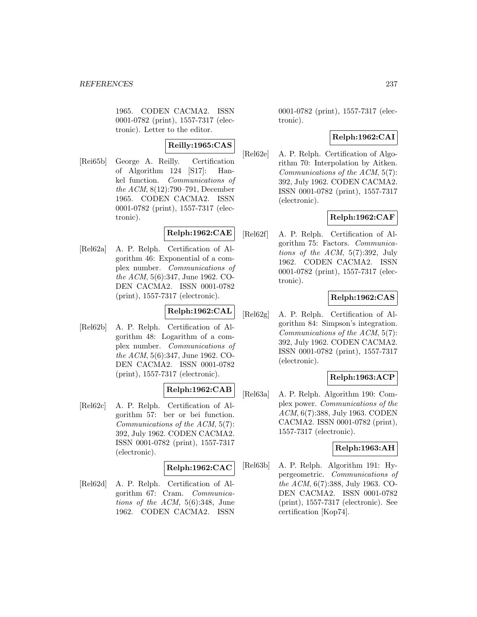1965. CODEN CACMA2. ISSN 0001-0782 (print), 1557-7317 (electronic). Letter to the editor.

# **Reilly:1965:CAS**

[Rei65b] George A. Reilly. Certification of Algorithm 124 [S17]: Hankel function. Communications of the ACM, 8(12):790–791, December 1965. CODEN CACMA2. ISSN 0001-0782 (print), 1557-7317 (electronic).

### **Relph:1962:CAE**

[Rel62a] A. P. Relph. Certification of Algorithm 46: Exponential of a complex number. Communications of the ACM, 5(6):347, June 1962. CO-DEN CACMA2. ISSN 0001-0782 (print), 1557-7317 (electronic).

## **Relph:1962:CAL**

[Rel62b] A. P. Relph. Certification of Algorithm 48: Logarithm of a complex number. Communications of the ACM, 5(6):347, June 1962. CO-DEN CACMA2. ISSN 0001-0782 (print), 1557-7317 (electronic).

## **Relph:1962:CAB**

[Rel62c] A. P. Relph. Certification of Algorithm 57: ber or bei function. Communications of the ACM, 5(7): 392, July 1962. CODEN CACMA2. ISSN 0001-0782 (print), 1557-7317 (electronic).

### **Relph:1962:CAC**

[Rel62d] A. P. Relph. Certification of Algorithm 67: Cram. Communications of the ACM, 5(6):348, June 1962. CODEN CACMA2. ISSN

0001-0782 (print), 1557-7317 (electronic).

### **Relph:1962:CAI**

[Rel62e] A. P. Relph. Certification of Algorithm 70: Interpolation by Aitken. Communications of the ACM, 5(7): 392, July 1962. CODEN CACMA2. ISSN 0001-0782 (print), 1557-7317 (electronic).

### **Relph:1962:CAF**

[Rel62f] A. P. Relph. Certification of Algorithm 75: Factors. Communications of the ACM, 5(7):392, July 1962. CODEN CACMA2. ISSN 0001-0782 (print), 1557-7317 (electronic).

### **Relph:1962:CAS**

[Rel62g] A. P. Relph. Certification of Algorithm 84: Simpson's integration. Communications of the ACM, 5(7): 392, July 1962. CODEN CACMA2. ISSN 0001-0782 (print), 1557-7317 (electronic).

### **Relph:1963:ACP**

[Rel63a] A. P. Relph. Algorithm 190: Complex power. Communications of the ACM, 6(7):388, July 1963. CODEN CACMA2. ISSN 0001-0782 (print), 1557-7317 (electronic).

### **Relph:1963:AH**

[Rel63b] A. P. Relph. Algorithm 191: Hypergeometric. Communications of the ACM, 6(7):388, July 1963. CO-DEN CACMA2. ISSN 0001-0782 (print), 1557-7317 (electronic). See certification [Kop74].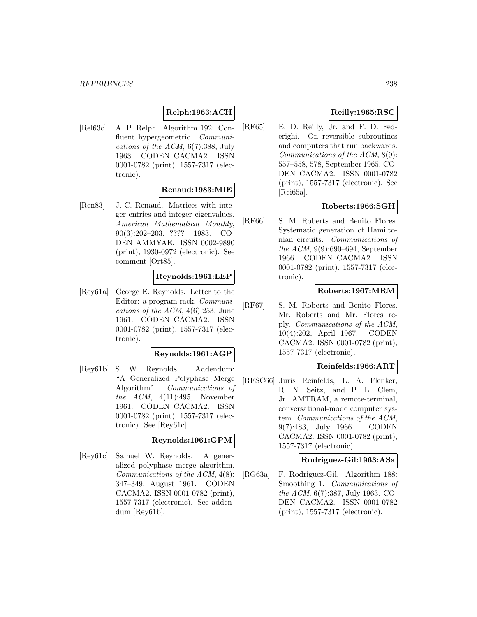# **Relph:1963:ACH**

[Rel63c] A. P. Relph. Algorithm 192: Confluent hypergeometric. Communications of the ACM, 6(7):388, July 1963. CODEN CACMA2. ISSN 0001-0782 (print), 1557-7317 (electronic).

### **Renaud:1983:MIE**

[Ren83] J.-C. Renaud. Matrices with integer entries and integer eigenvalues. American Mathematical Monthly, 90(3):202–203, ???? 1983. CO-DEN AMMYAE. ISSN 0002-9890 (print), 1930-0972 (electronic). See comment [Ort85].

### **Reynolds:1961:LEP**

[Rey61a] George E. Reynolds. Letter to the Editor: a program rack. Communications of the ACM, 4(6):253, June 1961. CODEN CACMA2. ISSN 0001-0782 (print), 1557-7317 (electronic).

### **Reynolds:1961:AGP**

[Rey61b] S. W. Reynolds. Addendum: "A Generalized Polyphase Merge Algorithm". Communications of the  $ACM$ ,  $4(11):495$ , November 1961. CODEN CACMA2. ISSN 0001-0782 (print), 1557-7317 (electronic). See [Rey61c].

#### **Reynolds:1961:GPM**

[Rey61c] Samuel W. Reynolds. A generalized polyphase merge algorithm. Communications of the ACM, 4(8): 347–349, August 1961. CODEN CACMA2. ISSN 0001-0782 (print), 1557-7317 (electronic). See addendum [Rey61b].

# **Reilly:1965:RSC**

[RF65] E. D. Reilly, Jr. and F. D. Federighi. On reversible subroutines and computers that run backwards. Communications of the ACM, 8(9): 557–558, 578, September 1965. CO-DEN CACMA2. ISSN 0001-0782 (print), 1557-7317 (electronic). See [Rei65a].

## **Roberts:1966:SGH**

[RF66] S. M. Roberts and Benito Flores. Systematic generation of Hamiltonian circuits. Communications of the ACM, 9(9):690–694, September 1966. CODEN CACMA2. ISSN 0001-0782 (print), 1557-7317 (electronic).

### **Roberts:1967:MRM**

[RF67] S. M. Roberts and Benito Flores. Mr. Roberts and Mr. Flores reply. Communications of the ACM, 10(4):202, April 1967. CODEN CACMA2. ISSN 0001-0782 (print), 1557-7317 (electronic).

#### **Reinfelds:1966:ART**

[RFSC66] Juris Reinfelds, L. A. Flenker, R. N. Seitz, and P. L. Clem, Jr. AMTRAM, a remote-terminal, conversational-mode computer system. Communications of the ACM, 9(7):483, July 1966. CODEN CACMA2. ISSN 0001-0782 (print), 1557-7317 (electronic).

#### **Rodriguez-Gil:1963:ASa**

[RG63a] F. Rodriguez-Gil. Algorithm 188: Smoothing 1. Communications of the ACM, 6(7):387, July 1963. CO-DEN CACMA2. ISSN 0001-0782 (print), 1557-7317 (electronic).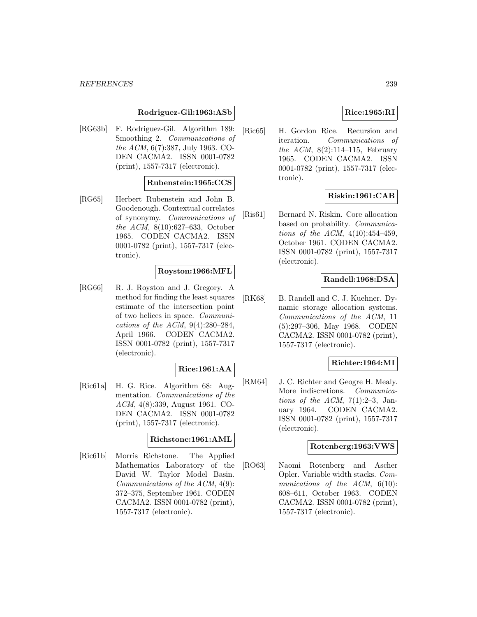### **Rodriguez-Gil:1963:ASb**

[RG63b] F. Rodriguez-Gil. Algorithm 189: Smoothing 2. Communications of the ACM, 6(7):387, July 1963. CO-DEN CACMA2. ISSN 0001-0782 (print), 1557-7317 (electronic).

### **Rubenstein:1965:CCS**

[RG65] Herbert Rubenstein and John B. Goodenough. Contextual correlates of synonymy. Communications of the ACM, 8(10):627–633, October 1965. CODEN CACMA2. ISSN 0001-0782 (print), 1557-7317 (electronic).

### **Royston:1966:MFL**

[RG66] R. J. Royston and J. Gregory. A method for finding the least squares estimate of the intersection point of two helices in space. Communications of the ACM, 9(4):280–284, April 1966. CODEN CACMA2. ISSN 0001-0782 (print), 1557-7317 (electronic).

### **Rice:1961:AA**

[Ric61a] H. G. Rice. Algorithm 68: Augmentation. Communications of the ACM, 4(8):339, August 1961. CO-DEN CACMA2. ISSN 0001-0782 (print), 1557-7317 (electronic).

#### **Richstone:1961:AML**

[Ric61b] Morris Richstone. The Applied Mathematics Laboratory of the David W. Taylor Model Basin. Communications of the ACM, 4(9): 372–375, September 1961. CODEN CACMA2. ISSN 0001-0782 (print), 1557-7317 (electronic).

#### **Rice:1965:RI**

[Ric65] H. Gordon Rice. Recursion and iteration. Communications of the ACM,  $8(2):114-115$ , February 1965. CODEN CACMA2. ISSN 0001-0782 (print), 1557-7317 (electronic).

### **Riskin:1961:CAB**

[Ris61] Bernard N. Riskin. Core allocation based on probability. Communications of the ACM,  $4(10):454-459$ , October 1961. CODEN CACMA2. ISSN 0001-0782 (print), 1557-7317 (electronic).

### **Randell:1968:DSA**

[RK68] B. Randell and C. J. Kuehner. Dynamic storage allocation systems. Communications of the ACM, 11 (5):297–306, May 1968. CODEN CACMA2. ISSN 0001-0782 (print), 1557-7317 (electronic).

#### **Richter:1964:MI**

[RM64] J. C. Richter and Geogre H. Mealy. More indiscretions. *Communica*tions of the ACM,  $7(1):2-3$ , January 1964. CODEN CACMA2. ISSN 0001-0782 (print), 1557-7317 (electronic).

#### **Rotenberg:1963:VWS**

[RO63] Naomi Rotenberg and Ascher Opler. Variable width stacks. Communications of the ACM, 6(10): 608–611, October 1963. CODEN CACMA2. ISSN 0001-0782 (print), 1557-7317 (electronic).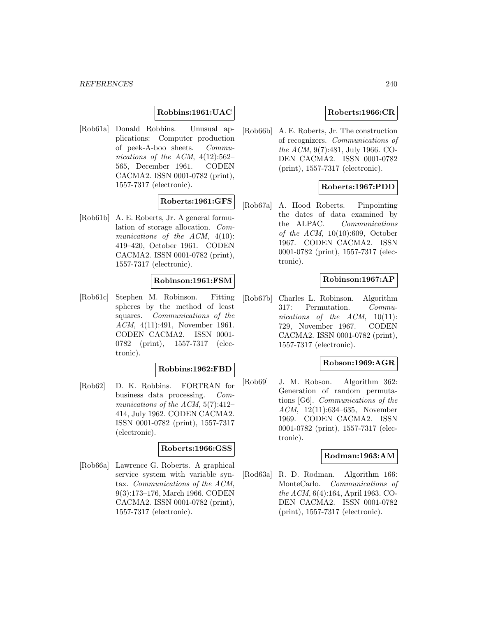### **Robbins:1961:UAC**

[Rob61a] Donald Robbins. Unusual applications: Computer production of peek-A-boo sheets. Communications of the ACM,  $4(12):562-$ 565, December 1961. CODEN CACMA2. ISSN 0001-0782 (print), 1557-7317 (electronic).

### **Roberts:1961:GFS**

[Rob61b] A. E. Roberts, Jr. A general formulation of storage allocation. Communications of the ACM,  $4(10)$ : 419–420, October 1961. CODEN CACMA2. ISSN 0001-0782 (print), 1557-7317 (electronic).

### **Robinson:1961:FSM**

[Rob61c] Stephen M. Robinson. Fitting spheres by the method of least squares. Communications of the ACM, 4(11):491, November 1961. CODEN CACMA2. ISSN 0001- 0782 (print), 1557-7317 (electronic).

#### **Robbins:1962:FBD**

[Rob62] D. K. Robbins. FORTRAN for business data processing. Communications of the ACM,  $5(7):412-$ 414, July 1962. CODEN CACMA2. ISSN 0001-0782 (print), 1557-7317 (electronic).

### **Roberts:1966:GSS**

[Rob66a] Lawrence G. Roberts. A graphical service system with variable syntax. Communications of the ACM, 9(3):173–176, March 1966. CODEN CACMA2. ISSN 0001-0782 (print), 1557-7317 (electronic).

### **Roberts:1966:CR**

[Rob66b] A. E. Roberts, Jr. The construction of recognizers. Communications of the ACM, 9(7):481, July 1966. CO-DEN CACMA2. ISSN 0001-0782 (print), 1557-7317 (electronic).

### **Roberts:1967:PDD**

[Rob67a] A. Hood Roberts. Pinpointing the dates of data examined by the ALPAC. Communications of the  $ACM$ , 10(10):609, October 1967. CODEN CACMA2. ISSN 0001-0782 (print), 1557-7317 (electronic).

### **Robinson:1967:AP**

[Rob67b] Charles L. Robinson. Algorithm 317: Permutation. Communications of the  $ACM$ ,  $10(11)$ : 729, November 1967. CODEN CACMA2. ISSN 0001-0782 (print), 1557-7317 (electronic).

# **Robson:1969:AGR**

[Rob69] J. M. Robson. Algorithm 362: Generation of random permutations [G6]. Communications of the ACM, 12(11):634–635, November 1969. CODEN CACMA2. ISSN 0001-0782 (print), 1557-7317 (electronic).

#### **Rodman:1963:AM**

[Rod63a] R. D. Rodman. Algorithm 166: MonteCarlo. Communications of the ACM, 6(4):164, April 1963. CO-DEN CACMA2. ISSN 0001-0782 (print), 1557-7317 (electronic).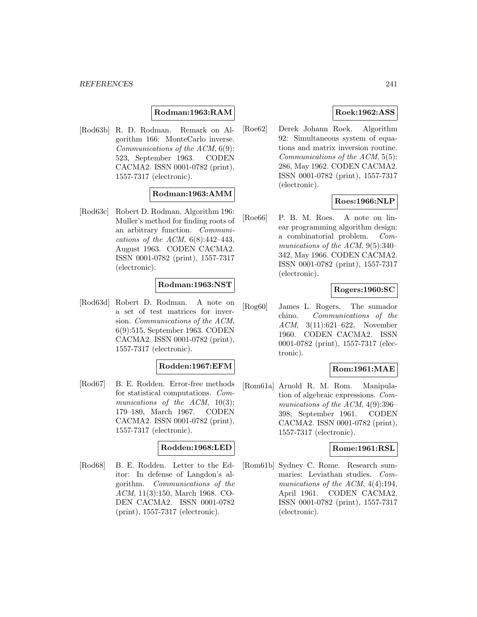### **Rodman:1963:RAM**

[Rod63b] R. D. Rodman. Remark on Algorithm 166: MonteCarlo inverse. Communications of the ACM, 6(9): 523, September 1963. CODEN CACMA2. ISSN 0001-0782 (print), 1557-7317 (electronic).

### **Rodman:1963:AMM**

[Rod63c] Robert D. Rodman. Algorithm 196: Muller's method for finding roots of an arbitrary function. Communications of the ACM, 6(8):442–443, August 1963. CODEN CACMA2. ISSN 0001-0782 (print), 1557-7317 (electronic).

### **Rodman:1963:NST**

[Rod63d] Robert D. Rodman. A note on a set of test matrices for inversion. Communications of the ACM, 6(9):515, September 1963. CODEN CACMA2. ISSN 0001-0782 (print), 1557-7317 (electronic).

### **Rodden:1967:EFM**

[Rod67] B. E. Rodden. Error-free methods for statistical computations. Communications of the ACM, 10(3): 179–180, March 1967. CODEN CACMA2. ISSN 0001-0782 (print), 1557-7317 (electronic).

#### **Rodden:1968:LED**

[Rod68] B. E. Rodden. Letter to the Editor: In defense of Langdon's algorithm. Communications of the ACM, 11(3):150, March 1968. CO-DEN CACMA2. ISSN 0001-0782 (print), 1557-7317 (electronic).

## **Roek:1962:ASS**

[Roe62] Derek Johann Roek. Algorithm 92: Simultaneous system of equations and matrix inversion routine. Communications of the ACM, 5(5): 286, May 1962. CODEN CACMA2. ISSN 0001-0782 (print), 1557-7317 (electronic).

### **Roes:1966:NLP**

[Roe66] P. B. M. Roes. A note on linear programming algorithm design: a combinatorial problem. Communications of the ACM, 9(5):340– 342, May 1966. CODEN CACMA2. ISSN 0001-0782 (print), 1557-7317 (electronic).

### **Rogers:1960:SC**

[Rog60] James L. Rogers. The sumador chino. Communications of the ACM, 3(11):621–622, November 1960. CODEN CACMA2. ISSN 0001-0782 (print), 1557-7317 (electronic).

### **Rom:1961:MAE**

[Rom61a] Arnold R. M. Rom. Manipulation of algebraic expressions. Communications of the ACM, 4(9):396– 398, September 1961. CODEN CACMA2. ISSN 0001-0782 (print), 1557-7317 (electronic).

### **Rome:1961:RSL**

[Rom61b] Sydney C. Rome. Research summaries: Leviathan studies. Communications of the ACM,  $4(4):194$ , April 1961. CODEN CACMA2. ISSN 0001-0782 (print), 1557-7317 (electronic).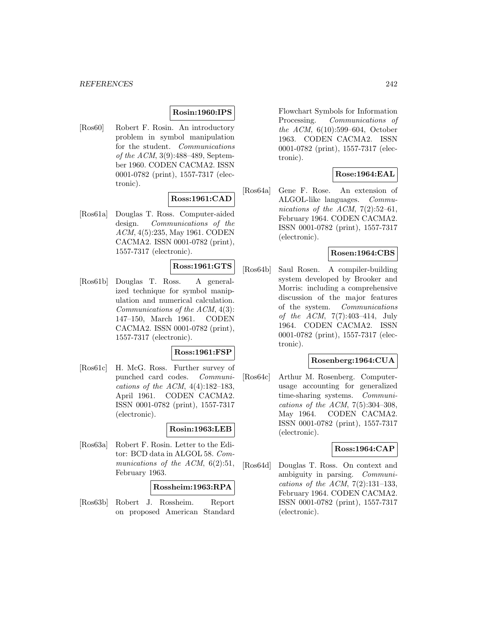### **Rosin:1960:IPS**

[Ros60] Robert F. Rosin. An introductory problem in symbol manipulation for the student. Communications of the ACM, 3(9):488–489, September 1960. CODEN CACMA2. ISSN 0001-0782 (print), 1557-7317 (electronic).

## **Ross:1961:CAD**

[Ros61a] Douglas T. Ross. Computer-aided design. Communications of the ACM, 4(5):235, May 1961. CODEN CACMA2. ISSN 0001-0782 (print), 1557-7317 (electronic).

## **Ross:1961:GTS**

[Ros61b] Douglas T. Ross. A generalized technique for symbol manipulation and numerical calculation. Communications of the ACM, 4(3): 147–150, March 1961. CODEN CACMA2. ISSN 0001-0782 (print), 1557-7317 (electronic).

### **Ross:1961:FSP**

[Ros61c] H. McG. Ross. Further survey of punched card codes. Communications of the ACM,  $4(4):182-183$ , April 1961. CODEN CACMA2. ISSN 0001-0782 (print), 1557-7317 (electronic).

### **Rosin:1963:LEB**

[Ros63a] Robert F. Rosin. Letter to the Editor: BCD data in ALGOL 58. Communications of the ACM,  $6(2):51$ , February 1963.

#### **Rossheim:1963:RPA**

[Ros63b] Robert J. Rossheim. Report on proposed American Standard

Flowchart Symbols for Information Processing. Communications of the ACM, 6(10):599–604, October 1963. CODEN CACMA2. ISSN 0001-0782 (print), 1557-7317 (electronic).

## **Rose:1964:EAL**

[Ros64a] Gene F. Rose. An extension of ALGOL-like languages. Communications of the ACM,  $7(2):52-61$ , February 1964. CODEN CACMA2. ISSN 0001-0782 (print), 1557-7317 (electronic).

### **Rosen:1964:CBS**

[Ros64b] Saul Rosen. A compiler-building system developed by Brooker and Morris: including a comprehensive discussion of the major features of the system. Communications of the ACM, 7(7):403–414, July 1964. CODEN CACMA2. ISSN 0001-0782 (print), 1557-7317 (electronic).

### **Rosenberg:1964:CUA**

[Ros64c] Arthur M. Rosenberg. Computerusage accounting for generalized time-sharing systems. Communications of the ACM,  $7(5):304-308$ , May 1964. CODEN CACMA2. ISSN 0001-0782 (print), 1557-7317 (electronic).

### **Ross:1964:CAP**

[Ros64d] Douglas T. Ross. On context and ambiguity in parsing. Communications of the ACM,  $7(2):131-133$ , February 1964. CODEN CACMA2. ISSN 0001-0782 (print), 1557-7317 (electronic).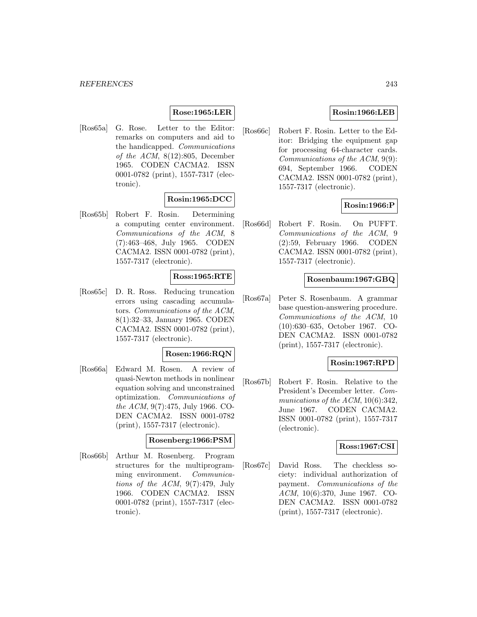### **Rose:1965:LER**

[Ros65a] G. Rose. Letter to the Editor: remarks on computers and aid to the handicapped. Communications of the ACM, 8(12):805, December 1965. CODEN CACMA2. ISSN 0001-0782 (print), 1557-7317 (electronic).

# **Rosin:1965:DCC**

[Ros65b] Robert F. Rosin. Determining a computing center environment. Communications of the ACM, 8 (7):463–468, July 1965. CODEN CACMA2. ISSN 0001-0782 (print), 1557-7317 (electronic).

### **Ross:1965:RTE**

[Ros65c] D. R. Ross. Reducing truncation errors using cascading accumulators. Communications of the ACM, 8(1):32–33, January 1965. CODEN CACMA2. ISSN 0001-0782 (print), 1557-7317 (electronic).

### **Rosen:1966:RQN**

[Ros66a] Edward M. Rosen. A review of quasi-Newton methods in nonlinear equation solving and unconstrained optimization. Communications of the ACM, 9(7):475, July 1966. CO-DEN CACMA2. ISSN 0001-0782 (print), 1557-7317 (electronic).

#### **Rosenberg:1966:PSM**

[Ros66b] Arthur M. Rosenberg. Program structures for the multiprogramming environment. Communications of the  $ACM$ ,  $9(7):479$ , July 1966. CODEN CACMA2. ISSN 0001-0782 (print), 1557-7317 (electronic).

### **Rosin:1966:LEB**

[Ros66c] Robert F. Rosin. Letter to the Editor: Bridging the equipment gap for processing 64-character cards. Communications of the ACM, 9(9): 694, September 1966. CODEN CACMA2. ISSN 0001-0782 (print), 1557-7317 (electronic).

### **Rosin:1966:P**

[Ros66d] Robert F. Rosin. On PUFFT. Communications of the ACM, 9 (2):59, February 1966. CODEN CACMA2. ISSN 0001-0782 (print), 1557-7317 (electronic).

#### **Rosenbaum:1967:GBQ**

[Ros67a] Peter S. Rosenbaum. A grammar base question-answering procedure. Communications of the ACM, 10 (10):630–635, October 1967. CO-DEN CACMA2. ISSN 0001-0782 (print), 1557-7317 (electronic).

### **Rosin:1967:RPD**

[Ros67b] Robert F. Rosin. Relative to the President's December letter. Communications of the ACM,  $10(6)$ :342, June 1967. CODEN CACMA2. ISSN 0001-0782 (print), 1557-7317 (electronic).

#### **Ross:1967:CSI**

[Ros67c] David Ross. The checkless society: individual authorization of payment. Communications of the ACM, 10(6):370, June 1967. CO-DEN CACMA2. ISSN 0001-0782 (print), 1557-7317 (electronic).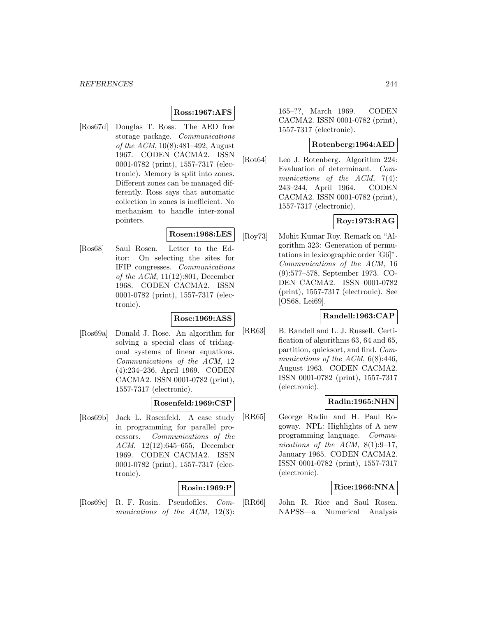### **Ross:1967:AFS**

[Ros67d] Douglas T. Ross. The AED free storage package. Communications of the ACM, 10(8):481–492, August 1967. CODEN CACMA2. ISSN 0001-0782 (print), 1557-7317 (electronic). Memory is split into zones. Different zones can be managed differently. Ross says that automatic collection in zones is inefficient. No mechanism to handle inter-zonal pointers.

### **Rosen:1968:LES**

[Ros68] Saul Rosen. Letter to the Editor: On selecting the sites for IFIP congresses. Communications of the ACM, 11(12):801, December 1968. CODEN CACMA2. ISSN 0001-0782 (print), 1557-7317 (electronic).

#### **Rose:1969:ASS**

[Ros69a] Donald J. Rose. An algorithm for solving a special class of tridiagonal systems of linear equations. Communications of the ACM, 12 (4):234–236, April 1969. CODEN CACMA2. ISSN 0001-0782 (print), 1557-7317 (electronic).

### **Rosenfeld:1969:CSP**

[Ros69b] Jack L. Rosenfeld. A case study in programming for parallel processors. Communications of the ACM, 12(12):645–655, December 1969. CODEN CACMA2. ISSN 0001-0782 (print), 1557-7317 (electronic).

## **Rosin:1969:P**

[Ros69c] R. F. Rosin. Pseudofiles. Communications of the ACM, 12(3):

165–??, March 1969. CODEN CACMA2. ISSN 0001-0782 (print), 1557-7317 (electronic).

### **Rotenberg:1964:AED**

[Rot64] Leo J. Rotenberg. Algorithm 224: Evaluation of determinant. Communications of the ACM, 7(4): 243–244, April 1964. CODEN CACMA2. ISSN 0001-0782 (print), 1557-7317 (electronic).

# **Roy:1973:RAG**

[Roy73] Mohit Kumar Roy. Remark on "Algorithm 323: Generation of permutations in lexicographic order [G6]". Communications of the ACM, 16 (9):577–578, September 1973. CO-DEN CACMA2. ISSN 0001-0782 (print), 1557-7317 (electronic). See [OS68, Lei69].

## **Randell:1963:CAP**

[RR63] B. Randell and L. J. Russell. Certification of algorithms 63, 64 and 65, partition, quicksort, and find. Communications of the ACM,  $6(8):446$ , August 1963. CODEN CACMA2. ISSN 0001-0782 (print), 1557-7317 (electronic).

### **Radin:1965:NHN**

[RR65] George Radin and H. Paul Rogoway. NPL: Highlights of A new programming language. Communications of the ACM,  $8(1):9-17$ , January 1965. CODEN CACMA2. ISSN 0001-0782 (print), 1557-7317 (electronic).

### **Rice:1966:NNA**

[RR66] John R. Rice and Saul Rosen. NAPSS—a Numerical Analysis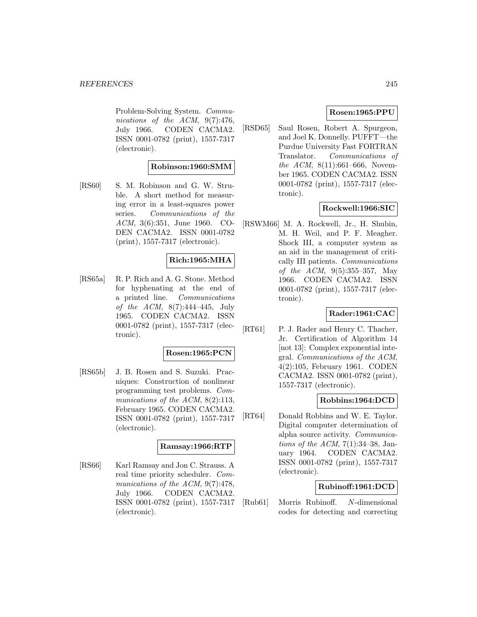Problem-Solving System. Communications of the ACM, 9(7):476, July 1966. CODEN CACMA2. ISSN 0001-0782 (print), 1557-7317 (electronic).

### **Robinson:1960:SMM**

[RS60] S. M. Robinson and G. W. Struble. A short method for measuring error in a least-squares power series. Communications of the ACM, 3(6):351, June 1960. CO-DEN CACMA2. ISSN 0001-0782 (print), 1557-7317 (electronic).

### **Rich:1965:MHA**

[RS65a] R. P. Rich and A. G. Stone. Method for hyphenating at the end of a printed line. Communications of the ACM, 8(7):444–445, July 1965. CODEN CACMA2. ISSN 0001-0782 (print), 1557-7317 (electronic).

### **Rosen:1965:PCN**

[RS65b] J. B. Rosen and S. Suzuki. Pracniques: Construction of nonlinear programming test problems. Communications of the ACM, 8(2):113, February 1965. CODEN CACMA2. ISSN 0001-0782 (print), 1557-7317 (electronic).

### **Ramsay:1966:RTP**

[RS66] Karl Ramsay and Jon C. Strauss. A real time priority scheduler. Communications of the ACM,  $9(7):478$ , July 1966. CODEN CACMA2. ISSN 0001-0782 (print), 1557-7317 (electronic).

### **Rosen:1965:PPU**

[RSD65] Saul Rosen, Robert A. Spurgeon, and Joel K. Donnelly. PUFFT—the Purdue University Fast FORTRAN Translator. Communications of the ACM, 8(11):661–666, November 1965. CODEN CACMA2. ISSN 0001-0782 (print), 1557-7317 (electronic).

### **Rockwell:1966:SIC**

[RSWM66] M. A. Rockwell, Jr., H. Shubin, M. H. Weil, and P. F. Meagher. Shock III, a computer system as an aid in the management of critically III patients. Communications of the ACM,  $9(5):355-357$ , May 1966. CODEN CACMA2. ISSN 0001-0782 (print), 1557-7317 (electronic).

### **Rader:1961:CAC**

[RT61] P. J. Rader and Henry C. Thacher, Jr. Certification of Algorithm 14 [not 13]: Complex exponential integral. Communications of the ACM, 4(2):105, February 1961. CODEN CACMA2. ISSN 0001-0782 (print), 1557-7317 (electronic).

### **Robbins:1964:DCD**

[RT64] Donald Robbins and W. E. Taylor. Digital computer determination of alpha source activity. Communications of the ACM,  $7(1):34-38$ , January 1964. CODEN CACMA2. ISSN 0001-0782 (print), 1557-7317 (electronic).

### **Rubinoff:1961:DCD**

[Rub61] Morris Rubinoff. N-dimensional codes for detecting and correcting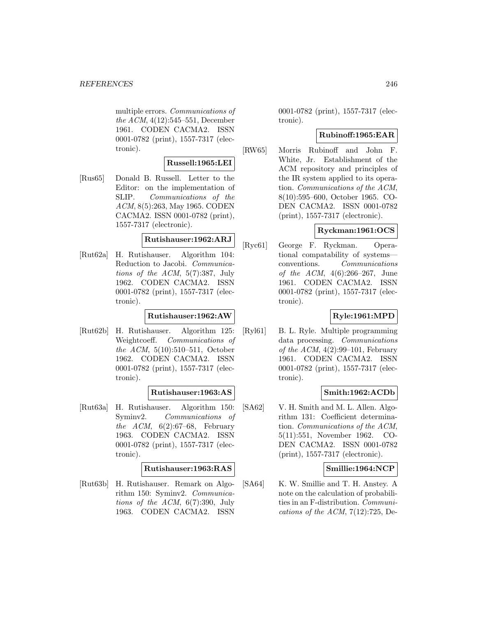multiple errors. Communications of the ACM, 4(12):545–551, December 1961. CODEN CACMA2. ISSN 0001-0782 (print), 1557-7317 (electronic).

### **Russell:1965:LEI**

[Rus65] Donald B. Russell. Letter to the Editor: on the implementation of SLIP. Communications of the ACM, 8(5):263, May 1965. CODEN CACMA2. ISSN 0001-0782 (print), 1557-7317 (electronic).

### **Rutishauser:1962:ARJ**

[Rut62a] H. Rutishauser. Algorithm 104: Reduction to Jacobi. Communications of the ACM, 5(7):387, July 1962. CODEN CACMA2. ISSN 0001-0782 (print), 1557-7317 (electronic).

### **Rutishauser:1962:AW**

[Rut62b] H. Rutishauser. Algorithm 125: Weightcoeff. Communications of the ACM, 5(10):510–511, October 1962. CODEN CACMA2. ISSN 0001-0782 (print), 1557-7317 (electronic).

### **Rutishauser:1963:AS**

[Rut63a] H. Rutishauser. Algorithm 150: Syminv2. Communications of the ACM,  $6(2):67-68$ , February 1963. CODEN CACMA2. ISSN 0001-0782 (print), 1557-7317 (electronic).

### **Rutishauser:1963:RAS**

[Rut63b] H. Rutishauser. Remark on Algorithm 150: Syminv2. Communications of the  $ACM$ ,  $6(7):390$ , July 1963. CODEN CACMA2. ISSN

0001-0782 (print), 1557-7317 (electronic).

### **Rubinoff:1965:EAR**

[RW65] Morris Rubinoff and John F. White, Jr. Establishment of the ACM repository and principles of the IR system applied to its operation. Communications of the ACM, 8(10):595–600, October 1965. CO-DEN CACMA2. ISSN 0001-0782 (print), 1557-7317 (electronic).

### **Ryckman:1961:OCS**

[Ryc61] George F. Ryckman. Operational compatability of systems conventions. Communications of the ACM, 4(6):266–267, June 1961. CODEN CACMA2. ISSN 0001-0782 (print), 1557-7317 (electronic).

## **Ryle:1961:MPD**

[Ryl61] B. L. Ryle. Multiple programming data processing. Communications of the ACM,  $4(2):99-101$ , February 1961. CODEN CACMA2. ISSN 0001-0782 (print), 1557-7317 (electronic).

## **Smith:1962:ACDb**

[SA62] V. H. Smith and M. L. Allen. Algorithm 131: Coefficient determination. Communications of the ACM, 5(11):551, November 1962. CO-DEN CACMA2. ISSN 0001-0782 (print), 1557-7317 (electronic).

### **Smillie:1964:NCP**

[SA64] K. W. Smillie and T. H. Anstey. A note on the calculation of probabilities in an F-distribution. Communications of the ACM,  $7(12):725$ , De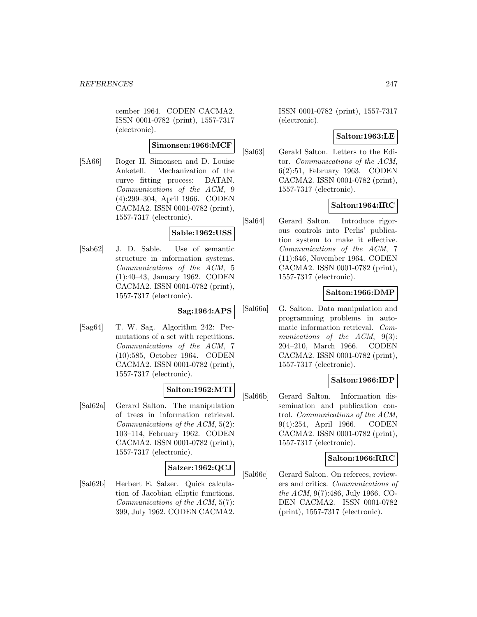cember 1964. CODEN CACMA2. ISSN 0001-0782 (print), 1557-7317 (electronic).

## **Simonsen:1966:MCF**

[SA66] Roger H. Simonsen and D. Louise Anketell. Mechanization of the curve fitting process: DATAN. Communications of the ACM, 9 (4):299–304, April 1966. CODEN CACMA2. ISSN 0001-0782 (print), 1557-7317 (electronic).

### **Sable:1962:USS**

[Sab62] J. D. Sable. Use of semantic structure in information systems. Communications of the ACM, 5 (1):40–43, January 1962. CODEN CACMA2. ISSN 0001-0782 (print), 1557-7317 (electronic).

#### **Sag:1964:APS**

[Sag64] T. W. Sag. Algorithm 242: Permutations of a set with repetitions. Communications of the ACM, 7 (10):585, October 1964. CODEN CACMA2. ISSN 0001-0782 (print), 1557-7317 (electronic).

### **Salton:1962:MTI**

[Sal62a] Gerard Salton. The manipulation of trees in information retrieval. Communications of the ACM, 5(2): 103–114, February 1962. CODEN CACMA2. ISSN 0001-0782 (print), 1557-7317 (electronic).

### **Salzer:1962:QCJ**

[Sal62b] Herbert E. Salzer. Quick calculation of Jacobian elliptic functions. Communications of the ACM, 5(7): 399, July 1962. CODEN CACMA2.

ISSN 0001-0782 (print), 1557-7317 (electronic).

### **Salton:1963:LE**

[Sal63] Gerald Salton. Letters to the Editor. Communications of the ACM, 6(2):51, February 1963. CODEN CACMA2. ISSN 0001-0782 (print), 1557-7317 (electronic).

### **Salton:1964:IRC**

[Sal64] Gerard Salton. Introduce rigorous controls into Perlis' publication system to make it effective. Communications of the ACM, 7 (11):646, November 1964. CODEN CACMA2. ISSN 0001-0782 (print), 1557-7317 (electronic).

## **Salton:1966:DMP**

[Sal66a] G. Salton. Data manipulation and programming problems in automatic information retrieval. Communications of the ACM, 9(3): 204–210, March 1966. CODEN CACMA2. ISSN 0001-0782 (print), 1557-7317 (electronic).

### **Salton:1966:IDP**

[Sal66b] Gerard Salton. Information dissemination and publication control. Communications of the ACM, 9(4):254, April 1966. CODEN CACMA2. ISSN 0001-0782 (print), 1557-7317 (electronic).

### **Salton:1966:RRC**

[Sal66c] Gerard Salton. On referees, reviewers and critics. Communications of the ACM, 9(7):486, July 1966. CO-DEN CACMA2. ISSN 0001-0782 (print), 1557-7317 (electronic).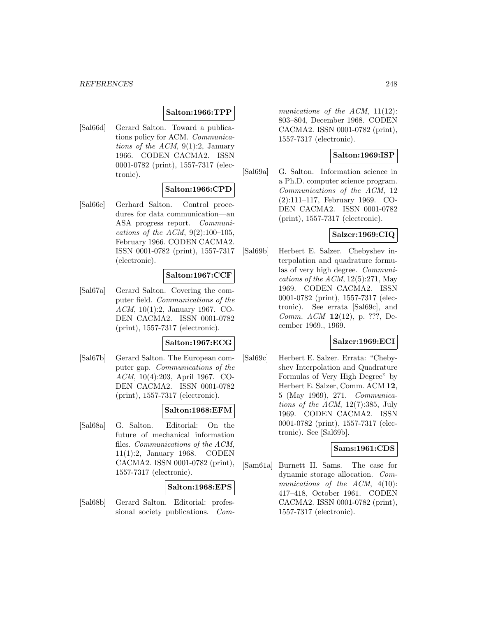#### **Salton:1966:TPP**

[Sal66d] Gerard Salton. Toward a publications policy for ACM. Communications of the ACM,  $9(1):2$ , January 1966. CODEN CACMA2. ISSN 0001-0782 (print), 1557-7317 (electronic).

## **Salton:1966:CPD**

[Sal66e] Gerhard Salton. Control procedures for data communication—an ASA progress report. Communications of the ACM,  $9(2):100-105$ , February 1966. CODEN CACMA2. ISSN 0001-0782 (print), 1557-7317 (electronic).

#### **Salton:1967:CCF**

[Sal67a] Gerard Salton. Covering the computer field. Communications of the ACM, 10(1):2, January 1967. CO-DEN CACMA2. ISSN 0001-0782 (print), 1557-7317 (electronic).

#### **Salton:1967:ECG**

[Sal67b] Gerard Salton. The European computer gap. Communications of the ACM, 10(4):203, April 1967. CO-DEN CACMA2. ISSN 0001-0782 (print), 1557-7317 (electronic).

### **Salton:1968:EFM**

[Sal68a] G. Salton. Editorial: On the future of mechanical information files. Communications of the ACM, 11(1):2, January 1968. CODEN CACMA2. ISSN 0001-0782 (print), 1557-7317 (electronic).

### **Salton:1968:EPS**

[Sal68b] Gerard Salton. Editorial: professional society publications. Communications of the ACM, 11(12): 803–804, December 1968. CODEN CACMA2. ISSN 0001-0782 (print), 1557-7317 (electronic).

### **Salton:1969:ISP**

[Sal69a] G. Salton. Information science in a Ph.D. computer science program. Communications of the ACM, 12 (2):111–117, February 1969. CO-DEN CACMA2. ISSN 0001-0782 (print), 1557-7317 (electronic).

#### **Salzer:1969:CIQ**

[Sal69b] Herbert E. Salzer. Chebyshev interpolation and quadrature formulas of very high degree. Communications of the  $ACM$ , 12(5):271, May 1969. CODEN CACMA2. ISSN 0001-0782 (print), 1557-7317 (electronic). See errata [Sal69c], and Comm. ACM **12**(12), p. ???, December 1969., 1969.

#### **Salzer:1969:ECI**

[Sal69c] Herbert E. Salzer. Errata: "Chebyshev Interpolation and Quadrature Formulas of Very High Degree" by Herbert E. Salzer, Comm. ACM **12**, 5 (May 1969), 271. Communications of the ACM, 12(7):385, July 1969. CODEN CACMA2. ISSN 0001-0782 (print), 1557-7317 (electronic). See [Sal69b].

### **Sams:1961:CDS**

[Sam61a] Burnett H. Sams. The case for dynamic storage allocation. Communications of the ACM,  $4(10)$ : 417–418, October 1961. CODEN CACMA2. ISSN 0001-0782 (print), 1557-7317 (electronic).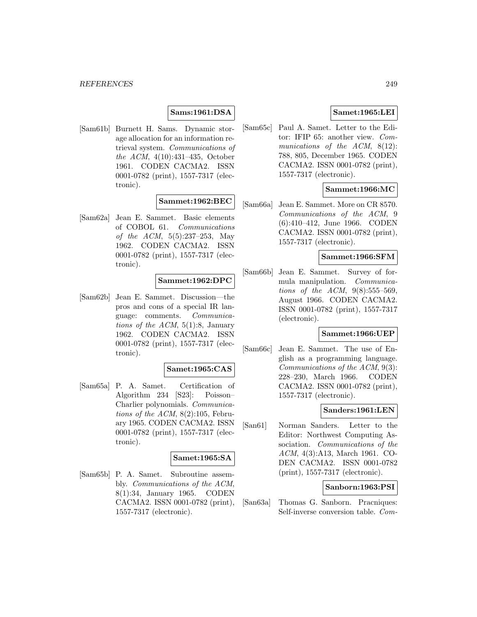#### **Sams:1961:DSA**

[Sam61b] Burnett H. Sams. Dynamic storage allocation for an information retrieval system. Communications of the ACM, 4(10):431–435, October 1961. CODEN CACMA2. ISSN 0001-0782 (print), 1557-7317 (electronic).

#### **Sammet:1962:BEC**

[Sam62a] Jean E. Sammet. Basic elements of COBOL 61. Communications of the ACM, 5(5):237–253, May 1962. CODEN CACMA2. ISSN 0001-0782 (print), 1557-7317 (electronic).

### **Sammet:1962:DPC**

[Sam62b] Jean E. Sammet. Discussion—the pros and cons of a special IR language: comments. Communications of the ACM,  $5(1):8$ , January 1962. CODEN CACMA2. ISSN 0001-0782 (print), 1557-7317 (electronic).

#### **Samet:1965:CAS**

[Sam65a] P. A. Samet. Certification of Algorithm 234 [S23]: Poisson– Charlier polynomials. Communications of the ACM,  $8(2):105$ , February 1965. CODEN CACMA2. ISSN 0001-0782 (print), 1557-7317 (electronic).

### **Samet:1965:SA**

[Sam65b] P. A. Samet. Subroutine assembly. Communications of the ACM, 8(1):34, January 1965. CODEN CACMA2. ISSN 0001-0782 (print), 1557-7317 (electronic).

### **Samet:1965:LEI**

[Sam65c] Paul A. Samet. Letter to the Editor: IFIP 65: another view. Communications of the ACM, 8(12): 788, 805, December 1965. CODEN CACMA2. ISSN 0001-0782 (print), 1557-7317 (electronic).

### **Sammet:1966:MC**

[Sam66a] Jean E. Sammet. More on CR 8570. Communications of the ACM, 9 (6):410–412, June 1966. CODEN CACMA2. ISSN 0001-0782 (print), 1557-7317 (electronic).

### **Sammet:1966:SFM**

[Sam66b] Jean E. Sammet. Survey of formula manipulation. Communications of the ACM,  $9(8):555-569$ , August 1966. CODEN CACMA2. ISSN 0001-0782 (print), 1557-7317 (electronic).

### **Sammet:1966:UEP**

[Sam66c] Jean E. Sammet. The use of English as a programming language. Communications of the ACM, 9(3): 228–230, March 1966. CODEN CACMA2. ISSN 0001-0782 (print), 1557-7317 (electronic).

### **Sanders:1961:LEN**

[San61] Norman Sanders. Letter to the Editor: Northwest Computing Association. Communications of the ACM, 4(3):A13, March 1961. CO-DEN CACMA2. ISSN 0001-0782 (print), 1557-7317 (electronic).

#### **Sanborn:1963:PSI**

[San63a] Thomas G. Sanborn. Pracniques: Self-inverse conversion table. Com-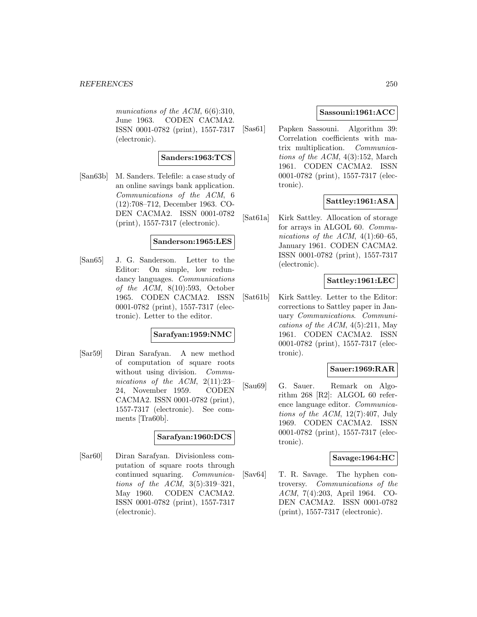munications of the ACM, 6(6):310, June 1963. CODEN CACMA2. ISSN 0001-0782 (print), 1557-7317 (electronic).

### **Sanders:1963:TCS**

[San63b] M. Sanders. Telefile: a case study of an online savings bank application. Communications of the ACM, 6 (12):708–712, December 1963. CO-DEN CACMA2. ISSN 0001-0782 (print), 1557-7317 (electronic).

#### **Sanderson:1965:LES**

[San65] J. G. Sanderson. Letter to the Editor: On simple, low redundancy languages. *Communications* of the  $ACM$ ,  $8(10):593$ , October 1965. CODEN CACMA2. ISSN 0001-0782 (print), 1557-7317 (electronic). Letter to the editor.

#### **Sarafyan:1959:NMC**

[Sar59] Diran Sarafyan. A new method of computation of square roots without using division. Communications of the ACM, 2(11):23– 24, November 1959. CODEN CACMA2. ISSN 0001-0782 (print), 1557-7317 (electronic). See comments [Tra60b].

### **Sarafyan:1960:DCS**

[Sar60] Diran Sarafyan. Divisionless computation of square roots through continued squaring. Communications of the ACM, 3(5):319–321, May 1960. CODEN CACMA2. ISSN 0001-0782 (print), 1557-7317 (electronic).

#### **Sassouni:1961:ACC**

[Sas61] Papken Sassouni. Algorithm 39: Correlation coefficients with matrix multiplication. Communications of the ACM, 4(3):152, March 1961. CODEN CACMA2. ISSN 0001-0782 (print), 1557-7317 (electronic).

# **Sattley:1961:ASA**

[Sat61a] Kirk Sattley. Allocation of storage for arrays in ALGOL 60. Communications of the ACM,  $4(1):60-65$ , January 1961. CODEN CACMA2. ISSN 0001-0782 (print), 1557-7317 (electronic).

## **Sattley:1961:LEC**

[Sat61b] Kirk Sattley. Letter to the Editor: corrections to Sattley paper in January Communications. Communications of the ACM,  $4(5):211$ , May 1961. CODEN CACMA2. ISSN 0001-0782 (print), 1557-7317 (electronic).

#### **Sauer:1969:RAR**

[Sau69] G. Sauer. Remark on Algorithm 268 [R2]: ALGOL 60 reference language editor. Communications of the ACM, 12(7):407, July 1969. CODEN CACMA2. ISSN 0001-0782 (print), 1557-7317 (electronic).

### **Savage:1964:HC**

[Sav64] T. R. Savage. The hyphen controversy. Communications of the ACM, 7(4):203, April 1964. CO-DEN CACMA2. ISSN 0001-0782 (print), 1557-7317 (electronic).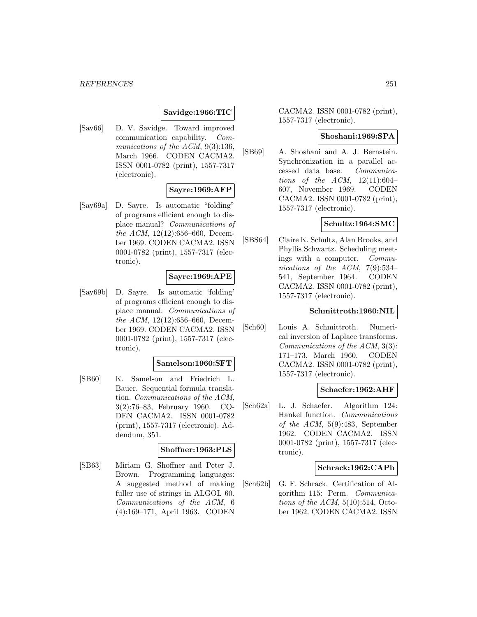#### *REFERENCES* 251

### **Savidge:1966:TIC**

[Sav66] D. V. Savidge. Toward improved communication capability. Communications of the ACM, 9(3):136, March 1966. CODEN CACMA2. ISSN 0001-0782 (print), 1557-7317 (electronic).

#### **Sayre:1969:AFP**

[Say69a] D. Sayre. Is automatic "folding" of programs efficient enough to displace manual? Communications of the ACM, 12(12):656–660, December 1969. CODEN CACMA2. ISSN 0001-0782 (print), 1557-7317 (electronic).

### **Sayre:1969:APE**

[Say69b] D. Sayre. Is automatic 'folding' of programs efficient enough to displace manual. Communications of the ACM, 12(12):656–660, December 1969. CODEN CACMA2. ISSN 0001-0782 (print), 1557-7317 (electronic).

#### **Samelson:1960:SFT**

[SB60] K. Samelson and Friedrich L. Bauer. Sequential formula translation. Communications of the ACM, 3(2):76–83, February 1960. CO-DEN CACMA2. ISSN 0001-0782 (print), 1557-7317 (electronic). Addendum, 351.

### **Shoffner:1963:PLS**

[SB63] Miriam G. Shoffner and Peter J. Brown. Programming languages: A suggested method of making fuller use of strings in ALGOL 60. Communications of the ACM, 6 (4):169–171, April 1963. CODEN

CACMA2. ISSN 0001-0782 (print), 1557-7317 (electronic).

#### **Shoshani:1969:SPA**

[SB69] A. Shoshani and A. J. Bernstein. Synchronization in a parallel accessed data base. Communications of the  $ACM$ ,  $12(11):604-$ 607, November 1969. CODEN CACMA2. ISSN 0001-0782 (print), 1557-7317 (electronic).

#### **Schultz:1964:SMC**

[SBS64] Claire K. Schultz, Alan Brooks, and Phyllis Schwartz. Scheduling meetings with a computer. Communications of the ACM, 7(9):534– 541, September 1964. CODEN CACMA2. ISSN 0001-0782 (print), 1557-7317 (electronic).

#### **Schmittroth:1960:NIL**

[Sch60] Louis A. Schmittroth. Numerical inversion of Laplace transforms. Communications of the ACM, 3(3): 171–173, March 1960. CODEN CACMA2. ISSN 0001-0782 (print), 1557-7317 (electronic).

### **Schaefer:1962:AHF**

[Sch62a] L. J. Schaefer. Algorithm 124: Hankel function. Communications of the ACM, 5(9):483, September 1962. CODEN CACMA2. ISSN 0001-0782 (print), 1557-7317 (electronic).

### **Schrack:1962:CAPb**

[Sch62b] G. F. Schrack. Certification of Algorithm 115: Perm. Communications of the  $ACM$ ,  $5(10):514$ , October 1962. CODEN CACMA2. ISSN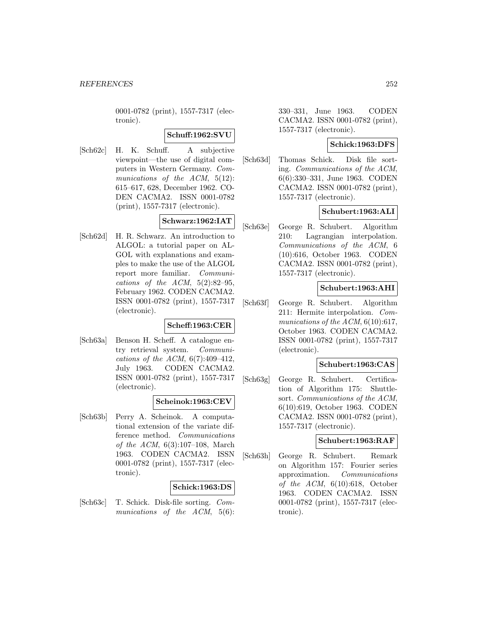0001-0782 (print), 1557-7317 (electronic).

### **Schuff:1962:SVU**

[Sch62c] H. K. Schuff. A subjective viewpoint—the use of digital computers in Western Germany. Communications of the ACM,  $5(12)$ : 615–617, 628, December 1962. CO-DEN CACMA2. ISSN 0001-0782 (print), 1557-7317 (electronic).

## **Schwarz:1962:IAT**

[Sch62d] H. R. Schwarz. An introduction to ALGOL: a tutorial paper on AL-GOL with explanations and examples to make the use of the ALGOL report more familiar. Communications of the ACM,  $5(2):82-95$ , February 1962. CODEN CACMA2. ISSN 0001-0782 (print), 1557-7317 (electronic).

### **Scheff:1963:CER**

[Sch63a] Benson H. Scheff. A catalogue entry retrieval system. Communications of the ACM,  $6(7):409-412$ , July 1963. CODEN CACMA2. ISSN 0001-0782 (print), 1557-7317 (electronic).

#### **Scheinok:1963:CEV**

[Sch63b] Perry A. Scheinok. A computational extension of the variate difference method. Communications of the ACM, 6(3):107–108, March 1963. CODEN CACMA2. ISSN 0001-0782 (print), 1557-7317 (electronic).

### **Schick:1963:DS**

[Sch63c] T. Schick. Disk-file sorting. Communications of the ACM, 5(6): 330–331, June 1963. CODEN CACMA2. ISSN 0001-0782 (print), 1557-7317 (electronic).

### **Schick:1963:DFS**

[Sch63d] Thomas Schick. Disk file sorting. Communications of the ACM, 6(6):330–331, June 1963. CODEN CACMA2. ISSN 0001-0782 (print), 1557-7317 (electronic).

## **Schubert:1963:ALI**

[Sch63e] George R. Schubert. Algorithm 210: Lagrangian interpolation. Communications of the ACM, 6 (10):616, October 1963. CODEN CACMA2. ISSN 0001-0782 (print), 1557-7317 (electronic).

### **Schubert:1963:AHI**

[Sch63f] George R. Schubert. Algorithm 211: Hermite interpolation. Communications of the ACM,  $6(10):617$ , October 1963. CODEN CACMA2. ISSN 0001-0782 (print), 1557-7317 (electronic).

### **Schubert:1963:CAS**

[Sch63g] George R. Schubert. Certification of Algorithm 175: Shuttlesort. Communications of the ACM, 6(10):619, October 1963. CODEN CACMA2. ISSN 0001-0782 (print), 1557-7317 (electronic).

#### **Schubert:1963:RAF**

[Sch63h] George R. Schubert. Remark on Algorithm 157: Fourier series approximation. Communications of the  $ACM$ ,  $6(10):618$ , October 1963. CODEN CACMA2. ISSN 0001-0782 (print), 1557-7317 (electronic).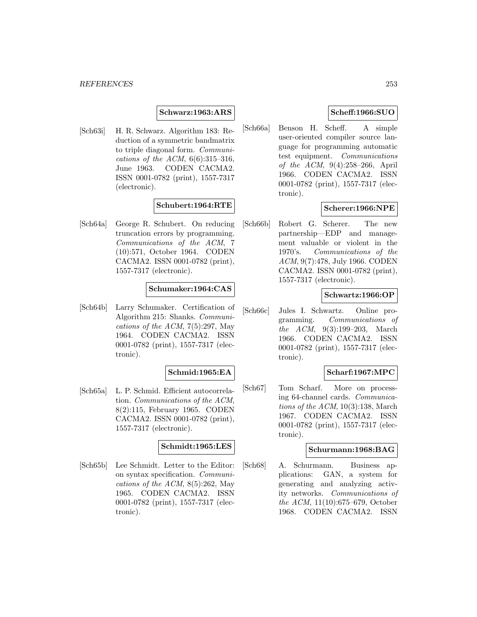#### **Schwarz:1963:ARS**

[Sch63i] H. R. Schwarz. Algorithm 183: Reduction of a symmetric bandmatrix to triple diagonal form. Communications of the ACM,  $6(6):315-316$ , June 1963. CODEN CACMA2. ISSN 0001-0782 (print), 1557-7317 (electronic).

# **Schubert:1964:RTE**

[Sch64a] George R. Schubert. On reducing truncation errors by programming. Communications of the ACM, 7 (10):571, October 1964. CODEN CACMA2. ISSN 0001-0782 (print), 1557-7317 (electronic).

## **Schumaker:1964:CAS**

[Sch64b] Larry Schumaker. Certification of Algorithm 215: Shanks. Communications of the ACM,  $7(5):297$ , May 1964. CODEN CACMA2. ISSN 0001-0782 (print), 1557-7317 (electronic).

# **Schmid:1965:EA**

[Sch65a] L. P. Schmid. Efficient autocorrelation. Communications of the ACM, 8(2):115, February 1965. CODEN CACMA2. ISSN 0001-0782 (print), 1557-7317 (electronic).

#### **Schmidt:1965:LES**

[Sch65b] Lee Schmidt. Letter to the Editor: on syntax specification. Communications of the ACM,  $8(5):262$ , May 1965. CODEN CACMA2. ISSN 0001-0782 (print), 1557-7317 (electronic).

# **Scheff:1966:SUO**

[Sch66a] Benson H. Scheff. A simple user-oriented compiler source language for programming automatic test equipment. Communications of the ACM, 9(4):258–266, April 1966. CODEN CACMA2. ISSN 0001-0782 (print), 1557-7317 (electronic).

# **Scherer:1966:NPE**

[Sch66b] Robert G. Scherer. The new partnership—EDP and management valuable or violent in the 1970's. Communications of the ACM, 9(7):478, July 1966. CODEN CACMA2. ISSN 0001-0782 (print), 1557-7317 (electronic).

# **Schwartz:1966:OP**

[Sch66c] Jules I. Schwartz. Online programming. Communications of the ACM, 9(3):199–203, March 1966. CODEN CACMA2. ISSN 0001-0782 (print), 1557-7317 (electronic).

# **Scharf:1967:MPC**

[Sch67] Tom Scharf. More on processing 64-channel cards. Communications of the  $ACM$ , 10(3):138, March 1967. CODEN CACMA2. ISSN 0001-0782 (print), 1557-7317 (electronic).

#### **Schurmann:1968:BAG**

[Sch68] A. Schurmann. Business applications: GAN, a system for generating and analyzing activity networks. Communications of the ACM, 11(10):675–679, October 1968. CODEN CACMA2. ISSN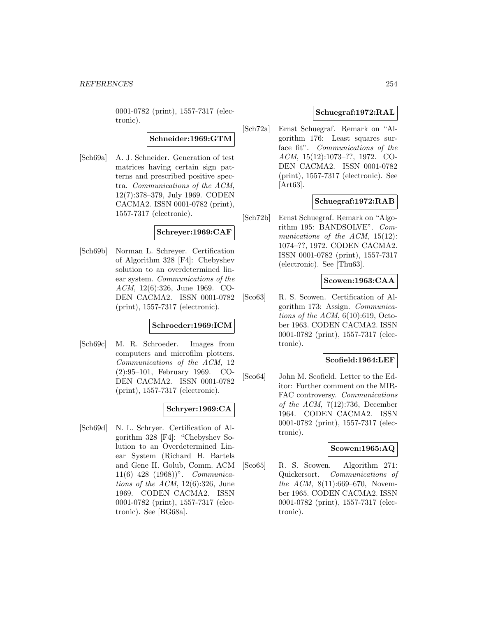0001-0782 (print), 1557-7317 (electronic).

**Schneider:1969:GTM**

[Sch69a] A. J. Schneider. Generation of test matrices having certain sign patterns and prescribed positive spectra. Communications of the ACM, 12(7):378–379, July 1969. CODEN CACMA2. ISSN 0001-0782 (print), 1557-7317 (electronic).

## **Schreyer:1969:CAF**

[Sch69b] Norman L. Schreyer. Certification of Algorithm 328 [F4]: Chebyshev solution to an overdetermined linear system. Communications of the ACM, 12(6):326, June 1969. CO-DEN CACMA2. ISSN 0001-0782 (print), 1557-7317 (electronic).

# **Schroeder:1969:ICM**

[Sch69c] M. R. Schroeder. Images from computers and microfilm plotters. Communications of the ACM, 12 (2):95–101, February 1969. CO-DEN CACMA2. ISSN 0001-0782 (print), 1557-7317 (electronic).

# **Schryer:1969:CA**

[Sch69d] N. L. Schryer. Certification of Algorithm 328 [F4]: "Chebyshev Solution to an Overdetermined Linear System (Richard H. Bartels and Gene H. Golub, Comm. ACM 11(6) 428 (1968))". Communications of the ACM,  $12(6):326$ , June 1969. CODEN CACMA2. ISSN 0001-0782 (print), 1557-7317 (electronic). See [BG68a].

# **Schuegraf:1972:RAL**

[Sch72a] Ernst Schuegraf. Remark on "Algorithm 176: Least squares surface fit". Communications of the ACM, 15(12):1073–??, 1972. CO-DEN CACMA2. ISSN 0001-0782 (print), 1557-7317 (electronic). See [Art63].

# **Schuegraf:1972:RAB**

[Sch72b] Ernst Schuegraf. Remark on "Algorithm 195: BANDSOLVE". Communications of the ACM, 15(12): 1074–??, 1972. CODEN CACMA2. ISSN 0001-0782 (print), 1557-7317 (electronic). See [Thu63].

# **Scowen:1963:CAA**

[Sco63] R. S. Scowen. Certification of Algorithm 173: Assign. Communications of the ACM,  $6(10):619$ , October 1963. CODEN CACMA2. ISSN 0001-0782 (print), 1557-7317 (electronic).

## **Scofield:1964:LEF**

[Sco64] John M. Scofield. Letter to the Editor: Further comment on the MIR-FAC controversy. Communications of the ACM, 7(12):736, December 1964. CODEN CACMA2. ISSN 0001-0782 (print), 1557-7317 (electronic).

## **Scowen:1965:AQ**

[Sco65] R. S. Scowen. Algorithm 271: Quickersort. Communications of the ACM, 8(11):669–670, November 1965. CODEN CACMA2. ISSN 0001-0782 (print), 1557-7317 (electronic).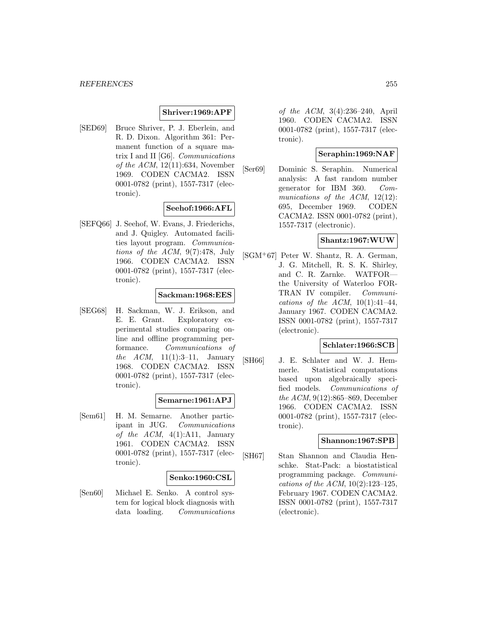#### **Shriver:1969:APF**

[SED69] Bruce Shriver, P. J. Eberlein, and R. D. Dixon. Algorithm 361: Permanent function of a square matrix I and II [G6]. Communications of the  $ACM$ , 12(11):634, November 1969. CODEN CACMA2. ISSN 0001-0782 (print), 1557-7317 (electronic).

# **Seehof:1966:AFL**

[SEFQ66] J. Seehof, W. Evans, J. Friederichs, and J. Quigley. Automated facilities layout program. Communications of the ACM, 9(7):478, July 1966. CODEN CACMA2. ISSN 0001-0782 (print), 1557-7317 (electronic).

#### **Sackman:1968:EES**

[SEG68] H. Sackman, W. J. Erikson, and E. E. Grant. Exploratory experimental studies comparing online and offline programming performance. Communications of the  $ACM$ , 11(1):3-11, January 1968. CODEN CACMA2. ISSN 0001-0782 (print), 1557-7317 (electronic).

#### **Semarne:1961:APJ**

[Sem61] H. M. Semarne. Another participant in JUG. Communications of the  $ACM$ ,  $4(1):A11$ , January 1961. CODEN CACMA2. ISSN 0001-0782 (print), 1557-7317 (electronic).

#### **Senko:1960:CSL**

[Sen60] Michael E. Senko. A control system for logical block diagnosis with data loading. Communications of the ACM, 3(4):236–240, April 1960. CODEN CACMA2. ISSN 0001-0782 (print), 1557-7317 (electronic).

#### **Seraphin:1969:NAF**

[Ser69] Dominic S. Seraphin. Numerical analysis: A fast random number generator for IBM 360. Communications of the ACM, 12(12): 695, December 1969. CODEN CACMA2. ISSN 0001-0782 (print), 1557-7317 (electronic).

# **Shantz:1967:WUW**

[SGM<sup>+</sup>67] Peter W. Shantz, R. A. German, J. G. Mitchell, R. S. K. Shirley, and C. R. Zarnke. WATFOR the University of Waterloo FOR-TRAN IV compiler. Communications of the ACM,  $10(1):41-44$ , January 1967. CODEN CACMA2. ISSN 0001-0782 (print), 1557-7317 (electronic).

## **Schlater:1966:SCB**

[SH66] J. E. Schlater and W. J. Hemmerle. Statistical computations based upon algebraically specified models. Communications of the ACM, 9(12):865–869, December 1966. CODEN CACMA2. ISSN 0001-0782 (print), 1557-7317 (electronic).

#### **Shannon:1967:SPB**

[SH67] Stan Shannon and Claudia Henschke. Stat-Pack: a biostatistical programming package. Communications of the ACM,  $10(2):123-125$ , February 1967. CODEN CACMA2. ISSN 0001-0782 (print), 1557-7317 (electronic).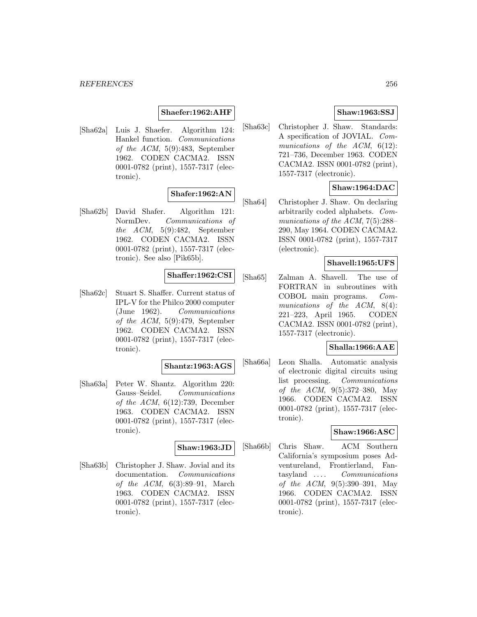#### *REFERENCES* 256

#### **Shaefer:1962:AHF**

[Sha62a] Luis J. Shaefer. Algorithm 124: Hankel function. Communications of the ACM, 5(9):483, September 1962. CODEN CACMA2. ISSN 0001-0782 (print), 1557-7317 (electronic).

# **Shafer:1962:AN**

[Sha62b] David Shafer. Algorithm 121: NormDev. Communications of the ACM, 5(9):482, September 1962. CODEN CACMA2. ISSN 0001-0782 (print), 1557-7317 (electronic). See also [Pik65b].

## **Shaffer:1962:CSI**

[Sha62c] Stuart S. Shaffer. Current status of IPL-V for the Philco 2000 computer (June 1962). Communications of the ACM, 5(9):479, September 1962. CODEN CACMA2. ISSN 0001-0782 (print), 1557-7317 (electronic).

#### **Shantz:1963:AGS**

[Sha63a] Peter W. Shantz. Algorithm 220: Gauss–Seidel. Communications of the ACM,  $6(12):739$ , December 1963. CODEN CACMA2. ISSN 0001-0782 (print), 1557-7317 (electronic).

#### **Shaw:1963:JD**

[Sha63b] Christopher J. Shaw. Jovial and its documentation. Communications of the  $ACM$ ,  $6(3):89-91$ , March 1963. CODEN CACMA2. ISSN 0001-0782 (print), 1557-7317 (electronic).

# **Shaw:1963:SSJ**

[Sha63c] Christopher J. Shaw. Standards: A specification of JOVIAL. Communications of the ACM, 6(12): 721–736, December 1963. CODEN CACMA2. ISSN 0001-0782 (print), 1557-7317 (electronic).

# **Shaw:1964:DAC**

[Sha64] Christopher J. Shaw. On declaring arbitrarily coded alphabets. Communications of the ACM, 7(5):288– 290, May 1964. CODEN CACMA2. ISSN 0001-0782 (print), 1557-7317 (electronic).

## **Shavell:1965:UFS**

[Sha65] Zalman A. Shavell. The use of FORTRAN in subroutines with COBOL main programs. Communications of the ACM, 8(4): 221–223, April 1965. CODEN CACMA2. ISSN 0001-0782 (print), 1557-7317 (electronic).

## **Shalla:1966:AAE**

[Sha66a] Leon Shalla. Automatic analysis of electronic digital circuits using list processing. Communications of the ACM, 9(5):372–380, May 1966. CODEN CACMA2. ISSN 0001-0782 (print), 1557-7317 (electronic).

# **Shaw:1966:ASC**

[Sha66b] Chris Shaw. ACM Southern California's symposium poses Adventureland, Frontierland, Fantasyland ... . Communications of the ACM, 9(5):390–391, May 1966. CODEN CACMA2. ISSN 0001-0782 (print), 1557-7317 (electronic).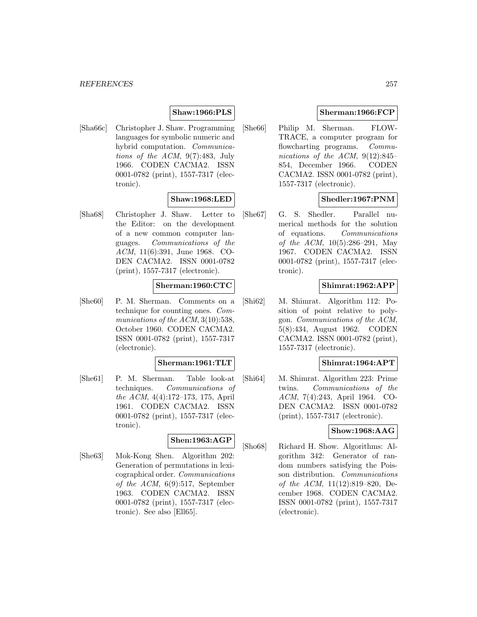# **Shaw:1966:PLS**

[Sha66c] Christopher J. Shaw. Programming languages for symbolic numeric and hybrid computation. Communications of the ACM, 9(7):483, July 1966. CODEN CACMA2. ISSN 0001-0782 (print), 1557-7317 (electronic).

## **Shaw:1968:LED**

[Sha68] Christopher J. Shaw. Letter to the Editor: on the development of a new common computer languages. Communications of the ACM, 11(6):391, June 1968. CO-DEN CACMA2. ISSN 0001-0782 (print), 1557-7317 (electronic).

## **Sherman:1960:CTC**

[She60] P. M. Sherman. Comments on a technique for counting ones. Communications of the ACM, 3(10):538, October 1960. CODEN CACMA2. ISSN 0001-0782 (print), 1557-7317 (electronic).

## **Sherman:1961:TLT**

[She61] P. M. Sherman. Table look-at techniques. Communications of the ACM, 4(4):172–173, 175, April 1961. CODEN CACMA2. ISSN 0001-0782 (print), 1557-7317 (electronic).

#### **Shen:1963:AGP**

[She63] Mok-Kong Shen. Algorithm 202: Generation of permutations in lexicographical order. Communications of the ACM, 6(9):517, September 1963. CODEN CACMA2. ISSN 0001-0782 (print), 1557-7317 (electronic). See also [Ell65].

## **Sherman:1966:FCP**

[She66] Philip M. Sherman. FLOW-TRACE, a computer program for flowcharting programs. Communications of the ACM, 9(12):845– 854, December 1966. CODEN CACMA2. ISSN 0001-0782 (print), 1557-7317 (electronic).

# **Shedler:1967:PNM**

[She67] G. S. Shedler. Parallel numerical methods for the solution of equations. Communications of the ACM, 10(5):286–291, May 1967. CODEN CACMA2. ISSN 0001-0782 (print), 1557-7317 (electronic).

# **Shimrat:1962:APP**

[Shi62] M. Shimrat. Algorithm 112: Position of point relative to polygon. Communications of the ACM, 5(8):434, August 1962. CODEN CACMA2. ISSN 0001-0782 (print), 1557-7317 (electronic).

## **Shimrat:1964:APT**

[Shi64] M. Shimrat. Algorithm 223: Prime twins. Communications of the ACM, 7(4):243, April 1964. CO-DEN CACMA2. ISSN 0001-0782 (print), 1557-7317 (electronic).

## **Show:1968:AAG**

[Sho68] Richard H. Show. Algorithms: Algorithm 342: Generator of random numbers satisfying the Poisson distribution. Communications of the ACM, 11(12):819–820, December 1968. CODEN CACMA2. ISSN 0001-0782 (print), 1557-7317 (electronic).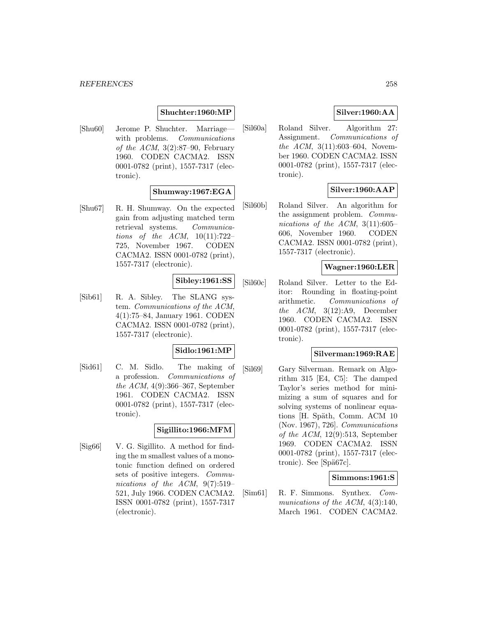#### **Shuchter:1960:MP**

[Shu60] Jerome P. Shuchter. Marriage with problems. *Communications* of the ACM,  $3(2):87-90$ , February 1960. CODEN CACMA2. ISSN 0001-0782 (print), 1557-7317 (electronic).

# **Shumway:1967:EGA**

[Shu67] R. H. Shumway. On the expected gain from adjusting matched term retrieval systems. Communications of the  $ACM$ ,  $10(11):722-$ 725, November 1967. CODEN CACMA2. ISSN 0001-0782 (print), 1557-7317 (electronic).

# **Sibley:1961:SS**

[Sib61] R. A. Sibley. The SLANG system. Communications of the ACM, 4(1):75–84, January 1961. CODEN CACMA2. ISSN 0001-0782 (print), 1557-7317 (electronic).

# **Sidlo:1961:MP**

[Sid61] C. M. Sidlo. The making of a profession. Communications of the ACM, 4(9):366–367, September 1961. CODEN CACMA2. ISSN 0001-0782 (print), 1557-7317 (electronic).

## **Sigillito:1966:MFM**

[Sig66] V. G. Sigillito. A method for finding the m smallest values of a monotonic function defined on ordered sets of positive integers. Communications of the ACM, 9(7):519– 521, July 1966. CODEN CACMA2. ISSN 0001-0782 (print), 1557-7317 (electronic).

# **Silver:1960:AA**

[Sil60a] Roland Silver. Algorithm 27: Assignment. Communications of the ACM, 3(11):603–604, November 1960. CODEN CACMA2. ISSN 0001-0782 (print), 1557-7317 (electronic).

# **Silver:1960:AAP**

[Sil60b] Roland Silver. An algorithm for the assignment problem. Communications of the ACM,  $3(11):605-$ 606, November 1960. CODEN CACMA2. ISSN 0001-0782 (print), 1557-7317 (electronic).

## **Wagner:1960:LER**

[Sil60c] Roland Silver. Letter to the Editor: Rounding in floating-point arithmetic. Communications of the  $ACM$ ,  $3(12):A9$ , December 1960. CODEN CACMA2. ISSN 0001-0782 (print), 1557-7317 (electronic).

#### **Silverman:1969:RAE**

[Sil69] Gary Silverman. Remark on Algorithm 315 [E4, C5]: The damped Taylor's series method for minimizing a sum of squares and for solving systems of nonlinear equations [H. Späth, Comm. ACM 10 (Nov. 1967), 726]. Communications of the  $ACM$ , 12(9):513, September 1969. CODEN CACMA2. ISSN 0001-0782 (print), 1557-7317 (electronic). See [Spä67c].

# **Simmons:1961:S**

[Sim61] R. F. Simmons. Synthex. Communications of the ACM,  $4(3):140$ , March 1961. CODEN CACMA2.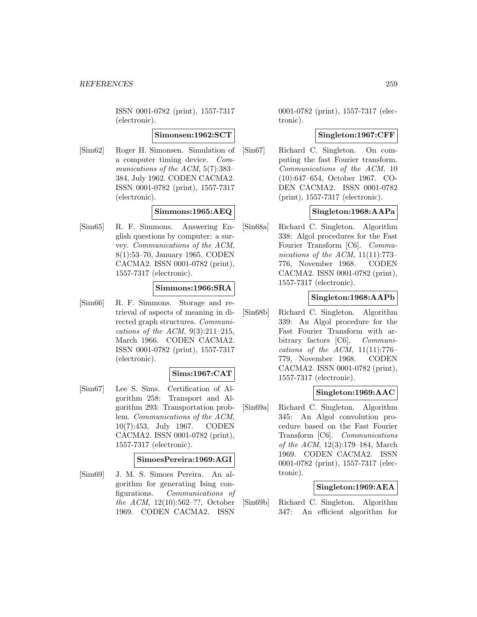ISSN 0001-0782 (print), 1557-7317 (electronic).

## **Simonsen:1962:SCT**

[Sim62] Roger H. Simonsen. Simulation of a computer timing device. Communications of the ACM, 5(7):383– 384, July 1962. CODEN CACMA2. ISSN 0001-0782 (print), 1557-7317 (electronic).

# **Simmons:1965:AEQ**

[Sim65] R. F. Simmons. Answering English questions by computer: a survey. Communications of the ACM, 8(1):53–70, January 1965. CODEN CACMA2. ISSN 0001-0782 (print), 1557-7317 (electronic).

# **Simmons:1966:SRA**

[Sim66] R. F. Simmons. Storage and retrieval of aspects of meaning in directed graph structures. Communications of the ACM,  $9(3):211-215$ , March 1966. CODEN CACMA2. ISSN 0001-0782 (print), 1557-7317 (electronic).

## **Sims:1967:CAT**

[Sim67] Lee S. Sims. Certification of Algorithm 258: Transport and Algorithm 293: Transportation problem. Communications of the ACM, 10(7):453, July 1967. CODEN CACMA2. ISSN 0001-0782 (print), 1557-7317 (electronic).

## **SimoesPereira:1969:AGI**

[Sim69] J. M. S. Simoes Pereira. An algorithm for generating Ising configurations. Communications of the ACM, 12(10):562–??, October 1969. CODEN CACMA2. ISSN

0001-0782 (print), 1557-7317 (electronic).

# **Singleton:1967:CFF**

[Sin67] Richard C. Singleton. On computing the fast Fourier transform. Communications of the ACM, 10 (10):647–654, October 1967. CO-DEN CACMA2. ISSN 0001-0782 (print), 1557-7317 (electronic).

# **Singleton:1968:AAPa**

[Sin68a] Richard C. Singleton. Algorithm 338: Algol procedures for the Fast Fourier Transform [C6]. Communications of the ACM,  $11(11):773-$ 776, November 1968. CODEN CACMA2. ISSN 0001-0782 (print), 1557-7317 (electronic).

## **Singleton:1968:AAPb**

[Sin68b] Richard C. Singleton. Algorithm 339: An Algol procedure for the Fast Fourier Transform with arbitrary factors [C6]. Communications of the ACM,  $11(11):776-$ 779, November 1968. CODEN CACMA2. ISSN 0001-0782 (print), 1557-7317 (electronic).

# **Singleton:1969:AAC**

[Sin69a] Richard C. Singleton. Algorithm 345: An Algol convolution procedure based on the Fast Fourier Transform [C6]. Communications of the ACM, 12(3):179–184, March 1969. CODEN CACMA2. ISSN 0001-0782 (print), 1557-7317 (electronic).

# **Singleton:1969:AEA**

[Sin69b] Richard C. Singleton. Algorithm 347: An efficient algorithm for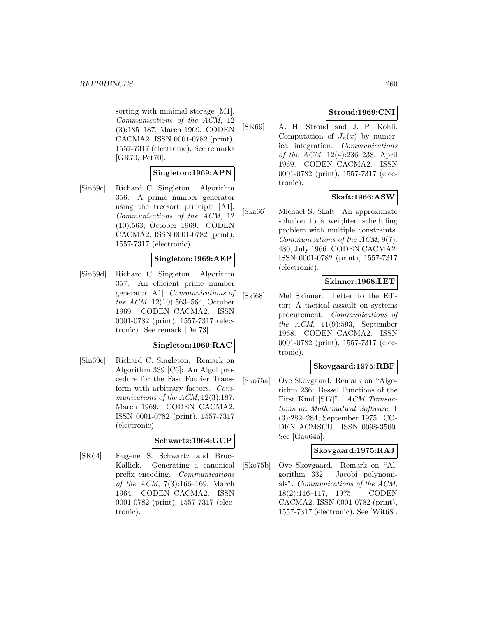#### *REFERENCES* 260

sorting with minimal storage [M1]. Communications of the ACM, 12 (3):185–187, March 1969. CODEN CACMA2. ISSN 0001-0782 (print), 1557-7317 (electronic). See remarks [GR70, Pet70].

## **Singleton:1969:APN**

[Sin69c] Richard C. Singleton. Algorithm 356: A prime number generator using the treesort principle [A1]. Communications of the ACM, 12 (10):563, October 1969. CODEN CACMA2. ISSN 0001-0782 (print), 1557-7317 (electronic).

## **Singleton:1969:AEP**

[Sin69d] Richard C. Singleton. Algorithm 357: An efficient prime number generator [A1]. Communications of the ACM, 12(10):563–564, October 1969. CODEN CACMA2. ISSN 0001-0782 (print), 1557-7317 (electronic). See remark [De 73].

#### **Singleton:1969:RAC**

[Sin69e] Richard C. Singleton. Remark on Algorithm 339 [C6]: An Algol procedure for the Fast Fourier Transform with arbitrary factors. Communications of the ACM, 12(3):187, March 1969. CODEN CACMA2. ISSN 0001-0782 (print), 1557-7317 (electronic).

#### **Schwartz:1964:GCP**

[SK64] Eugene S. Schwartz and Bruce Kallick. Generating a canonical prefix encoding. Communications of the ACM, 7(3):166–169, March 1964. CODEN CACMA2. ISSN 0001-0782 (print), 1557-7317 (electronic).

# **Stroud:1969:CNI**

[SK69] A. H. Stroud and J. P. Kohli. Computation of  $J_n(x)$  by numerical integration. Communications of the ACM, 12(4):236–238, April 1969. CODEN CACMA2. ISSN 0001-0782 (print), 1557-7317 (electronic).

# **Skaft:1966:ASW**

[Ska66] Michael S. Skaft. An approximate solution to a weighted scheduling problem with multiple constraints. Communications of the ACM, 9(7): 480, July 1966. CODEN CACMA2. ISSN 0001-0782 (print), 1557-7317 (electronic).

# **Skinner:1968:LET**

[Ski68] Mel Skinner. Letter to the Editor: A tactical assault on systems procurement. Communications of the ACM,  $11(9):593$ , September 1968. CODEN CACMA2. ISSN 0001-0782 (print), 1557-7317 (electronic).

## **Skovgaard:1975:RBF**

[Sko75a] Ove Skovgaard. Remark on "Algorithm 236: Bessel Functions of the First Kind [S17]". ACM Transactions on Mathematical Software, 1 (3):282–284, September 1975. CO-DEN ACMSCU. ISSN 0098-3500. See [Gau64a].

## **Skovgaard:1975:RAJ**

[Sko75b] Ove Skovgaard. Remark on "Algorithm 332: Jacobi polynomials". Communications of the ACM, 18(2):116–117, 1975. CODEN CACMA2. ISSN 0001-0782 (print), 1557-7317 (electronic). See [Wit68].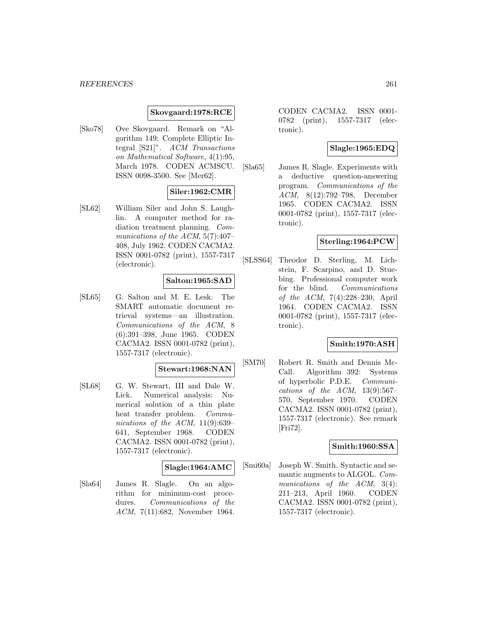#### *REFERENCES* 261

#### **Skovgaard:1978:RCE**

[Sko78] Ove Skovgaard. Remark on "Algorithm 149: Complete Elliptic Integral [S21]". ACM Transactions on Mathematical Software, 4(1):95, March 1978. CODEN ACMSCU. ISSN 0098-3500. See [Mer62].

# **Siler:1962:CMR**

[SL62] William Siler and John S. Laughlin. A computer method for radiation treatment planning. Communications of the ACM, 5(7):407– 408, July 1962. CODEN CACMA2. ISSN 0001-0782 (print), 1557-7317 (electronic).

# **Salton:1965:SAD**

[SL65] G. Salton and M. E. Lesk. The SMART automatic document retrieval systems—an illustration. Communications of the ACM, 8 (6):391–398, June 1965. CODEN CACMA2. ISSN 0001-0782 (print), 1557-7317 (electronic).

# **Stewart:1968:NAN**

[SL68] G. W. Stewart, III and Dale W. Lick. Numerical analysis: Numerical solution of a thin plate heat transfer problem. Communications of the ACM,  $11(9):639-$ 641, September 1968. CODEN CACMA2. ISSN 0001-0782 (print), 1557-7317 (electronic).

#### **Slagle:1964:AMC**

[Sla64] James R. Slagle. On an algorithm for minimum-cost procedures. Communications of the ACM, 7(11):682, November 1964.

CODEN CACMA2. ISSN 0001- 0782 (print), 1557-7317 (electronic).

## **Slagle:1965:EDQ**

[Sla65] James R. Slagle. Experiments with a deductive question-answering program. Communications of the ACM, 8(12):792–798, December 1965. CODEN CACMA2. ISSN 0001-0782 (print), 1557-7317 (electronic).

## **Sterling:1964:PCW**

[SLSS64] Theodor D. Sterling, M. Lichstein, F. Scarpino, and D. Stuebing. Professional computer work for the blind. Communications of the ACM, 7(4):228–230, April 1964. CODEN CACMA2. ISSN 0001-0782 (print), 1557-7317 (electronic).

#### **Smith:1970:ASH**

[SM70] Robert R. Smith and Dennis Mc-Call. Algorithm 392: Systems of hyperbolic P.D.E. Communications of the ACM,  $13(9):567-$ 570, September 1970. CODEN CACMA2. ISSN 0001-0782 (print), 1557-7317 (electronic). See remark [Fri72].

#### **Smith:1960:SSA**

[Smi60a] Joseph W. Smith. Syntactic and semantic augments to ALGOL. Communications of the ACM, 3(4): 211–213, April 1960. CODEN CACMA2. ISSN 0001-0782 (print), 1557-7317 (electronic).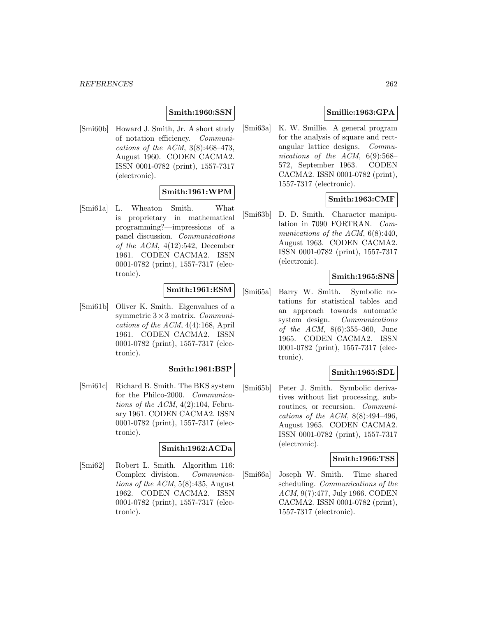# **Smith:1960:SSN**

[Smi60b] Howard J. Smith, Jr. A short study of notation efficiency. Communications of the ACM, 3(8):468–473, August 1960. CODEN CACMA2. ISSN 0001-0782 (print), 1557-7317 (electronic).

# **Smith:1961:WPM**

[Smi61a] L. Wheaton Smith. What is proprietary in mathematical programming?—impressions of a panel discussion. Communications of the ACM,  $4(12):542$ , December 1961. CODEN CACMA2. ISSN 0001-0782 (print), 1557-7317 (electronic).

## **Smith:1961:ESM**

[Smi61b] Oliver K. Smith. Eigenvalues of a symmetric  $3 \times 3$  matrix. *Communi*cations of the ACM, 4(4):168, April 1961. CODEN CACMA2. ISSN 0001-0782 (print), 1557-7317 (electronic).

## **Smith:1961:BSP**

[Smi61c] Richard B. Smith. The BKS system for the Philco-2000. Communications of the ACM,  $4(2):104$ , February 1961. CODEN CACMA2. ISSN 0001-0782 (print), 1557-7317 (electronic).

# **Smith:1962:ACDa**

[Smi62] Robert L. Smith. Algorithm 116: Complex division. Communications of the ACM, 5(8):435, August 1962. CODEN CACMA2. ISSN 0001-0782 (print), 1557-7317 (electronic).

# **Smillie:1963:GPA**

[Smi63a] K. W. Smillie. A general program for the analysis of square and rectangular lattice designs. Communications of the ACM, 6(9):568– 572, September 1963. CODEN CACMA2. ISSN 0001-0782 (print), 1557-7317 (electronic).

## **Smith:1963:CMF**

[Smi63b] D. D. Smith. Character manipulation in 7090 FORTRAN. Communications of the ACM,  $6(8):440$ , August 1963. CODEN CACMA2. ISSN 0001-0782 (print), 1557-7317 (electronic).

## **Smith:1965:SNS**

[Smi65a] Barry W. Smith. Symbolic notations for statistical tables and an approach towards automatic system design. Communications of the ACM, 8(6):355–360, June 1965. CODEN CACMA2. ISSN 0001-0782 (print), 1557-7317 (electronic).

# **Smith:1965:SDL**

[Smi65b] Peter J. Smith. Symbolic derivatives without list processing, subroutines, or recursion. Communications of the ACM,  $8(8):494-496$ , August 1965. CODEN CACMA2. ISSN 0001-0782 (print), 1557-7317 (electronic).

#### **Smith:1966:TSS**

[Smi66a] Joseph W. Smith. Time shared scheduling. Communications of the ACM, 9(7):477, July 1966. CODEN CACMA2. ISSN 0001-0782 (print), 1557-7317 (electronic).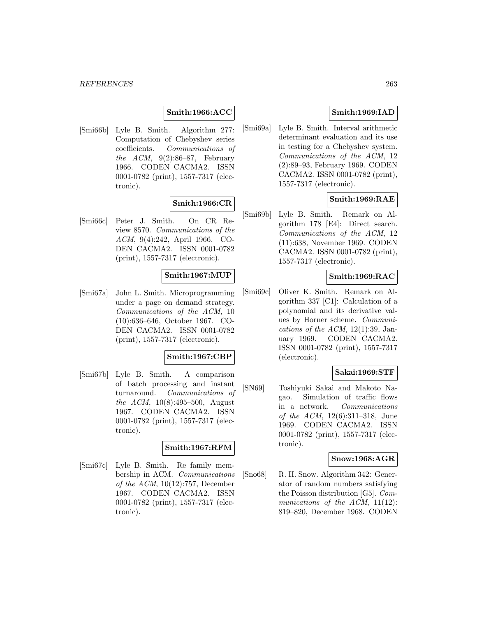# **Smith:1966:ACC**

[Smi66b] Lyle B. Smith. Algorithm 277: Computation of Chebyshev series coefficients. Communications of the ACM,  $9(2):86-87$ , February 1966. CODEN CACMA2. ISSN 0001-0782 (print), 1557-7317 (electronic).

## **Smith:1966:CR**

[Smi66c] Peter J. Smith. On CR Review 8570. Communications of the ACM, 9(4):242, April 1966. CO-DEN CACMA2. ISSN 0001-0782 (print), 1557-7317 (electronic).

## **Smith:1967:MUP**

[Smi67a] John L. Smith. Microprogramming under a page on demand strategy. Communications of the ACM, 10 (10):636–646, October 1967. CO-DEN CACMA2. ISSN 0001-0782 (print), 1557-7317 (electronic).

## **Smith:1967:CBP**

[Smi67b] Lyle B. Smith. A comparison of batch processing and instant turnaround. Communications of the ACM, 10(8):495–500, August 1967. CODEN CACMA2. ISSN 0001-0782 (print), 1557-7317 (electronic).

## **Smith:1967:RFM**

[Smi67c] Lyle B. Smith. Re family membership in ACM. Communications of the ACM, 10(12):757, December 1967. CODEN CACMA2. ISSN 0001-0782 (print), 1557-7317 (electronic).

# **Smith:1969:IAD**

[Smi69a] Lyle B. Smith. Interval arithmetic determinant evaluation and its use in testing for a Chebyshev system. Communications of the ACM, 12 (2):89–93, February 1969. CODEN CACMA2. ISSN 0001-0782 (print), 1557-7317 (electronic).

## **Smith:1969:RAE**

[Smi69b] Lyle B. Smith. Remark on Algorithm 178 [E4]: Direct search. Communications of the ACM, 12 (11):638, November 1969. CODEN CACMA2. ISSN 0001-0782 (print), 1557-7317 (electronic).

#### **Smith:1969:RAC**

[Smi69c] Oliver K. Smith. Remark on Algorithm 337 [C1]: Calculation of a polynomial and its derivative values by Horner scheme. Communications of the ACM,  $12(1):39$ , January 1969. CODEN CACMA2. ISSN 0001-0782 (print), 1557-7317 (electronic).

# **Sakai:1969:STF**

[SN69] Toshiyuki Sakai and Makoto Nagao. Simulation of traffic flows in a network. Communications of the ACM, 12(6):311–318, June 1969. CODEN CACMA2. ISSN 0001-0782 (print), 1557-7317 (electronic).

#### **Snow:1968:AGR**

[Sno68] R. H. Snow. Algorithm 342: Generator of random numbers satisfying the Poisson distribution [G5]. Communications of the ACM, 11(12): 819–820, December 1968. CODEN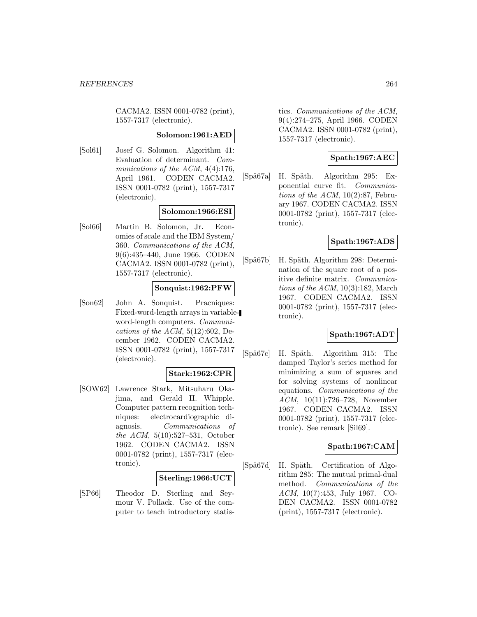CACMA2. ISSN 0001-0782 (print), 1557-7317 (electronic).

#### **Solomon:1961:AED**

[Sol61] Josef G. Solomon. Algorithm 41: Evaluation of determinant. Communications of the ACM,  $4(4):176$ , April 1961. CODEN CACMA2. ISSN 0001-0782 (print), 1557-7317 (electronic).

## **Solomon:1966:ESI**

[Sol66] Martin B. Solomon, Jr. Economies of scale and the IBM System/ 360. Communications of the ACM, 9(6):435–440, June 1966. CODEN CACMA2. ISSN 0001-0782 (print), 1557-7317 (electronic).

## **Sonquist:1962:PFW**

[Son62] John A. Sonquist. Pracniques: Fixed-word-length arrays in variableword-length computers. Communications of the ACM,  $5(12):602$ , December 1962. CODEN CACMA2. ISSN 0001-0782 (print), 1557-7317 (electronic).

## **Stark:1962:CPR**

[SOW62] Lawrence Stark, Mitsuharu Okajima, and Gerald H. Whipple. Computer pattern recognition techniques: electrocardiographic diagnosis. Communications of the ACM, 5(10):527–531, October 1962. CODEN CACMA2. ISSN 0001-0782 (print), 1557-7317 (electronic).

# **Sterling:1966:UCT**

[SP66] Theodor D. Sterling and Seymour V. Pollack. Use of the computer to teach introductory statistics. Communications of the ACM, 9(4):274–275, April 1966. CODEN CACMA2. ISSN 0001-0782 (print), 1557-7317 (electronic).

# **Spath:1967:AEC**

[Spä67a] H. Späth. Algorithm 295: Exponential curve fit. Communications of the ACM,  $10(2)$ :87, February 1967. CODEN CACMA2. ISSN 0001-0782 (print), 1557-7317 (electronic).

# **Spath:1967:ADS**

[Spä67b] H. Späth. Algorithm 298: Determination of the square root of a positive definite matrix. Communications of the ACM,  $10(3):182$ , March 1967. CODEN CACMA2. ISSN 0001-0782 (print), 1557-7317 (electronic).

## **Spath:1967:ADT**

[Spä67c] H. Späth. Algorithm 315: The damped Taylor's series method for minimizing a sum of squares and for solving systems of nonlinear equations. Communications of the ACM, 10(11):726–728, November 1967. CODEN CACMA2. ISSN 0001-0782 (print), 1557-7317 (electronic). See remark [Sil69].

## **Spath:1967:CAM**

[Spä67d] H. Späth. Certification of Algorithm 285: The mutual primal-dual method. Communications of the ACM, 10(7):453, July 1967. CO-DEN CACMA2. ISSN 0001-0782 (print), 1557-7317 (electronic).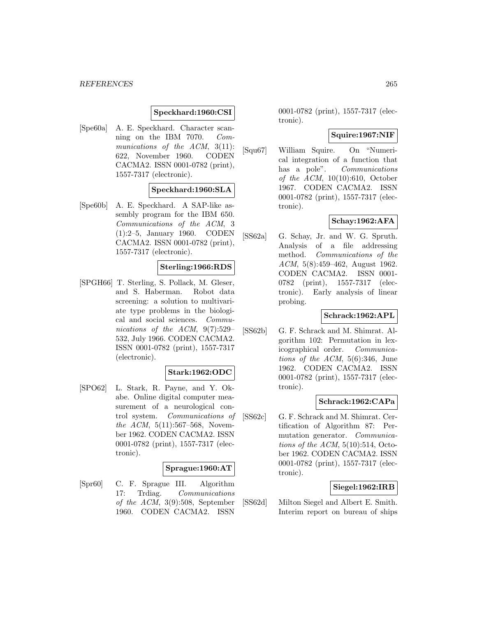# **Speckhard:1960:CSI**

[Spe60a] A. E. Speckhard. Character scanning on the IBM 7070. Communications of the ACM, 3(11): 622, November 1960. CODEN CACMA2. ISSN 0001-0782 (print), 1557-7317 (electronic).

## **Speckhard:1960:SLA**

[Spe60b] A. E. Speckhard. A SAP-like assembly program for the IBM 650. Communications of the ACM, 3 (1):2–5, January 1960. CODEN CACMA2. ISSN 0001-0782 (print), 1557-7317 (electronic).

#### **Sterling:1966:RDS**

[SPGH66] T. Sterling, S. Pollack, M. Gleser, and S. Haberman. Robot data screening: a solution to multivariate type problems in the biological and social sciences. Communications of the ACM, 9(7):529– 532, July 1966. CODEN CACMA2. ISSN 0001-0782 (print), 1557-7317 (electronic).

# **Stark:1962:ODC**

[SPO62] L. Stark, R. Payne, and Y. Okabe. Online digital computer measurement of a neurological control system. Communications of the ACM,  $5(11):567-568$ , November 1962. CODEN CACMA2. ISSN 0001-0782 (print), 1557-7317 (electronic).

#### **Sprague:1960:AT**

[Spr60] C. F. Sprague III. Algorithm 17: Trdiag. Communications of the ACM, 3(9):508, September 1960. CODEN CACMA2. ISSN

0001-0782 (print), 1557-7317 (electronic).

## **Squire:1967:NIF**

[Squ67] William Squire. On "Numerical integration of a function that has a pole". Communications of the  $ACM$ , 10(10):610, October 1967. CODEN CACMA2. ISSN 0001-0782 (print), 1557-7317 (electronic).

# **Schay:1962:AFA**

[SS62a] G. Schay, Jr. and W. G. Spruth. Analysis of a file addressing method. Communications of the ACM, 5(8):459–462, August 1962. CODEN CACMA2. ISSN 0001- 0782 (print), 1557-7317 (electronic). Early analysis of linear probing.

## **Schrack:1962:APL**

[SS62b] G. F. Schrack and M. Shimrat. Algorithm 102: Permutation in lexicographical order. Communications of the ACM,  $5(6):346$ , June 1962. CODEN CACMA2. ISSN 0001-0782 (print), 1557-7317 (electronic).

## **Schrack:1962:CAPa**

[SS62c] G. F. Schrack and M. Shimrat. Certification of Algorithm 87: Permutation generator. Communications of the  $ACM$ ,  $5(10):514$ , October 1962. CODEN CACMA2. ISSN 0001-0782 (print), 1557-7317 (electronic).

## **Siegel:1962:IRB**

[SS62d] Milton Siegel and Albert E. Smith. Interim report on bureau of ships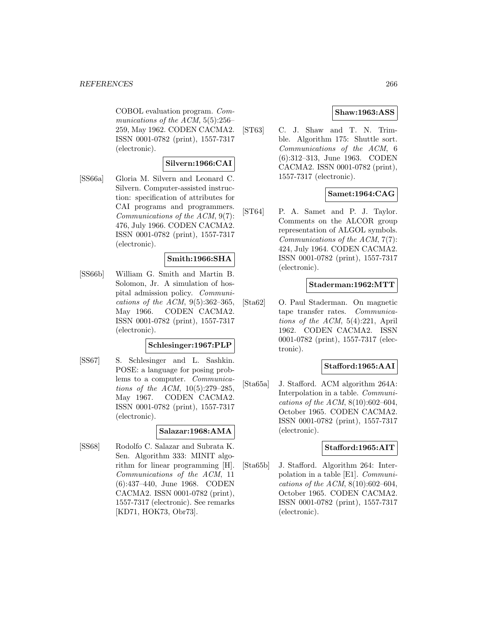#### *REFERENCES* 266

COBOL evaluation program. Communications of the ACM, 5(5):256– 259, May 1962. CODEN CACMA2. ISSN 0001-0782 (print), 1557-7317 (electronic).

# **Silvern:1966:CAI**

[SS66a] Gloria M. Silvern and Leonard C. Silvern. Computer-assisted instruction: specification of attributes for CAI programs and programmers. Communications of the ACM, 9(7): 476, July 1966. CODEN CACMA2. ISSN 0001-0782 (print), 1557-7317 (electronic).

# **Smith:1966:SHA**

[SS66b] William G. Smith and Martin B. Solomon, Jr. A simulation of hospital admission policy. Communications of the ACM,  $9(5):362-365$ , May 1966. CODEN CACMA2. ISSN 0001-0782 (print), 1557-7317 (electronic).

## **Schlesinger:1967:PLP**

[SS67] S. Schlesinger and L. Sashkin. POSE: a language for posing problems to a computer. Communications of the ACM, 10(5):279–285, May 1967. CODEN CACMA2. ISSN 0001-0782 (print), 1557-7317 (electronic).

## **Salazar:1968:AMA**

[SS68] Rodolfo C. Salazar and Subrata K. Sen. Algorithm 333: MINIT algorithm for linear programming [H]. Communications of the ACM, 11 (6):437–440, June 1968. CODEN CACMA2. ISSN 0001-0782 (print), 1557-7317 (electronic). See remarks [KD71, HOK73, Obr73].

# **Shaw:1963:ASS**

[ST63] C. J. Shaw and T. N. Trimble. Algorithm 175: Shuttle sort. Communications of the ACM, 6 (6):312–313, June 1963. CODEN CACMA2. ISSN 0001-0782 (print), 1557-7317 (electronic).

# **Samet:1964:CAG**

[ST64] P. A. Samet and P. J. Taylor. Comments on the ALCOR group representation of ALGOL symbols. Communications of the ACM, 7(7): 424, July 1964. CODEN CACMA2. ISSN 0001-0782 (print), 1557-7317 (electronic).

## **Staderman:1962:MTT**

[Sta62] O. Paul Staderman. On magnetic tape transfer rates. Communications of the ACM, 5(4):221, April 1962. CODEN CACMA2. ISSN 0001-0782 (print), 1557-7317 (electronic).

## **Stafford:1965:AAI**

[Sta65a] J. Stafford. ACM algorithm 264A: Interpolation in a table. Communications of the ACM,  $8(10):602-604$ , October 1965. CODEN CACMA2. ISSN 0001-0782 (print), 1557-7317 (electronic).

#### **Stafford:1965:AIT**

[Sta65b] J. Stafford. Algorithm 264: Interpolation in a table [E1]. Communications of the ACM,  $8(10):602-604$ , October 1965. CODEN CACMA2. ISSN 0001-0782 (print), 1557-7317 (electronic).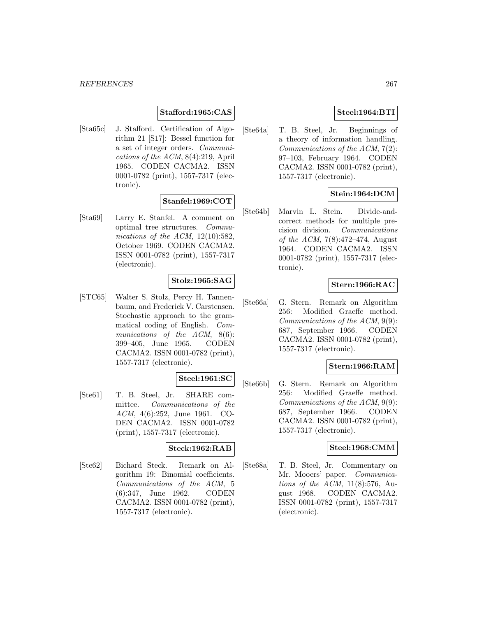## **Stafford:1965:CAS**

[Sta65c] J. Stafford. Certification of Algorithm 21 [S17]: Bessel function for a set of integer orders. Communications of the ACM, 8(4):219, April 1965. CODEN CACMA2. ISSN 0001-0782 (print), 1557-7317 (electronic).

# **Stanfel:1969:COT**

[Sta69] Larry E. Stanfel. A comment on optimal tree structures. Communications of the ACM, 12(10):582, October 1969. CODEN CACMA2. ISSN 0001-0782 (print), 1557-7317 (electronic).

# **Stolz:1965:SAG**

[STC65] Walter S. Stolz, Percy H. Tannenbaum, and Frederick V. Carstensen. Stochastic approach to the grammatical coding of English. Communications of the ACM, 8(6): 399–405, June 1965. CODEN CACMA2. ISSN 0001-0782 (print), 1557-7317 (electronic).

# **Steel:1961:SC**

[Ste61] T. B. Steel, Jr. SHARE committee. Communications of the ACM, 4(6):252, June 1961. CO-DEN CACMA2. ISSN 0001-0782 (print), 1557-7317 (electronic).

## **Steck:1962:RAB**

[Ste62] Bichard Steck. Remark on Algorithm 19: Binomial coefficients. Communications of the ACM, 5 (6):347, June 1962. CODEN CACMA2. ISSN 0001-0782 (print), 1557-7317 (electronic).

# **Steel:1964:BTI**

[Ste64a] T. B. Steel, Jr. Beginnings of a theory of information handling. Communications of the ACM, 7(2): 97–103, February 1964. CODEN CACMA2. ISSN 0001-0782 (print), 1557-7317 (electronic).

# **Stein:1964:DCM**

[Ste64b] Marvin L. Stein. Divide-andcorrect methods for multiple precision division. Communications of the ACM, 7(8):472–474, August 1964. CODEN CACMA2. ISSN 0001-0782 (print), 1557-7317 (electronic).

## **Stern:1966:RAC**

[Ste66a] G. Stern. Remark on Algorithm 256: Modified Graeffe method. Communications of the ACM, 9(9): 687, September 1966. CODEN CACMA2. ISSN 0001-0782 (print), 1557-7317 (electronic).

#### **Stern:1966:RAM**

[Ste66b] G. Stern. Remark on Algorithm 256: Modified Graeffe method. Communications of the ACM, 9(9): 687, September 1966. CODEN CACMA2. ISSN 0001-0782 (print), 1557-7317 (electronic).

#### **Steel:1968:CMM**

[Ste68a] T. B. Steel, Jr. Commentary on Mr. Mooers' paper. Communications of the ACM, 11(8):576, August 1968. CODEN CACMA2. ISSN 0001-0782 (print), 1557-7317 (electronic).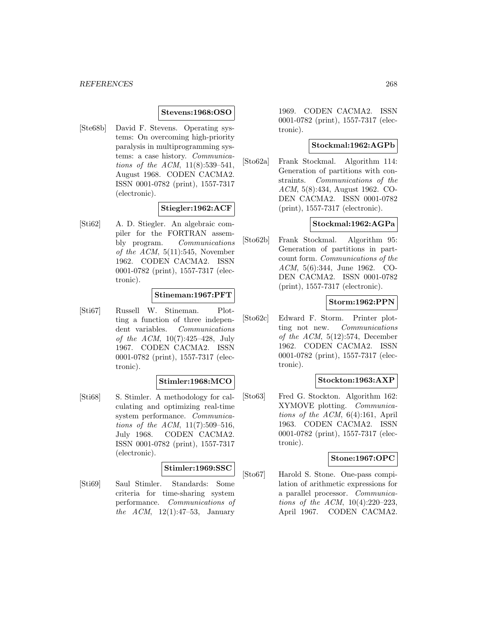#### **Stevens:1968:OSO**

[Ste68b] David F. Stevens. Operating systems: On overcoming high-priority paralysis in multiprogramming systems: a case history. Communications of the ACM, 11(8):539–541, August 1968. CODEN CACMA2. ISSN 0001-0782 (print), 1557-7317 (electronic).

## **Stiegler:1962:ACF**

[Sti62] A. D. Stiegler. An algebraic compiler for the FORTRAN assembly program. Communications of the  $ACM$ ,  $5(11):545$ , November 1962. CODEN CACMA2. ISSN 0001-0782 (print), 1557-7317 (electronic).

# **Stineman:1967:PFT**

[Sti67] Russell W. Stineman. Plotting a function of three independent variables. Communications of the ACM, 10(7):425–428, July 1967. CODEN CACMA2. ISSN 0001-0782 (print), 1557-7317 (electronic).

## **Stimler:1968:MCO**

[Sti68] S. Stimler. A methodology for calculating and optimizing real-time system performance. Communications of the ACM,  $11(7)$ :509-516, July 1968. CODEN CACMA2. ISSN 0001-0782 (print), 1557-7317 (electronic).

#### **Stimler:1969:SSC**

[Sti69] Saul Stimler. Standards: Some criteria for time-sharing system performance. Communications of *the ACM*,  $12(1):47-53$ , January

1969. CODEN CACMA2. ISSN 0001-0782 (print), 1557-7317 (electronic).

#### **Stockmal:1962:AGPb**

[Sto62a] Frank Stockmal. Algorithm 114: Generation of partitions with constraints. Communications of the ACM, 5(8):434, August 1962. CO-DEN CACMA2. ISSN 0001-0782 (print), 1557-7317 (electronic).

## **Stockmal:1962:AGPa**

[Sto62b] Frank Stockmal. Algorithm 95: Generation of partitions in partcount form. Communications of the ACM, 5(6):344, June 1962. CO-DEN CACMA2. ISSN 0001-0782 (print), 1557-7317 (electronic).

#### **Storm:1962:PPN**

[Sto62c] Edward F. Storm. Printer plotting not new. Communications of the ACM,  $5(12):574$ , December 1962. CODEN CACMA2. ISSN 0001-0782 (print), 1557-7317 (electronic).

## **Stockton:1963:AXP**

[Sto63] Fred G. Stockton. Algorithm 162: XYMOVE plotting. Communications of the ACM, 6(4):161, April 1963. CODEN CACMA2. ISSN 0001-0782 (print), 1557-7317 (electronic).

## **Stone:1967:OPC**

[Sto67] Harold S. Stone. One-pass compilation of arithmetic expressions for a parallel processor. Communications of the ACM, 10(4):220–223, April 1967. CODEN CACMA2.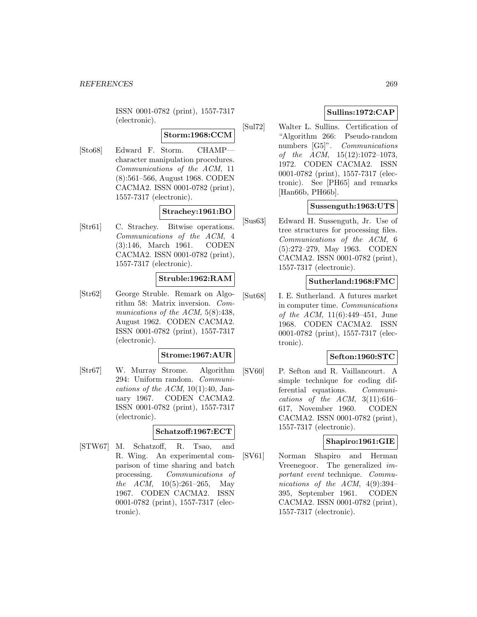ISSN 0001-0782 (print), 1557-7317 (electronic).

# **Storm:1968:CCM**

[Sto68] Edward F. Storm. CHAMP character manipulation procedures. Communications of the ACM, 11 (8):561–566, August 1968. CODEN CACMA2. ISSN 0001-0782 (print), 1557-7317 (electronic).

# **Strachey:1961:BO**

[Str61] C. Strachey. Bitwise operations. Communications of the ACM, 4 (3):146, March 1961. CODEN CACMA2. ISSN 0001-0782 (print), 1557-7317 (electronic).

# **Struble:1962:RAM**

[Str62] George Struble. Remark on Algorithm 58: Matrix inversion. Communications of the ACM, 5(8):438, August 1962. CODEN CACMA2. ISSN 0001-0782 (print), 1557-7317 (electronic).

## **Strome:1967:AUR**

[Str67] W. Murray Strome. Algorithm 294: Uniform random. Communications of the ACM,  $10(1):40$ , January 1967. CODEN CACMA2. ISSN 0001-0782 (print), 1557-7317 (electronic).

## **Schatzoff:1967:ECT**

[STW67] M. Schatzoff, R. Tsao, and R. Wing. An experimental comparison of time sharing and batch processing. Communications of the ACM, 10(5):261–265, May 1967. CODEN CACMA2. ISSN 0001-0782 (print), 1557-7317 (electronic).

# **Sullins:1972:CAP**

[Sul72] Walter L. Sullins. Certification of "Algorithm 266: Pseudo-random numbers [G5]". *Communications* of the ACM, 15(12):1072–1073, 1972. CODEN CACMA2. ISSN 0001-0782 (print), 1557-7317 (electronic). See [PH65] and remarks [Han66b, PH66b].

# **Sussenguth:1963:UTS**

[Sus63] Edward H. Sussenguth, Jr. Use of tree structures for processing files. Communications of the ACM, 6 (5):272–279, May 1963. CODEN CACMA2. ISSN 0001-0782 (print), 1557-7317 (electronic).

## **Sutherland:1968:FMC**

[Sut68] I. E. Sutherland. A futures market in computer time. Communications of the ACM, 11(6):449–451, June 1968. CODEN CACMA2. ISSN 0001-0782 (print), 1557-7317 (electronic).

## **Sefton:1960:STC**

[SV60] P. Sefton and R. Vaillancourt. A simple technique for coding differential equations. Communications of the ACM,  $3(11):616-$ 617, November 1960. CODEN CACMA2. ISSN 0001-0782 (print), 1557-7317 (electronic).

## **Shapiro:1961:GIE**

[SV61] Norman Shapiro and Herman Vreenegoor. The generalized important event technique. Communications of the ACM, 4(9):394– 395, September 1961. CODEN CACMA2. ISSN 0001-0782 (print), 1557-7317 (electronic).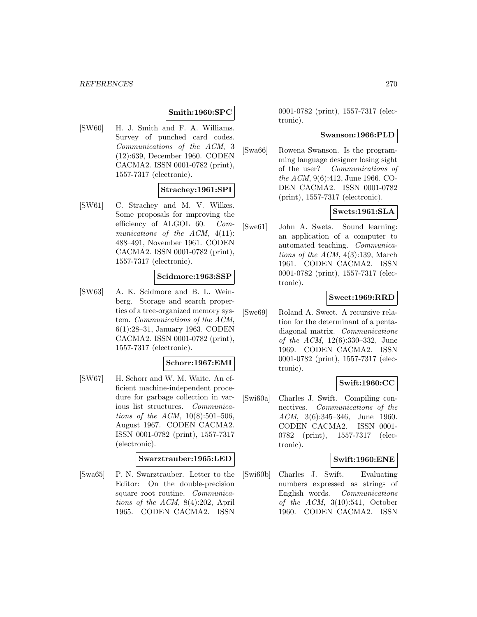#### *REFERENCES* 270

# **Smith:1960:SPC**

[SW60] H. J. Smith and F. A. Williams. Survey of punched card codes. Communications of the ACM, 3 (12):639, December 1960. CODEN CACMA2. ISSN 0001-0782 (print), 1557-7317 (electronic).

#### **Strachey:1961:SPI**

[SW61] C. Strachey and M. V. Wilkes. Some proposals for improving the efficiency of ALGOL 60. Communications of the  $ACM$ ,  $4(11)$ : 488–491, November 1961. CODEN CACMA2. ISSN 0001-0782 (print), 1557-7317 (electronic).

#### **Scidmore:1963:SSP**

[SW63] A. K. Scidmore and B. L. Weinberg. Storage and search properties of a tree-organized memory system. Communications of the ACM, 6(1):28–31, January 1963. CODEN CACMA2. ISSN 0001-0782 (print), 1557-7317 (electronic).

#### **Schorr:1967:EMI**

[SW67] H. Schorr and W. M. Waite. An efficient machine-independent procedure for garbage collection in various list structures. Communications of the ACM, 10(8):501–506, August 1967. CODEN CACMA2. ISSN 0001-0782 (print), 1557-7317 (electronic).

#### **Swarztrauber:1965:LED**

[Swa65] P. N. Swarztrauber. Letter to the Editor: On the double-precision square root routine. Communications of the ACM, 8(4):202, April 1965. CODEN CACMA2. ISSN

0001-0782 (print), 1557-7317 (electronic).

#### **Swanson:1966:PLD**

[Swa66] Rowena Swanson. Is the programming language designer losing sight of the user? Communications of the ACM, 9(6):412, June 1966. CO-DEN CACMA2. ISSN 0001-0782 (print), 1557-7317 (electronic).

# **Swets:1961:SLA**

[Swe61] John A. Swets. Sound learning: an application of a computer to automated teaching. Communications of the ACM,  $4(3):139$ , March 1961. CODEN CACMA2. ISSN 0001-0782 (print), 1557-7317 (electronic).

#### **Sweet:1969:RRD**

[Swe69] Roland A. Sweet. A recursive relation for the determinant of a pentadiagonal matrix. Communications of the ACM, 12(6):330–332, June 1969. CODEN CACMA2. ISSN 0001-0782 (print), 1557-7317 (electronic).

## **Swift:1960:CC**

[Swi60a] Charles J. Swift. Compiling connectives. Communications of the ACM, 3(6):345–346, June 1960. CODEN CACMA2. ISSN 0001- 0782 (print), 1557-7317 (electronic).

#### **Swift:1960:ENE**

[Swi60b] Charles J. Swift. Evaluating numbers expressed as strings of English words. Communications of the  $ACM$ ,  $3(10):541$ , October 1960. CODEN CACMA2. ISSN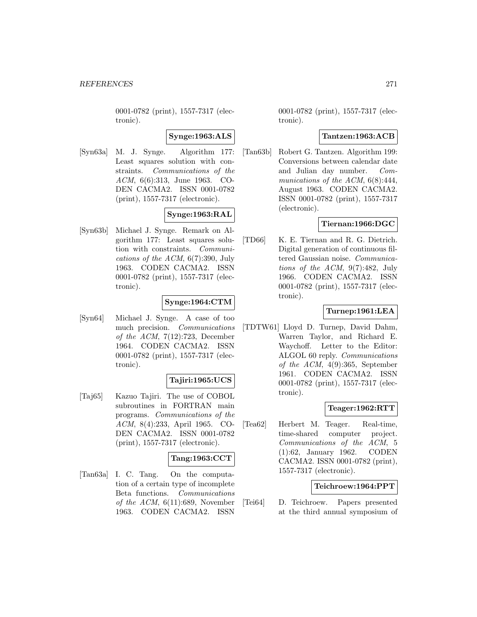0001-0782 (print), 1557-7317 (electronic).

**Synge:1963:ALS**

[Syn63a] M. J. Synge. Algorithm 177: Least squares solution with constraints. Communications of the ACM, 6(6):313, June 1963. CO-DEN CACMA2. ISSN 0001-0782 (print), 1557-7317 (electronic).

# **Synge:1963:RAL**

[Syn63b] Michael J. Synge. Remark on Algorithm 177: Least squares solution with constraints. Communications of the ACM,  $6(7)$ :390, July 1963. CODEN CACMA2. ISSN 0001-0782 (print), 1557-7317 (electronic).

# **Synge:1964:CTM**

[Syn64] Michael J. Synge. A case of too much precision. Communications of the ACM,  $7(12):723$ , December 1964. CODEN CACMA2. ISSN 0001-0782 (print), 1557-7317 (electronic).

## **Tajiri:1965:UCS**

[Taj65] Kazuo Tajiri. The use of COBOL subroutines in FORTRAN main programs. Communications of the ACM, 8(4):233, April 1965. CO-DEN CACMA2. ISSN 0001-0782 (print), 1557-7317 (electronic).

## **Tang:1963:CCT**

[Tan63a] I. C. Tang. On the computation of a certain type of incomplete Beta functions. Communications of the ACM,  $6(11):689$ , November 1963. CODEN CACMA2. ISSN

0001-0782 (print), 1557-7317 (electronic).

## **Tantzen:1963:ACB**

[Tan63b] Robert G. Tantzen. Algorithm 199: Conversions between calendar date and Julian day number. Communications of the ACM,  $6(8):444$ , August 1963. CODEN CACMA2. ISSN 0001-0782 (print), 1557-7317 (electronic).

## **Tiernan:1966:DGC**

[TD66] K. E. Tiernan and R. G. Dietrich. Digital generation of continuous filtered Gaussian noise. Communications of the ACM, 9(7):482, July 1966. CODEN CACMA2. ISSN 0001-0782 (print), 1557-7317 (electronic).

# **Turnep:1961:LEA**

[TDTW61] Lloyd D. Turnep, David Dahm, Warren Taylor, and Richard E. Waychoff. Letter to the Editor: ALGOL 60 reply. Communications of the ACM, 4(9):365, September 1961. CODEN CACMA2. ISSN 0001-0782 (print), 1557-7317 (electronic).

## **Teager:1962:RTT**

[Tea62] Herbert M. Teager. Real-time, time-shared computer project. Communications of the ACM, 5 (1):62, January 1962. CODEN CACMA2. ISSN 0001-0782 (print), 1557-7317 (electronic).

## **Teichroew:1964:PPT**

[Tei64] D. Teichroew. Papers presented at the third annual symposium of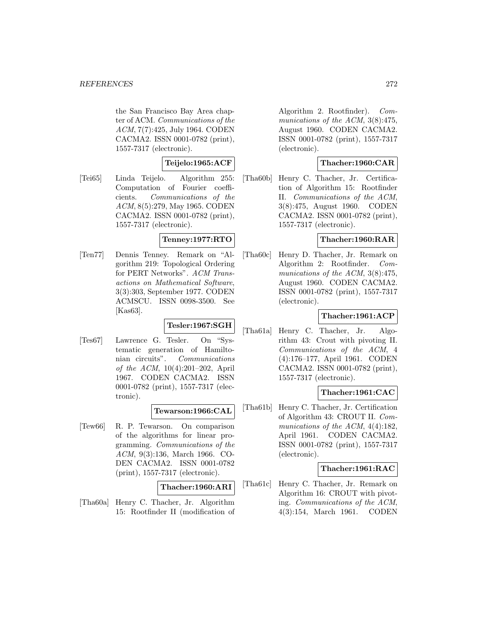the San Francisco Bay Area chapter of ACM. Communications of the ACM, 7(7):425, July 1964. CODEN CACMA2. ISSN 0001-0782 (print), 1557-7317 (electronic).

# **Teijelo:1965:ACF**

[Tei65] Linda Teijelo. Algorithm 255: Computation of Fourier coefficients. Communications of the ACM, 8(5):279, May 1965. CODEN CACMA2. ISSN 0001-0782 (print), 1557-7317 (electronic).

# **Tenney:1977:RTO**

[Ten77] Dennis Tenney. Remark on "Algorithm 219: Topological Ordering for PERT Networks". ACM Transactions on Mathematical Software, 3(3):303, September 1977. CODEN ACMSCU. ISSN 0098-3500. See [Kas63].

# **Tesler:1967:SGH**

[Tes67] Lawrence G. Tesler. On "Systematic generation of Hamiltonian circuits". Communications of the ACM, 10(4):201–202, April 1967. CODEN CACMA2. ISSN 0001-0782 (print), 1557-7317 (electronic).

## **Tewarson:1966:CAL**

[Tew66] R. P. Tewarson. On comparison of the algorithms for linear programming. Communications of the ACM, 9(3):136, March 1966. CO-DEN CACMA2. ISSN 0001-0782 (print), 1557-7317 (electronic).

## **Thacher:1960:ARI**

[Tha60a] Henry C. Thacher, Jr. Algorithm 15: Rootfinder II (modification of Algorithm 2. Rootfinder). Communications of the ACM, 3(8):475, August 1960. CODEN CACMA2. ISSN 0001-0782 (print), 1557-7317 (electronic).

# **Thacher:1960:CAR**

[Tha60b] Henry C. Thacher, Jr. Certification of Algorithm 15: Rootfinder II. Communications of the ACM, 3(8):475, August 1960. CODEN CACMA2. ISSN 0001-0782 (print), 1557-7317 (electronic).

# **Thacher:1960:RAR**

[Tha60c] Henry D. Thacher, Jr. Remark on Algorithm 2: Rootfinder. Communications of the ACM, 3(8):475, August 1960. CODEN CACMA2. ISSN 0001-0782 (print), 1557-7317 (electronic).

## **Thacher:1961:ACP**

[Tha61a] Henry C. Thacher, Jr. Algorithm 43: Crout with pivoting II. Communications of the ACM, 4 (4):176–177, April 1961. CODEN CACMA2. ISSN 0001-0782 (print), 1557-7317 (electronic).

## **Thacher:1961:CAC**

[Tha61b] Henry C. Thacher, Jr. Certification of Algorithm 43: CROUT II. Communications of the ACM, 4(4):182, April 1961. CODEN CACMA2. ISSN 0001-0782 (print), 1557-7317 (electronic).

## **Thacher:1961:RAC**

[Tha61c] Henry C. Thacher, Jr. Remark on Algorithm 16: CROUT with pivoting. Communications of the ACM, 4(3):154, March 1961. CODEN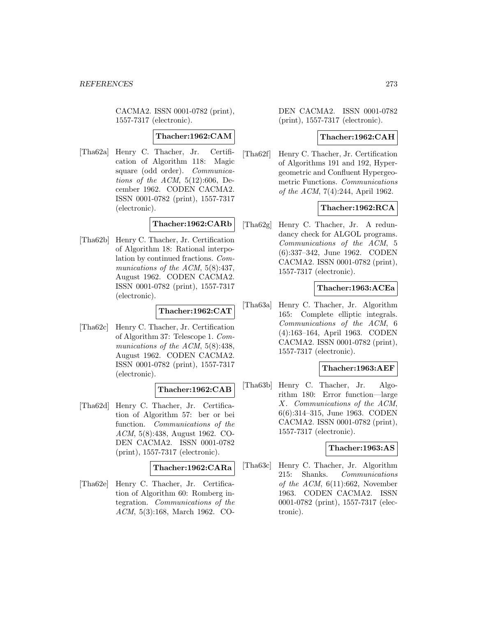CACMA2. ISSN 0001-0782 (print), 1557-7317 (electronic).

#### **Thacher:1962:CAM**

[Tha62a] Henry C. Thacher, Jr. Certification of Algorithm 118: Magic square (odd order). Communications of the  $ACM$ ,  $5(12):606$ , December 1962. CODEN CACMA2. ISSN 0001-0782 (print), 1557-7317 (electronic).

# **Thacher:1962:CARb**

[Tha62b] Henry C. Thacher, Jr. Certification of Algorithm 18: Rational interpolation by continued fractions. Communications of the ACM, 5(8):437, August 1962. CODEN CACMA2. ISSN 0001-0782 (print), 1557-7317 (electronic).

# **Thacher:1962:CAT**

[Tha62c] Henry C. Thacher, Jr. Certification of Algorithm 37: Telescope 1. Communications of the ACM, 5(8):438, August 1962. CODEN CACMA2. ISSN 0001-0782 (print), 1557-7317 (electronic).

# **Thacher:1962:CAB**

[Tha62d] Henry C. Thacher, Jr. Certification of Algorithm 57: ber or bei function. Communications of the ACM, 5(8):438, August 1962. CO-DEN CACMA2. ISSN 0001-0782 (print), 1557-7317 (electronic).

## **Thacher:1962:CARa**

[Tha62e] Henry C. Thacher, Jr. Certification of Algorithm 60: Romberg integration. Communications of the ACM, 5(3):168, March 1962. CO-

DEN CACMA2. ISSN 0001-0782 (print), 1557-7317 (electronic).

## **Thacher:1962:CAH**

[Tha62f] Henry C. Thacher, Jr. Certification of Algorithms 191 and 192, Hypergeometric and Confluent Hypergeometric Functions. Communications of the ACM, 7(4):244, April 1962.

# **Thacher:1962:RCA**

[Tha62g] Henry C. Thacher, Jr. A redundancy check for ALGOL programs. Communications of the ACM, 5 (6):337–342, June 1962. CODEN CACMA2. ISSN 0001-0782 (print), 1557-7317 (electronic).

## **Thacher:1963:ACEa**

[Tha63a] Henry C. Thacher, Jr. Algorithm 165: Complete elliptic integrals. Communications of the ACM, 6 (4):163–164, April 1963. CODEN CACMA2. ISSN 0001-0782 (print), 1557-7317 (electronic).

## **Thacher:1963:AEF**

[Tha63b] Henry C. Thacher, Jr. Algorithm 180: Error function—large X. Communications of the ACM, 6(6):314–315, June 1963. CODEN CACMA2. ISSN 0001-0782 (print), 1557-7317 (electronic).

## **Thacher:1963:AS**

[Tha63c] Henry C. Thacher, Jr. Algorithm 215: Shanks. Communications of the ACM,  $6(11):662$ , November 1963. CODEN CACMA2. ISSN 0001-0782 (print), 1557-7317 (electronic).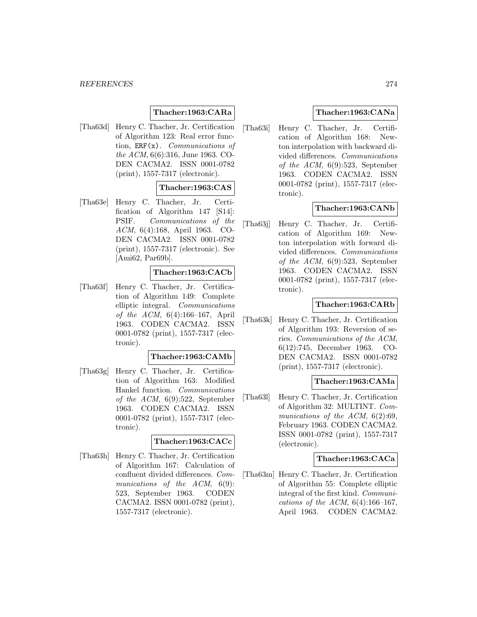# **Thacher:1963:CARa**

[Tha63d] Henry C. Thacher, Jr. Certification of Algorithm 123: Real error function,  $ERF(x)$ . Communications of the ACM, 6(6):316, June 1963. CO-DEN CACMA2. ISSN 0001-0782 (print), 1557-7317 (electronic).

# **Thacher:1963:CAS**

[Tha63e] Henry C. Thacher, Jr. Certification of Algorithm 147 [S14]: PSIF. Communications of the ACM, 6(4):168, April 1963. CO-DEN CACMA2. ISSN 0001-0782 (print), 1557-7317 (electronic). See [Ami62, Par69b].

#### **Thacher:1963:CACb**

[Tha63f] Henry C. Thacher, Jr. Certification of Algorithm 149: Complete elliptic integral. Communications of the ACM, 6(4):166–167, April 1963. CODEN CACMA2. ISSN 0001-0782 (print), 1557-7317 (electronic).

#### **Thacher:1963:CAMb**

[Tha63g] Henry C. Thacher, Jr. Certification of Algorithm 163: Modified Hankel function. Communications of the ACM, 6(9):522, September 1963. CODEN CACMA2. ISSN 0001-0782 (print), 1557-7317 (electronic).

#### **Thacher:1963:CACc**

[Tha63h] Henry C. Thacher, Jr. Certification of Algorithm 167: Calculation of confluent divided differences. Communications of the ACM,  $6(9)$ : 523, September 1963. CODEN CACMA2. ISSN 0001-0782 (print), 1557-7317 (electronic).

## **Thacher:1963:CANa**

[Tha63i] Henry C. Thacher, Jr. Certification of Algorithm 168: Newton interpolation with backward divided differences. Communications of the ACM, 6(9):523, September 1963. CODEN CACMA2. ISSN 0001-0782 (print), 1557-7317 (electronic).

# **Thacher:1963:CANb**

[Tha63j] Henry C. Thacher, Jr. Certification of Algorithm 169: Newton interpolation with forward divided differences. Communications of the ACM, 6(9):523, September 1963. CODEN CACMA2. ISSN 0001-0782 (print), 1557-7317 (electronic).

# **Thacher:1963:CARb**

[Tha63k] Henry C. Thacher, Jr. Certification of Algorithm 193: Reversion of series. Communications of the ACM, 6(12):745, December 1963. CO-DEN CACMA2. ISSN 0001-0782 (print), 1557-7317 (electronic).

## **Thacher:1963:CAMa**

[Tha63l] Henry C. Thacher, Jr. Certification of Algorithm 32: MULTINT. Communications of the ACM,  $6(2):69$ , February 1963. CODEN CACMA2. ISSN 0001-0782 (print), 1557-7317 (electronic).

#### **Thacher:1963:CACa**

[Tha63m] Henry C. Thacher, Jr. Certification of Algorithm 55: Complete elliptic integral of the first kind. Communications of the ACM,  $6(4):166-167$ , April 1963. CODEN CACMA2.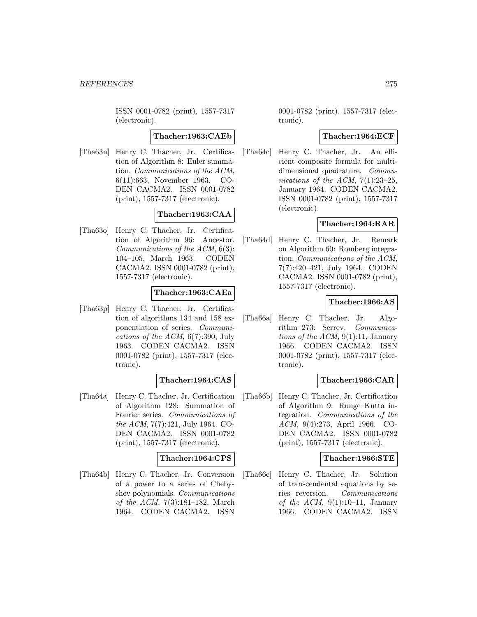ISSN 0001-0782 (print), 1557-7317 (electronic).

#### **Thacher:1963:CAEb**

[Tha63n] Henry C. Thacher, Jr. Certification of Algorithm 8: Euler summation. Communications of the ACM, 6(11):663, November 1963. CO-DEN CACMA2. ISSN 0001-0782 (print), 1557-7317 (electronic).

# **Thacher:1963:CAA**

[Tha63o] Henry C. Thacher, Jr. Certification of Algorithm 96: Ancestor. Communications of the ACM, 6(3): 104–105, March 1963. CODEN CACMA2. ISSN 0001-0782 (print), 1557-7317 (electronic).

#### **Thacher:1963:CAEa**

[Tha63p] Henry C. Thacher, Jr. Certification of algorithms 134 and 158 exponentiation of series. Communications of the ACM, 6(7):390, July 1963. CODEN CACMA2. ISSN 0001-0782 (print), 1557-7317 (electronic).

#### **Thacher:1964:CAS**

[Tha64a] Henry C. Thacher, Jr. Certification of Algorithm 128: Summation of Fourier series. Communications of the ACM, 7(7):421, July 1964. CO-DEN CACMA2. ISSN 0001-0782 (print), 1557-7317 (electronic).

## **Thacher:1964:CPS**

[Tha64b] Henry C. Thacher, Jr. Conversion of a power to a series of Chebyshev polynomials. Communications of the ACM, 7(3):181–182, March 1964. CODEN CACMA2. ISSN

0001-0782 (print), 1557-7317 (electronic).

#### **Thacher:1964:ECF**

[Tha64c] Henry C. Thacher, Jr. An efficient composite formula for multidimensional quadrature. Communications of the ACM,  $7(1):23-25$ , January 1964. CODEN CACMA2. ISSN 0001-0782 (print), 1557-7317 (electronic).

#### **Thacher:1964:RAR**

[Tha64d] Henry C. Thacher, Jr. Remark on Algorithm 60: Romberg integration. Communications of the ACM, 7(7):420–421, July 1964. CODEN CACMA2. ISSN 0001-0782 (print), 1557-7317 (electronic).

#### **Thacher:1966:AS**

[Tha66a] Henry C. Thacher, Jr. Algorithm 273: Serrev. Communications of the ACM,  $9(1)$ :11, January 1966. CODEN CACMA2. ISSN 0001-0782 (print), 1557-7317 (electronic).

#### **Thacher:1966:CAR**

[Tha66b] Henry C. Thacher, Jr. Certification of Algorithm 9: Runge–Kutta integration. Communications of the ACM, 9(4):273, April 1966. CO-DEN CACMA2. ISSN 0001-0782 (print), 1557-7317 (electronic).

## **Thacher:1966:STE**

[Tha66c] Henry C. Thacher, Jr. Solution of transcendental equations by series reversion. Communications of the ACM,  $9(1):10-11$ , January 1966. CODEN CACMA2. ISSN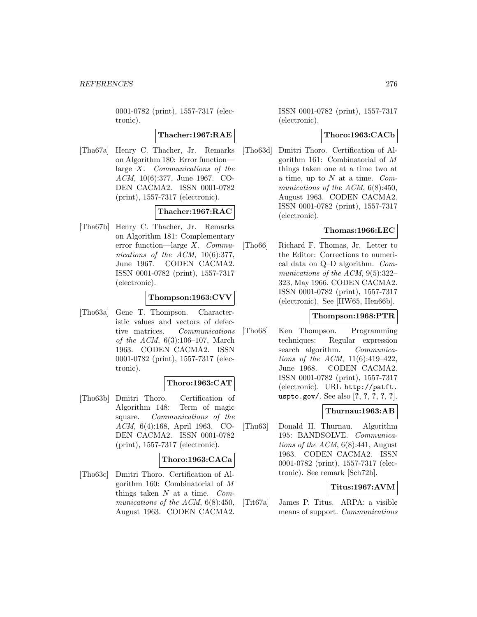0001-0782 (print), 1557-7317 (electronic).

## **Thacher:1967:RAE**

[Tha67a] Henry C. Thacher, Jr. Remarks on Algorithm 180: Error function large X. Communications of the ACM, 10(6):377, June 1967. CO-DEN CACMA2. ISSN 0001-0782 (print), 1557-7317 (electronic).

# **Thacher:1967:RAC**

[Tha67b] Henry C. Thacher, Jr. Remarks on Algorithm 181: Complementary error function—large X. Communications of the ACM, 10(6):377, June 1967. CODEN CACMA2. ISSN 0001-0782 (print), 1557-7317 (electronic).

#### **Thompson:1963:CVV**

[Tho63a] Gene T. Thompson. Characteristic values and vectors of defective matrices. Communications of the ACM, 6(3):106–107, March 1963. CODEN CACMA2. ISSN 0001-0782 (print), 1557-7317 (electronic).

## **Thoro:1963:CAT**

[Tho63b] Dmitri Thoro. Certification of Algorithm 148: Term of magic square. Communications of the ACM, 6(4):168, April 1963. CO-DEN CACMA2. ISSN 0001-0782 (print), 1557-7317 (electronic).

## **Thoro:1963:CACa**

[Tho63c] Dmitri Thoro. Certification of Algorithm 160: Combinatorial of M things taken  $N$  at a time.  $Com$ munications of the ACM,  $6(8):450$ , August 1963. CODEN CACMA2.

ISSN 0001-0782 (print), 1557-7317 (electronic).

## **Thoro:1963:CACb**

[Tho63d] Dmitri Thoro. Certification of Algorithm 161: Combinatorial of M things taken one at a time two at a time, up to  $N$  at a time.  $Com$ munications of the ACM,  $6(8):450$ , August 1963. CODEN CACMA2. ISSN 0001-0782 (print), 1557-7317 (electronic).

# **Thomas:1966:LEC**

[Tho66] Richard F. Thomas, Jr. Letter to the Editor: Corrections to numerical data on Q–D algorithm. Communications of the ACM, 9(5):322– 323, May 1966. CODEN CACMA2. ISSN 0001-0782 (print), 1557-7317 (electronic). See [HW65, Hen66b].

#### **Thompson:1968:PTR**

[Tho68] Ken Thompson. Programming techniques: Regular expression search algorithm. *Communica*tions of the ACM, 11(6):419–422, June 1968. CODEN CACMA2. ISSN 0001-0782 (print), 1557-7317 (electronic). URL http://patft. uspto.gov/. See also [**?**, **?**, **?**, **?**, **?**].

# **Thurnau:1963:AB**

[Thu63] Donald H. Thurnau. Algorithm 195: BANDSOLVE. Communications of the ACM,  $6(8)$ :441, August 1963. CODEN CACMA2. ISSN 0001-0782 (print), 1557-7317 (electronic). See remark [Sch72b].

## **Titus:1967:AVM**

[Tit67a] James P. Titus. ARPA: a visible means of support. Communications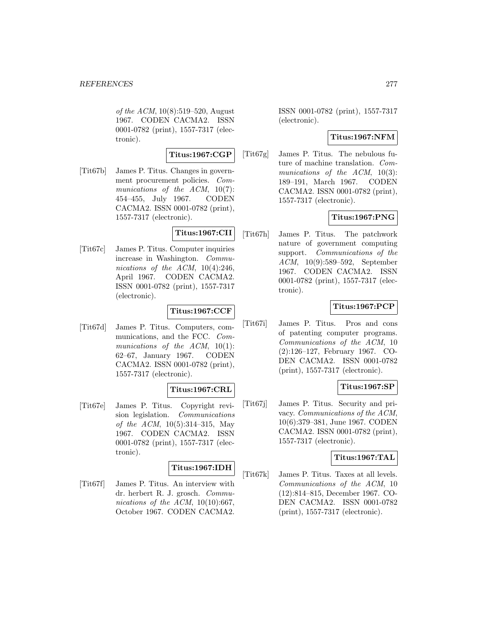of the ACM, 10(8):519–520, August 1967. CODEN CACMA2. ISSN 0001-0782 (print), 1557-7317 (electronic).

## **Titus:1967:CGP**

[Tit67b] James P. Titus. Changes in government procurement policies. Communications of the ACM,  $10(7)$ : 454–455, July 1967. CODEN CACMA2. ISSN 0001-0782 (print), 1557-7317 (electronic).

# **Titus:1967:CII**

[Tit67c] James P. Titus. Computer inquiries increase in Washington. Communications of the ACM,  $10(4):246$ , April 1967. CODEN CACMA2. ISSN 0001-0782 (print), 1557-7317 (electronic).

## **Titus:1967:CCF**

[Tit67d] James P. Titus. Computers, communications, and the FCC. Communications of the ACM,  $10(1)$ : 62–67, January 1967. CODEN CACMA2. ISSN 0001-0782 (print), 1557-7317 (electronic).

# **Titus:1967:CRL**

[Tit67e] James P. Titus. Copyright revision legislation. Communications of the ACM, 10(5):314–315, May 1967. CODEN CACMA2. ISSN 0001-0782 (print), 1557-7317 (electronic).

#### **Titus:1967:IDH**

[Tit67f] James P. Titus. An interview with dr. herbert R. J. grosch. Communications of the ACM,  $10(10):667$ , October 1967. CODEN CACMA2.

ISSN 0001-0782 (print), 1557-7317 (electronic).

## **Titus:1967:NFM**

[Tit67g] James P. Titus. The nebulous future of machine translation. Communications of the  $ACM$ , 10(3): 189–191, March 1967. CODEN CACMA2. ISSN 0001-0782 (print), 1557-7317 (electronic).

# **Titus:1967:PNG**

[Tit67h] James P. Titus. The patchwork nature of government computing support. Communications of the ACM, 10(9):589–592, September 1967. CODEN CACMA2. ISSN 0001-0782 (print), 1557-7317 (electronic).

# **Titus:1967:PCP**

[Tit67i] James P. Titus. Pros and cons of patenting computer programs. Communications of the ACM, 10 (2):126–127, February 1967. CO-DEN CACMA2. ISSN 0001-0782 (print), 1557-7317 (electronic).

## **Titus:1967:SP**

[Tit67j] James P. Titus. Security and privacy. Communications of the ACM, 10(6):379–381, June 1967. CODEN CACMA2. ISSN 0001-0782 (print), 1557-7317 (electronic).

# **Titus:1967:TAL**

[Tit67k] James P. Titus. Taxes at all levels. Communications of the ACM, 10 (12):814–815, December 1967. CO-DEN CACMA2. ISSN 0001-0782 (print), 1557-7317 (electronic).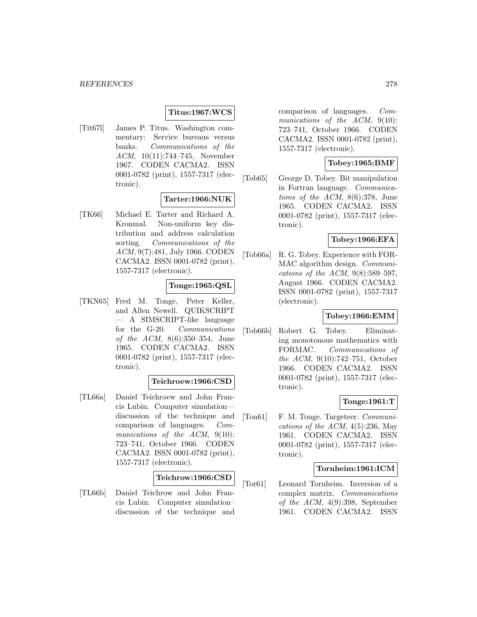#### **Titus:1967:WCS**

[Tit67l] James P. Titus. Washington commentary: Service bureaus versus banks. Communications of the ACM, 10(11):744–745, November 1967. CODEN CACMA2. ISSN 0001-0782 (print), 1557-7317 (electronic).

# **Tarter:1966:NUK**

[TK66] Michael E. Tarter and Richard A. Kronmal. Non-uniform key distribution and address calculation sorting. Communications of the ACM, 9(7):481, July 1966. CODEN CACMA2. ISSN 0001-0782 (print), 1557-7317 (electronic).

#### **Tonge:1965:QSL**

[TKN65] Fred M. Tonge, Peter Keller, and Allen Newell. QUIKSCRIPT — A SIMSCRIPT-like language for the G-20. Communications of the ACM, 8(6):350–354, June 1965. CODEN CACMA2. ISSN 0001-0782 (print), 1557-7317 (electronic).

#### **Teichroew:1966:CSD**

[TL66a] Daniel Teichroew and John Francis Lubin. Computer simulation discussion of the technique and comparison of languages. Communications of the ACM, 9(10): 723–741, October 1966. CODEN CACMA2. ISSN 0001-0782 (print), 1557-7317 (electronic).

# **Teichrow:1966:CSD**

[TL66b] Daniel Teichrow and John Francis Lubin. Computer simulation– discussion of the technique and comparison of languages. Communications of the ACM, 9(10): 723–741, October 1966. CODEN CACMA2. ISSN 0001-0782 (print), 1557-7317 (electronic).

## **Tobey:1965:BMF**

[Tob65] George D. Tobey. Bit manipulation in Fortran language. Communications of the ACM, 8(6):378, June 1965. CODEN CACMA2. ISSN 0001-0782 (print), 1557-7317 (electronic).

# **Tobey:1966:EFA**

[Tob66a] R. G. Tobey. Experience with FOR-MAC algorithm design. Communications of the ACM,  $9(8):589-597$ , August 1966. CODEN CACMA2. ISSN 0001-0782 (print), 1557-7317 (electronic).

## **Tobey:1966:EMM**

[Tob66b] Robert G. Tobey. Eliminating monotonous mathematics with FORMAC. Communications of the ACM, 9(10):742–751, October 1966. CODEN CACMA2. ISSN 0001-0782 (print), 1557-7317 (electronic).

#### **Tonge:1961:T**

[Ton61] F. M. Tonge. Targeteer. Communications of the ACM,  $4(5):236$ , May 1961. CODEN CACMA2. ISSN 0001-0782 (print), 1557-7317 (electronic).

#### **Tornheim:1961:ICM**

[Tor61] Leonard Tornheim. Inversion of a complex matrix. Communications of the ACM, 4(9):398, September 1961. CODEN CACMA2. ISSN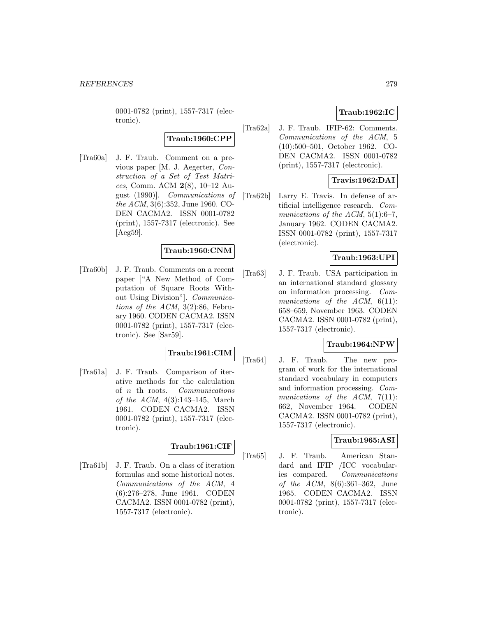0001-0782 (print), 1557-7317 (electronic).

# **Traub:1960:CPP**

[Tra60a] J. F. Traub. Comment on a previous paper [M. J. Aegerter, Construction of a Set of Test Matrices, Comm. ACM **2**(8), 10–12 August (1990)]. Communications of the ACM, 3(6):352, June 1960. CO-DEN CACMA2. ISSN 0001-0782 (print), 1557-7317 (electronic). See [Aeg59].

## **Traub:1960:CNM**

[Tra60b] J. F. Traub. Comments on a recent paper ["A New Method of Computation of Square Roots Without Using Division"]. Communications of the ACM, 3(2):86, February 1960. CODEN CACMA2. ISSN 0001-0782 (print), 1557-7317 (electronic). See [Sar59].

# **Traub:1961:CIM**

[Tra61a] J. F. Traub. Comparison of iterative methods for the calculation of n th roots. Communications of the ACM, 4(3):143–145, March 1961. CODEN CACMA2. ISSN 0001-0782 (print), 1557-7317 (electronic).

#### **Traub:1961:CIF**

[Tra61b] J. F. Traub. On a class of iteration formulas and some historical notes. Communications of the ACM, 4 (6):276–278, June 1961. CODEN CACMA2. ISSN 0001-0782 (print), 1557-7317 (electronic).

# **Traub:1962:IC**

[Tra62a] J. F. Traub. IFIP-62: Comments. Communications of the ACM, 5 (10):500–501, October 1962. CO-DEN CACMA2. ISSN 0001-0782 (print), 1557-7317 (electronic).

# **Travis:1962:DAI**

[Tra62b] Larry E. Travis. In defense of artificial intelligence research. Communications of the ACM,  $5(1):6-7$ , January 1962. CODEN CACMA2. ISSN 0001-0782 (print), 1557-7317 (electronic).

# **Traub:1963:UPI**

[Tra63] J. F. Traub. USA participation in an international standard glossary on information processing. Communications of the  $ACM$ ,  $6(11)$ : 658–659, November 1963. CODEN CACMA2. ISSN 0001-0782 (print), 1557-7317 (electronic).

## **Traub:1964:NPW**

[Tra64] J. F. Traub. The new program of work for the international standard vocabulary in computers and information processing. Communications of the  $ACM$ ,  $7(11)$ : 662, November 1964. CODEN CACMA2. ISSN 0001-0782 (print), 1557-7317 (electronic).

## **Traub:1965:ASI**

[Tra65] J. F. Traub. American Standard and IFIP /ICC vocabularies compared. Communications of the ACM, 8(6):361–362, June 1965. CODEN CACMA2. ISSN 0001-0782 (print), 1557-7317 (electronic).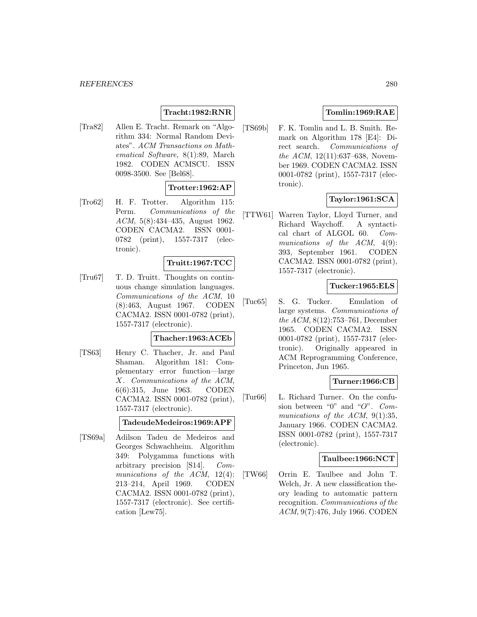# **Tracht:1982:RNR**

[Tra82] Allen E. Tracht. Remark on "Algorithm 334: Normal Random Deviates". ACM Transactions on Mathematical Software, 8(1):89, March 1982. CODEN ACMSCU. ISSN 0098-3500. See [Bel68].

# **Trotter:1962:AP**

[Tro62] H. F. Trotter. Algorithm 115: Perm. Communications of the ACM, 5(8):434–435, August 1962. CODEN CACMA2. ISSN 0001- 0782 (print), 1557-7317 (electronic).

#### **Truitt:1967:TCC**

[Tru67] T. D. Truitt. Thoughts on continuous change simulation languages. Communications of the ACM, 10 (8):463, August 1967. CODEN CACMA2. ISSN 0001-0782 (print), 1557-7317 (electronic).

#### **Thacher:1963:ACEb**

[TS63] Henry C. Thacher, Jr. and Paul Shaman. Algorithm 181: Complementary error function—large X. Communications of the ACM, 6(6):315, June 1963. CODEN CACMA2. ISSN 0001-0782 (print), 1557-7317 (electronic).

#### **TadeudeMedeiros:1969:APF**

[TS69a] Adilson Tadeu de Medeiros and Georges Schwachheim. Algorithm 349: Polygamma functions with arbitrary precision [S14]. Communications of the ACM, 12(4): 213–214, April 1969. CODEN CACMA2. ISSN 0001-0782 (print), 1557-7317 (electronic). See certification [Lew75].

# **Tomlin:1969:RAE**

[TS69b] F. K. Tomlin and L. B. Smith. Remark on Algorithm 178 [E4]: Direct search. Communications of the ACM, 12(11):637–638, November 1969. CODEN CACMA2. ISSN 0001-0782 (print), 1557-7317 (electronic).

## **Taylor:1961:SCA**

[TTW61] Warren Taylor, Lloyd Turner, and Richard Waychoff. A syntactical chart of ALGOL 60. Communications of the ACM,  $4(9)$ : 393, September 1961. CODEN CACMA2. ISSN 0001-0782 (print), 1557-7317 (electronic).

## **Tucker:1965:ELS**

[Tuc65] S. G. Tucker. Emulation of large systems. Communications of the ACM, 8(12):753–761, December 1965. CODEN CACMA2. ISSN 0001-0782 (print), 1557-7317 (electronic). Originally appeared in ACM Reprogramming Conference, Princeton, Jun 1965.

## **Turner:1966:CB**

[Tur66] L. Richard Turner. On the confusion between "0" and "O". Communications of the ACM, 9(1):35, January 1966. CODEN CACMA2. ISSN 0001-0782 (print), 1557-7317 (electronic).

## **Taulbee:1966:NCT**

[TW66] Orrin E. Taulbee and John T. Welch, Jr. A new classification theory leading to automatic pattern recognition. Communications of the ACM, 9(7):476, July 1966. CODEN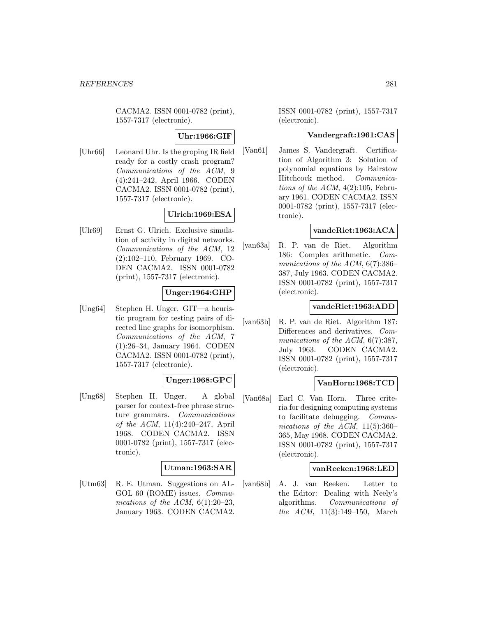CACMA2. ISSN 0001-0782 (print), 1557-7317 (electronic).

# **Uhr:1966:GIF**

[Uhr66] Leonard Uhr. Is the groping IR field ready for a costly crash program? Communications of the ACM, 9 (4):241–242, April 1966. CODEN CACMA2. ISSN 0001-0782 (print), 1557-7317 (electronic).

# **Ulrich:1969:ESA**

[Ulr69] Ernst G. Ulrich. Exclusive simulation of activity in digital networks. Communications of the ACM, 12 (2):102–110, February 1969. CO-DEN CACMA2. ISSN 0001-0782 (print), 1557-7317 (electronic).

# **Unger:1964:GHP**

[Ung64] Stephen H. Unger. GIT—a heuristic program for testing pairs of directed line graphs for isomorphism. Communications of the ACM, 7 (1):26–34, January 1964. CODEN CACMA2. ISSN 0001-0782 (print), 1557-7317 (electronic).

## **Unger:1968:GPC**

[Ung68] Stephen H. Unger. A global parser for context-free phrase structure grammars. Communications of the ACM, 11(4):240–247, April 1968. CODEN CACMA2. ISSN 0001-0782 (print), 1557-7317 (electronic).

## **Utman:1963:SAR**

[Utm63] R. E. Utman. Suggestions on AL-GOL 60 (ROME) issues. Communications of the ACM,  $6(1):20-23$ , January 1963. CODEN CACMA2.

ISSN 0001-0782 (print), 1557-7317 (electronic).

## **Vandergraft:1961:CAS**

[Van61] James S. Vandergraft. Certification of Algorithm 3: Solution of polynomial equations by Bairstow Hitchcock method. Communications of the ACM,  $4(2):105$ , February 1961. CODEN CACMA2. ISSN 0001-0782 (print), 1557-7317 (electronic).

# **vandeRiet:1963:ACA**

[van63a] R. P. van de Riet. Algorithm 186: Complex arithmetic. Communications of the ACM, 6(7):386– 387, July 1963. CODEN CACMA2. ISSN 0001-0782 (print), 1557-7317 (electronic).

# **vandeRiet:1963:ADD**

[van63b] R. P. van de Riet. Algorithm 187: Differences and derivatives. Communications of the ACM, 6(7):387, July 1963. CODEN CACMA2. ISSN 0001-0782 (print), 1557-7317 (electronic).

## **VanHorn:1968:TCD**

[Van68a] Earl C. Van Horn. Three criteria for designing computing systems to facilitate debugging. Communications of the ACM,  $11(5):360-$ 365, May 1968. CODEN CACMA2. ISSN 0001-0782 (print), 1557-7317 (electronic).

#### **vanReeken:1968:LED**

[van68b] A. J. van Reeken. Letter to the Editor: Dealing with Neely's algorithms. Communications of the ACM, 11(3):149–150, March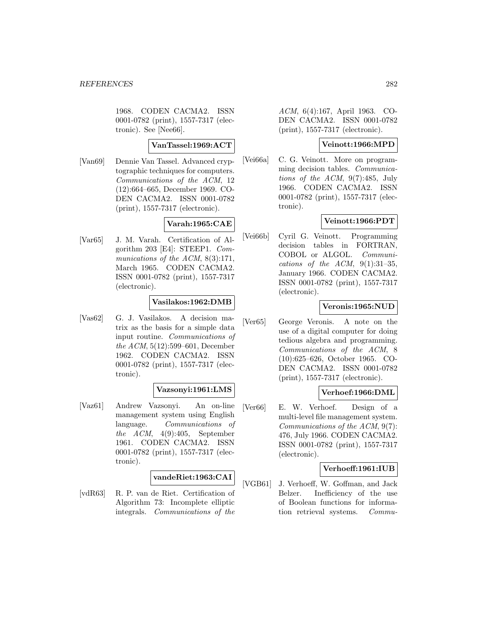1968. CODEN CACMA2. ISSN 0001-0782 (print), 1557-7317 (electronic). See [Nee66].

## **VanTassel:1969:ACT**

[Van69] Dennie Van Tassel. Advanced cryptographic techniques for computers. Communications of the ACM, 12 (12):664–665, December 1969. CO-DEN CACMA2. ISSN 0001-0782 (print), 1557-7317 (electronic).

# **Varah:1965:CAE**

[Var65] J. M. Varah. Certification of Algorithm 203 [E4]: STEEP1. Communications of the ACM, 8(3):171, March 1965. CODEN CACMA2. ISSN 0001-0782 (print), 1557-7317 (electronic).

## **Vasilakos:1962:DMB**

[Vas62] G. J. Vasilakos. A decision matrix as the basis for a simple data input routine. Communications of the ACM, 5(12):599–601, December 1962. CODEN CACMA2. ISSN 0001-0782 (print), 1557-7317 (electronic).

## **Vazsonyi:1961:LMS**

[Vaz61] Andrew Vazsonyi. An on-line management system using English language. Communications of the  $ACM$ ,  $4(9):405$ , September 1961. CODEN CACMA2. ISSN 0001-0782 (print), 1557-7317 (electronic).

# **vandeRiet:1963:CAI**

[vdR63] R. P. van de Riet. Certification of Algorithm 73: Incomplete elliptic integrals. Communications of the ACM, 6(4):167, April 1963. CO-DEN CACMA2. ISSN 0001-0782 (print), 1557-7317 (electronic).

## **Veinott:1966:MPD**

[Vei66a] C. G. Veinott. More on programming decision tables. Communications of the ACM, 9(7):485, July 1966. CODEN CACMA2. ISSN 0001-0782 (print), 1557-7317 (electronic).

# **Veinott:1966:PDT**

[Vei66b] Cyril G. Veinott. Programming decision tables in FORTRAN, COBOL or ALGOL. Communications of the ACM,  $9(1):31-35$ , January 1966. CODEN CACMA2. ISSN 0001-0782 (print), 1557-7317 (electronic).

# **Veronis:1965:NUD**

[Ver65] George Veronis. A note on the use of a digital computer for doing tedious algebra and programming. Communications of the ACM, 8 (10):625–626, October 1965. CO-DEN CACMA2. ISSN 0001-0782 (print), 1557-7317 (electronic).

## **Verhoef:1966:DML**

[Ver66] E. W. Verhoef. Design of a multi-level file management system. Communications of the ACM, 9(7): 476, July 1966. CODEN CACMA2. ISSN 0001-0782 (print), 1557-7317 (electronic).

## **Verhoeff:1961:IUB**

[VGB61] J. Verhoeff, W. Goffman, and Jack Belzer. Inefficiency of the use of Boolean functions for information retrieval systems. Commu-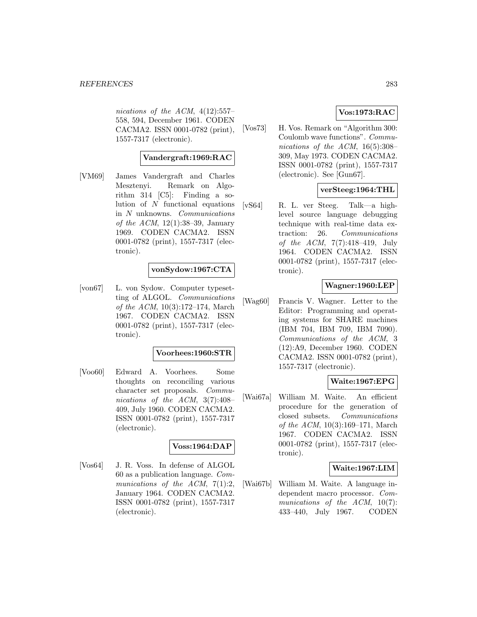nications of the ACM,  $4(12):557-$ 558, 594, December 1961. CODEN CACMA2. ISSN 0001-0782 (print), 1557-7317 (electronic).

## **Vandergraft:1969:RAC**

[VM69] James Vandergraft and Charles Mesztenyi. Remark on Algorithm 314 [C5]: Finding a solution of  $N$  functional equations in N unknowns. Communications of the ACM,  $12(1):38-39$ , January 1969. CODEN CACMA2. ISSN 0001-0782 (print), 1557-7317 (electronic).

## **vonSydow:1967:CTA**

[von67] L. von Sydow. Computer typesetting of ALGOL. Communications of the ACM, 10(3):172–174, March 1967. CODEN CACMA2. ISSN 0001-0782 (print), 1557-7317 (electronic).

#### **Voorhees:1960:STR**

[Voo60] Edward A. Voorhees. Some thoughts on reconciling various character set proposals. Communications of the ACM, 3(7):408– 409, July 1960. CODEN CACMA2. ISSN 0001-0782 (print), 1557-7317 (electronic).

#### **Voss:1964:DAP**

[Vos64] J. R. Voss. In defense of ALGOL 60 as a publication language. Communications of the ACM,  $7(1):2$ , January 1964. CODEN CACMA2. ISSN 0001-0782 (print), 1557-7317 (electronic).

# **Vos:1973:RAC**

[Vos73] H. Vos. Remark on "Algorithm 300: Coulomb wave functions". Communications of the ACM,  $16(5):308-$ 309, May 1973. CODEN CACMA2. ISSN 0001-0782 (print), 1557-7317 (electronic). See [Gun67].

#### **verSteeg:1964:THL**

[vS64] R. L. ver Steeg. Talk—a highlevel source language debugging technique with real-time data extraction: 26. Communications of the ACM, 7(7):418–419, July 1964. CODEN CACMA2. ISSN 0001-0782 (print), 1557-7317 (electronic).

## **Wagner:1960:LEP**

[Wag60] Francis V. Wagner. Letter to the Editor: Programming and operating systems for SHARE machines (IBM 704, IBM 709, IBM 7090). Communications of the ACM, 3 (12):A9, December 1960. CODEN CACMA2. ISSN 0001-0782 (print), 1557-7317 (electronic).

## **Waite:1967:EPG**

[Wai67a] William M. Waite. An efficient procedure for the generation of closed subsets. Communications of the ACM, 10(3):169–171, March 1967. CODEN CACMA2. ISSN 0001-0782 (print), 1557-7317 (electronic).

#### **Waite:1967:LIM**

[Wai67b] William M. Waite. A language independent macro processor. Communications of the ACM, 10(7): 433–440, July 1967. CODEN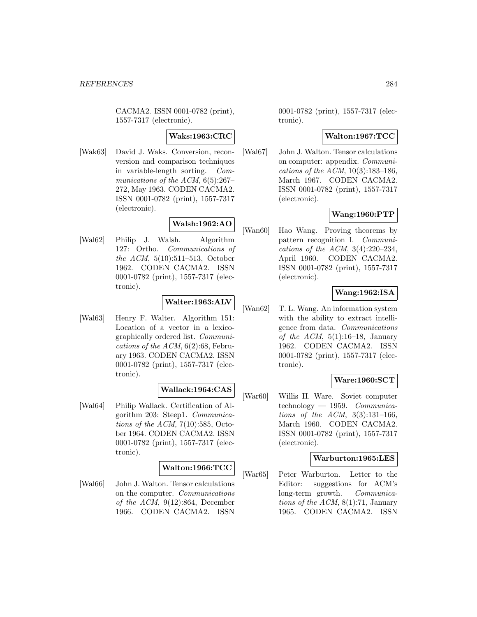CACMA2. ISSN 0001-0782 (print), 1557-7317 (electronic).

## **Waks:1963:CRC**

[Wak63] David J. Waks. Conversion, reconversion and comparison techniques in variable-length sorting. Communications of the ACM,  $6(5):267-$ 272, May 1963. CODEN CACMA2. ISSN 0001-0782 (print), 1557-7317 (electronic).

# **Walsh:1962:AO**

[Wal62] Philip J. Walsh. Algorithm 127: Ortho. Communications of the ACM, 5(10):511–513, October 1962. CODEN CACMA2. ISSN 0001-0782 (print), 1557-7317 (electronic).

# **Walter:1963:ALV**

[Wal63] Henry F. Walter. Algorithm 151: Location of a vector in a lexicographically ordered list. Communications of the  $ACM$ ,  $6(2):68$ , February 1963. CODEN CACMA2. ISSN 0001-0782 (print), 1557-7317 (electronic).

# **Wallack:1964:CAS**

[Wal64] Philip Wallack. Certification of Algorithm 203: Steep1. Communications of the ACM,  $7(10):585$ , October 1964. CODEN CACMA2. ISSN 0001-0782 (print), 1557-7317 (electronic).

## **Walton:1966:TCC**

[Wal66] John J. Walton. Tensor calculations on the computer. Communications of the ACM,  $9(12):864$ , December 1966. CODEN CACMA2. ISSN

0001-0782 (print), 1557-7317 (electronic).

## **Walton:1967:TCC**

[Wal67] John J. Walton. Tensor calculations on computer: appendix. Communications of the ACM, 10(3):183–186, March 1967. CODEN CACMA2. ISSN 0001-0782 (print), 1557-7317 (electronic).

# **Wang:1960:PTP**

[Wan60] Hao Wang. Proving theorems by pattern recognition I. Communications of the ACM,  $3(4):220-234$ , April 1960. CODEN CACMA2. ISSN 0001-0782 (print), 1557-7317 (electronic).

# **Wang:1962:ISA**

[Wan62] T. L. Wang. An information system with the ability to extract intelligence from data. Communications of the ACM,  $5(1):16-18$ , January 1962. CODEN CACMA2. ISSN 0001-0782 (print), 1557-7317 (electronic).

# **Ware:1960:SCT**

[War60] Willis H. Ware. Soviet computer technology — 1959. Communications of the ACM, 3(3):131–166, March 1960. CODEN CACMA2. ISSN 0001-0782 (print), 1557-7317 (electronic).

## **Warburton:1965:LES**

[War65] Peter Warburton. Letter to the Editor: suggestions for ACM's long-term growth. Communications of the ACM, 8(1):71, January 1965. CODEN CACMA2. ISSN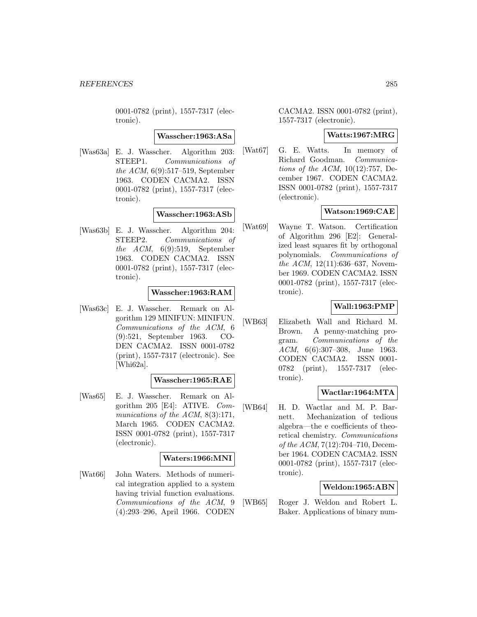0001-0782 (print), 1557-7317 (electronic).

#### **Wasscher:1963:ASa**

[Was63a] E. J. Wasscher. Algorithm 203: STEEP1. Communications of the ACM, 6(9):517–519, September 1963. CODEN CACMA2. ISSN 0001-0782 (print), 1557-7317 (electronic).

# **Wasscher:1963:ASb**

[Was63b] E. J. Wasscher. Algorithm 204: STEEP2. Communications of the ACM, 6(9):519, September 1963. CODEN CACMA2. ISSN 0001-0782 (print), 1557-7317 (electronic).

#### **Wasscher:1963:RAM**

[Was63c] E. J. Wasscher. Remark on Algorithm 129 MINIFUN: MINIFUN. Communications of the ACM, 6 (9):521, September 1963. CO-DEN CACMA2. ISSN 0001-0782 (print), 1557-7317 (electronic). See [Whi62a].

## **Wasscher:1965:RAE**

[Was65] E. J. Wasscher. Remark on Algorithm 205 [E4]: ATIVE. Communications of the ACM, 8(3):171, March 1965. CODEN CACMA2. ISSN 0001-0782 (print), 1557-7317 (electronic).

## **Waters:1966:MNI**

[Wat66] John Waters. Methods of numerical integration applied to a system having trivial function evaluations. Communications of the ACM, 9 (4):293–296, April 1966. CODEN

CACMA2. ISSN 0001-0782 (print), 1557-7317 (electronic).

#### **Watts:1967:MRG**

[Wat67] G. E. Watts. In memory of Richard Goodman. Communications of the ACM, 10(12):757, December 1967. CODEN CACMA2. ISSN 0001-0782 (print), 1557-7317 (electronic).

## **Watson:1969:CAE**

[Wat69] Wayne T. Watson. Certification of Algorithm 296 [E2]: Generalized least squares fit by orthogonal polynomials. Communications of the ACM, 12(11):636–637, November 1969. CODEN CACMA2. ISSN 0001-0782 (print), 1557-7317 (electronic).

## **Wall:1963:PMP**

[WB63] Elizabeth Wall and Richard M. Brown. A penny-matching program. Communications of the ACM, 6(6):307–308, June 1963. CODEN CACMA2. ISSN 0001- 0782 (print), 1557-7317 (electronic).

## **Wactlar:1964:MTA**

[WB64] H. D. Wactlar and M. P. Barnett. Mechanization of tedious algebra—the e coefficients of theoretical chemistry. Communications of the ACM, 7(12):704–710, December 1964. CODEN CACMA2. ISSN 0001-0782 (print), 1557-7317 (electronic).

# **Weldon:1965:ABN**

[WB65] Roger J. Weldon and Robert L. Baker. Applications of binary num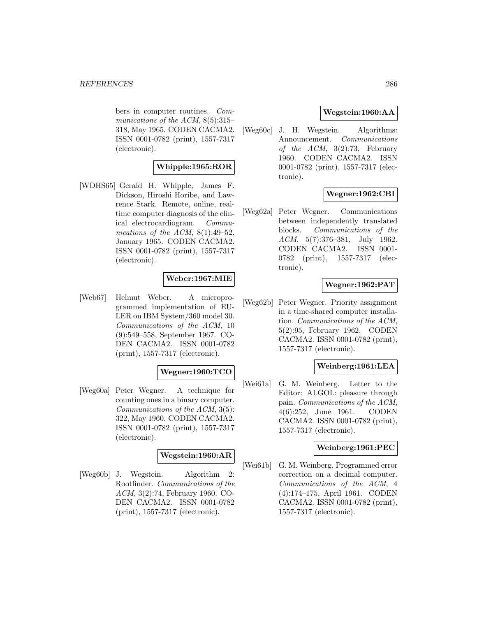bers in computer routines. Communications of the ACM, 8(5):315– 318, May 1965. CODEN CACMA2. ISSN 0001-0782 (print), 1557-7317 (electronic).

# **Whipple:1965:ROR**

[WDHS65] Gerald H. Whipple, James F. Dickson, Hiroshi Horibe, and Lawrence Stark. Remote, online, realtime computer diagnosis of the clinical electrocardiogram. Communications of the ACM,  $8(1):49-52$ , January 1965. CODEN CACMA2. ISSN 0001-0782 (print), 1557-7317 (electronic).

# **Weber:1967:MIE**

[Web67] Helmut Weber. A microprogrammed implementation of EU-LER on IBM System/360 model 30. Communications of the ACM, 10 (9):549–558, September 1967. CO-DEN CACMA2. ISSN 0001-0782 (print), 1557-7317 (electronic).

# **Wegner:1960:TCO**

[Weg60a] Peter Wegner. A technique for counting ones in a binary computer. Communications of the ACM, 3(5): 322, May 1960. CODEN CACMA2. ISSN 0001-0782 (print), 1557-7317 (electronic).

# **Wegstein:1960:AR**

[Weg60b] J. Wegstein. Algorithm 2: Rootfinder. Communications of the ACM, 3(2):74, February 1960. CO-DEN CACMA2. ISSN 0001-0782 (print), 1557-7317 (electronic).

# **Wegstein:1960:AA**

[Weg60c] J. H. Wegstein. Algorithms: Announcement. Communications of the  $ACM$ ,  $3(2):73$ , February 1960. CODEN CACMA2. ISSN 0001-0782 (print), 1557-7317 (electronic).

# **Wegner:1962:CBI**

[Weg62a] Peter Wegner. Communications between independently translated blocks. Communications of the ACM, 5(7):376–381, July 1962. CODEN CACMA2. ISSN 0001- 0782 (print), 1557-7317 (electronic).

# **Wegner:1962:PAT**

[Weg62b] Peter Wegner. Priority assignment in a time-shared computer installation. Communications of the ACM, 5(2):95, February 1962. CODEN CACMA2. ISSN 0001-0782 (print), 1557-7317 (electronic).

#### **Weinberg:1961:LEA**

[Wei61a] G. M. Weinberg. Letter to the Editor: ALGOL: pleasure through pain. Communications of the ACM, 4(6):252, June 1961. CODEN CACMA2. ISSN 0001-0782 (print), 1557-7317 (electronic).

#### **Weinberg:1961:PEC**

[Wei61b] G. M. Weinberg. Programmed error correction on a decimal computer. Communications of the ACM, 4 (4):174–175, April 1961. CODEN CACMA2. ISSN 0001-0782 (print), 1557-7317 (electronic).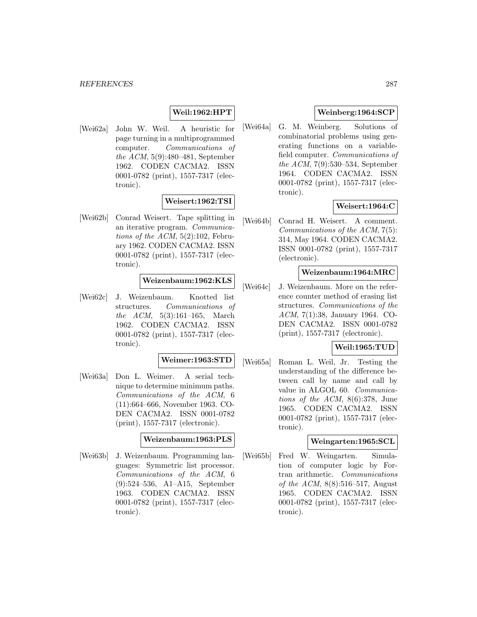# **Weil:1962:HPT**

[Wei62a] John W. Weil. A heuristic for page turning in a multiprogrammed computer. Communications of the ACM, 5(9):480–481, September 1962. CODEN CACMA2. ISSN 0001-0782 (print), 1557-7317 (electronic).

# **Weisert:1962:TSI**

[Wei62b] Conrad Weisert. Tape splitting in an iterative program. Communications of the ACM,  $5(2):102$ , February 1962. CODEN CACMA2. ISSN 0001-0782 (print), 1557-7317 (electronic).

## **Weizenbaum:1962:KLS**

[Wei62c] J. Weizenbaum. Knotted list structures. Communications of the ACM, 5(3):161–165, March 1962. CODEN CACMA2. ISSN 0001-0782 (print), 1557-7317 (electronic).

#### **Weimer:1963:STD**

[Wei63a] Don L. Weimer. A serial technique to determine minimum paths. Communications of the ACM, 6 (11):664–666, November 1963. CO-DEN CACMA2. ISSN 0001-0782 (print), 1557-7317 (electronic).

#### **Weizenbaum:1963:PLS**

[Wei63b] J. Weizenbaum. Programming languages: Symmetric list processor. Communications of the ACM, 6 (9):524–536, A1–A15, September 1963. CODEN CACMA2. ISSN 0001-0782 (print), 1557-7317 (electronic).

## **Weinberg:1964:SCP**

[Wei64a] G. M. Weinberg. Solutions of combinatorial problems using generating functions on a variablefield computer. Communications of the ACM, 7(9):530–534, September 1964. CODEN CACMA2. ISSN 0001-0782 (print), 1557-7317 (electronic).

# **Weisert:1964:C**

[Wei64b] Conrad H. Weisert. A comment. Communications of the ACM, 7(5): 314, May 1964. CODEN CACMA2. ISSN 0001-0782 (print), 1557-7317 (electronic).

# **Weizenbaum:1964:MRC**

[Wei64c] J. Weizenbaum. More on the reference counter method of erasing list structures. Communications of the ACM, 7(1):38, January 1964. CO-DEN CACMA2. ISSN 0001-0782 (print), 1557-7317 (electronic).

# **Weil:1965:TUD**

[Wei65a] Roman L. Weil, Jr. Testing the understanding of the difference between call by name and call by value in ALGOL 60. Communications of the ACM, 8(6):378, June 1965. CODEN CACMA2. ISSN 0001-0782 (print), 1557-7317 (electronic).

#### **Weingarten:1965:SCL**

[Wei65b] Fred W. Weingarten. Simulation of computer logic by Fortran arithmetic. Communications of the ACM, 8(8):516–517, August 1965. CODEN CACMA2. ISSN 0001-0782 (print), 1557-7317 (electronic).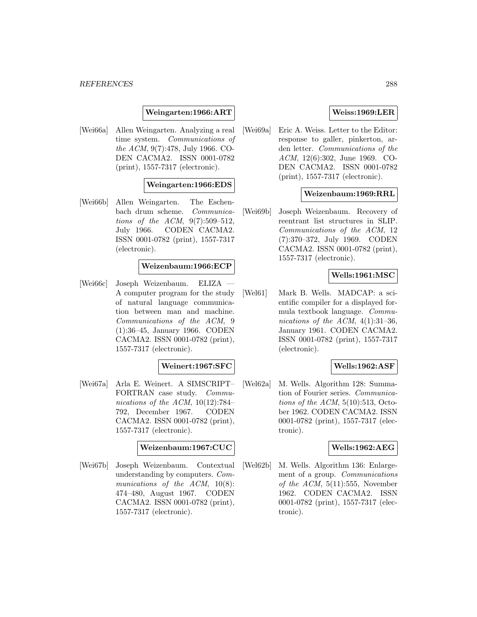#### **Weingarten:1966:ART**

[Wei66a] Allen Weingarten. Analyzing a real time system. Communications of the ACM, 9(7):478, July 1966. CO-DEN CACMA2. ISSN 0001-0782 (print), 1557-7317 (electronic).

## **Weingarten:1966:EDS**

[Wei66b] Allen Weingarten. The Eschenbach drum scheme. Communications of the ACM, 9(7):509–512, July 1966. CODEN CACMA2. ISSN 0001-0782 (print), 1557-7317 (electronic).

#### **Weizenbaum:1966:ECP**

[Wei66c] Joseph Weizenbaum. ELIZA A computer program for the study of natural language communication between man and machine. Communications of the ACM, 9 (1):36–45, January 1966. CODEN CACMA2. ISSN 0001-0782 (print), 1557-7317 (electronic).

#### **Weinert:1967:SFC**

[Wei67a] Arla E. Weinert. A SIMSCRIPT– FORTRAN case study. Communications of the ACM,  $10(12):784-$ 792, December 1967. CODEN CACMA2. ISSN 0001-0782 (print), 1557-7317 (electronic).

## **Weizenbaum:1967:CUC**

[Wei67b] Joseph Weizenbaum. Contextual understanding by computers. Communications of the ACM,  $10(8)$ : 474–480, August 1967. CODEN CACMA2. ISSN 0001-0782 (print), 1557-7317 (electronic).

## **Weiss:1969:LER**

[Wei69a] Eric A. Weiss. Letter to the Editor: response to galler, pinkerton, arden letter. Communications of the ACM, 12(6):302, June 1969. CO-DEN CACMA2. ISSN 0001-0782 (print), 1557-7317 (electronic).

## **Weizenbaum:1969:RRL**

[Wei69b] Joseph Weizenbaum. Recovery of reentrant list structures in SLIP. Communications of the ACM, 12 (7):370–372, July 1969. CODEN CACMA2. ISSN 0001-0782 (print), 1557-7317 (electronic).

#### **Wells:1961:MSC**

[Wel61] Mark B. Wells. MADCAP: a scientific compiler for a displayed formula textbook language. Communications of the ACM,  $4(1):31-36$ , January 1961. CODEN CACMA2. ISSN 0001-0782 (print), 1557-7317 (electronic).

#### **Wells:1962:ASF**

[Wel62a] M. Wells. Algorithm 128: Summation of Fourier series. Communications of the ACM,  $5(10):513$ , October 1962. CODEN CACMA2. ISSN 0001-0782 (print), 1557-7317 (electronic).

#### **Wells:1962:AEG**

[Wel62b] M. Wells. Algorithm 136: Enlargement of a group. Communications of the  $ACM$ ,  $5(11):555$ , November 1962. CODEN CACMA2. ISSN 0001-0782 (print), 1557-7317 (electronic).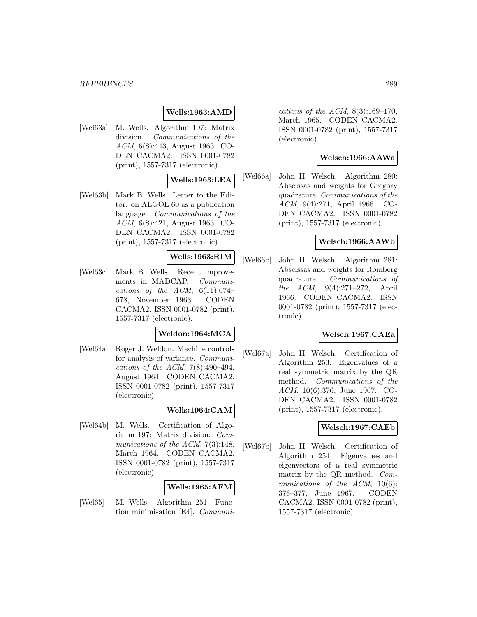#### *REFERENCES* 289

### **Wells:1963:AMD**

[Wel63a] M. Wells. Algorithm 197: Matrix division. Communications of the ACM, 6(8):443, August 1963. CO-DEN CACMA2. ISSN 0001-0782 (print), 1557-7317 (electronic).

## **Wells:1963:LEA**

[Wel63b] Mark B. Wells. Letter to the Editor: on ALGOL 60 as a publication language. Communications of the ACM, 6(8):421, August 1963. CO-DEN CACMA2. ISSN 0001-0782 (print), 1557-7317 (electronic).

# **Wells:1963:RIM**

[Wel63c] Mark B. Wells. Recent improvements in MADCAP. Communications of the ACM,  $6(11):674-$ 678, November 1963. CODEN CACMA2. ISSN 0001-0782 (print), 1557-7317 (electronic).

# **Weldon:1964:MCA**

[Wel64a] Roger J. Weldon. Machine controls for analysis of variance. Communications of the ACM, 7(8):490–494, August 1964. CODEN CACMA2. ISSN 0001-0782 (print), 1557-7317 (electronic).

### **Wells:1964:CAM**

[Wel64b] M. Wells. Certification of Algorithm 197: Matrix division. Communications of the ACM, 7(3):148, March 1964. CODEN CACMA2. ISSN 0001-0782 (print), 1557-7317 (electronic).

# **Wells:1965:AFM**

[Wel65] M. Wells. Algorithm 251: Function minimisation [E4]. Communications of the ACM,  $8(3):169-170$ , March 1965. CODEN CACMA2. ISSN 0001-0782 (print), 1557-7317 (electronic).

#### **Welsch:1966:AAWa**

[Wel66a] John H. Welsch. Algorithm 280: Abscissas and weights for Gregory quadrature. Communications of the ACM, 9(4):271, April 1966. CO-DEN CACMA2. ISSN 0001-0782 (print), 1557-7317 (electronic).

#### **Welsch:1966:AAWb**

[Wel66b] John H. Welsch. Algorithm 281: Abscissas and weights for Romberg quadrature. Communications of the ACM, 9(4):271–272, April 1966. CODEN CACMA2. ISSN 0001-0782 (print), 1557-7317 (electronic).

#### **Welsch:1967:CAEa**

[Wel67a] John H. Welsch. Certification of Algorithm 253: Eigenvalues of a real symmetric matrix by the QR method. Communications of the ACM, 10(6):376, June 1967. CO-DEN CACMA2. ISSN 0001-0782 (print), 1557-7317 (electronic).

### **Welsch:1967:CAEb**

[Wel67b] John H. Welsch. Certification of Algorithm 254: Eigenvalues and eigenvectors of a real symmetric matrix by the QR method. Communications of the ACM, 10(6): 376–377, June 1967. CODEN CACMA2. ISSN 0001-0782 (print), 1557-7317 (electronic).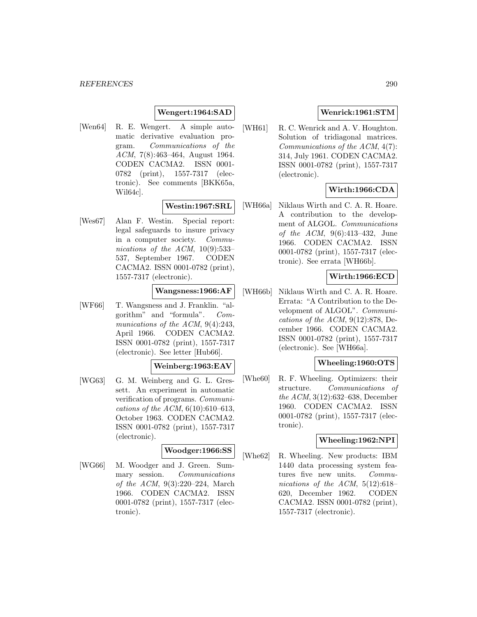# **Wengert:1964:SAD**

[Wen64] R. E. Wengert. A simple automatic derivative evaluation program. Communications of the ACM, 7(8):463–464, August 1964. CODEN CACMA2. ISSN 0001- 0782 (print), 1557-7317 (electronic). See comments [BKK65a, Wil64c].

### **Westin:1967:SRL**

[Wes67] Alan F. Westin. Special report: legal safeguards to insure privacy in a computer society. Communications of the ACM, 10(9):533– 537, September 1967. CODEN CACMA2. ISSN 0001-0782 (print), 1557-7317 (electronic).

# **Wangsness:1966:AF**

[WF66] T. Wangsness and J. Franklin. "algorithm" and "formula". Communications of the ACM, 9(4):243, April 1966. CODEN CACMA2. ISSN 0001-0782 (print), 1557-7317 (electronic). See letter [Hub66].

### **Weinberg:1963:EAV**

[WG63] G. M. Weinberg and G. L. Gressett. An experiment in automatic verification of programs. Communications of the ACM,  $6(10):610-613$ , October 1963. CODEN CACMA2. ISSN 0001-0782 (print), 1557-7317 (electronic).

# **Woodger:1966:SS**

[WG66] M. Woodger and J. Green. Summary session. Communications of the ACM, 9(3):220–224, March 1966. CODEN CACMA2. ISSN 0001-0782 (print), 1557-7317 (electronic).

# **Wenrick:1961:STM**

[WH61] R. C. Wenrick and A. V. Houghton. Solution of tridiagonal matrices. Communications of the ACM, 4(7): 314, July 1961. CODEN CACMA2. ISSN 0001-0782 (print), 1557-7317 (electronic).

# **Wirth:1966:CDA**

[WH66a] Niklaus Wirth and C. A. R. Hoare. A contribution to the development of ALGOL. Communications of the ACM, 9(6):413–432, June 1966. CODEN CACMA2. ISSN 0001-0782 (print), 1557-7317 (electronic). See errata [WH66b].

### **Wirth:1966:ECD**

[WH66b] Niklaus Wirth and C. A. R. Hoare. Errata: "A Contribution to the Development of ALGOL". Communications of the ACM,  $9(12):878$ , December 1966. CODEN CACMA2. ISSN 0001-0782 (print), 1557-7317 (electronic). See [WH66a].

#### **Wheeling:1960:OTS**

[Whe60] R. F. Wheeling. Optimizers: their structure. Communications of the ACM, 3(12):632–638, December 1960. CODEN CACMA2. ISSN 0001-0782 (print), 1557-7317 (electronic).

#### **Wheeling:1962:NPI**

[Whe62] R. Wheeling. New products: IBM 1440 data processing system features five new units. Communications of the ACM, 5(12):618– 620, December 1962. CODEN CACMA2. ISSN 0001-0782 (print), 1557-7317 (electronic).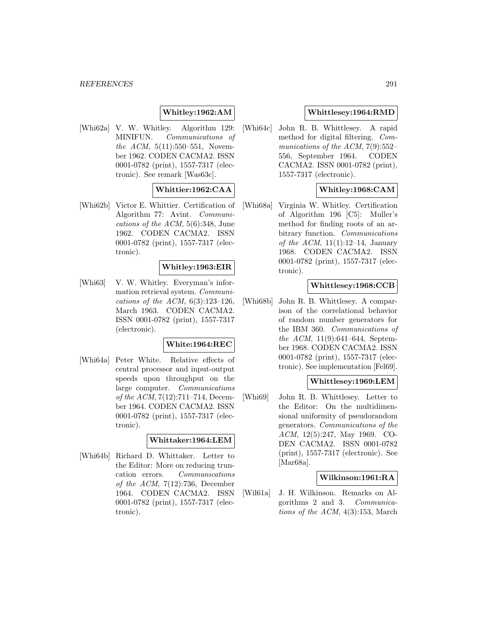# **Whitley:1962:AM**

[Whi62a] V. W. Whitley. Algorithm 129: MINIFUN. Communications of the ACM, 5(11):550–551, November 1962. CODEN CACMA2. ISSN 0001-0782 (print), 1557-7317 (electronic). See remark [Was63c].

# **Whittier:1962:CAA**

[Whi62b] Victor E. Whittier. Certification of Algorithm 77: Avint. Communications of the ACM, 5(6):348, June 1962. CODEN CACMA2. ISSN 0001-0782 (print), 1557-7317 (electronic).

#### **Whitley:1963:EIR**

[Whi63] V. W. Whitley. Everyman's information retrieval system. Communications of the ACM,  $6(3):123-126$ , March 1963. CODEN CACMA2. ISSN 0001-0782 (print), 1557-7317 (electronic).

### **White:1964:REC**

[Whi64a] Peter White. Relative effects of central processor and input-output speeds upon throughput on the large computer. Communications of the ACM, 7(12):711–714, December 1964. CODEN CACMA2. ISSN 0001-0782 (print), 1557-7317 (electronic).

#### **Whittaker:1964:LEM**

[Whi64b] Richard D. Whittaker. Letter to the Editor: More on reducing truncation errors. Communications of the ACM,  $7(12):736$ , December 1964. CODEN CACMA2. ISSN 0001-0782 (print), 1557-7317 (electronic).

### **Whittlesey:1964:RMD**

[Whi64c] John R. B. Whittlesey. A rapid method for digital filtering. Communications of the ACM, 7(9):552– 556, September 1964. CODEN CACMA2. ISSN 0001-0782 (print), 1557-7317 (electronic).

# **Whitley:1968:CAM**

[Whi68a] Virginia W. Whitley. Certification of Algorithm 196 [C5]: Muller's method for finding roots of an arbitrary function. Communications of the ACM,  $11(1):12-14$ , January 1968. CODEN CACMA2. ISSN 0001-0782 (print), 1557-7317 (electronic).

#### **Whittlesey:1968:CCB**

[Whi68b] John R. B. Whittlesey. A comparison of the correlational behavior of random number generators for the IBM 360. Communications of the ACM, 11(9):641–644, September 1968. CODEN CACMA2. ISSN 0001-0782 (print), 1557-7317 (electronic). See implementation [Fel69].

#### **Whittlesey:1969:LEM**

[Whi69] John R. B. Whittlesey. Letter to the Editor: On the multidimensional uniformity of pseudorandom generators. Communications of the ACM, 12(5):247, May 1969. CO-DEN CACMA2. ISSN 0001-0782 (print), 1557-7317 (electronic). See [Mar68a].

#### **Wilkinson:1961:RA**

[Wil61a] J. H. Wilkinson. Remarks on Algorithms 2 and 3. Communications of the ACM, 4(3):153, March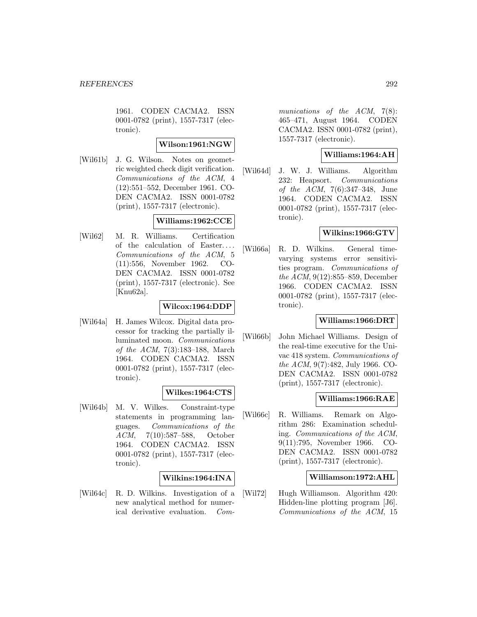1961. CODEN CACMA2. ISSN 0001-0782 (print), 1557-7317 (electronic).

#### **Wilson:1961:NGW**

[Wil61b] J. G. Wilson. Notes on geometric weighted check digit verification. Communications of the ACM, 4 (12):551–552, December 1961. CO-DEN CACMA2. ISSN 0001-0782 (print), 1557-7317 (electronic).

# **Williams:1962:CCE**

[Wil62] M. R. Williams. Certification of the calculation of Easter... . Communications of the ACM, 5 (11):556, November 1962. CO-DEN CACMA2. ISSN 0001-0782 (print), 1557-7317 (electronic). See [Knu62a].

# **Wilcox:1964:DDP**

[Wil64a] H. James Wilcox. Digital data processor for tracking the partially illuminated moon. Communications of the ACM, 7(3):183–188, March 1964. CODEN CACMA2. ISSN 0001-0782 (print), 1557-7317 (electronic).

# **Wilkes:1964:CTS**

[Wil64b] M. V. Wilkes. Constraint-type statements in programming languages. Communications of the ACM, 7(10):587–588, October 1964. CODEN CACMA2. ISSN 0001-0782 (print), 1557-7317 (electronic).

# **Wilkins:1964:INA**

[Wil64c] R. D. Wilkins. Investigation of a new analytical method for numerical derivative evaluation. Communications of the ACM, 7(8): 465–471, August 1964. CODEN CACMA2. ISSN 0001-0782 (print), 1557-7317 (electronic).

# **Williams:1964:AH**

[Wil64d] J. W. J. Williams. Algorithm 232: Heapsort. Communications of the ACM, 7(6):347–348, June 1964. CODEN CACMA2. ISSN 0001-0782 (print), 1557-7317 (electronic).

### **Wilkins:1966:GTV**

[Wil66a] R. D. Wilkins. General timevarying systems error sensitivities program. Communications of the ACM, 9(12):855–859, December 1966. CODEN CACMA2. ISSN 0001-0782 (print), 1557-7317 (electronic).

### **Williams:1966:DRT**

[Wil66b] John Michael Williams. Design of the real-time executive for the Univac 418 system. Communications of the ACM, 9(7):482, July 1966. CO-DEN CACMA2. ISSN 0001-0782 (print), 1557-7317 (electronic).

# **Williams:1966:RAE**

[Wil66c] R. Williams. Remark on Algorithm 286: Examination scheduling. Communications of the ACM, 9(11):795, November 1966. CO-DEN CACMA2. ISSN 0001-0782 (print), 1557-7317 (electronic).

### **Williamson:1972:AHL**

[Wil72] Hugh Williamson. Algorithm 420: Hidden-line plotting program [J6]. Communications of the ACM, 15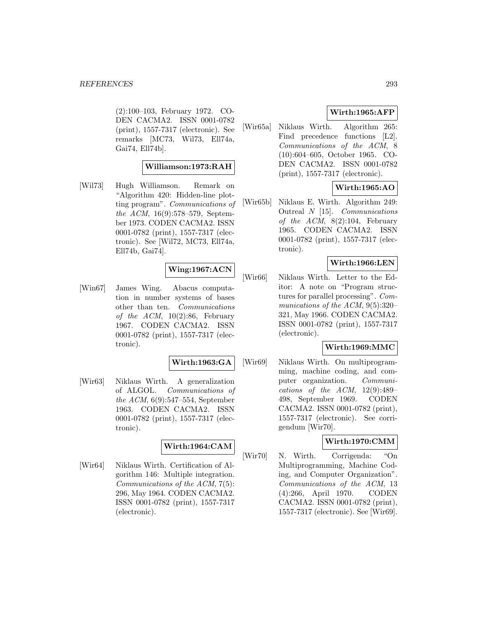(2):100–103, February 1972. CO-DEN CACMA2. ISSN 0001-0782 (print), 1557-7317 (electronic). See remarks [MC73, Wil73, Ell74a, Gai74, Ell74b].

# **Williamson:1973:RAH**

[Wil73] Hugh Williamson. Remark on "Algorithm 420: Hidden-line plotting program". Communications of the ACM, 16(9):578–579, September 1973. CODEN CACMA2. ISSN 0001-0782 (print), 1557-7317 (electronic). See [Wil72, MC73, Ell74a, Ell74b, Gai74].

# **Wing:1967:ACN**

[Win67] James Wing. Abacus computation in number systems of bases other than ten. Communications of the  $ACM$ , 10(2):86, February 1967. CODEN CACMA2. ISSN 0001-0782 (print), 1557-7317 (electronic).

### **Wirth:1963:GA**

[Wir63] Niklaus Wirth. A generalization of ALGOL. Communications of the ACM, 6(9):547–554, September 1963. CODEN CACMA2. ISSN 0001-0782 (print), 1557-7317 (electronic).

### **Wirth:1964:CAM**

[Wir64] Niklaus Wirth. Certification of Algorithm 146: Multiple integration. Communications of the ACM, 7(5): 296, May 1964. CODEN CACMA2. ISSN 0001-0782 (print), 1557-7317 (electronic).

### **Wirth:1965:AFP**

[Wir65a] Niklaus Wirth. Algorithm 265: Find precedence functions [L2]. Communications of the ACM, 8 (10):604–605, October 1965. CO-DEN CACMA2. ISSN 0001-0782 (print), 1557-7317 (electronic).

# **Wirth:1965:AO**

[Wir65b] Niklaus E. Wirth. Algorithm 249: Outreal N [15]. Communications of the  $ACM$ ,  $8(2):104$ , February 1965. CODEN CACMA2. ISSN 0001-0782 (print), 1557-7317 (electronic).

#### **Wirth:1966:LEN**

[Wir66] Niklaus Wirth. Letter to the Editor: A note on "Program structures for parallel processing". Communications of the ACM, 9(5):320– 321, May 1966. CODEN CACMA2. ISSN 0001-0782 (print), 1557-7317 (electronic).

# **Wirth:1969:MMC**

[Wir69] Niklaus Wirth. On multiprogramming, machine coding, and computer organization. Communications of the  $ACM$ ,  $12(9):489-$ 498, September 1969. CODEN CACMA2. ISSN 0001-0782 (print), 1557-7317 (electronic). See corrigendum [Wir70].

### **Wirth:1970:CMM**

[Wir70] N. Wirth. Corrigenda: "On Multiprogramming, Machine Coding, and Computer Organization". Communications of the ACM, 13 (4):266, April 1970. CODEN CACMA2. ISSN 0001-0782 (print), 1557-7317 (electronic). See [Wir69].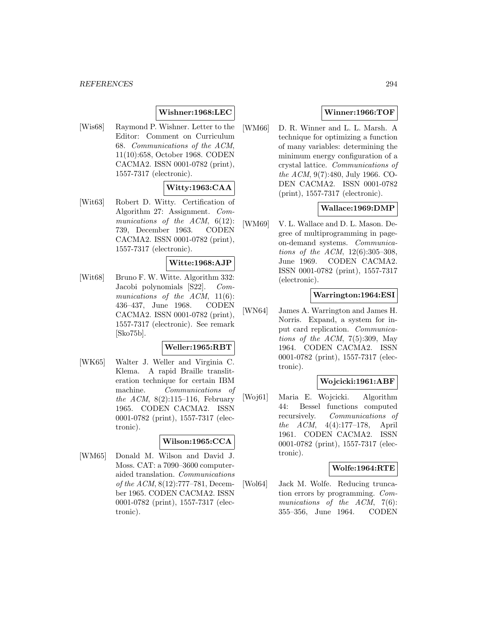# **Wishner:1968:LEC**

[Wis68] Raymond P. Wishner. Letter to the Editor: Comment on Curriculum 68. Communications of the ACM, 11(10):658, October 1968. CODEN CACMA2. ISSN 0001-0782 (print), 1557-7317 (electronic).

# **Witty:1963:CAA**

[Wit63] Robert D. Witty. Certification of Algorithm 27: Assignment. Communications of the ACM,  $6(12)$ : 739, December 1963. CODEN CACMA2. ISSN 0001-0782 (print), 1557-7317 (electronic).

#### **Witte:1968:AJP**

[Wit68] Bruno F. W. Witte. Algorithm 332: Jacobi polynomials [S22]. Communications of the  $ACM$ ,  $11(6)$ : 436–437, June 1968. CODEN CACMA2. ISSN 0001-0782 (print), 1557-7317 (electronic). See remark [Sko75b].

### **Weller:1965:RBT**

[WK65] Walter J. Weller and Virginia C. Klema. A rapid Braille transliteration technique for certain IBM machine. Communications of the ACM,  $8(2):115-116$ , February 1965. CODEN CACMA2. ISSN 0001-0782 (print), 1557-7317 (electronic).

### **Wilson:1965:CCA**

[WM65] Donald M. Wilson and David J. Moss. CAT: a 7090–3600 computeraided translation. Communications of the ACM, 8(12):777–781, December 1965. CODEN CACMA2. ISSN 0001-0782 (print), 1557-7317 (electronic).

# **Winner:1966:TOF**

[WM66] D. R. Winner and L. L. Marsh. A technique for optimizing a function of many variables: determining the minimum energy configuration of a crystal lattice. Communications of the ACM, 9(7):480, July 1966. CO-DEN CACMA2. ISSN 0001-0782 (print), 1557-7317 (electronic).

# **Wallace:1969:DMP**

[WM69] V. L. Wallace and D. L. Mason. Degree of multiprogramming in pageon-demand systems. Communications of the ACM, 12(6):305–308, June 1969. CODEN CACMA2. ISSN 0001-0782 (print), 1557-7317 (electronic).

#### **Warrington:1964:ESI**

[WN64] James A. Warrington and James H. Norris. Expand, a system for input card replication. Communications of the ACM,  $7(5):309$ , May 1964. CODEN CACMA2. ISSN 0001-0782 (print), 1557-7317 (electronic).

#### **Wojcicki:1961:ABF**

[Woj61] Maria E. Wojcicki. Algorithm 44: Bessel functions computed recursively. Communications of the ACM, 4(4):177–178, April 1961. CODEN CACMA2. ISSN 0001-0782 (print), 1557-7317 (electronic).

#### **Wolfe:1964:RTE**

[Wol64] Jack M. Wolfe. Reducing truncation errors by programming. Communications of the ACM, 7(6): 355–356, June 1964. CODEN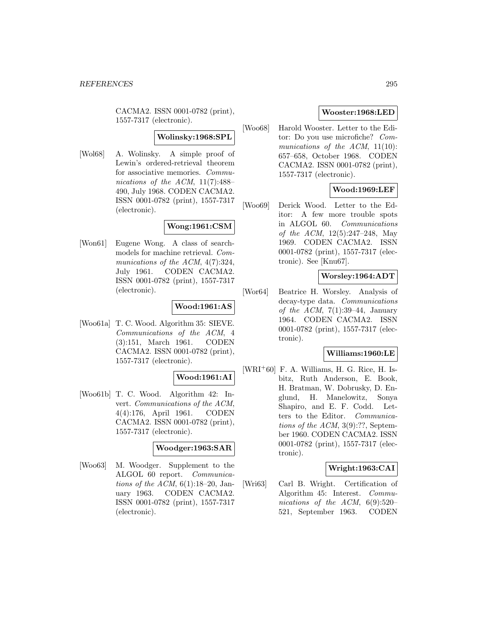CACMA2. ISSN 0001-0782 (print), 1557-7317 (electronic).

# **Wolinsky:1968:SPL**

[Wol68] A. Wolinsky. A simple proof of Lewin's ordered-retrieval theorem for associative memories. Communications of the ACM,  $11(7)$ :488-490, July 1968. CODEN CACMA2. ISSN 0001-0782 (print), 1557-7317 (electronic).

# **Wong:1961:CSM**

[Won61] Eugene Wong. A class of searchmodels for machine retrieval. Communications of the ACM,  $4(7):324$ , July 1961. CODEN CACMA2. ISSN 0001-0782 (print), 1557-7317 (electronic).

## **Wood:1961:AS**

[Woo61a] T. C. Wood. Algorithm 35: SIEVE. Communications of the ACM, 4 (3):151, March 1961. CODEN CACMA2. ISSN 0001-0782 (print), 1557-7317 (electronic).

# **Wood:1961:AI**

[Woo61b] T. C. Wood. Algorithm 42: Invert. Communications of the ACM, 4(4):176, April 1961. CODEN CACMA2. ISSN 0001-0782 (print), 1557-7317 (electronic).

### **Woodger:1963:SAR**

[Woo63] M. Woodger. Supplement to the ALGOL 60 report. Communications of the ACM,  $6(1)$ :18-20, January 1963. CODEN CACMA2. ISSN 0001-0782 (print), 1557-7317 (electronic).

# **Wooster:1968:LED**

[Woo68] Harold Wooster. Letter to the Editor: Do you use microfiche? Communications of the ACM, 11(10): 657–658, October 1968. CODEN CACMA2. ISSN 0001-0782 (print), 1557-7317 (electronic).

# **Wood:1969:LEF**

[Woo69] Derick Wood. Letter to the Editor: A few more trouble spots in ALGOL 60. Communications of the ACM, 12(5):247–248, May 1969. CODEN CACMA2. ISSN 0001-0782 (print), 1557-7317 (electronic). See [Knu67].

# **Worsley:1964:ADT**

[Wor64] Beatrice H. Worsley. Analysis of decay-type data. Communications of the ACM,  $7(1):39-44$ , January 1964. CODEN CACMA2. ISSN 0001-0782 (print), 1557-7317 (electronic).

### **Williams:1960:LE**

[WRI<sup>+</sup>60] F. A. Williams, H. G. Rice, H. Isbitz, Ruth Anderson, E. Book, H. Bratman, W. Dobrusky, D. Englund, H. Manelowitz, Sonya Shapiro, and E. F. Codd. Letters to the Editor. Communications of the ACM, 3(9):??, September 1960. CODEN CACMA2. ISSN 0001-0782 (print), 1557-7317 (electronic).

### **Wright:1963:CAI**

[Wri63] Carl B. Wright. Certification of Algorithm 45: Interest. Communications of the ACM, 6(9):520– 521, September 1963. CODEN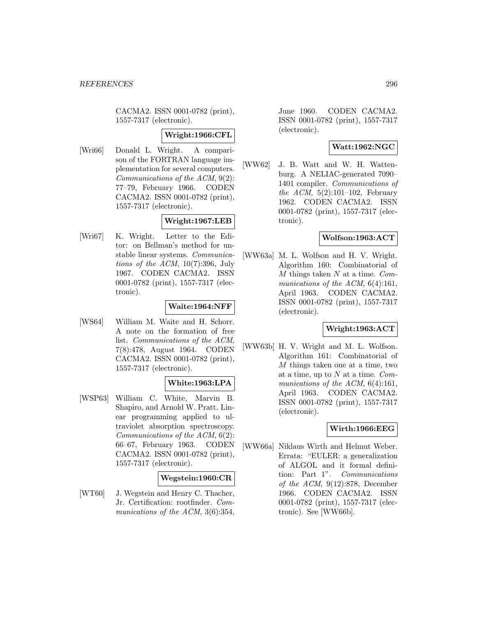CACMA2. ISSN 0001-0782 (print), 1557-7317 (electronic).

#### **Wright:1966:CFL**

[Wri66] Donald L. Wright. A comparison of the FORTRAN language implementation for several computers. Communications of the ACM, 9(2): 77–79, February 1966. CODEN CACMA2. ISSN 0001-0782 (print), 1557-7317 (electronic).

# **Wright:1967:LEB**

[Wri67] K. Wright. Letter to the Editor: on Bellman's method for unstable linear systems. Communications of the ACM,  $10(7)$ :396, July 1967. CODEN CACMA2. ISSN 0001-0782 (print), 1557-7317 (electronic).

### **Waite:1964:NFF**

[WS64] William M. Waite and H. Schorr. A note on the formation of free list. Communications of the ACM, 7(8):478, August 1964. CODEN CACMA2. ISSN 0001-0782 (print), 1557-7317 (electronic).

### **White:1963:LPA**

[WSP63] William C. White, Marvin B. Shapiro, and Arnold W. Pratt. Linear programming applied to ultraviolet absorption spectroscopy. Communications of the ACM, 6(2): 66–67, February 1963. CODEN CACMA2. ISSN 0001-0782 (print), 1557-7317 (electronic).

# **Wegstein:1960:CR**

[WT60] J. Wegstein and Henry C. Thacher, Jr. Certification: rootfinder. Communications of the ACM, 3(6):354,

June 1960. CODEN CACMA2. ISSN 0001-0782 (print), 1557-7317 (electronic).

# **Watt:1962:NGC**

[WW62] J. B. Watt and W. H. Wattenburg. A NELIAC-generated 7090– 1401 compiler. Communications of the ACM,  $5(2):101-102$ , February 1962. CODEN CACMA2. ISSN 0001-0782 (print), 1557-7317 (electronic).

### **Wolfson:1963:ACT**

[WW63a] M. L. Wolfson and H. V. Wright. Algorithm 160: Combinatorial of  $M$  things taken  $N$  at a time.  $Com$ munications of the ACM, 6(4):161, April 1963. CODEN CACMA2. ISSN 0001-0782 (print), 1557-7317 (electronic).

# **Wright:1963:ACT**

[WW63b] H. V. Wright and M. L. Wolfson. Algorithm 161: Combinatorial of M things taken one at a time, two at a time, up to  $N$  at a time. Communications of the ACM, 6(4):161, April 1963. CODEN CACMA2. ISSN 0001-0782 (print), 1557-7317 (electronic).

### **Wirth:1966:EEG**

[WW66a] Niklaus Wirth and Helmut Weber. Errata: "EULER: a generalization of ALGOL and it formal definition: Part 1". Communications of the ACM,  $9(12):878$ , December 1966. CODEN CACMA2. ISSN 0001-0782 (print), 1557-7317 (electronic). See [WW66b].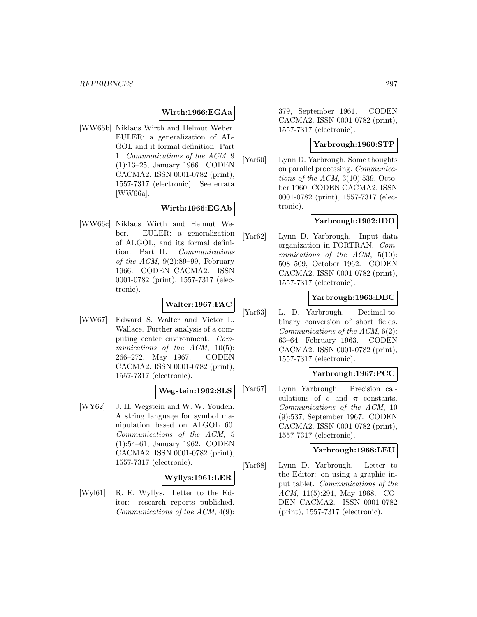#### **Wirth:1966:EGAa**

[WW66b] Niklaus Wirth and Helmut Weber. EULER: a generalization of AL-GOL and it formal definition: Part 1. Communications of the ACM, 9 (1):13–25, January 1966. CODEN CACMA2. ISSN 0001-0782 (print), 1557-7317 (electronic). See errata [WW66a].

# **Wirth:1966:EGAb**

[WW66c] Niklaus Wirth and Helmut Weber. EULER: a generalization of ALGOL, and its formal definition: Part II. Communications of the ACM,  $9(2):89-99$ , February 1966. CODEN CACMA2. ISSN 0001-0782 (print), 1557-7317 (electronic).

# **Walter:1967:FAC**

[WW67] Edward S. Walter and Victor L. Wallace. Further analysis of a computing center environment. Communications of the  $ACM$ ,  $10(5)$ : 266–272, May 1967. CODEN CACMA2. ISSN 0001-0782 (print), 1557-7317 (electronic).

### **Wegstein:1962:SLS**

[WY62] J. H. Wegstein and W. W. Youden. A string language for symbol manipulation based on ALGOL 60. Communications of the ACM, 5 (1):54–61, January 1962. CODEN CACMA2. ISSN 0001-0782 (print), 1557-7317 (electronic).

### **Wyllys:1961:LER**

[Wyl61] R. E. Wyllys. Letter to the Editor: research reports published. Communications of the ACM, 4(9): 379, September 1961. CODEN CACMA2. ISSN 0001-0782 (print), 1557-7317 (electronic).

# **Yarbrough:1960:STP**

[Yar<sub>60</sub>] Lynn D. Yarbrough. Some thoughts on parallel processing. Communications of the ACM,  $3(10):539$ , October 1960. CODEN CACMA2. ISSN 0001-0782 (print), 1557-7317 (electronic).

# **Yarbrough:1962:IDO**

[Yar62] Lynn D. Yarbrough. Input data organization in FORTRAN. Communications of the ACM, 5(10): 508–509, October 1962. CODEN CACMA2. ISSN 0001-0782 (print), 1557-7317 (electronic).

#### **Yarbrough:1963:DBC**

[Yar63] L. D. Yarbrough. Decimal-tobinary conversion of short fields. Communications of the ACM, 6(2): 63–64, February 1963. CODEN CACMA2. ISSN 0001-0782 (print), 1557-7317 (electronic).

## **Yarbrough:1967:PCC**

[Yar67] Lynn Yarbrough. Precision calculations of  $e$  and  $\pi$  constants. Communications of the ACM, 10 (9):537, September 1967. CODEN CACMA2. ISSN 0001-0782 (print), 1557-7317 (electronic).

#### **Yarbrough:1968:LEU**

[Yar68] Lynn D. Yarbrough. Letter to the Editor: on using a graphic input tablet. Communications of the ACM, 11(5):294, May 1968. CO-DEN CACMA2. ISSN 0001-0782 (print), 1557-7317 (electronic).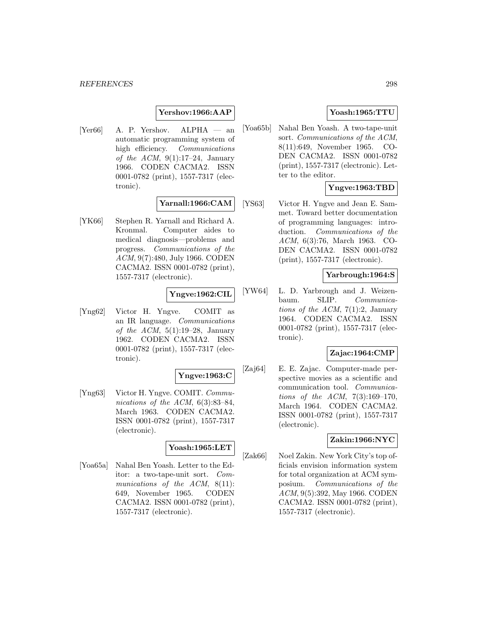### **Yershov:1966:AAP**

[Yer66] A. P. Yershov. ALPHA — an automatic programming system of high efficiency. Communications of the ACM,  $9(1):17-24$ , January 1966. CODEN CACMA2. ISSN 0001-0782 (print), 1557-7317 (electronic).

#### **Yarnall:1966:CAM**

[YK66] Stephen R. Yarnall and Richard A. Kronmal. Computer aides to medical diagnosis—problems and progress. Communications of the ACM, 9(7):480, July 1966. CODEN CACMA2. ISSN 0001-0782 (print), 1557-7317 (electronic).

# **Yngve:1962:CIL**

[Yng62] Victor H. Yngve. COMIT as an IR language. Communications of the ACM,  $5(1):19-28$ , January 1962. CODEN CACMA2. ISSN 0001-0782 (print), 1557-7317 (electronic).

# **Yngve:1963:C**

[Yng63] Victor H. Yngve. COMIT. Communications of the ACM,  $6(3):83-84$ , March 1963. CODEN CACMA2. ISSN 0001-0782 (print), 1557-7317 (electronic).

#### **Yoash:1965:LET**

[Yoa65a] Nahal Ben Yoash. Letter to the Editor: a two-tape-unit sort. Communications of the ACM, 8(11): 649, November 1965. CODEN CACMA2. ISSN 0001-0782 (print), 1557-7317 (electronic).

# **Yoash:1965:TTU**

[Yoa65b] Nahal Ben Yoash. A two-tape-unit sort. Communications of the ACM, 8(11):649, November 1965. CO-DEN CACMA2. ISSN 0001-0782 (print), 1557-7317 (electronic). Letter to the editor.

### **Yngve:1963:TBD**

[YS63] Victor H. Yngve and Jean E. Sammet. Toward better documentation of programming languages: introduction. *Communications* of the ACM, 6(3):76, March 1963. CO-DEN CACMA2. ISSN 0001-0782 (print), 1557-7317 (electronic).

### **Yarbrough:1964:S**

[YW64] L. D. Yarbrough and J. Weizenbaum. SLIP. Communications of the ACM,  $7(1):2$ , January 1964. CODEN CACMA2. ISSN 0001-0782 (print), 1557-7317 (electronic).

#### **Zajac:1964:CMP**

[Zaj64] E. E. Zajac. Computer-made perspective movies as a scientific and communication tool. Communications of the ACM,  $7(3):169-170$ , March 1964. CODEN CACMA2. ISSN 0001-0782 (print), 1557-7317 (electronic).

#### **Zakin:1966:NYC**

[Zak66] Noel Zakin. New York City's top officials envision information system for total organization at ACM symposium. Communications of the ACM, 9(5):392, May 1966. CODEN CACMA2. ISSN 0001-0782 (print), 1557-7317 (electronic).